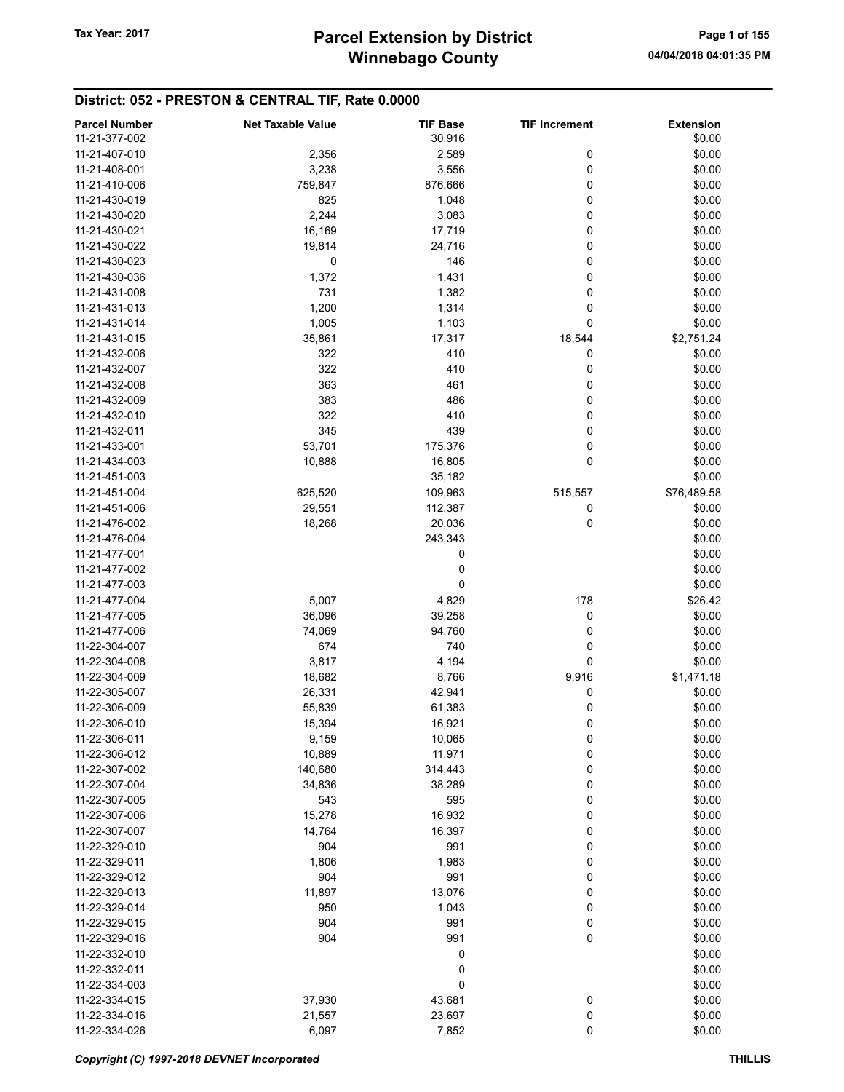# District: 052 - PRESTON & CENTRAL TIF, Rate 0.0000

| <b>Parcel Number</b> | <b>Net Taxable Value</b> | <b>TIF Base</b> | <b>TIF Increment</b> | <b>Extension</b> |
|----------------------|--------------------------|-----------------|----------------------|------------------|
| 11-21-377-002        |                          | 30,916          |                      | \$0.00           |
| 11-21-407-010        | 2,356                    | 2,589           | 0                    | \$0.00           |
|                      |                          |                 |                      |                  |
| 11-21-408-001        | 3,238                    | 3,556           | 0                    | \$0.00           |
| 11-21-410-006        | 759,847                  | 876,666         | 0                    | \$0.00           |
| 11-21-430-019        | 825                      | 1,048           | 0                    | \$0.00           |
| 11-21-430-020        | 2,244                    | 3,083           | 0                    | \$0.00           |
| 11-21-430-021        | 16,169                   | 17,719          | 0                    | \$0.00           |
| 11-21-430-022        | 19,814                   | 24,716          | 0                    | \$0.00           |
| 11-21-430-023        | 0                        | 146             | 0                    | \$0.00           |
| 11-21-430-036        | 1,372                    | 1,431           | 0                    | \$0.00           |
| 11-21-431-008        | 731                      | 1,382           | 0                    | \$0.00           |
|                      |                          |                 |                      |                  |
| 11-21-431-013        | 1,200                    | 1,314           | 0                    | \$0.00           |
| 11-21-431-014        | 1,005                    | 1,103           | 0                    | \$0.00           |
| 11-21-431-015        | 35,861                   | 17,317          | 18,544               | \$2,751.24       |
| 11-21-432-006        | 322                      | 410             | 0                    | \$0.00           |
| 11-21-432-007        | 322                      | 410             | 0                    | \$0.00           |
| 11-21-432-008        | 363                      | 461             | 0                    | \$0.00           |
| 11-21-432-009        | 383                      | 486             | 0                    | \$0.00           |
| 11-21-432-010        | 322                      | 410             | 0                    | \$0.00           |
| 11-21-432-011        | 345                      | 439             | 0                    | \$0.00           |
|                      |                          |                 |                      |                  |
| 11-21-433-001        | 53,701                   | 175,376         | 0                    | \$0.00           |
| 11-21-434-003        | 10,888                   | 16,805          | 0                    | \$0.00           |
| 11-21-451-003        |                          | 35,182          |                      | \$0.00           |
| 11-21-451-004        | 625,520                  | 109,963         | 515,557              | \$76,489.58      |
| 11-21-451-006        | 29,551                   | 112,387         | 0                    | \$0.00           |
| 11-21-476-002        | 18,268                   | 20,036          | $\mathbf 0$          | \$0.00           |
| 11-21-476-004        |                          | 243,343         |                      | \$0.00           |
| 11-21-477-001        |                          | 0               |                      | \$0.00           |
| 11-21-477-002        |                          | 0               |                      | \$0.00           |
|                      |                          |                 |                      |                  |
| 11-21-477-003        |                          | 0               |                      | \$0.00           |
| 11-21-477-004        | 5,007                    | 4,829           | 178                  | \$26.42          |
| 11-21-477-005        | 36,096                   | 39,258          | 0                    | \$0.00           |
| 11-21-477-006        | 74,069                   | 94,760          | 0                    | \$0.00           |
| 11-22-304-007        | 674                      | 740             | 0                    | \$0.00           |
| 11-22-304-008        | 3,817                    | 4,194           | 0                    | \$0.00           |
| 11-22-304-009        | 18,682                   | 8,766           | 9,916                | \$1,471.18       |
| 11-22-305-007        | 26,331                   | 42,941          | 0                    | \$0.00           |
| 11-22-306-009        | 55,839                   | 61,383          | 0                    | \$0.00           |
| 11-22-306-010        | 15,394                   | 16,921          | 0                    | \$0.00           |
| 11-22-306-011        | 9,159                    | 10,065          |                      | \$0.00           |
|                      |                          |                 | 0                    |                  |
| 11-22-306-012        | 10,889                   | 11,971          | 0                    | \$0.00           |
| 11-22-307-002        | 140,680                  | 314,443         | 0                    | \$0.00           |
| 11-22-307-004        | 34,836                   | 38,289          | 0                    | \$0.00           |
| 11-22-307-005        | 543                      | 595             | 0                    | \$0.00           |
| 11-22-307-006        | 15,278                   | 16,932          | 0                    | \$0.00           |
| 11-22-307-007        | 14,764                   | 16,397          | 0                    | \$0.00           |
| 11-22-329-010        | 904                      | 991             | 0                    | \$0.00           |
| 11-22-329-011        | 1,806                    | 1,983           | 0                    | \$0.00           |
| 11-22-329-012        | 904                      | 991             | 0                    | \$0.00           |
|                      |                          |                 |                      |                  |
| 11-22-329-013        | 11,897                   | 13,076          | 0                    | \$0.00           |
| 11-22-329-014        | 950                      | 1,043           | 0                    | \$0.00           |
| 11-22-329-015        | 904                      | 991             | 0                    | \$0.00           |
| 11-22-329-016        | 904                      | 991             | 0                    | \$0.00           |
| 11-22-332-010        |                          | 0               |                      | \$0.00           |
| 11-22-332-011        |                          | 0               |                      | \$0.00           |
| 11-22-334-003        |                          | 0               |                      | \$0.00           |
| 11-22-334-015        | 37,930                   | 43,681          | 0                    | \$0.00           |
| 11-22-334-016        | 21,557                   | 23,697          | 0                    | \$0.00           |
| 11-22-334-026        | 6,097                    | 7,852           | $\mathbf 0$          | \$0.00           |
|                      |                          |                 |                      |                  |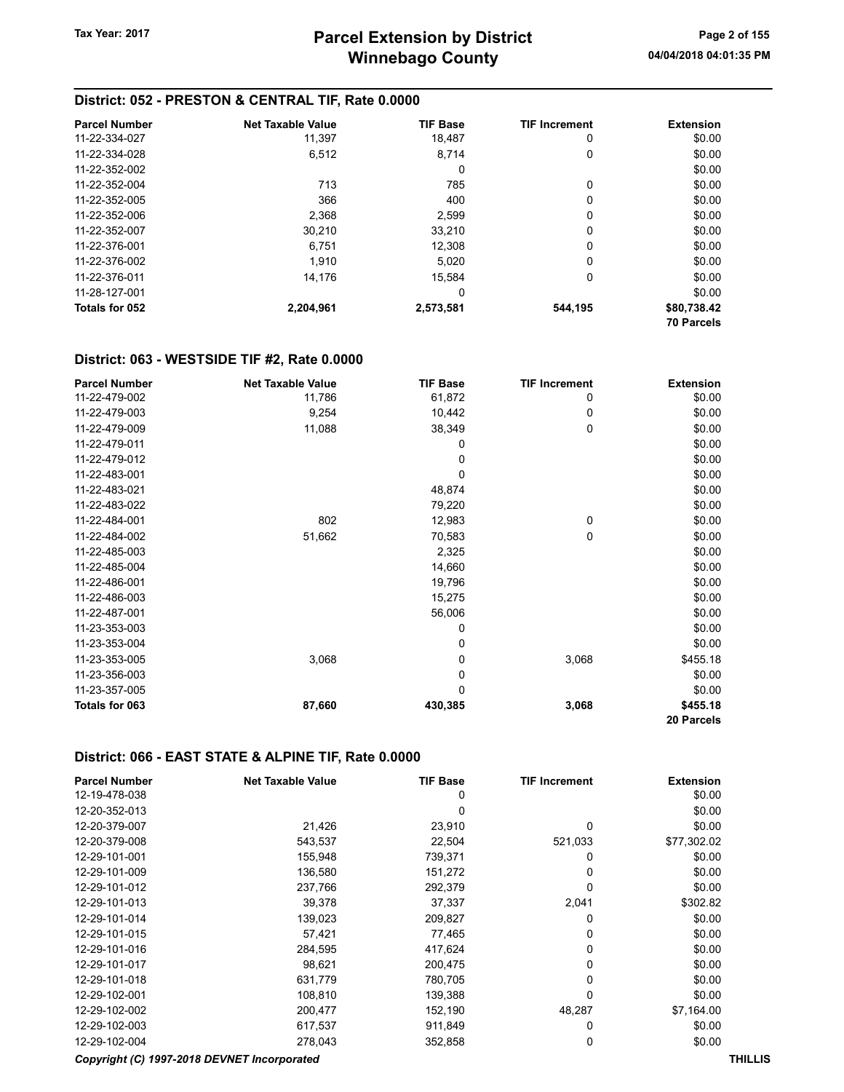#### District: 052 - PRESTON & CENTRAL TIF, Rate 0.0000

| <b>Parcel Number</b> | <b>Net Taxable Value</b> | <b>TIF Base</b> | <b>TIF Increment</b> | <b>Extension</b>  |
|----------------------|--------------------------|-----------------|----------------------|-------------------|
| 11-22-334-027        | 11.397                   | 18.487          | 0                    | \$0.00            |
| 11-22-334-028        | 6,512                    | 8.714           | 0                    | \$0.00            |
| 11-22-352-002        |                          | 0               |                      | \$0.00            |
| 11-22-352-004        | 713                      | 785             | 0                    | \$0.00            |
| 11-22-352-005        | 366                      | 400             | 0                    | \$0.00            |
| 11-22-352-006        | 2,368                    | 2,599           | 0                    | \$0.00            |
| 11-22-352-007        | 30.210                   | 33.210          | 0                    | \$0.00            |
| 11-22-376-001        | 6.751                    | 12,308          | 0                    | \$0.00            |
| 11-22-376-002        | 1,910                    | 5,020           | 0                    | \$0.00            |
| 11-22-376-011        | 14.176                   | 15.584          | 0                    | \$0.00            |
| 11-28-127-001        |                          | 0               |                      | \$0.00            |
| Totals for 052       | 2,204,961                | 2,573,581       | 544.195              | \$80,738.42       |
|                      |                          |                 |                      | <b>70 Parcels</b> |

#### District: 063 - WESTSIDE TIF #2, Rate 0.0000

| <b>Parcel Number</b> | <b>Net Taxable Value</b> | <b>TIF Base</b> | <b>TIF Increment</b> | <b>Extension</b> |
|----------------------|--------------------------|-----------------|----------------------|------------------|
| 11-22-479-002        | 11,786                   | 61,872          | 0                    | \$0.00           |
| 11-22-479-003        | 9,254                    | 10,442          | 0                    | \$0.00           |
| 11-22-479-009        | 11,088                   | 38,349          | 0                    | \$0.00           |
| 11-22-479-011        |                          | 0               |                      | \$0.00           |
| 11-22-479-012        |                          | 0               |                      | \$0.00           |
| 11-22-483-001        |                          | 0               |                      | \$0.00           |
| 11-22-483-021        |                          | 48,874          |                      | \$0.00           |
| 11-22-483-022        |                          | 79,220          |                      | \$0.00           |
| 11-22-484-001        | 802                      | 12,983          | $\mathbf 0$          | \$0.00           |
| 11-22-484-002        | 51,662                   | 70,583          | $\mathbf 0$          | \$0.00           |
| 11-22-485-003        |                          | 2,325           |                      | \$0.00           |
| 11-22-485-004        |                          | 14,660          |                      | \$0.00           |
| 11-22-486-001        |                          | 19,796          |                      | \$0.00           |
| 11-22-486-003        |                          | 15,275          |                      | \$0.00           |
| 11-22-487-001        |                          | 56,006          |                      | \$0.00           |
| 11-23-353-003        |                          | 0               |                      | \$0.00           |
| 11-23-353-004        |                          | 0               |                      | \$0.00           |
| 11-23-353-005        | 3,068                    | 0               | 3,068                | \$455.18         |
| 11-23-356-003        |                          | 0               |                      | \$0.00           |
| 11-23-357-005        |                          | 0               |                      | \$0.00           |
| Totals for 063       | 87,660                   | 430,385         | 3,068                | \$455.18         |
|                      |                          |                 |                      | 20 Parcels       |

#### District: 066 - EAST STATE & ALPINE TIF, Rate 0.0000

| <b>Parcel Number</b>                        | <b>Net Taxable Value</b> | <b>TIF Base</b> | <b>TIF Increment</b> | <b>Extension</b> |
|---------------------------------------------|--------------------------|-----------------|----------------------|------------------|
| 12-19-478-038                               |                          | 0               |                      | \$0.00           |
| 12-20-352-013                               |                          | 0               |                      | \$0.00           |
| 12-20-379-007                               | 21,426                   | 23,910          | 0                    | \$0.00           |
| 12-20-379-008                               | 543,537                  | 22,504          | 521,033              | \$77,302.02      |
| 12-29-101-001                               | 155,948                  | 739,371         | 0                    | \$0.00           |
| 12-29-101-009                               | 136,580                  | 151,272         | 0                    | \$0.00           |
| 12-29-101-012                               | 237,766                  | 292,379         | 0                    | \$0.00           |
| 12-29-101-013                               | 39,378                   | 37,337          | 2,041                | \$302.82         |
| 12-29-101-014                               | 139,023                  | 209,827         | 0                    | \$0.00           |
| 12-29-101-015                               | 57,421                   | 77,465          | 0                    | \$0.00           |
| 12-29-101-016                               | 284,595                  | 417,624         | $\Omega$             | \$0.00           |
| 12-29-101-017                               | 98,621                   | 200,475         | 0                    | \$0.00           |
| 12-29-101-018                               | 631,779                  | 780,705         | 0                    | \$0.00           |
| 12-29-102-001                               | 108,810                  | 139,388         | 0                    | \$0.00           |
| 12-29-102-002                               | 200,477                  | 152,190         | 48,287               | \$7,164.00       |
| 12-29-102-003                               | 617,537                  | 911,849         | 0                    | \$0.00           |
| 12-29-102-004                               | 278,043                  | 352,858         | 0                    | \$0.00           |
| Copyright (C) 1997-2018 DEVNET Incorporated |                          |                 |                      | <b>THILLIS</b>   |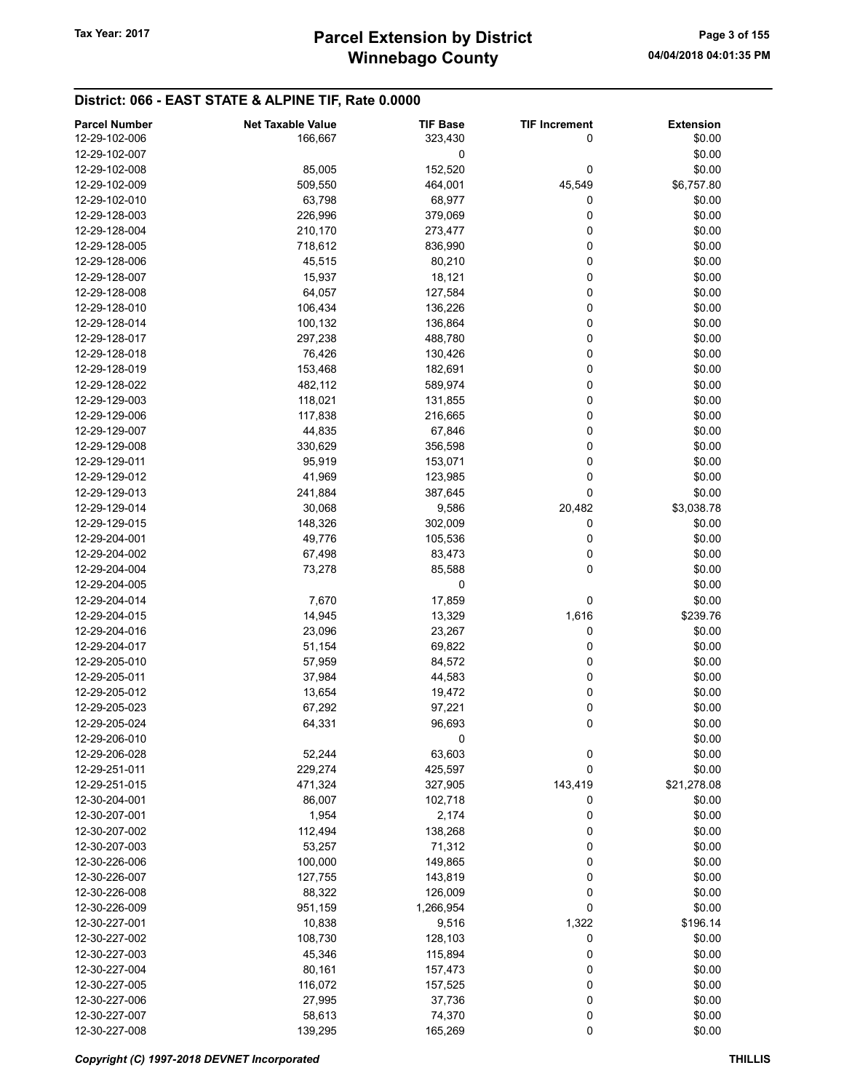#### District: 066 - EAST STATE & ALPINE TIF, Rate 0.0000

| <b>Parcel Number</b> | <b>Net Taxable Value</b> | <b>TIF Base</b> | <b>TIF Increment</b> | <b>Extension</b> |
|----------------------|--------------------------|-----------------|----------------------|------------------|
| 12-29-102-006        | 166,667                  | 323,430         | 0                    | \$0.00           |
| 12-29-102-007        |                          | 0               |                      | \$0.00           |
| 12-29-102-008        | 85,005                   | 152,520         | 0                    | \$0.00           |
| 12-29-102-009        | 509,550                  | 464,001         | 45,549               | \$6,757.80       |
| 12-29-102-010        | 63,798                   | 68,977          | 0                    | \$0.00           |
| 12-29-128-003        | 226,996                  | 379,069         | 0                    | \$0.00           |
| 12-29-128-004        | 210,170                  | 273,477         | 0                    | \$0.00           |
|                      |                          |                 |                      |                  |
| 12-29-128-005        | 718,612                  | 836,990         | 0                    | \$0.00           |
| 12-29-128-006        | 45,515                   | 80,210          | 0                    | \$0.00           |
| 12-29-128-007        | 15,937                   | 18,121          | 0                    | \$0.00           |
| 12-29-128-008        | 64,057                   | 127,584         | 0                    | \$0.00           |
| 12-29-128-010        | 106,434                  | 136,226         | 0                    | \$0.00           |
| 12-29-128-014        | 100,132                  | 136,864         | 0                    | \$0.00           |
| 12-29-128-017        | 297,238                  | 488,780         | 0                    | \$0.00           |
| 12-29-128-018        | 76,426                   | 130,426         | 0                    | \$0.00           |
| 12-29-128-019        | 153,468                  | 182,691         | 0                    | \$0.00           |
| 12-29-128-022        | 482,112                  | 589,974         | 0                    | \$0.00           |
| 12-29-129-003        | 118,021                  | 131,855         | 0                    | \$0.00           |
| 12-29-129-006        | 117,838                  | 216,665         | 0                    | \$0.00           |
| 12-29-129-007        | 44,835                   | 67,846          | 0                    | \$0.00           |
| 12-29-129-008        | 330,629                  | 356,598         | 0                    | \$0.00           |
| 12-29-129-011        | 95,919                   | 153,071         | 0                    | \$0.00           |
| 12-29-129-012        | 41,969                   | 123,985         | 0                    | \$0.00           |
| 12-29-129-013        | 241,884                  | 387,645         | $\mathbf 0$          | \$0.00           |
| 12-29-129-014        | 30,068                   | 9,586           | 20,482               | \$3,038.78       |
| 12-29-129-015        | 148,326                  | 302,009         | 0                    | \$0.00           |
| 12-29-204-001        | 49,776                   | 105,536         | 0                    | \$0.00           |
| 12-29-204-002        | 67,498                   | 83,473          | 0                    | \$0.00           |
| 12-29-204-004        | 73,278                   | 85,588          | 0                    | \$0.00           |
| 12-29-204-005        |                          | 0               |                      | \$0.00           |
|                      |                          |                 |                      | \$0.00           |
| 12-29-204-014        | 7,670                    | 17,859          | 0                    |                  |
| 12-29-204-015        | 14,945                   | 13,329          | 1,616                | \$239.76         |
| 12-29-204-016        | 23,096                   | 23,267          | 0                    | \$0.00           |
| 12-29-204-017        | 51,154                   | 69,822          | 0                    | \$0.00           |
| 12-29-205-010        | 57,959                   | 84,572          | 0                    | \$0.00           |
| 12-29-205-011        | 37,984                   | 44,583          | 0                    | \$0.00           |
| 12-29-205-012        | 13,654                   | 19,472          | 0                    | \$0.00           |
| 12-29-205-023        | 67,292                   | 97,221          | 0                    | \$0.00           |
| 12-29-205-024        | 64,331                   | 96,693          | 0                    | \$0.00           |
| 12-29-206-010        |                          | 0               |                      | \$0.00           |
| 12-29-206-028        | 52,244                   | 63,603          | 0                    | \$0.00           |
| 12-29-251-011        | 229,274                  | 425,597         | 0                    | \$0.00           |
| 12-29-251-015        | 471,324                  | 327,905         | 143,419              | \$21,278.08      |
| 12-30-204-001        | 86,007                   | 102,718         | 0                    | \$0.00           |
| 12-30-207-001        | 1,954                    | 2,174           | 0                    | \$0.00           |
| 12-30-207-002        | 112,494                  | 138,268         | 0                    | \$0.00           |
| 12-30-207-003        | 53,257                   | 71,312          | 0                    | \$0.00           |
| 12-30-226-006        | 100,000                  | 149,865         | 0                    | \$0.00           |
| 12-30-226-007        | 127,755                  | 143,819         | $\mathbf 0$          | \$0.00           |
| 12-30-226-008        | 88,322                   | 126,009         | $\boldsymbol{0}$     | \$0.00           |
| 12-30-226-009        | 951,159                  | 1,266,954       | $\mathbf 0$          | \$0.00           |
| 12-30-227-001        | 10,838                   | 9,516           | 1,322                | \$196.14         |
| 12-30-227-002        | 108,730                  | 128,103         | 0                    | \$0.00           |
| 12-30-227-003        | 45,346                   | 115,894         | 0                    | \$0.00           |
| 12-30-227-004        | 80,161                   | 157,473         | 0                    | \$0.00           |
|                      |                          |                 |                      |                  |
| 12-30-227-005        | 116,072                  | 157,525         | 0                    | \$0.00           |
| 12-30-227-006        | 27,995                   | 37,736          | $\boldsymbol{0}$     | \$0.00           |
| 12-30-227-007        | 58,613                   | 74,370          | 0                    | \$0.00           |
| 12-30-227-008        | 139,295                  | 165,269         | 0                    | \$0.00           |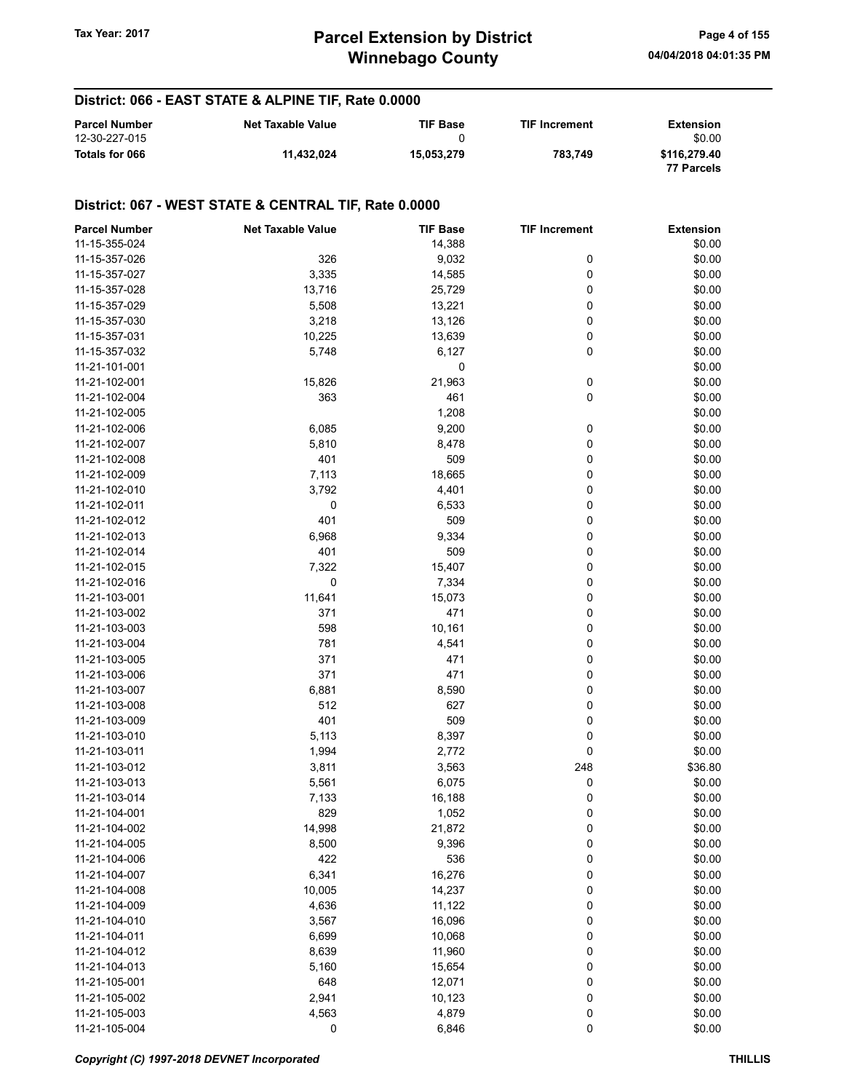# Winnebago County Tax Year: 2017 **Parcel Extension by District** Tax Year: 2017 Page 4 of 155

#### District: 066 - EAST STATE & ALPINE TIF, Rate 0.0000

| <b>Parcel Number</b> | <b>Net Taxable Value</b> | <b>TIF Base</b> | <b>TIF Increment</b> | <b>Extension</b>           |
|----------------------|--------------------------|-----------------|----------------------|----------------------------|
| 12-30-227-015        |                          |                 |                      | \$0.00                     |
| Totals for 066       | 11.432.024               | 15.053.279      | 783.749              | \$116,279.40<br>77 Parcels |

| <b>Parcel Number</b> | <b>Net Taxable Value</b> | <b>TIF Base</b> | <b>TIF Increment</b> | <b>Extension</b> |
|----------------------|--------------------------|-----------------|----------------------|------------------|
| 11-15-355-024        |                          | 14,388          |                      | \$0.00           |
| 11-15-357-026        | 326                      | 9,032           | 0                    | \$0.00           |
| 11-15-357-027        | 3,335                    | 14,585          | 0                    | \$0.00           |
| 11-15-357-028        | 13,716                   | 25,729          | 0                    | \$0.00           |
| 11-15-357-029        | 5,508                    | 13,221          | 0                    | \$0.00           |
| 11-15-357-030        | 3,218                    | 13,126          | 0                    | \$0.00           |
| 11-15-357-031        | 10,225                   | 13,639          | 0                    | \$0.00           |
| 11-15-357-032        | 5,748                    | 6,127           | 0                    | \$0.00           |
| 11-21-101-001        |                          | 0               |                      | \$0.00           |
| 11-21-102-001        | 15,826                   | 21,963          | 0                    | \$0.00           |
| 11-21-102-004        | 363                      | 461             | 0                    | \$0.00           |
| 11-21-102-005        |                          | 1,208           |                      | \$0.00           |
| 11-21-102-006        | 6,085                    | 9,200           | 0                    | \$0.00           |
| 11-21-102-007        | 5,810                    | 8,478           | 0                    | \$0.00           |
| 11-21-102-008        | 401                      | 509             | 0                    | \$0.00           |
| 11-21-102-009        | 7,113                    | 18,665          | 0                    | \$0.00           |
| 11-21-102-010        | 3,792                    | 4,401           | 0                    | \$0.00           |
| 11-21-102-011        | 0                        | 6,533           | 0                    | \$0.00           |
| 11-21-102-012        | 401                      | 509             | 0                    | \$0.00           |
| 11-21-102-013        | 6,968                    | 9,334           | 0                    | \$0.00           |
| 11-21-102-014        | 401                      | 509             | 0                    | \$0.00           |
| 11-21-102-015        | 7,322                    | 15,407          | 0                    | \$0.00           |
| 11-21-102-016        | 0                        | 7,334           | 0                    | \$0.00           |
| 11-21-103-001        | 11,641                   | 15,073          | 0                    | \$0.00           |
| 11-21-103-002        | 371                      | 471             | 0                    | \$0.00           |
| 11-21-103-003        | 598                      | 10,161          | 0                    | \$0.00           |
| 11-21-103-004        | 781                      | 4,541           | 0                    | \$0.00           |
| 11-21-103-005        | 371                      | 471             | 0                    | \$0.00           |
| 11-21-103-006        | 371                      | 471             | 0                    | \$0.00           |
| 11-21-103-007        | 6,881                    | 8,590           | 0                    | \$0.00           |
| 11-21-103-008        | 512                      | 627             | 0                    | \$0.00           |
| 11-21-103-009        | 401                      | 509             | 0                    | \$0.00           |
| 11-21-103-010        | 5,113                    | 8,397           | 0                    | \$0.00           |
| 11-21-103-011        | 1,994                    | 2,772           | 0                    | \$0.00           |
| 11-21-103-012        | 3,811                    | 3,563           | 248                  | \$36.80          |
| 11-21-103-013        | 5,561                    | 6,075           | 0                    | \$0.00           |
| 11-21-103-014        | 7,133                    | 16,188          | 0                    | \$0.00           |
| 11-21-104-001        | 829                      | 1,052           | 0                    | \$0.00           |
| 11-21-104-002        | 14,998                   | 21,872          | 0                    | \$0.00           |
| 11-21-104-005        | 8,500                    | 9,396           | $\mathbf 0$          | \$0.00           |
| 11-21-104-006        | 422                      | 536             | 0                    | \$0.00           |
| 11-21-104-007        | 6,341                    | 16,276          | 0                    | \$0.00           |
| 11-21-104-008        | 10,005                   | 14,237          | 0                    | \$0.00           |
| 11-21-104-009        | 4,636                    | 11,122          | 0                    | \$0.00           |
| 11-21-104-010        | 3,567                    | 16,096          | 0                    | \$0.00           |
| 11-21-104-011        | 6,699                    | 10,068          | 0                    | \$0.00           |
| 11-21-104-012        | 8,639                    | 11,960          | 0                    | \$0.00           |
| 11-21-104-013        | 5,160                    | 15,654          | 0                    | \$0.00           |
| 11-21-105-001        | 648                      | 12,071          | 0                    | \$0.00           |
| 11-21-105-002        | 2,941                    | 10,123          | 0                    | \$0.00           |
| 11-21-105-003        | 4,563                    | 4,879           | 0                    | \$0.00           |
| 11-21-105-004        | 0                        | 6,846           | 0                    | \$0.00           |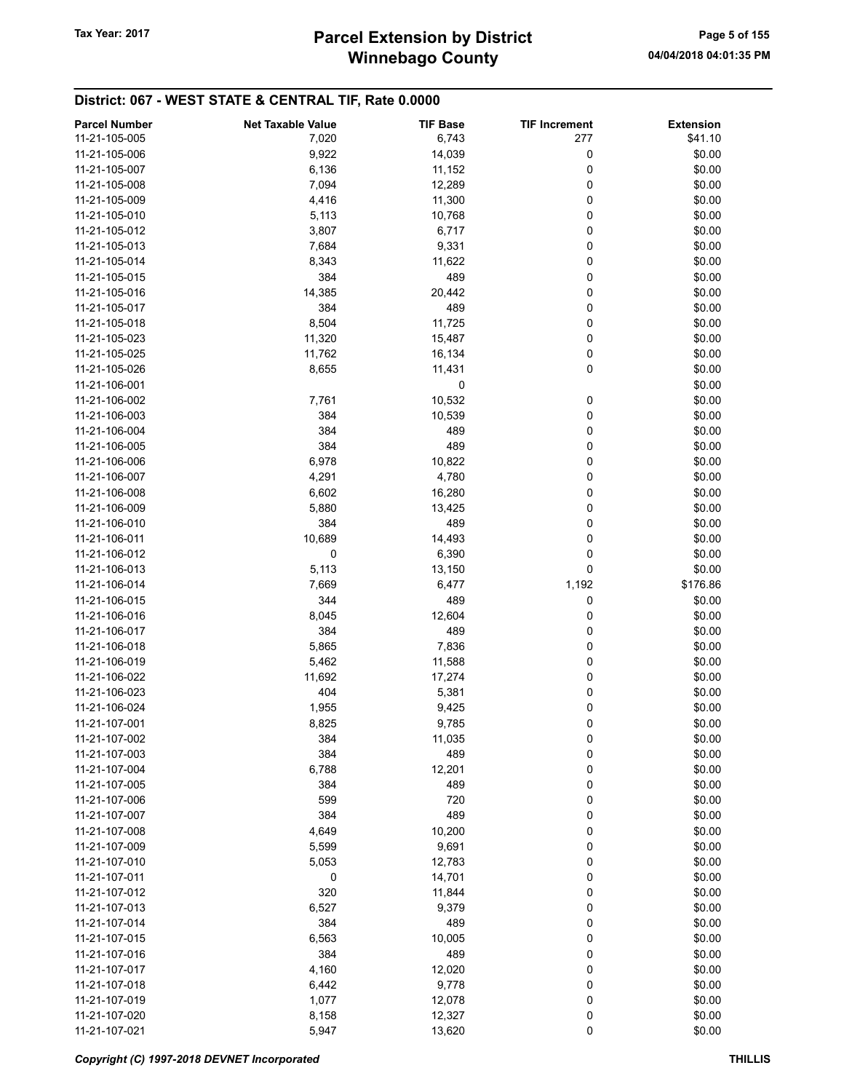# Winnebago County Tax Year: 2017 **Parcel Extension by District** Tax Year: 2017 Page 5 of 155

| 11-21-105-005<br>6,743<br>7,020<br>277<br>\$41.10<br>0<br>11-21-105-006<br>9,922<br>14,039<br>\$0.00<br>0<br>\$0.00<br>11-21-105-007<br>6,136<br>11,152<br>0<br>\$0.00<br>7,094<br>12,289<br>11-21-105-008<br>0<br>\$0.00<br>11-21-105-009<br>4,416<br>11,300<br>\$0.00<br>5,113<br>10,768<br>0<br>11-21-105-010<br>3,807<br>6,717<br>0<br>\$0.00<br>11-21-105-012<br>\$0.00<br>7,684<br>9,331<br>0<br>11-21-105-013<br>0<br>11-21-105-014<br>8,343<br>11,622<br>\$0.00<br>384<br>489<br>\$0.00<br>0<br>11-21-105-015<br>0<br>14,385<br>20,442<br>\$0.00<br>11-21-105-016<br>489<br>0<br>\$0.00<br>384<br>11-21-105-017<br>\$0.00<br>8,504<br>11,725<br>0<br>11-21-105-018<br>\$0.00<br>11-21-105-023<br>11,320<br>15,487<br>0<br>0<br>\$0.00<br>11-21-105-025<br>11,762<br>16,134<br>0<br>\$0.00<br>8,655<br>11,431<br>11-21-105-026<br>0<br>\$0.00<br>11-21-106-001<br>10,532<br>\$0.00<br>11-21-106-002<br>7,761<br>0<br>384<br>\$0.00<br>11-21-106-003<br>10,539<br>0<br>384<br>0<br>\$0.00<br>489<br>11-21-106-004<br>384<br>\$0.00<br>489<br>0<br>11-21-106-005<br>0<br>6,978<br>10,822<br>\$0.00<br>11-21-106-006<br>\$0.00<br>11-21-106-007<br>4,291<br>4,780<br>0<br>6,602<br>16,280<br>0<br>\$0.00<br>11-21-106-008<br>0<br>5,880<br>13,425<br>\$0.00<br>11-21-106-009<br>489<br>\$0.00<br>11-21-106-010<br>384<br>0<br>10,689<br>0<br>\$0.00<br>11-21-106-011<br>14,493<br>0<br>6,390<br>0<br>\$0.00<br>11-21-106-012<br>0<br>5,113<br>\$0.00<br>11-21-106-013<br>13,150<br>\$176.86<br>7,669<br>6,477<br>1,192<br>489<br>0<br>11-21-106-015<br>344<br>\$0.00<br>0<br>8,045<br>12,604<br>\$0.00<br>11-21-106-016<br>384<br>489<br>\$0.00<br>0<br>11-21-106-017<br>\$0.00<br>11-21-106-018<br>5,865<br>7,836<br>0<br>\$0.00<br>5,462<br>11,588<br>0<br>11-21-106-019<br>0<br>\$0.00<br>11-21-106-022<br>11,692<br>17,274<br>11-21-106-023<br>404<br>5,381<br>0<br>\$0.00<br>0<br>\$0.00<br>11-21-106-024<br>1,955<br>9,425<br>0<br>\$0.00<br>8,825<br>9,785<br>11-21-107-001<br>\$0.00<br>11-21-107-002<br>11,035<br>0<br>384<br>384<br>489<br>0<br>\$0.00<br>\$0.00<br>11-21-107-004<br>6,788<br>12,201<br>0<br>11-21-107-005<br>384<br>489<br>0<br>\$0.00<br>720<br>\$0.00<br>599<br>0<br>384<br>489<br>0<br>\$0.00<br>11-21-107-007<br>\$0.00<br>11-21-107-008<br>4,649<br>10,200<br>0<br>0<br>\$0.00<br>5,599<br>9,691<br>11-21-107-009<br>\$0.00<br>11-21-107-010<br>5,053<br>12,783<br>0<br>\$0.00<br>11-21-107-011<br>0<br>14,701<br>0<br>\$0.00<br>11-21-107-012<br>320<br>11,844<br>0<br>\$0.00<br>11-21-107-013<br>6,527<br>9,379<br>0<br>384<br>489<br>\$0.00<br>11-21-107-014<br>0<br>\$0.00<br>6,563<br>10,005<br>0<br>489<br>0<br>\$0.00<br>384<br>11-21-107-016<br>\$0.00<br>4,160<br>12,020<br>0<br>\$0.00<br>11-21-107-018<br>6,442<br>9,778<br>0<br>11-21-107-019<br>1,077<br>12,078<br>0<br>\$0.00<br>\$0.00<br>11-21-107-020<br>8,158<br>12,327<br>0 | <b>Parcel Number</b> | <b>Net Taxable Value</b> | <b>TIF Base</b> | <b>TIF Increment</b> | <b>Extension</b> |
|------------------------------------------------------------------------------------------------------------------------------------------------------------------------------------------------------------------------------------------------------------------------------------------------------------------------------------------------------------------------------------------------------------------------------------------------------------------------------------------------------------------------------------------------------------------------------------------------------------------------------------------------------------------------------------------------------------------------------------------------------------------------------------------------------------------------------------------------------------------------------------------------------------------------------------------------------------------------------------------------------------------------------------------------------------------------------------------------------------------------------------------------------------------------------------------------------------------------------------------------------------------------------------------------------------------------------------------------------------------------------------------------------------------------------------------------------------------------------------------------------------------------------------------------------------------------------------------------------------------------------------------------------------------------------------------------------------------------------------------------------------------------------------------------------------------------------------------------------------------------------------------------------------------------------------------------------------------------------------------------------------------------------------------------------------------------------------------------------------------------------------------------------------------------------------------------------------------------------------------------------------------------------------------------------------------------------------------------------------------------------------------------------------------------------------------------------------------------------------------------------------------------------------------------------------------------------------------------------------------------------------------------------------------------------------------------------------------------------------------------------------------------------------------------------------------------------------------------------------------------------------|----------------------|--------------------------|-----------------|----------------------|------------------|
|                                                                                                                                                                                                                                                                                                                                                                                                                                                                                                                                                                                                                                                                                                                                                                                                                                                                                                                                                                                                                                                                                                                                                                                                                                                                                                                                                                                                                                                                                                                                                                                                                                                                                                                                                                                                                                                                                                                                                                                                                                                                                                                                                                                                                                                                                                                                                                                                                                                                                                                                                                                                                                                                                                                                                                                                                                                                                    |                      |                          |                 |                      |                  |
|                                                                                                                                                                                                                                                                                                                                                                                                                                                                                                                                                                                                                                                                                                                                                                                                                                                                                                                                                                                                                                                                                                                                                                                                                                                                                                                                                                                                                                                                                                                                                                                                                                                                                                                                                                                                                                                                                                                                                                                                                                                                                                                                                                                                                                                                                                                                                                                                                                                                                                                                                                                                                                                                                                                                                                                                                                                                                    |                      |                          |                 |                      |                  |
|                                                                                                                                                                                                                                                                                                                                                                                                                                                                                                                                                                                                                                                                                                                                                                                                                                                                                                                                                                                                                                                                                                                                                                                                                                                                                                                                                                                                                                                                                                                                                                                                                                                                                                                                                                                                                                                                                                                                                                                                                                                                                                                                                                                                                                                                                                                                                                                                                                                                                                                                                                                                                                                                                                                                                                                                                                                                                    |                      |                          |                 |                      |                  |
|                                                                                                                                                                                                                                                                                                                                                                                                                                                                                                                                                                                                                                                                                                                                                                                                                                                                                                                                                                                                                                                                                                                                                                                                                                                                                                                                                                                                                                                                                                                                                                                                                                                                                                                                                                                                                                                                                                                                                                                                                                                                                                                                                                                                                                                                                                                                                                                                                                                                                                                                                                                                                                                                                                                                                                                                                                                                                    |                      |                          |                 |                      |                  |
|                                                                                                                                                                                                                                                                                                                                                                                                                                                                                                                                                                                                                                                                                                                                                                                                                                                                                                                                                                                                                                                                                                                                                                                                                                                                                                                                                                                                                                                                                                                                                                                                                                                                                                                                                                                                                                                                                                                                                                                                                                                                                                                                                                                                                                                                                                                                                                                                                                                                                                                                                                                                                                                                                                                                                                                                                                                                                    |                      |                          |                 |                      |                  |
|                                                                                                                                                                                                                                                                                                                                                                                                                                                                                                                                                                                                                                                                                                                                                                                                                                                                                                                                                                                                                                                                                                                                                                                                                                                                                                                                                                                                                                                                                                                                                                                                                                                                                                                                                                                                                                                                                                                                                                                                                                                                                                                                                                                                                                                                                                                                                                                                                                                                                                                                                                                                                                                                                                                                                                                                                                                                                    |                      |                          |                 |                      |                  |
|                                                                                                                                                                                                                                                                                                                                                                                                                                                                                                                                                                                                                                                                                                                                                                                                                                                                                                                                                                                                                                                                                                                                                                                                                                                                                                                                                                                                                                                                                                                                                                                                                                                                                                                                                                                                                                                                                                                                                                                                                                                                                                                                                                                                                                                                                                                                                                                                                                                                                                                                                                                                                                                                                                                                                                                                                                                                                    |                      |                          |                 |                      |                  |
|                                                                                                                                                                                                                                                                                                                                                                                                                                                                                                                                                                                                                                                                                                                                                                                                                                                                                                                                                                                                                                                                                                                                                                                                                                                                                                                                                                                                                                                                                                                                                                                                                                                                                                                                                                                                                                                                                                                                                                                                                                                                                                                                                                                                                                                                                                                                                                                                                                                                                                                                                                                                                                                                                                                                                                                                                                                                                    |                      |                          |                 |                      |                  |
|                                                                                                                                                                                                                                                                                                                                                                                                                                                                                                                                                                                                                                                                                                                                                                                                                                                                                                                                                                                                                                                                                                                                                                                                                                                                                                                                                                                                                                                                                                                                                                                                                                                                                                                                                                                                                                                                                                                                                                                                                                                                                                                                                                                                                                                                                                                                                                                                                                                                                                                                                                                                                                                                                                                                                                                                                                                                                    |                      |                          |                 |                      |                  |
|                                                                                                                                                                                                                                                                                                                                                                                                                                                                                                                                                                                                                                                                                                                                                                                                                                                                                                                                                                                                                                                                                                                                                                                                                                                                                                                                                                                                                                                                                                                                                                                                                                                                                                                                                                                                                                                                                                                                                                                                                                                                                                                                                                                                                                                                                                                                                                                                                                                                                                                                                                                                                                                                                                                                                                                                                                                                                    |                      |                          |                 |                      |                  |
|                                                                                                                                                                                                                                                                                                                                                                                                                                                                                                                                                                                                                                                                                                                                                                                                                                                                                                                                                                                                                                                                                                                                                                                                                                                                                                                                                                                                                                                                                                                                                                                                                                                                                                                                                                                                                                                                                                                                                                                                                                                                                                                                                                                                                                                                                                                                                                                                                                                                                                                                                                                                                                                                                                                                                                                                                                                                                    |                      |                          |                 |                      |                  |
|                                                                                                                                                                                                                                                                                                                                                                                                                                                                                                                                                                                                                                                                                                                                                                                                                                                                                                                                                                                                                                                                                                                                                                                                                                                                                                                                                                                                                                                                                                                                                                                                                                                                                                                                                                                                                                                                                                                                                                                                                                                                                                                                                                                                                                                                                                                                                                                                                                                                                                                                                                                                                                                                                                                                                                                                                                                                                    |                      |                          |                 |                      |                  |
|                                                                                                                                                                                                                                                                                                                                                                                                                                                                                                                                                                                                                                                                                                                                                                                                                                                                                                                                                                                                                                                                                                                                                                                                                                                                                                                                                                                                                                                                                                                                                                                                                                                                                                                                                                                                                                                                                                                                                                                                                                                                                                                                                                                                                                                                                                                                                                                                                                                                                                                                                                                                                                                                                                                                                                                                                                                                                    |                      |                          |                 |                      |                  |
|                                                                                                                                                                                                                                                                                                                                                                                                                                                                                                                                                                                                                                                                                                                                                                                                                                                                                                                                                                                                                                                                                                                                                                                                                                                                                                                                                                                                                                                                                                                                                                                                                                                                                                                                                                                                                                                                                                                                                                                                                                                                                                                                                                                                                                                                                                                                                                                                                                                                                                                                                                                                                                                                                                                                                                                                                                                                                    |                      |                          |                 |                      |                  |
|                                                                                                                                                                                                                                                                                                                                                                                                                                                                                                                                                                                                                                                                                                                                                                                                                                                                                                                                                                                                                                                                                                                                                                                                                                                                                                                                                                                                                                                                                                                                                                                                                                                                                                                                                                                                                                                                                                                                                                                                                                                                                                                                                                                                                                                                                                                                                                                                                                                                                                                                                                                                                                                                                                                                                                                                                                                                                    |                      |                          |                 |                      |                  |
|                                                                                                                                                                                                                                                                                                                                                                                                                                                                                                                                                                                                                                                                                                                                                                                                                                                                                                                                                                                                                                                                                                                                                                                                                                                                                                                                                                                                                                                                                                                                                                                                                                                                                                                                                                                                                                                                                                                                                                                                                                                                                                                                                                                                                                                                                                                                                                                                                                                                                                                                                                                                                                                                                                                                                                                                                                                                                    |                      |                          |                 |                      |                  |
|                                                                                                                                                                                                                                                                                                                                                                                                                                                                                                                                                                                                                                                                                                                                                                                                                                                                                                                                                                                                                                                                                                                                                                                                                                                                                                                                                                                                                                                                                                                                                                                                                                                                                                                                                                                                                                                                                                                                                                                                                                                                                                                                                                                                                                                                                                                                                                                                                                                                                                                                                                                                                                                                                                                                                                                                                                                                                    |                      |                          |                 |                      |                  |
|                                                                                                                                                                                                                                                                                                                                                                                                                                                                                                                                                                                                                                                                                                                                                                                                                                                                                                                                                                                                                                                                                                                                                                                                                                                                                                                                                                                                                                                                                                                                                                                                                                                                                                                                                                                                                                                                                                                                                                                                                                                                                                                                                                                                                                                                                                                                                                                                                                                                                                                                                                                                                                                                                                                                                                                                                                                                                    |                      |                          |                 |                      |                  |
|                                                                                                                                                                                                                                                                                                                                                                                                                                                                                                                                                                                                                                                                                                                                                                                                                                                                                                                                                                                                                                                                                                                                                                                                                                                                                                                                                                                                                                                                                                                                                                                                                                                                                                                                                                                                                                                                                                                                                                                                                                                                                                                                                                                                                                                                                                                                                                                                                                                                                                                                                                                                                                                                                                                                                                                                                                                                                    |                      |                          |                 |                      |                  |
|                                                                                                                                                                                                                                                                                                                                                                                                                                                                                                                                                                                                                                                                                                                                                                                                                                                                                                                                                                                                                                                                                                                                                                                                                                                                                                                                                                                                                                                                                                                                                                                                                                                                                                                                                                                                                                                                                                                                                                                                                                                                                                                                                                                                                                                                                                                                                                                                                                                                                                                                                                                                                                                                                                                                                                                                                                                                                    |                      |                          |                 |                      |                  |
|                                                                                                                                                                                                                                                                                                                                                                                                                                                                                                                                                                                                                                                                                                                                                                                                                                                                                                                                                                                                                                                                                                                                                                                                                                                                                                                                                                                                                                                                                                                                                                                                                                                                                                                                                                                                                                                                                                                                                                                                                                                                                                                                                                                                                                                                                                                                                                                                                                                                                                                                                                                                                                                                                                                                                                                                                                                                                    |                      |                          |                 |                      |                  |
|                                                                                                                                                                                                                                                                                                                                                                                                                                                                                                                                                                                                                                                                                                                                                                                                                                                                                                                                                                                                                                                                                                                                                                                                                                                                                                                                                                                                                                                                                                                                                                                                                                                                                                                                                                                                                                                                                                                                                                                                                                                                                                                                                                                                                                                                                                                                                                                                                                                                                                                                                                                                                                                                                                                                                                                                                                                                                    |                      |                          |                 |                      |                  |
|                                                                                                                                                                                                                                                                                                                                                                                                                                                                                                                                                                                                                                                                                                                                                                                                                                                                                                                                                                                                                                                                                                                                                                                                                                                                                                                                                                                                                                                                                                                                                                                                                                                                                                                                                                                                                                                                                                                                                                                                                                                                                                                                                                                                                                                                                                                                                                                                                                                                                                                                                                                                                                                                                                                                                                                                                                                                                    |                      |                          |                 |                      |                  |
|                                                                                                                                                                                                                                                                                                                                                                                                                                                                                                                                                                                                                                                                                                                                                                                                                                                                                                                                                                                                                                                                                                                                                                                                                                                                                                                                                                                                                                                                                                                                                                                                                                                                                                                                                                                                                                                                                                                                                                                                                                                                                                                                                                                                                                                                                                                                                                                                                                                                                                                                                                                                                                                                                                                                                                                                                                                                                    |                      |                          |                 |                      |                  |
|                                                                                                                                                                                                                                                                                                                                                                                                                                                                                                                                                                                                                                                                                                                                                                                                                                                                                                                                                                                                                                                                                                                                                                                                                                                                                                                                                                                                                                                                                                                                                                                                                                                                                                                                                                                                                                                                                                                                                                                                                                                                                                                                                                                                                                                                                                                                                                                                                                                                                                                                                                                                                                                                                                                                                                                                                                                                                    |                      |                          |                 |                      |                  |
|                                                                                                                                                                                                                                                                                                                                                                                                                                                                                                                                                                                                                                                                                                                                                                                                                                                                                                                                                                                                                                                                                                                                                                                                                                                                                                                                                                                                                                                                                                                                                                                                                                                                                                                                                                                                                                                                                                                                                                                                                                                                                                                                                                                                                                                                                                                                                                                                                                                                                                                                                                                                                                                                                                                                                                                                                                                                                    |                      |                          |                 |                      |                  |
|                                                                                                                                                                                                                                                                                                                                                                                                                                                                                                                                                                                                                                                                                                                                                                                                                                                                                                                                                                                                                                                                                                                                                                                                                                                                                                                                                                                                                                                                                                                                                                                                                                                                                                                                                                                                                                                                                                                                                                                                                                                                                                                                                                                                                                                                                                                                                                                                                                                                                                                                                                                                                                                                                                                                                                                                                                                                                    |                      |                          |                 |                      |                  |
|                                                                                                                                                                                                                                                                                                                                                                                                                                                                                                                                                                                                                                                                                                                                                                                                                                                                                                                                                                                                                                                                                                                                                                                                                                                                                                                                                                                                                                                                                                                                                                                                                                                                                                                                                                                                                                                                                                                                                                                                                                                                                                                                                                                                                                                                                                                                                                                                                                                                                                                                                                                                                                                                                                                                                                                                                                                                                    |                      |                          |                 |                      |                  |
|                                                                                                                                                                                                                                                                                                                                                                                                                                                                                                                                                                                                                                                                                                                                                                                                                                                                                                                                                                                                                                                                                                                                                                                                                                                                                                                                                                                                                                                                                                                                                                                                                                                                                                                                                                                                                                                                                                                                                                                                                                                                                                                                                                                                                                                                                                                                                                                                                                                                                                                                                                                                                                                                                                                                                                                                                                                                                    |                      |                          |                 |                      |                  |
|                                                                                                                                                                                                                                                                                                                                                                                                                                                                                                                                                                                                                                                                                                                                                                                                                                                                                                                                                                                                                                                                                                                                                                                                                                                                                                                                                                                                                                                                                                                                                                                                                                                                                                                                                                                                                                                                                                                                                                                                                                                                                                                                                                                                                                                                                                                                                                                                                                                                                                                                                                                                                                                                                                                                                                                                                                                                                    |                      |                          |                 |                      |                  |
|                                                                                                                                                                                                                                                                                                                                                                                                                                                                                                                                                                                                                                                                                                                                                                                                                                                                                                                                                                                                                                                                                                                                                                                                                                                                                                                                                                                                                                                                                                                                                                                                                                                                                                                                                                                                                                                                                                                                                                                                                                                                                                                                                                                                                                                                                                                                                                                                                                                                                                                                                                                                                                                                                                                                                                                                                                                                                    |                      |                          |                 |                      |                  |
|                                                                                                                                                                                                                                                                                                                                                                                                                                                                                                                                                                                                                                                                                                                                                                                                                                                                                                                                                                                                                                                                                                                                                                                                                                                                                                                                                                                                                                                                                                                                                                                                                                                                                                                                                                                                                                                                                                                                                                                                                                                                                                                                                                                                                                                                                                                                                                                                                                                                                                                                                                                                                                                                                                                                                                                                                                                                                    |                      |                          |                 |                      |                  |
|                                                                                                                                                                                                                                                                                                                                                                                                                                                                                                                                                                                                                                                                                                                                                                                                                                                                                                                                                                                                                                                                                                                                                                                                                                                                                                                                                                                                                                                                                                                                                                                                                                                                                                                                                                                                                                                                                                                                                                                                                                                                                                                                                                                                                                                                                                                                                                                                                                                                                                                                                                                                                                                                                                                                                                                                                                                                                    | 11-21-106-014        |                          |                 |                      |                  |
|                                                                                                                                                                                                                                                                                                                                                                                                                                                                                                                                                                                                                                                                                                                                                                                                                                                                                                                                                                                                                                                                                                                                                                                                                                                                                                                                                                                                                                                                                                                                                                                                                                                                                                                                                                                                                                                                                                                                                                                                                                                                                                                                                                                                                                                                                                                                                                                                                                                                                                                                                                                                                                                                                                                                                                                                                                                                                    |                      |                          |                 |                      |                  |
|                                                                                                                                                                                                                                                                                                                                                                                                                                                                                                                                                                                                                                                                                                                                                                                                                                                                                                                                                                                                                                                                                                                                                                                                                                                                                                                                                                                                                                                                                                                                                                                                                                                                                                                                                                                                                                                                                                                                                                                                                                                                                                                                                                                                                                                                                                                                                                                                                                                                                                                                                                                                                                                                                                                                                                                                                                                                                    |                      |                          |                 |                      |                  |
|                                                                                                                                                                                                                                                                                                                                                                                                                                                                                                                                                                                                                                                                                                                                                                                                                                                                                                                                                                                                                                                                                                                                                                                                                                                                                                                                                                                                                                                                                                                                                                                                                                                                                                                                                                                                                                                                                                                                                                                                                                                                                                                                                                                                                                                                                                                                                                                                                                                                                                                                                                                                                                                                                                                                                                                                                                                                                    |                      |                          |                 |                      |                  |
|                                                                                                                                                                                                                                                                                                                                                                                                                                                                                                                                                                                                                                                                                                                                                                                                                                                                                                                                                                                                                                                                                                                                                                                                                                                                                                                                                                                                                                                                                                                                                                                                                                                                                                                                                                                                                                                                                                                                                                                                                                                                                                                                                                                                                                                                                                                                                                                                                                                                                                                                                                                                                                                                                                                                                                                                                                                                                    |                      |                          |                 |                      |                  |
|                                                                                                                                                                                                                                                                                                                                                                                                                                                                                                                                                                                                                                                                                                                                                                                                                                                                                                                                                                                                                                                                                                                                                                                                                                                                                                                                                                                                                                                                                                                                                                                                                                                                                                                                                                                                                                                                                                                                                                                                                                                                                                                                                                                                                                                                                                                                                                                                                                                                                                                                                                                                                                                                                                                                                                                                                                                                                    |                      |                          |                 |                      |                  |
|                                                                                                                                                                                                                                                                                                                                                                                                                                                                                                                                                                                                                                                                                                                                                                                                                                                                                                                                                                                                                                                                                                                                                                                                                                                                                                                                                                                                                                                                                                                                                                                                                                                                                                                                                                                                                                                                                                                                                                                                                                                                                                                                                                                                                                                                                                                                                                                                                                                                                                                                                                                                                                                                                                                                                                                                                                                                                    |                      |                          |                 |                      |                  |
|                                                                                                                                                                                                                                                                                                                                                                                                                                                                                                                                                                                                                                                                                                                                                                                                                                                                                                                                                                                                                                                                                                                                                                                                                                                                                                                                                                                                                                                                                                                                                                                                                                                                                                                                                                                                                                                                                                                                                                                                                                                                                                                                                                                                                                                                                                                                                                                                                                                                                                                                                                                                                                                                                                                                                                                                                                                                                    |                      |                          |                 |                      |                  |
|                                                                                                                                                                                                                                                                                                                                                                                                                                                                                                                                                                                                                                                                                                                                                                                                                                                                                                                                                                                                                                                                                                                                                                                                                                                                                                                                                                                                                                                                                                                                                                                                                                                                                                                                                                                                                                                                                                                                                                                                                                                                                                                                                                                                                                                                                                                                                                                                                                                                                                                                                                                                                                                                                                                                                                                                                                                                                    |                      |                          |                 |                      |                  |
|                                                                                                                                                                                                                                                                                                                                                                                                                                                                                                                                                                                                                                                                                                                                                                                                                                                                                                                                                                                                                                                                                                                                                                                                                                                                                                                                                                                                                                                                                                                                                                                                                                                                                                                                                                                                                                                                                                                                                                                                                                                                                                                                                                                                                                                                                                                                                                                                                                                                                                                                                                                                                                                                                                                                                                                                                                                                                    |                      |                          |                 |                      |                  |
|                                                                                                                                                                                                                                                                                                                                                                                                                                                                                                                                                                                                                                                                                                                                                                                                                                                                                                                                                                                                                                                                                                                                                                                                                                                                                                                                                                                                                                                                                                                                                                                                                                                                                                                                                                                                                                                                                                                                                                                                                                                                                                                                                                                                                                                                                                                                                                                                                                                                                                                                                                                                                                                                                                                                                                                                                                                                                    |                      |                          |                 |                      |                  |
|                                                                                                                                                                                                                                                                                                                                                                                                                                                                                                                                                                                                                                                                                                                                                                                                                                                                                                                                                                                                                                                                                                                                                                                                                                                                                                                                                                                                                                                                                                                                                                                                                                                                                                                                                                                                                                                                                                                                                                                                                                                                                                                                                                                                                                                                                                                                                                                                                                                                                                                                                                                                                                                                                                                                                                                                                                                                                    |                      |                          |                 |                      |                  |
|                                                                                                                                                                                                                                                                                                                                                                                                                                                                                                                                                                                                                                                                                                                                                                                                                                                                                                                                                                                                                                                                                                                                                                                                                                                                                                                                                                                                                                                                                                                                                                                                                                                                                                                                                                                                                                                                                                                                                                                                                                                                                                                                                                                                                                                                                                                                                                                                                                                                                                                                                                                                                                                                                                                                                                                                                                                                                    | 11-21-107-003        |                          |                 |                      |                  |
|                                                                                                                                                                                                                                                                                                                                                                                                                                                                                                                                                                                                                                                                                                                                                                                                                                                                                                                                                                                                                                                                                                                                                                                                                                                                                                                                                                                                                                                                                                                                                                                                                                                                                                                                                                                                                                                                                                                                                                                                                                                                                                                                                                                                                                                                                                                                                                                                                                                                                                                                                                                                                                                                                                                                                                                                                                                                                    |                      |                          |                 |                      |                  |
|                                                                                                                                                                                                                                                                                                                                                                                                                                                                                                                                                                                                                                                                                                                                                                                                                                                                                                                                                                                                                                                                                                                                                                                                                                                                                                                                                                                                                                                                                                                                                                                                                                                                                                                                                                                                                                                                                                                                                                                                                                                                                                                                                                                                                                                                                                                                                                                                                                                                                                                                                                                                                                                                                                                                                                                                                                                                                    |                      |                          |                 |                      |                  |
|                                                                                                                                                                                                                                                                                                                                                                                                                                                                                                                                                                                                                                                                                                                                                                                                                                                                                                                                                                                                                                                                                                                                                                                                                                                                                                                                                                                                                                                                                                                                                                                                                                                                                                                                                                                                                                                                                                                                                                                                                                                                                                                                                                                                                                                                                                                                                                                                                                                                                                                                                                                                                                                                                                                                                                                                                                                                                    | 11-21-107-006        |                          |                 |                      |                  |
|                                                                                                                                                                                                                                                                                                                                                                                                                                                                                                                                                                                                                                                                                                                                                                                                                                                                                                                                                                                                                                                                                                                                                                                                                                                                                                                                                                                                                                                                                                                                                                                                                                                                                                                                                                                                                                                                                                                                                                                                                                                                                                                                                                                                                                                                                                                                                                                                                                                                                                                                                                                                                                                                                                                                                                                                                                                                                    |                      |                          |                 |                      |                  |
|                                                                                                                                                                                                                                                                                                                                                                                                                                                                                                                                                                                                                                                                                                                                                                                                                                                                                                                                                                                                                                                                                                                                                                                                                                                                                                                                                                                                                                                                                                                                                                                                                                                                                                                                                                                                                                                                                                                                                                                                                                                                                                                                                                                                                                                                                                                                                                                                                                                                                                                                                                                                                                                                                                                                                                                                                                                                                    |                      |                          |                 |                      |                  |
|                                                                                                                                                                                                                                                                                                                                                                                                                                                                                                                                                                                                                                                                                                                                                                                                                                                                                                                                                                                                                                                                                                                                                                                                                                                                                                                                                                                                                                                                                                                                                                                                                                                                                                                                                                                                                                                                                                                                                                                                                                                                                                                                                                                                                                                                                                                                                                                                                                                                                                                                                                                                                                                                                                                                                                                                                                                                                    |                      |                          |                 |                      |                  |
|                                                                                                                                                                                                                                                                                                                                                                                                                                                                                                                                                                                                                                                                                                                                                                                                                                                                                                                                                                                                                                                                                                                                                                                                                                                                                                                                                                                                                                                                                                                                                                                                                                                                                                                                                                                                                                                                                                                                                                                                                                                                                                                                                                                                                                                                                                                                                                                                                                                                                                                                                                                                                                                                                                                                                                                                                                                                                    |                      |                          |                 |                      |                  |
|                                                                                                                                                                                                                                                                                                                                                                                                                                                                                                                                                                                                                                                                                                                                                                                                                                                                                                                                                                                                                                                                                                                                                                                                                                                                                                                                                                                                                                                                                                                                                                                                                                                                                                                                                                                                                                                                                                                                                                                                                                                                                                                                                                                                                                                                                                                                                                                                                                                                                                                                                                                                                                                                                                                                                                                                                                                                                    |                      |                          |                 |                      |                  |
|                                                                                                                                                                                                                                                                                                                                                                                                                                                                                                                                                                                                                                                                                                                                                                                                                                                                                                                                                                                                                                                                                                                                                                                                                                                                                                                                                                                                                                                                                                                                                                                                                                                                                                                                                                                                                                                                                                                                                                                                                                                                                                                                                                                                                                                                                                                                                                                                                                                                                                                                                                                                                                                                                                                                                                                                                                                                                    |                      |                          |                 |                      |                  |
|                                                                                                                                                                                                                                                                                                                                                                                                                                                                                                                                                                                                                                                                                                                                                                                                                                                                                                                                                                                                                                                                                                                                                                                                                                                                                                                                                                                                                                                                                                                                                                                                                                                                                                                                                                                                                                                                                                                                                                                                                                                                                                                                                                                                                                                                                                                                                                                                                                                                                                                                                                                                                                                                                                                                                                                                                                                                                    |                      |                          |                 |                      |                  |
|                                                                                                                                                                                                                                                                                                                                                                                                                                                                                                                                                                                                                                                                                                                                                                                                                                                                                                                                                                                                                                                                                                                                                                                                                                                                                                                                                                                                                                                                                                                                                                                                                                                                                                                                                                                                                                                                                                                                                                                                                                                                                                                                                                                                                                                                                                                                                                                                                                                                                                                                                                                                                                                                                                                                                                                                                                                                                    |                      |                          |                 |                      |                  |
|                                                                                                                                                                                                                                                                                                                                                                                                                                                                                                                                                                                                                                                                                                                                                                                                                                                                                                                                                                                                                                                                                                                                                                                                                                                                                                                                                                                                                                                                                                                                                                                                                                                                                                                                                                                                                                                                                                                                                                                                                                                                                                                                                                                                                                                                                                                                                                                                                                                                                                                                                                                                                                                                                                                                                                                                                                                                                    |                      |                          |                 |                      |                  |
|                                                                                                                                                                                                                                                                                                                                                                                                                                                                                                                                                                                                                                                                                                                                                                                                                                                                                                                                                                                                                                                                                                                                                                                                                                                                                                                                                                                                                                                                                                                                                                                                                                                                                                                                                                                                                                                                                                                                                                                                                                                                                                                                                                                                                                                                                                                                                                                                                                                                                                                                                                                                                                                                                                                                                                                                                                                                                    | 11-21-107-015        |                          |                 |                      |                  |
|                                                                                                                                                                                                                                                                                                                                                                                                                                                                                                                                                                                                                                                                                                                                                                                                                                                                                                                                                                                                                                                                                                                                                                                                                                                                                                                                                                                                                                                                                                                                                                                                                                                                                                                                                                                                                                                                                                                                                                                                                                                                                                                                                                                                                                                                                                                                                                                                                                                                                                                                                                                                                                                                                                                                                                                                                                                                                    |                      |                          |                 |                      |                  |
|                                                                                                                                                                                                                                                                                                                                                                                                                                                                                                                                                                                                                                                                                                                                                                                                                                                                                                                                                                                                                                                                                                                                                                                                                                                                                                                                                                                                                                                                                                                                                                                                                                                                                                                                                                                                                                                                                                                                                                                                                                                                                                                                                                                                                                                                                                                                                                                                                                                                                                                                                                                                                                                                                                                                                                                                                                                                                    | 11-21-107-017        |                          |                 |                      |                  |
|                                                                                                                                                                                                                                                                                                                                                                                                                                                                                                                                                                                                                                                                                                                                                                                                                                                                                                                                                                                                                                                                                                                                                                                                                                                                                                                                                                                                                                                                                                                                                                                                                                                                                                                                                                                                                                                                                                                                                                                                                                                                                                                                                                                                                                                                                                                                                                                                                                                                                                                                                                                                                                                                                                                                                                                                                                                                                    |                      |                          |                 |                      |                  |
|                                                                                                                                                                                                                                                                                                                                                                                                                                                                                                                                                                                                                                                                                                                                                                                                                                                                                                                                                                                                                                                                                                                                                                                                                                                                                                                                                                                                                                                                                                                                                                                                                                                                                                                                                                                                                                                                                                                                                                                                                                                                                                                                                                                                                                                                                                                                                                                                                                                                                                                                                                                                                                                                                                                                                                                                                                                                                    |                      |                          |                 |                      |                  |
|                                                                                                                                                                                                                                                                                                                                                                                                                                                                                                                                                                                                                                                                                                                                                                                                                                                                                                                                                                                                                                                                                                                                                                                                                                                                                                                                                                                                                                                                                                                                                                                                                                                                                                                                                                                                                                                                                                                                                                                                                                                                                                                                                                                                                                                                                                                                                                                                                                                                                                                                                                                                                                                                                                                                                                                                                                                                                    |                      |                          |                 |                      |                  |
|                                                                                                                                                                                                                                                                                                                                                                                                                                                                                                                                                                                                                                                                                                                                                                                                                                                                                                                                                                                                                                                                                                                                                                                                                                                                                                                                                                                                                                                                                                                                                                                                                                                                                                                                                                                                                                                                                                                                                                                                                                                                                                                                                                                                                                                                                                                                                                                                                                                                                                                                                                                                                                                                                                                                                                                                                                                                                    | 11-21-107-021        | 5,947                    | 13,620          | 0                    | \$0.00           |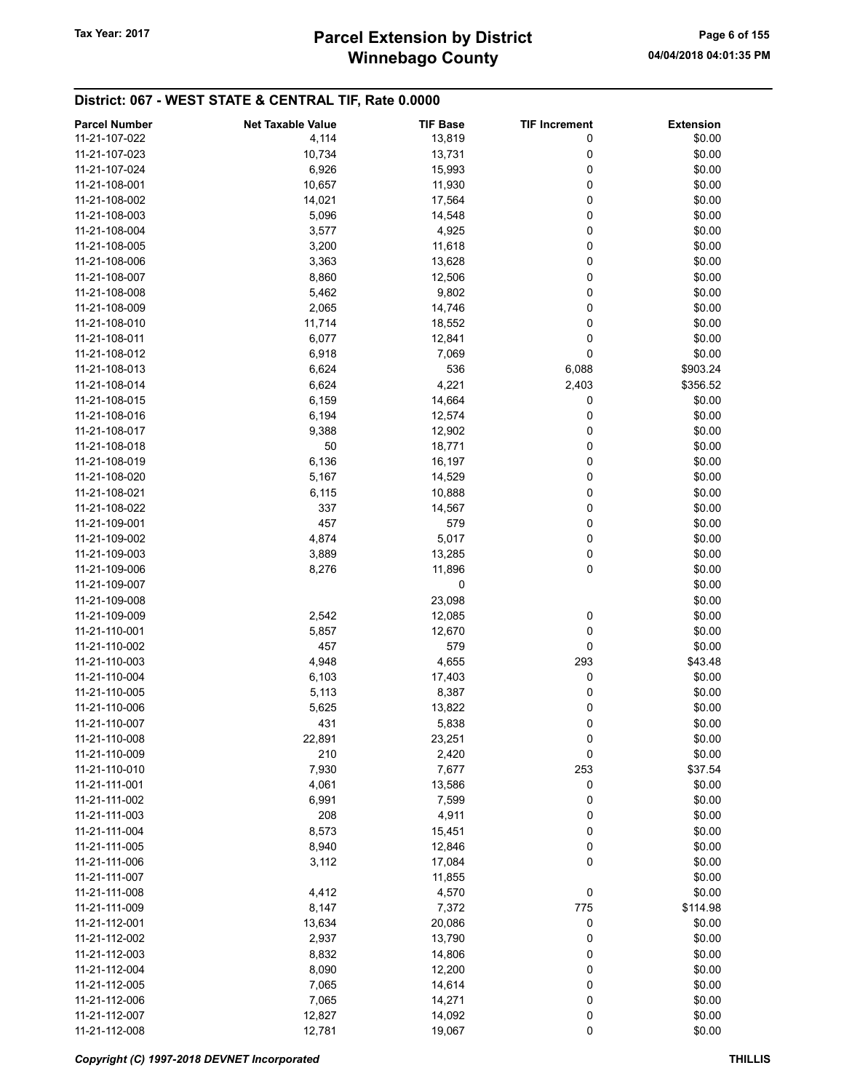# Winnebago County Tax Year: 2017 **Parcel Extension by District** Tax Year: 2017 Page 6 of 155

| <b>Parcel Number</b> | <b>Net Taxable Value</b> | <b>TIF Base</b> | <b>TIF Increment</b> | <b>Extension</b> |
|----------------------|--------------------------|-----------------|----------------------|------------------|
| 11-21-107-022        | 4,114                    | 13,819          | 0                    | \$0.00           |
| 11-21-107-023        | 10,734                   | 13,731          | 0                    | \$0.00           |
| 11-21-107-024        | 6,926                    | 15,993          | 0                    | \$0.00           |
| 11-21-108-001        | 10,657                   | 11,930          | 0                    | \$0.00           |
| 11-21-108-002        |                          |                 | 0                    | \$0.00           |
|                      | 14,021                   | 17,564          |                      |                  |
| 11-21-108-003        | 5,096                    | 14,548          | 0                    | \$0.00           |
| 11-21-108-004        | 3,577                    | 4,925           | 0                    | \$0.00           |
| 11-21-108-005        | 3,200                    | 11,618          | 0                    | \$0.00           |
| 11-21-108-006        | 3,363                    | 13,628          | 0                    | \$0.00           |
| 11-21-108-007        | 8,860                    | 12,506          | 0                    | \$0.00           |
| 11-21-108-008        | 5,462                    | 9,802           | 0                    | \$0.00           |
| 11-21-108-009        | 2,065                    | 14,746          | 0                    | \$0.00           |
| 11-21-108-010        | 11,714                   | 18,552          | 0                    | \$0.00           |
| 11-21-108-011        | 6,077                    | 12,841          | 0                    | \$0.00           |
| 11-21-108-012        | 6,918                    | 7,069           | 0                    | \$0.00           |
| 11-21-108-013        | 6,624                    | 536             | 6,088                | \$903.24         |
| 11-21-108-014        | 6,624                    | 4,221           | 2,403                | \$356.52         |
| 11-21-108-015        | 6,159                    | 14,664          | 0                    | \$0.00           |
| 11-21-108-016        | 6,194                    | 12,574          | 0                    | \$0.00           |
| 11-21-108-017        | 9,388                    | 12,902          | 0                    | \$0.00           |
| 11-21-108-018        | 50                       | 18,771          | 0                    | \$0.00           |
| 11-21-108-019        | 6,136                    | 16,197          | 0                    | \$0.00           |
| 11-21-108-020        | 5,167                    | 14,529          | 0                    | \$0.00           |
| 11-21-108-021        | 6,115                    | 10,888          | 0                    | \$0.00           |
| 11-21-108-022        | 337                      | 14,567          | 0                    | \$0.00           |
| 11-21-109-001        | 457                      | 579             | 0                    | \$0.00           |
| 11-21-109-002        | 4,874                    | 5,017           | 0                    | \$0.00           |
| 11-21-109-003        | 3,889                    | 13,285          | 0                    | \$0.00           |
| 11-21-109-006        | 8,276                    | 11,896          | 0                    | \$0.00           |
| 11-21-109-007        |                          | 0               |                      | \$0.00           |
| 11-21-109-008        |                          | 23,098          |                      | \$0.00           |
| 11-21-109-009        | 2,542                    | 12,085          | 0                    | \$0.00           |
| 11-21-110-001        | 5,857                    | 12,670          | 0                    | \$0.00           |
| 11-21-110-002        | 457                      | 579             | 0                    | \$0.00           |
|                      |                          |                 |                      |                  |
| 11-21-110-003        | 4,948                    | 4,655           | 293                  | \$43.48          |
| 11-21-110-004        | 6,103                    | 17,403          | 0                    | \$0.00           |
| 11-21-110-005        | 5,113                    | 8,387           | 0                    | \$0.00           |
| 11-21-110-006        | 5,625                    | 13,822          | 0                    | \$0.00           |
| 11-21-110-007        | 431                      | 5,838           | 0                    | \$0.00           |
| 11-21-110-008        | 22,891                   | 23,251          | 0                    | \$0.00           |
| 11-21-110-009        | 210                      | 2,420           | 0                    | \$0.00           |
| 11-21-110-010        | 7,930                    | 7,677           | 253                  | \$37.54          |
| 11-21-111-001        | 4,061                    | 13,586          | 0                    | \$0.00           |
| 11-21-111-002        | 6,991                    | 7,599           | 0                    | \$0.00           |
| 11-21-111-003        | 208                      | 4,911           | 0                    | \$0.00           |
| 11-21-111-004        | 8,573                    | 15,451          | 0                    | \$0.00           |
| 11-21-111-005        | 8,940                    | 12,846          | 0                    | \$0.00           |
| 11-21-111-006        | 3,112                    | 17,084          | 0                    | \$0.00           |
| 11-21-111-007        |                          | 11,855          |                      | \$0.00           |
| 11-21-111-008        | 4,412                    | 4,570           | 0                    | \$0.00           |
| 11-21-111-009        | 8,147                    | 7,372           | 775                  | \$114.98         |
| 11-21-112-001        | 13,634                   | 20,086          | 0                    | \$0.00           |
| 11-21-112-002        | 2,937                    | 13,790          | 0                    | \$0.00           |
| 11-21-112-003        | 8,832                    | 14,806          | 0                    | \$0.00           |
| 11-21-112-004        | 8,090                    | 12,200          | 0                    | \$0.00           |
| 11-21-112-005        | 7,065                    | 14,614          | 0                    | \$0.00           |
| 11-21-112-006        | 7,065                    | 14,271          | 0                    | \$0.00           |
| 11-21-112-007        | 12,827                   | 14,092          | 0                    | \$0.00           |
| 11-21-112-008        | 12,781                   | 19,067          | 0                    | \$0.00           |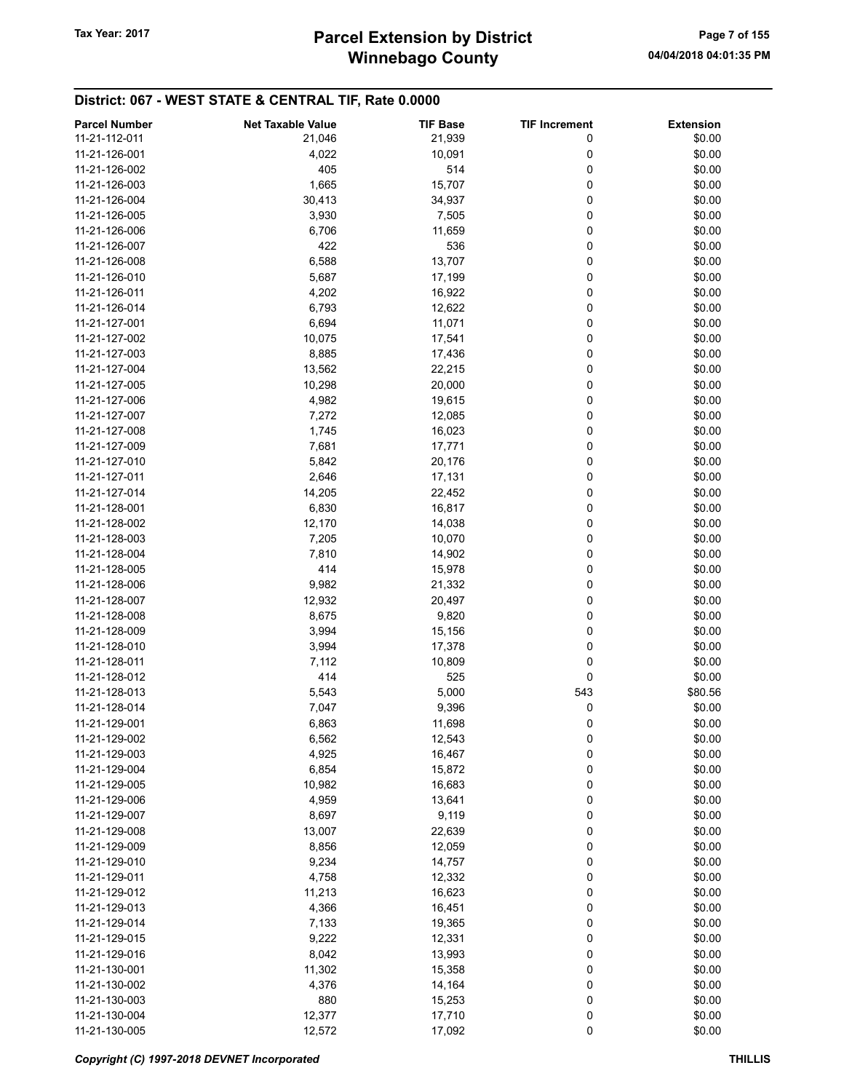| <b>Parcel Number</b> | <b>Net Taxable Value</b> | <b>TIF Base</b> | <b>TIF Increment</b> | <b>Extension</b> |
|----------------------|--------------------------|-----------------|----------------------|------------------|
| 11-21-112-011        | 21,046                   | 21,939          | 0                    | \$0.00           |
| 11-21-126-001        | 4,022                    | 10,091          | 0                    | \$0.00           |
| 11-21-126-002        | 405                      | 514             | 0                    | \$0.00           |
| 11-21-126-003        | 1,665                    | 15,707          | 0                    | \$0.00           |
| 11-21-126-004        | 30,413                   |                 | 0                    | \$0.00           |
|                      |                          | 34,937          |                      |                  |
| 11-21-126-005        | 3,930                    | 7,505           | 0                    | \$0.00           |
| 11-21-126-006        | 6,706                    | 11,659          | 0                    | \$0.00           |
| 11-21-126-007        | 422                      | 536             | 0                    | \$0.00           |
| 11-21-126-008        | 6,588                    | 13,707          | 0                    | \$0.00           |
| 11-21-126-010        | 5,687                    | 17,199          | 0                    | \$0.00           |
| 11-21-126-011        | 4,202                    | 16,922          | 0                    | \$0.00           |
| 11-21-126-014        | 6,793                    | 12,622          | 0                    | \$0.00           |
| 11-21-127-001        | 6,694                    | 11,071          | 0                    | \$0.00           |
| 11-21-127-002        | 10,075                   | 17,541          | 0                    | \$0.00           |
| 11-21-127-003        | 8,885                    | 17,436          | 0                    | \$0.00           |
| 11-21-127-004        | 13,562                   | 22,215          | 0                    | \$0.00           |
| 11-21-127-005        | 10,298                   | 20,000          | 0                    | \$0.00           |
| 11-21-127-006        | 4,982                    | 19,615          | 0                    | \$0.00           |
| 11-21-127-007        | 7,272                    | 12,085          | 0                    | \$0.00           |
| 11-21-127-008        | 1,745                    | 16,023          | 0                    | \$0.00           |
| 11-21-127-009        | 7,681                    | 17,771          | 0                    | \$0.00           |
| 11-21-127-010        | 5,842                    | 20,176          | 0                    | \$0.00           |
| 11-21-127-011        | 2,646                    | 17,131          | 0                    | \$0.00           |
| 11-21-127-014        | 14,205                   | 22,452          | 0                    | \$0.00           |
| 11-21-128-001        | 6,830                    | 16,817          | 0                    | \$0.00           |
| 11-21-128-002        | 12,170                   | 14,038          | 0                    | \$0.00           |
| 11-21-128-003        | 7,205                    | 10,070          | 0                    | \$0.00           |
| 11-21-128-004        | 7,810                    | 14,902          | 0                    | \$0.00           |
| 11-21-128-005        | 414                      | 15,978          | 0                    | \$0.00           |
| 11-21-128-006        | 9,982                    | 21,332          | 0                    | \$0.00           |
| 11-21-128-007        | 12,932                   | 20,497          | 0                    | \$0.00           |
| 11-21-128-008        | 8,675                    | 9,820           | 0                    | \$0.00           |
| 11-21-128-009        | 3,994                    | 15,156          | 0                    | \$0.00           |
| 11-21-128-010        | 3,994                    | 17,378          | 0                    | \$0.00           |
| 11-21-128-011        | 7,112                    | 10,809          | 0                    | \$0.00           |
| 11-21-128-012        | 414                      | 525             | 0                    | \$0.00           |
| 11-21-128-013        | 5,543                    | 5,000           | 543                  | \$80.56          |
| 11-21-128-014        | 7,047                    | 9,396           | 0                    | \$0.00           |
| 11-21-129-001        | 6,863                    | 11,698          | 0                    | \$0.00           |
| 11-21-129-002        | 6,562                    | 12,543          | 0                    | \$0.00           |
| 11-21-129-003        | 4,925                    | 16,467          | 0                    | \$0.00           |
| 11-21-129-004        | 6,854                    | 15,872          | 0                    | \$0.00           |
| 11-21-129-005        |                          |                 | 0                    |                  |
|                      | 10,982                   | 16,683          |                      | \$0.00           |
| 11-21-129-006        | 4,959                    | 13,641          | 0                    | \$0.00           |
| 11-21-129-007        | 8,697                    | 9,119           | 0                    | \$0.00           |
| 11-21-129-008        | 13,007                   | 22,639          | 0                    | \$0.00           |
| 11-21-129-009        | 8,856                    | 12,059          | 0                    | \$0.00           |
| 11-21-129-010        | 9,234                    | 14,757          | 0                    | \$0.00           |
| 11-21-129-011        | 4,758                    | 12,332          | 0                    | \$0.00           |
| 11-21-129-012        | 11,213                   | 16,623          | 0                    | \$0.00           |
| 11-21-129-013        | 4,366                    | 16,451          | 0                    | \$0.00           |
| 11-21-129-014        | 7,133                    | 19,365          | 0                    | \$0.00           |
| 11-21-129-015        | 9,222                    | 12,331          | 0                    | \$0.00           |
| 11-21-129-016        | 8,042                    | 13,993          | 0                    | \$0.00           |
| 11-21-130-001        | 11,302                   | 15,358          | 0                    | \$0.00           |
| 11-21-130-002        | 4,376                    | 14,164          | 0                    | \$0.00           |
| 11-21-130-003        | 880                      | 15,253          | 0                    | \$0.00           |
| 11-21-130-004        | 12,377                   | 17,710          | 0                    | \$0.00           |
| 11-21-130-005        | 12,572                   | 17,092          | 0                    | \$0.00           |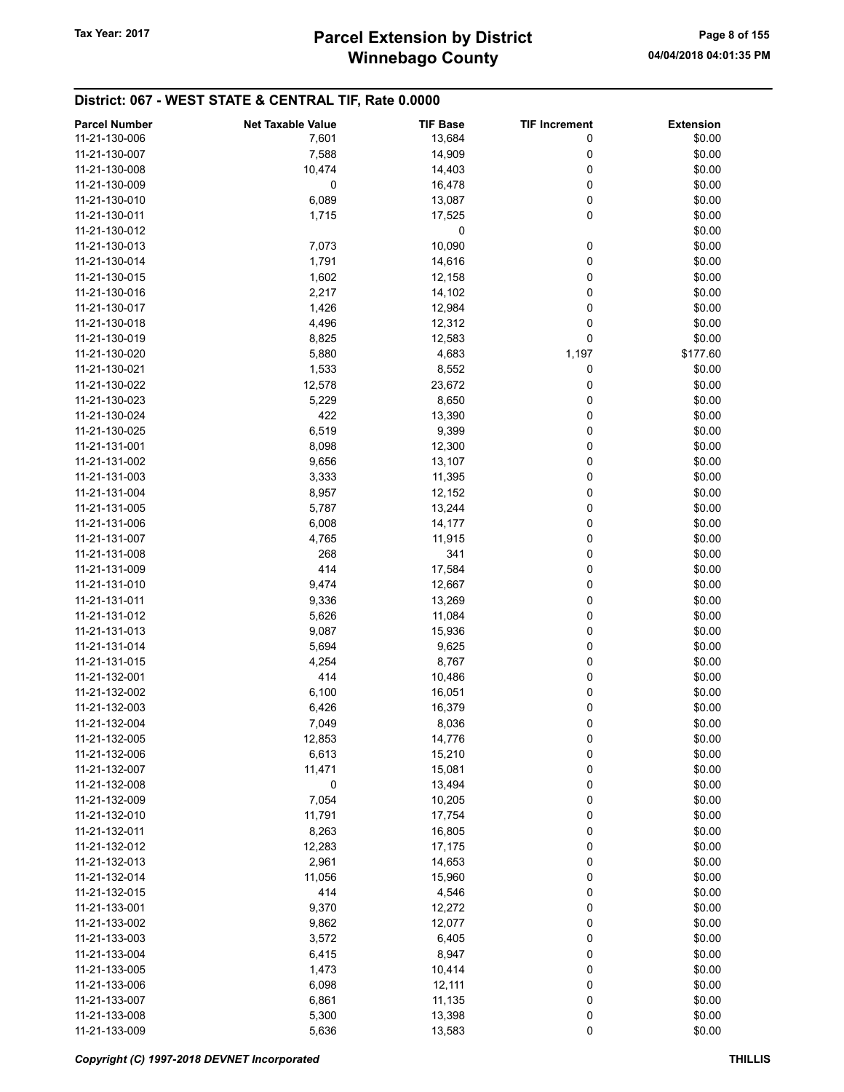| <b>Parcel Number</b> | <b>Net Taxable Value</b> | <b>TIF Base</b> | <b>TIF Increment</b> | <b>Extension</b> |
|----------------------|--------------------------|-----------------|----------------------|------------------|
| 11-21-130-006        | 7,601                    | 13,684          | 0                    | \$0.00           |
| 11-21-130-007        | 7,588                    | 14,909          | 0                    | \$0.00           |
| 11-21-130-008        |                          |                 | 0                    | \$0.00           |
|                      | 10,474                   | 14,403          |                      |                  |
| 11-21-130-009        | 0                        | 16,478          | 0                    | \$0.00           |
| 11-21-130-010        | 6,089                    | 13,087          | 0                    | \$0.00           |
| 11-21-130-011        | 1,715                    | 17,525          | 0                    | \$0.00           |
| 11-21-130-012        |                          | 0               |                      | \$0.00           |
| 11-21-130-013        | 7,073                    | 10,090          | 0                    | \$0.00           |
| 11-21-130-014        | 1,791                    | 14,616          | 0                    | \$0.00           |
| 11-21-130-015        | 1,602                    | 12,158          | 0                    | \$0.00           |
| 11-21-130-016        | 2,217                    | 14,102          | 0                    | \$0.00           |
| 11-21-130-017        | 1,426                    | 12,984          | 0                    | \$0.00           |
| 11-21-130-018        | 4,496                    | 12,312          | 0                    | \$0.00           |
| 11-21-130-019        | 8,825                    | 12,583          | 0                    | \$0.00           |
| 11-21-130-020        | 5,880                    | 4,683           | 1,197                | \$177.60         |
| 11-21-130-021        | 1,533                    | 8,552           | 0                    | \$0.00           |
| 11-21-130-022        | 12,578                   | 23,672          | 0                    | \$0.00           |
| 11-21-130-023        | 5,229                    | 8,650           | 0                    | \$0.00           |
| 11-21-130-024        | 422                      | 13,390          | 0                    | \$0.00           |
| 11-21-130-025        | 6,519                    | 9,399           | 0                    | \$0.00           |
| 11-21-131-001        | 8,098                    | 12,300          | 0                    | \$0.00           |
| 11-21-131-002        |                          |                 |                      | \$0.00           |
|                      | 9,656                    | 13,107          | 0                    |                  |
| 11-21-131-003        | 3,333                    | 11,395          | 0                    | \$0.00           |
| 11-21-131-004        | 8,957                    | 12,152          | 0                    | \$0.00           |
| 11-21-131-005        | 5,787                    | 13,244          | 0                    | \$0.00           |
| 11-21-131-006        | 6,008                    | 14,177          | 0                    | \$0.00           |
| 11-21-131-007        | 4,765                    | 11,915          | 0                    | \$0.00           |
| 11-21-131-008        | 268                      | 341             | 0                    | \$0.00           |
| 11-21-131-009        | 414                      | 17,584          | 0                    | \$0.00           |
| 11-21-131-010        | 9,474                    | 12,667          | 0                    | \$0.00           |
| 11-21-131-011        | 9,336                    | 13,269          | 0                    | \$0.00           |
| 11-21-131-012        | 5,626                    | 11,084          | 0                    | \$0.00           |
| 11-21-131-013        | 9,087                    | 15,936          | 0                    | \$0.00           |
| 11-21-131-014        | 5,694                    | 9,625           | 0                    | \$0.00           |
| 11-21-131-015        | 4,254                    | 8,767           | 0                    | \$0.00           |
| 11-21-132-001        | 414                      | 10,486          | 0                    | \$0.00           |
| 11-21-132-002        | 6,100                    | 16,051          | 0                    | \$0.00           |
| 11-21-132-003        | 6,426                    | 16,379          | 0                    | \$0.00           |
| 11-21-132-004        | 7,049                    | 8,036           | 0                    | \$0.00           |
| 11-21-132-005        | 12,853                   | 14,776          | 0                    | \$0.00           |
| 11-21-132-006        | 6,613                    | 15,210          | 0                    | \$0.00           |
| 11-21-132-007        | 11,471                   | 15,081          | 0                    | \$0.00           |
| 11-21-132-008        | 0                        | 13,494          | 0                    | \$0.00           |
| 11-21-132-009        |                          |                 | 0                    | \$0.00           |
| 11-21-132-010        | 7,054                    | 10,205          |                      | \$0.00           |
|                      | 11,791                   | 17,754          | 0                    |                  |
| 11-21-132-011        | 8,263                    | 16,805          | 0                    | \$0.00           |
| 11-21-132-012        | 12,283                   | 17,175          | 0                    | \$0.00           |
| 11-21-132-013        | 2,961                    | 14,653          | 0                    | \$0.00           |
| 11-21-132-014        | 11,056                   | 15,960          | 0                    | \$0.00           |
| 11-21-132-015        | 414                      | 4,546           | 0                    | \$0.00           |
| 11-21-133-001        | 9,370                    | 12,272          | 0                    | \$0.00           |
| 11-21-133-002        | 9,862                    | 12,077          | 0                    | \$0.00           |
| 11-21-133-003        | 3,572                    | 6,405           | 0                    | \$0.00           |
| 11-21-133-004        | 6,415                    | 8,947           | 0                    | \$0.00           |
| 11-21-133-005        | 1,473                    | 10,414          | 0                    | \$0.00           |
| 11-21-133-006        | 6,098                    | 12,111          | 0                    | \$0.00           |
| 11-21-133-007        | 6,861                    | 11,135          | 0                    | \$0.00           |
| 11-21-133-008        | 5,300                    | 13,398          | 0                    | \$0.00           |
| 11-21-133-009        | 5,636                    | 13,583          | 0                    | \$0.00           |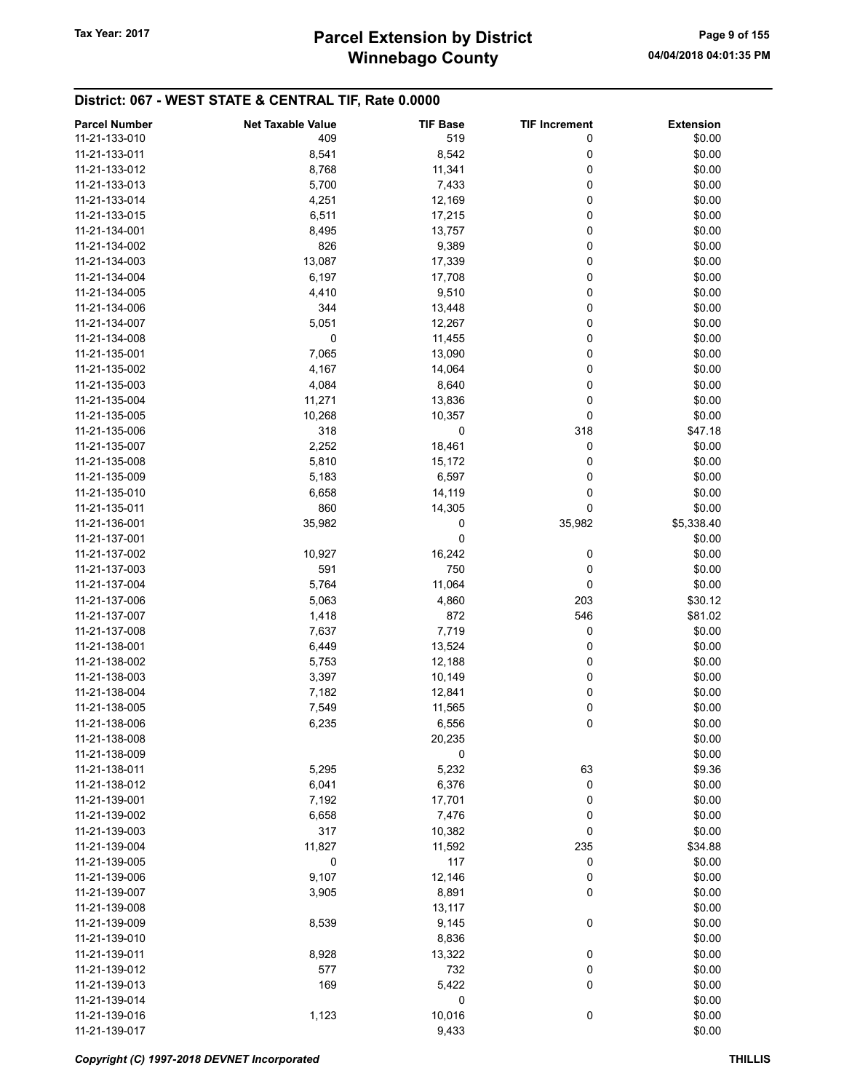| <b>Parcel Number</b> | <b>Net Taxable Value</b> | <b>TIF Base</b> | <b>TIF Increment</b> | <b>Extension</b> |
|----------------------|--------------------------|-----------------|----------------------|------------------|
| 11-21-133-010        | 409                      | 519             | 0                    | \$0.00           |
| 11-21-133-011        | 8,541                    | 8,542           | 0                    | \$0.00           |
| 11-21-133-012        | 8,768                    | 11,341          | 0                    | \$0.00           |
| 11-21-133-013        | 5,700                    | 7,433           | 0                    | \$0.00           |
| 11-21-133-014        | 4,251                    | 12,169          | 0                    | \$0.00           |
|                      |                          |                 |                      |                  |
| 11-21-133-015        | 6,511                    | 17,215          | 0                    | \$0.00           |
| 11-21-134-001        | 8,495                    | 13,757          | 0                    | \$0.00           |
| 11-21-134-002        | 826                      | 9,389           | 0                    | \$0.00           |
| 11-21-134-003        | 13,087                   | 17,339          | 0                    | \$0.00           |
| 11-21-134-004        | 6,197                    | 17,708          | 0                    | \$0.00           |
| 11-21-134-005        | 4,410                    | 9,510           | 0                    | \$0.00           |
| 11-21-134-006        | 344                      | 13,448          | 0                    | \$0.00           |
| 11-21-134-007        | 5,051                    | 12,267          | 0                    | \$0.00           |
| 11-21-134-008        | 0                        | 11,455          | 0                    | \$0.00           |
| 11-21-135-001        | 7,065                    | 13,090          | 0                    | \$0.00           |
| 11-21-135-002        | 4,167                    | 14,064          | 0                    | \$0.00           |
| 11-21-135-003        | 4,084                    | 8,640           | 0                    | \$0.00           |
| 11-21-135-004        | 11,271                   | 13,836          | 0                    | \$0.00           |
| 11-21-135-005        | 10,268                   | 10,357          | 0                    | \$0.00           |
|                      |                          |                 |                      |                  |
| 11-21-135-006        | 318                      | 0               | 318                  | \$47.18          |
| 11-21-135-007        | 2,252                    | 18,461          | 0                    | \$0.00           |
| 11-21-135-008        | 5,810                    | 15,172          | 0                    | \$0.00           |
| 11-21-135-009        | 5,183                    | 6,597           | 0                    | \$0.00           |
| 11-21-135-010        | 6,658                    | 14,119          | 0                    | \$0.00           |
| 11-21-135-011        | 860                      | 14,305          | 0                    | \$0.00           |
| 11-21-136-001        | 35,982                   | 0               | 35,982               | \$5,338.40       |
| 11-21-137-001        |                          | 0               |                      | \$0.00           |
| 11-21-137-002        | 10,927                   | 16,242          | 0                    | \$0.00           |
| 11-21-137-003        | 591                      | 750             | 0                    | \$0.00           |
| 11-21-137-004        | 5,764                    | 11,064          | 0                    | \$0.00           |
| 11-21-137-006        | 5,063                    | 4,860           | 203                  | \$30.12          |
| 11-21-137-007        | 1,418                    | 872             | 546                  | \$81.02          |
| 11-21-137-008        | 7,637                    | 7,719           | 0                    | \$0.00           |
| 11-21-138-001        | 6,449                    | 13,524          | 0                    | \$0.00           |
| 11-21-138-002        | 5,753                    | 12,188          | 0                    | \$0.00           |
|                      |                          |                 |                      |                  |
| 11-21-138-003        | 3,397                    | 10,149          | 0                    | \$0.00           |
| 11-21-138-004        | 7,182                    | 12,841          | 0                    | \$0.00           |
| 11-21-138-005        | 7,549                    | 11,565          | 0                    | \$0.00           |
| 11-21-138-006        | 6,235                    | 6,556           | 0                    | \$0.00           |
| 11-21-138-008        |                          | 20,235          |                      | \$0.00           |
| 11-21-138-009        |                          | 0               |                      | \$0.00           |
| 11-21-138-011        | 5,295                    | 5,232           | 63                   | \$9.36           |
| 11-21-138-012        | 6,041                    | 6,376           | 0                    | \$0.00           |
| 11-21-139-001        | 7,192                    | 17,701          | 0                    | \$0.00           |
| 11-21-139-002        | 6,658                    | 7,476           | 0                    | \$0.00           |
| 11-21-139-003        | 317                      | 10,382          | 0                    | \$0.00           |
| 11-21-139-004        | 11,827                   | 11,592          | 235                  | \$34.88          |
| 11-21-139-005        | 0                        | 117             | 0                    | \$0.00           |
| 11-21-139-006        | 9,107                    | 12,146          | 0                    | \$0.00           |
| 11-21-139-007        | 3,905                    | 8,891           | 0                    | \$0.00           |
|                      |                          |                 |                      |                  |
| 11-21-139-008        |                          | 13,117          |                      | \$0.00           |
| 11-21-139-009        | 8,539                    | 9,145           | 0                    | \$0.00           |
| 11-21-139-010        |                          | 8,836           |                      | \$0.00           |
| 11-21-139-011        | 8,928                    | 13,322          | 0                    | \$0.00           |
| 11-21-139-012        | 577                      | 732             | 0                    | \$0.00           |
| 11-21-139-013        | 169                      | 5,422           | 0                    | \$0.00           |
| 11-21-139-014        |                          | 0               |                      | \$0.00           |
| 11-21-139-016        | 1,123                    | 10,016          | $\pmb{0}$            | \$0.00           |
| 11-21-139-017        |                          | 9,433           |                      | \$0.00           |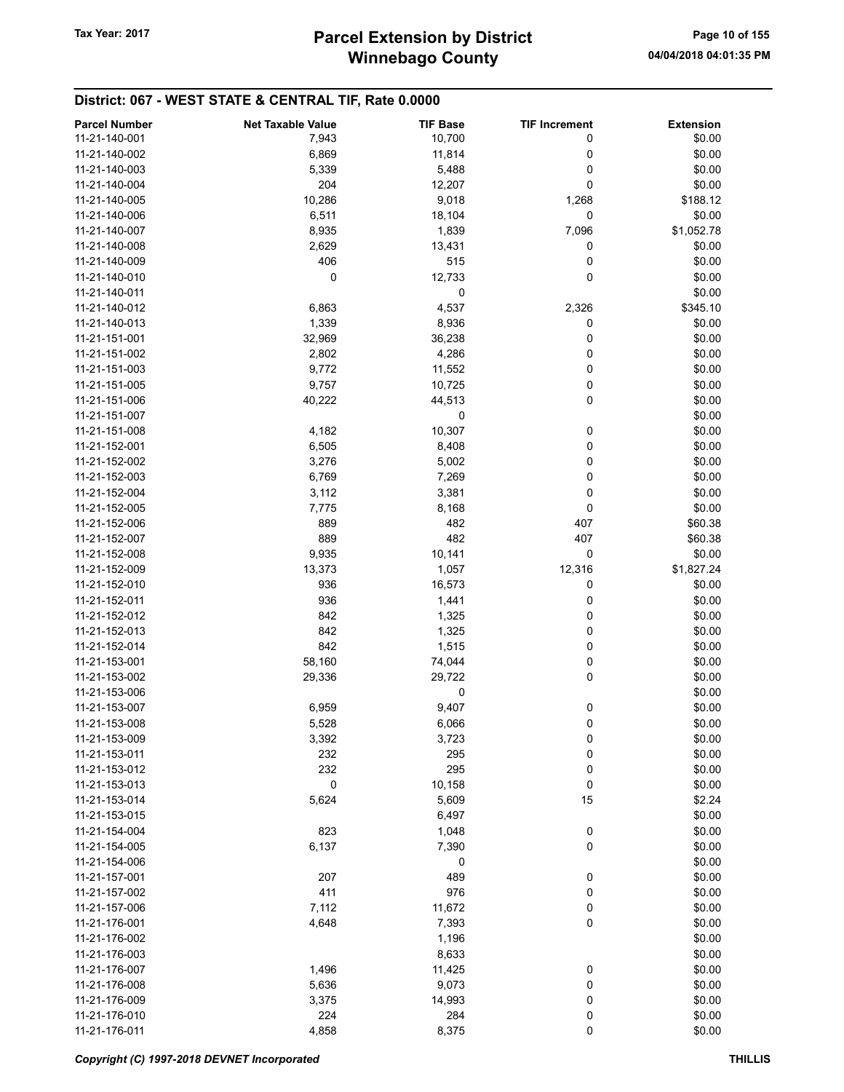| <b>Parcel Number</b> | <b>Net Taxable Value</b> | <b>TIF Base</b> | <b>TIF Increment</b> | <b>Extension</b> |
|----------------------|--------------------------|-----------------|----------------------|------------------|
| 11-21-140-001        | 7,943                    | 10,700          | 0                    | \$0.00           |
| 11-21-140-002        | 6,869                    | 11,814          | 0                    | \$0.00           |
| 11-21-140-003        | 5,339                    | 5,488           | 0                    | \$0.00           |
| 11-21-140-004        | 204                      | 12,207          | 0                    | \$0.00           |
|                      |                          |                 |                      |                  |
| 11-21-140-005        | 10,286                   | 9,018           | 1,268                | \$188.12         |
| 11-21-140-006        | 6,511                    | 18,104          | 0                    | \$0.00           |
| 11-21-140-007        | 8,935                    | 1,839           | 7,096                | \$1,052.78       |
| 11-21-140-008        | 2,629                    | 13,431          | 0                    | \$0.00           |
| 11-21-140-009        | 406                      | 515             | 0                    | \$0.00           |
| 11-21-140-010        | 0                        | 12,733          | 0                    | \$0.00           |
| 11-21-140-011        |                          | 0               |                      | \$0.00           |
| 11-21-140-012        | 6,863                    | 4,537           | 2,326                | \$345.10         |
| 11-21-140-013        | 1,339                    | 8,936           | 0                    | \$0.00           |
| 11-21-151-001        | 32,969                   | 36,238          | 0                    | \$0.00           |
| 11-21-151-002        | 2,802                    | 4,286           | 0                    | \$0.00           |
| 11-21-151-003        | 9,772                    | 11,552          | 0                    | \$0.00           |
| 11-21-151-005        | 9,757                    | 10,725          | 0                    | \$0.00           |
| 11-21-151-006        | 40,222                   | 44,513          | 0                    | \$0.00           |
| 11-21-151-007        |                          | 0               |                      | \$0.00           |
|                      |                          |                 |                      |                  |
| 11-21-151-008        | 4,182                    | 10,307          | 0                    | \$0.00           |
| 11-21-152-001        | 6,505                    | 8,408           | 0                    | \$0.00           |
| 11-21-152-002        | 3,276                    | 5,002           | 0                    | \$0.00           |
| 11-21-152-003        | 6,769                    | 7,269           | 0                    | \$0.00           |
| 11-21-152-004        | 3,112                    | 3,381           | 0                    | \$0.00           |
| 11-21-152-005        | 7,775                    | 8,168           | 0                    | \$0.00           |
| 11-21-152-006        | 889                      | 482             | 407                  | \$60.38          |
| 11-21-152-007        | 889                      | 482             | 407                  | \$60.38          |
| 11-21-152-008        | 9,935                    | 10,141          | 0                    | \$0.00           |
| 11-21-152-009        | 13,373                   | 1,057           | 12,316               | \$1,827.24       |
| 11-21-152-010        | 936                      | 16,573          | 0                    | \$0.00           |
| 11-21-152-011        | 936                      | 1,441           | 0                    | \$0.00           |
| 11-21-152-012        | 842                      | 1,325           | 0                    | \$0.00           |
| 11-21-152-013        | 842                      | 1,325           | 0                    | \$0.00           |
| 11-21-152-014        | 842                      | 1,515           | 0                    | \$0.00           |
| 11-21-153-001        | 58,160                   | 74,044          | 0                    | \$0.00           |
| 11-21-153-002        | 29,336                   | 29,722          | 0                    | \$0.00           |
|                      |                          |                 |                      |                  |
| 11-21-153-006        |                          | 0               |                      | \$0.00           |
| 11-21-153-007        | 6,959                    | 9,407           | $\bf{0}$             | \$0.00           |
| 11-21-153-008        | 5,528                    | 6,066           | 0                    | \$0.00           |
| 11-21-153-009        | 3,392                    | 3,723           | 0                    | \$0.00           |
| 11-21-153-011        | 232                      | 295             | 0                    | \$0.00           |
| 11-21-153-012        | 232                      | 295             | 0                    | \$0.00           |
| 11-21-153-013        | 0                        | 10,158          | 0                    | \$0.00           |
| 11-21-153-014        | 5,624                    | 5,609           | 15                   | \$2.24           |
| 11-21-153-015        |                          | 6,497           |                      | \$0.00           |
| 11-21-154-004        | 823                      | 1,048           | 0                    | \$0.00           |
| 11-21-154-005        | 6,137                    | 7,390           | 0                    | \$0.00           |
| 11-21-154-006        |                          | 0               |                      | \$0.00           |
| 11-21-157-001        | 207                      | 489             | 0                    | \$0.00           |
| 11-21-157-002        | 411                      | 976             | 0                    | \$0.00           |
| 11-21-157-006        | 7,112                    | 11,672          | 0                    | \$0.00           |
| 11-21-176-001        | 4,648                    | 7,393           | 0                    | \$0.00           |
| 11-21-176-002        |                          | 1,196           |                      | \$0.00           |
|                      |                          |                 |                      |                  |
| 11-21-176-003        |                          | 8,633           |                      | \$0.00           |
| 11-21-176-007        | 1,496                    | 11,425          | 0                    | \$0.00           |
| 11-21-176-008        | 5,636                    | 9,073           | 0                    | \$0.00           |
| 11-21-176-009        | 3,375                    | 14,993          | 0                    | \$0.00           |
| 11-21-176-010        | 224                      | 284             | 0                    | \$0.00           |
| 11-21-176-011        | 4,858                    | 8,375           | 0                    | \$0.00           |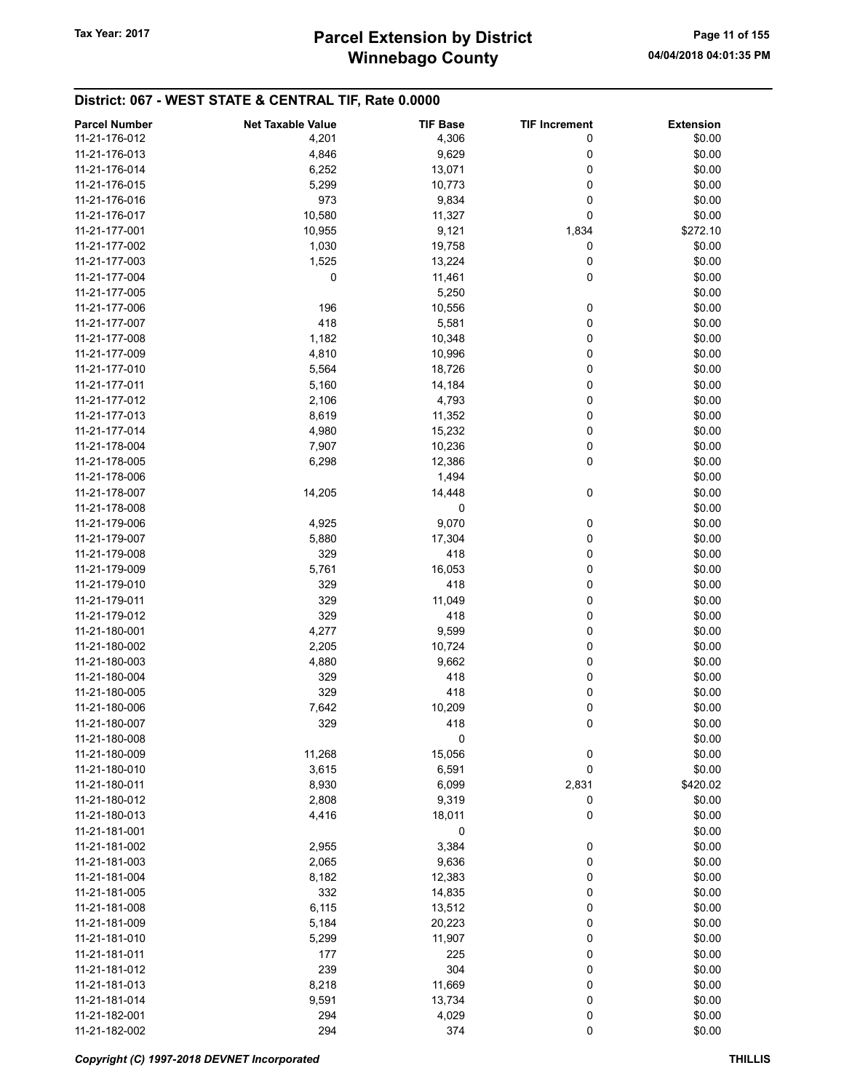| <b>Parcel Number</b> | <b>Net Taxable Value</b> | <b>TIF Base</b> | <b>TIF Increment</b> | <b>Extension</b> |
|----------------------|--------------------------|-----------------|----------------------|------------------|
| 11-21-176-012        | 4,201                    | 4,306           | 0                    | \$0.00           |
| 11-21-176-013        | 4,846                    | 9,629           | 0                    | \$0.00           |
| 11-21-176-014        | 6,252                    | 13,071          | 0                    | \$0.00           |
| 11-21-176-015        | 5,299                    | 10,773          | 0                    | \$0.00           |
| 11-21-176-016        | 973                      | 9,834           | 0                    | \$0.00           |
| 11-21-176-017        | 10,580                   | 11,327          | 0                    | \$0.00           |
| 11-21-177-001        |                          |                 |                      |                  |
|                      | 10,955                   | 9,121           | 1,834                | \$272.10         |
| 11-21-177-002        | 1,030                    | 19,758          | 0                    | \$0.00           |
| 11-21-177-003        | 1,525                    | 13,224          | 0                    | \$0.00           |
| 11-21-177-004        | 0                        | 11,461          | 0                    | \$0.00           |
| 11-21-177-005        |                          | 5,250           |                      | \$0.00           |
| 11-21-177-006        | 196                      | 10,556          | 0                    | \$0.00           |
| 11-21-177-007        | 418                      | 5,581           | 0                    | \$0.00           |
| 11-21-177-008        | 1,182                    | 10,348          | 0                    | \$0.00           |
| 11-21-177-009        | 4,810                    | 10,996          | 0                    | \$0.00           |
| 11-21-177-010        | 5,564                    | 18,726          | 0                    | \$0.00           |
| 11-21-177-011        | 5,160                    | 14,184          | 0                    | \$0.00           |
| 11-21-177-012        | 2,106                    | 4,793           | 0                    | \$0.00           |
| 11-21-177-013        | 8,619                    | 11,352          | 0                    | \$0.00           |
| 11-21-177-014        | 4,980                    | 15,232          | 0                    | \$0.00           |
| 11-21-178-004        | 7,907                    | 10,236          | 0                    | \$0.00           |
| 11-21-178-005        | 6,298                    | 12,386          | 0                    | \$0.00           |
| 11-21-178-006        |                          | 1,494           |                      | \$0.00           |
| 11-21-178-007        | 14,205                   | 14,448          | $\pmb{0}$            | \$0.00           |
| 11-21-178-008        |                          | 0               |                      | \$0.00           |
| 11-21-179-006        | 4,925                    | 9,070           | 0                    | \$0.00           |
| 11-21-179-007        | 5,880                    | 17,304          | 0                    | \$0.00           |
| 11-21-179-008        | 329                      | 418             | 0                    | \$0.00           |
| 11-21-179-009        | 5,761                    | 16,053          | 0                    | \$0.00           |
| 11-21-179-010        | 329                      | 418             | 0                    | \$0.00           |
| 11-21-179-011        | 329                      | 11,049          | 0                    | \$0.00           |
| 11-21-179-012        | 329                      | 418             | 0                    | \$0.00           |
| 11-21-180-001        | 4,277                    | 9,599           | 0                    | \$0.00           |
| 11-21-180-002        | 2,205                    | 10,724          | 0                    | \$0.00           |
| 11-21-180-003        | 4,880                    | 9,662           | 0                    | \$0.00           |
| 11-21-180-004        | 329                      | 418             | 0                    | \$0.00           |
| 11-21-180-005        | 329                      | 418             | 0                    | \$0.00           |
| 11-21-180-006        | 7,642                    | 10,209          | 0                    | \$0.00           |
| 11-21-180-007        | 329                      | 418             | $\mathbf 0$          | \$0.00           |
| 11-21-180-008        |                          | 0               |                      | \$0.00           |
|                      |                          |                 |                      |                  |
| 11-21-180-009        | 11,268                   | 15,056          | 0                    | \$0.00           |
| 11-21-180-010        | 3,615                    | 6,591           | 0                    | \$0.00           |
| 11-21-180-011        | 8,930                    | 6,099           | 2,831                | \$420.02         |
| 11-21-180-012        | 2,808                    | 9,319           | 0                    | \$0.00           |
| 11-21-180-013        | 4,416                    | 18,011          | 0                    | \$0.00           |
| 11-21-181-001        |                          | 0               |                      | \$0.00           |
| 11-21-181-002        | 2,955                    | 3,384           | 0                    | \$0.00           |
| 11-21-181-003        | 2,065                    | 9,636           | 0                    | \$0.00           |
| 11-21-181-004        | 8,182                    | 12,383          | 0                    | \$0.00           |
| 11-21-181-005        | 332                      | 14,835          | 0                    | \$0.00           |
| 11-21-181-008        | 6,115                    | 13,512          | 0                    | \$0.00           |
| 11-21-181-009        | 5,184                    | 20,223          | 0                    | \$0.00           |
| 11-21-181-010        | 5,299                    | 11,907          | 0                    | \$0.00           |
| 11-21-181-011        | 177                      | 225             | 0                    | \$0.00           |
| 11-21-181-012        | 239                      | 304             | 0                    | \$0.00           |
| 11-21-181-013        | 8,218                    | 11,669          | 0                    | \$0.00           |
| 11-21-181-014        | 9,591                    | 13,734          | 0                    | \$0.00           |
| 11-21-182-001        | 294                      | 4,029           | 0                    | \$0.00           |
| 11-21-182-002        | 294                      | 374             | 0                    | \$0.00           |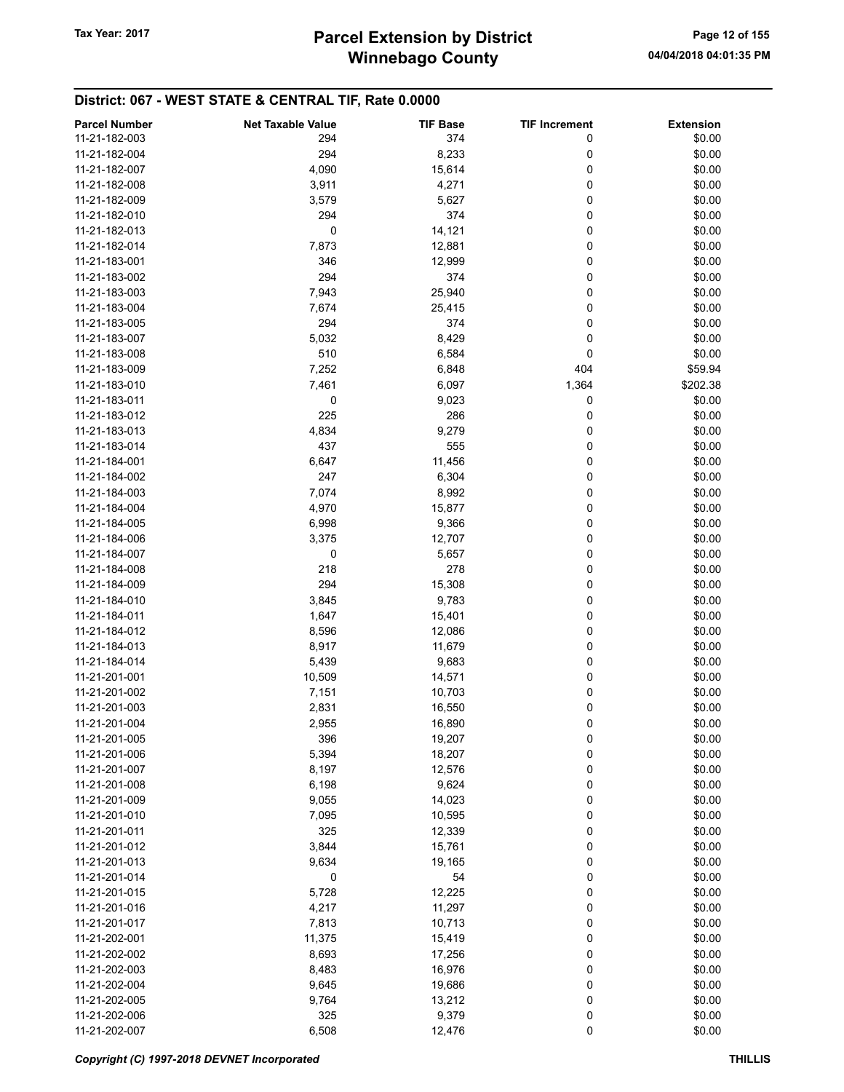| <b>Parcel Number</b> | <b>Net Taxable Value</b> | <b>TIF Base</b> | <b>TIF Increment</b> | <b>Extension</b> |
|----------------------|--------------------------|-----------------|----------------------|------------------|
| 11-21-182-003        | 294                      | 374             | 0                    | \$0.00           |
|                      |                          |                 |                      |                  |
| 11-21-182-004        | 294                      | 8,233           | 0                    | \$0.00           |
| 11-21-182-007        | 4,090                    | 15,614          | 0                    | \$0.00           |
| 11-21-182-008        | 3,911                    | 4,271           | 0                    | \$0.00           |
| 11-21-182-009        | 3,579                    | 5,627           | 0                    | \$0.00           |
| 11-21-182-010        | 294                      | 374             | 0                    | \$0.00           |
| 11-21-182-013        | 0                        | 14,121          | 0                    | \$0.00           |
| 11-21-182-014        | 7,873                    | 12,881          | 0                    | \$0.00           |
| 11-21-183-001        | 346                      | 12,999          | 0                    | \$0.00           |
| 11-21-183-002        | 294                      | 374             | 0                    | \$0.00           |
| 11-21-183-003        | 7,943                    | 25,940          | 0                    | \$0.00           |
| 11-21-183-004        | 7,674                    | 25,415          | 0                    | \$0.00           |
| 11-21-183-005        | 294                      | 374             | 0                    | \$0.00           |
|                      |                          |                 |                      |                  |
| 11-21-183-007        | 5,032                    | 8,429           | 0                    | \$0.00           |
| 11-21-183-008        | 510                      | 6,584           | 0                    | \$0.00           |
| 11-21-183-009        | 7,252                    | 6,848           | 404                  | \$59.94          |
| 11-21-183-010        | 7,461                    | 6,097           | 1,364                | \$202.38         |
| 11-21-183-011        | 0                        | 9,023           | 0                    | \$0.00           |
| 11-21-183-012        | 225                      | 286             | 0                    | \$0.00           |
| 11-21-183-013        | 4,834                    | 9,279           | 0                    | \$0.00           |
| 11-21-183-014        | 437                      | 555             | 0                    | \$0.00           |
| 11-21-184-001        | 6,647                    | 11,456          | 0                    | \$0.00           |
| 11-21-184-002        | 247                      | 6,304           | 0                    | \$0.00           |
| 11-21-184-003        | 7,074                    | 8,992           | 0                    | \$0.00           |
|                      |                          |                 |                      |                  |
| 11-21-184-004        | 4,970                    | 15,877          | 0                    | \$0.00           |
| 11-21-184-005        | 6,998                    | 9,366           | 0                    | \$0.00           |
| 11-21-184-006        | 3,375                    | 12,707          | 0                    | \$0.00           |
| 11-21-184-007        | 0                        | 5,657           | 0                    | \$0.00           |
| 11-21-184-008        | 218                      | 278             | 0                    | \$0.00           |
| 11-21-184-009        | 294                      | 15,308          | 0                    | \$0.00           |
| 11-21-184-010        | 3,845                    | 9,783           | 0                    | \$0.00           |
| 11-21-184-011        | 1,647                    | 15,401          | 0                    | \$0.00           |
| 11-21-184-012        | 8,596                    | 12,086          | 0                    | \$0.00           |
| 11-21-184-013        | 8,917                    | 11,679          | 0                    | \$0.00           |
| 11-21-184-014        | 5,439                    | 9,683           | 0                    | \$0.00           |
| 11-21-201-001        | 10,509                   | 14,571          | 0                    | \$0.00           |
| 11-21-201-002        | 7,151                    | 10,703          | 0                    | \$0.00           |
|                      |                          |                 |                      |                  |
| 11-21-201-003        | 2,831                    | 16,550          | 0                    | \$0.00           |
| 11-21-201-004        | 2,955                    | 16,890          | 0                    | \$0.00           |
| 11-21-201-005        | 396                      | 19,207          | 0                    | \$0.00           |
| 11-21-201-006        | 5,394                    | 18,207          | 0                    | \$0.00           |
| 11-21-201-007        | 8,197                    | 12,576          | 0                    | \$0.00           |
| 11-21-201-008        | 6,198                    | 9,624           | 0                    | \$0.00           |
| 11-21-201-009        | 9,055                    | 14,023          | 0                    | \$0.00           |
| 11-21-201-010        | 7,095                    | 10,595          | 0                    | \$0.00           |
| 11-21-201-011        | 325                      | 12,339          | 0                    | \$0.00           |
| 11-21-201-012        | 3,844                    | 15,761          | 0                    | \$0.00           |
| 11-21-201-013        | 9,634                    | 19,165          | 0                    | \$0.00           |
| 11-21-201-014        | 0                        | 54              | 0                    | \$0.00           |
|                      |                          |                 |                      |                  |
| 11-21-201-015        | 5,728                    | 12,225          | 0                    | \$0.00           |
| 11-21-201-016        | 4,217                    | 11,297          | 0                    | \$0.00           |
| 11-21-201-017        | 7,813                    | 10,713          | 0                    | \$0.00           |
| 11-21-202-001        | 11,375                   | 15,419          | 0                    | \$0.00           |
| 11-21-202-002        | 8,693                    | 17,256          | 0                    | \$0.00           |
| 11-21-202-003        | 8,483                    | 16,976          | 0                    | \$0.00           |
| 11-21-202-004        | 9,645                    | 19,686          | 0                    | \$0.00           |
| 11-21-202-005        | 9,764                    | 13,212          | 0                    | \$0.00           |
| 11-21-202-006        | 325                      | 9,379           | 0                    | \$0.00           |
| 11-21-202-007        | 6,508                    | 12,476          | 0                    | \$0.00           |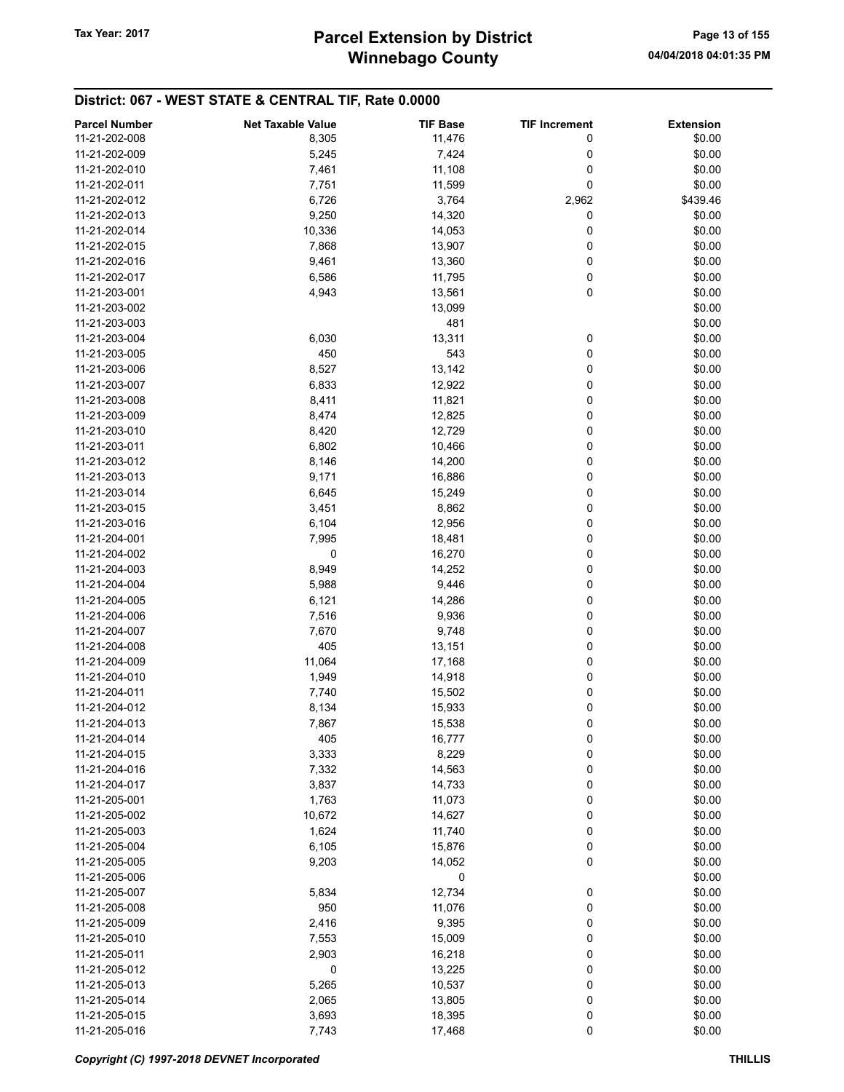| <b>Parcel Number</b> | <b>Net Taxable Value</b> | <b>TIF Base</b> | <b>TIF Increment</b> | <b>Extension</b> |
|----------------------|--------------------------|-----------------|----------------------|------------------|
| 11-21-202-008        | 8,305                    | 11,476          | 0                    | \$0.00           |
| 11-21-202-009        | 5,245                    | 7,424           | 0                    | \$0.00           |
| 11-21-202-010        | 7,461                    | 11,108          | 0                    | \$0.00           |
| 11-21-202-011        | 7,751                    | 11,599          | 0                    | \$0.00           |
|                      |                          |                 |                      |                  |
| 11-21-202-012        | 6,726                    | 3,764           | 2,962                | \$439.46         |
| 11-21-202-013        | 9,250                    | 14,320          | 0                    | \$0.00           |
| 11-21-202-014        | 10,336                   | 14,053          | 0                    | \$0.00           |
| 11-21-202-015        | 7,868                    | 13,907          | 0                    | \$0.00           |
| 11-21-202-016        | 9,461                    | 13,360          | 0                    | \$0.00           |
| 11-21-202-017        | 6,586                    | 11,795          | 0                    | \$0.00           |
| 11-21-203-001        | 4,943                    | 13,561          | 0                    | \$0.00           |
| 11-21-203-002        |                          | 13,099          |                      | \$0.00           |
| 11-21-203-003        |                          | 481             |                      | \$0.00           |
| 11-21-203-004        | 6,030                    | 13,311          | 0                    | \$0.00           |
| 11-21-203-005        | 450                      | 543             | 0                    | \$0.00           |
| 11-21-203-006        | 8,527                    | 13,142          | 0                    | \$0.00           |
| 11-21-203-007        | 6,833                    | 12,922          | 0                    | \$0.00           |
| 11-21-203-008        | 8,411                    | 11,821          | 0                    | \$0.00           |
| 11-21-203-009        |                          |                 | 0                    | \$0.00           |
|                      | 8,474                    | 12,825          |                      |                  |
| 11-21-203-010        | 8,420                    | 12,729          | 0                    | \$0.00           |
| 11-21-203-011        | 6,802                    | 10,466          | 0                    | \$0.00           |
| 11-21-203-012        | 8,146                    | 14,200          | 0                    | \$0.00           |
| 11-21-203-013        | 9,171                    | 16,886          | 0                    | \$0.00           |
| 11-21-203-014        | 6,645                    | 15,249          | 0                    | \$0.00           |
| 11-21-203-015        | 3,451                    | 8,862           | 0                    | \$0.00           |
| 11-21-203-016        | 6,104                    | 12,956          | 0                    | \$0.00           |
| 11-21-204-001        | 7,995                    | 18,481          | 0                    | \$0.00           |
| 11-21-204-002        | 0                        | 16,270          | 0                    | \$0.00           |
| 11-21-204-003        | 8,949                    | 14,252          | 0                    | \$0.00           |
| 11-21-204-004        | 5,988                    | 9,446           | 0                    | \$0.00           |
| 11-21-204-005        | 6,121                    | 14,286          | 0                    | \$0.00           |
| 11-21-204-006        | 7,516                    | 9,936           | 0                    | \$0.00           |
| 11-21-204-007        | 7,670                    | 9,748           | 0                    | \$0.00           |
| 11-21-204-008        | 405                      | 13,151          | 0                    | \$0.00           |
| 11-21-204-009        |                          |                 | 0                    | \$0.00           |
|                      | 11,064                   | 17,168          | 0                    | \$0.00           |
| 11-21-204-010        | 1,949                    | 14,918          |                      |                  |
| 11-21-204-011        | 7,740                    | 15,502          | 0                    | \$0.00           |
| 11-21-204-012        | 8,134                    | 15,933          | 0                    | \$0.00           |
| 11-21-204-013        | 7,867                    | 15,538          | 0                    | \$0.00           |
| 11-21-204-014        | 405                      | 16,777          | 0                    | \$0.00           |
| 11-21-204-015        | 3,333                    | 8,229           | 0                    | \$0.00           |
| 11-21-204-016        | 7,332                    | 14,563          | 0                    | \$0.00           |
| 11-21-204-017        | 3,837                    | 14,733          | 0                    | \$0.00           |
| 11-21-205-001        | 1,763                    | 11,073          | 0                    | \$0.00           |
| 11-21-205-002        | 10,672                   | 14,627          | 0                    | \$0.00           |
| 11-21-205-003        | 1,624                    | 11,740          | 0                    | \$0.00           |
| 11-21-205-004        | 6,105                    | 15,876          | 0                    | \$0.00           |
| 11-21-205-005        | 9,203                    | 14,052          | 0                    | \$0.00           |
| 11-21-205-006        |                          | 0               |                      | \$0.00           |
| 11-21-205-007        | 5,834                    | 12,734          | 0                    | \$0.00           |
| 11-21-205-008        | 950                      | 11,076          | 0                    | \$0.00           |
| 11-21-205-009        |                          | 9,395           |                      | \$0.00           |
|                      | 2,416                    |                 | 0                    |                  |
| 11-21-205-010        | 7,553                    | 15,009          | 0                    | \$0.00           |
| 11-21-205-011        | 2,903                    | 16,218          | 0                    | \$0.00           |
| 11-21-205-012        | 0                        | 13,225          | 0                    | \$0.00           |
| 11-21-205-013        | 5,265                    | 10,537          | 0                    | \$0.00           |
| 11-21-205-014        | 2,065                    | 13,805          | 0                    | \$0.00           |
| 11-21-205-015        | 3,693                    | 18,395          | 0                    | \$0.00           |
| 11-21-205-016        | 7,743                    | 17,468          | 0                    | \$0.00           |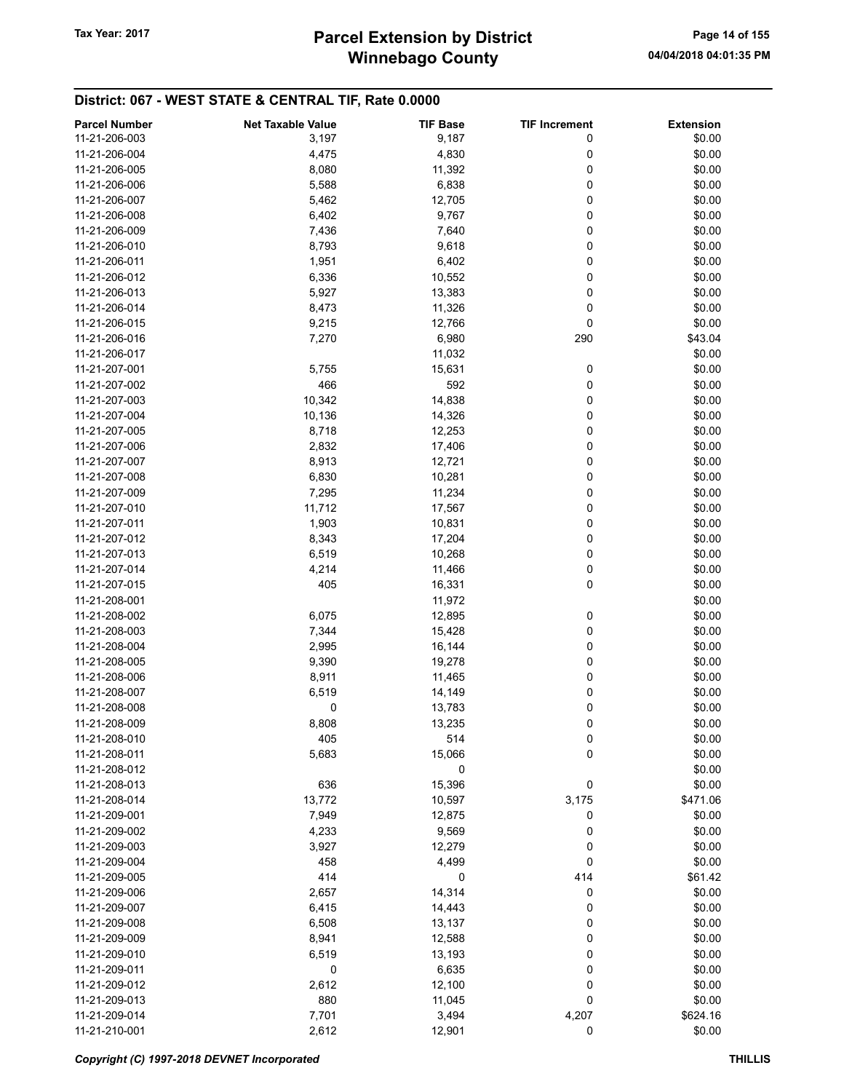| <b>Parcel Number</b> | <b>Net Taxable Value</b> | <b>TIF Base</b> | <b>TIF Increment</b> | <b>Extension</b> |
|----------------------|--------------------------|-----------------|----------------------|------------------|
| 11-21-206-003        | 3,197                    | 9,187           | 0                    | \$0.00           |
| 11-21-206-004        | 4,475                    | 4,830           | 0                    | \$0.00           |
| 11-21-206-005        |                          |                 | 0                    |                  |
|                      | 8,080                    | 11,392          |                      | \$0.00           |
| 11-21-206-006        | 5,588                    | 6,838           | 0                    | \$0.00           |
| 11-21-206-007        | 5,462                    | 12,705          | 0                    | \$0.00           |
| 11-21-206-008        | 6,402                    | 9,767           | 0                    | \$0.00           |
| 11-21-206-009        | 7,436                    | 7,640           | 0                    | \$0.00           |
| 11-21-206-010        | 8,793                    | 9,618           | 0                    | \$0.00           |
| 11-21-206-011        | 1,951                    | 6,402           | 0                    | \$0.00           |
| 11-21-206-012        | 6,336                    | 10,552          | 0                    | \$0.00           |
| 11-21-206-013        | 5,927                    | 13,383          | 0                    | \$0.00           |
| 11-21-206-014        | 8,473                    | 11,326          | 0                    | \$0.00           |
| 11-21-206-015        | 9,215                    | 12,766          | 0                    | \$0.00           |
| 11-21-206-016        | 7,270                    | 6,980           | 290                  | \$43.04          |
| 11-21-206-017        |                          | 11,032          |                      | \$0.00           |
| 11-21-207-001        | 5,755                    | 15,631          | 0                    | \$0.00           |
| 11-21-207-002        | 466                      | 592             | 0                    | \$0.00           |
| 11-21-207-003        | 10,342                   | 14,838          | 0                    | \$0.00           |
| 11-21-207-004        | 10,136                   | 14,326          | 0                    | \$0.00           |
| 11-21-207-005        | 8,718                    | 12,253          | 0                    | \$0.00           |
| 11-21-207-006        | 2,832                    | 17,406          | 0                    | \$0.00           |
| 11-21-207-007        |                          |                 | 0                    | \$0.00           |
|                      | 8,913                    | 12,721          |                      |                  |
| 11-21-207-008        | 6,830                    | 10,281          | 0                    | \$0.00           |
| 11-21-207-009        | 7,295                    | 11,234          | 0                    | \$0.00           |
| 11-21-207-010        | 11,712                   | 17,567          | 0                    | \$0.00           |
| 11-21-207-011        | 1,903                    | 10,831          | 0                    | \$0.00           |
| 11-21-207-012        | 8,343                    | 17,204          | 0                    | \$0.00           |
| 11-21-207-013        | 6,519                    | 10,268          | 0                    | \$0.00           |
| 11-21-207-014        | 4,214                    | 11,466          | 0                    | \$0.00           |
| 11-21-207-015        | 405                      | 16,331          | 0                    | \$0.00           |
| 11-21-208-001        |                          | 11,972          |                      | \$0.00           |
| 11-21-208-002        | 6,075                    | 12,895          | 0                    | \$0.00           |
| 11-21-208-003        | 7,344                    | 15,428          | 0                    | \$0.00           |
| 11-21-208-004        | 2,995                    | 16,144          | 0                    | \$0.00           |
| 11-21-208-005        | 9,390                    | 19,278          | 0                    | \$0.00           |
| 11-21-208-006        | 8,911                    | 11,465          | 0                    | \$0.00           |
| 11-21-208-007        | 6,519                    | 14,149          | 0                    | \$0.00           |
| 11-21-208-008        | 0                        | 13,783          | 0                    | \$0.00           |
| 11-21-208-009        | 8,808                    | 13,235          | 0                    | \$0.00           |
| 11-21-208-010        | 405                      | 514             | 0                    | \$0.00           |
| 11-21-208-011        | 5,683                    | 15,066          | 0                    | \$0.00           |
| 11-21-208-012        |                          | 0               |                      | \$0.00           |
| 11-21-208-013        |                          |                 |                      | \$0.00           |
|                      | 636                      | 15,396          | 0                    |                  |
| 11-21-208-014        | 13,772                   | 10,597          | 3,175                | \$471.06         |
| 11-21-209-001        | 7,949                    | 12,875          | 0                    | \$0.00           |
| 11-21-209-002        | 4,233                    | 9,569           | 0                    | \$0.00           |
| 11-21-209-003        | 3,927                    | 12,279          | 0                    | \$0.00           |
| 11-21-209-004        | 458                      | 4,499           | 0                    | \$0.00           |
| 11-21-209-005        | 414                      | 0               | 414                  | \$61.42          |
| 11-21-209-006        | 2,657                    | 14,314          | 0                    | \$0.00           |
| 11-21-209-007        | 6,415                    | 14,443          | 0                    | \$0.00           |
| 11-21-209-008        | 6,508                    | 13,137          | 0                    | \$0.00           |
| 11-21-209-009        | 8,941                    | 12,588          | 0                    | \$0.00           |
| 11-21-209-010        | 6,519                    | 13,193          | 0                    | \$0.00           |
| 11-21-209-011        | 0                        | 6,635           | 0                    | \$0.00           |
| 11-21-209-012        | 2,612                    | 12,100          | 0                    | \$0.00           |
| 11-21-209-013        | 880                      | 11,045          | 0                    | \$0.00           |
| 11-21-209-014        | 7,701                    | 3,494           | 4,207                | \$624.16         |
| 11-21-210-001        | 2,612                    | 12,901          | 0                    | \$0.00           |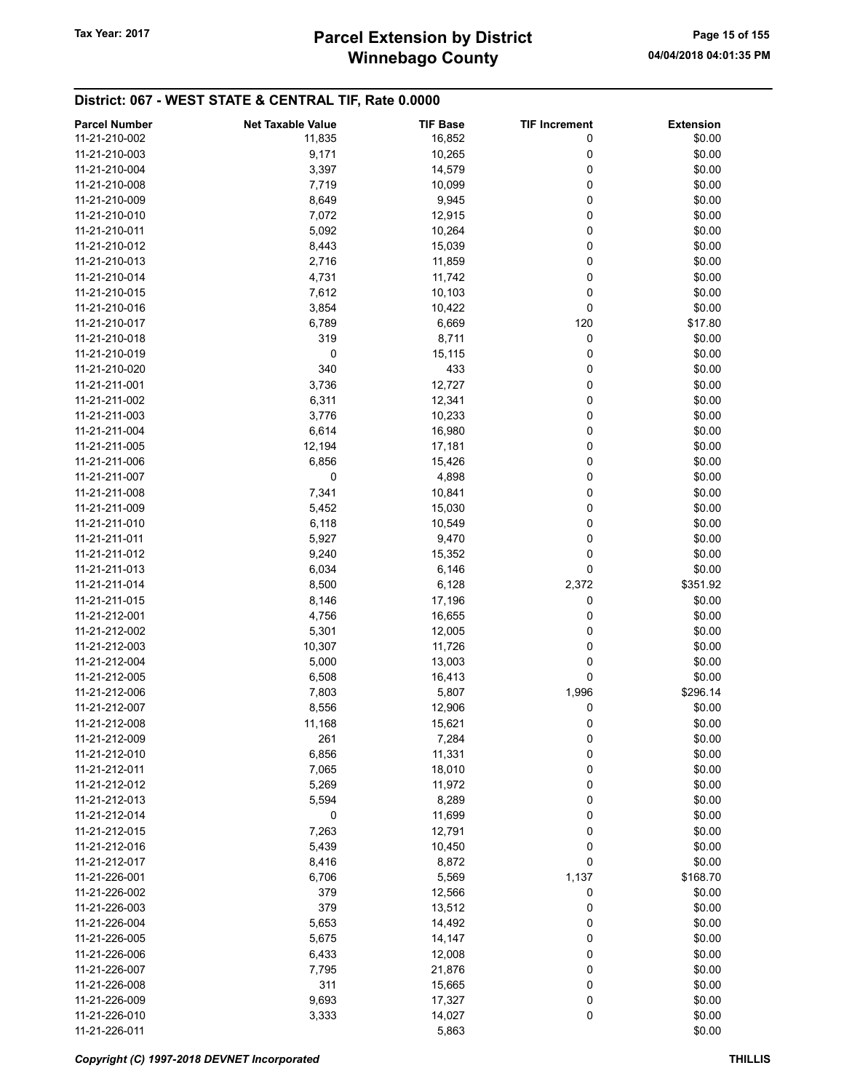# Winnebago County Tax Year: 2017 **Parcel Extension by District** Page 15 of 155

| <b>Parcel Number</b> | <b>Net Taxable Value</b> | <b>TIF Base</b> | <b>TIF Increment</b> | <b>Extension</b> |
|----------------------|--------------------------|-----------------|----------------------|------------------|
| 11-21-210-002        | 11,835                   | 16,852          | 0                    | \$0.00           |
| 11-21-210-003        | 9,171                    | 10,265          | 0                    | \$0.00           |
| 11-21-210-004        | 3,397                    | 14,579          | 0                    | \$0.00           |
| 11-21-210-008        | 7,719                    | 10,099          | 0                    | \$0.00           |
| 11-21-210-009        |                          |                 | 0                    | \$0.00           |
|                      | 8,649                    | 9,945           |                      |                  |
| 11-21-210-010        | 7,072                    | 12,915          | 0                    | \$0.00           |
| 11-21-210-011        | 5,092                    | 10,264          | 0                    | \$0.00           |
| 11-21-210-012        | 8,443                    | 15,039          | 0                    | \$0.00           |
| 11-21-210-013        | 2,716                    | 11,859          | 0                    | \$0.00           |
| 11-21-210-014        | 4,731                    | 11,742          | 0                    | \$0.00           |
| 11-21-210-015        | 7,612                    | 10,103          | 0                    | \$0.00           |
| 11-21-210-016        | 3,854                    | 10,422          | 0                    | \$0.00           |
| 11-21-210-017        | 6,789                    | 6,669           | 120                  | \$17.80          |
| 11-21-210-018        | 319                      | 8,711           | 0                    | \$0.00           |
| 11-21-210-019        | 0                        | 15,115          | 0                    | \$0.00           |
| 11-21-210-020        | 340                      | 433             | 0                    | \$0.00           |
| 11-21-211-001        | 3,736                    | 12,727          | 0                    | \$0.00           |
| 11-21-211-002        | 6,311                    | 12,341          | 0                    | \$0.00           |
| 11-21-211-003        | 3,776                    | 10,233          | 0                    | \$0.00           |
|                      |                          |                 | 0                    |                  |
| 11-21-211-004        | 6,614                    | 16,980          |                      | \$0.00           |
| 11-21-211-005        | 12,194                   | 17,181          | 0                    | \$0.00           |
| 11-21-211-006        | 6,856                    | 15,426          | 0                    | \$0.00           |
| 11-21-211-007        | 0                        | 4,898           | 0                    | \$0.00           |
| 11-21-211-008        | 7,341                    | 10,841          | 0                    | \$0.00           |
| 11-21-211-009        | 5,452                    | 15,030          | 0                    | \$0.00           |
| 11-21-211-010        | 6,118                    | 10,549          | 0                    | \$0.00           |
| 11-21-211-011        | 5,927                    | 9,470           | 0                    | \$0.00           |
| 11-21-211-012        | 9,240                    | 15,352          | 0                    | \$0.00           |
| 11-21-211-013        | 6,034                    | 6,146           | 0                    | \$0.00           |
| 11-21-211-014        | 8,500                    | 6,128           | 2,372                | \$351.92         |
| 11-21-211-015        | 8,146                    | 17,196          | 0                    | \$0.00           |
| 11-21-212-001        | 4,756                    | 16,655          | 0                    | \$0.00           |
| 11-21-212-002        | 5,301                    | 12,005          | 0                    | \$0.00           |
| 11-21-212-003        | 10,307                   | 11,726          | 0                    | \$0.00           |
| 11-21-212-004        | 5,000                    | 13,003          | 0                    | \$0.00           |
| 11-21-212-005        |                          |                 | 0                    |                  |
|                      | 6,508                    | 16,413          |                      | \$0.00           |
| 11-21-212-006        | 7,803                    | 5,807           | 1,996                | \$296.14         |
| 11-21-212-007        | 8,556                    | 12,906          | 0                    | \$0.00           |
| 11-21-212-008        | 11,168                   | 15,621          | 0                    | \$0.00           |
| 11-21-212-009        | 261                      | 7,284           | 0                    | \$0.00           |
| 11-21-212-010        | 6,856                    | 11,331          | 0                    | \$0.00           |
| 11-21-212-011        | 7,065                    | 18,010          | 0                    | \$0.00           |
| 11-21-212-012        | 5,269                    | 11,972          | 0                    | \$0.00           |
| 11-21-212-013        | 5,594                    | 8,289           | 0                    | \$0.00           |
| 11-21-212-014        | 0                        | 11,699          | 0                    | \$0.00           |
| 11-21-212-015        | 7,263                    | 12,791          | 0                    | \$0.00           |
| 11-21-212-016        | 5,439                    | 10,450          | 0                    | \$0.00           |
| 11-21-212-017        | 8,416                    | 8,872           | 0                    | \$0.00           |
| 11-21-226-001        | 6,706                    | 5,569           | 1,137                | \$168.70         |
| 11-21-226-002        | 379                      | 12,566          | 0                    | \$0.00           |
|                      |                          |                 |                      |                  |
| 11-21-226-003        | 379                      | 13,512          | 0                    | \$0.00           |
| 11-21-226-004        | 5,653                    | 14,492          | 0                    | \$0.00           |
| 11-21-226-005        | 5,675                    | 14,147          | 0                    | \$0.00           |
| 11-21-226-006        | 6,433                    | 12,008          | 0                    | \$0.00           |
| 11-21-226-007        | 7,795                    | 21,876          | 0                    | \$0.00           |
| 11-21-226-008        | 311                      | 15,665          | 0                    | \$0.00           |
| 11-21-226-009        | 9,693                    | 17,327          | 0                    | \$0.00           |
| 11-21-226-010        | 3,333                    | 14,027          | 0                    | \$0.00           |
| 11-21-226-011        |                          | 5,863           |                      | \$0.00           |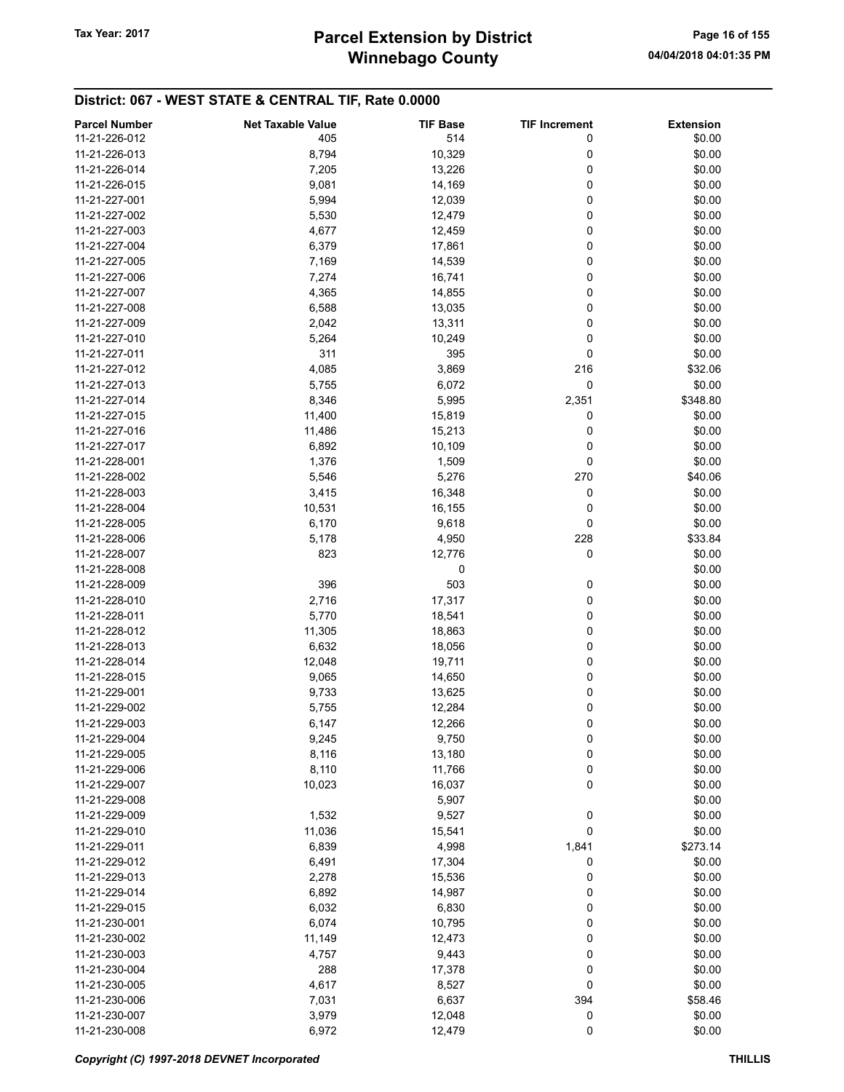| <b>Parcel Number</b> | <b>Net Taxable Value</b> | <b>TIF Base</b> | <b>TIF Increment</b> | <b>Extension</b> |
|----------------------|--------------------------|-----------------|----------------------|------------------|
| 11-21-226-012        | 405                      | 514             | 0                    | \$0.00           |
| 11-21-226-013        | 8,794                    | 10,329          | 0                    | \$0.00           |
| 11-21-226-014        | 7,205                    | 13,226          | 0                    | \$0.00           |
| 11-21-226-015        | 9,081                    | 14,169          | 0                    | \$0.00           |
| 11-21-227-001        |                          |                 | 0                    | \$0.00           |
|                      | 5,994                    | 12,039          |                      |                  |
| 11-21-227-002        | 5,530                    | 12,479          | 0                    | \$0.00           |
| 11-21-227-003        | 4,677                    | 12,459          | 0                    | \$0.00           |
| 11-21-227-004        | 6,379                    | 17,861          | 0                    | \$0.00           |
| 11-21-227-005        | 7,169                    | 14,539          | 0                    | \$0.00           |
| 11-21-227-006        | 7,274                    | 16,741          | 0                    | \$0.00           |
| 11-21-227-007        | 4,365                    | 14,855          | 0                    | \$0.00           |
| 11-21-227-008        | 6,588                    | 13,035          | 0                    | \$0.00           |
| 11-21-227-009        | 2,042                    | 13,311          | 0                    | \$0.00           |
| 11-21-227-010        | 5,264                    | 10,249          | 0                    | \$0.00           |
| 11-21-227-011        | 311                      | 395             | 0                    | \$0.00           |
| 11-21-227-012        | 4,085                    | 3,869           | 216                  | \$32.06          |
| 11-21-227-013        | 5,755                    | 6,072           | 0                    | \$0.00           |
| 11-21-227-014        | 8,346                    | 5,995           | 2,351                | \$348.80         |
| 11-21-227-015        | 11,400                   | 15,819          | 0                    | \$0.00           |
| 11-21-227-016        | 11,486                   | 15,213          | 0                    | \$0.00           |
| 11-21-227-017        | 6,892                    | 10,109          | 0                    | \$0.00           |
| 11-21-228-001        | 1,376                    | 1,509           | 0                    | \$0.00           |
| 11-21-228-002        | 5,546                    | 5,276           | 270                  | \$40.06          |
| 11-21-228-003        | 3,415                    | 16,348          | 0                    | \$0.00           |
|                      |                          |                 | 0                    |                  |
| 11-21-228-004        | 10,531                   | 16,155          |                      | \$0.00           |
| 11-21-228-005        | 6,170                    | 9,618           | 0                    | \$0.00           |
| 11-21-228-006        | 5,178                    | 4,950           | 228                  | \$33.84          |
| 11-21-228-007        | 823                      | 12,776          | 0                    | \$0.00           |
| 11-21-228-008        |                          | 0               |                      | \$0.00           |
| 11-21-228-009        | 396                      | 503             | 0                    | \$0.00           |
| 11-21-228-010        | 2,716                    | 17,317          | 0                    | \$0.00           |
| 11-21-228-011        | 5,770                    | 18,541          | 0                    | \$0.00           |
| 11-21-228-012        | 11,305                   | 18,863          | 0                    | \$0.00           |
| 11-21-228-013        | 6,632                    | 18,056          | 0                    | \$0.00           |
| 11-21-228-014        | 12,048                   | 19,711          | 0                    | \$0.00           |
| 11-21-228-015        | 9,065                    | 14,650          | 0                    | \$0.00           |
| 11-21-229-001        | 9,733                    | 13,625          | 0                    | \$0.00           |
| 11-21-229-002        | 5,755                    | 12,284          | 0                    | \$0.00           |
| 11-21-229-003        | 6,147                    | 12,266          | 0                    | \$0.00           |
| 11-21-229-004        | 9,245                    | 9,750           | 0                    | \$0.00           |
| 11-21-229-005        | 8,116                    | 13,180          | 0                    | \$0.00           |
| 11-21-229-006        | 8,110                    | 11,766          | 0                    | \$0.00           |
| 11-21-229-007        | 10,023                   | 16,037          | 0                    | \$0.00           |
| 11-21-229-008        |                          | 5,907           |                      | \$0.00           |
| 11-21-229-009        | 1,532                    | 9,527           | 0                    | \$0.00           |
| 11-21-229-010        | 11,036                   | 15,541          | 0                    | \$0.00           |
| 11-21-229-011        |                          |                 |                      | \$273.14         |
|                      | 6,839                    | 4,998           | 1,841                | \$0.00           |
| 11-21-229-012        | 6,491                    | 17,304          | 0                    |                  |
| 11-21-229-013        | 2,278                    | 15,536          | 0                    | \$0.00           |
| 11-21-229-014        | 6,892                    | 14,987          | 0                    | \$0.00           |
| 11-21-229-015        | 6,032                    | 6,830           | 0                    | \$0.00           |
| 11-21-230-001        | 6,074                    | 10,795          | 0                    | \$0.00           |
| 11-21-230-002        | 11,149                   | 12,473          | 0                    | \$0.00           |
| 11-21-230-003        | 4,757                    | 9,443           | 0                    | \$0.00           |
| 11-21-230-004        | 288                      | 17,378          | 0                    | \$0.00           |
| 11-21-230-005        | 4,617                    | 8,527           | 0                    | \$0.00           |
| 11-21-230-006        | 7,031                    | 6,637           | 394                  | \$58.46          |
| 11-21-230-007        | 3,979                    | 12,048          | 0                    | \$0.00           |
| 11-21-230-008        | 6,972                    | 12,479          | 0                    | \$0.00           |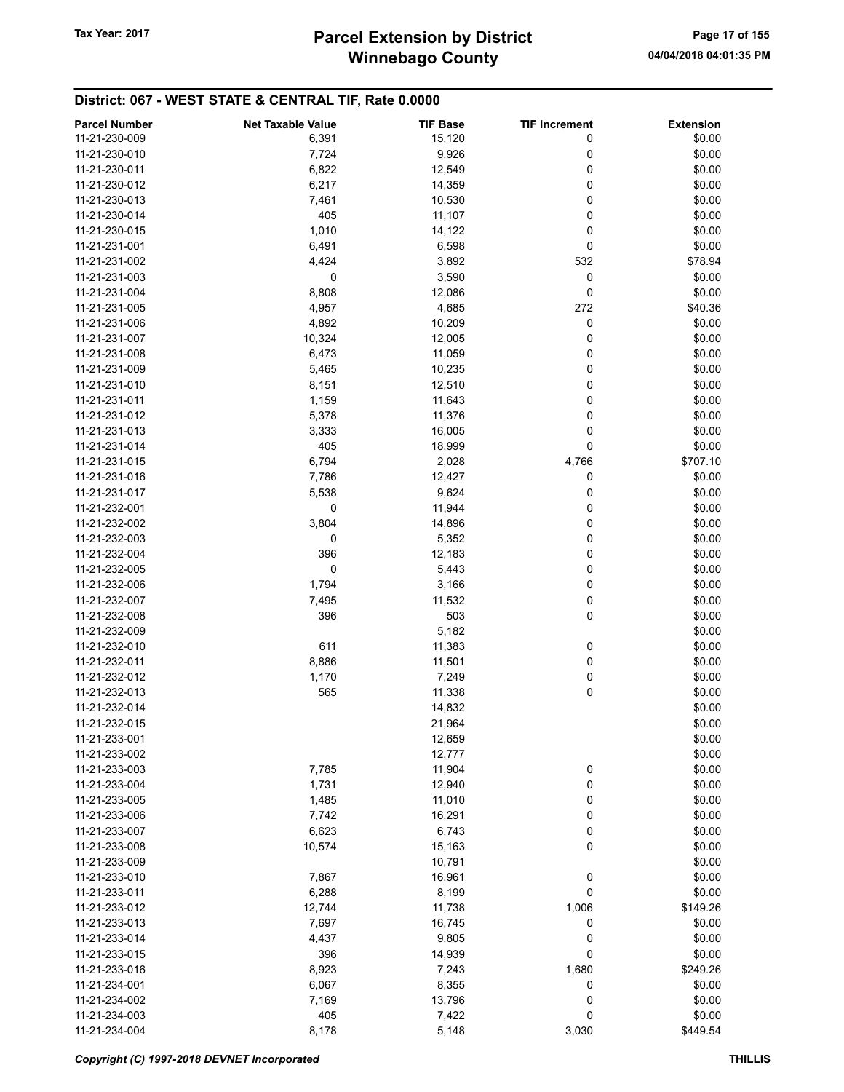# Winnebago County Tax Year: 2017 **Parcel Extension by District** Page 17 of 155

| <b>Parcel Number</b> | <b>Net Taxable Value</b> | <b>TIF Base</b> | <b>TIF Increment</b> | <b>Extension</b> |
|----------------------|--------------------------|-----------------|----------------------|------------------|
| 11-21-230-009        | 6,391                    | 15,120          | 0                    | \$0.00           |
| 11-21-230-010        | 7,724                    | 9,926           | 0                    | \$0.00           |
| 11-21-230-011        | 6,822                    | 12,549          | 0                    | \$0.00           |
| 11-21-230-012        | 6,217                    | 14,359          | 0                    | \$0.00           |
| 11-21-230-013        |                          |                 | 0                    | \$0.00           |
|                      | 7,461                    | 10,530          |                      |                  |
| 11-21-230-014        | 405                      | 11,107          | 0                    | \$0.00           |
| 11-21-230-015        | 1,010                    | 14,122          | 0                    | \$0.00           |
| 11-21-231-001        | 6,491                    | 6,598           | 0                    | \$0.00           |
| 11-21-231-002        | 4,424                    | 3,892           | 532                  | \$78.94          |
| 11-21-231-003        | 0                        | 3,590           | 0                    | \$0.00           |
| 11-21-231-004        | 8,808                    | 12,086          | 0                    | \$0.00           |
| 11-21-231-005        | 4,957                    | 4,685           | 272                  | \$40.36          |
| 11-21-231-006        | 4,892                    | 10,209          | 0                    | \$0.00           |
| 11-21-231-007        | 10,324                   | 12,005          | 0                    | \$0.00           |
| 11-21-231-008        | 6,473                    | 11,059          | 0                    | \$0.00           |
| 11-21-231-009        | 5,465                    | 10,235          | 0                    | \$0.00           |
| 11-21-231-010        | 8,151                    | 12,510          | 0                    | \$0.00           |
| 11-21-231-011        |                          |                 | 0                    | \$0.00           |
|                      | 1,159                    | 11,643          |                      |                  |
| 11-21-231-012        | 5,378                    | 11,376          | 0                    | \$0.00           |
| 11-21-231-013        | 3,333                    | 16,005          | 0                    | \$0.00           |
| 11-21-231-014        | 405                      | 18,999          | 0                    | \$0.00           |
| 11-21-231-015        | 6,794                    | 2,028           | 4,766                | \$707.10         |
| 11-21-231-016        | 7,786                    | 12,427          | 0                    | \$0.00           |
| 11-21-231-017        | 5,538                    | 9,624           | 0                    | \$0.00           |
| 11-21-232-001        | 0                        | 11,944          | 0                    | \$0.00           |
| 11-21-232-002        | 3,804                    | 14,896          | 0                    | \$0.00           |
| 11-21-232-003        | 0                        | 5,352           | 0                    | \$0.00           |
| 11-21-232-004        | 396                      | 12,183          | 0                    | \$0.00           |
| 11-21-232-005        | 0                        | 5,443           | 0                    | \$0.00           |
| 11-21-232-006        | 1,794                    | 3,166           | 0                    | \$0.00           |
|                      |                          |                 |                      |                  |
| 11-21-232-007        | 7,495                    | 11,532          | 0                    | \$0.00           |
| 11-21-232-008        | 396                      | 503             | 0                    | \$0.00           |
| 11-21-232-009        |                          | 5,182           |                      | \$0.00           |
| 11-21-232-010        | 611                      | 11,383          | 0                    | \$0.00           |
| 11-21-232-011        | 8,886                    | 11,501          | 0                    | \$0.00           |
| 11-21-232-012        | 1,170                    | 7,249           | 0                    | \$0.00           |
| 11-21-232-013        | 565                      | 11,338          | 0                    | \$0.00           |
| 11-21-232-014        |                          | 14,832          |                      | \$0.00           |
| 11-21-232-015        |                          | 21,964          |                      | \$0.00           |
| 11-21-233-001        |                          | 12,659          |                      | \$0.00           |
| 11-21-233-002        |                          | 12,777          |                      | \$0.00           |
| 11-21-233-003        | 7,785                    | 11,904          | 0                    | \$0.00           |
| 11-21-233-004        | 1,731                    | 12,940          | 0                    | \$0.00           |
| 11-21-233-005        | 1,485                    | 11,010          | 0                    | \$0.00           |
|                      |                          |                 | 0                    | \$0.00           |
| 11-21-233-006        | 7,742                    | 16,291          |                      |                  |
| 11-21-233-007        | 6,623                    | 6,743           | 0                    | \$0.00           |
| 11-21-233-008        | 10,574                   | 15,163          | 0                    | \$0.00           |
| 11-21-233-009        |                          | 10,791          |                      | \$0.00           |
| 11-21-233-010        | 7,867                    | 16,961          | 0                    | \$0.00           |
| 11-21-233-011        | 6,288                    | 8,199           | 0                    | \$0.00           |
| 11-21-233-012        | 12,744                   | 11,738          | 1,006                | \$149.26         |
| 11-21-233-013        | 7,697                    | 16,745          | 0                    | \$0.00           |
| 11-21-233-014        | 4,437                    | 9,805           | 0                    | \$0.00           |
| 11-21-233-015        | 396                      | 14,939          | 0                    | \$0.00           |
| 11-21-233-016        | 8,923                    | 7,243           | 1,680                | \$249.26         |
| 11-21-234-001        | 6,067                    | 8,355           | 0                    | \$0.00           |
| 11-21-234-002        | 7,169                    | 13,796          | 0                    | \$0.00           |
| 11-21-234-003        | 405                      | 7,422           | 0                    | \$0.00           |
| 11-21-234-004        | 8,178                    | 5,148           | 3,030                | \$449.54         |
|                      |                          |                 |                      |                  |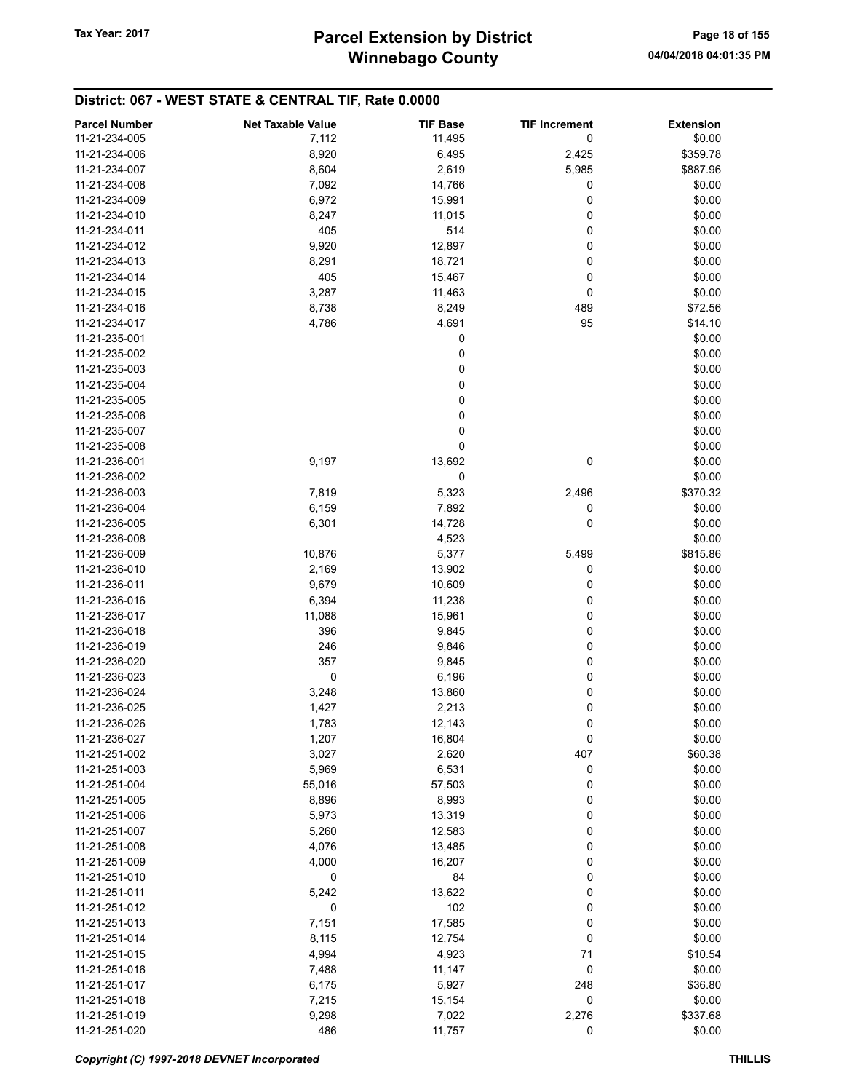# Winnebago County Tax Year: 2017 **Parcel Extension by District** Page 18 of 155

| <b>Parcel Number</b> | <b>Net Taxable Value</b> | <b>TIF Base</b> | <b>TIF Increment</b> | <b>Extension</b> |
|----------------------|--------------------------|-----------------|----------------------|------------------|
| 11-21-234-005        | 7,112                    | 11,495          | 0                    | \$0.00           |
| 11-21-234-006        | 8,920                    | 6,495           | 2,425                | \$359.78         |
| 11-21-234-007        | 8,604                    | 2,619           | 5,985                | \$887.96         |
| 11-21-234-008        | 7,092                    | 14,766          | 0                    | \$0.00           |
|                      |                          |                 |                      |                  |
| 11-21-234-009        | 6,972                    | 15,991          | 0                    | \$0.00           |
| 11-21-234-010        | 8,247                    | 11,015          | 0                    | \$0.00           |
| 11-21-234-011        | 405                      | 514             | 0                    | \$0.00           |
| 11-21-234-012        | 9,920                    | 12,897          | 0                    | \$0.00           |
| 11-21-234-013        | 8,291                    | 18,721          | 0                    | \$0.00           |
| 11-21-234-014        | 405                      | 15,467          | 0                    | \$0.00           |
| 11-21-234-015        | 3,287                    | 11,463          | 0                    | \$0.00           |
| 11-21-234-016        | 8,738                    | 8,249           | 489                  | \$72.56          |
| 11-21-234-017        | 4,786                    | 4,691           | 95                   | \$14.10          |
| 11-21-235-001        |                          | 0               |                      | \$0.00           |
| 11-21-235-002        |                          | 0               |                      | \$0.00           |
| 11-21-235-003        |                          | $\mathbf 0$     |                      | \$0.00           |
| 11-21-235-004        |                          | 0               |                      | \$0.00           |
| 11-21-235-005        |                          | 0               |                      | \$0.00           |
|                      |                          |                 |                      |                  |
| 11-21-235-006        |                          | 0               |                      | \$0.00           |
| 11-21-235-007        |                          | 0               |                      | \$0.00           |
| 11-21-235-008        |                          | 0               |                      | \$0.00           |
| 11-21-236-001        | 9,197                    | 13,692          | 0                    | \$0.00           |
| 11-21-236-002        |                          | 0               |                      | \$0.00           |
| 11-21-236-003        | 7,819                    | 5,323           | 2,496                | \$370.32         |
| 11-21-236-004        | 6,159                    | 7,892           | 0                    | \$0.00           |
| 11-21-236-005        | 6,301                    | 14,728          | 0                    | \$0.00           |
| 11-21-236-008        |                          | 4,523           |                      | \$0.00           |
| 11-21-236-009        | 10,876                   | 5,377           | 5,499                | \$815.86         |
| 11-21-236-010        | 2,169                    | 13,902          | 0                    | \$0.00           |
| 11-21-236-011        | 9,679                    | 10,609          | 0                    | \$0.00           |
| 11-21-236-016        | 6,394                    | 11,238          | 0                    | \$0.00           |
| 11-21-236-017        | 11,088                   | 15,961          | 0                    | \$0.00           |
| 11-21-236-018        | 396                      | 9,845           | 0                    | \$0.00           |
| 11-21-236-019        | 246                      |                 | 0                    | \$0.00           |
|                      |                          | 9,846           |                      |                  |
| 11-21-236-020        | 357                      | 9,845           | 0                    | \$0.00           |
| 11-21-236-023        | 0                        | 6,196           | 0                    | \$0.00           |
| 11-21-236-024        | 3,248                    | 13,860          | 0                    | \$0.00           |
| 11-21-236-025        | 1,427                    | 2,213           | 0                    | \$0.00           |
| 11-21-236-026        | 1,783                    | 12,143          | 0                    | \$0.00           |
| 11-21-236-027        | 1,207                    | 16,804          | 0                    | \$0.00           |
| 11-21-251-002        | 3,027                    | 2,620           | 407                  | \$60.38          |
| 11-21-251-003        | 5,969                    | 6,531           | 0                    | \$0.00           |
| 11-21-251-004        | 55,016                   | 57,503          | 0                    | \$0.00           |
| 11-21-251-005        | 8,896                    | 8,993           | 0                    | \$0.00           |
| 11-21-251-006        | 5,973                    | 13,319          | 0                    | \$0.00           |
| 11-21-251-007        | 5,260                    | 12,583          | 0                    | \$0.00           |
| 11-21-251-008        | 4,076                    | 13,485          | 0                    | \$0.00           |
| 11-21-251-009        | 4,000                    | 16,207          | 0                    | \$0.00           |
| 11-21-251-010        | 0                        | 84              | 0                    | \$0.00           |
| 11-21-251-011        |                          |                 | 0                    | \$0.00           |
|                      | 5,242                    | 13,622          |                      |                  |
| 11-21-251-012        | 0                        | 102             | 0                    | \$0.00           |
| 11-21-251-013        | 7,151                    | 17,585          | 0                    | \$0.00           |
| 11-21-251-014        | 8,115                    | 12,754          | 0                    | \$0.00           |
| 11-21-251-015        | 4,994                    | 4,923           | 71                   | \$10.54          |
| 11-21-251-016        | 7,488                    | 11,147          | 0                    | \$0.00           |
| 11-21-251-017        | 6,175                    | 5,927           | 248                  | \$36.80          |
| 11-21-251-018        | 7,215                    | 15,154          | 0                    | \$0.00           |
| 11-21-251-019        | 9,298                    | 7,022           | 2,276                | \$337.68         |
| 11-21-251-020        | 486                      | 11,757          | 0                    | \$0.00           |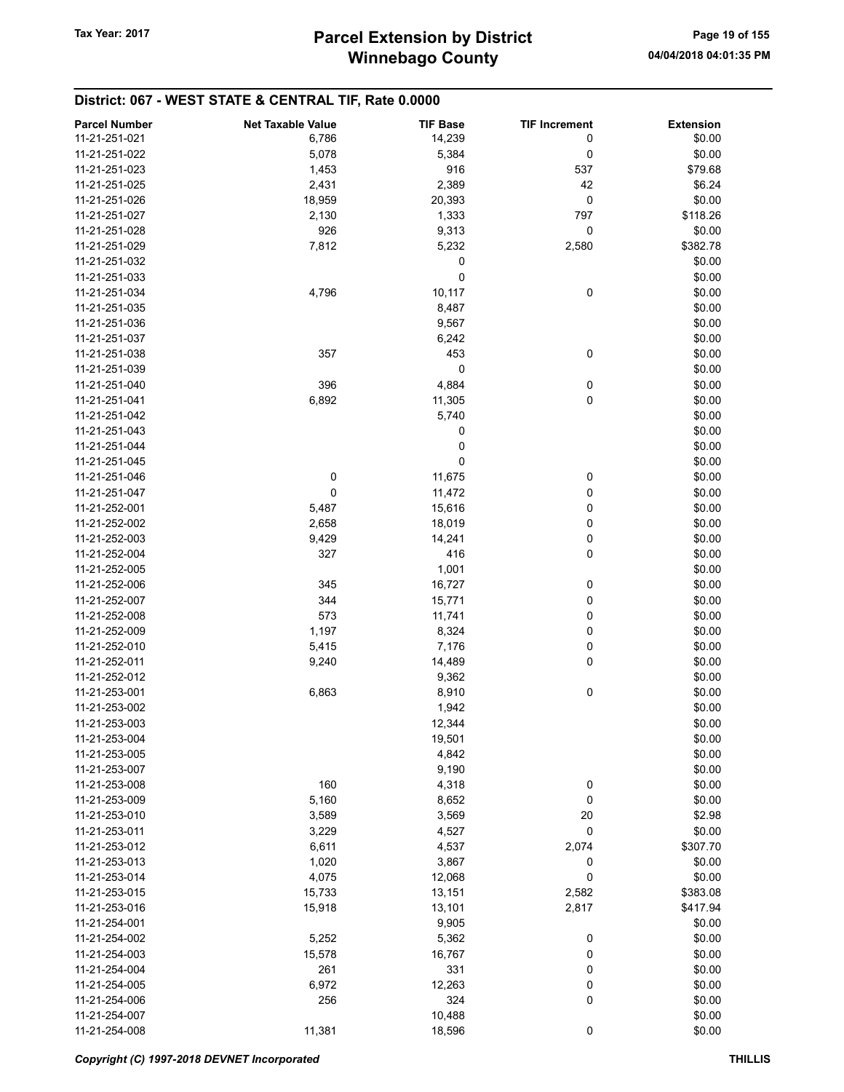| <b>Parcel Number</b> | <b>Net Taxable Value</b> | <b>TIF Base</b> | <b>TIF Increment</b> | <b>Extension</b> |
|----------------------|--------------------------|-----------------|----------------------|------------------|
| 11-21-251-021        | 6,786                    | 14,239          | 0                    | \$0.00           |
| 11-21-251-022        | 5,078                    | 5,384           | 0                    | \$0.00           |
| 11-21-251-023        | 1,453                    | 916             | 537                  | \$79.68          |
| 11-21-251-025        | 2,431                    | 2,389           | 42                   | \$6.24           |
| 11-21-251-026        |                          | 20,393          | 0                    | \$0.00           |
|                      | 18,959                   |                 |                      |                  |
| 11-21-251-027        | 2,130                    | 1,333           | 797                  | \$118.26         |
| 11-21-251-028        | 926                      | 9,313           | 0                    | \$0.00           |
| 11-21-251-029        | 7,812                    | 5,232           | 2,580                | \$382.78         |
| 11-21-251-032        |                          | 0               |                      | \$0.00           |
| 11-21-251-033        |                          | 0               |                      | \$0.00           |
| 11-21-251-034        | 4,796                    | 10,117          | 0                    | \$0.00           |
| 11-21-251-035        |                          | 8,487           |                      | \$0.00           |
| 11-21-251-036        |                          | 9,567           |                      | \$0.00           |
| 11-21-251-037        |                          | 6,242           |                      | \$0.00           |
| 11-21-251-038        | 357                      | 453             | 0                    | \$0.00           |
| 11-21-251-039        |                          | 0               |                      | \$0.00           |
| 11-21-251-040        | 396                      | 4,884           | $\pmb{0}$            | \$0.00           |
| 11-21-251-041        | 6,892                    | 11,305          | 0                    | \$0.00           |
| 11-21-251-042        |                          | 5,740           |                      | \$0.00           |
| 11-21-251-043        |                          | 0               |                      | \$0.00           |
| 11-21-251-044        |                          | 0               |                      | \$0.00           |
| 11-21-251-045        |                          | 0               |                      | \$0.00           |
| 11-21-251-046        | 0                        | 11,675          | 0                    | \$0.00           |
| 11-21-251-047        | $\pmb{0}$                | 11,472          | 0                    | \$0.00           |
| 11-21-252-001        | 5,487                    | 15,616          | 0                    | \$0.00           |
| 11-21-252-002        | 2,658                    | 18,019          | 0                    | \$0.00           |
| 11-21-252-003        | 9,429                    | 14,241          | 0                    | \$0.00           |
| 11-21-252-004        | 327                      | 416             | 0                    | \$0.00           |
| 11-21-252-005        |                          | 1,001           |                      | \$0.00           |
| 11-21-252-006        | 345                      | 16,727          | 0                    | \$0.00           |
| 11-21-252-007        | 344                      | 15,771          | 0                    | \$0.00           |
| 11-21-252-008        | 573                      | 11,741          | 0                    | \$0.00           |
| 11-21-252-009        | 1,197                    | 8,324           | 0                    | \$0.00           |
| 11-21-252-010        | 5,415                    | 7,176           | 0                    | \$0.00           |
| 11-21-252-011        |                          |                 |                      | \$0.00           |
|                      | 9,240                    | 14,489          | 0                    |                  |
| 11-21-252-012        |                          | 9,362           |                      | \$0.00           |
| 11-21-253-001        | 6,863                    | 8,910           | 0                    | \$0.00           |
| 11-21-253-002        |                          | 1,942           |                      | \$0.00           |
| 11-21-253-003        |                          | 12,344          |                      | \$0.00           |
| 11-21-253-004        |                          | 19,501          |                      | \$0.00           |
| 11-21-253-005        |                          | 4,842           |                      | \$0.00           |
| 11-21-253-007        |                          | 9,190           |                      | \$0.00           |
| 11-21-253-008        | 160                      | 4,318           | 0                    | \$0.00           |
| 11-21-253-009        | 5,160                    | 8,652           | 0                    | \$0.00           |
| 11-21-253-010        | 3,589                    | 3,569           | 20                   | \$2.98           |
| 11-21-253-011        | 3,229                    | 4,527           | 0                    | \$0.00           |
| 11-21-253-012        | 6,611                    | 4,537           | 2,074                | \$307.70         |
| 11-21-253-013        | 1,020                    | 3,867           | 0                    | \$0.00           |
| 11-21-253-014        | 4,075                    | 12,068          | 0                    | \$0.00           |
| 11-21-253-015        | 15,733                   | 13,151          | 2,582                | \$383.08         |
| 11-21-253-016        | 15,918                   | 13,101          | 2,817                | \$417.94         |
| 11-21-254-001        |                          | 9,905           |                      | \$0.00           |
| 11-21-254-002        | 5,252                    | 5,362           | 0                    | \$0.00           |
| 11-21-254-003        | 15,578                   | 16,767          | 0                    | \$0.00           |
| 11-21-254-004        | 261                      | 331             | 0                    | \$0.00           |
| 11-21-254-005        | 6,972                    | 12,263          | 0                    | \$0.00           |
| 11-21-254-006        | 256                      | 324             | 0                    | \$0.00           |
| 11-21-254-007        |                          | 10,488          |                      | \$0.00           |
| 11-21-254-008        | 11,381                   | 18,596          | 0                    | \$0.00           |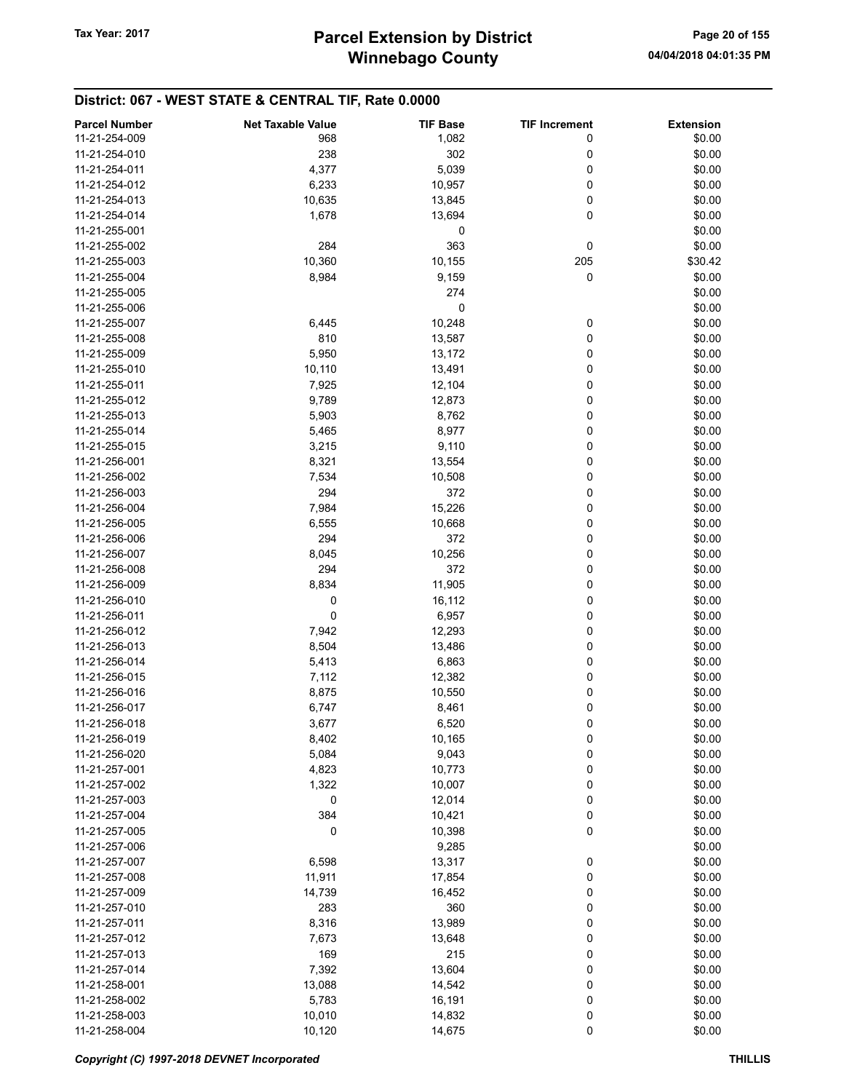| <b>Parcel Number</b> | <b>Net Taxable Value</b> | <b>TIF Base</b> | <b>TIF Increment</b> | <b>Extension</b> |
|----------------------|--------------------------|-----------------|----------------------|------------------|
| 11-21-254-009        | 968                      | 1,082           | 0                    | \$0.00           |
| 11-21-254-010        | 238                      | 302             | 0                    | \$0.00           |
|                      |                          |                 |                      |                  |
| 11-21-254-011        | 4,377                    | 5,039           | 0                    | \$0.00           |
| 11-21-254-012        | 6,233                    | 10,957          | 0                    | \$0.00           |
| 11-21-254-013        | 10,635                   | 13,845          | 0                    | \$0.00           |
| 11-21-254-014        | 1,678                    | 13,694          | 0                    | \$0.00           |
| 11-21-255-001        |                          | 0               |                      | \$0.00           |
| 11-21-255-002        | 284                      | 363             | 0                    | \$0.00           |
| 11-21-255-003        | 10,360                   | 10,155          | 205                  | \$30.42          |
| 11-21-255-004        | 8,984                    | 9,159           | 0                    | \$0.00           |
| 11-21-255-005        |                          | 274             |                      | \$0.00           |
| 11-21-255-006        |                          | 0               |                      | \$0.00           |
| 11-21-255-007        | 6,445                    | 10,248          | 0                    | \$0.00           |
| 11-21-255-008        | 810                      | 13,587          | 0                    | \$0.00           |
| 11-21-255-009        |                          |                 | 0                    |                  |
|                      | 5,950                    | 13,172          |                      | \$0.00           |
| 11-21-255-010        | 10,110                   | 13,491          | 0                    | \$0.00           |
| 11-21-255-011        | 7,925                    | 12,104          | 0                    | \$0.00           |
| 11-21-255-012        | 9,789                    | 12,873          | 0                    | \$0.00           |
| 11-21-255-013        | 5,903                    | 8,762           | 0                    | \$0.00           |
| 11-21-255-014        | 5,465                    | 8,977           | 0                    | \$0.00           |
| 11-21-255-015        | 3,215                    | 9,110           | 0                    | \$0.00           |
| 11-21-256-001        | 8,321                    | 13,554          | 0                    | \$0.00           |
| 11-21-256-002        | 7,534                    | 10,508          | 0                    | \$0.00           |
| 11-21-256-003        | 294                      | 372             | 0                    | \$0.00           |
| 11-21-256-004        | 7,984                    | 15,226          | 0                    | \$0.00           |
| 11-21-256-005        |                          |                 | 0                    | \$0.00           |
|                      | 6,555                    | 10,668          |                      |                  |
| 11-21-256-006        | 294                      | 372             | 0                    | \$0.00           |
| 11-21-256-007        | 8,045                    | 10,256          | 0                    | \$0.00           |
| 11-21-256-008        | 294                      | 372             | 0                    | \$0.00           |
| 11-21-256-009        | 8,834                    | 11,905          | 0                    | \$0.00           |
| 11-21-256-010        | $\mathbf 0$              | 16,112          | 0                    | \$0.00           |
| 11-21-256-011        | $\mathbf 0$              | 6,957           | 0                    | \$0.00           |
| 11-21-256-012        | 7,942                    | 12,293          | 0                    | \$0.00           |
| 11-21-256-013        | 8,504                    | 13,486          | 0                    | \$0.00           |
| 11-21-256-014        | 5,413                    | 6,863           | 0                    | \$0.00           |
| 11-21-256-015        | 7,112                    | 12,382          | 0                    | \$0.00           |
| 11-21-256-016        | 8,875                    | 10,550          | 0                    | \$0.00           |
| 11-21-256-017        | 6,747                    | 8,461           | 0                    | \$0.00           |
| 11-21-256-018        | 3,677                    | 6,520           | 0                    | \$0.00           |
| 11-21-256-019        |                          | 10,165          | 0                    | \$0.00           |
|                      | 8,402                    |                 |                      |                  |
| 11-21-256-020        | 5,084                    | 9,043           | 0                    | \$0.00           |
| 11-21-257-001        | 4,823                    | 10,773          | 0                    | \$0.00           |
| 11-21-257-002        | 1,322                    | 10,007          | 0                    | \$0.00           |
| 11-21-257-003        | 0                        | 12,014          | 0                    | \$0.00           |
| 11-21-257-004        | 384                      | 10,421          | 0                    | \$0.00           |
| 11-21-257-005        | 0                        | 10,398          | 0                    | \$0.00           |
| 11-21-257-006        |                          | 9,285           |                      | \$0.00           |
| 11-21-257-007        | 6,598                    | 13,317          | 0                    | \$0.00           |
| 11-21-257-008        | 11,911                   | 17,854          | 0                    | \$0.00           |
| 11-21-257-009        | 14,739                   | 16,452          | 0                    | \$0.00           |
| 11-21-257-010        | 283                      | 360             | 0                    | \$0.00           |
| 11-21-257-011        | 8,316                    | 13,989          | 0                    | \$0.00           |
| 11-21-257-012        | 7,673                    | 13,648          | 0                    | \$0.00           |
|                      |                          |                 |                      |                  |
| 11-21-257-013        | 169                      | 215             | 0                    | \$0.00           |
| 11-21-257-014        | 7,392                    | 13,604          | 0                    | \$0.00           |
| 11-21-258-001        | 13,088                   | 14,542          | 0                    | \$0.00           |
| 11-21-258-002        | 5,783                    | 16,191          | 0                    | \$0.00           |
| 11-21-258-003        | 10,010                   | 14,832          | 0                    | \$0.00           |
| 11-21-258-004        | 10,120                   | 14,675          | 0                    | \$0.00           |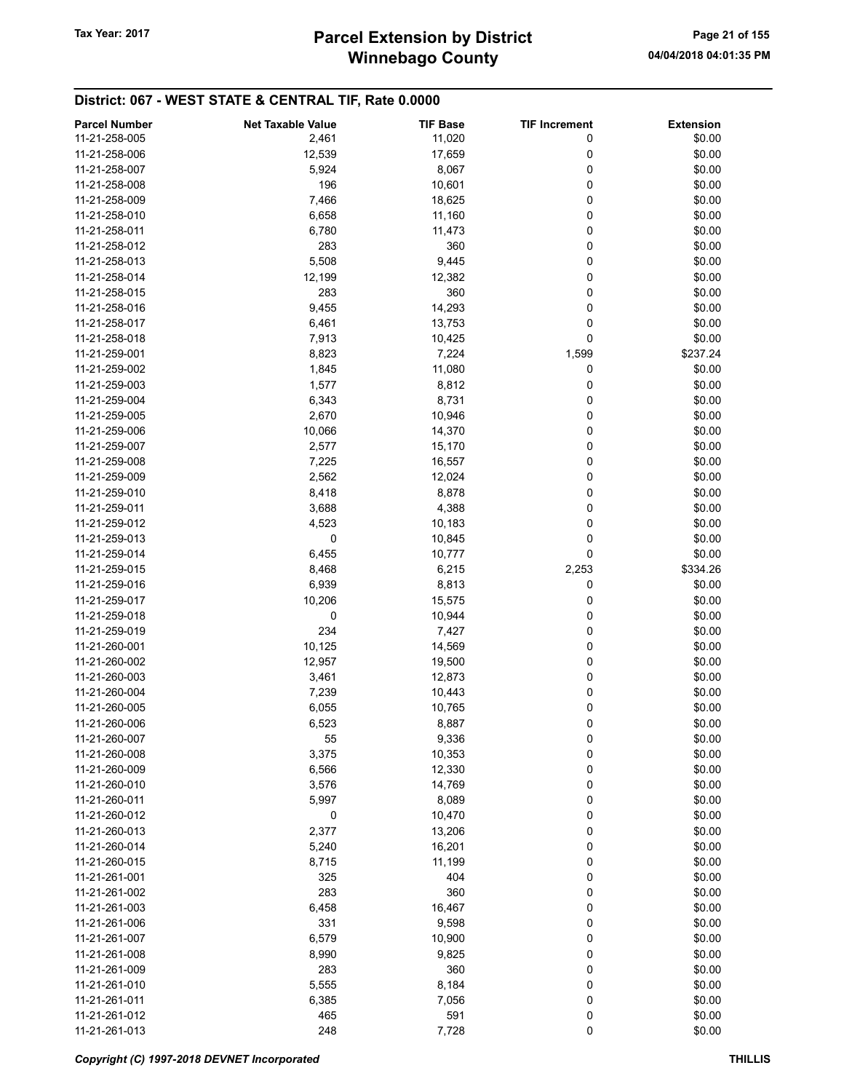# Winnebago County Tax Year: 2017 **Parcel Extension by District** Page 21 of 155

| <b>Parcel Number</b> | <b>Net Taxable Value</b> | <b>TIF Base</b> | <b>TIF Increment</b> | <b>Extension</b> |
|----------------------|--------------------------|-----------------|----------------------|------------------|
| 11-21-258-005        | 2,461                    | 11,020          | 0                    | \$0.00           |
| 11-21-258-006        | 12,539                   | 17,659          | 0                    | \$0.00           |
|                      |                          |                 |                      |                  |
| 11-21-258-007        | 5,924                    | 8,067           | 0                    | \$0.00           |
| 11-21-258-008        | 196                      | 10,601          | 0                    | \$0.00           |
| 11-21-258-009        | 7,466                    | 18,625          | 0                    | \$0.00           |
| 11-21-258-010        | 6,658                    | 11,160          | 0                    | \$0.00           |
| 11-21-258-011        | 6,780                    | 11,473          | 0                    | \$0.00           |
| 11-21-258-012        | 283                      | 360             | 0                    | \$0.00           |
| 11-21-258-013        | 5,508                    | 9,445           | 0                    | \$0.00           |
| 11-21-258-014        | 12,199                   | 12,382          | 0                    | \$0.00           |
| 11-21-258-015        | 283                      | 360             | 0                    | \$0.00           |
|                      |                          |                 |                      |                  |
| 11-21-258-016        | 9,455                    | 14,293          | 0                    | \$0.00           |
| 11-21-258-017        | 6,461                    | 13,753          | 0                    | \$0.00           |
| 11-21-258-018        | 7,913                    | 10,425          | 0                    | \$0.00           |
| 11-21-259-001        | 8,823                    | 7,224           | 1,599                | \$237.24         |
| 11-21-259-002        | 1,845                    | 11,080          | 0                    | \$0.00           |
| 11-21-259-003        | 1,577                    | 8,812           | 0                    | \$0.00           |
| 11-21-259-004        | 6,343                    | 8,731           | 0                    | \$0.00           |
| 11-21-259-005        | 2,670                    | 10,946          | 0                    | \$0.00           |
| 11-21-259-006        |                          | 14,370          | 0                    | \$0.00           |
|                      | 10,066                   |                 |                      |                  |
| 11-21-259-007        | 2,577                    | 15,170          | 0                    | \$0.00           |
| 11-21-259-008        | 7,225                    | 16,557          | 0                    | \$0.00           |
| 11-21-259-009        | 2,562                    | 12,024          | 0                    | \$0.00           |
| 11-21-259-010        | 8,418                    | 8,878           | 0                    | \$0.00           |
| 11-21-259-011        | 3,688                    | 4,388           | 0                    | \$0.00           |
| 11-21-259-012        | 4,523                    | 10,183          | 0                    | \$0.00           |
| 11-21-259-013        | 0                        | 10,845          | 0                    | \$0.00           |
| 11-21-259-014        | 6,455                    | 10,777          | 0                    | \$0.00           |
| 11-21-259-015        | 8,468                    | 6,215           | 2,253                | \$334.26         |
|                      |                          |                 |                      |                  |
| 11-21-259-016        | 6,939                    | 8,813           | 0                    | \$0.00           |
| 11-21-259-017        | 10,206                   | 15,575          | 0                    | \$0.00           |
| 11-21-259-018        | 0                        | 10,944          | 0                    | \$0.00           |
| 11-21-259-019        | 234                      | 7,427           | 0                    | \$0.00           |
| 11-21-260-001        | 10,125                   | 14,569          | 0                    | \$0.00           |
| 11-21-260-002        | 12,957                   | 19,500          | 0                    | \$0.00           |
| 11-21-260-003        | 3,461                    | 12,873          | 0                    | \$0.00           |
| 11-21-260-004        | 7,239                    | 10,443          | 0                    | \$0.00           |
| 11-21-260-005        | 6,055                    | 10,765          | 0                    | \$0.00           |
| 11-21-260-006        |                          |                 | 0                    | \$0.00           |
|                      | 6,523                    | 8,887           |                      |                  |
| 11-21-260-007        | 55                       | 9,336           | 0                    | \$0.00           |
| 11-21-260-008        | 3,375                    | 10,353          | 0                    | \$0.00           |
| 11-21-260-009        | 6,566                    | 12,330          | 0                    | \$0.00           |
| 11-21-260-010        | 3,576                    | 14,769          | 0                    | \$0.00           |
| 11-21-260-011        | 5,997                    | 8,089           | 0                    | \$0.00           |
| 11-21-260-012        | 0                        | 10,470          | 0                    | \$0.00           |
| 11-21-260-013        | 2,377                    | 13,206          | 0                    | \$0.00           |
| 11-21-260-014        | 5,240                    | 16,201          | 0                    | \$0.00           |
| 11-21-260-015        | 8,715                    | 11,199          | 0                    | \$0.00           |
|                      |                          |                 |                      | \$0.00           |
| 11-21-261-001        | 325                      | 404             | 0                    |                  |
| 11-21-261-002        | 283                      | 360             | 0                    | \$0.00           |
| 11-21-261-003        | 6,458                    | 16,467          | 0                    | \$0.00           |
| 11-21-261-006        | 331                      | 9,598           | 0                    | \$0.00           |
| 11-21-261-007        | 6,579                    | 10,900          | 0                    | \$0.00           |
| 11-21-261-008        | 8,990                    | 9,825           | 0                    | \$0.00           |
| 11-21-261-009        | 283                      | 360             | 0                    | \$0.00           |
| 11-21-261-010        | 5,555                    | 8,184           | 0                    | \$0.00           |
| 11-21-261-011        | 6,385                    | 7,056           | 0                    | \$0.00           |
| 11-21-261-012        | 465                      |                 |                      | \$0.00           |
|                      |                          | 591             | 0                    |                  |
| 11-21-261-013        | 248                      | 7,728           | 0                    | \$0.00           |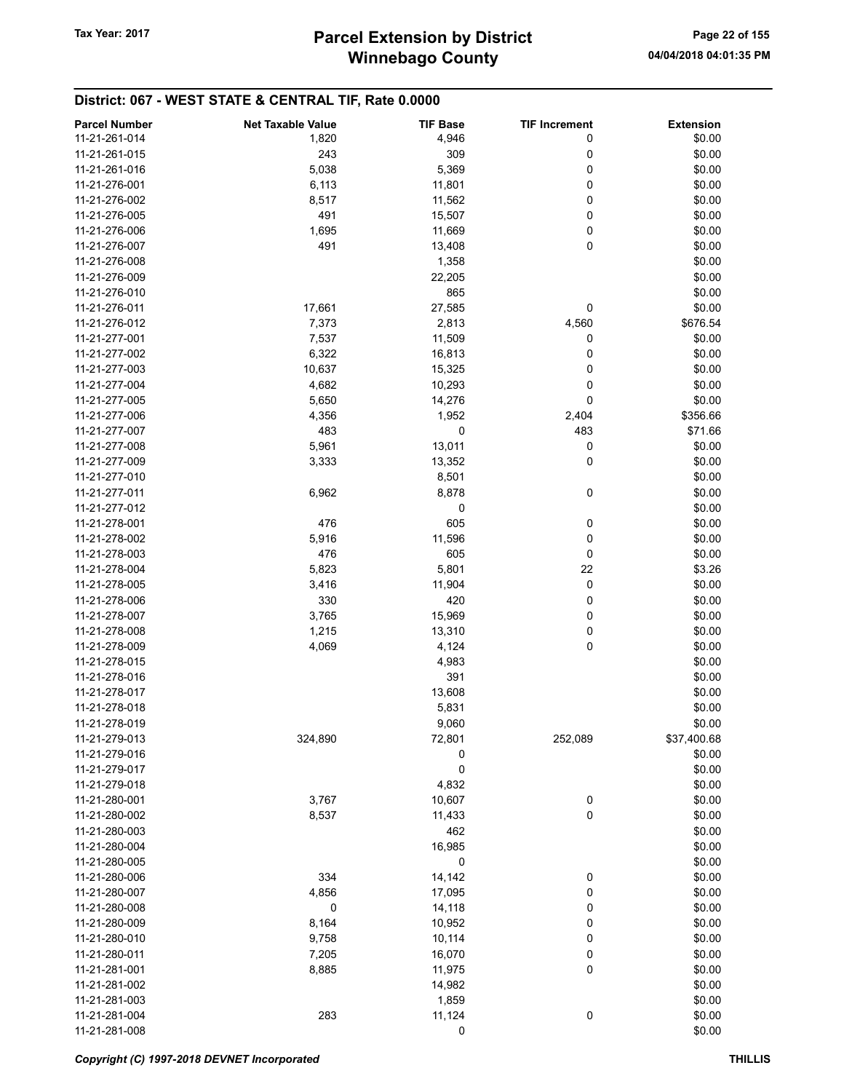| <b>Parcel Number</b> | <b>Net Taxable Value</b> | <b>TIF Base</b> | <b>TIF Increment</b> | <b>Extension</b> |
|----------------------|--------------------------|-----------------|----------------------|------------------|
| 11-21-261-014        | 1,820                    | 4,946           | 0                    | \$0.00           |
| 11-21-261-015        | 243                      | 309             | 0                    | \$0.00           |
| 11-21-261-016        | 5,038                    | 5,369           | 0                    | \$0.00           |
| 11-21-276-001        | 6,113                    | 11,801          | 0                    | \$0.00           |
| 11-21-276-002        |                          |                 | 0                    | \$0.00           |
|                      | 8,517                    | 11,562          |                      |                  |
| 11-21-276-005        | 491                      | 15,507          | 0                    | \$0.00           |
| 11-21-276-006        | 1,695                    | 11,669          | 0                    | \$0.00           |
| 11-21-276-007        | 491                      | 13,408          | 0                    | \$0.00           |
| 11-21-276-008        |                          | 1,358           |                      | \$0.00           |
| 11-21-276-009        |                          | 22,205          |                      | \$0.00           |
| 11-21-276-010        |                          | 865             |                      | \$0.00           |
| 11-21-276-011        | 17,661                   | 27,585          | 0                    | \$0.00           |
| 11-21-276-012        | 7,373                    | 2,813           | 4,560                | \$676.54         |
| 11-21-277-001        | 7,537                    | 11,509          | 0                    | \$0.00           |
| 11-21-277-002        | 6,322                    | 16,813          | 0                    | \$0.00           |
| 11-21-277-003        | 10,637                   | 15,325          | 0                    | \$0.00           |
| 11-21-277-004        | 4,682                    | 10,293          | 0                    | \$0.00           |
| 11-21-277-005        | 5,650                    | 14,276          | 0                    | \$0.00           |
| 11-21-277-006        | 4,356                    | 1,952           | 2,404                | \$356.66         |
| 11-21-277-007        | 483                      | 0               | 483                  | \$71.66          |
| 11-21-277-008        | 5,961                    | 13,011          | 0                    | \$0.00           |
| 11-21-277-009        | 3,333                    | 13,352          | 0                    | \$0.00           |
| 11-21-277-010        |                          | 8,501           |                      | \$0.00           |
| 11-21-277-011        | 6,962                    | 8,878           | 0                    | \$0.00           |
| 11-21-277-012        |                          | 0               |                      | \$0.00           |
| 11-21-278-001        | 476                      | 605             | 0                    | \$0.00           |
| 11-21-278-002        | 5,916                    | 11,596          | 0                    | \$0.00           |
| 11-21-278-003        | 476                      | 605             | 0                    | \$0.00           |
| 11-21-278-004        | 5,823                    | 5,801           | 22                   | \$3.26           |
| 11-21-278-005        | 3,416                    | 11,904          | 0                    | \$0.00           |
| 11-21-278-006        | 330                      | 420             |                      | \$0.00           |
|                      |                          |                 | 0                    |                  |
| 11-21-278-007        | 3,765                    | 15,969          | 0                    | \$0.00           |
| 11-21-278-008        | 1,215                    | 13,310          | 0                    | \$0.00           |
| 11-21-278-009        | 4,069                    | 4,124           | 0                    | \$0.00           |
| 11-21-278-015        |                          | 4,983           |                      | \$0.00           |
| 11-21-278-016        |                          | 391             |                      | \$0.00           |
| 11-21-278-017        |                          | 13,608          |                      | \$0.00           |
| 11-21-278-018        |                          | 5,831           |                      | \$0.00           |
| 11-21-278-019        |                          | 9,060           |                      | \$0.00           |
| 11-21-279-013        | 324,890                  | 72,801          | 252,089              | \$37,400.68      |
| 11-21-279-016        |                          | 0               |                      | \$0.00           |
| 11-21-279-017        |                          | 0               |                      | \$0.00           |
| 11-21-279-018        |                          | 4,832           |                      | \$0.00           |
| 11-21-280-001        | 3,767                    | 10,607          | 0                    | \$0.00           |
| 11-21-280-002        | 8,537                    | 11,433          | 0                    | \$0.00           |
| 11-21-280-003        |                          | 462             |                      | \$0.00           |
| 11-21-280-004        |                          | 16,985          |                      | \$0.00           |
| 11-21-280-005        |                          | 0               |                      | \$0.00           |
| 11-21-280-006        | 334                      | 14,142          | 0                    | \$0.00           |
| 11-21-280-007        | 4,856                    | 17,095          | 0                    | \$0.00           |
| 11-21-280-008        | 0                        | 14,118          | 0                    | \$0.00           |
| 11-21-280-009        | 8,164                    | 10,952          | 0                    | \$0.00           |
| 11-21-280-010        | 9,758                    | 10,114          | 0                    | \$0.00           |
| 11-21-280-011        | 7,205                    | 16,070          | 0                    | \$0.00           |
| 11-21-281-001        | 8,885                    | 11,975          | 0                    | \$0.00           |
| 11-21-281-002        |                          | 14,982          |                      | \$0.00           |
| 11-21-281-003        |                          | 1,859           |                      | \$0.00           |
| 11-21-281-004        | 283                      | 11,124          | 0                    | \$0.00           |
| 11-21-281-008        |                          | 0               |                      | \$0.00           |
|                      |                          |                 |                      |                  |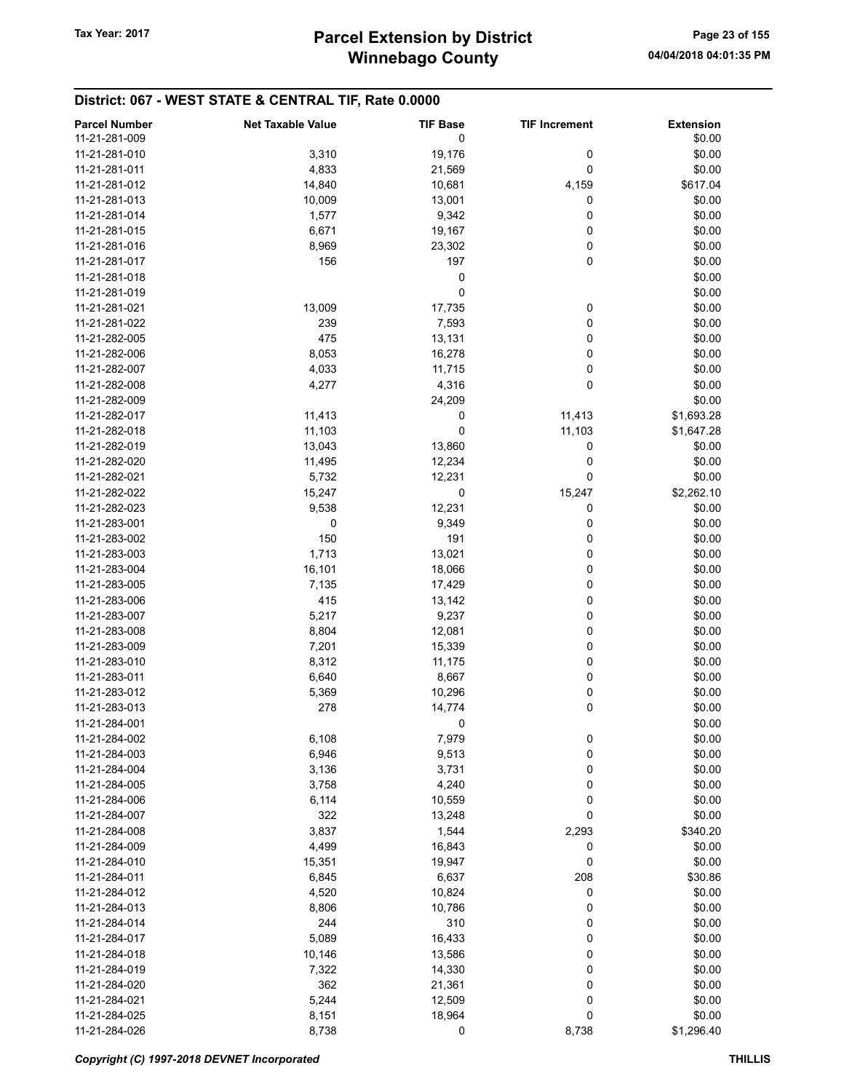| 11-21-281-009<br>0<br>\$0.00<br>3,310<br>19,176<br>0<br>\$0.00<br>11-21-281-010<br>0<br>11-21-281-011<br>4,833<br>21,569<br>\$0.00<br>\$617.04<br>11-21-281-012<br>14,840<br>10,681<br>4,159<br>\$0.00<br>11-21-281-013<br>10,009<br>13,001<br>0<br>\$0.00<br>1,577<br>9,342<br>0<br>11-21-281-014<br>\$0.00<br>6,671<br>19,167<br>0<br>11-21-281-015<br>\$0.00<br>8,969<br>23,302<br>0<br>11-21-281-016<br>0<br>197<br>\$0.00<br>11-21-281-017<br>156<br>\$0.00<br>11-21-281-018<br>0<br>0<br>\$0.00<br>11-21-281-019<br>13,009<br>17,735<br>0<br>\$0.00<br>11-21-281-021<br>0<br>\$0.00<br>239<br>7,593<br>11-21-281-022<br>\$0.00<br>11-21-282-005<br>475<br>13,131<br>0<br>\$0.00<br>8,053<br>16,278<br>0<br>11-21-282-006<br>0<br>4,033<br>\$0.00<br>11-21-282-007<br>11,715<br>0<br>\$0.00<br>11-21-282-008<br>4,277<br>4,316<br>\$0.00<br>11-21-282-009<br>24,209<br>\$1,693.28<br>11-21-282-017<br>11,413<br>0<br>11,413<br>0<br>11,103<br>11,103<br>\$1,647.28<br>11-21-282-018<br>11-21-282-019<br>13,043<br>13,860<br>0<br>\$0.00<br>11-21-282-020<br>11,495<br>12,234<br>0<br>\$0.00<br>11-21-282-021<br>5,732<br>12,231<br>0<br>\$0.00<br>15,247<br>15,247<br>0<br>\$2,262.10<br>11-21-282-022<br>0<br>9,538<br>12,231<br>\$0.00<br>11-21-282-023<br>11-21-283-001<br>0<br>9,349<br>0<br>\$0.00<br>150<br>191<br>0<br>\$0.00<br>11-21-283-002<br>0<br>1,713<br>13,021<br>\$0.00<br>11-21-283-003<br>16,101<br>\$0.00<br>11-21-283-004<br>18,066<br>0<br>11-21-283-005<br>0<br>\$0.00<br>7,135<br>17,429<br>\$0.00<br>11-21-283-006<br>415<br>0<br>13,142<br>0<br>5,217<br>9,237<br>\$0.00<br>11-21-283-007<br>0<br>\$0.00<br>11-21-283-008<br>8,804<br>12,081<br>0<br>\$0.00<br>7,201<br>15,339<br>11-21-283-009<br>\$0.00<br>11-21-283-010<br>8,312<br>11,175<br>0<br>6,640<br>8,667<br>0<br>\$0.00<br>11-21-283-011<br>5,369<br>10,296<br>0<br>\$0.00<br>11-21-283-012<br>0<br>\$0.00<br>11-21-283-013<br>278<br>14,774<br>11-21-284-001<br>0<br>\$0.00<br>\$0.00<br>11-21-284-002<br>6,108<br>7,979<br>0<br>6,946<br>0<br>\$0.00<br>11-21-284-003<br>9,513<br>\$0.00<br>11-21-284-004<br>3,136<br>3,731<br>0<br>\$0.00<br>11-21-284-005<br>4,240<br>0<br>3,758<br>\$0.00<br>11-21-284-006<br>6,114<br>10,559<br>0<br>322<br>0<br>\$0.00<br>11-21-284-007<br>13,248<br>11-21-284-008<br>3,837<br>1,544<br>2,293<br>\$340.20<br>11-21-284-009<br>4,499<br>16,843<br>0<br>\$0.00<br>0<br>11-21-284-010<br>15,351<br>19,947<br>\$0.00<br>208<br>6,845<br>6,637<br>\$30.86<br>11-21-284-011<br>\$0.00<br>10,824<br>0<br>11-21-284-012<br>4,520<br>\$0.00<br>11-21-284-013<br>8,806<br>10,786<br>0<br>\$0.00<br>11-21-284-014<br>244<br>310<br>0<br>5,089<br>16,433<br>0<br>\$0.00<br>11-21-284-017<br>\$0.00<br>11-21-284-018<br>10,146<br>13,586<br>0<br>11-21-284-019<br>7,322<br>14,330<br>0<br>\$0.00<br>\$0.00<br>11-21-284-020<br>362<br>0<br>21,361<br>5,244<br>0<br>\$0.00<br>11-21-284-021<br>12,509<br>\$0.00<br>11-21-284-025<br>8,151<br>18,964<br>0 | <b>Parcel Number</b> | <b>Net Taxable Value</b> | <b>TIF Base</b> | <b>TIF Increment</b> | <b>Extension</b> |
|-----------------------------------------------------------------------------------------------------------------------------------------------------------------------------------------------------------------------------------------------------------------------------------------------------------------------------------------------------------------------------------------------------------------------------------------------------------------------------------------------------------------------------------------------------------------------------------------------------------------------------------------------------------------------------------------------------------------------------------------------------------------------------------------------------------------------------------------------------------------------------------------------------------------------------------------------------------------------------------------------------------------------------------------------------------------------------------------------------------------------------------------------------------------------------------------------------------------------------------------------------------------------------------------------------------------------------------------------------------------------------------------------------------------------------------------------------------------------------------------------------------------------------------------------------------------------------------------------------------------------------------------------------------------------------------------------------------------------------------------------------------------------------------------------------------------------------------------------------------------------------------------------------------------------------------------------------------------------------------------------------------------------------------------------------------------------------------------------------------------------------------------------------------------------------------------------------------------------------------------------------------------------------------------------------------------------------------------------------------------------------------------------------------------------------------------------------------------------------------------------------------------------------------------------------------------------------------------------------------------------------------------------------------------------------------------------------------------------------------------------------------------------------------------------------------------------------------------------------------------------------------------------------------------------------------------------------------------------------|----------------------|--------------------------|-----------------|----------------------|------------------|
|                                                                                                                                                                                                                                                                                                                                                                                                                                                                                                                                                                                                                                                                                                                                                                                                                                                                                                                                                                                                                                                                                                                                                                                                                                                                                                                                                                                                                                                                                                                                                                                                                                                                                                                                                                                                                                                                                                                                                                                                                                                                                                                                                                                                                                                                                                                                                                                                                                                                                                                                                                                                                                                                                                                                                                                                                                                                                                                                                                             |                      |                          |                 |                      |                  |
|                                                                                                                                                                                                                                                                                                                                                                                                                                                                                                                                                                                                                                                                                                                                                                                                                                                                                                                                                                                                                                                                                                                                                                                                                                                                                                                                                                                                                                                                                                                                                                                                                                                                                                                                                                                                                                                                                                                                                                                                                                                                                                                                                                                                                                                                                                                                                                                                                                                                                                                                                                                                                                                                                                                                                                                                                                                                                                                                                                             |                      |                          |                 |                      |                  |
|                                                                                                                                                                                                                                                                                                                                                                                                                                                                                                                                                                                                                                                                                                                                                                                                                                                                                                                                                                                                                                                                                                                                                                                                                                                                                                                                                                                                                                                                                                                                                                                                                                                                                                                                                                                                                                                                                                                                                                                                                                                                                                                                                                                                                                                                                                                                                                                                                                                                                                                                                                                                                                                                                                                                                                                                                                                                                                                                                                             |                      |                          |                 |                      |                  |
|                                                                                                                                                                                                                                                                                                                                                                                                                                                                                                                                                                                                                                                                                                                                                                                                                                                                                                                                                                                                                                                                                                                                                                                                                                                                                                                                                                                                                                                                                                                                                                                                                                                                                                                                                                                                                                                                                                                                                                                                                                                                                                                                                                                                                                                                                                                                                                                                                                                                                                                                                                                                                                                                                                                                                                                                                                                                                                                                                                             |                      |                          |                 |                      |                  |
|                                                                                                                                                                                                                                                                                                                                                                                                                                                                                                                                                                                                                                                                                                                                                                                                                                                                                                                                                                                                                                                                                                                                                                                                                                                                                                                                                                                                                                                                                                                                                                                                                                                                                                                                                                                                                                                                                                                                                                                                                                                                                                                                                                                                                                                                                                                                                                                                                                                                                                                                                                                                                                                                                                                                                                                                                                                                                                                                                                             |                      |                          |                 |                      |                  |
|                                                                                                                                                                                                                                                                                                                                                                                                                                                                                                                                                                                                                                                                                                                                                                                                                                                                                                                                                                                                                                                                                                                                                                                                                                                                                                                                                                                                                                                                                                                                                                                                                                                                                                                                                                                                                                                                                                                                                                                                                                                                                                                                                                                                                                                                                                                                                                                                                                                                                                                                                                                                                                                                                                                                                                                                                                                                                                                                                                             |                      |                          |                 |                      |                  |
|                                                                                                                                                                                                                                                                                                                                                                                                                                                                                                                                                                                                                                                                                                                                                                                                                                                                                                                                                                                                                                                                                                                                                                                                                                                                                                                                                                                                                                                                                                                                                                                                                                                                                                                                                                                                                                                                                                                                                                                                                                                                                                                                                                                                                                                                                                                                                                                                                                                                                                                                                                                                                                                                                                                                                                                                                                                                                                                                                                             |                      |                          |                 |                      |                  |
|                                                                                                                                                                                                                                                                                                                                                                                                                                                                                                                                                                                                                                                                                                                                                                                                                                                                                                                                                                                                                                                                                                                                                                                                                                                                                                                                                                                                                                                                                                                                                                                                                                                                                                                                                                                                                                                                                                                                                                                                                                                                                                                                                                                                                                                                                                                                                                                                                                                                                                                                                                                                                                                                                                                                                                                                                                                                                                                                                                             |                      |                          |                 |                      |                  |
|                                                                                                                                                                                                                                                                                                                                                                                                                                                                                                                                                                                                                                                                                                                                                                                                                                                                                                                                                                                                                                                                                                                                                                                                                                                                                                                                                                                                                                                                                                                                                                                                                                                                                                                                                                                                                                                                                                                                                                                                                                                                                                                                                                                                                                                                                                                                                                                                                                                                                                                                                                                                                                                                                                                                                                                                                                                                                                                                                                             |                      |                          |                 |                      |                  |
|                                                                                                                                                                                                                                                                                                                                                                                                                                                                                                                                                                                                                                                                                                                                                                                                                                                                                                                                                                                                                                                                                                                                                                                                                                                                                                                                                                                                                                                                                                                                                                                                                                                                                                                                                                                                                                                                                                                                                                                                                                                                                                                                                                                                                                                                                                                                                                                                                                                                                                                                                                                                                                                                                                                                                                                                                                                                                                                                                                             |                      |                          |                 |                      |                  |
|                                                                                                                                                                                                                                                                                                                                                                                                                                                                                                                                                                                                                                                                                                                                                                                                                                                                                                                                                                                                                                                                                                                                                                                                                                                                                                                                                                                                                                                                                                                                                                                                                                                                                                                                                                                                                                                                                                                                                                                                                                                                                                                                                                                                                                                                                                                                                                                                                                                                                                                                                                                                                                                                                                                                                                                                                                                                                                                                                                             |                      |                          |                 |                      |                  |
|                                                                                                                                                                                                                                                                                                                                                                                                                                                                                                                                                                                                                                                                                                                                                                                                                                                                                                                                                                                                                                                                                                                                                                                                                                                                                                                                                                                                                                                                                                                                                                                                                                                                                                                                                                                                                                                                                                                                                                                                                                                                                                                                                                                                                                                                                                                                                                                                                                                                                                                                                                                                                                                                                                                                                                                                                                                                                                                                                                             |                      |                          |                 |                      |                  |
|                                                                                                                                                                                                                                                                                                                                                                                                                                                                                                                                                                                                                                                                                                                                                                                                                                                                                                                                                                                                                                                                                                                                                                                                                                                                                                                                                                                                                                                                                                                                                                                                                                                                                                                                                                                                                                                                                                                                                                                                                                                                                                                                                                                                                                                                                                                                                                                                                                                                                                                                                                                                                                                                                                                                                                                                                                                                                                                                                                             |                      |                          |                 |                      |                  |
|                                                                                                                                                                                                                                                                                                                                                                                                                                                                                                                                                                                                                                                                                                                                                                                                                                                                                                                                                                                                                                                                                                                                                                                                                                                                                                                                                                                                                                                                                                                                                                                                                                                                                                                                                                                                                                                                                                                                                                                                                                                                                                                                                                                                                                                                                                                                                                                                                                                                                                                                                                                                                                                                                                                                                                                                                                                                                                                                                                             |                      |                          |                 |                      |                  |
|                                                                                                                                                                                                                                                                                                                                                                                                                                                                                                                                                                                                                                                                                                                                                                                                                                                                                                                                                                                                                                                                                                                                                                                                                                                                                                                                                                                                                                                                                                                                                                                                                                                                                                                                                                                                                                                                                                                                                                                                                                                                                                                                                                                                                                                                                                                                                                                                                                                                                                                                                                                                                                                                                                                                                                                                                                                                                                                                                                             |                      |                          |                 |                      |                  |
|                                                                                                                                                                                                                                                                                                                                                                                                                                                                                                                                                                                                                                                                                                                                                                                                                                                                                                                                                                                                                                                                                                                                                                                                                                                                                                                                                                                                                                                                                                                                                                                                                                                                                                                                                                                                                                                                                                                                                                                                                                                                                                                                                                                                                                                                                                                                                                                                                                                                                                                                                                                                                                                                                                                                                                                                                                                                                                                                                                             |                      |                          |                 |                      |                  |
|                                                                                                                                                                                                                                                                                                                                                                                                                                                                                                                                                                                                                                                                                                                                                                                                                                                                                                                                                                                                                                                                                                                                                                                                                                                                                                                                                                                                                                                                                                                                                                                                                                                                                                                                                                                                                                                                                                                                                                                                                                                                                                                                                                                                                                                                                                                                                                                                                                                                                                                                                                                                                                                                                                                                                                                                                                                                                                                                                                             |                      |                          |                 |                      |                  |
|                                                                                                                                                                                                                                                                                                                                                                                                                                                                                                                                                                                                                                                                                                                                                                                                                                                                                                                                                                                                                                                                                                                                                                                                                                                                                                                                                                                                                                                                                                                                                                                                                                                                                                                                                                                                                                                                                                                                                                                                                                                                                                                                                                                                                                                                                                                                                                                                                                                                                                                                                                                                                                                                                                                                                                                                                                                                                                                                                                             |                      |                          |                 |                      |                  |
|                                                                                                                                                                                                                                                                                                                                                                                                                                                                                                                                                                                                                                                                                                                                                                                                                                                                                                                                                                                                                                                                                                                                                                                                                                                                                                                                                                                                                                                                                                                                                                                                                                                                                                                                                                                                                                                                                                                                                                                                                                                                                                                                                                                                                                                                                                                                                                                                                                                                                                                                                                                                                                                                                                                                                                                                                                                                                                                                                                             |                      |                          |                 |                      |                  |
|                                                                                                                                                                                                                                                                                                                                                                                                                                                                                                                                                                                                                                                                                                                                                                                                                                                                                                                                                                                                                                                                                                                                                                                                                                                                                                                                                                                                                                                                                                                                                                                                                                                                                                                                                                                                                                                                                                                                                                                                                                                                                                                                                                                                                                                                                                                                                                                                                                                                                                                                                                                                                                                                                                                                                                                                                                                                                                                                                                             |                      |                          |                 |                      |                  |
|                                                                                                                                                                                                                                                                                                                                                                                                                                                                                                                                                                                                                                                                                                                                                                                                                                                                                                                                                                                                                                                                                                                                                                                                                                                                                                                                                                                                                                                                                                                                                                                                                                                                                                                                                                                                                                                                                                                                                                                                                                                                                                                                                                                                                                                                                                                                                                                                                                                                                                                                                                                                                                                                                                                                                                                                                                                                                                                                                                             |                      |                          |                 |                      |                  |
|                                                                                                                                                                                                                                                                                                                                                                                                                                                                                                                                                                                                                                                                                                                                                                                                                                                                                                                                                                                                                                                                                                                                                                                                                                                                                                                                                                                                                                                                                                                                                                                                                                                                                                                                                                                                                                                                                                                                                                                                                                                                                                                                                                                                                                                                                                                                                                                                                                                                                                                                                                                                                                                                                                                                                                                                                                                                                                                                                                             |                      |                          |                 |                      |                  |
|                                                                                                                                                                                                                                                                                                                                                                                                                                                                                                                                                                                                                                                                                                                                                                                                                                                                                                                                                                                                                                                                                                                                                                                                                                                                                                                                                                                                                                                                                                                                                                                                                                                                                                                                                                                                                                                                                                                                                                                                                                                                                                                                                                                                                                                                                                                                                                                                                                                                                                                                                                                                                                                                                                                                                                                                                                                                                                                                                                             |                      |                          |                 |                      |                  |
|                                                                                                                                                                                                                                                                                                                                                                                                                                                                                                                                                                                                                                                                                                                                                                                                                                                                                                                                                                                                                                                                                                                                                                                                                                                                                                                                                                                                                                                                                                                                                                                                                                                                                                                                                                                                                                                                                                                                                                                                                                                                                                                                                                                                                                                                                                                                                                                                                                                                                                                                                                                                                                                                                                                                                                                                                                                                                                                                                                             |                      |                          |                 |                      |                  |
|                                                                                                                                                                                                                                                                                                                                                                                                                                                                                                                                                                                                                                                                                                                                                                                                                                                                                                                                                                                                                                                                                                                                                                                                                                                                                                                                                                                                                                                                                                                                                                                                                                                                                                                                                                                                                                                                                                                                                                                                                                                                                                                                                                                                                                                                                                                                                                                                                                                                                                                                                                                                                                                                                                                                                                                                                                                                                                                                                                             |                      |                          |                 |                      |                  |
|                                                                                                                                                                                                                                                                                                                                                                                                                                                                                                                                                                                                                                                                                                                                                                                                                                                                                                                                                                                                                                                                                                                                                                                                                                                                                                                                                                                                                                                                                                                                                                                                                                                                                                                                                                                                                                                                                                                                                                                                                                                                                                                                                                                                                                                                                                                                                                                                                                                                                                                                                                                                                                                                                                                                                                                                                                                                                                                                                                             |                      |                          |                 |                      |                  |
|                                                                                                                                                                                                                                                                                                                                                                                                                                                                                                                                                                                                                                                                                                                                                                                                                                                                                                                                                                                                                                                                                                                                                                                                                                                                                                                                                                                                                                                                                                                                                                                                                                                                                                                                                                                                                                                                                                                                                                                                                                                                                                                                                                                                                                                                                                                                                                                                                                                                                                                                                                                                                                                                                                                                                                                                                                                                                                                                                                             |                      |                          |                 |                      |                  |
|                                                                                                                                                                                                                                                                                                                                                                                                                                                                                                                                                                                                                                                                                                                                                                                                                                                                                                                                                                                                                                                                                                                                                                                                                                                                                                                                                                                                                                                                                                                                                                                                                                                                                                                                                                                                                                                                                                                                                                                                                                                                                                                                                                                                                                                                                                                                                                                                                                                                                                                                                                                                                                                                                                                                                                                                                                                                                                                                                                             |                      |                          |                 |                      |                  |
|                                                                                                                                                                                                                                                                                                                                                                                                                                                                                                                                                                                                                                                                                                                                                                                                                                                                                                                                                                                                                                                                                                                                                                                                                                                                                                                                                                                                                                                                                                                                                                                                                                                                                                                                                                                                                                                                                                                                                                                                                                                                                                                                                                                                                                                                                                                                                                                                                                                                                                                                                                                                                                                                                                                                                                                                                                                                                                                                                                             |                      |                          |                 |                      |                  |
|                                                                                                                                                                                                                                                                                                                                                                                                                                                                                                                                                                                                                                                                                                                                                                                                                                                                                                                                                                                                                                                                                                                                                                                                                                                                                                                                                                                                                                                                                                                                                                                                                                                                                                                                                                                                                                                                                                                                                                                                                                                                                                                                                                                                                                                                                                                                                                                                                                                                                                                                                                                                                                                                                                                                                                                                                                                                                                                                                                             |                      |                          |                 |                      |                  |
|                                                                                                                                                                                                                                                                                                                                                                                                                                                                                                                                                                                                                                                                                                                                                                                                                                                                                                                                                                                                                                                                                                                                                                                                                                                                                                                                                                                                                                                                                                                                                                                                                                                                                                                                                                                                                                                                                                                                                                                                                                                                                                                                                                                                                                                                                                                                                                                                                                                                                                                                                                                                                                                                                                                                                                                                                                                                                                                                                                             |                      |                          |                 |                      |                  |
|                                                                                                                                                                                                                                                                                                                                                                                                                                                                                                                                                                                                                                                                                                                                                                                                                                                                                                                                                                                                                                                                                                                                                                                                                                                                                                                                                                                                                                                                                                                                                                                                                                                                                                                                                                                                                                                                                                                                                                                                                                                                                                                                                                                                                                                                                                                                                                                                                                                                                                                                                                                                                                                                                                                                                                                                                                                                                                                                                                             |                      |                          |                 |                      |                  |
|                                                                                                                                                                                                                                                                                                                                                                                                                                                                                                                                                                                                                                                                                                                                                                                                                                                                                                                                                                                                                                                                                                                                                                                                                                                                                                                                                                                                                                                                                                                                                                                                                                                                                                                                                                                                                                                                                                                                                                                                                                                                                                                                                                                                                                                                                                                                                                                                                                                                                                                                                                                                                                                                                                                                                                                                                                                                                                                                                                             |                      |                          |                 |                      |                  |
|                                                                                                                                                                                                                                                                                                                                                                                                                                                                                                                                                                                                                                                                                                                                                                                                                                                                                                                                                                                                                                                                                                                                                                                                                                                                                                                                                                                                                                                                                                                                                                                                                                                                                                                                                                                                                                                                                                                                                                                                                                                                                                                                                                                                                                                                                                                                                                                                                                                                                                                                                                                                                                                                                                                                                                                                                                                                                                                                                                             |                      |                          |                 |                      |                  |
|                                                                                                                                                                                                                                                                                                                                                                                                                                                                                                                                                                                                                                                                                                                                                                                                                                                                                                                                                                                                                                                                                                                                                                                                                                                                                                                                                                                                                                                                                                                                                                                                                                                                                                                                                                                                                                                                                                                                                                                                                                                                                                                                                                                                                                                                                                                                                                                                                                                                                                                                                                                                                                                                                                                                                                                                                                                                                                                                                                             |                      |                          |                 |                      |                  |
|                                                                                                                                                                                                                                                                                                                                                                                                                                                                                                                                                                                                                                                                                                                                                                                                                                                                                                                                                                                                                                                                                                                                                                                                                                                                                                                                                                                                                                                                                                                                                                                                                                                                                                                                                                                                                                                                                                                                                                                                                                                                                                                                                                                                                                                                                                                                                                                                                                                                                                                                                                                                                                                                                                                                                                                                                                                                                                                                                                             |                      |                          |                 |                      |                  |
|                                                                                                                                                                                                                                                                                                                                                                                                                                                                                                                                                                                                                                                                                                                                                                                                                                                                                                                                                                                                                                                                                                                                                                                                                                                                                                                                                                                                                                                                                                                                                                                                                                                                                                                                                                                                                                                                                                                                                                                                                                                                                                                                                                                                                                                                                                                                                                                                                                                                                                                                                                                                                                                                                                                                                                                                                                                                                                                                                                             |                      |                          |                 |                      |                  |
|                                                                                                                                                                                                                                                                                                                                                                                                                                                                                                                                                                                                                                                                                                                                                                                                                                                                                                                                                                                                                                                                                                                                                                                                                                                                                                                                                                                                                                                                                                                                                                                                                                                                                                                                                                                                                                                                                                                                                                                                                                                                                                                                                                                                                                                                                                                                                                                                                                                                                                                                                                                                                                                                                                                                                                                                                                                                                                                                                                             |                      |                          |                 |                      |                  |
|                                                                                                                                                                                                                                                                                                                                                                                                                                                                                                                                                                                                                                                                                                                                                                                                                                                                                                                                                                                                                                                                                                                                                                                                                                                                                                                                                                                                                                                                                                                                                                                                                                                                                                                                                                                                                                                                                                                                                                                                                                                                                                                                                                                                                                                                                                                                                                                                                                                                                                                                                                                                                                                                                                                                                                                                                                                                                                                                                                             |                      |                          |                 |                      |                  |
|                                                                                                                                                                                                                                                                                                                                                                                                                                                                                                                                                                                                                                                                                                                                                                                                                                                                                                                                                                                                                                                                                                                                                                                                                                                                                                                                                                                                                                                                                                                                                                                                                                                                                                                                                                                                                                                                                                                                                                                                                                                                                                                                                                                                                                                                                                                                                                                                                                                                                                                                                                                                                                                                                                                                                                                                                                                                                                                                                                             |                      |                          |                 |                      |                  |
|                                                                                                                                                                                                                                                                                                                                                                                                                                                                                                                                                                                                                                                                                                                                                                                                                                                                                                                                                                                                                                                                                                                                                                                                                                                                                                                                                                                                                                                                                                                                                                                                                                                                                                                                                                                                                                                                                                                                                                                                                                                                                                                                                                                                                                                                                                                                                                                                                                                                                                                                                                                                                                                                                                                                                                                                                                                                                                                                                                             |                      |                          |                 |                      |                  |
|                                                                                                                                                                                                                                                                                                                                                                                                                                                                                                                                                                                                                                                                                                                                                                                                                                                                                                                                                                                                                                                                                                                                                                                                                                                                                                                                                                                                                                                                                                                                                                                                                                                                                                                                                                                                                                                                                                                                                                                                                                                                                                                                                                                                                                                                                                                                                                                                                                                                                                                                                                                                                                                                                                                                                                                                                                                                                                                                                                             |                      |                          |                 |                      |                  |
|                                                                                                                                                                                                                                                                                                                                                                                                                                                                                                                                                                                                                                                                                                                                                                                                                                                                                                                                                                                                                                                                                                                                                                                                                                                                                                                                                                                                                                                                                                                                                                                                                                                                                                                                                                                                                                                                                                                                                                                                                                                                                                                                                                                                                                                                                                                                                                                                                                                                                                                                                                                                                                                                                                                                                                                                                                                                                                                                                                             |                      |                          |                 |                      |                  |
|                                                                                                                                                                                                                                                                                                                                                                                                                                                                                                                                                                                                                                                                                                                                                                                                                                                                                                                                                                                                                                                                                                                                                                                                                                                                                                                                                                                                                                                                                                                                                                                                                                                                                                                                                                                                                                                                                                                                                                                                                                                                                                                                                                                                                                                                                                                                                                                                                                                                                                                                                                                                                                                                                                                                                                                                                                                                                                                                                                             |                      |                          |                 |                      |                  |
|                                                                                                                                                                                                                                                                                                                                                                                                                                                                                                                                                                                                                                                                                                                                                                                                                                                                                                                                                                                                                                                                                                                                                                                                                                                                                                                                                                                                                                                                                                                                                                                                                                                                                                                                                                                                                                                                                                                                                                                                                                                                                                                                                                                                                                                                                                                                                                                                                                                                                                                                                                                                                                                                                                                                                                                                                                                                                                                                                                             |                      |                          |                 |                      |                  |
|                                                                                                                                                                                                                                                                                                                                                                                                                                                                                                                                                                                                                                                                                                                                                                                                                                                                                                                                                                                                                                                                                                                                                                                                                                                                                                                                                                                                                                                                                                                                                                                                                                                                                                                                                                                                                                                                                                                                                                                                                                                                                                                                                                                                                                                                                                                                                                                                                                                                                                                                                                                                                                                                                                                                                                                                                                                                                                                                                                             |                      |                          |                 |                      |                  |
|                                                                                                                                                                                                                                                                                                                                                                                                                                                                                                                                                                                                                                                                                                                                                                                                                                                                                                                                                                                                                                                                                                                                                                                                                                                                                                                                                                                                                                                                                                                                                                                                                                                                                                                                                                                                                                                                                                                                                                                                                                                                                                                                                                                                                                                                                                                                                                                                                                                                                                                                                                                                                                                                                                                                                                                                                                                                                                                                                                             |                      |                          |                 |                      |                  |
|                                                                                                                                                                                                                                                                                                                                                                                                                                                                                                                                                                                                                                                                                                                                                                                                                                                                                                                                                                                                                                                                                                                                                                                                                                                                                                                                                                                                                                                                                                                                                                                                                                                                                                                                                                                                                                                                                                                                                                                                                                                                                                                                                                                                                                                                                                                                                                                                                                                                                                                                                                                                                                                                                                                                                                                                                                                                                                                                                                             |                      |                          |                 |                      |                  |
|                                                                                                                                                                                                                                                                                                                                                                                                                                                                                                                                                                                                                                                                                                                                                                                                                                                                                                                                                                                                                                                                                                                                                                                                                                                                                                                                                                                                                                                                                                                                                                                                                                                                                                                                                                                                                                                                                                                                                                                                                                                                                                                                                                                                                                                                                                                                                                                                                                                                                                                                                                                                                                                                                                                                                                                                                                                                                                                                                                             |                      |                          |                 |                      |                  |
|                                                                                                                                                                                                                                                                                                                                                                                                                                                                                                                                                                                                                                                                                                                                                                                                                                                                                                                                                                                                                                                                                                                                                                                                                                                                                                                                                                                                                                                                                                                                                                                                                                                                                                                                                                                                                                                                                                                                                                                                                                                                                                                                                                                                                                                                                                                                                                                                                                                                                                                                                                                                                                                                                                                                                                                                                                                                                                                                                                             |                      |                          |                 |                      |                  |
|                                                                                                                                                                                                                                                                                                                                                                                                                                                                                                                                                                                                                                                                                                                                                                                                                                                                                                                                                                                                                                                                                                                                                                                                                                                                                                                                                                                                                                                                                                                                                                                                                                                                                                                                                                                                                                                                                                                                                                                                                                                                                                                                                                                                                                                                                                                                                                                                                                                                                                                                                                                                                                                                                                                                                                                                                                                                                                                                                                             |                      |                          |                 |                      |                  |
|                                                                                                                                                                                                                                                                                                                                                                                                                                                                                                                                                                                                                                                                                                                                                                                                                                                                                                                                                                                                                                                                                                                                                                                                                                                                                                                                                                                                                                                                                                                                                                                                                                                                                                                                                                                                                                                                                                                                                                                                                                                                                                                                                                                                                                                                                                                                                                                                                                                                                                                                                                                                                                                                                                                                                                                                                                                                                                                                                                             |                      |                          |                 |                      |                  |
|                                                                                                                                                                                                                                                                                                                                                                                                                                                                                                                                                                                                                                                                                                                                                                                                                                                                                                                                                                                                                                                                                                                                                                                                                                                                                                                                                                                                                                                                                                                                                                                                                                                                                                                                                                                                                                                                                                                                                                                                                                                                                                                                                                                                                                                                                                                                                                                                                                                                                                                                                                                                                                                                                                                                                                                                                                                                                                                                                                             |                      |                          |                 |                      |                  |
|                                                                                                                                                                                                                                                                                                                                                                                                                                                                                                                                                                                                                                                                                                                                                                                                                                                                                                                                                                                                                                                                                                                                                                                                                                                                                                                                                                                                                                                                                                                                                                                                                                                                                                                                                                                                                                                                                                                                                                                                                                                                                                                                                                                                                                                                                                                                                                                                                                                                                                                                                                                                                                                                                                                                                                                                                                                                                                                                                                             |                      |                          |                 |                      |                  |
|                                                                                                                                                                                                                                                                                                                                                                                                                                                                                                                                                                                                                                                                                                                                                                                                                                                                                                                                                                                                                                                                                                                                                                                                                                                                                                                                                                                                                                                                                                                                                                                                                                                                                                                                                                                                                                                                                                                                                                                                                                                                                                                                                                                                                                                                                                                                                                                                                                                                                                                                                                                                                                                                                                                                                                                                                                                                                                                                                                             |                      |                          |                 |                      |                  |
|                                                                                                                                                                                                                                                                                                                                                                                                                                                                                                                                                                                                                                                                                                                                                                                                                                                                                                                                                                                                                                                                                                                                                                                                                                                                                                                                                                                                                                                                                                                                                                                                                                                                                                                                                                                                                                                                                                                                                                                                                                                                                                                                                                                                                                                                                                                                                                                                                                                                                                                                                                                                                                                                                                                                                                                                                                                                                                                                                                             |                      |                          |                 |                      |                  |
|                                                                                                                                                                                                                                                                                                                                                                                                                                                                                                                                                                                                                                                                                                                                                                                                                                                                                                                                                                                                                                                                                                                                                                                                                                                                                                                                                                                                                                                                                                                                                                                                                                                                                                                                                                                                                                                                                                                                                                                                                                                                                                                                                                                                                                                                                                                                                                                                                                                                                                                                                                                                                                                                                                                                                                                                                                                                                                                                                                             |                      |                          |                 |                      |                  |
|                                                                                                                                                                                                                                                                                                                                                                                                                                                                                                                                                                                                                                                                                                                                                                                                                                                                                                                                                                                                                                                                                                                                                                                                                                                                                                                                                                                                                                                                                                                                                                                                                                                                                                                                                                                                                                                                                                                                                                                                                                                                                                                                                                                                                                                                                                                                                                                                                                                                                                                                                                                                                                                                                                                                                                                                                                                                                                                                                                             |                      |                          |                 |                      |                  |
|                                                                                                                                                                                                                                                                                                                                                                                                                                                                                                                                                                                                                                                                                                                                                                                                                                                                                                                                                                                                                                                                                                                                                                                                                                                                                                                                                                                                                                                                                                                                                                                                                                                                                                                                                                                                                                                                                                                                                                                                                                                                                                                                                                                                                                                                                                                                                                                                                                                                                                                                                                                                                                                                                                                                                                                                                                                                                                                                                                             | 11-21-284-026        | 8,738                    | 0               | 8,738                | \$1,296.40       |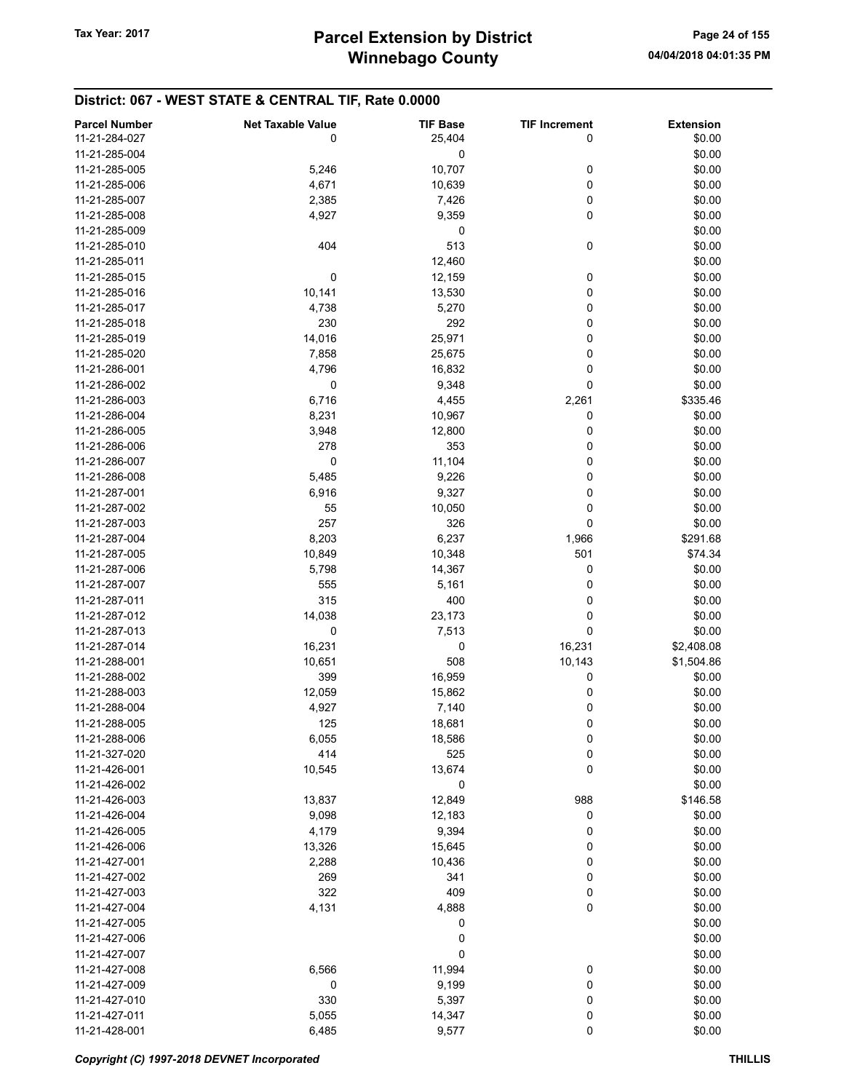| <b>Parcel Number</b> | <b>Net Taxable Value</b> | <b>TIF Base</b> | <b>TIF Increment</b> | <b>Extension</b> |
|----------------------|--------------------------|-----------------|----------------------|------------------|
| 11-21-284-027        | 0                        | 25,404          | 0                    | \$0.00           |
| 11-21-285-004        |                          | 0               |                      | \$0.00           |
| 11-21-285-005        | 5,246                    | 10,707          | 0                    | \$0.00           |
| 11-21-285-006        | 4,671                    | 10,639          | 0                    | \$0.00           |
|                      |                          |                 |                      |                  |
| 11-21-285-007        | 2,385                    | 7,426           | 0                    | \$0.00           |
| 11-21-285-008        | 4,927                    | 9,359           | 0                    | \$0.00           |
| 11-21-285-009        |                          | 0               |                      | \$0.00           |
| 11-21-285-010        | 404                      | 513             | 0                    | \$0.00           |
| 11-21-285-011        |                          | 12,460          |                      | \$0.00           |
| 11-21-285-015        | 0                        | 12,159          | 0                    | \$0.00           |
| 11-21-285-016        | 10,141                   | 13,530          | 0                    | \$0.00           |
| 11-21-285-017        | 4,738                    | 5,270           | 0                    | \$0.00           |
| 11-21-285-018        | 230                      | 292             | 0                    | \$0.00           |
| 11-21-285-019        | 14,016                   | 25,971          | 0                    | \$0.00           |
| 11-21-285-020        | 7,858                    | 25,675          | 0                    | \$0.00           |
| 11-21-286-001        | 4,796                    | 16,832          | 0                    | \$0.00           |
| 11-21-286-002        | 0                        | 9,348           | 0                    | \$0.00           |
| 11-21-286-003        | 6,716                    | 4,455           | 2,261                | \$335.46         |
| 11-21-286-004        | 8,231                    |                 |                      | \$0.00           |
|                      |                          | 10,967          | 0                    |                  |
| 11-21-286-005        | 3,948                    | 12,800          | 0                    | \$0.00           |
| 11-21-286-006        | 278                      | 353             | 0                    | \$0.00           |
| 11-21-286-007        | 0                        | 11,104          | 0                    | \$0.00           |
| 11-21-286-008        | 5,485                    | 9,226           | 0                    | \$0.00           |
| 11-21-287-001        | 6,916                    | 9,327           | 0                    | \$0.00           |
| 11-21-287-002        | 55                       | 10,050          | 0                    | \$0.00           |
| 11-21-287-003        | 257                      | 326             | 0                    | \$0.00           |
| 11-21-287-004        | 8,203                    | 6,237           | 1,966                | \$291.68         |
| 11-21-287-005        | 10,849                   | 10,348          | 501                  | \$74.34          |
| 11-21-287-006        | 5,798                    | 14,367          | 0                    | \$0.00           |
| 11-21-287-007        | 555                      | 5,161           | 0                    | \$0.00           |
| 11-21-287-011        | 315                      | 400             | 0                    | \$0.00           |
| 11-21-287-012        | 14,038                   | 23,173          | 0                    | \$0.00           |
| 11-21-287-013        | 0                        | 7,513           | 0                    | \$0.00           |
| 11-21-287-014        | 16,231                   | 0               | 16,231               | \$2,408.08       |
| 11-21-288-001        |                          | 508             |                      |                  |
|                      | 10,651<br>399            |                 | 10,143               | \$1,504.86       |
| 11-21-288-002        |                          | 16,959          | 0                    | \$0.00           |
| 11-21-288-003        | 12,059                   | 15,862          | 0                    | \$0.00           |
| 11-21-288-004        | 4,927                    | 7,140           | 0                    | \$0.00           |
| 11-21-288-005        | 125                      | 18,681          | 0                    | \$0.00           |
| 11-21-288-006        | 6,055                    | 18,586          | 0                    | \$0.00           |
| 11-21-327-020        | 414                      | 525             | 0                    | \$0.00           |
| 11-21-426-001        | 10,545                   | 13,674          | 0                    | \$0.00           |
| 11-21-426-002        |                          | 0               |                      | \$0.00           |
| 11-21-426-003        | 13,837                   | 12,849          | 988                  | \$146.58         |
| 11-21-426-004        | 9,098                    | 12,183          | 0                    | \$0.00           |
| 11-21-426-005        | 4,179                    | 9,394           | 0                    | \$0.00           |
| 11-21-426-006        | 13,326                   | 15,645          | 0                    | \$0.00           |
| 11-21-427-001        | 2,288                    | 10,436          | 0                    | \$0.00           |
| 11-21-427-002        | 269                      | 341             | 0                    | \$0.00           |
| 11-21-427-003        | 322                      | 409             | 0                    | \$0.00           |
| 11-21-427-004        | 4,131                    | 4,888           | 0                    | \$0.00           |
|                      |                          |                 |                      |                  |
| 11-21-427-005        |                          | 0               |                      | \$0.00           |
| 11-21-427-006        |                          | 0               |                      | \$0.00           |
| 11-21-427-007        |                          | 0               |                      | \$0.00           |
| 11-21-427-008        | 6,566                    | 11,994          | 0                    | \$0.00           |
| 11-21-427-009        | 0                        | 9,199           | 0                    | \$0.00           |
| 11-21-427-010        | 330                      | 5,397           | 0                    | \$0.00           |
| 11-21-427-011        | 5,055                    | 14,347          | 0                    | \$0.00           |
| 11-21-428-001        | 6,485                    | 9,577           | 0                    | \$0.00           |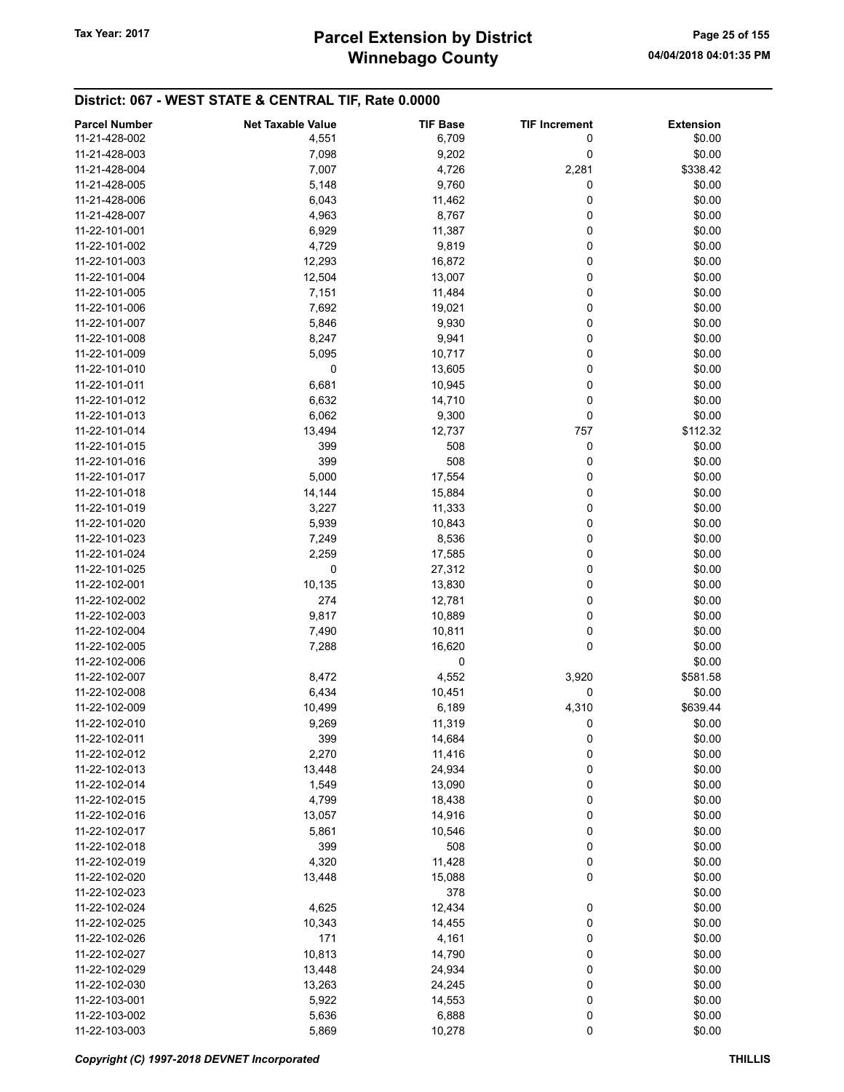| <b>Parcel Number</b> | <b>Net Taxable Value</b> | <b>TIF Base</b>  | <b>TIF Increment</b> | <b>Extension</b> |
|----------------------|--------------------------|------------------|----------------------|------------------|
| 11-21-428-002        | 4,551                    | 6,709            | 0                    | \$0.00           |
| 11-21-428-003        | 7,098                    | 9,202            | 0                    | \$0.00           |
| 11-21-428-004        | 7,007                    | 4,726            | 2,281                | \$338.42         |
| 11-21-428-005        | 5,148                    | 9,760            | 0                    | \$0.00           |
| 11-21-428-006        | 6,043                    | 11,462           | 0                    | \$0.00           |
| 11-21-428-007        | 4,963                    | 8,767            | 0                    | \$0.00           |
| 11-22-101-001        | 6,929                    | 11,387           | 0                    | \$0.00           |
| 11-22-101-002        | 4,729                    | 9,819            | 0                    | \$0.00           |
| 11-22-101-003        | 12,293                   | 16,872           | 0                    | \$0.00           |
| 11-22-101-004        | 12,504                   | 13,007           | 0                    | \$0.00           |
| 11-22-101-005        | 7,151                    | 11,484           | 0                    | \$0.00           |
| 11-22-101-006        | 7,692                    | 19,021           | 0                    | \$0.00           |
| 11-22-101-007        | 5,846                    | 9,930            | 0                    | \$0.00           |
| 11-22-101-008        | 8,247                    | 9,941            | 0                    | \$0.00           |
| 11-22-101-009        | 5,095                    | 10,717           | 0                    | \$0.00           |
| 11-22-101-010        | 0                        | 13,605           | 0                    | \$0.00           |
| 11-22-101-011        | 6,681                    | 10,945           | 0                    | \$0.00           |
| 11-22-101-012        | 6,632                    | 14,710           | 0                    | \$0.00           |
| 11-22-101-013        | 6,062                    | 9,300            | 0                    | \$0.00           |
| 11-22-101-014        | 13,494                   | 12,737           | 757                  | \$112.32         |
| 11-22-101-015        | 399                      | 508              | 0                    | \$0.00           |
| 11-22-101-016        | 399                      | 508              | 0                    | \$0.00           |
| 11-22-101-017        | 5,000                    | 17,554           | 0                    | \$0.00           |
| 11-22-101-018        | 14,144                   | 15,884           | 0                    | \$0.00           |
| 11-22-101-019        | 3,227                    | 11,333           | 0                    | \$0.00           |
| 11-22-101-020        | 5,939                    | 10,843           | 0                    | \$0.00           |
| 11-22-101-023        | 7,249                    | 8,536            | 0                    | \$0.00           |
| 11-22-101-024        | 2,259                    | 17,585           | 0                    | \$0.00           |
| 11-22-101-025        | 0                        | 27,312           | 0                    | \$0.00           |
| 11-22-102-001        | 10,135                   | 13,830           | 0                    | \$0.00           |
| 11-22-102-002        | 274                      |                  | 0                    | \$0.00           |
| 11-22-102-003        | 9,817                    | 12,781<br>10,889 | 0                    | \$0.00           |
| 11-22-102-004        | 7,490                    | 10,811           | 0                    | \$0.00           |
| 11-22-102-005        | 7,288                    | 16,620           | 0                    | \$0.00           |
| 11-22-102-006        |                          | 0                |                      | \$0.00           |
| 11-22-102-007        | 8,472                    | 4,552            | 3,920                | \$581.58         |
| 11-22-102-008        | 6,434                    | 10,451           | 0                    | \$0.00           |
| 11-22-102-009        | 10,499                   | 6,189            | 4,310                | \$639.44         |
| 11-22-102-010        | 9,269                    | 11,319           | 0                    | \$0.00           |
| 11-22-102-011        | 399                      | 14,684           | 0                    | \$0.00           |
| 11-22-102-012        | 2,270                    | 11,416           | 0                    | \$0.00           |
| 11-22-102-013        | 13,448                   | 24,934           | 0                    | \$0.00           |
| 11-22-102-014        | 1,549                    | 13,090           | 0                    | \$0.00           |
| 11-22-102-015        | 4,799                    | 18,438           | 0                    | \$0.00           |
| 11-22-102-016        | 13,057                   | 14,916           | 0                    | \$0.00           |
| 11-22-102-017        | 5,861                    | 10,546           | 0                    | \$0.00           |
| 11-22-102-018        | 399                      | 508              | 0                    | \$0.00           |
| 11-22-102-019        | 4,320                    | 11,428           | 0                    | \$0.00           |
| 11-22-102-020        | 13,448                   | 15,088           | 0                    | \$0.00           |
| 11-22-102-023        |                          | 378              |                      | \$0.00           |
| 11-22-102-024        |                          |                  |                      | \$0.00           |
| 11-22-102-025        | 4,625<br>10,343          | 12,434<br>14,455 | 0<br>0               | \$0.00           |
| 11-22-102-026        | 171                      | 4,161            | 0                    | \$0.00           |
| 11-22-102-027        | 10,813                   | 14,790           | 0                    | \$0.00           |
| 11-22-102-029        | 13,448                   | 24,934           | 0                    | \$0.00           |
| 11-22-102-030        | 13,263                   | 24,245           | 0                    | \$0.00           |
| 11-22-103-001        | 5,922                    | 14,553           | 0                    | \$0.00           |
| 11-22-103-002        | 5,636                    | 6,888            | 0                    | \$0.00           |
| 11-22-103-003        | 5,869                    | 10,278           | $\pmb{0}$            | \$0.00           |
|                      |                          |                  |                      |                  |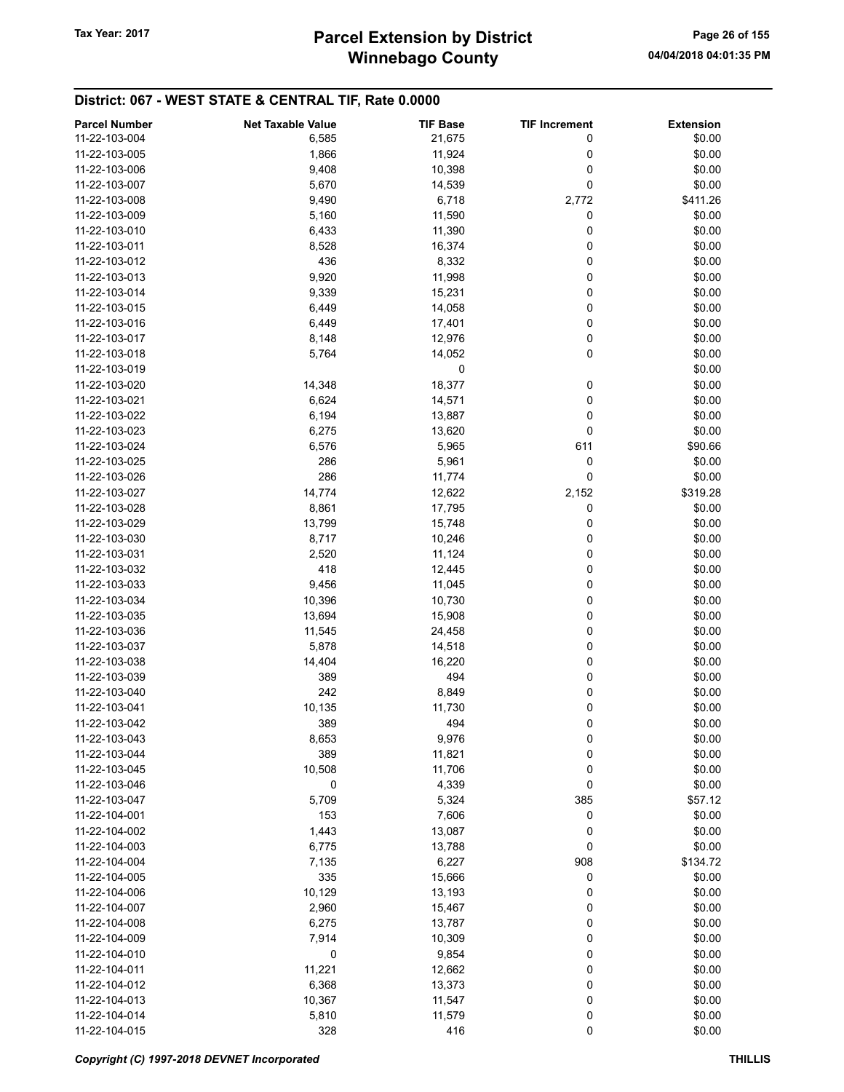| <b>Parcel Number</b> | <b>Net Taxable Value</b> | <b>TIF Base</b> | <b>TIF Increment</b> | <b>Extension</b> |
|----------------------|--------------------------|-----------------|----------------------|------------------|
| 11-22-103-004        | 6,585                    | 21,675          | 0                    | \$0.00           |
|                      |                          |                 |                      |                  |
| 11-22-103-005        | 1,866                    | 11,924          | 0                    | \$0.00           |
| 11-22-103-006        | 9,408                    | 10,398          | 0                    | \$0.00           |
| 11-22-103-007        | 5,670                    | 14,539          | 0                    | \$0.00           |
| 11-22-103-008        | 9,490                    | 6,718           | 2,772                | \$411.26         |
| 11-22-103-009        | 5,160                    | 11,590          | 0                    | \$0.00           |
| 11-22-103-010        | 6,433                    | 11,390          | 0                    | \$0.00           |
| 11-22-103-011        | 8,528                    | 16,374          | 0                    | \$0.00           |
| 11-22-103-012        | 436                      | 8,332           | 0                    | \$0.00           |
| 11-22-103-013        | 9,920                    | 11,998          | 0                    | \$0.00           |
| 11-22-103-014        | 9,339                    | 15,231          | 0                    | \$0.00           |
| 11-22-103-015        | 6,449                    | 14,058          | 0                    | \$0.00           |
|                      | 6,449                    |                 | 0                    | \$0.00           |
| 11-22-103-016        |                          | 17,401          |                      |                  |
| 11-22-103-017        | 8,148                    | 12,976          | 0                    | \$0.00           |
| 11-22-103-018        | 5,764                    | 14,052          | 0                    | \$0.00           |
| 11-22-103-019        |                          | 0               |                      | \$0.00           |
| 11-22-103-020        | 14,348                   | 18,377          | 0                    | \$0.00           |
| 11-22-103-021        | 6,624                    | 14,571          | 0                    | \$0.00           |
| 11-22-103-022        | 6,194                    | 13,887          | 0                    | \$0.00           |
| 11-22-103-023        | 6,275                    | 13,620          | 0                    | \$0.00           |
| 11-22-103-024        | 6,576                    | 5,965           | 611                  | \$90.66          |
| 11-22-103-025        | 286                      | 5,961           | 0                    | \$0.00           |
| 11-22-103-026        | 286                      | 11,774          | 0                    | \$0.00           |
| 11-22-103-027        | 14,774                   | 12,622          | 2,152                | \$319.28         |
|                      |                          |                 |                      |                  |
| 11-22-103-028        | 8,861                    | 17,795          | 0                    | \$0.00           |
| 11-22-103-029        | 13,799                   | 15,748          | 0                    | \$0.00           |
| 11-22-103-030        | 8,717                    | 10,246          | 0                    | \$0.00           |
| 11-22-103-031        | 2,520                    | 11,124          | 0                    | \$0.00           |
| 11-22-103-032        | 418                      | 12,445          | 0                    | \$0.00           |
| 11-22-103-033        | 9,456                    | 11,045          | 0                    | \$0.00           |
| 11-22-103-034        | 10,396                   | 10,730          | 0                    | \$0.00           |
| 11-22-103-035        | 13,694                   | 15,908          | 0                    | \$0.00           |
| 11-22-103-036        | 11,545                   | 24,458          | 0                    | \$0.00           |
| 11-22-103-037        | 5,878                    | 14,518          | 0                    | \$0.00           |
| 11-22-103-038        | 14,404                   | 16,220          | 0                    | \$0.00           |
| 11-22-103-039        | 389                      | 494             | 0                    | \$0.00           |
| 11-22-103-040        | 242                      | 8,849           | 0                    | \$0.00           |
| 11-22-103-041        | 10,135                   | 11,730          | 0                    | \$0.00           |
| 11-22-103-042        |                          |                 |                      |                  |
|                      | 389                      | 494             | 0                    | \$0.00           |
| 11-22-103-043        | 8,653                    | 9,976           | 0                    | \$0.00           |
| 11-22-103-044        | 389                      | 11,821          | 0                    | \$0.00           |
| 11-22-103-045        | 10,508                   | 11,706          | 0                    | \$0.00           |
| 11-22-103-046        | 0                        | 4,339           | 0                    | \$0.00           |
| 11-22-103-047        | 5,709                    | 5,324           | 385                  | \$57.12          |
| 11-22-104-001        | 153                      | 7,606           | 0                    | \$0.00           |
| 11-22-104-002        | 1,443                    | 13,087          | 0                    | \$0.00           |
| 11-22-104-003        | 6,775                    | 13,788          | 0                    | \$0.00           |
| 11-22-104-004        | 7,135                    | 6,227           | 908                  | \$134.72         |
| 11-22-104-005        | 335                      | 15,666          | 0                    | \$0.00           |
| 11-22-104-006        | 10,129                   | 13,193          | 0                    | \$0.00           |
| 11-22-104-007        | 2,960                    | 15,467          | 0                    | \$0.00           |
| 11-22-104-008        |                          |                 |                      | \$0.00           |
|                      | 6,275                    | 13,787          | 0                    |                  |
| 11-22-104-009        | 7,914                    | 10,309          | 0                    | \$0.00           |
| 11-22-104-010        | $\mathbf 0$              | 9,854           | 0                    | \$0.00           |
| 11-22-104-011        | 11,221                   | 12,662          | 0                    | \$0.00           |
| 11-22-104-012        | 6,368                    | 13,373          | 0                    | \$0.00           |
| 11-22-104-013        | 10,367                   | 11,547          | 0                    | \$0.00           |
| 11-22-104-014        | 5,810                    | 11,579          | 0                    | \$0.00           |
| 11-22-104-015        | 328                      | 416             | 0                    | \$0.00           |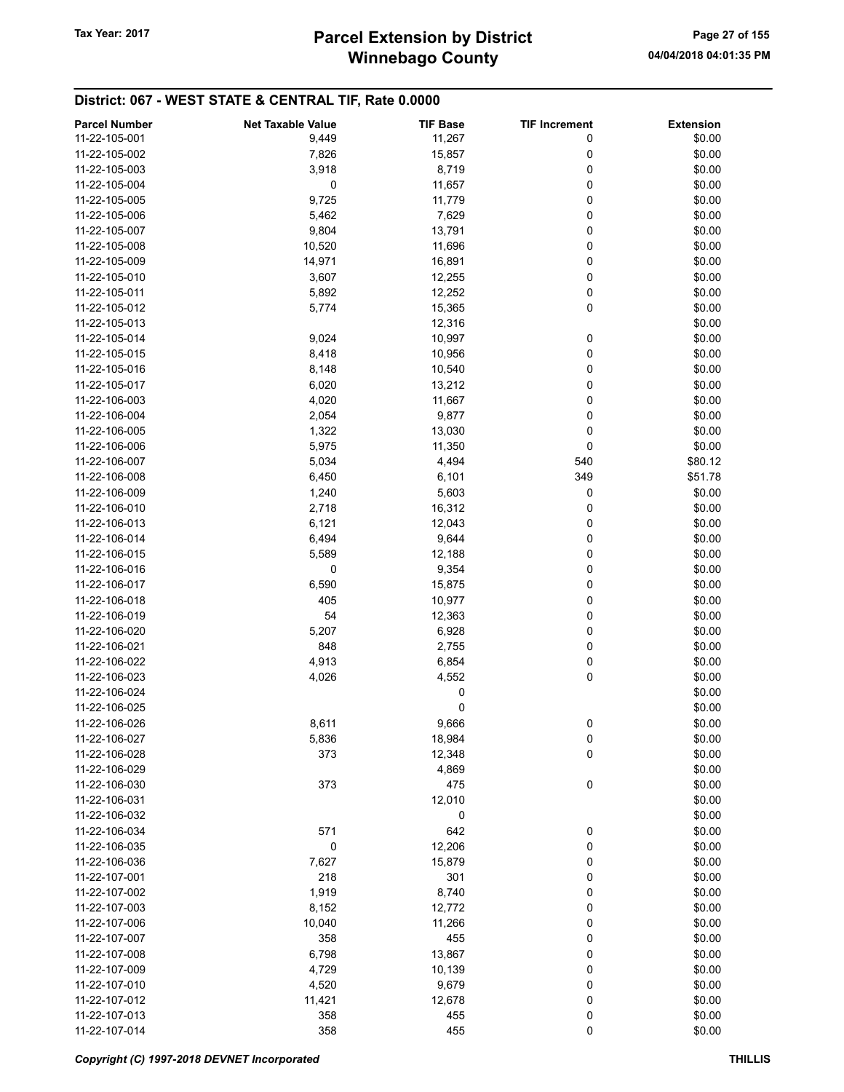| <b>Parcel Number</b> | <b>Net Taxable Value</b> | <b>TIF Base</b> | <b>TIF Increment</b> | <b>Extension</b> |
|----------------------|--------------------------|-----------------|----------------------|------------------|
| 11-22-105-001        | 9,449                    | 11,267          | 0                    | \$0.00           |
| 11-22-105-002        | 7,826                    | 15,857          | 0                    | \$0.00           |
| 11-22-105-003        | 3,918                    | 8,719           | 0                    | \$0.00           |
|                      | 0                        |                 | 0                    | \$0.00           |
| 11-22-105-004        |                          | 11,657          |                      |                  |
| 11-22-105-005        | 9,725                    | 11,779          | 0                    | \$0.00           |
| 11-22-105-006        | 5,462                    | 7,629           | 0                    | \$0.00           |
| 11-22-105-007        | 9,804                    | 13,791          | 0                    | \$0.00           |
| 11-22-105-008        | 10,520                   | 11,696          | 0                    | \$0.00           |
| 11-22-105-009        | 14,971                   | 16,891          | 0                    | \$0.00           |
| 11-22-105-010        | 3,607                    | 12,255          | 0                    | \$0.00           |
| 11-22-105-011        | 5,892                    | 12,252          | 0                    | \$0.00           |
| 11-22-105-012        | 5,774                    | 15,365          | 0                    | \$0.00           |
| 11-22-105-013        |                          | 12,316          |                      | \$0.00           |
| 11-22-105-014        | 9,024                    | 10,997          | 0                    | \$0.00           |
| 11-22-105-015        | 8,418                    | 10,956          | 0                    | \$0.00           |
| 11-22-105-016        | 8,148                    | 10,540          | 0                    | \$0.00           |
| 11-22-105-017        | 6,020                    | 13,212          | 0                    | \$0.00           |
| 11-22-106-003        | 4,020                    | 11,667          | 0                    | \$0.00           |
| 11-22-106-004        | 2,054                    | 9,877           | 0                    | \$0.00           |
| 11-22-106-005        | 1,322                    | 13,030          | 0                    | \$0.00           |
| 11-22-106-006        |                          |                 | 0                    |                  |
|                      | 5,975                    | 11,350          |                      | \$0.00           |
| 11-22-106-007        | 5,034                    | 4,494           | 540                  | \$80.12          |
| 11-22-106-008        | 6,450                    | 6,101           | 349                  | \$51.78          |
| 11-22-106-009        | 1,240                    | 5,603           | 0                    | \$0.00           |
| 11-22-106-010        | 2,718                    | 16,312          | 0                    | \$0.00           |
| 11-22-106-013        | 6,121                    | 12,043          | 0                    | \$0.00           |
| 11-22-106-014        | 6,494                    | 9,644           | 0                    | \$0.00           |
| 11-22-106-015        | 5,589                    | 12,188          | 0                    | \$0.00           |
| 11-22-106-016        | 0                        | 9,354           | 0                    | \$0.00           |
| 11-22-106-017        | 6,590                    | 15,875          | 0                    | \$0.00           |
| 11-22-106-018        | 405                      | 10,977          | 0                    | \$0.00           |
| 11-22-106-019        | 54                       | 12,363          | 0                    | \$0.00           |
| 11-22-106-020        | 5,207                    | 6,928           | 0                    | \$0.00           |
| 11-22-106-021        | 848                      | 2,755           | 0                    | \$0.00           |
| 11-22-106-022        | 4,913                    | 6,854           | 0                    | \$0.00           |
| 11-22-106-023        | 4,026                    | 4,552           | 0                    | \$0.00           |
| 11-22-106-024        |                          | 0               |                      | \$0.00           |
| 11-22-106-025        |                          | 0               |                      | \$0.00           |
|                      |                          |                 |                      |                  |
| 11-22-106-026        | 8,611                    | 9,666           | 0                    | \$0.00           |
| 11-22-106-027        | 5,836                    | 18,984          | 0                    | \$0.00           |
| 11-22-106-028        | 373                      | 12,348          | 0                    | \$0.00           |
| 11-22-106-029        |                          | 4,869           |                      | \$0.00           |
| 11-22-106-030        | 373                      | 475             | 0                    | \$0.00           |
| 11-22-106-031        |                          | 12,010          |                      | \$0.00           |
| 11-22-106-032        |                          | 0               |                      | \$0.00           |
| 11-22-106-034        | 571                      | 642             | 0                    | \$0.00           |
| 11-22-106-035        | 0                        | 12,206          | 0                    | \$0.00           |
| 11-22-106-036        | 7,627                    | 15,879          | 0                    | \$0.00           |
| 11-22-107-001        | 218                      | 301             | 0                    | \$0.00           |
| 11-22-107-002        | 1,919                    | 8,740           | 0                    | \$0.00           |
| 11-22-107-003        | 8,152                    | 12,772          | 0                    | \$0.00           |
| 11-22-107-006        | 10,040                   | 11,266          | 0                    | \$0.00           |
| 11-22-107-007        | 358                      | 455             | 0                    | \$0.00           |
| 11-22-107-008        | 6,798                    | 13,867          | 0                    | \$0.00           |
|                      |                          |                 |                      |                  |
| 11-22-107-009        | 4,729                    | 10,139          | 0                    | \$0.00           |
| 11-22-107-010        | 4,520                    | 9,679           | 0                    | \$0.00           |
| 11-22-107-012        | 11,421                   | 12,678          | 0                    | \$0.00           |
| 11-22-107-013        | 358                      | 455             | 0                    | \$0.00           |
| 11-22-107-014        | 358                      | 455             | 0                    | \$0.00           |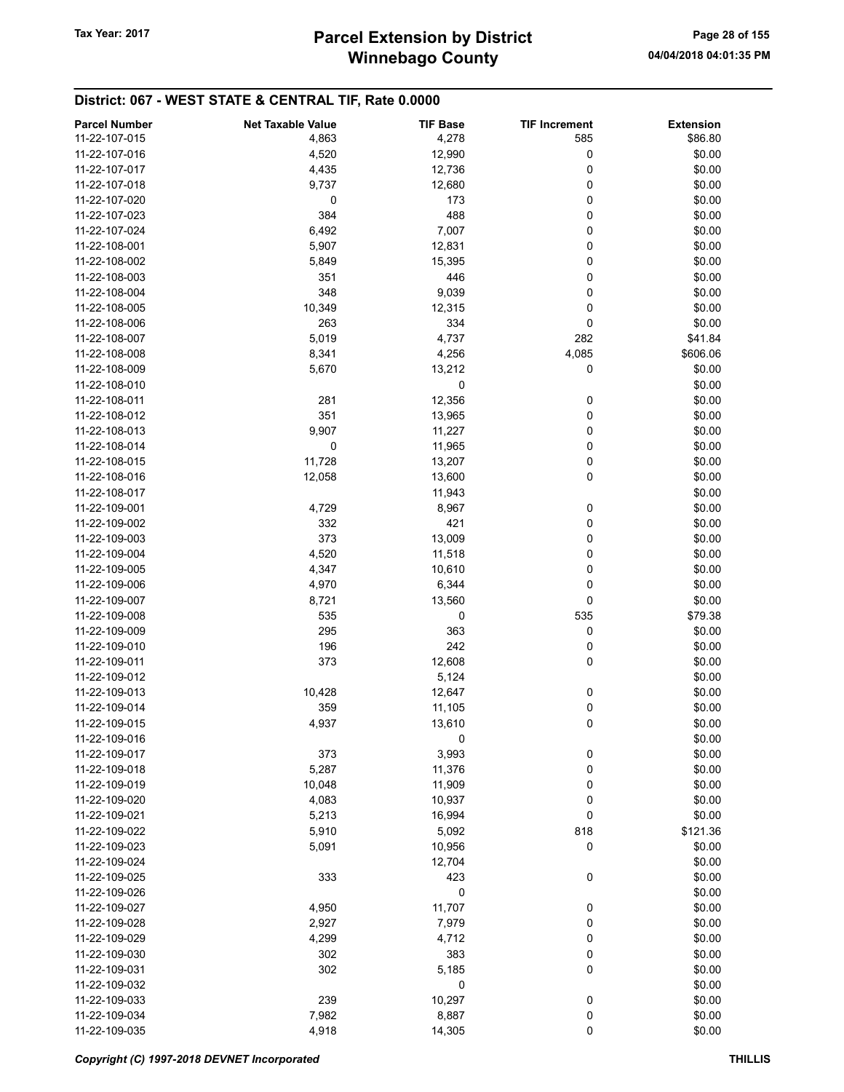# Winnebago County Tax Year: 2017 **Parcel Extension by District** Page 28 of 155

| <b>Parcel Number</b> | <b>Net Taxable Value</b> | <b>TIF Base</b> | <b>TIF Increment</b> | <b>Extension</b> |
|----------------------|--------------------------|-----------------|----------------------|------------------|
| 11-22-107-015        | 4,863                    | 4,278           | 585                  | \$86.80          |
| 11-22-107-016        | 4,520                    | 12,990          | 0                    | \$0.00           |
| 11-22-107-017        | 4,435                    | 12,736          | 0                    | \$0.00           |
| 11-22-107-018        | 9,737                    | 12,680          | 0                    | \$0.00           |
| 11-22-107-020        | 0                        | 173             | 0                    | \$0.00           |
|                      |                          |                 |                      |                  |
| 11-22-107-023        | 384                      | 488             | 0                    | \$0.00           |
| 11-22-107-024        | 6,492                    | 7,007           | 0                    | \$0.00           |
| 11-22-108-001        | 5,907                    | 12,831          | 0                    | \$0.00           |
| 11-22-108-002        | 5,849                    | 15,395          | 0                    | \$0.00           |
| 11-22-108-003        | 351                      | 446             | 0                    | \$0.00           |
| 11-22-108-004        | 348                      | 9,039           | 0                    | \$0.00           |
| 11-22-108-005        | 10,349                   | 12,315          | 0                    | \$0.00           |
| 11-22-108-006        | 263                      | 334             | 0                    | \$0.00           |
| 11-22-108-007        | 5,019                    | 4,737           | 282                  | \$41.84          |
| 11-22-108-008        | 8,341                    | 4,256           | 4,085                | \$606.06         |
| 11-22-108-009        | 5,670                    | 13,212          | 0                    | \$0.00           |
| 11-22-108-010        |                          | 0               |                      | \$0.00           |
| 11-22-108-011        | 281                      | 12,356          | 0                    | \$0.00           |
| 11-22-108-012        | 351                      | 13,965          | 0                    | \$0.00           |
| 11-22-108-013        | 9,907                    | 11,227          | 0                    | \$0.00           |
| 11-22-108-014        | 0                        | 11,965          | 0                    | \$0.00           |
| 11-22-108-015        | 11,728                   | 13,207          | 0                    | \$0.00           |
| 11-22-108-016        | 12,058                   | 13,600          | 0                    | \$0.00           |
| 11-22-108-017        |                          | 11,943          |                      | \$0.00           |
| 11-22-109-001        | 4,729                    | 8,967           | 0                    | \$0.00           |
| 11-22-109-002        | 332                      | 421             | 0                    | \$0.00           |
| 11-22-109-003        | 373                      | 13,009          | 0                    | \$0.00           |
| 11-22-109-004        | 4,520                    | 11,518          | 0                    | \$0.00           |
| 11-22-109-005        | 4,347                    | 10,610          | 0                    | \$0.00           |
| 11-22-109-006        | 4,970                    | 6,344           | 0                    | \$0.00           |
| 11-22-109-007        | 8,721                    | 13,560          | 0                    | \$0.00           |
| 11-22-109-008        | 535                      | 0               | 535                  | \$79.38          |
| 11-22-109-009        | 295                      | 363             | 0                    | \$0.00           |
| 11-22-109-010        | 196                      | 242             | 0                    | \$0.00           |
| 11-22-109-011        | 373                      | 12,608          | 0                    | \$0.00           |
| 11-22-109-012        |                          | 5,124           |                      | \$0.00           |
| 11-22-109-013        | 10,428                   | 12,647          | 0                    | \$0.00           |
| 11-22-109-014        | 359                      | 11,105          | 0                    | \$0.00           |
| 11-22-109-015        | 4,937                    | 13,610          | $\pmb{0}$            | \$0.00           |
| 11-22-109-016        |                          | 0               |                      | \$0.00           |
| 11-22-109-017        | 373                      | 3,993           | 0                    | \$0.00           |
| 11-22-109-018        | 5,287                    | 11,376          | 0                    | \$0.00           |
| 11-22-109-019        |                          |                 |                      |                  |
|                      | 10,048                   | 11,909          | 0                    | \$0.00           |
| 11-22-109-020        | 4,083                    | 10,937          | 0                    | \$0.00           |
| 11-22-109-021        | 5,213                    | 16,994          | $\pmb{0}$            | \$0.00           |
| 11-22-109-022        | 5,910                    | 5,092           | 818                  | \$121.36         |
| 11-22-109-023        | 5,091                    | 10,956          | 0                    | \$0.00           |
| 11-22-109-024        |                          | 12,704          |                      | \$0.00           |
| 11-22-109-025        | 333                      | 423             | 0                    | \$0.00           |
| 11-22-109-026        |                          | 0               |                      | \$0.00           |
| 11-22-109-027        | 4,950                    | 11,707          | 0                    | \$0.00           |
| 11-22-109-028        | 2,927                    | 7,979           | 0                    | \$0.00           |
| 11-22-109-029        | 4,299                    | 4,712           | 0                    | \$0.00           |
| 11-22-109-030        | 302                      | 383             | 0                    | \$0.00           |
| 11-22-109-031        | 302                      | 5,185           | 0                    | \$0.00           |
| 11-22-109-032        |                          | 0               |                      | \$0.00           |
| 11-22-109-033        | 239                      | 10,297          | 0                    | \$0.00           |
| 11-22-109-034        | 7,982                    | 8,887           | 0                    | \$0.00           |
| 11-22-109-035        | 4,918                    | 14,305          | 0                    | \$0.00           |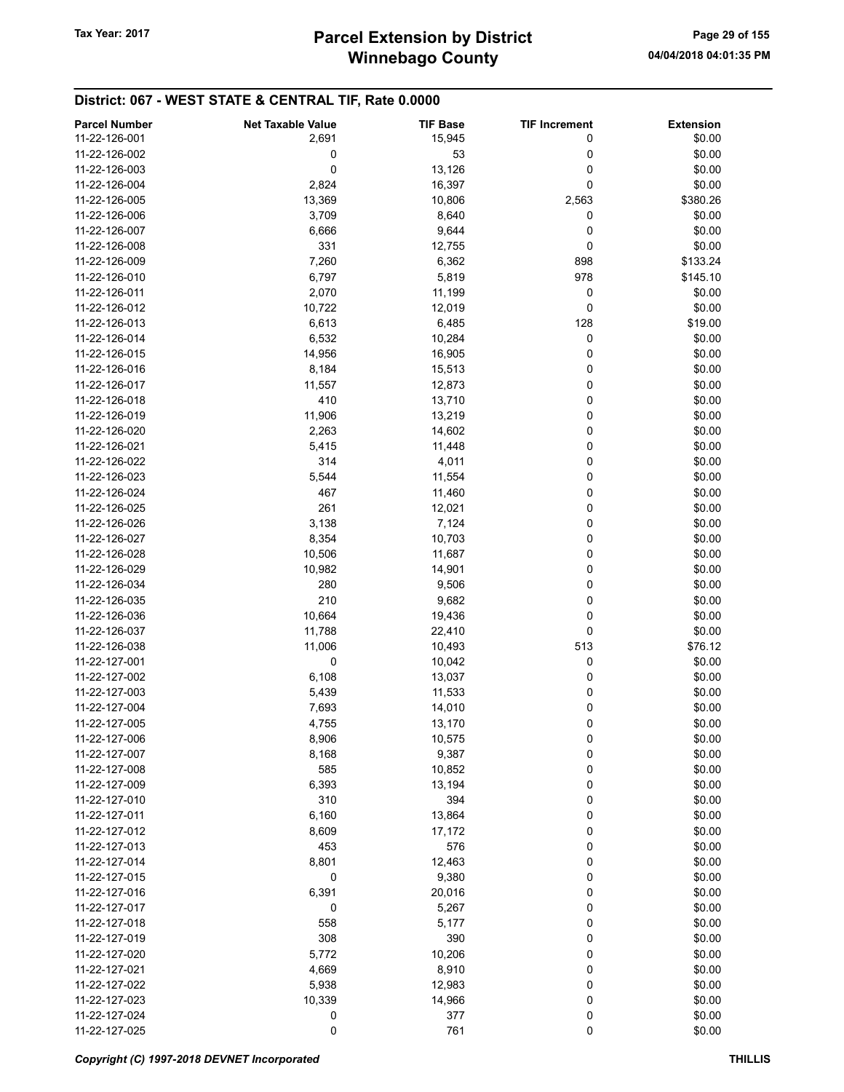| <b>Parcel Number</b> | <b>Net Taxable Value</b> | <b>TIF Base</b> | <b>TIF Increment</b> | <b>Extension</b> |
|----------------------|--------------------------|-----------------|----------------------|------------------|
| 11-22-126-001        | 2,691                    | 15,945          | 0                    | \$0.00           |
| 11-22-126-002        |                          | 53              |                      | \$0.00           |
|                      | 0                        |                 | 0                    |                  |
| 11-22-126-003        | $\mathbf 0$              | 13,126          | 0                    | \$0.00           |
| 11-22-126-004        | 2,824                    | 16,397          | 0                    | \$0.00           |
| 11-22-126-005        | 13,369                   | 10,806          | 2,563                | \$380.26         |
| 11-22-126-006        | 3,709                    | 8,640           | 0                    | \$0.00           |
| 11-22-126-007        | 6,666                    | 9,644           | 0                    | \$0.00           |
| 11-22-126-008        | 331                      | 12,755          | 0                    | \$0.00           |
| 11-22-126-009        | 7,260                    | 6,362           | 898                  | \$133.24         |
| 11-22-126-010        | 6,797                    | 5,819           | 978                  | \$145.10         |
| 11-22-126-011        | 2,070                    | 11,199          | 0                    | \$0.00           |
| 11-22-126-012        | 10,722                   | 12,019          | 0                    | \$0.00           |
| 11-22-126-013        | 6,613                    | 6,485           | 128                  | \$19.00          |
| 11-22-126-014        |                          |                 |                      |                  |
|                      | 6,532                    | 10,284          | 0                    | \$0.00           |
| 11-22-126-015        | 14,956                   | 16,905          | 0                    | \$0.00           |
| 11-22-126-016        | 8,184                    | 15,513          | 0                    | \$0.00           |
| 11-22-126-017        | 11,557                   | 12,873          | 0                    | \$0.00           |
| 11-22-126-018        | 410                      | 13,710          | 0                    | \$0.00           |
| 11-22-126-019        | 11,906                   | 13,219          | 0                    | \$0.00           |
| 11-22-126-020        | 2,263                    | 14,602          | 0                    | \$0.00           |
| 11-22-126-021        | 5,415                    | 11,448          | 0                    | \$0.00           |
| 11-22-126-022        | 314                      | 4,011           | 0                    | \$0.00           |
| 11-22-126-023        | 5,544                    | 11,554          | 0                    | \$0.00           |
| 11-22-126-024        | 467                      | 11,460          | 0                    | \$0.00           |
| 11-22-126-025        | 261                      | 12,021          | 0                    | \$0.00           |
| 11-22-126-026        |                          |                 | 0                    |                  |
|                      | 3,138                    | 7,124           |                      | \$0.00           |
| 11-22-126-027        | 8,354                    | 10,703          | 0                    | \$0.00           |
| 11-22-126-028        | 10,506                   | 11,687          | 0                    | \$0.00           |
| 11-22-126-029        | 10,982                   | 14,901          | 0                    | \$0.00           |
| 11-22-126-034        | 280                      | 9,506           | 0                    | \$0.00           |
| 11-22-126-035        | 210                      | 9,682           | 0                    | \$0.00           |
| 11-22-126-036        | 10,664                   | 19,436          | 0                    | \$0.00           |
| 11-22-126-037        | 11,788                   | 22,410          | 0                    | \$0.00           |
| 11-22-126-038        | 11,006                   | 10,493          | 513                  | \$76.12          |
| 11-22-127-001        | 0                        | 10,042          | 0                    | \$0.00           |
| 11-22-127-002        | 6,108                    | 13,037          | 0                    | \$0.00           |
| 11-22-127-003        | 5,439                    | 11,533          | 0                    | \$0.00           |
| 11-22-127-004        | 7,693                    | 14,010          | 0                    | \$0.00           |
| 11-22-127-005        | 4,755                    | 13,170          | 0                    | \$0.00           |
| 11-22-127-006        |                          |                 |                      |                  |
|                      | 8,906                    | 10,575          | 0                    | \$0.00           |
| 11-22-127-007        | 8,168                    | 9,387           | 0                    | \$0.00           |
| 11-22-127-008        | 585                      | 10,852          | 0                    | \$0.00           |
| 11-22-127-009        | 6,393                    | 13,194          | 0                    | \$0.00           |
| 11-22-127-010        | 310                      | 394             | 0                    | \$0.00           |
| 11-22-127-011        | 6,160                    | 13,864          | 0                    | \$0.00           |
| 11-22-127-012        | 8,609                    | 17,172          | 0                    | \$0.00           |
| 11-22-127-013        | 453                      | 576             | 0                    | \$0.00           |
| 11-22-127-014        | 8,801                    | 12,463          | 0                    | \$0.00           |
| 11-22-127-015        | 0                        | 9,380           | 0                    | \$0.00           |
| 11-22-127-016        | 6,391                    | 20,016          | 0                    | \$0.00           |
| 11-22-127-017        | 0                        | 5,267           | 0                    | \$0.00           |
| 11-22-127-018        | 558                      | 5,177           | 0                    | \$0.00           |
| 11-22-127-019        | 308                      | 390             | 0                    | \$0.00           |
| 11-22-127-020        |                          |                 |                      | \$0.00           |
|                      | 5,772                    | 10,206          | 0                    |                  |
| 11-22-127-021        | 4,669                    | 8,910           | 0                    | \$0.00           |
| 11-22-127-022        | 5,938                    | 12,983          | 0                    | \$0.00           |
| 11-22-127-023        | 10,339                   | 14,966          | 0                    | \$0.00           |
| 11-22-127-024        | 0                        | 377             | 0                    | \$0.00           |
| 11-22-127-025        | 0                        | 761             | 0                    | \$0.00           |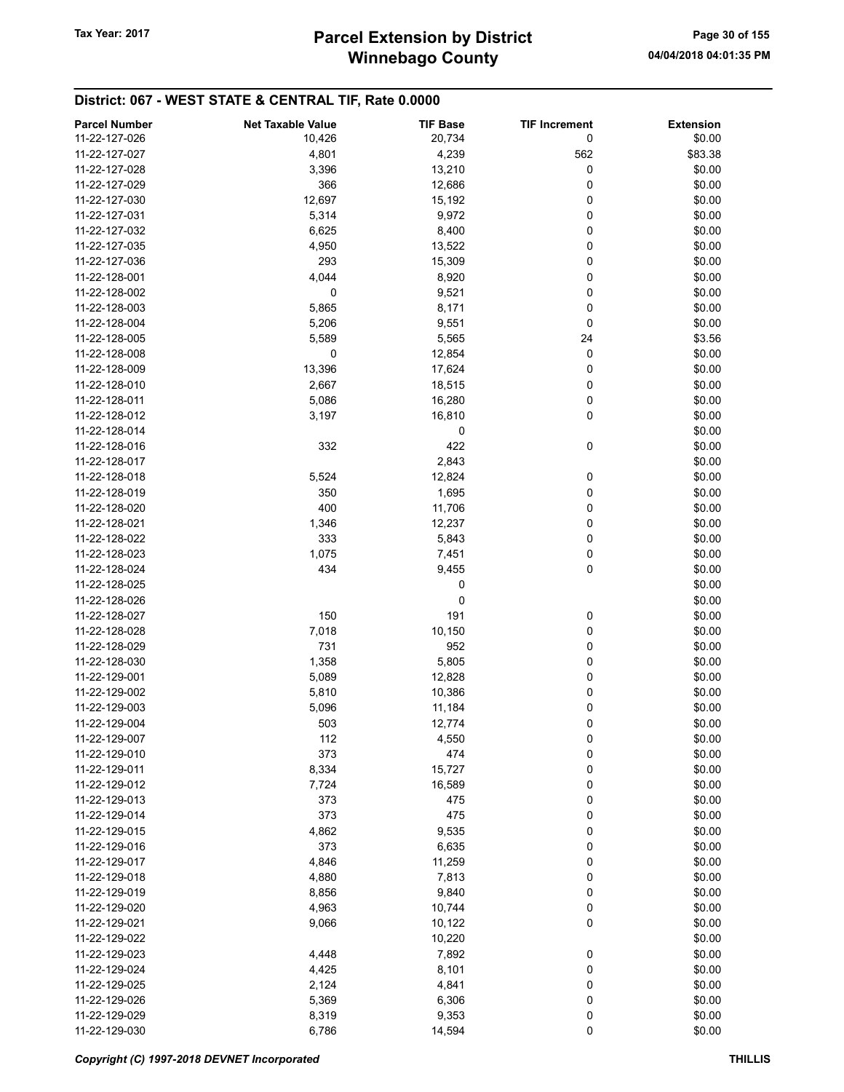| <b>Parcel Number</b> | <b>Net Taxable Value</b> | <b>TIF Base</b> | <b>TIF Increment</b> | <b>Extension</b> |
|----------------------|--------------------------|-----------------|----------------------|------------------|
| 11-22-127-026        | 10,426                   | 20,734          | 0                    | \$0.00           |
| 11-22-127-027        | 4,801                    | 4,239           | 562                  | \$83.38          |
| 11-22-127-028        | 3,396                    | 13,210          | $\mathbf 0$          | \$0.00           |
| 11-22-127-029        | 366                      | 12,686          | 0                    | \$0.00           |
| 11-22-127-030        |                          |                 | 0                    |                  |
|                      | 12,697                   | 15,192          |                      | \$0.00           |
| 11-22-127-031        | 5,314                    | 9,972           | 0                    | \$0.00           |
| 11-22-127-032        | 6,625                    | 8,400           | 0                    | \$0.00           |
| 11-22-127-035        | 4,950                    | 13,522          | 0                    | \$0.00           |
| 11-22-127-036        | 293                      | 15,309          | 0                    | \$0.00           |
| 11-22-128-001        | 4,044                    | 8,920           | 0                    | \$0.00           |
| 11-22-128-002        | 0                        | 9,521           | 0                    | \$0.00           |
| 11-22-128-003        | 5,865                    | 8,171           | 0                    | \$0.00           |
| 11-22-128-004        | 5,206                    | 9,551           | 0                    | \$0.00           |
| 11-22-128-005        | 5,589                    | 5,565           | 24                   | \$3.56           |
| 11-22-128-008        | 0                        | 12,854          | 0                    | \$0.00           |
| 11-22-128-009        | 13,396                   | 17,624          | 0                    | \$0.00           |
| 11-22-128-010        | 2,667                    | 18,515          | 0                    | \$0.00           |
| 11-22-128-011        | 5,086                    | 16,280          | 0                    | \$0.00           |
| 11-22-128-012        | 3,197                    | 16,810          | 0                    | \$0.00           |
| 11-22-128-014        |                          | 0               |                      | \$0.00           |
| 11-22-128-016        | 332                      | 422             | $\mathbf 0$          | \$0.00           |
| 11-22-128-017        |                          | 2,843           |                      | \$0.00           |
| 11-22-128-018        | 5,524                    | 12,824          | 0                    | \$0.00           |
| 11-22-128-019        | 350                      | 1,695           | 0                    | \$0.00           |
| 11-22-128-020        | 400                      |                 | 0                    |                  |
|                      |                          | 11,706          |                      | \$0.00           |
| 11-22-128-021        | 1,346                    | 12,237          | 0                    | \$0.00           |
| 11-22-128-022        | 333                      | 5,843           | 0                    | \$0.00           |
| 11-22-128-023        | 1,075                    | 7,451           | 0                    | \$0.00           |
| 11-22-128-024        | 434                      | 9,455           | 0                    | \$0.00           |
| 11-22-128-025        |                          | 0               |                      | \$0.00           |
| 11-22-128-026        |                          | 0               |                      | \$0.00           |
| 11-22-128-027        | 150                      | 191             | 0                    | \$0.00           |
| 11-22-128-028        | 7,018                    | 10,150          | 0                    | \$0.00           |
| 11-22-128-029        | 731                      | 952             | 0                    | \$0.00           |
| 11-22-128-030        | 1,358                    | 5,805           | 0                    | \$0.00           |
| 11-22-129-001        | 5,089                    | 12,828          | 0                    | \$0.00           |
| 11-22-129-002        | 5,810                    | 10,386          | 0                    | \$0.00           |
| 11-22-129-003        | 5,096                    | 11,184          | 0                    | \$0.00           |
| 11-22-129-004        | 503                      | 12,774          | 0                    | \$0.00           |
| 11-22-129-007        | 112                      | 4,550           | 0                    | \$0.00           |
| 11-22-129-010        | 373                      | 474             | 0                    | \$0.00           |
| 11-22-129-011        | 8,334                    | 15,727          | 0                    | \$0.00           |
| 11-22-129-012        | 7,724                    | 16,589          | 0                    | \$0.00           |
| 11-22-129-013        | 373                      | 475             | 0                    | \$0.00           |
| 11-22-129-014        | 373                      | 475             | 0                    | \$0.00           |
| 11-22-129-015        | 4,862                    | 9,535           | 0                    | \$0.00           |
| 11-22-129-016        | 373                      |                 | 0                    | \$0.00           |
|                      |                          | 6,635           |                      |                  |
| 11-22-129-017        | 4,846                    | 11,259          | 0                    | \$0.00           |
| 11-22-129-018        | 4,880                    | 7,813           | 0                    | \$0.00           |
| 11-22-129-019        | 8,856                    | 9,840           | 0                    | \$0.00           |
| 11-22-129-020        | 4,963                    | 10,744          | 0                    | \$0.00           |
| 11-22-129-021        | 9,066                    | 10,122          | 0                    | \$0.00           |
| 11-22-129-022        |                          | 10,220          |                      | \$0.00           |
| 11-22-129-023        | 4,448                    | 7,892           | 0                    | \$0.00           |
| 11-22-129-024        | 4,425                    | 8,101           | 0                    | \$0.00           |
| 11-22-129-025        | 2,124                    | 4,841           | 0                    | \$0.00           |
| 11-22-129-026        | 5,369                    | 6,306           | 0                    | \$0.00           |
| 11-22-129-029        | 8,319                    | 9,353           | 0                    | \$0.00           |
| 11-22-129-030        | 6,786                    | 14,594          | 0                    | \$0.00           |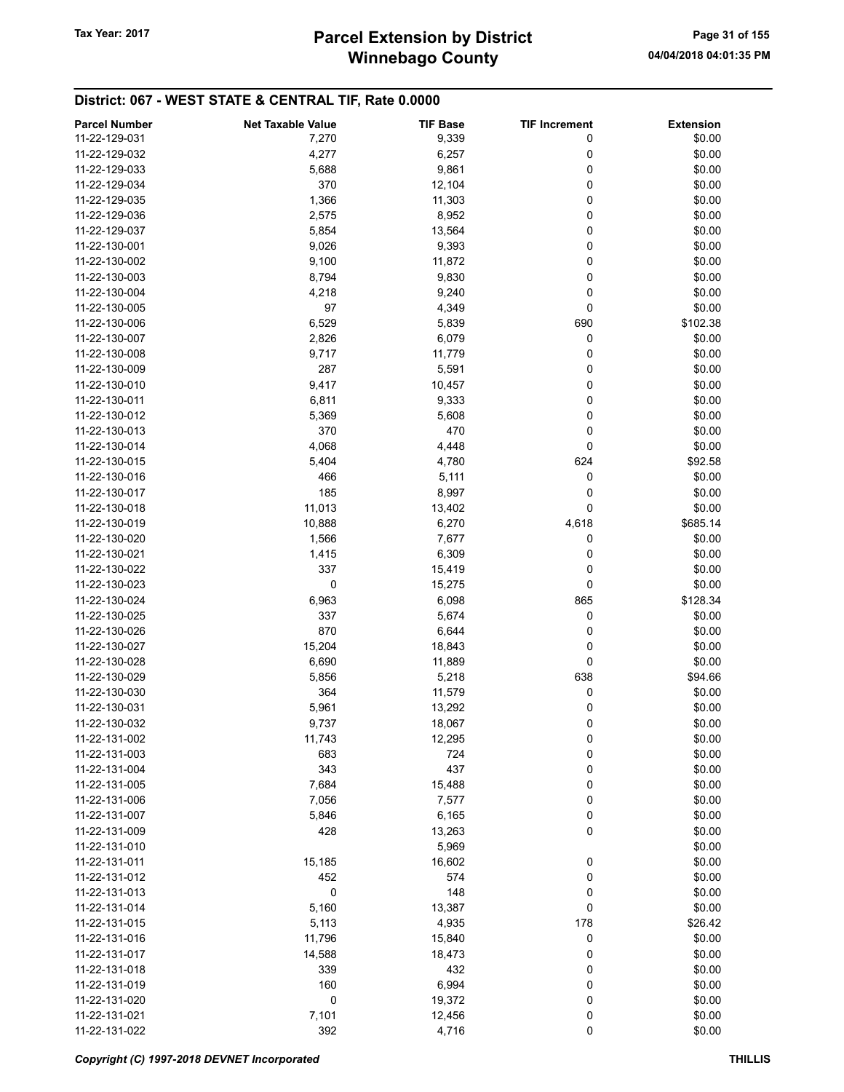| <b>Parcel Number</b> | <b>Net Taxable Value</b> | <b>TIF Base</b> | <b>TIF Increment</b> | <b>Extension</b> |
|----------------------|--------------------------|-----------------|----------------------|------------------|
| 11-22-129-031        | 7,270                    | 9,339           | 0                    | \$0.00           |
| 11-22-129-032        | 4,277                    | 6,257           | 0                    | \$0.00           |
| 11-22-129-033        | 5,688                    | 9,861           | 0                    | \$0.00           |
| 11-22-129-034        | 370                      | 12,104          | 0                    | \$0.00           |
| 11-22-129-035        | 1,366                    | 11,303          | 0                    | \$0.00           |
| 11-22-129-036        |                          |                 | 0                    | \$0.00           |
|                      | 2,575                    | 8,952           | 0                    |                  |
| 11-22-129-037        | 5,854                    | 13,564          |                      | \$0.00           |
| 11-22-130-001        | 9,026                    | 9,393           | 0                    | \$0.00           |
| 11-22-130-002        | 9,100                    | 11,872          | 0                    | \$0.00           |
| 11-22-130-003        | 8,794                    | 9,830           | 0                    | \$0.00           |
| 11-22-130-004        | 4,218                    | 9,240           | 0                    | \$0.00           |
| 11-22-130-005        | 97                       | 4,349           | 0                    | \$0.00           |
| 11-22-130-006        | 6,529                    | 5,839           | 690                  | \$102.38         |
| 11-22-130-007        | 2,826                    | 6,079           | 0                    | \$0.00           |
| 11-22-130-008        | 9,717                    | 11,779          | 0                    | \$0.00           |
| 11-22-130-009        | 287                      | 5,591           | 0                    | \$0.00           |
| 11-22-130-010        | 9,417                    | 10,457          | 0                    | \$0.00           |
| 11-22-130-011        | 6,811                    | 9,333           | 0                    | \$0.00           |
| 11-22-130-012        | 5,369                    | 5,608           | 0                    | \$0.00           |
| 11-22-130-013        | 370                      | 470             | 0                    | \$0.00           |
| 11-22-130-014        | 4,068                    | 4,448           | 0                    | \$0.00           |
| 11-22-130-015        | 5,404                    | 4,780           | 624                  | \$92.58          |
| 11-22-130-016        | 466                      | 5,111           | 0                    | \$0.00           |
| 11-22-130-017        | 185                      | 8,997           | 0                    | \$0.00           |
| 11-22-130-018        |                          |                 | 0                    | \$0.00           |
|                      | 11,013                   | 13,402          |                      |                  |
| 11-22-130-019        | 10,888                   | 6,270           | 4,618                | \$685.14         |
| 11-22-130-020        | 1,566                    | 7,677           | 0                    | \$0.00           |
| 11-22-130-021        | 1,415                    | 6,309           | 0                    | \$0.00           |
| 11-22-130-022        | 337                      | 15,419          | 0                    | \$0.00           |
| 11-22-130-023        | 0                        | 15,275          | 0                    | \$0.00           |
| 11-22-130-024        | 6,963                    | 6,098           | 865                  | \$128.34         |
| 11-22-130-025        | 337                      | 5,674           | 0                    | \$0.00           |
| 11-22-130-026        | 870                      | 6,644           | 0                    | \$0.00           |
| 11-22-130-027        | 15,204                   | 18,843          | 0                    | \$0.00           |
| 11-22-130-028        | 6,690                    | 11,889          | 0                    | \$0.00           |
| 11-22-130-029        | 5,856                    | 5,218           | 638                  | \$94.66          |
| 11-22-130-030        | 364                      | 11,579          | 0                    | \$0.00           |
| 11-22-130-031        | 5,961                    | 13,292          | 0                    | \$0.00           |
| 11-22-130-032        | 9,737                    | 18,067          | 0                    | \$0.00           |
| 11-22-131-002        | 11,743                   | 12,295          | 0                    | \$0.00           |
| 11-22-131-003        | 683                      | 724             | 0                    | \$0.00           |
| 11-22-131-004        | 343                      | 437             | 0                    | \$0.00           |
| 11-22-131-005        | 7,684                    | 15,488          | 0                    | \$0.00           |
| 11-22-131-006        | 7,056                    | 7,577           | 0                    | \$0.00           |
| 11-22-131-007        | 5,846                    | 6,165           | 0                    | \$0.00           |
| 11-22-131-009        | 428                      | 13,263          | 0                    | \$0.00           |
| 11-22-131-010        |                          |                 |                      | \$0.00           |
| 11-22-131-011        |                          | 5,969           |                      |                  |
|                      | 15,185                   | 16,602          | 0                    | \$0.00           |
| 11-22-131-012        | 452                      | 574             | 0                    | \$0.00           |
| 11-22-131-013        | $\boldsymbol{0}$         | 148             | 0                    | \$0.00           |
| 11-22-131-014        | 5,160                    | 13,387          | 0                    | \$0.00           |
| 11-22-131-015        | 5,113                    | 4,935           | 178                  | \$26.42          |
| 11-22-131-016        | 11,796                   | 15,840          | 0                    | \$0.00           |
| 11-22-131-017        | 14,588                   | 18,473          | 0                    | \$0.00           |
| 11-22-131-018        | 339                      | 432             | 0                    | \$0.00           |
| 11-22-131-019        | 160                      | 6,994           | 0                    | \$0.00           |
| 11-22-131-020        | $\mathbf 0$              | 19,372          | 0                    | \$0.00           |
| 11-22-131-021        | 7,101                    | 12,456          | 0                    | \$0.00           |
| 11-22-131-022        | 392                      | 4,716           | 0                    | \$0.00           |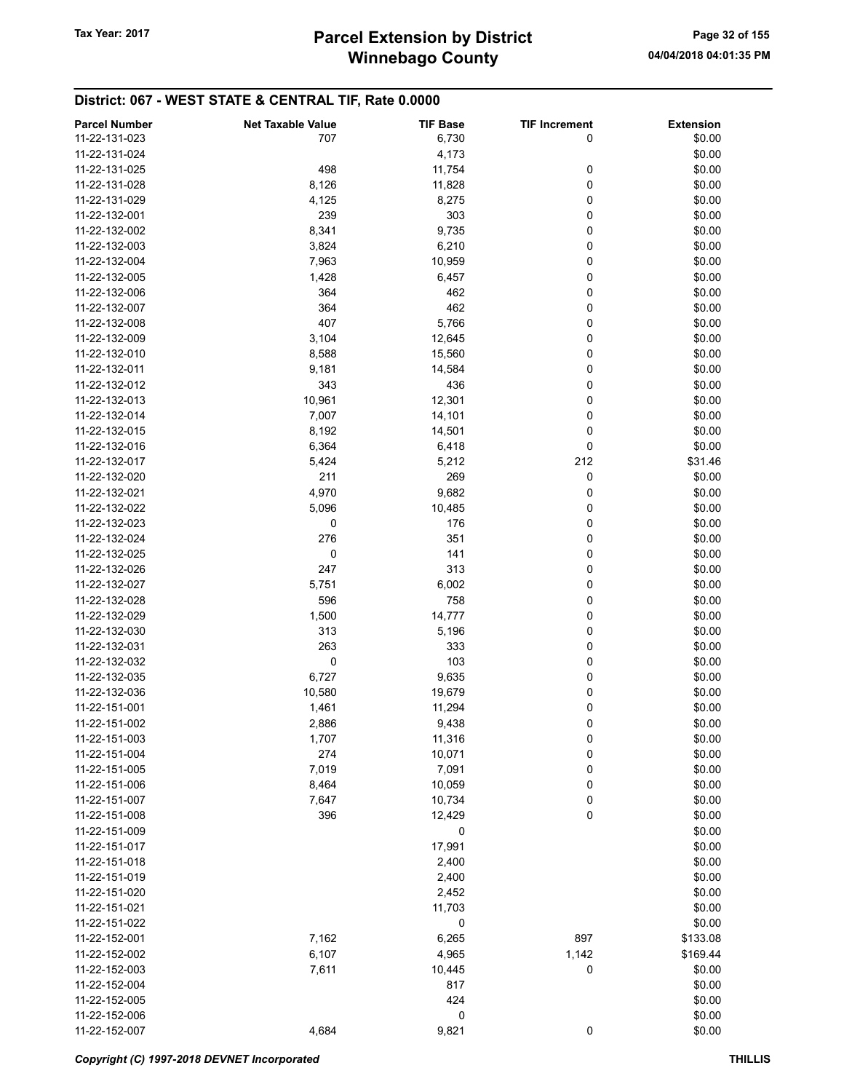| <b>Parcel Number</b> | <b>Net Taxable Value</b> | <b>TIF Base</b> | <b>TIF Increment</b> | <b>Extension</b> |
|----------------------|--------------------------|-----------------|----------------------|------------------|
| 11-22-131-023        | 707                      | 6,730           | 0                    | \$0.00           |
| 11-22-131-024        |                          | 4,173           |                      | \$0.00           |
| 11-22-131-025        | 498                      | 11,754          | 0                    | \$0.00           |
| 11-22-131-028        | 8,126                    | 11,828          | 0                    | \$0.00           |
| 11-22-131-029        | 4,125                    | 8,275           | 0                    | \$0.00           |
| 11-22-132-001        | 239                      | 303             |                      | \$0.00           |
|                      |                          |                 | 0                    |                  |
| 11-22-132-002        | 8,341                    | 9,735           | 0                    | \$0.00           |
| 11-22-132-003        | 3,824                    | 6,210           | 0                    | \$0.00           |
| 11-22-132-004        | 7,963                    | 10,959          | 0                    | \$0.00           |
| 11-22-132-005        | 1,428                    | 6,457           | 0                    | \$0.00           |
| 11-22-132-006        | 364                      | 462             | 0                    | \$0.00           |
| 11-22-132-007        | 364                      | 462             | 0                    | \$0.00           |
| 11-22-132-008        | 407                      | 5,766           | 0                    | \$0.00           |
| 11-22-132-009        | 3,104                    | 12,645          | 0                    | \$0.00           |
| 11-22-132-010        | 8,588                    | 15,560          | 0                    | \$0.00           |
| 11-22-132-011        | 9,181                    | 14,584          | 0                    | \$0.00           |
| 11-22-132-012        | 343                      | 436             | 0                    | \$0.00           |
| 11-22-132-013        | 10,961                   | 12,301          | 0                    | \$0.00           |
|                      |                          |                 |                      |                  |
| 11-22-132-014        | 7,007                    | 14,101          | 0                    | \$0.00           |
| 11-22-132-015        | 8,192                    | 14,501          | 0                    | \$0.00           |
| 11-22-132-016        | 6,364                    | 6,418           | 0                    | \$0.00           |
| 11-22-132-017        | 5,424                    | 5,212           | 212                  | \$31.46          |
| 11-22-132-020        | 211                      | 269             | 0                    | \$0.00           |
| 11-22-132-021        | 4,970                    | 9,682           | 0                    | \$0.00           |
| 11-22-132-022        | 5,096                    | 10,485          | 0                    | \$0.00           |
| 11-22-132-023        | 0                        | 176             | 0                    | \$0.00           |
| 11-22-132-024        | 276                      | 351             | 0                    | \$0.00           |
| 11-22-132-025        | 0                        | 141             | 0                    | \$0.00           |
| 11-22-132-026        | 247                      | 313             | 0                    | \$0.00           |
| 11-22-132-027        | 5,751                    | 6,002           | 0                    | \$0.00           |
| 11-22-132-028        | 596                      | 758             |                      | \$0.00           |
|                      |                          |                 | 0                    |                  |
| 11-22-132-029        | 1,500                    | 14,777          | 0                    | \$0.00           |
| 11-22-132-030        | 313                      | 5,196           | 0                    | \$0.00           |
| 11-22-132-031        | 263                      | 333             | 0                    | \$0.00           |
| 11-22-132-032        | 0                        | 103             | 0                    | \$0.00           |
| 11-22-132-035        | 6,727                    | 9,635           | 0                    | \$0.00           |
| 11-22-132-036        | 10,580                   | 19,679          | 0                    | \$0.00           |
| 11-22-151-001        | 1,461                    | 11,294          | 0                    | \$0.00           |
| 11-22-151-002        | 2,886                    | 9,438           | 0                    | \$0.00           |
| 11-22-151-003        | 1,707                    | 11,316          | 0                    | \$0.00           |
| 11-22-151-004        | 274                      | 10,071          | 0                    | \$0.00           |
| 11-22-151-005        | 7,019                    | 7,091           | 0                    | \$0.00           |
| 11-22-151-006        | 8,464                    | 10,059          | 0                    | \$0.00           |
| 11-22-151-007        | 7,647                    | 10,734          | 0                    | \$0.00           |
| 11-22-151-008        | 396                      |                 | 0                    | \$0.00           |
|                      |                          | 12,429          |                      |                  |
| 11-22-151-009        |                          | 0               |                      | \$0.00           |
| 11-22-151-017        |                          | 17,991          |                      | \$0.00           |
| 11-22-151-018        |                          | 2,400           |                      | \$0.00           |
| 11-22-151-019        |                          | 2,400           |                      | \$0.00           |
| 11-22-151-020        |                          | 2,452           |                      | \$0.00           |
| 11-22-151-021        |                          | 11,703          |                      | \$0.00           |
| 11-22-151-022        |                          | 0               |                      | \$0.00           |
| 11-22-152-001        | 7,162                    | 6,265           | 897                  | \$133.08         |
| 11-22-152-002        | 6,107                    | 4,965           | 1,142                | \$169.44         |
| 11-22-152-003        | 7,611                    | 10,445          | 0                    | \$0.00           |
| 11-22-152-004        |                          | 817             |                      | \$0.00           |
| 11-22-152-005        |                          | 424             |                      | \$0.00           |
| 11-22-152-006        |                          | 0               |                      | \$0.00           |
| 11-22-152-007        | 4,684                    | 9,821           | $\pmb{0}$            | \$0.00           |
|                      |                          |                 |                      |                  |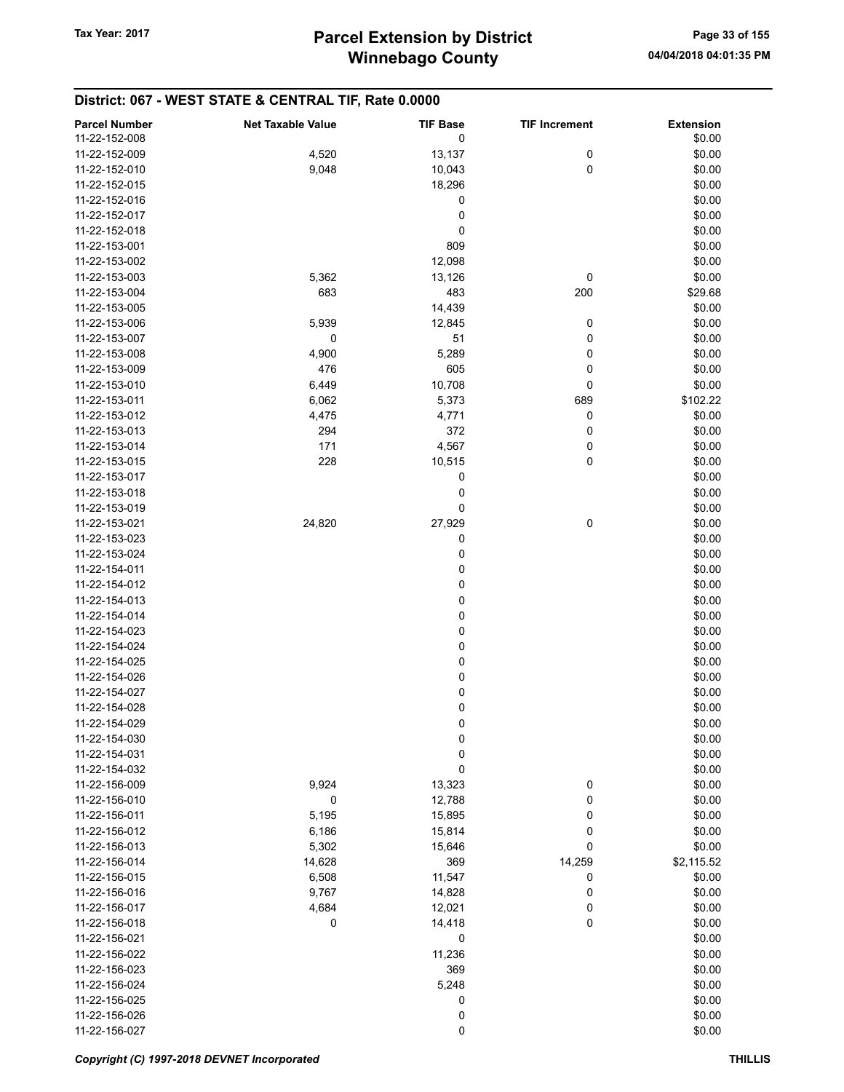| <b>Parcel Number</b> | <b>Net Taxable Value</b> | <b>TIF Base</b> | <b>TIF Increment</b> | <b>Extension</b> |
|----------------------|--------------------------|-----------------|----------------------|------------------|
| 11-22-152-008        |                          | 0               |                      | \$0.00           |
| 11-22-152-009        | 4,520                    | 13,137          | $\boldsymbol{0}$     | \$0.00           |
| 11-22-152-010        | 9,048                    | 10,043          | $\pmb{0}$            | \$0.00           |
| 11-22-152-015        |                          | 18,296          |                      | \$0.00           |
| 11-22-152-016        |                          |                 |                      |                  |
|                      |                          | 0               |                      | \$0.00           |
| 11-22-152-017        |                          | 0               |                      | \$0.00           |
| 11-22-152-018        |                          | 0               |                      | \$0.00           |
| 11-22-153-001        |                          | 809             |                      | \$0.00           |
| 11-22-153-002        |                          | 12,098          |                      | \$0.00           |
| 11-22-153-003        | 5,362                    | 13,126          | 0                    | \$0.00           |
| 11-22-153-004        | 683                      | 483             | 200                  | \$29.68          |
| 11-22-153-005        |                          | 14,439          |                      | \$0.00           |
| 11-22-153-006        | 5,939                    | 12,845          | 0                    | \$0.00           |
| 11-22-153-007        | 0                        | 51              | 0                    | \$0.00           |
| 11-22-153-008        | 4,900                    | 5,289           | 0                    | \$0.00           |
| 11-22-153-009        | 476                      | 605             | 0                    | \$0.00           |
| 11-22-153-010        | 6,449                    | 10,708          | 0                    | \$0.00           |
| 11-22-153-011        | 6,062                    | 5,373           | 689                  | \$102.22         |
| 11-22-153-012        | 4,475                    | 4,771           | 0                    | \$0.00           |
| 11-22-153-013        | 294                      | 372             |                      |                  |
|                      |                          |                 | 0                    | \$0.00           |
| 11-22-153-014        | 171                      | 4,567           | 0                    | \$0.00           |
| 11-22-153-015        | 228                      | 10,515          | 0                    | \$0.00           |
| 11-22-153-017        |                          | 0               |                      | \$0.00           |
| 11-22-153-018        |                          | 0               |                      | \$0.00           |
| 11-22-153-019        |                          | 0               |                      | \$0.00           |
| 11-22-153-021        | 24,820                   | 27,929          | 0                    | \$0.00           |
| 11-22-153-023        |                          | 0               |                      | \$0.00           |
| 11-22-153-024        |                          | 0               |                      | \$0.00           |
| 11-22-154-011        |                          | 0               |                      | \$0.00           |
| 11-22-154-012        |                          | $\mathbf 0$     |                      | \$0.00           |
| 11-22-154-013        |                          | 0               |                      | \$0.00           |
| 11-22-154-014        |                          | 0               |                      | \$0.00           |
| 11-22-154-023        |                          | 0               |                      | \$0.00           |
| 11-22-154-024        |                          | 0               |                      | \$0.00           |
| 11-22-154-025        |                          | 0               |                      | \$0.00           |
| 11-22-154-026        |                          | $\mathbf 0$     |                      | \$0.00           |
| 11-22-154-027        |                          |                 |                      |                  |
|                      |                          | $\mathbf 0$     |                      | \$0.00           |
| 11-22-154-028        |                          | 0               |                      | \$0.00           |
| 11-22-154-029        |                          | 0               |                      | \$0.00           |
| 11-22-154-030        |                          | 0               |                      | \$0.00           |
| 11-22-154-031        |                          | 0               |                      | \$0.00           |
| 11-22-154-032        |                          | 0               |                      | \$0.00           |
| 11-22-156-009        | 9,924                    | 13,323          | 0                    | \$0.00           |
| 11-22-156-010        | 0                        | 12,788          | 0                    | \$0.00           |
| 11-22-156-011        | 5,195                    | 15,895          | 0                    | \$0.00           |
| 11-22-156-012        | 6,186                    | 15,814          | 0                    | \$0.00           |
| 11-22-156-013        | 5,302                    | 15,646          | 0                    | \$0.00           |
| 11-22-156-014        | 14,628                   | 369             | 14,259               | \$2,115.52       |
| 11-22-156-015        | 6,508                    | 11,547          | 0                    | \$0.00           |
| 11-22-156-016        | 9,767                    | 14,828          | 0                    | \$0.00           |
| 11-22-156-017        | 4,684                    | 12,021          | 0                    | \$0.00           |
|                      | 0                        |                 | $\mathbf 0$          |                  |
| 11-22-156-018        |                          | 14,418          |                      | \$0.00           |
| 11-22-156-021        |                          | 0               |                      | \$0.00           |
| 11-22-156-022        |                          | 11,236          |                      | \$0.00           |
| 11-22-156-023        |                          | 369             |                      | \$0.00           |
| 11-22-156-024        |                          | 5,248           |                      | \$0.00           |
| 11-22-156-025        |                          | 0               |                      | \$0.00           |
| 11-22-156-026        |                          | 0               |                      | \$0.00           |
| 11-22-156-027        |                          | 0               |                      | \$0.00           |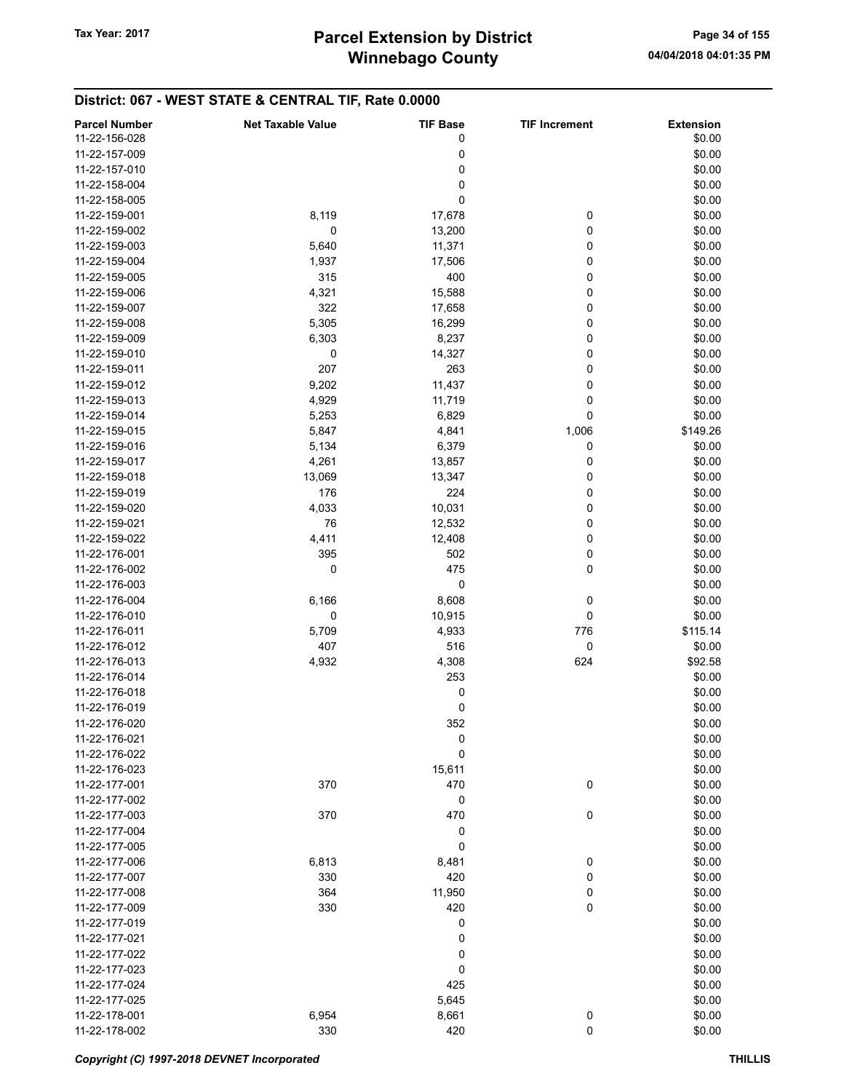# Winnebago County Tax Year: 2017 **Parcel Extension by District** Page 34 of 155

| 11-22-156-028<br>0<br>\$0.00<br>11-22-157-009<br>0<br>\$0.00<br>0<br>\$0.00<br>11-22-157-010<br>0<br>\$0.00<br>11-22-158-004<br>0<br>\$0.00<br>11-22-158-005<br>\$0.00<br>11-22-159-001<br>8,119<br>17,678<br>0<br>0<br>\$0.00<br>13,200<br>0<br>11-22-159-002<br>11-22-159-003<br>5,640<br>11,371<br>0<br>\$0.00<br>\$0.00<br>11-22-159-004<br>1,937<br>17,506<br>0<br>400<br>0<br>11-22-159-005<br>315<br>\$0.00<br>0<br>\$0.00<br>11-22-159-006<br>4,321<br>15,588<br>\$0.00<br>322<br>17,658<br>0<br>11-22-159-007<br>\$0.00<br>11-22-159-008<br>5,305<br>16,299<br>0<br>0<br>\$0.00<br>11-22-159-009<br>6,303<br>8,237<br>0<br>0<br>\$0.00<br>11-22-159-010<br>14,327<br>207<br>263<br>0<br>\$0.00<br>11-22-159-011<br>0<br>\$0.00<br>11-22-159-012<br>9,202<br>11,437<br>11,719<br>0<br>\$0.00<br>11-22-159-013<br>4,929<br>0<br>\$0.00<br>11-22-159-014<br>5,253<br>6,829<br>\$149.26<br>11-22-159-015<br>5,847<br>4,841<br>1,006<br>6,379<br>0<br>\$0.00<br>11-22-159-016<br>5,134<br>\$0.00<br>11-22-159-017<br>4,261<br>13,857<br>0<br>0<br>\$0.00<br>11-22-159-018<br>13,069<br>13,347<br>224<br>0<br>11-22-159-019<br>176<br>\$0.00<br>4,033<br>10,031<br>0<br>\$0.00<br>11-22-159-020<br>0<br>\$0.00<br>11-22-159-021<br>76<br>12,532<br>\$0.00<br>11-22-159-022<br>4,411<br>12,408<br>0<br>0<br>\$0.00<br>11-22-176-001<br>395<br>502<br>0<br>475<br>0<br>\$0.00<br>11-22-176-002<br>0<br>\$0.00<br>11-22-176-003<br>8,608<br>\$0.00<br>11-22-176-004<br>6,166<br>0<br>0<br>0<br>\$0.00<br>10,915<br>11-22-176-010<br>\$115.14<br>11-22-176-011<br>5,709<br>4,933<br>776<br>407<br>0<br>11-22-176-012<br>516<br>\$0.00<br>11-22-176-013<br>4,932<br>4,308<br>624<br>\$92.58<br>253<br>\$0.00<br>11-22-176-014<br>11-22-176-018<br>0<br>\$0.00<br>\$0.00<br>11-22-176-019<br>0<br>\$0.00<br>11-22-176-020<br>352<br>\$0.00<br>11-22-176-021<br>0<br>0<br>\$0.00<br>11-22-176-022<br>15,611<br>\$0.00<br>11-22-176-023<br>370<br>470<br>0<br>\$0.00<br>11-22-177-001<br>11-22-177-002<br>0<br>\$0.00<br>0<br>\$0.00<br>11-22-177-003<br>370<br>470<br>0<br>\$0.00<br>11-22-177-004<br>0<br>\$0.00<br>11-22-177-005<br>\$0.00<br>11-22-177-006<br>6,813<br>8,481<br>0<br>420<br>\$0.00<br>11-22-177-007<br>330<br>0<br>364<br>11,950<br>0<br>\$0.00<br>11-22-177-008<br>$\pmb{0}$<br>11-22-177-009<br>330<br>420<br>\$0.00<br>11-22-177-019<br>\$0.00<br>0<br>0<br>\$0.00<br>11-22-177-021<br>0<br>\$0.00<br>11-22-177-022<br>0<br>\$0.00<br>11-22-177-023<br>425<br>\$0.00<br>11-22-177-024<br>\$0.00<br>11-22-177-025<br>5,645<br>6,954<br>\$0.00<br>11-22-178-001<br>8,661<br>0 | <b>Parcel Number</b> | <b>Net Taxable Value</b> | <b>TIF Base</b> | <b>TIF Increment</b> | <b>Extension</b> |
|-----------------------------------------------------------------------------------------------------------------------------------------------------------------------------------------------------------------------------------------------------------------------------------------------------------------------------------------------------------------------------------------------------------------------------------------------------------------------------------------------------------------------------------------------------------------------------------------------------------------------------------------------------------------------------------------------------------------------------------------------------------------------------------------------------------------------------------------------------------------------------------------------------------------------------------------------------------------------------------------------------------------------------------------------------------------------------------------------------------------------------------------------------------------------------------------------------------------------------------------------------------------------------------------------------------------------------------------------------------------------------------------------------------------------------------------------------------------------------------------------------------------------------------------------------------------------------------------------------------------------------------------------------------------------------------------------------------------------------------------------------------------------------------------------------------------------------------------------------------------------------------------------------------------------------------------------------------------------------------------------------------------------------------------------------------------------------------------------------------------------------------------------------------------------------------------------------------------------------------------------------------------------------------------------------------------------------------------------------------------------------------------------------------------------------------------------------------------------------------------------------------------------------------------------------------------------------------------------|----------------------|--------------------------|-----------------|----------------------|------------------|
|                                                                                                                                                                                                                                                                                                                                                                                                                                                                                                                                                                                                                                                                                                                                                                                                                                                                                                                                                                                                                                                                                                                                                                                                                                                                                                                                                                                                                                                                                                                                                                                                                                                                                                                                                                                                                                                                                                                                                                                                                                                                                                                                                                                                                                                                                                                                                                                                                                                                                                                                                                                               |                      |                          |                 |                      |                  |
|                                                                                                                                                                                                                                                                                                                                                                                                                                                                                                                                                                                                                                                                                                                                                                                                                                                                                                                                                                                                                                                                                                                                                                                                                                                                                                                                                                                                                                                                                                                                                                                                                                                                                                                                                                                                                                                                                                                                                                                                                                                                                                                                                                                                                                                                                                                                                                                                                                                                                                                                                                                               |                      |                          |                 |                      |                  |
|                                                                                                                                                                                                                                                                                                                                                                                                                                                                                                                                                                                                                                                                                                                                                                                                                                                                                                                                                                                                                                                                                                                                                                                                                                                                                                                                                                                                                                                                                                                                                                                                                                                                                                                                                                                                                                                                                                                                                                                                                                                                                                                                                                                                                                                                                                                                                                                                                                                                                                                                                                                               |                      |                          |                 |                      |                  |
|                                                                                                                                                                                                                                                                                                                                                                                                                                                                                                                                                                                                                                                                                                                                                                                                                                                                                                                                                                                                                                                                                                                                                                                                                                                                                                                                                                                                                                                                                                                                                                                                                                                                                                                                                                                                                                                                                                                                                                                                                                                                                                                                                                                                                                                                                                                                                                                                                                                                                                                                                                                               |                      |                          |                 |                      |                  |
|                                                                                                                                                                                                                                                                                                                                                                                                                                                                                                                                                                                                                                                                                                                                                                                                                                                                                                                                                                                                                                                                                                                                                                                                                                                                                                                                                                                                                                                                                                                                                                                                                                                                                                                                                                                                                                                                                                                                                                                                                                                                                                                                                                                                                                                                                                                                                                                                                                                                                                                                                                                               |                      |                          |                 |                      |                  |
|                                                                                                                                                                                                                                                                                                                                                                                                                                                                                                                                                                                                                                                                                                                                                                                                                                                                                                                                                                                                                                                                                                                                                                                                                                                                                                                                                                                                                                                                                                                                                                                                                                                                                                                                                                                                                                                                                                                                                                                                                                                                                                                                                                                                                                                                                                                                                                                                                                                                                                                                                                                               |                      |                          |                 |                      |                  |
|                                                                                                                                                                                                                                                                                                                                                                                                                                                                                                                                                                                                                                                                                                                                                                                                                                                                                                                                                                                                                                                                                                                                                                                                                                                                                                                                                                                                                                                                                                                                                                                                                                                                                                                                                                                                                                                                                                                                                                                                                                                                                                                                                                                                                                                                                                                                                                                                                                                                                                                                                                                               |                      |                          |                 |                      |                  |
|                                                                                                                                                                                                                                                                                                                                                                                                                                                                                                                                                                                                                                                                                                                                                                                                                                                                                                                                                                                                                                                                                                                                                                                                                                                                                                                                                                                                                                                                                                                                                                                                                                                                                                                                                                                                                                                                                                                                                                                                                                                                                                                                                                                                                                                                                                                                                                                                                                                                                                                                                                                               |                      |                          |                 |                      |                  |
|                                                                                                                                                                                                                                                                                                                                                                                                                                                                                                                                                                                                                                                                                                                                                                                                                                                                                                                                                                                                                                                                                                                                                                                                                                                                                                                                                                                                                                                                                                                                                                                                                                                                                                                                                                                                                                                                                                                                                                                                                                                                                                                                                                                                                                                                                                                                                                                                                                                                                                                                                                                               |                      |                          |                 |                      |                  |
|                                                                                                                                                                                                                                                                                                                                                                                                                                                                                                                                                                                                                                                                                                                                                                                                                                                                                                                                                                                                                                                                                                                                                                                                                                                                                                                                                                                                                                                                                                                                                                                                                                                                                                                                                                                                                                                                                                                                                                                                                                                                                                                                                                                                                                                                                                                                                                                                                                                                                                                                                                                               |                      |                          |                 |                      |                  |
|                                                                                                                                                                                                                                                                                                                                                                                                                                                                                                                                                                                                                                                                                                                                                                                                                                                                                                                                                                                                                                                                                                                                                                                                                                                                                                                                                                                                                                                                                                                                                                                                                                                                                                                                                                                                                                                                                                                                                                                                                                                                                                                                                                                                                                                                                                                                                                                                                                                                                                                                                                                               |                      |                          |                 |                      |                  |
|                                                                                                                                                                                                                                                                                                                                                                                                                                                                                                                                                                                                                                                                                                                                                                                                                                                                                                                                                                                                                                                                                                                                                                                                                                                                                                                                                                                                                                                                                                                                                                                                                                                                                                                                                                                                                                                                                                                                                                                                                                                                                                                                                                                                                                                                                                                                                                                                                                                                                                                                                                                               |                      |                          |                 |                      |                  |
|                                                                                                                                                                                                                                                                                                                                                                                                                                                                                                                                                                                                                                                                                                                                                                                                                                                                                                                                                                                                                                                                                                                                                                                                                                                                                                                                                                                                                                                                                                                                                                                                                                                                                                                                                                                                                                                                                                                                                                                                                                                                                                                                                                                                                                                                                                                                                                                                                                                                                                                                                                                               |                      |                          |                 |                      |                  |
|                                                                                                                                                                                                                                                                                                                                                                                                                                                                                                                                                                                                                                                                                                                                                                                                                                                                                                                                                                                                                                                                                                                                                                                                                                                                                                                                                                                                                                                                                                                                                                                                                                                                                                                                                                                                                                                                                                                                                                                                                                                                                                                                                                                                                                                                                                                                                                                                                                                                                                                                                                                               |                      |                          |                 |                      |                  |
|                                                                                                                                                                                                                                                                                                                                                                                                                                                                                                                                                                                                                                                                                                                                                                                                                                                                                                                                                                                                                                                                                                                                                                                                                                                                                                                                                                                                                                                                                                                                                                                                                                                                                                                                                                                                                                                                                                                                                                                                                                                                                                                                                                                                                                                                                                                                                                                                                                                                                                                                                                                               |                      |                          |                 |                      |                  |
|                                                                                                                                                                                                                                                                                                                                                                                                                                                                                                                                                                                                                                                                                                                                                                                                                                                                                                                                                                                                                                                                                                                                                                                                                                                                                                                                                                                                                                                                                                                                                                                                                                                                                                                                                                                                                                                                                                                                                                                                                                                                                                                                                                                                                                                                                                                                                                                                                                                                                                                                                                                               |                      |                          |                 |                      |                  |
|                                                                                                                                                                                                                                                                                                                                                                                                                                                                                                                                                                                                                                                                                                                                                                                                                                                                                                                                                                                                                                                                                                                                                                                                                                                                                                                                                                                                                                                                                                                                                                                                                                                                                                                                                                                                                                                                                                                                                                                                                                                                                                                                                                                                                                                                                                                                                                                                                                                                                                                                                                                               |                      |                          |                 |                      |                  |
|                                                                                                                                                                                                                                                                                                                                                                                                                                                                                                                                                                                                                                                                                                                                                                                                                                                                                                                                                                                                                                                                                                                                                                                                                                                                                                                                                                                                                                                                                                                                                                                                                                                                                                                                                                                                                                                                                                                                                                                                                                                                                                                                                                                                                                                                                                                                                                                                                                                                                                                                                                                               |                      |                          |                 |                      |                  |
|                                                                                                                                                                                                                                                                                                                                                                                                                                                                                                                                                                                                                                                                                                                                                                                                                                                                                                                                                                                                                                                                                                                                                                                                                                                                                                                                                                                                                                                                                                                                                                                                                                                                                                                                                                                                                                                                                                                                                                                                                                                                                                                                                                                                                                                                                                                                                                                                                                                                                                                                                                                               |                      |                          |                 |                      |                  |
|                                                                                                                                                                                                                                                                                                                                                                                                                                                                                                                                                                                                                                                                                                                                                                                                                                                                                                                                                                                                                                                                                                                                                                                                                                                                                                                                                                                                                                                                                                                                                                                                                                                                                                                                                                                                                                                                                                                                                                                                                                                                                                                                                                                                                                                                                                                                                                                                                                                                                                                                                                                               |                      |                          |                 |                      |                  |
|                                                                                                                                                                                                                                                                                                                                                                                                                                                                                                                                                                                                                                                                                                                                                                                                                                                                                                                                                                                                                                                                                                                                                                                                                                                                                                                                                                                                                                                                                                                                                                                                                                                                                                                                                                                                                                                                                                                                                                                                                                                                                                                                                                                                                                                                                                                                                                                                                                                                                                                                                                                               |                      |                          |                 |                      |                  |
|                                                                                                                                                                                                                                                                                                                                                                                                                                                                                                                                                                                                                                                                                                                                                                                                                                                                                                                                                                                                                                                                                                                                                                                                                                                                                                                                                                                                                                                                                                                                                                                                                                                                                                                                                                                                                                                                                                                                                                                                                                                                                                                                                                                                                                                                                                                                                                                                                                                                                                                                                                                               |                      |                          |                 |                      |                  |
|                                                                                                                                                                                                                                                                                                                                                                                                                                                                                                                                                                                                                                                                                                                                                                                                                                                                                                                                                                                                                                                                                                                                                                                                                                                                                                                                                                                                                                                                                                                                                                                                                                                                                                                                                                                                                                                                                                                                                                                                                                                                                                                                                                                                                                                                                                                                                                                                                                                                                                                                                                                               |                      |                          |                 |                      |                  |
|                                                                                                                                                                                                                                                                                                                                                                                                                                                                                                                                                                                                                                                                                                                                                                                                                                                                                                                                                                                                                                                                                                                                                                                                                                                                                                                                                                                                                                                                                                                                                                                                                                                                                                                                                                                                                                                                                                                                                                                                                                                                                                                                                                                                                                                                                                                                                                                                                                                                                                                                                                                               |                      |                          |                 |                      |                  |
|                                                                                                                                                                                                                                                                                                                                                                                                                                                                                                                                                                                                                                                                                                                                                                                                                                                                                                                                                                                                                                                                                                                                                                                                                                                                                                                                                                                                                                                                                                                                                                                                                                                                                                                                                                                                                                                                                                                                                                                                                                                                                                                                                                                                                                                                                                                                                                                                                                                                                                                                                                                               |                      |                          |                 |                      |                  |
|                                                                                                                                                                                                                                                                                                                                                                                                                                                                                                                                                                                                                                                                                                                                                                                                                                                                                                                                                                                                                                                                                                                                                                                                                                                                                                                                                                                                                                                                                                                                                                                                                                                                                                                                                                                                                                                                                                                                                                                                                                                                                                                                                                                                                                                                                                                                                                                                                                                                                                                                                                                               |                      |                          |                 |                      |                  |
|                                                                                                                                                                                                                                                                                                                                                                                                                                                                                                                                                                                                                                                                                                                                                                                                                                                                                                                                                                                                                                                                                                                                                                                                                                                                                                                                                                                                                                                                                                                                                                                                                                                                                                                                                                                                                                                                                                                                                                                                                                                                                                                                                                                                                                                                                                                                                                                                                                                                                                                                                                                               |                      |                          |                 |                      |                  |
|                                                                                                                                                                                                                                                                                                                                                                                                                                                                                                                                                                                                                                                                                                                                                                                                                                                                                                                                                                                                                                                                                                                                                                                                                                                                                                                                                                                                                                                                                                                                                                                                                                                                                                                                                                                                                                                                                                                                                                                                                                                                                                                                                                                                                                                                                                                                                                                                                                                                                                                                                                                               |                      |                          |                 |                      |                  |
|                                                                                                                                                                                                                                                                                                                                                                                                                                                                                                                                                                                                                                                                                                                                                                                                                                                                                                                                                                                                                                                                                                                                                                                                                                                                                                                                                                                                                                                                                                                                                                                                                                                                                                                                                                                                                                                                                                                                                                                                                                                                                                                                                                                                                                                                                                                                                                                                                                                                                                                                                                                               |                      |                          |                 |                      |                  |
|                                                                                                                                                                                                                                                                                                                                                                                                                                                                                                                                                                                                                                                                                                                                                                                                                                                                                                                                                                                                                                                                                                                                                                                                                                                                                                                                                                                                                                                                                                                                                                                                                                                                                                                                                                                                                                                                                                                                                                                                                                                                                                                                                                                                                                                                                                                                                                                                                                                                                                                                                                                               |                      |                          |                 |                      |                  |
|                                                                                                                                                                                                                                                                                                                                                                                                                                                                                                                                                                                                                                                                                                                                                                                                                                                                                                                                                                                                                                                                                                                                                                                                                                                                                                                                                                                                                                                                                                                                                                                                                                                                                                                                                                                                                                                                                                                                                                                                                                                                                                                                                                                                                                                                                                                                                                                                                                                                                                                                                                                               |                      |                          |                 |                      |                  |
|                                                                                                                                                                                                                                                                                                                                                                                                                                                                                                                                                                                                                                                                                                                                                                                                                                                                                                                                                                                                                                                                                                                                                                                                                                                                                                                                                                                                                                                                                                                                                                                                                                                                                                                                                                                                                                                                                                                                                                                                                                                                                                                                                                                                                                                                                                                                                                                                                                                                                                                                                                                               |                      |                          |                 |                      |                  |
|                                                                                                                                                                                                                                                                                                                                                                                                                                                                                                                                                                                                                                                                                                                                                                                                                                                                                                                                                                                                                                                                                                                                                                                                                                                                                                                                                                                                                                                                                                                                                                                                                                                                                                                                                                                                                                                                                                                                                                                                                                                                                                                                                                                                                                                                                                                                                                                                                                                                                                                                                                                               |                      |                          |                 |                      |                  |
|                                                                                                                                                                                                                                                                                                                                                                                                                                                                                                                                                                                                                                                                                                                                                                                                                                                                                                                                                                                                                                                                                                                                                                                                                                                                                                                                                                                                                                                                                                                                                                                                                                                                                                                                                                                                                                                                                                                                                                                                                                                                                                                                                                                                                                                                                                                                                                                                                                                                                                                                                                                               |                      |                          |                 |                      |                  |
|                                                                                                                                                                                                                                                                                                                                                                                                                                                                                                                                                                                                                                                                                                                                                                                                                                                                                                                                                                                                                                                                                                                                                                                                                                                                                                                                                                                                                                                                                                                                                                                                                                                                                                                                                                                                                                                                                                                                                                                                                                                                                                                                                                                                                                                                                                                                                                                                                                                                                                                                                                                               |                      |                          |                 |                      |                  |
|                                                                                                                                                                                                                                                                                                                                                                                                                                                                                                                                                                                                                                                                                                                                                                                                                                                                                                                                                                                                                                                                                                                                                                                                                                                                                                                                                                                                                                                                                                                                                                                                                                                                                                                                                                                                                                                                                                                                                                                                                                                                                                                                                                                                                                                                                                                                                                                                                                                                                                                                                                                               |                      |                          |                 |                      |                  |
|                                                                                                                                                                                                                                                                                                                                                                                                                                                                                                                                                                                                                                                                                                                                                                                                                                                                                                                                                                                                                                                                                                                                                                                                                                                                                                                                                                                                                                                                                                                                                                                                                                                                                                                                                                                                                                                                                                                                                                                                                                                                                                                                                                                                                                                                                                                                                                                                                                                                                                                                                                                               |                      |                          |                 |                      |                  |
|                                                                                                                                                                                                                                                                                                                                                                                                                                                                                                                                                                                                                                                                                                                                                                                                                                                                                                                                                                                                                                                                                                                                                                                                                                                                                                                                                                                                                                                                                                                                                                                                                                                                                                                                                                                                                                                                                                                                                                                                                                                                                                                                                                                                                                                                                                                                                                                                                                                                                                                                                                                               |                      |                          |                 |                      |                  |
|                                                                                                                                                                                                                                                                                                                                                                                                                                                                                                                                                                                                                                                                                                                                                                                                                                                                                                                                                                                                                                                                                                                                                                                                                                                                                                                                                                                                                                                                                                                                                                                                                                                                                                                                                                                                                                                                                                                                                                                                                                                                                                                                                                                                                                                                                                                                                                                                                                                                                                                                                                                               |                      |                          |                 |                      |                  |
|                                                                                                                                                                                                                                                                                                                                                                                                                                                                                                                                                                                                                                                                                                                                                                                                                                                                                                                                                                                                                                                                                                                                                                                                                                                                                                                                                                                                                                                                                                                                                                                                                                                                                                                                                                                                                                                                                                                                                                                                                                                                                                                                                                                                                                                                                                                                                                                                                                                                                                                                                                                               |                      |                          |                 |                      |                  |
|                                                                                                                                                                                                                                                                                                                                                                                                                                                                                                                                                                                                                                                                                                                                                                                                                                                                                                                                                                                                                                                                                                                                                                                                                                                                                                                                                                                                                                                                                                                                                                                                                                                                                                                                                                                                                                                                                                                                                                                                                                                                                                                                                                                                                                                                                                                                                                                                                                                                                                                                                                                               |                      |                          |                 |                      |                  |
|                                                                                                                                                                                                                                                                                                                                                                                                                                                                                                                                                                                                                                                                                                                                                                                                                                                                                                                                                                                                                                                                                                                                                                                                                                                                                                                                                                                                                                                                                                                                                                                                                                                                                                                                                                                                                                                                                                                                                                                                                                                                                                                                                                                                                                                                                                                                                                                                                                                                                                                                                                                               |                      |                          |                 |                      |                  |
|                                                                                                                                                                                                                                                                                                                                                                                                                                                                                                                                                                                                                                                                                                                                                                                                                                                                                                                                                                                                                                                                                                                                                                                                                                                                                                                                                                                                                                                                                                                                                                                                                                                                                                                                                                                                                                                                                                                                                                                                                                                                                                                                                                                                                                                                                                                                                                                                                                                                                                                                                                                               |                      |                          |                 |                      |                  |
|                                                                                                                                                                                                                                                                                                                                                                                                                                                                                                                                                                                                                                                                                                                                                                                                                                                                                                                                                                                                                                                                                                                                                                                                                                                                                                                                                                                                                                                                                                                                                                                                                                                                                                                                                                                                                                                                                                                                                                                                                                                                                                                                                                                                                                                                                                                                                                                                                                                                                                                                                                                               |                      |                          |                 |                      |                  |
|                                                                                                                                                                                                                                                                                                                                                                                                                                                                                                                                                                                                                                                                                                                                                                                                                                                                                                                                                                                                                                                                                                                                                                                                                                                                                                                                                                                                                                                                                                                                                                                                                                                                                                                                                                                                                                                                                                                                                                                                                                                                                                                                                                                                                                                                                                                                                                                                                                                                                                                                                                                               |                      |                          |                 |                      |                  |
|                                                                                                                                                                                                                                                                                                                                                                                                                                                                                                                                                                                                                                                                                                                                                                                                                                                                                                                                                                                                                                                                                                                                                                                                                                                                                                                                                                                                                                                                                                                                                                                                                                                                                                                                                                                                                                                                                                                                                                                                                                                                                                                                                                                                                                                                                                                                                                                                                                                                                                                                                                                               |                      |                          |                 |                      |                  |
|                                                                                                                                                                                                                                                                                                                                                                                                                                                                                                                                                                                                                                                                                                                                                                                                                                                                                                                                                                                                                                                                                                                                                                                                                                                                                                                                                                                                                                                                                                                                                                                                                                                                                                                                                                                                                                                                                                                                                                                                                                                                                                                                                                                                                                                                                                                                                                                                                                                                                                                                                                                               |                      |                          |                 |                      |                  |
|                                                                                                                                                                                                                                                                                                                                                                                                                                                                                                                                                                                                                                                                                                                                                                                                                                                                                                                                                                                                                                                                                                                                                                                                                                                                                                                                                                                                                                                                                                                                                                                                                                                                                                                                                                                                                                                                                                                                                                                                                                                                                                                                                                                                                                                                                                                                                                                                                                                                                                                                                                                               |                      |                          |                 |                      |                  |
|                                                                                                                                                                                                                                                                                                                                                                                                                                                                                                                                                                                                                                                                                                                                                                                                                                                                                                                                                                                                                                                                                                                                                                                                                                                                                                                                                                                                                                                                                                                                                                                                                                                                                                                                                                                                                                                                                                                                                                                                                                                                                                                                                                                                                                                                                                                                                                                                                                                                                                                                                                                               |                      |                          |                 |                      |                  |
|                                                                                                                                                                                                                                                                                                                                                                                                                                                                                                                                                                                                                                                                                                                                                                                                                                                                                                                                                                                                                                                                                                                                                                                                                                                                                                                                                                                                                                                                                                                                                                                                                                                                                                                                                                                                                                                                                                                                                                                                                                                                                                                                                                                                                                                                                                                                                                                                                                                                                                                                                                                               |                      |                          |                 |                      |                  |
|                                                                                                                                                                                                                                                                                                                                                                                                                                                                                                                                                                                                                                                                                                                                                                                                                                                                                                                                                                                                                                                                                                                                                                                                                                                                                                                                                                                                                                                                                                                                                                                                                                                                                                                                                                                                                                                                                                                                                                                                                                                                                                                                                                                                                                                                                                                                                                                                                                                                                                                                                                                               |                      |                          |                 |                      |                  |
|                                                                                                                                                                                                                                                                                                                                                                                                                                                                                                                                                                                                                                                                                                                                                                                                                                                                                                                                                                                                                                                                                                                                                                                                                                                                                                                                                                                                                                                                                                                                                                                                                                                                                                                                                                                                                                                                                                                                                                                                                                                                                                                                                                                                                                                                                                                                                                                                                                                                                                                                                                                               |                      |                          |                 |                      |                  |
|                                                                                                                                                                                                                                                                                                                                                                                                                                                                                                                                                                                                                                                                                                                                                                                                                                                                                                                                                                                                                                                                                                                                                                                                                                                                                                                                                                                                                                                                                                                                                                                                                                                                                                                                                                                                                                                                                                                                                                                                                                                                                                                                                                                                                                                                                                                                                                                                                                                                                                                                                                                               |                      |                          |                 |                      |                  |
|                                                                                                                                                                                                                                                                                                                                                                                                                                                                                                                                                                                                                                                                                                                                                                                                                                                                                                                                                                                                                                                                                                                                                                                                                                                                                                                                                                                                                                                                                                                                                                                                                                                                                                                                                                                                                                                                                                                                                                                                                                                                                                                                                                                                                                                                                                                                                                                                                                                                                                                                                                                               |                      |                          |                 |                      |                  |
|                                                                                                                                                                                                                                                                                                                                                                                                                                                                                                                                                                                                                                                                                                                                                                                                                                                                                                                                                                                                                                                                                                                                                                                                                                                                                                                                                                                                                                                                                                                                                                                                                                                                                                                                                                                                                                                                                                                                                                                                                                                                                                                                                                                                                                                                                                                                                                                                                                                                                                                                                                                               |                      |                          |                 |                      |                  |
|                                                                                                                                                                                                                                                                                                                                                                                                                                                                                                                                                                                                                                                                                                                                                                                                                                                                                                                                                                                                                                                                                                                                                                                                                                                                                                                                                                                                                                                                                                                                                                                                                                                                                                                                                                                                                                                                                                                                                                                                                                                                                                                                                                                                                                                                                                                                                                                                                                                                                                                                                                                               |                      |                          |                 |                      |                  |
|                                                                                                                                                                                                                                                                                                                                                                                                                                                                                                                                                                                                                                                                                                                                                                                                                                                                                                                                                                                                                                                                                                                                                                                                                                                                                                                                                                                                                                                                                                                                                                                                                                                                                                                                                                                                                                                                                                                                                                                                                                                                                                                                                                                                                                                                                                                                                                                                                                                                                                                                                                                               |                      |                          |                 |                      |                  |
|                                                                                                                                                                                                                                                                                                                                                                                                                                                                                                                                                                                                                                                                                                                                                                                                                                                                                                                                                                                                                                                                                                                                                                                                                                                                                                                                                                                                                                                                                                                                                                                                                                                                                                                                                                                                                                                                                                                                                                                                                                                                                                                                                                                                                                                                                                                                                                                                                                                                                                                                                                                               |                      |                          |                 |                      |                  |
|                                                                                                                                                                                                                                                                                                                                                                                                                                                                                                                                                                                                                                                                                                                                                                                                                                                                                                                                                                                                                                                                                                                                                                                                                                                                                                                                                                                                                                                                                                                                                                                                                                                                                                                                                                                                                                                                                                                                                                                                                                                                                                                                                                                                                                                                                                                                                                                                                                                                                                                                                                                               |                      |                          |                 |                      |                  |
|                                                                                                                                                                                                                                                                                                                                                                                                                                                                                                                                                                                                                                                                                                                                                                                                                                                                                                                                                                                                                                                                                                                                                                                                                                                                                                                                                                                                                                                                                                                                                                                                                                                                                                                                                                                                                                                                                                                                                                                                                                                                                                                                                                                                                                                                                                                                                                                                                                                                                                                                                                                               |                      |                          |                 |                      |                  |
|                                                                                                                                                                                                                                                                                                                                                                                                                                                                                                                                                                                                                                                                                                                                                                                                                                                                                                                                                                                                                                                                                                                                                                                                                                                                                                                                                                                                                                                                                                                                                                                                                                                                                                                                                                                                                                                                                                                                                                                                                                                                                                                                                                                                                                                                                                                                                                                                                                                                                                                                                                                               |                      |                          |                 |                      |                  |
|                                                                                                                                                                                                                                                                                                                                                                                                                                                                                                                                                                                                                                                                                                                                                                                                                                                                                                                                                                                                                                                                                                                                                                                                                                                                                                                                                                                                                                                                                                                                                                                                                                                                                                                                                                                                                                                                                                                                                                                                                                                                                                                                                                                                                                                                                                                                                                                                                                                                                                                                                                                               |                      |                          |                 |                      |                  |
|                                                                                                                                                                                                                                                                                                                                                                                                                                                                                                                                                                                                                                                                                                                                                                                                                                                                                                                                                                                                                                                                                                                                                                                                                                                                                                                                                                                                                                                                                                                                                                                                                                                                                                                                                                                                                                                                                                                                                                                                                                                                                                                                                                                                                                                                                                                                                                                                                                                                                                                                                                                               |                      |                          |                 |                      |                  |
|                                                                                                                                                                                                                                                                                                                                                                                                                                                                                                                                                                                                                                                                                                                                                                                                                                                                                                                                                                                                                                                                                                                                                                                                                                                                                                                                                                                                                                                                                                                                                                                                                                                                                                                                                                                                                                                                                                                                                                                                                                                                                                                                                                                                                                                                                                                                                                                                                                                                                                                                                                                               |                      |                          |                 |                      |                  |
|                                                                                                                                                                                                                                                                                                                                                                                                                                                                                                                                                                                                                                                                                                                                                                                                                                                                                                                                                                                                                                                                                                                                                                                                                                                                                                                                                                                                                                                                                                                                                                                                                                                                                                                                                                                                                                                                                                                                                                                                                                                                                                                                                                                                                                                                                                                                                                                                                                                                                                                                                                                               |                      |                          |                 |                      |                  |
|                                                                                                                                                                                                                                                                                                                                                                                                                                                                                                                                                                                                                                                                                                                                                                                                                                                                                                                                                                                                                                                                                                                                                                                                                                                                                                                                                                                                                                                                                                                                                                                                                                                                                                                                                                                                                                                                                                                                                                                                                                                                                                                                                                                                                                                                                                                                                                                                                                                                                                                                                                                               |                      |                          |                 |                      |                  |
|                                                                                                                                                                                                                                                                                                                                                                                                                                                                                                                                                                                                                                                                                                                                                                                                                                                                                                                                                                                                                                                                                                                                                                                                                                                                                                                                                                                                                                                                                                                                                                                                                                                                                                                                                                                                                                                                                                                                                                                                                                                                                                                                                                                                                                                                                                                                                                                                                                                                                                                                                                                               |                      |                          |                 |                      |                  |
|                                                                                                                                                                                                                                                                                                                                                                                                                                                                                                                                                                                                                                                                                                                                                                                                                                                                                                                                                                                                                                                                                                                                                                                                                                                                                                                                                                                                                                                                                                                                                                                                                                                                                                                                                                                                                                                                                                                                                                                                                                                                                                                                                                                                                                                                                                                                                                                                                                                                                                                                                                                               |                      |                          |                 |                      |                  |
|                                                                                                                                                                                                                                                                                                                                                                                                                                                                                                                                                                                                                                                                                                                                                                                                                                                                                                                                                                                                                                                                                                                                                                                                                                                                                                                                                                                                                                                                                                                                                                                                                                                                                                                                                                                                                                                                                                                                                                                                                                                                                                                                                                                                                                                                                                                                                                                                                                                                                                                                                                                               | 11-22-178-002        | 330                      | 420             | $\pmb{0}$            | \$0.00           |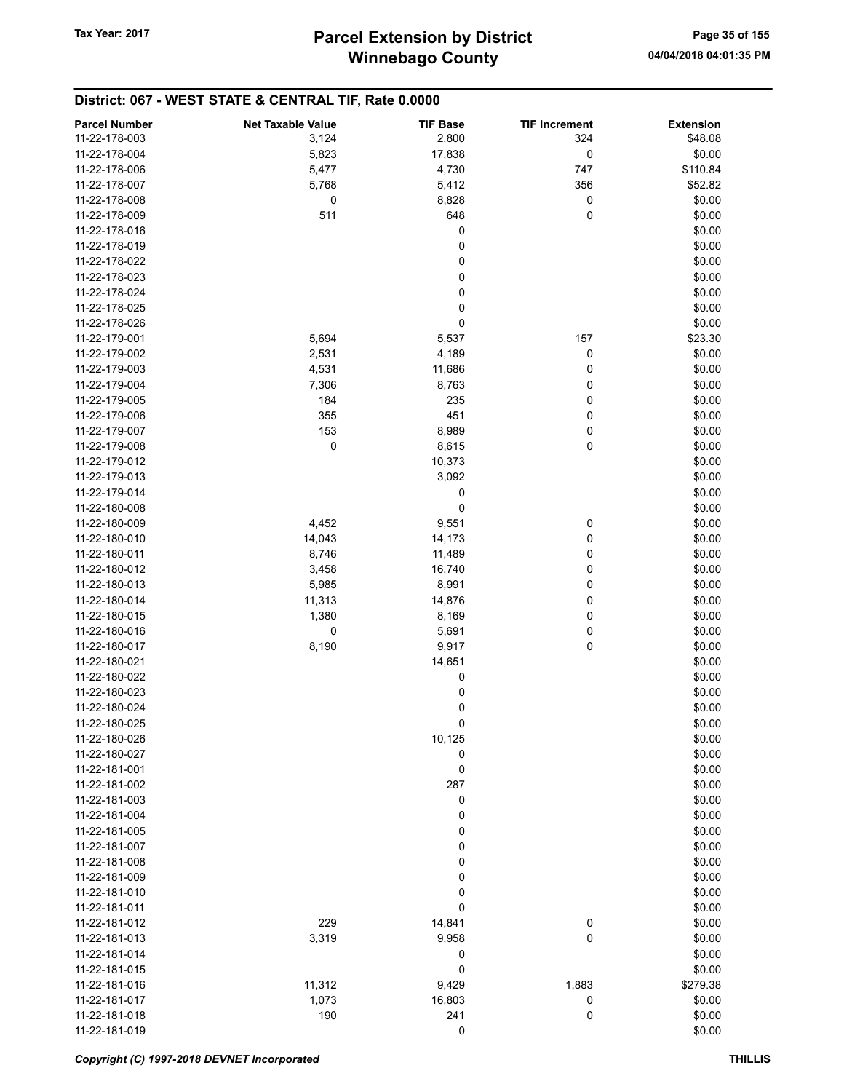| <b>Parcel Number</b> | <b>Net Taxable Value</b> | <b>TIF Base</b> | <b>TIF Increment</b> | <b>Extension</b> |
|----------------------|--------------------------|-----------------|----------------------|------------------|
| 11-22-178-003        | 3,124                    | 2,800           | 324                  | \$48.08          |
| 11-22-178-004        | 5,823                    | 17,838          | 0                    | \$0.00           |
| 11-22-178-006        | 5,477                    | 4,730           | 747                  | \$110.84         |
| 11-22-178-007        | 5,768                    | 5,412           | 356                  | \$52.82          |
| 11-22-178-008        |                          |                 |                      | \$0.00           |
|                      | 0                        | 8,828           | 0                    |                  |
| 11-22-178-009        | 511                      | 648             | 0                    | \$0.00           |
| 11-22-178-016        |                          | 0               |                      | \$0.00           |
| 11-22-178-019        |                          | 0               |                      | \$0.00           |
| 11-22-178-022        |                          | 0               |                      | \$0.00           |
| 11-22-178-023        |                          | 0               |                      | \$0.00           |
| 11-22-178-024        |                          | 0               |                      | \$0.00           |
| 11-22-178-025        |                          | 0               |                      | \$0.00           |
| 11-22-178-026        |                          | 0               |                      | \$0.00           |
| 11-22-179-001        | 5,694                    | 5,537           | 157                  | \$23.30          |
| 11-22-179-002        | 2,531                    | 4,189           | 0                    | \$0.00           |
| 11-22-179-003        | 4,531                    | 11,686          | 0                    | \$0.00           |
| 11-22-179-004        | 7,306                    | 8,763           | 0                    | \$0.00           |
| 11-22-179-005        | 184                      | 235             | 0                    | \$0.00           |
| 11-22-179-006        | 355                      | 451             | 0                    | \$0.00           |
| 11-22-179-007        | 153                      | 8,989           | 0                    | \$0.00           |
| 11-22-179-008        | 0                        | 8,615           | 0                    | \$0.00           |
| 11-22-179-012        |                          | 10,373          |                      | \$0.00           |
| 11-22-179-013        |                          | 3,092           |                      | \$0.00           |
| 11-22-179-014        |                          | 0               |                      | \$0.00           |
| 11-22-180-008        |                          | 0               |                      | \$0.00           |
| 11-22-180-009        | 4,452                    | 9,551           | 0                    | \$0.00           |
| 11-22-180-010        | 14,043                   | 14,173          | 0                    | \$0.00           |
| 11-22-180-011        | 8,746                    | 11,489          | 0                    | \$0.00           |
| 11-22-180-012        | 3,458                    | 16,740          | 0                    | \$0.00           |
| 11-22-180-013        | 5,985                    | 8,991           | 0                    | \$0.00           |
| 11-22-180-014        | 11,313                   | 14,876          | 0                    | \$0.00           |
| 11-22-180-015        | 1,380                    | 8,169           | 0                    | \$0.00           |
| 11-22-180-016        | 0                        | 5,691           | 0                    | \$0.00           |
| 11-22-180-017        | 8,190                    | 9,917           | 0                    | \$0.00           |
| 11-22-180-021        |                          | 14,651          |                      | \$0.00           |
| 11-22-180-022        |                          | 0               |                      | \$0.00           |
| 11-22-180-023        |                          | 0               |                      | \$0.00           |
| 11-22-180-024        |                          | 0               |                      | \$0.00           |
| 11-22-180-025        |                          | 0               |                      | \$0.00           |
| 11-22-180-026        |                          | 10,125          |                      | \$0.00           |
| 11-22-180-027        |                          | 0               |                      | \$0.00           |
| 11-22-181-001        |                          | 0               |                      | \$0.00           |
| 11-22-181-002        |                          | 287             |                      | \$0.00           |
| 11-22-181-003        |                          | 0               |                      | \$0.00           |
| 11-22-181-004        |                          | 0               |                      | \$0.00           |
| 11-22-181-005        |                          | 0               |                      | \$0.00           |
| 11-22-181-007        |                          | 0               |                      | \$0.00           |
| 11-22-181-008        |                          | 0               |                      | \$0.00           |
| 11-22-181-009        |                          | 0               |                      | \$0.00           |
| 11-22-181-010        |                          | 0               |                      | \$0.00           |
| 11-22-181-011        |                          | 0               |                      | \$0.00           |
| 11-22-181-012        | 229                      | 14,841          |                      | \$0.00           |
| 11-22-181-013        | 3,319                    | 9,958           | 0<br>0               | \$0.00           |
| 11-22-181-014        |                          | 0               |                      | \$0.00           |
|                      |                          |                 |                      |                  |
| 11-22-181-015        |                          | 0               |                      | \$0.00           |
| 11-22-181-016        | 11,312                   | 9,429           | 1,883                | \$279.38         |
| 11-22-181-017        | 1,073                    | 16,803          | 0                    | \$0.00           |
| 11-22-181-018        | 190                      | 241             | 0                    | \$0.00           |
| 11-22-181-019        |                          | 0               |                      | \$0.00           |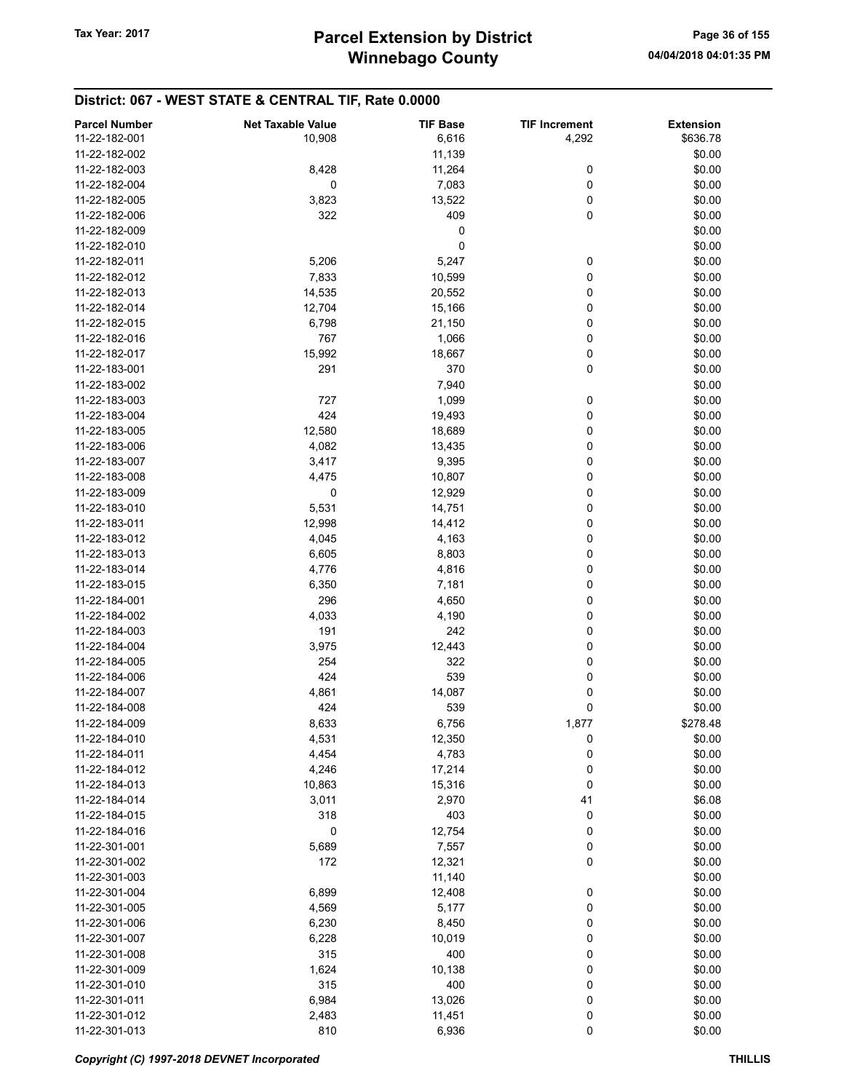| <b>Parcel Number</b> | <b>Net Taxable Value</b> | <b>TIF Base</b> | <b>TIF Increment</b> | <b>Extension</b> |
|----------------------|--------------------------|-----------------|----------------------|------------------|
| 11-22-182-001        | 10,908                   | 6,616           | 4,292                | \$636.78         |
| 11-22-182-002        |                          | 11,139          |                      | \$0.00           |
|                      |                          |                 |                      |                  |
| 11-22-182-003        | 8,428                    | 11,264          | 0                    | \$0.00           |
| 11-22-182-004        | 0                        | 7,083           | 0                    | \$0.00           |
| 11-22-182-005        | 3,823                    | 13,522          | 0                    | \$0.00           |
| 11-22-182-006        | 322                      | 409             | 0                    | \$0.00           |
| 11-22-182-009        |                          | 0               |                      | \$0.00           |
| 11-22-182-010        |                          | 0               |                      | \$0.00           |
| 11-22-182-011        | 5,206                    | 5,247           | 0                    | \$0.00           |
| 11-22-182-012        | 7,833                    | 10,599          | 0                    | \$0.00           |
| 11-22-182-013        | 14,535                   | 20,552          | 0                    | \$0.00           |
|                      |                          |                 |                      |                  |
| 11-22-182-014        | 12,704                   | 15,166          | 0                    | \$0.00           |
| 11-22-182-015        | 6,798                    | 21,150          | 0                    | \$0.00           |
| 11-22-182-016        | 767                      | 1,066           | 0                    | \$0.00           |
| 11-22-182-017        | 15,992                   | 18,667          | 0                    | \$0.00           |
| 11-22-183-001        | 291                      | 370             | 0                    | \$0.00           |
| 11-22-183-002        |                          | 7,940           |                      | \$0.00           |
| 11-22-183-003        | 727                      | 1,099           | 0                    | \$0.00           |
| 11-22-183-004        | 424                      | 19,493          | 0                    | \$0.00           |
| 11-22-183-005        | 12,580                   | 18,689          | 0                    | \$0.00           |
|                      |                          |                 |                      |                  |
| 11-22-183-006        | 4,082                    | 13,435          | 0                    | \$0.00           |
| 11-22-183-007        | 3,417                    | 9,395           | 0                    | \$0.00           |
| 11-22-183-008        | 4,475                    | 10,807          | 0                    | \$0.00           |
| 11-22-183-009        | 0                        | 12,929          | 0                    | \$0.00           |
| 11-22-183-010        | 5,531                    | 14,751          | 0                    | \$0.00           |
| 11-22-183-011        | 12,998                   | 14,412          | 0                    | \$0.00           |
| 11-22-183-012        | 4,045                    | 4,163           | 0                    | \$0.00           |
| 11-22-183-013        | 6,605                    | 8,803           | 0                    | \$0.00           |
|                      |                          |                 |                      |                  |
| 11-22-183-014        | 4,776                    | 4,816           | 0                    | \$0.00           |
| 11-22-183-015        | 6,350                    | 7,181           | 0                    | \$0.00           |
| 11-22-184-001        | 296                      | 4,650           | 0                    | \$0.00           |
| 11-22-184-002        | 4,033                    | 4,190           | 0                    | \$0.00           |
| 11-22-184-003        | 191                      | 242             | 0                    | \$0.00           |
| 11-22-184-004        | 3,975                    | 12,443          | 0                    | \$0.00           |
| 11-22-184-005        | 254                      | 322             | 0                    | \$0.00           |
| 11-22-184-006        | 424                      | 539             | 0                    | \$0.00           |
| 11-22-184-007        | 4,861                    | 14,087          | 0                    | \$0.00           |
| 11-22-184-008        | 424                      | 539             | 0                    | \$0.00           |
|                      |                          |                 |                      |                  |
| 11-22-184-009        | 8,633                    | 6,756           | 1,877                | \$278.48         |
| 11-22-184-010        | 4,531                    | 12,350          | 0                    | \$0.00           |
| 11-22-184-011        | 4,454                    | 4,783           | 0                    | \$0.00           |
| 11-22-184-012        | 4,246                    | 17,214          | 0                    | \$0.00           |
| 11-22-184-013        | 10,863                   | 15,316          | 0                    | \$0.00           |
| 11-22-184-014        | 3,011                    | 2,970           | 41                   | \$6.08           |
| 11-22-184-015        | 318                      | 403             | 0                    | \$0.00           |
| 11-22-184-016        | 0                        | 12,754          | 0                    | \$0.00           |
| 11-22-301-001        | 5,689                    | 7,557           | 0                    | \$0.00           |
|                      |                          |                 |                      |                  |
| 11-22-301-002        | 172                      | 12,321          | 0                    | \$0.00           |
| 11-22-301-003        |                          | 11,140          |                      | \$0.00           |
| 11-22-301-004        | 6,899                    | 12,408          | 0                    | \$0.00           |
| 11-22-301-005        | 4,569                    | 5,177           | 0                    | \$0.00           |
| 11-22-301-006        | 6,230                    | 8,450           | 0                    | \$0.00           |
| 11-22-301-007        | 6,228                    | 10,019          | 0                    | \$0.00           |
| 11-22-301-008        | 315                      | 400             | 0                    | \$0.00           |
| 11-22-301-009        | 1,624                    | 10,138          | 0                    | \$0.00           |
|                      |                          |                 |                      |                  |
| 11-22-301-010        | 315                      | 400             | 0                    | \$0.00           |
| 11-22-301-011        | 6,984                    | 13,026          | 0                    | \$0.00           |
| 11-22-301-012        | 2,483                    | 11,451          | 0                    | \$0.00           |
| 11-22-301-013        | 810                      | 6,936           | 0                    | \$0.00           |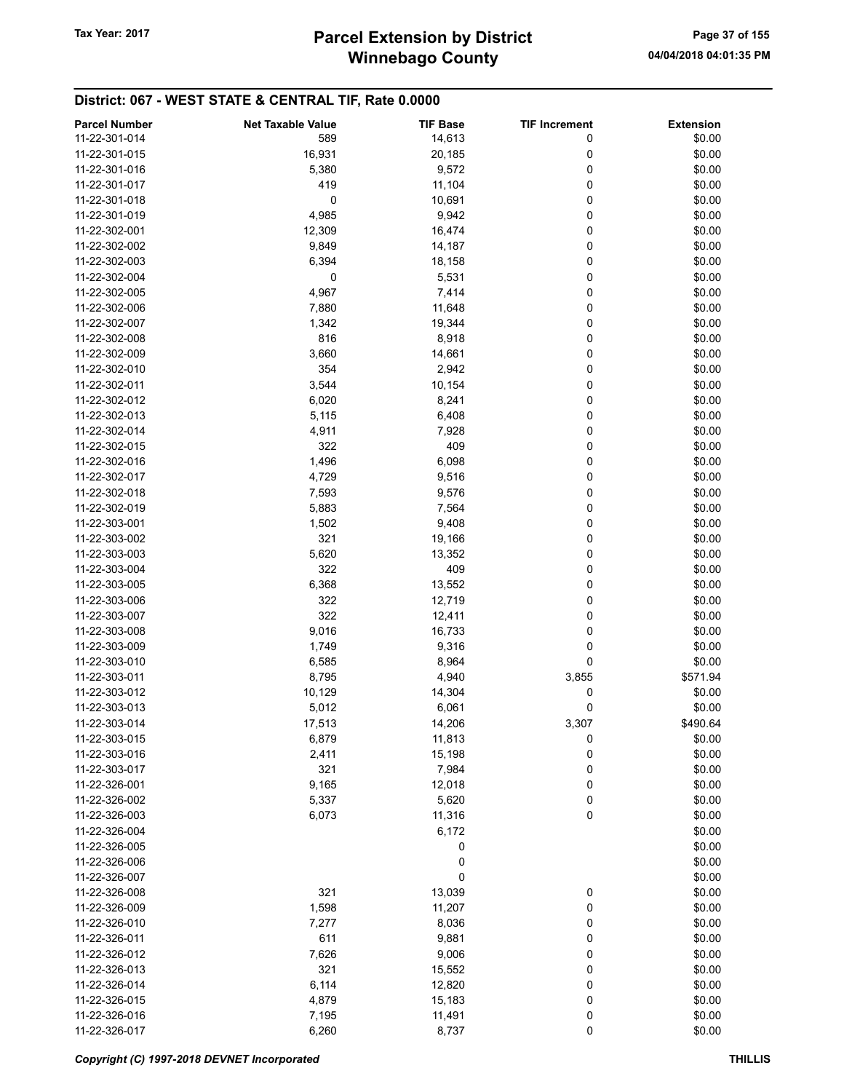## District: 067 - WEST STATE & CENTRAL TIF, Rate 0.0000

| <b>Parcel Number</b> | <b>Net Taxable Value</b> | <b>TIF Base</b> | <b>TIF Increment</b> | <b>Extension</b> |
|----------------------|--------------------------|-----------------|----------------------|------------------|
| 11-22-301-014        | 589                      | 14,613          | 0                    | \$0.00           |
| 11-22-301-015        | 16,931                   | 20,185          | 0                    | \$0.00           |
| 11-22-301-016        | 5,380                    | 9,572           | 0                    | \$0.00           |
| 11-22-301-017        | 419                      | 11,104          | 0                    | \$0.00           |
|                      | 0                        |                 | 0                    | \$0.00           |
| 11-22-301-018        |                          | 10,691          |                      |                  |
| 11-22-301-019        | 4,985                    | 9,942           | 0                    | \$0.00           |
| 11-22-302-001        | 12,309                   | 16,474          | 0                    | \$0.00           |
| 11-22-302-002        | 9,849                    | 14,187          | 0                    | \$0.00           |
| 11-22-302-003        | 6,394                    | 18,158          | 0                    | \$0.00           |
| 11-22-302-004        | 0                        | 5,531           | 0                    | \$0.00           |
| 11-22-302-005        | 4,967                    | 7,414           | 0                    | \$0.00           |
| 11-22-302-006        | 7,880                    | 11,648          | 0                    | \$0.00           |
| 11-22-302-007        | 1,342                    | 19,344          | 0                    | \$0.00           |
| 11-22-302-008        | 816                      | 8,918           | 0                    | \$0.00           |
| 11-22-302-009        | 3,660                    | 14,661          | 0                    | \$0.00           |
| 11-22-302-010        | 354                      | 2,942           | 0                    | \$0.00           |
| 11-22-302-011        | 3,544                    | 10,154          | 0                    | \$0.00           |
| 11-22-302-012        | 6,020                    | 8,241           | 0                    | \$0.00           |
| 11-22-302-013        | 5,115                    | 6,408           | 0                    | \$0.00           |
|                      |                          |                 |                      |                  |
| 11-22-302-014        | 4,911                    | 7,928           | 0                    | \$0.00           |
| 11-22-302-015        | 322                      | 409             | 0                    | \$0.00           |
| 11-22-302-016        | 1,496                    | 6,098           | 0                    | \$0.00           |
| 11-22-302-017        | 4,729                    | 9,516           | 0                    | \$0.00           |
| 11-22-302-018        | 7,593                    | 9,576           | 0                    | \$0.00           |
| 11-22-302-019        | 5,883                    | 7,564           | 0                    | \$0.00           |
| 11-22-303-001        | 1,502                    | 9,408           | 0                    | \$0.00           |
| 11-22-303-002        | 321                      | 19,166          | 0                    | \$0.00           |
| 11-22-303-003        | 5,620                    | 13,352          | 0                    | \$0.00           |
| 11-22-303-004        | 322                      | 409             | 0                    | \$0.00           |
| 11-22-303-005        | 6,368                    | 13,552          | 0                    | \$0.00           |
| 11-22-303-006        | 322                      | 12,719          | 0                    | \$0.00           |
| 11-22-303-007        | 322                      | 12,411          | 0                    | \$0.00           |
| 11-22-303-008        | 9,016                    | 16,733          | 0                    | \$0.00           |
| 11-22-303-009        | 1,749                    | 9,316           | 0                    | \$0.00           |
| 11-22-303-010        | 6,585                    | 8,964           | 0                    | \$0.00           |
|                      |                          |                 |                      |                  |
| 11-22-303-011        | 8,795                    | 4,940           | 3,855                | \$571.94         |
| 11-22-303-012        | 10,129                   | 14,304          | 0                    | \$0.00           |
| 11-22-303-013        | 5,012                    | 6,061           | 0                    | \$0.00           |
| 11-22-303-014        | 17,513                   | 14,206          | 3,307                | \$490.64         |
| 11-22-303-015        | 6,879                    | 11,813          | 0                    | \$0.00           |
| 11-22-303-016        | 2,411                    | 15,198          | 0                    | \$0.00           |
| 11-22-303-017        | 321                      | 7,984           | 0                    | \$0.00           |
| 11-22-326-001        | 9,165                    | 12,018          | 0                    | \$0.00           |
| 11-22-326-002        | 5,337                    | 5,620           | 0                    | \$0.00           |
| 11-22-326-003        | 6,073                    | 11,316          | 0                    | \$0.00           |
| 11-22-326-004        |                          | 6,172           |                      | \$0.00           |
| 11-22-326-005        |                          | 0               |                      | \$0.00           |
| 11-22-326-006        |                          | 0               |                      | \$0.00           |
| 11-22-326-007        |                          | 0               |                      | \$0.00           |
| 11-22-326-008        | 321                      | 13,039          | 0                    | \$0.00           |
| 11-22-326-009        | 1,598                    | 11,207          | 0                    | \$0.00           |
| 11-22-326-010        | 7,277                    | 8,036           | 0                    | \$0.00           |
|                      | 611                      |                 |                      | \$0.00           |
| 11-22-326-011        |                          | 9,881           | 0                    |                  |
| 11-22-326-012        | 7,626                    | 9,006           | 0                    | \$0.00           |
| 11-22-326-013        | 321                      | 15,552          | 0                    | \$0.00           |
| 11-22-326-014        | 6,114                    | 12,820          | 0                    | \$0.00           |
| 11-22-326-015        | 4,879                    | 15,183          | 0                    | \$0.00           |
| 11-22-326-016        | 7,195                    | 11,491          | 0                    | \$0.00           |
| 11-22-326-017        | 6,260                    | 8,737           | 0                    | \$0.00           |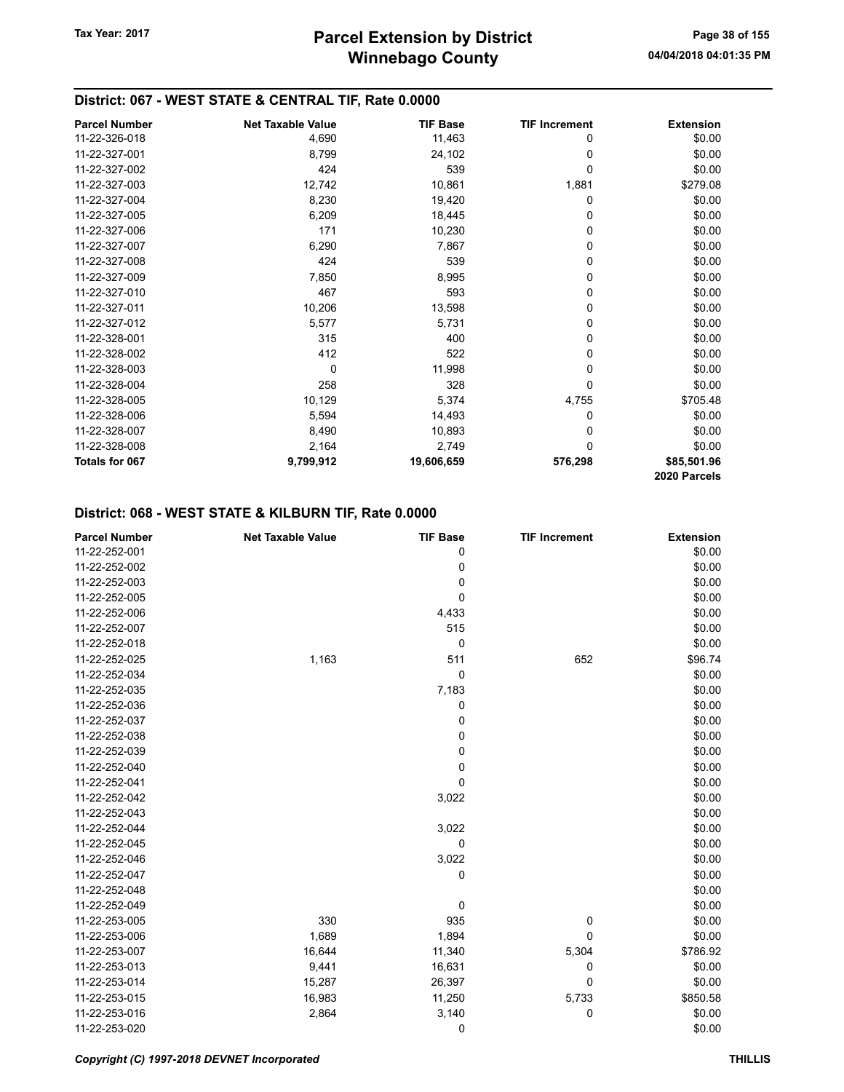### District: 067 - WEST STATE & CENTRAL TIF, Rate 0.0000

| <b>Parcel Number</b> | <b>Net Taxable Value</b> | <b>TIF Base</b> | <b>TIF Increment</b> | <b>Extension</b> |
|----------------------|--------------------------|-----------------|----------------------|------------------|
| 11-22-326-018        | 4,690                    | 11,463          | 0                    | \$0.00           |
| 11-22-327-001        | 8,799                    | 24,102          | 0                    | \$0.00           |
| 11-22-327-002        | 424                      | 539             | 0                    | \$0.00           |
| 11-22-327-003        | 12,742                   | 10,861          | 1,881                | \$279.08         |
| 11-22-327-004        | 8,230                    | 19,420          | 0                    | \$0.00           |
| 11-22-327-005        | 6,209                    | 18,445          | 0                    | \$0.00           |
| 11-22-327-006        | 171                      | 10,230          | 0                    | \$0.00           |
| 11-22-327-007        | 6,290                    | 7,867           | 0                    | \$0.00           |
| 11-22-327-008        | 424                      | 539             | 0                    | \$0.00           |
| 11-22-327-009        | 7,850                    | 8,995           | 0                    | \$0.00           |
| 11-22-327-010        | 467                      | 593             | 0                    | \$0.00           |
| 11-22-327-011        | 10,206                   | 13,598          | 0                    | \$0.00           |
| 11-22-327-012        | 5,577                    | 5,731           | 0                    | \$0.00           |
| 11-22-328-001        | 315                      | 400             | 0                    | \$0.00           |
| 11-22-328-002        | 412                      | 522             | 0                    | \$0.00           |
| 11-22-328-003        | 0                        | 11,998          | 0                    | \$0.00           |
| 11-22-328-004        | 258                      | 328             | 0                    | \$0.00           |
| 11-22-328-005        | 10,129                   | 5,374           | 4,755                | \$705.48         |
| 11-22-328-006        | 5,594                    | 14,493          | 0                    | \$0.00           |
| 11-22-328-007        | 8,490                    | 10,893          | 0                    | \$0.00           |
| 11-22-328-008        | 2,164                    | 2,749           | 0                    | \$0.00           |
| Totals for 067       | 9,799,912                | 19,606,659      | 576,298              | \$85,501.96      |
|                      |                          |                 |                      | 2020 Parcels     |

### District: 068 - WEST STATE & KILBURN TIF, Rate 0.0000

| <b>Parcel Number</b> | <b>Net Taxable Value</b> | <b>TIF Base</b> | <b>TIF Increment</b> | <b>Extension</b> |
|----------------------|--------------------------|-----------------|----------------------|------------------|
| 11-22-252-001        |                          | 0               |                      | \$0.00           |
| 11-22-252-002        |                          | 0               |                      | \$0.00           |
| 11-22-252-003        |                          | 0               |                      | \$0.00           |
| 11-22-252-005        |                          | 0               |                      | \$0.00           |
| 11-22-252-006        |                          | 4,433           |                      | \$0.00           |
| 11-22-252-007        |                          | 515             |                      | \$0.00           |
| 11-22-252-018        |                          | 0               |                      | \$0.00           |
| 11-22-252-025        | 1,163                    | 511             | 652                  | \$96.74          |
| 11-22-252-034        |                          | 0               |                      | \$0.00           |
| 11-22-252-035        |                          | 7,183           |                      | \$0.00           |
| 11-22-252-036        |                          | 0               |                      | \$0.00           |
| 11-22-252-037        |                          | 0               |                      | \$0.00           |
| 11-22-252-038        |                          | 0               |                      | \$0.00           |
| 11-22-252-039        |                          | 0               |                      | \$0.00           |
| 11-22-252-040        |                          | 0               |                      | \$0.00           |
| 11-22-252-041        |                          | 0               |                      | \$0.00           |
| 11-22-252-042        |                          | 3,022           |                      | \$0.00           |
| 11-22-252-043        |                          |                 |                      | \$0.00           |
| 11-22-252-044        |                          | 3,022           |                      | \$0.00           |
| 11-22-252-045        |                          | 0               |                      | \$0.00           |
| 11-22-252-046        |                          | 3,022           |                      | \$0.00           |
| 11-22-252-047        |                          | 0               |                      | \$0.00           |
| 11-22-252-048        |                          |                 |                      | \$0.00           |
| 11-22-252-049        |                          | 0               |                      | \$0.00           |
| 11-22-253-005        | 330                      | 935             | 0                    | \$0.00           |
| 11-22-253-006        | 1,689                    | 1,894           | 0                    | \$0.00           |
| 11-22-253-007        | 16,644                   | 11,340          | 5,304                | \$786.92         |
| 11-22-253-013        | 9,441                    | 16,631          | 0                    | \$0.00           |
| 11-22-253-014        | 15,287                   | 26,397          | 0                    | \$0.00           |
| 11-22-253-015        | 16,983                   | 11,250          | 5,733                | \$850.58         |
| 11-22-253-016        | 2,864                    | 3,140           | 0                    | \$0.00           |
| 11-22-253-020        |                          | 0               |                      | \$0.00           |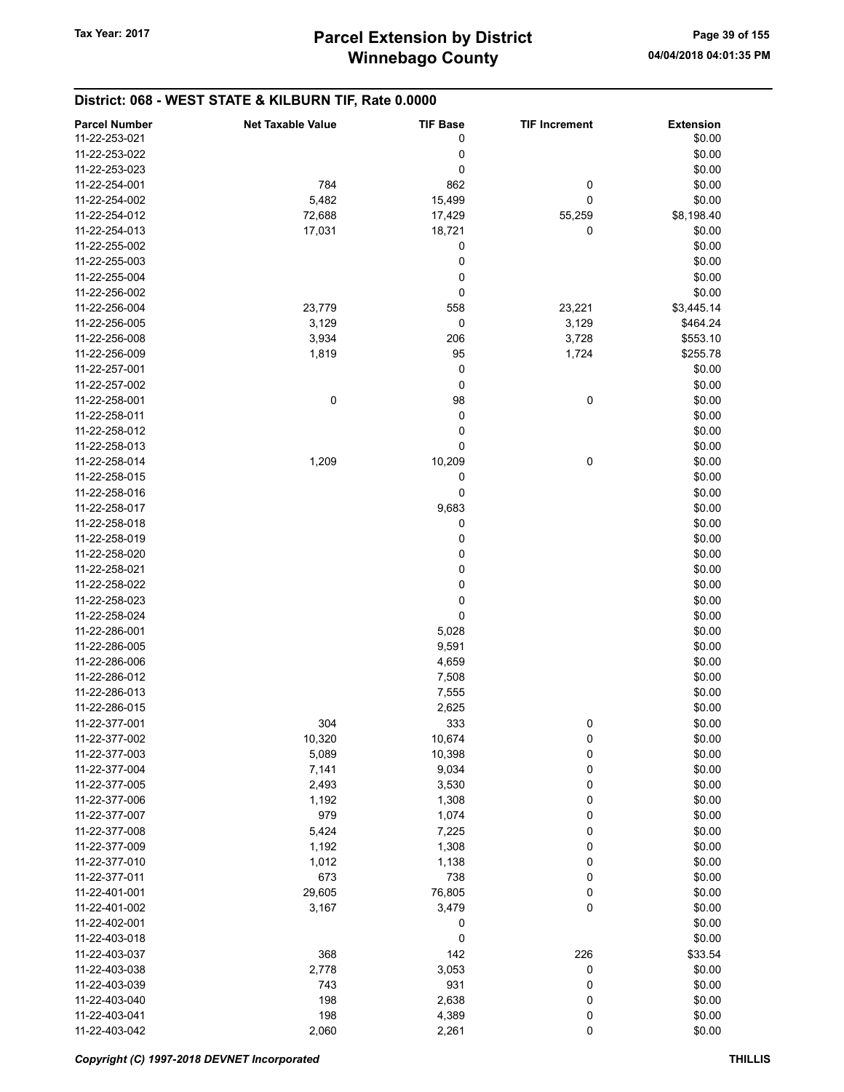# District: 068 - WEST STATE & KILBURN TIF, Rate 0.0000

| <b>Parcel Number</b> | <b>Net Taxable Value</b> | <b>TIF Base</b> | <b>TIF Increment</b> | <b>Extension</b> |
|----------------------|--------------------------|-----------------|----------------------|------------------|
| 11-22-253-021        |                          | 0               |                      | \$0.00           |
| 11-22-253-022        |                          | 0               |                      | \$0.00           |
| 11-22-253-023        |                          | 0               |                      | \$0.00           |
| 11-22-254-001        | 784                      | 862             | 0                    | \$0.00           |
| 11-22-254-002        | 5,482                    | 15,499          | 0                    | \$0.00           |
|                      |                          |                 |                      |                  |
| 11-22-254-012        | 72,688                   | 17,429          | 55,259               | \$8,198.40       |
| 11-22-254-013        | 17,031                   | 18,721          | 0                    | \$0.00           |
| 11-22-255-002        |                          | 0               |                      | \$0.00           |
| 11-22-255-003        |                          | 0               |                      | \$0.00           |
| 11-22-255-004        |                          | 0               |                      | \$0.00           |
| 11-22-256-002        |                          | 0               |                      | \$0.00           |
| 11-22-256-004        | 23,779                   | 558             | 23,221               | \$3,445.14       |
| 11-22-256-005        | 3,129                    | $\pmb{0}$       | 3,129                | \$464.24         |
| 11-22-256-008        | 3,934                    | 206             | 3,728                | \$553.10         |
| 11-22-256-009        | 1,819                    | 95              | 1,724                | \$255.78         |
| 11-22-257-001        |                          | 0               |                      | \$0.00           |
| 11-22-257-002        |                          | 0               |                      | \$0.00           |
| 11-22-258-001        |                          |                 |                      |                  |
|                      | 0                        | 98              | 0                    | \$0.00           |
| 11-22-258-011        |                          | 0               |                      | \$0.00           |
| 11-22-258-012        |                          | 0               |                      | \$0.00           |
| 11-22-258-013        |                          | 0               |                      | \$0.00           |
| 11-22-258-014        | 1,209                    | 10,209          | 0                    | \$0.00           |
| 11-22-258-015        |                          | 0               |                      | \$0.00           |
| 11-22-258-016        |                          | 0               |                      | \$0.00           |
| 11-22-258-017        |                          | 9,683           |                      | \$0.00           |
| 11-22-258-018        |                          | 0               |                      | \$0.00           |
| 11-22-258-019        |                          | 0               |                      | \$0.00           |
| 11-22-258-020        |                          | 0               |                      | \$0.00           |
| 11-22-258-021        |                          | 0               |                      | \$0.00           |
| 11-22-258-022        |                          | 0               |                      | \$0.00           |
|                      |                          |                 |                      |                  |
| 11-22-258-023        |                          | 0               |                      | \$0.00           |
| 11-22-258-024        |                          | 0               |                      | \$0.00           |
| 11-22-286-001        |                          | 5,028           |                      | \$0.00           |
| 11-22-286-005        |                          | 9,591           |                      | \$0.00           |
| 11-22-286-006        |                          | 4,659           |                      | \$0.00           |
| 11-22-286-012        |                          | 7,508           |                      | \$0.00           |
| 11-22-286-013        |                          | 7,555           |                      | \$0.00           |
| 11-22-286-015        |                          | 2,625           |                      | \$0.00           |
| 11-22-377-001        | 304                      | 333             | 0                    | \$0.00           |
| 11-22-377-002        | 10,320                   | 10,674          | 0                    | \$0.00           |
| 11-22-377-003        | 5,089                    | 10,398          | 0                    | \$0.00           |
| 11-22-377-004        | 7,141                    | 9,034           | 0                    | \$0.00           |
| 11-22-377-005        | 2,493                    | 3,530           | 0                    | \$0.00           |
| 11-22-377-006        | 1,192                    | 1,308           | 0                    | \$0.00           |
| 11-22-377-007        | 979                      | 1,074           | 0                    | \$0.00           |
|                      |                          |                 |                      |                  |
| 11-22-377-008        | 5,424                    | 7,225           | 0                    | \$0.00           |
| 11-22-377-009        | 1,192                    | 1,308           | 0                    | \$0.00           |
| 11-22-377-010        | 1,012                    | 1,138           | 0                    | \$0.00           |
| 11-22-377-011        | 673                      | 738             | 0                    | \$0.00           |
| 11-22-401-001        | 29,605                   | 76,805          | 0                    | \$0.00           |
| 11-22-401-002        | 3,167                    | 3,479           | 0                    | \$0.00           |
| 11-22-402-001        |                          | 0               |                      | \$0.00           |
| 11-22-403-018        |                          | 0               |                      | \$0.00           |
| 11-22-403-037        | 368                      | 142             | 226                  | \$33.54          |
| 11-22-403-038        | 2,778                    | 3,053           | 0                    | \$0.00           |
| 11-22-403-039        | 743                      | 931             | 0                    | \$0.00           |
| 11-22-403-040        | 198                      | 2,638           | 0                    | \$0.00           |
| 11-22-403-041        | 198                      | 4,389           | 0                    | \$0.00           |
| 11-22-403-042        | 2,060                    | 2,261           | 0                    | \$0.00           |
|                      |                          |                 |                      |                  |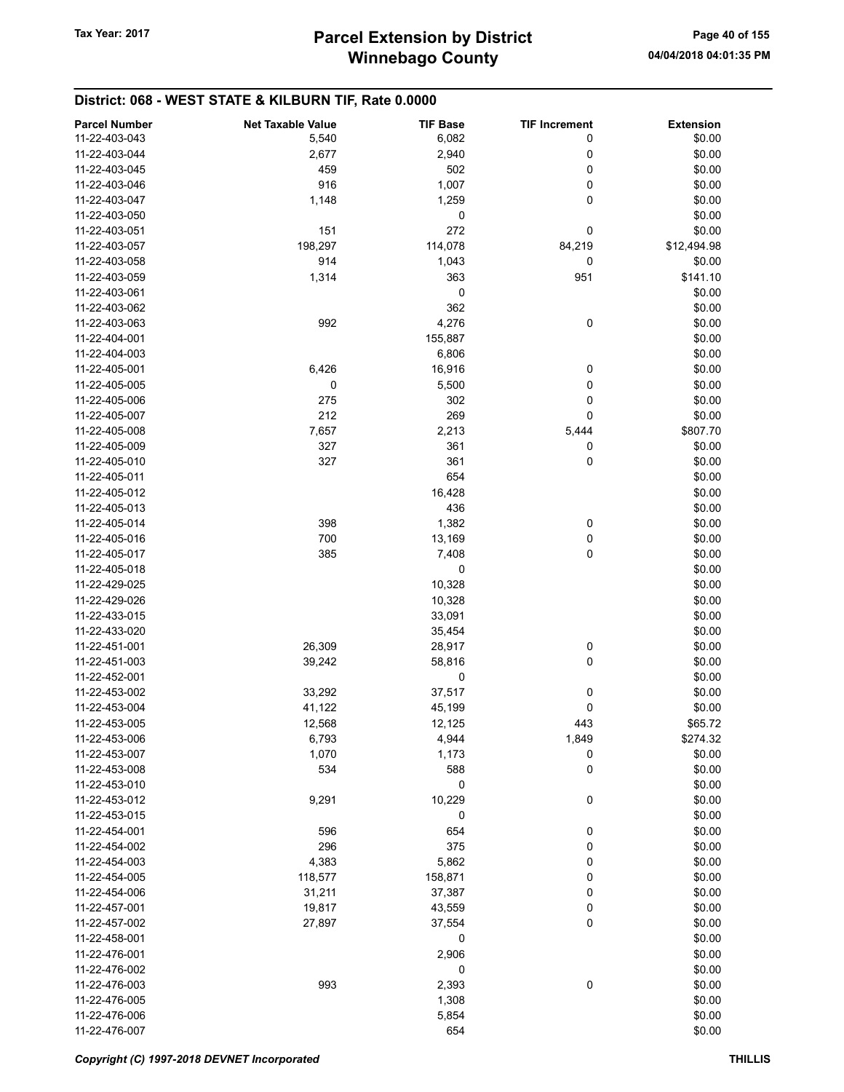# District: 068 - WEST STATE & KILBURN TIF, Rate 0.0000

| <b>Parcel Number</b> | <b>Net Taxable Value</b> | <b>TIF Base</b> | <b>TIF Increment</b> | <b>Extension</b> |
|----------------------|--------------------------|-----------------|----------------------|------------------|
| 11-22-403-043        | 5,540                    | 6,082           | 0                    | \$0.00           |
| 11-22-403-044        | 2,677                    | 2,940           | 0                    | \$0.00           |
| 11-22-403-045        | 459                      | 502             | 0                    | \$0.00           |
| 11-22-403-046        | 916                      | 1,007           | 0                    | \$0.00           |
|                      |                          |                 | 0                    |                  |
| 11-22-403-047        | 1,148                    | 1,259           |                      | \$0.00           |
| 11-22-403-050        |                          | 0               |                      | \$0.00           |
| 11-22-403-051        | 151                      | 272             | 0                    | \$0.00           |
| 11-22-403-057        | 198,297                  | 114,078         | 84,219               | \$12,494.98      |
| 11-22-403-058        | 914                      | 1,043           | 0                    | \$0.00           |
| 11-22-403-059        | 1,314                    | 363             | 951                  | \$141.10         |
| 11-22-403-061        |                          | 0               |                      | \$0.00           |
| 11-22-403-062        |                          | 362             |                      | \$0.00           |
| 11-22-403-063        | 992                      | 4,276           | 0                    | \$0.00           |
| 11-22-404-001        |                          | 155,887         |                      | \$0.00           |
| 11-22-404-003        |                          | 6,806           |                      | \$0.00           |
| 11-22-405-001        | 6,426                    | 16,916          | 0                    | \$0.00           |
| 11-22-405-005        | 0                        | 5,500           | 0                    | \$0.00           |
| 11-22-405-006        | 275                      | 302             | 0                    | \$0.00           |
| 11-22-405-007        | 212                      | 269             | 0                    | \$0.00           |
| 11-22-405-008        |                          |                 |                      | \$807.70         |
|                      | 7,657                    | 2,213           | 5,444                |                  |
| 11-22-405-009        | 327                      | 361             | 0                    | \$0.00           |
| 11-22-405-010        | 327                      | 361             | 0                    | \$0.00           |
| 11-22-405-011        |                          | 654             |                      | \$0.00           |
| 11-22-405-012        |                          | 16,428          |                      | \$0.00           |
| 11-22-405-013        |                          | 436             |                      | \$0.00           |
| 11-22-405-014        | 398                      | 1,382           | 0                    | \$0.00           |
| 11-22-405-016        | 700                      | 13,169          | 0                    | \$0.00           |
| 11-22-405-017        | 385                      | 7,408           | 0                    | \$0.00           |
| 11-22-405-018        |                          | 0               |                      | \$0.00           |
| 11-22-429-025        |                          | 10,328          |                      | \$0.00           |
| 11-22-429-026        |                          | 10,328          |                      | \$0.00           |
| 11-22-433-015        |                          | 33,091          |                      | \$0.00           |
| 11-22-433-020        |                          | 35,454          |                      | \$0.00           |
| 11-22-451-001        | 26,309                   | 28,917          | 0                    | \$0.00           |
| 11-22-451-003        | 39,242                   | 58,816          | 0                    | \$0.00           |
|                      |                          | 0               |                      |                  |
| 11-22-452-001        |                          |                 |                      | \$0.00           |
| 11-22-453-002        | 33,292                   | 37,517          | 0                    | \$0.00           |
| 11-22-453-004        | 41,122                   | 45,199          | 0                    | \$0.00           |
| 11-22-453-005        | 12,568                   | 12,125          | 443                  | \$65.72          |
| 11-22-453-006        | 6,793                    | 4,944           | 1,849                | \$274.32         |
| 11-22-453-007        | 1,070                    | 1,173           | 0                    | \$0.00           |
| 11-22-453-008        | 534                      | 588             | 0                    | \$0.00           |
| 11-22-453-010        |                          | 0               |                      | \$0.00           |
| 11-22-453-012        | 9,291                    | 10,229          | 0                    | \$0.00           |
| 11-22-453-015        |                          | 0               |                      | \$0.00           |
| 11-22-454-001        | 596                      | 654             | 0                    | \$0.00           |
| 11-22-454-002        | 296                      | 375             | 0                    | \$0.00           |
| 11-22-454-003        | 4,383                    | 5,862           | 0                    | \$0.00           |
| 11-22-454-005        | 118,577                  | 158,871         | 0                    | \$0.00           |
| 11-22-454-006        | 31,211                   | 37,387          | 0                    | \$0.00           |
|                      |                          |                 |                      |                  |
| 11-22-457-001        | 19,817                   | 43,559          | 0                    | \$0.00           |
| 11-22-457-002        | 27,897                   | 37,554          | $\mathbf 0$          | \$0.00           |
| 11-22-458-001        |                          | 0               |                      | \$0.00           |
| 11-22-476-001        |                          | 2,906           |                      | \$0.00           |
| 11-22-476-002        |                          | 0               |                      | \$0.00           |
| 11-22-476-003        | 993                      | 2,393           | 0                    | \$0.00           |
| 11-22-476-005        |                          | 1,308           |                      | \$0.00           |
| 11-22-476-006        |                          | 5,854           |                      | \$0.00           |
| 11-22-476-007        |                          | 654             |                      | \$0.00           |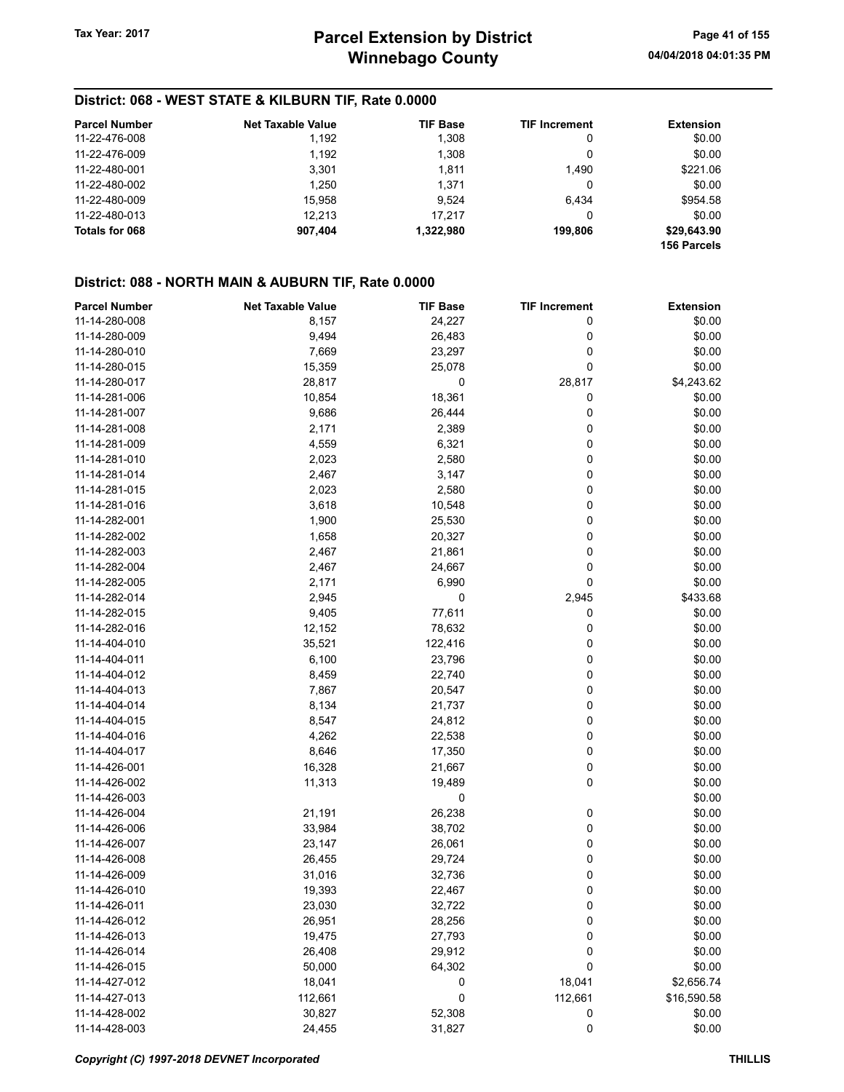### District: 068 - WEST STATE & KILBURN TIF, Rate 0.0000

| <b>Parcel Number</b> | <b>Net Taxable Value</b> | <b>TIF Base</b> | <b>TIF Increment</b> | <b>Extension</b> |
|----------------------|--------------------------|-----------------|----------------------|------------------|
| 11-22-476-008        | 1,192                    | 1,308           | 0                    | \$0.00           |
| 11-22-476-009        | 1,192                    | 1,308           | 0                    | \$0.00           |
| 11-22-480-001        | 3,301                    | 1,811           | 1,490                | \$221.06         |
| 11-22-480-002        | 1.250                    | 1.371           |                      | \$0.00           |
| 11-22-480-009        | 15.958                   | 9.524           | 6.434                | \$954.58         |
| 11-22-480-013        | 12.213                   | 17.217          | 0                    | \$0.00           |
| Totals for 068       | 907,404                  | 1,322,980       | 199.806              | \$29,643.90      |
|                      |                          |                 |                      | 156 Parcels      |

#### District: 088 - NORTH MAIN & AUBURN TIF, Rate 0.0000

| <b>Parcel Number</b> | <b>Net Taxable Value</b> | <b>TIF Base</b> | <b>TIF Increment</b> | <b>Extension</b> |
|----------------------|--------------------------|-----------------|----------------------|------------------|
| 11-14-280-008        | 8,157                    | 24,227          | 0                    | \$0.00           |
| 11-14-280-009        | 9,494                    | 26,483          | 0                    | \$0.00           |
| 11-14-280-010        | 7,669                    | 23,297          | 0                    | \$0.00           |
| 11-14-280-015        | 15,359                   | 25,078          | 0                    | \$0.00           |
| 11-14-280-017        | 28,817                   | 0               | 28,817               | \$4,243.62       |
| 11-14-281-006        | 10,854                   | 18,361          | 0                    | \$0.00           |
| 11-14-281-007        | 9,686                    | 26,444          | 0                    | \$0.00           |
| 11-14-281-008        | 2,171                    | 2,389           | 0                    | \$0.00           |
| 11-14-281-009        | 4,559                    | 6,321           | 0                    | \$0.00           |
| 11-14-281-010        | 2,023                    | 2,580           | 0                    | \$0.00           |
| 11-14-281-014        | 2,467                    | 3,147           | 0                    | \$0.00           |
| 11-14-281-015        | 2,023                    | 2,580           | 0                    | \$0.00           |
| 11-14-281-016        | 3,618                    | 10,548          | 0                    | \$0.00           |
| 11-14-282-001        | 1,900                    | 25,530          | 0                    | \$0.00           |
| 11-14-282-002        | 1,658                    | 20,327          | 0                    | \$0.00           |
| 11-14-282-003        | 2,467                    | 21,861          | 0                    | \$0.00           |
| 11-14-282-004        | 2,467                    | 24,667          | 0                    | \$0.00           |
| 11-14-282-005        |                          |                 | 0                    | \$0.00           |
|                      | 2,171                    | 6,990           |                      |                  |
| 11-14-282-014        | 2,945                    | 0               | 2,945                | \$433.68         |
| 11-14-282-015        | 9,405                    | 77,611          | 0                    | \$0.00           |
| 11-14-282-016        | 12,152                   | 78,632          | 0                    | \$0.00           |
| 11-14-404-010        | 35,521                   | 122,416         | 0                    | \$0.00           |
| 11-14-404-011        | 6,100                    | 23,796          | 0                    | \$0.00           |
| 11-14-404-012        | 8,459                    | 22,740          | 0                    | \$0.00           |
| 11-14-404-013        | 7,867                    | 20,547          | 0                    | \$0.00           |
| 11-14-404-014        | 8,134                    | 21,737          | 0                    | \$0.00           |
| 11-14-404-015        | 8,547                    | 24,812          | 0                    | \$0.00           |
| 11-14-404-016        | 4,262                    | 22,538          | 0                    | \$0.00           |
| 11-14-404-017        | 8,646                    | 17,350          | 0                    | \$0.00           |
| 11-14-426-001        | 16,328                   | 21,667          | 0                    | \$0.00           |
| 11-14-426-002        | 11,313                   | 19,489          | 0                    | \$0.00           |
| 11-14-426-003        |                          | 0               |                      | \$0.00           |
| 11-14-426-004        | 21,191                   | 26,238          | 0                    | \$0.00           |
| 11-14-426-006        | 33,984                   | 38,702          | 0                    | \$0.00           |
| 11-14-426-007        | 23,147                   | 26,061          | 0                    | \$0.00           |
| 11-14-426-008        | 26,455                   | 29,724          | 0                    | \$0.00           |
| 11-14-426-009        | 31,016                   | 32,736          | 0                    | \$0.00           |
| 11-14-426-010        | 19,393                   | 22,467          | 0                    | \$0.00           |
| 11-14-426-011        | 23,030                   | 32,722          | 0                    | \$0.00           |
| 11-14-426-012        | 26,951                   | 28,256          | 0                    | \$0.00           |
| 11-14-426-013        | 19,475                   | 27,793          | 0                    | \$0.00           |
| 11-14-426-014        | 26,408                   | 29,912          | 0                    | \$0.00           |
| 11-14-426-015        | 50,000                   | 64,302          | 0                    | \$0.00           |
| 11-14-427-012        | 18,041                   | 0               | 18,041               | \$2,656.74       |
| 11-14-427-013        | 112,661                  | 0               | 112,661              | \$16,590.58      |
| 11-14-428-002        | 30,827                   | 52,308          | 0                    | \$0.00           |
| 11-14-428-003        | 24,455                   | 31,827          | 0                    | \$0.00           |
|                      |                          |                 |                      |                  |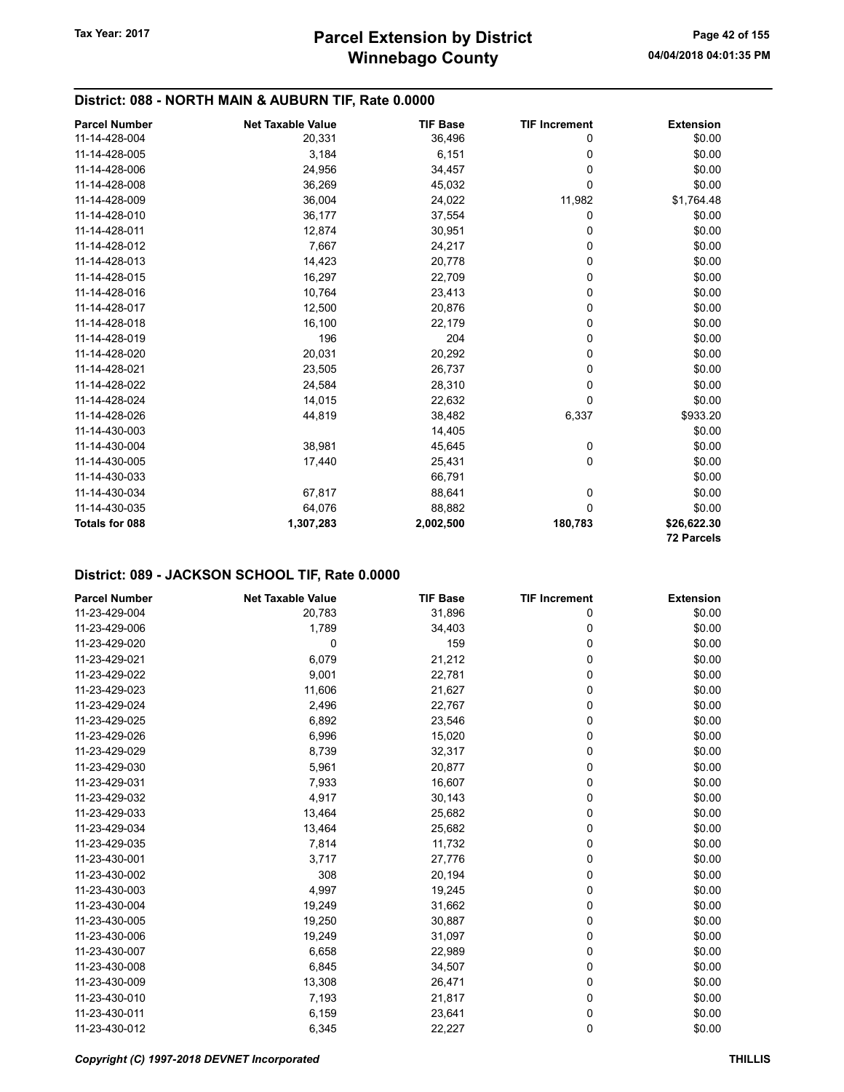### District: 088 - NORTH MAIN & AUBURN TIF, Rate 0.0000

| <b>Parcel Number</b>  | <b>Net Taxable Value</b> | <b>TIF Base</b> | <b>TIF Increment</b> | <b>Extension</b>  |
|-----------------------|--------------------------|-----------------|----------------------|-------------------|
| 11-14-428-004         | 20,331                   | 36,496          | 0                    | \$0.00            |
| 11-14-428-005         | 3,184                    | 6,151           | 0                    | \$0.00            |
| 11-14-428-006         | 24,956                   | 34,457          | 0                    | \$0.00            |
| 11-14-428-008         | 36,269                   | 45,032          | 0                    | \$0.00            |
| 11-14-428-009         | 36,004                   | 24,022          | 11,982               | \$1,764.48        |
| 11-14-428-010         | 36,177                   | 37,554          | 0                    | \$0.00            |
| 11-14-428-011         | 12,874                   | 30,951          | 0                    | \$0.00            |
| 11-14-428-012         | 7,667                    | 24,217          | 0                    | \$0.00            |
| 11-14-428-013         | 14,423                   | 20,778          | 0                    | \$0.00            |
| 11-14-428-015         | 16,297                   | 22,709          | 0                    | \$0.00            |
| 11-14-428-016         | 10,764                   | 23,413          | 0                    | \$0.00            |
| 11-14-428-017         | 12,500                   | 20,876          | 0                    | \$0.00            |
| 11-14-428-018         | 16,100                   | 22,179          | 0                    | \$0.00            |
| 11-14-428-019         | 196                      | 204             | 0                    | \$0.00            |
| 11-14-428-020         | 20,031                   | 20,292          | 0                    | \$0.00            |
| 11-14-428-021         | 23,505                   | 26,737          | 0                    | \$0.00            |
| 11-14-428-022         | 24,584                   | 28,310          | 0                    | \$0.00            |
| 11-14-428-024         | 14,015                   | 22,632          | 0                    | \$0.00            |
| 11-14-428-026         | 44,819                   | 38,482          | 6,337                | \$933.20          |
| 11-14-430-003         |                          | 14,405          |                      | \$0.00            |
| 11-14-430-004         | 38,981                   | 45,645          | 0                    | \$0.00            |
| 11-14-430-005         | 17,440                   | 25,431          | 0                    | \$0.00            |
| 11-14-430-033         |                          | 66,791          |                      | \$0.00            |
| 11-14-430-034         | 67,817                   | 88,641          | 0                    | \$0.00            |
| 11-14-430-035         | 64,076                   | 88,882          | 0                    | \$0.00            |
| <b>Totals for 088</b> | 1,307,283                | 2,002,500       | 180,783              | \$26,622.30       |
|                       |                          |                 |                      | <b>72 Parcels</b> |

| <b>Parcel Number</b> | <b>Net Taxable Value</b> | <b>TIF Base</b> | <b>TIF Increment</b> | <b>Extension</b> |
|----------------------|--------------------------|-----------------|----------------------|------------------|
| 11-23-429-004        | 20,783                   | 31,896          | 0                    | \$0.00           |
| 11-23-429-006        | 1,789                    | 34,403          | 0                    | \$0.00           |
| 11-23-429-020        | 0                        | 159             | 0                    | \$0.00           |
| 11-23-429-021        | 6,079                    | 21,212          | 0                    | \$0.00           |
| 11-23-429-022        | 9,001                    | 22,781          | 0                    | \$0.00           |
| 11-23-429-023        | 11,606                   | 21,627          | 0                    | \$0.00           |
| 11-23-429-024        | 2,496                    | 22,767          | 0                    | \$0.00           |
| 11-23-429-025        | 6,892                    | 23,546          | 0                    | \$0.00           |
| 11-23-429-026        | 6,996                    | 15,020          | 0                    | \$0.00           |
| 11-23-429-029        | 8,739                    | 32,317          | 0                    | \$0.00           |
| 11-23-429-030        | 5,961                    | 20,877          | 0                    | \$0.00           |
| 11-23-429-031        | 7,933                    | 16,607          | 0                    | \$0.00           |
| 11-23-429-032        | 4,917                    | 30,143          | 0                    | \$0.00           |
| 11-23-429-033        | 13,464                   | 25,682          | 0                    | \$0.00           |
| 11-23-429-034        | 13,464                   | 25,682          | 0                    | \$0.00           |
| 11-23-429-035        | 7,814                    | 11,732          | 0                    | \$0.00           |
| 11-23-430-001        | 3,717                    | 27,776          | 0                    | \$0.00           |
| 11-23-430-002        | 308                      | 20,194          | 0                    | \$0.00           |
| 11-23-430-003        | 4,997                    | 19,245          | 0                    | \$0.00           |
| 11-23-430-004        | 19,249                   | 31,662          | 0                    | \$0.00           |
| 11-23-430-005        | 19,250                   | 30,887          | 0                    | \$0.00           |
| 11-23-430-006        | 19,249                   | 31,097          | 0                    | \$0.00           |
| 11-23-430-007        | 6,658                    | 22,989          | 0                    | \$0.00           |
| 11-23-430-008        | 6,845                    | 34,507          | 0                    | \$0.00           |
| 11-23-430-009        | 13,308                   | 26,471          | 0                    | \$0.00           |
| 11-23-430-010        | 7,193                    | 21,817          | 0                    | \$0.00           |
| 11-23-430-011        | 6,159                    | 23,641          | 0                    | \$0.00           |
| 11-23-430-012        | 6,345                    | 22,227          | 0                    | \$0.00           |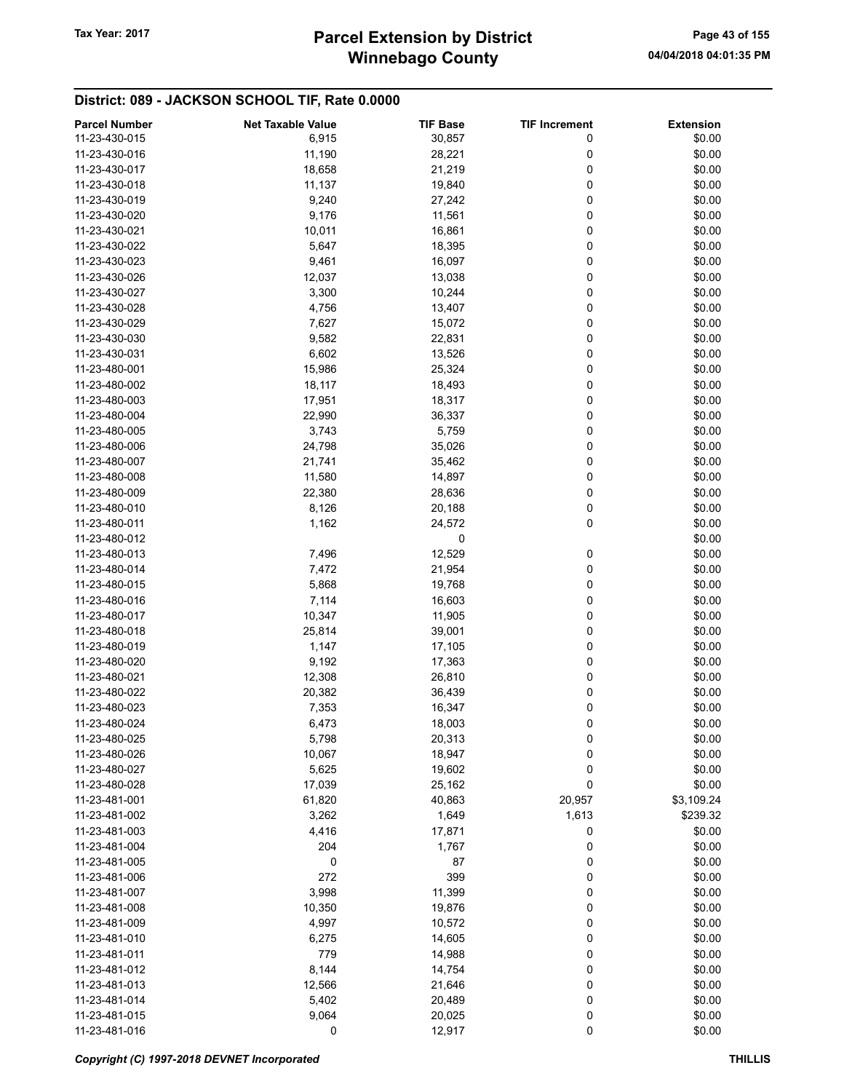# Winnebago County Tax Year: 2017 **Parcel Extension by District** Page 43 of 155

| <b>Parcel Number</b> | <b>Net Taxable Value</b> | <b>TIF Base</b> | <b>TIF Increment</b> | <b>Extension</b> |
|----------------------|--------------------------|-----------------|----------------------|------------------|
| 11-23-430-015        | 6,915                    | 30,857          | 0                    | \$0.00           |
| 11-23-430-016        | 11,190                   | 28,221          | 0                    | \$0.00           |
| 11-23-430-017        | 18,658                   | 21,219          | 0                    | \$0.00           |
| 11-23-430-018        | 11,137                   | 19,840          | 0                    | \$0.00           |
| 11-23-430-019        | 9,240                    | 27,242          | 0                    | \$0.00           |
| 11-23-430-020        | 9,176                    | 11,561          | 0                    | \$0.00           |
| 11-23-430-021        | 10,011                   | 16,861          | 0                    | \$0.00           |
| 11-23-430-022        | 5,647                    | 18,395          | 0                    | \$0.00           |
| 11-23-430-023        | 9,461                    | 16,097          | 0                    | \$0.00           |
| 11-23-430-026        | 12,037                   | 13,038          | 0                    | \$0.00           |
| 11-23-430-027        | 3,300                    | 10,244          | 0                    | \$0.00           |
| 11-23-430-028        | 4,756                    | 13,407          | 0                    | \$0.00           |
| 11-23-430-029        | 7,627                    | 15,072          | 0                    | \$0.00           |
| 11-23-430-030        | 9,582                    | 22,831          | 0                    | \$0.00           |
| 11-23-430-031        | 6,602                    | 13,526          | 0                    | \$0.00           |
| 11-23-480-001        | 15,986                   | 25,324          | 0                    | \$0.00           |
| 11-23-480-002        | 18,117                   | 18,493          | 0                    | \$0.00           |
| 11-23-480-003        | 17,951                   | 18,317          | 0                    | \$0.00           |
| 11-23-480-004        | 22,990                   | 36,337          | 0                    | \$0.00           |
| 11-23-480-005        | 3,743                    | 5,759           | 0                    | \$0.00           |
| 11-23-480-006        |                          |                 | 0                    | \$0.00           |
|                      | 24,798                   | 35,026          |                      |                  |
| 11-23-480-007        | 21,741                   | 35,462          | 0                    | \$0.00           |
| 11-23-480-008        | 11,580                   | 14,897          | 0                    | \$0.00           |
| 11-23-480-009        | 22,380                   | 28,636          | 0                    | \$0.00           |
| 11-23-480-010        | 8,126                    | 20,188          | 0                    | \$0.00           |
| 11-23-480-011        | 1,162                    | 24,572          | 0                    | \$0.00           |
| 11-23-480-012        |                          | 0               |                      | \$0.00           |
| 11-23-480-013        | 7,496                    | 12,529          | 0                    | \$0.00           |
| 11-23-480-014        | 7,472                    | 21,954          | 0                    | \$0.00           |
| 11-23-480-015        | 5,868                    | 19,768          | 0                    | \$0.00           |
| 11-23-480-016        | 7,114                    | 16,603          | 0                    | \$0.00           |
| 11-23-480-017        | 10,347                   | 11,905          | 0                    | \$0.00           |
| 11-23-480-018        | 25,814                   | 39,001          | 0                    | \$0.00           |
| 11-23-480-019        | 1,147                    | 17,105          | 0                    | \$0.00           |
| 11-23-480-020        | 9,192                    | 17,363          | 0                    | \$0.00           |
| 11-23-480-021        | 12,308                   | 26,810          | 0                    | \$0.00           |
| 11-23-480-022        | 20,382                   | 36,439          | 0                    | \$0.00           |
| 11-23-480-023        | 7,353                    | 16,347          | 0                    | \$0.00           |
| 11-23-480-024        | 6,473                    | 18,003          | 0                    | \$0.00           |
| 11-23-480-025        | 5,798                    | 20,313          | 0                    | \$0.00           |
| 11-23-480-026        | 10,067                   | 18,947          | 0                    | \$0.00           |
| 11-23-480-027        | 5,625                    | 19,602          | 0                    | \$0.00           |
| 11-23-480-028        | 17,039                   | 25,162          | 0                    | \$0.00           |
| 11-23-481-001        | 61,820                   | 40,863          | 20,957               | \$3,109.24       |
| 11-23-481-002        | 3,262                    | 1,649           | 1,613                | \$239.32         |
| 11-23-481-003        | 4,416                    | 17,871          | 0                    | \$0.00           |
| 11-23-481-004        | 204                      | 1,767           | 0                    | \$0.00           |
| 11-23-481-005        | 0                        | 87              | 0                    | \$0.00           |
| 11-23-481-006        | 272                      | 399             | 0                    | \$0.00           |
| 11-23-481-007        | 3,998                    | 11,399          | 0                    | \$0.00           |
| 11-23-481-008        | 10,350                   | 19,876          | 0                    | \$0.00           |
| 11-23-481-009        | 4,997                    | 10,572          | 0                    | \$0.00           |
| 11-23-481-010        | 6,275                    | 14,605          | 0                    | \$0.00           |
| 11-23-481-011        | 779                      | 14,988          | 0                    | \$0.00           |
| 11-23-481-012        | 8,144                    | 14,754          | 0                    | \$0.00           |
| 11-23-481-013        | 12,566                   | 21,646          | 0                    | \$0.00           |
| 11-23-481-014        | 5,402                    | 20,489          | 0                    | \$0.00           |
| 11-23-481-015        | 9,064                    | 20,025          | 0                    | \$0.00           |
| 11-23-481-016        | 0                        | 12,917          | 0                    | \$0.00           |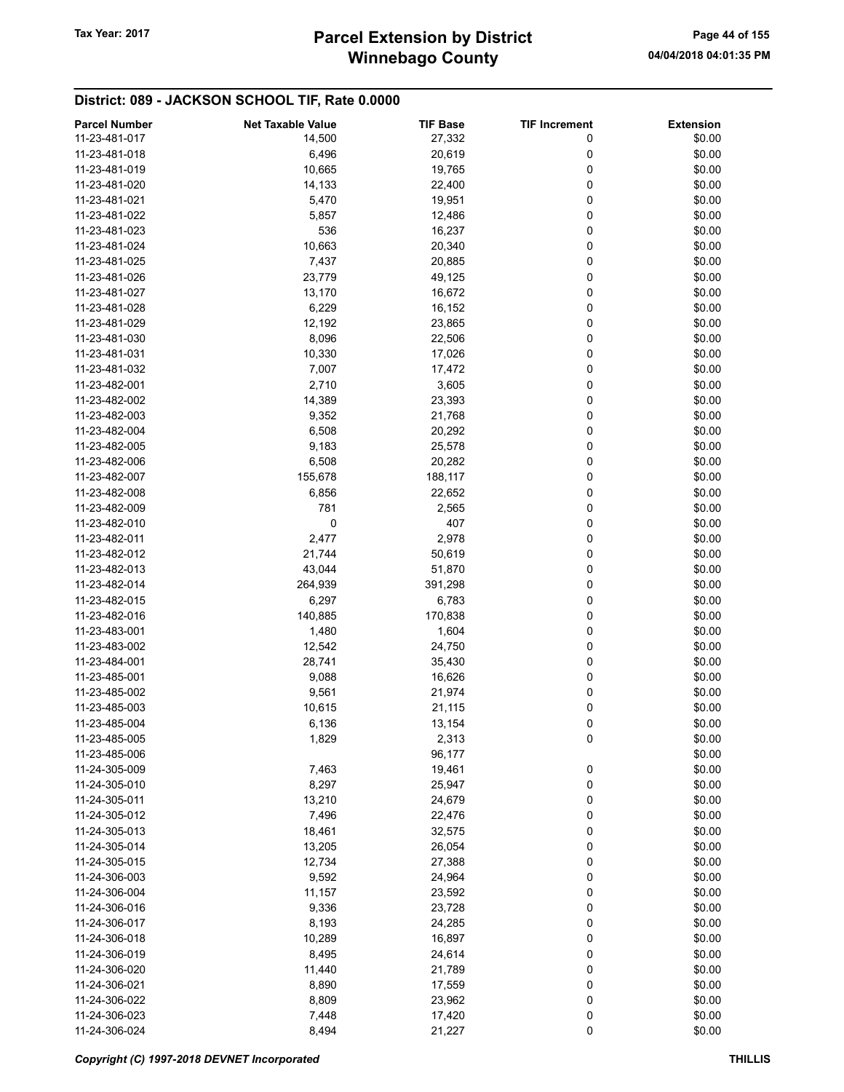| <b>Parcel Number</b> | <b>Net Taxable Value</b> | <b>TIF Base</b> | <b>TIF Increment</b> | <b>Extension</b> |
|----------------------|--------------------------|-----------------|----------------------|------------------|
| 11-23-481-017        | 14,500                   | 27,332          | 0                    | \$0.00           |
| 11-23-481-018        | 6,496                    | 20,619          | 0                    | \$0.00           |
| 11-23-481-019        | 10,665                   | 19,765          | 0                    | \$0.00           |
| 11-23-481-020        | 14,133                   | 22,400          | 0                    | \$0.00           |
| 11-23-481-021        | 5,470                    | 19,951          | 0                    | \$0.00           |
|                      |                          |                 | 0                    |                  |
| 11-23-481-022        | 5,857                    | 12,486          |                      | \$0.00           |
| 11-23-481-023        | 536                      | 16,237          | 0                    | \$0.00           |
| 11-23-481-024        | 10,663                   | 20,340          | 0                    | \$0.00           |
| 11-23-481-025        | 7,437                    | 20,885          | 0                    | \$0.00           |
| 11-23-481-026        | 23,779                   | 49,125          | 0                    | \$0.00           |
| 11-23-481-027        | 13,170                   | 16,672          | 0                    | \$0.00           |
| 11-23-481-028        | 6,229                    | 16,152          | 0                    | \$0.00           |
| 11-23-481-029        | 12,192                   | 23,865          | 0                    | \$0.00           |
| 11-23-481-030        | 8,096                    | 22,506          | 0                    | \$0.00           |
| 11-23-481-031        | 10,330                   | 17,026          | 0                    | \$0.00           |
| 11-23-481-032        | 7,007                    | 17,472          | 0                    | \$0.00           |
| 11-23-482-001        | 2,710                    | 3,605           | 0                    | \$0.00           |
| 11-23-482-002        | 14,389                   | 23,393          | 0                    | \$0.00           |
| 11-23-482-003        | 9,352                    | 21,768          | 0                    | \$0.00           |
| 11-23-482-004        | 6,508                    | 20,292          | 0                    | \$0.00           |
| 11-23-482-005        | 9,183                    | 25,578          | 0                    | \$0.00           |
| 11-23-482-006        | 6,508                    | 20,282          | 0                    | \$0.00           |
| 11-23-482-007        | 155,678                  | 188,117         | 0                    | \$0.00           |
| 11-23-482-008        | 6,856                    | 22,652          | 0                    | \$0.00           |
| 11-23-482-009        | 781                      | 2,565           | 0                    | \$0.00           |
| 11-23-482-010        | 0                        | 407             | 0                    | \$0.00           |
|                      |                          |                 |                      |                  |
| 11-23-482-011        | 2,477                    | 2,978           | 0                    | \$0.00           |
| 11-23-482-012        | 21,744                   | 50,619          | 0                    | \$0.00           |
| 11-23-482-013        | 43,044                   | 51,870          | 0                    | \$0.00           |
| 11-23-482-014        | 264,939                  | 391,298         | 0                    | \$0.00           |
| 11-23-482-015        | 6,297                    | 6,783           | 0                    | \$0.00           |
| 11-23-482-016        | 140,885                  | 170,838         | 0                    | \$0.00           |
| 11-23-483-001        | 1,480                    | 1,604           | 0                    | \$0.00           |
| 11-23-483-002        | 12,542                   | 24,750          | 0                    | \$0.00           |
| 11-23-484-001        | 28,741                   | 35,430          | 0                    | \$0.00           |
| 11-23-485-001        | 9,088                    | 16,626          | 0                    | \$0.00           |
| 11-23-485-002        | 9,561                    | 21,974          | 0                    | \$0.00           |
| 11-23-485-003        | 10,615                   | 21,115          | 0                    | \$0.00           |
| 11-23-485-004        | 6,136                    | 13,154          | 0                    | \$0.00           |
| 11-23-485-005        | 1,829                    | 2,313           | 0                    | \$0.00           |
| 11-23-485-006        |                          | 96,177          |                      | \$0.00           |
| 11-24-305-009        | 7,463                    | 19,461          | 0                    | \$0.00           |
| 11-24-305-010        | 8,297                    | 25,947          | 0                    | \$0.00           |
| 11-24-305-011        | 13,210                   | 24,679          | 0                    | \$0.00           |
| 11-24-305-012        | 7,496                    | 22,476          | 0                    | \$0.00           |
| 11-24-305-013        | 18,461                   | 32,575          | 0                    | \$0.00           |
| 11-24-305-014        | 13,205                   | 26,054          | 0                    | \$0.00           |
| 11-24-305-015        | 12,734                   | 27,388          | 0                    | \$0.00           |
| 11-24-306-003        |                          |                 | 0                    |                  |
|                      | 9,592                    | 24,964          |                      | \$0.00           |
| 11-24-306-004        | 11,157                   | 23,592          | 0                    | \$0.00           |
| 11-24-306-016        | 9,336                    | 23,728          | 0                    | \$0.00           |
| 11-24-306-017        | 8,193                    | 24,285          | 0                    | \$0.00           |
| 11-24-306-018        | 10,289                   | 16,897          | 0                    | \$0.00           |
| 11-24-306-019        | 8,495                    | 24,614          | 0                    | \$0.00           |
| 11-24-306-020        | 11,440                   | 21,789          | 0                    | \$0.00           |
| 11-24-306-021        | 8,890                    | 17,559          | 0                    | \$0.00           |
| 11-24-306-022        | 8,809                    | 23,962          | 0                    | \$0.00           |
| 11-24-306-023        | 7,448                    | 17,420          | 0                    | \$0.00           |
| 11-24-306-024        | 8,494                    | 21,227          | $\mathbf 0$          | \$0.00           |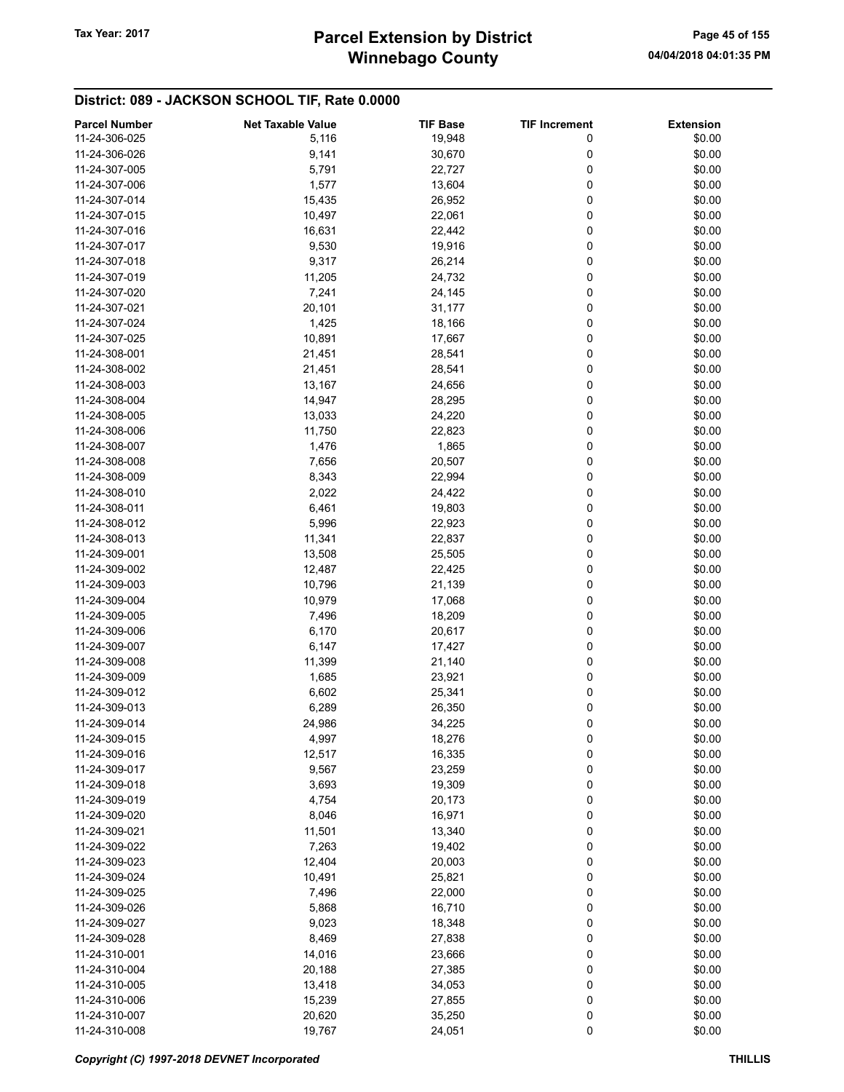# Winnebago County Tax Year: 2017 **Parcel Extension by District** Page 45 of 155

| <b>Parcel Number</b> | <b>Net Taxable Value</b> | <b>TIF Base</b> | <b>TIF Increment</b> | <b>Extension</b> |
|----------------------|--------------------------|-----------------|----------------------|------------------|
| 11-24-306-025        | 5,116                    | 19,948          | 0                    | \$0.00           |
| 11-24-306-026        | 9,141                    | 30,670          | 0                    | \$0.00           |
| 11-24-307-005        | 5,791                    | 22,727          | 0                    | \$0.00           |
| 11-24-307-006        | 1,577                    | 13,604          | 0                    | \$0.00           |
| 11-24-307-014        |                          |                 | 0                    | \$0.00           |
|                      | 15,435                   | 26,952          |                      |                  |
| 11-24-307-015        | 10,497                   | 22,061          | 0                    | \$0.00           |
| 11-24-307-016        | 16,631                   | 22,442          | 0                    | \$0.00           |
| 11-24-307-017        | 9,530                    | 19,916          | 0                    | \$0.00           |
| 11-24-307-018        | 9,317                    | 26,214          | 0                    | \$0.00           |
| 11-24-307-019        | 11,205                   | 24,732          | 0                    | \$0.00           |
| 11-24-307-020        | 7,241                    | 24,145          | 0                    | \$0.00           |
| 11-24-307-021        | 20,101                   | 31,177          | 0                    | \$0.00           |
| 11-24-307-024        | 1,425                    | 18,166          | 0                    | \$0.00           |
| 11-24-307-025        | 10,891                   | 17,667          | 0                    | \$0.00           |
| 11-24-308-001        | 21,451                   | 28,541          | 0                    | \$0.00           |
| 11-24-308-002        | 21,451                   | 28,541          | 0                    | \$0.00           |
| 11-24-308-003        | 13,167                   | 24,656          | 0                    | \$0.00           |
| 11-24-308-004        | 14,947                   | 28,295          | 0                    | \$0.00           |
| 11-24-308-005        | 13,033                   | 24,220          | 0                    | \$0.00           |
| 11-24-308-006        | 11,750                   | 22,823          | 0                    | \$0.00           |
| 11-24-308-007        | 1,476                    | 1,865           | 0                    | \$0.00           |
| 11-24-308-008        | 7,656                    | 20,507          | 0                    | \$0.00           |
| 11-24-308-009        | 8,343                    | 22,994          | 0                    | \$0.00           |
| 11-24-308-010        | 2,022                    | 24,422          | 0                    | \$0.00           |
|                      |                          |                 | 0                    | \$0.00           |
| 11-24-308-011        | 6,461                    | 19,803          |                      |                  |
| 11-24-308-012        | 5,996                    | 22,923          | 0                    | \$0.00           |
| 11-24-308-013        | 11,341                   | 22,837          | 0                    | \$0.00           |
| 11-24-309-001        | 13,508                   | 25,505          | 0                    | \$0.00           |
| 11-24-309-002        | 12,487                   | 22,425          | 0                    | \$0.00           |
| 11-24-309-003        | 10,796                   | 21,139          | 0                    | \$0.00           |
| 11-24-309-004        | 10,979                   | 17,068          | 0                    | \$0.00           |
| 11-24-309-005        | 7,496                    | 18,209          | 0                    | \$0.00           |
| 11-24-309-006        | 6,170                    | 20,617          | 0                    | \$0.00           |
| 11-24-309-007        | 6,147                    | 17,427          | 0                    | \$0.00           |
| 11-24-309-008        | 11,399                   | 21,140          | 0                    | \$0.00           |
| 11-24-309-009        | 1,685                    | 23,921          | 0                    | \$0.00           |
| 11-24-309-012        | 6,602                    | 25,341          | 0                    | \$0.00           |
| 11-24-309-013        | 6,289                    | 26,350          | 0                    | \$0.00           |
| 11-24-309-014        | 24,986                   | 34,225          | 0                    | \$0.00           |
| 11-24-309-015        | 4,997                    | 18,276          | 0                    | \$0.00           |
| 11-24-309-016        | 12,517                   | 16,335          | 0                    | \$0.00           |
| 11-24-309-017        | 9,567                    | 23,259          | 0                    | \$0.00           |
| 11-24-309-018        | 3,693                    | 19,309          | 0                    | \$0.00           |
| 11-24-309-019        | 4,754                    | 20,173          | 0                    | \$0.00           |
| 11-24-309-020        | 8,046                    | 16,971          | 0                    | \$0.00           |
| 11-24-309-021        | 11,501                   | 13,340          | 0                    | \$0.00           |
| 11-24-309-022        |                          |                 | 0                    | \$0.00           |
|                      | 7,263                    | 19,402          |                      |                  |
| 11-24-309-023        | 12,404                   | 20,003          | 0                    | \$0.00           |
| 11-24-309-024        | 10,491                   | 25,821          | 0                    | \$0.00           |
| 11-24-309-025        | 7,496                    | 22,000          | 0                    | \$0.00           |
| 11-24-309-026        | 5,868                    | 16,710          | 0                    | \$0.00           |
| 11-24-309-027        | 9,023                    | 18,348          | 0                    | \$0.00           |
| 11-24-309-028        | 8,469                    | 27,838          | 0                    | \$0.00           |
| 11-24-310-001        | 14,016                   | 23,666          | 0                    | \$0.00           |
| 11-24-310-004        | 20,188                   | 27,385          | 0                    | \$0.00           |
| 11-24-310-005        | 13,418                   | 34,053          | 0                    | \$0.00           |
| 11-24-310-006        | 15,239                   | 27,855          | 0                    | \$0.00           |
| 11-24-310-007        | 20,620                   | 35,250          | 0                    | \$0.00           |
| 11-24-310-008        | 19,767                   | 24,051          | 0                    | \$0.00           |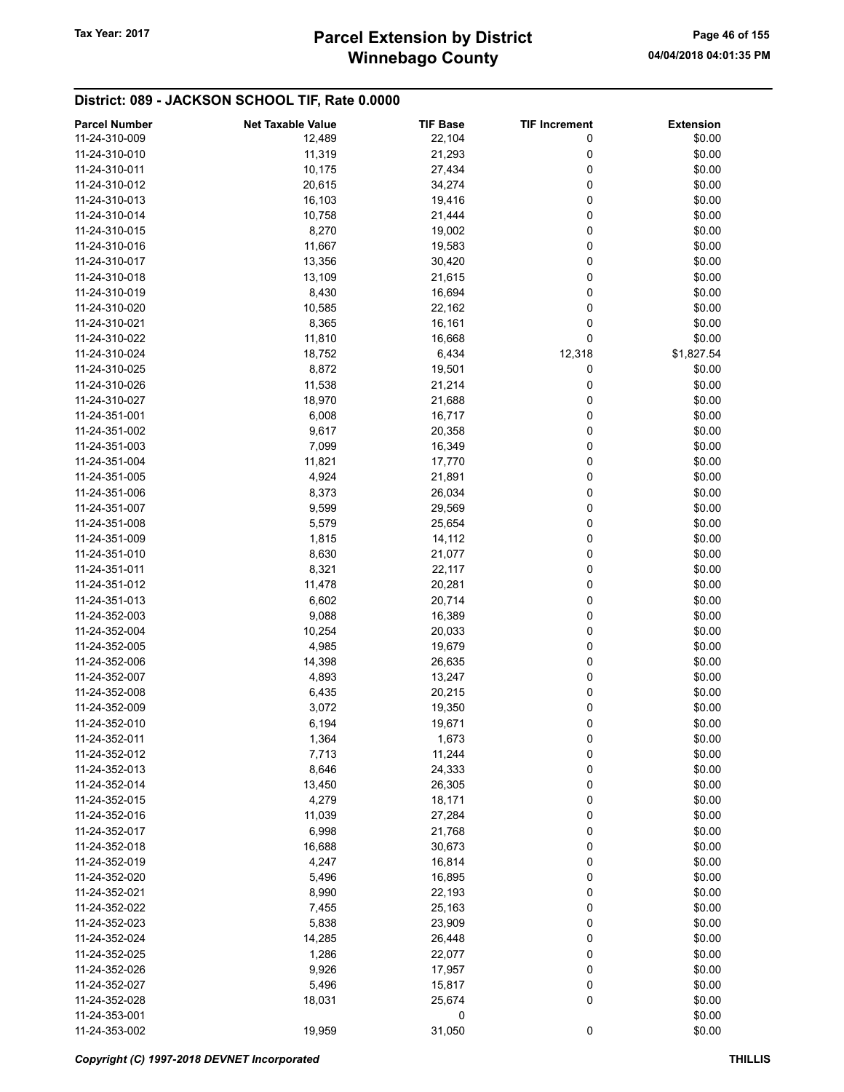# Winnebago County Tax Year: 2017 **Parcel Extension by District** Page 46 of 155

| <b>Parcel Number</b> | <b>Net Taxable Value</b> | <b>TIF Base</b> | <b>TIF Increment</b> | <b>Extension</b> |
|----------------------|--------------------------|-----------------|----------------------|------------------|
| 11-24-310-009        | 12,489                   | 22,104          | 0                    | \$0.00           |
| 11-24-310-010        | 11,319                   | 21,293          | 0                    | \$0.00           |
| 11-24-310-011        | 10,175                   | 27,434          | 0                    | \$0.00           |
| 11-24-310-012        | 20,615                   | 34,274          | 0                    | \$0.00           |
| 11-24-310-013        |                          |                 | 0                    | \$0.00           |
|                      | 16,103                   | 19,416          |                      |                  |
| 11-24-310-014        | 10,758                   | 21,444          | 0                    | \$0.00           |
| 11-24-310-015        | 8,270                    | 19,002          | 0                    | \$0.00           |
| 11-24-310-016        | 11,667                   | 19,583          | 0                    | \$0.00           |
| 11-24-310-017        | 13,356                   | 30,420          | 0                    | \$0.00           |
| 11-24-310-018        | 13,109                   | 21,615          | 0                    | \$0.00           |
| 11-24-310-019        | 8,430                    | 16,694          | 0                    | \$0.00           |
| 11-24-310-020        | 10,585                   | 22,162          | 0                    | \$0.00           |
| 11-24-310-021        | 8,365                    | 16,161          | 0                    | \$0.00           |
| 11-24-310-022        | 11,810                   | 16,668          | 0                    | \$0.00           |
| 11-24-310-024        | 18,752                   | 6,434           | 12,318               | \$1,827.54       |
| 11-24-310-025        | 8,872                    | 19,501          | 0                    | \$0.00           |
| 11-24-310-026        | 11,538                   | 21,214          | 0                    | \$0.00           |
| 11-24-310-027        | 18,970                   | 21,688          | 0                    | \$0.00           |
| 11-24-351-001        | 6,008                    | 16,717          | 0                    | \$0.00           |
| 11-24-351-002        | 9,617                    | 20,358          | 0                    | \$0.00           |
| 11-24-351-003        | 7,099                    | 16,349          | 0                    | \$0.00           |
| 11-24-351-004        | 11,821                   | 17,770          | 0                    | \$0.00           |
| 11-24-351-005        | 4,924                    | 21,891          | 0                    | \$0.00           |
| 11-24-351-006        | 8,373                    | 26,034          | 0                    | \$0.00           |
| 11-24-351-007        | 9,599                    | 29,569          | 0                    | \$0.00           |
| 11-24-351-008        |                          |                 | 0                    | \$0.00           |
|                      | 5,579                    | 25,654          |                      |                  |
| 11-24-351-009        | 1,815                    | 14,112          | 0                    | \$0.00           |
| 11-24-351-010        | 8,630                    | 21,077          | 0                    | \$0.00           |
| 11-24-351-011        | 8,321                    | 22,117          | 0                    | \$0.00           |
| 11-24-351-012        | 11,478                   | 20,281          | 0                    | \$0.00           |
| 11-24-351-013        | 6,602                    | 20,714          | 0                    | \$0.00           |
| 11-24-352-003        | 9,088                    | 16,389          | 0                    | \$0.00           |
| 11-24-352-004        | 10,254                   | 20,033          | 0                    | \$0.00           |
| 11-24-352-005        | 4,985                    | 19,679          | 0                    | \$0.00           |
| 11-24-352-006        | 14,398                   | 26,635          | 0                    | \$0.00           |
| 11-24-352-007        | 4,893                    | 13,247          | 0                    | \$0.00           |
| 11-24-352-008        | 6,435                    | 20,215          | 0                    | \$0.00           |
| 11-24-352-009        | 3,072                    | 19,350          | 0                    | \$0.00           |
| 11-24-352-010        | 6,194                    | 19,671          | 0                    | \$0.00           |
| 11-24-352-011        | 1,364                    | 1,673           | 0                    | \$0.00           |
| 11-24-352-012        | 7,713                    | 11,244          | 0                    | \$0.00           |
| 11-24-352-013        | 8,646                    | 24,333          | 0                    | \$0.00           |
| 11-24-352-014        | 13,450                   | 26,305          | 0                    | \$0.00           |
| 11-24-352-015        | 4,279                    | 18,171          | 0                    | \$0.00           |
| 11-24-352-016        | 11,039                   | 27,284          | 0                    | \$0.00           |
| 11-24-352-017        | 6,998                    | 21,768          | 0                    | \$0.00           |
| 11-24-352-018        | 16,688                   | 30,673          | 0                    | \$0.00           |
| 11-24-352-019        | 4,247                    | 16,814          | 0                    | \$0.00           |
| 11-24-352-020        | 5,496                    | 16,895          | 0                    | \$0.00           |
| 11-24-352-021        |                          |                 | 0                    | \$0.00           |
|                      | 8,990                    | 22,193          |                      |                  |
| 11-24-352-022        | 7,455                    | 25,163          | 0                    | \$0.00           |
| 11-24-352-023        | 5,838                    | 23,909          | 0                    | \$0.00           |
| 11-24-352-024        | 14,285                   | 26,448          | 0                    | \$0.00           |
| 11-24-352-025        | 1,286                    | 22,077          | 0                    | \$0.00           |
| 11-24-352-026        | 9,926                    | 17,957          | 0                    | \$0.00           |
| 11-24-352-027        | 5,496                    | 15,817          | 0                    | \$0.00           |
| 11-24-352-028        | 18,031                   | 25,674          | 0                    | \$0.00           |
| 11-24-353-001        |                          | 0               |                      | \$0.00           |
| 11-24-353-002        | 19,959                   | 31,050          | $\mathbf 0$          | \$0.00           |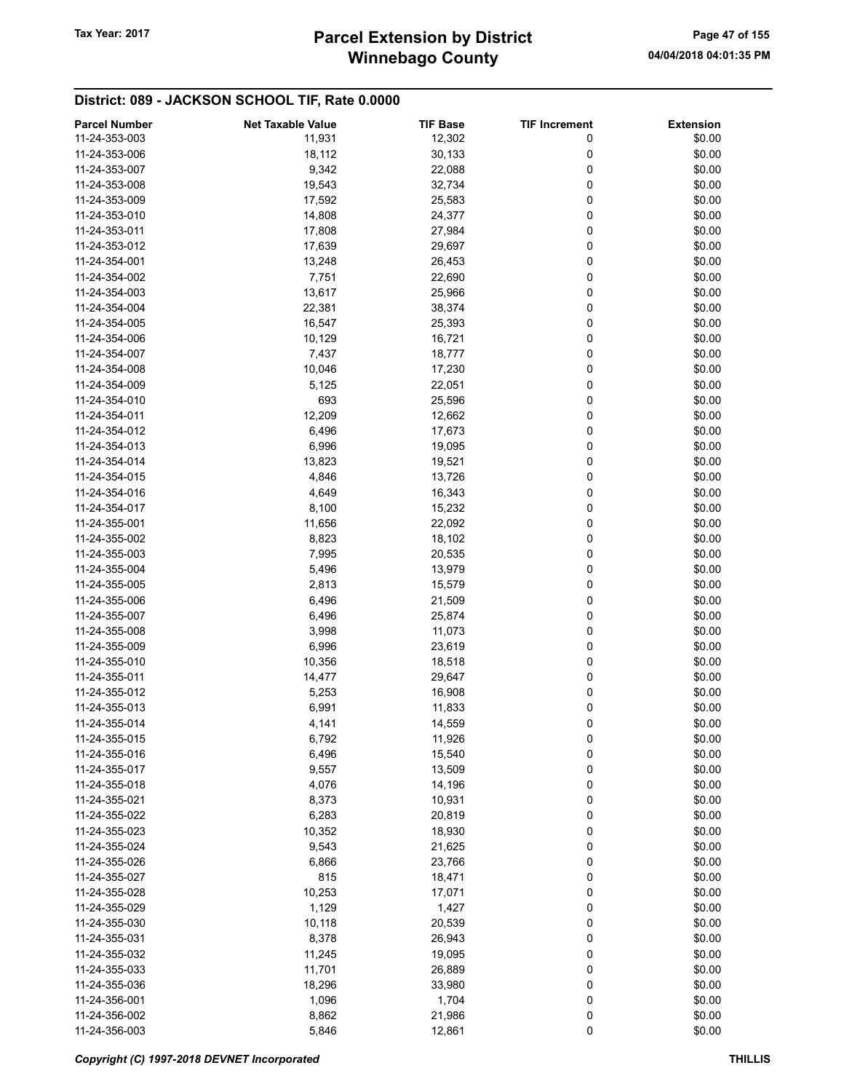# Winnebago County Tax Year: 2017 **Parcel Extension by District** Page 47 of 155

| <b>Parcel Number</b> | <b>Net Taxable Value</b> | <b>TIF Base</b> | <b>TIF Increment</b> | <b>Extension</b> |
|----------------------|--------------------------|-----------------|----------------------|------------------|
| 11-24-353-003        | 11,931                   | 12,302          | 0                    | \$0.00           |
| 11-24-353-006        | 18,112                   | 30,133          | 0                    | \$0.00           |
| 11-24-353-007        | 9,342                    | 22,088          | 0                    | \$0.00           |
| 11-24-353-008        | 19,543                   | 32,734          | 0                    | \$0.00           |
| 11-24-353-009        |                          |                 | 0                    | \$0.00           |
|                      | 17,592                   | 25,583          |                      |                  |
| 11-24-353-010        | 14,808                   | 24,377          | 0                    | \$0.00           |
| 11-24-353-011        | 17,808                   | 27,984          | 0                    | \$0.00           |
| 11-24-353-012        | 17,639                   | 29,697          | 0                    | \$0.00           |
| 11-24-354-001        | 13,248                   | 26,453          | 0                    | \$0.00           |
| 11-24-354-002        | 7,751                    | 22,690          | 0                    | \$0.00           |
| 11-24-354-003        | 13,617                   | 25,966          | 0                    | \$0.00           |
| 11-24-354-004        | 22,381                   | 38,374          | 0                    | \$0.00           |
| 11-24-354-005        | 16,547                   | 25,393          | 0                    | \$0.00           |
| 11-24-354-006        | 10,129                   | 16,721          | 0                    | \$0.00           |
| 11-24-354-007        | 7,437                    | 18,777          | 0                    | \$0.00           |
| 11-24-354-008        | 10,046                   | 17,230          | 0                    | \$0.00           |
| 11-24-354-009        | 5,125                    | 22,051          | 0                    | \$0.00           |
| 11-24-354-010        | 693                      | 25,596          | 0                    | \$0.00           |
| 11-24-354-011        | 12,209                   | 12,662          | 0                    | \$0.00           |
| 11-24-354-012        | 6,496                    | 17,673          | 0                    | \$0.00           |
| 11-24-354-013        | 6,996                    | 19,095          | 0                    | \$0.00           |
| 11-24-354-014        | 13,823                   | 19,521          | 0                    | \$0.00           |
| 11-24-354-015        | 4,846                    | 13,726          | 0                    | \$0.00           |
| 11-24-354-016        | 4,649                    | 16,343          | 0                    | \$0.00           |
|                      |                          |                 | 0                    | \$0.00           |
| 11-24-354-017        | 8,100                    | 15,232          |                      |                  |
| 11-24-355-001        | 11,656                   | 22,092          | 0                    | \$0.00           |
| 11-24-355-002        | 8,823                    | 18,102          | 0                    | \$0.00           |
| 11-24-355-003        | 7,995                    | 20,535          | 0                    | \$0.00           |
| 11-24-355-004        | 5,496                    | 13,979          | 0                    | \$0.00           |
| 11-24-355-005        | 2,813                    | 15,579          | 0                    | \$0.00           |
| 11-24-355-006        | 6,496                    | 21,509          | 0                    | \$0.00           |
| 11-24-355-007        | 6,496                    | 25,874          | 0                    | \$0.00           |
| 11-24-355-008        | 3,998                    | 11,073          | 0                    | \$0.00           |
| 11-24-355-009        | 6,996                    | 23,619          | 0                    | \$0.00           |
| 11-24-355-010        | 10,356                   | 18,518          | 0                    | \$0.00           |
| 11-24-355-011        | 14,477                   | 29,647          | 0                    | \$0.00           |
| 11-24-355-012        | 5,253                    | 16,908          | 0                    | \$0.00           |
| 11-24-355-013        | 6,991                    | 11,833          | 0                    | \$0.00           |
| 11-24-355-014        | 4,141                    | 14,559          | 0                    | \$0.00           |
| 11-24-355-015        | 6,792                    | 11,926          | 0                    | \$0.00           |
| 11-24-355-016        | 6,496                    | 15,540          | 0                    | \$0.00           |
| 11-24-355-017        | 9,557                    | 13,509          | 0                    | \$0.00           |
| 11-24-355-018        | 4,076                    | 14,196          | 0                    | \$0.00           |
| 11-24-355-021        | 8,373                    | 10,931          | 0                    | \$0.00           |
| 11-24-355-022        | 6,283                    | 20,819          | 0                    | \$0.00           |
| 11-24-355-023        | 10,352                   | 18,930          | 0                    | \$0.00           |
| 11-24-355-024        | 9,543                    | 21,625          | 0                    | \$0.00           |
| 11-24-355-026        | 6,866                    | 23,766          | 0                    | \$0.00           |
| 11-24-355-027        |                          |                 | 0                    | \$0.00           |
|                      | 815                      | 18,471          |                      |                  |
| 11-24-355-028        | 10,253                   | 17,071          | 0                    | \$0.00           |
| 11-24-355-029        | 1,129                    | 1,427           | 0                    | \$0.00           |
| 11-24-355-030        | 10,118                   | 20,539          | 0                    | \$0.00           |
| 11-24-355-031        | 8,378                    | 26,943          | 0                    | \$0.00           |
| 11-24-355-032        | 11,245                   | 19,095          | 0                    | \$0.00           |
| 11-24-355-033        | 11,701                   | 26,889          | 0                    | \$0.00           |
| 11-24-355-036        | 18,296                   | 33,980          | 0                    | \$0.00           |
| 11-24-356-001        | 1,096                    | 1,704           | 0                    | \$0.00           |
| 11-24-356-002        | 8,862                    | 21,986          | 0                    | \$0.00           |
| 11-24-356-003        | 5,846                    | 12,861          | 0                    | \$0.00           |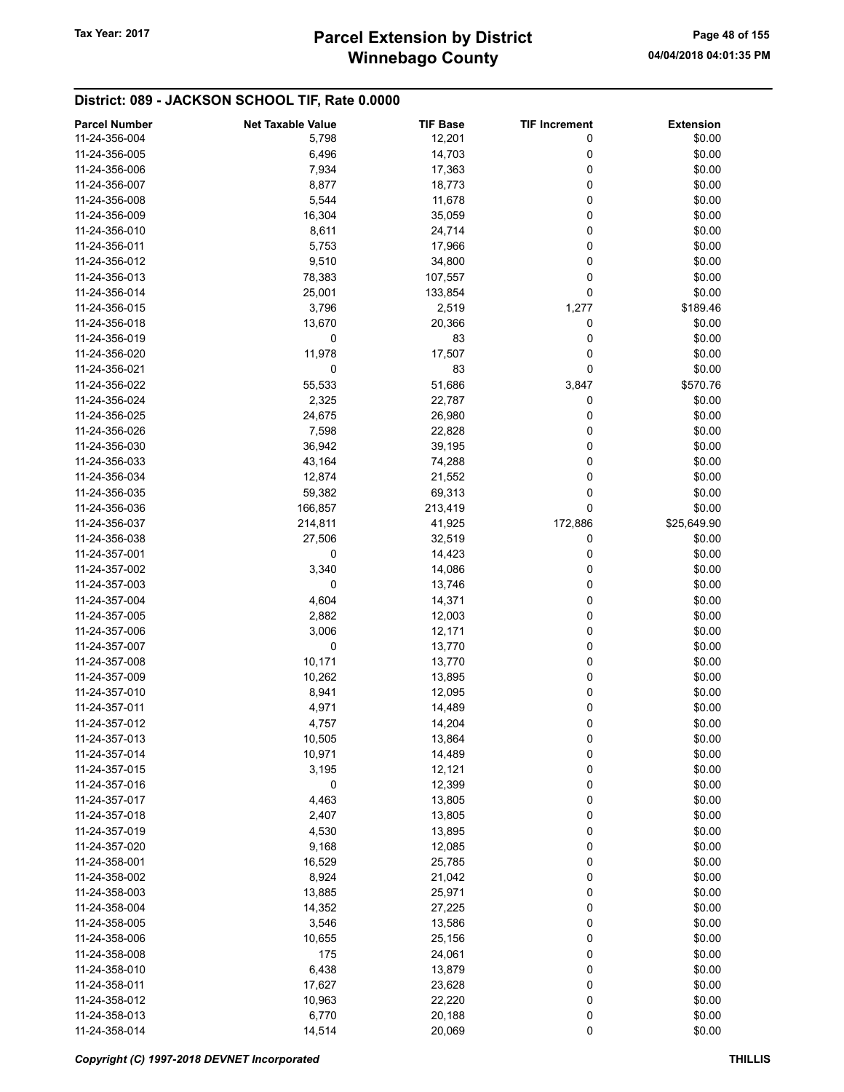# Winnebago County Tax Year: 2017 **Parcel Extension by District** Page 48 of 155

| <b>Parcel Number</b> | <b>Net Taxable Value</b> | <b>TIF Base</b> | <b>TIF Increment</b> | <b>Extension</b> |
|----------------------|--------------------------|-----------------|----------------------|------------------|
| 11-24-356-004        | 5,798                    | 12,201          | 0                    | \$0.00           |
| 11-24-356-005        | 6,496                    | 14,703          | 0                    | \$0.00           |
| 11-24-356-006        | 7,934                    | 17,363          | 0                    | \$0.00           |
| 11-24-356-007        | 8,877                    | 18,773          | 0                    | \$0.00           |
| 11-24-356-008        | 5,544                    | 11,678          | 0                    | \$0.00           |
| 11-24-356-009        | 16,304                   | 35,059          | 0                    | \$0.00           |
| 11-24-356-010        | 8,611                    | 24,714          | 0                    | \$0.00           |
| 11-24-356-011        | 5,753                    | 17,966          | 0                    | \$0.00           |
| 11-24-356-012        | 9,510                    | 34,800          | 0                    | \$0.00           |
| 11-24-356-013        | 78,383                   | 107,557         | 0                    | \$0.00           |
| 11-24-356-014        | 25,001                   | 133,854         | 0                    | \$0.00           |
| 11-24-356-015        |                          |                 |                      | \$189.46         |
|                      | 3,796                    | 2,519           | 1,277                |                  |
| 11-24-356-018        | 13,670                   | 20,366          | 0                    | \$0.00           |
| 11-24-356-019        | 0                        | 83              | 0                    | \$0.00           |
| 11-24-356-020        | 11,978                   | 17,507          | 0                    | \$0.00           |
| 11-24-356-021        | 0                        | 83              | 0                    | \$0.00           |
| 11-24-356-022        | 55,533                   | 51,686          | 3,847                | \$570.76         |
| 11-24-356-024        | 2,325                    | 22,787          | 0                    | \$0.00           |
| 11-24-356-025        | 24,675                   | 26,980          | 0                    | \$0.00           |
| 11-24-356-026        | 7,598                    | 22,828          | 0                    | \$0.00           |
| 11-24-356-030        | 36,942                   | 39,195          | 0                    | \$0.00           |
| 11-24-356-033        | 43,164                   | 74,288          | 0                    | \$0.00           |
| 11-24-356-034        | 12,874                   | 21,552          | 0                    | \$0.00           |
| 11-24-356-035        | 59,382                   | 69,313          | 0                    | \$0.00           |
| 11-24-356-036        | 166,857                  | 213,419         | 0                    | \$0.00           |
| 11-24-356-037        | 214,811                  | 41,925          | 172,886              | \$25,649.90      |
| 11-24-356-038        | 27,506                   | 32,519          | 0                    | \$0.00           |
| 11-24-357-001        | 0                        | 14,423          | 0                    | \$0.00           |
| 11-24-357-002        | 3,340                    | 14,086          | 0                    | \$0.00           |
| 11-24-357-003        | 0                        | 13,746          | 0                    | \$0.00           |
| 11-24-357-004        | 4,604                    | 14,371          | 0                    | \$0.00           |
| 11-24-357-005        | 2,882                    | 12,003          | 0                    | \$0.00           |
| 11-24-357-006        | 3,006                    | 12,171          | 0                    | \$0.00           |
| 11-24-357-007        | 0                        | 13,770          | 0                    | \$0.00           |
| 11-24-357-008        | 10,171                   | 13,770          | 0                    | \$0.00           |
| 11-24-357-009        | 10,262                   | 13,895          | 0                    | \$0.00           |
| 11-24-357-010        | 8,941                    | 12,095          | 0                    | \$0.00           |
| 11-24-357-011        | 4,971                    | 14,489          | 0                    | \$0.00           |
| 11-24-357-012        | 4,757                    | 14,204          | 0                    | \$0.00           |
| 11-24-357-013        | 10,505                   | 13,864          |                      | \$0.00           |
| 11-24-357-014        |                          |                 | 0<br>0               | \$0.00           |
|                      | 10,971                   | 14,489          |                      |                  |
| 11-24-357-015        | 3,195                    | 12,121          | 0                    | \$0.00           |
| 11-24-357-016        | 0                        | 12,399          | 0                    | \$0.00           |
| 11-24-357-017        | 4,463                    | 13,805          | 0                    | \$0.00           |
| 11-24-357-018        | 2,407                    | 13,805          | 0                    | \$0.00           |
| 11-24-357-019        | 4,530                    | 13,895          | 0                    | \$0.00           |
| 11-24-357-020        | 9,168                    | 12,085          | 0                    | \$0.00           |
| 11-24-358-001        | 16,529                   | 25,785          | 0                    | \$0.00           |
| 11-24-358-002        | 8,924                    | 21,042          | 0                    | \$0.00           |
| 11-24-358-003        | 13,885                   | 25,971          | 0                    | \$0.00           |
| 11-24-358-004        | 14,352                   | 27,225          | 0                    | \$0.00           |
| 11-24-358-005        | 3,546                    | 13,586          | 0                    | \$0.00           |
| 11-24-358-006        | 10,655                   | 25,156          | 0                    | \$0.00           |
| 11-24-358-008        | 175                      | 24,061          | 0                    | \$0.00           |
| 11-24-358-010        | 6,438                    | 13,879          | 0                    | \$0.00           |
| 11-24-358-011        | 17,627                   | 23,628          | 0                    | \$0.00           |
| 11-24-358-012        | 10,963                   | 22,220          | 0                    | \$0.00           |
| 11-24-358-013        | 6,770                    | 20,188          | 0                    | \$0.00           |
| 11-24-358-014        | 14,514                   | 20,069          | 0                    | \$0.00           |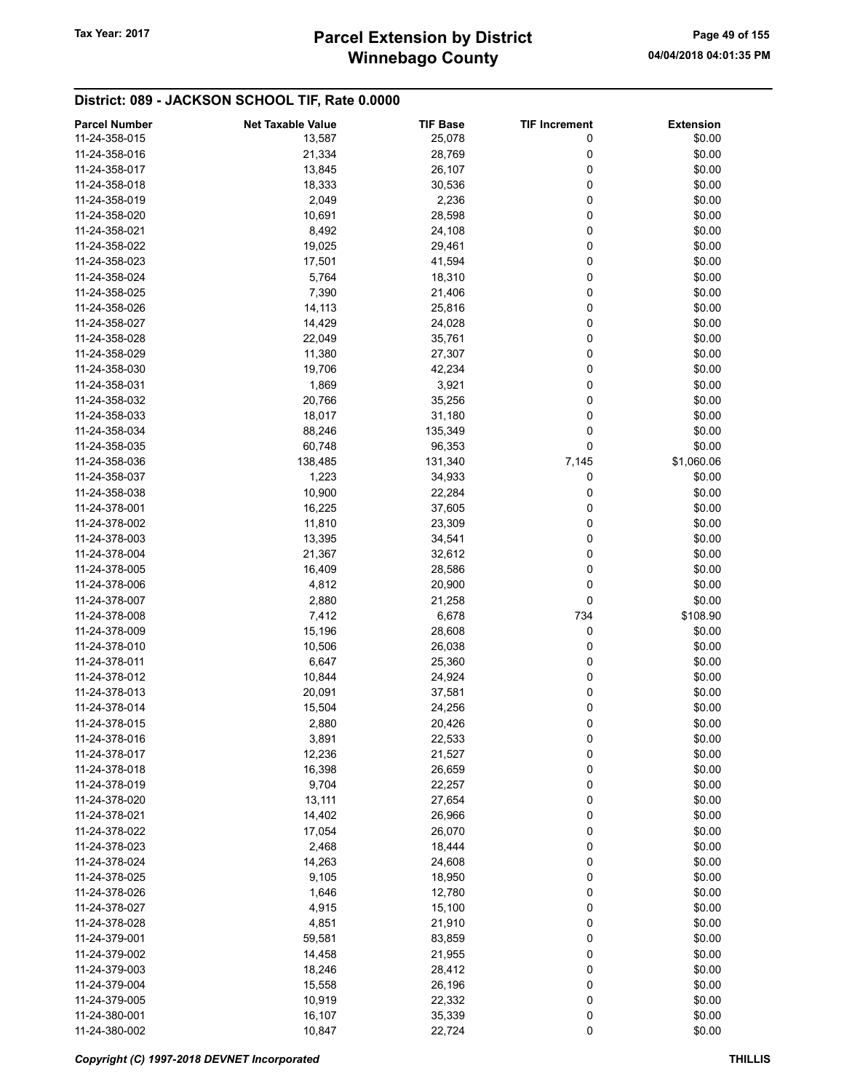# Winnebago County Tax Year: 2017 **Parcel Extension by District** Page 49 of 155

| <b>Parcel Number</b> | <b>Net Taxable Value</b> | <b>TIF Base</b> | <b>TIF Increment</b> | <b>Extension</b> |
|----------------------|--------------------------|-----------------|----------------------|------------------|
| 11-24-358-015        | 13,587                   | 25,078          | 0                    | \$0.00           |
| 11-24-358-016        | 21,334                   | 28,769          | 0                    | \$0.00           |
| 11-24-358-017        | 13,845                   | 26,107          | 0                    | \$0.00           |
| 11-24-358-018        | 18,333                   | 30,536          | 0                    | \$0.00           |
| 11-24-358-019        | 2,049                    | 2,236           | 0                    | \$0.00           |
| 11-24-358-020        | 10,691                   | 28,598          | 0                    | \$0.00           |
| 11-24-358-021        | 8,492                    | 24,108          | 0                    | \$0.00           |
| 11-24-358-022        | 19,025                   | 29,461          | 0                    | \$0.00           |
| 11-24-358-023        | 17,501                   | 41,594          | 0                    | \$0.00           |
| 11-24-358-024        | 5,764                    |                 | 0                    | \$0.00           |
| 11-24-358-025        |                          | 18,310          | 0                    | \$0.00           |
|                      | 7,390                    | 21,406          |                      |                  |
| 11-24-358-026        | 14,113                   | 25,816          | 0                    | \$0.00           |
| 11-24-358-027        | 14,429                   | 24,028          | 0                    | \$0.00           |
| 11-24-358-028        | 22,049                   | 35,761          | 0                    | \$0.00           |
| 11-24-358-029        | 11,380                   | 27,307          | 0                    | \$0.00           |
| 11-24-358-030        | 19,706                   | 42,234          | 0                    | \$0.00           |
| 11-24-358-031        | 1,869                    | 3,921           | 0                    | \$0.00           |
| 11-24-358-032        | 20,766                   | 35,256          | 0                    | \$0.00           |
| 11-24-358-033        | 18,017                   | 31,180          | 0                    | \$0.00           |
| 11-24-358-034        | 88,246                   | 135,349         | 0                    | \$0.00           |
| 11-24-358-035        | 60,748                   | 96,353          | 0                    | \$0.00           |
| 11-24-358-036        | 138,485                  | 131,340         | 7,145                | \$1,060.06       |
| 11-24-358-037        | 1,223                    | 34,933          | 0                    | \$0.00           |
| 11-24-358-038        | 10,900                   | 22,284          | 0                    | \$0.00           |
| 11-24-378-001        | 16,225                   | 37,605          | 0                    | \$0.00           |
| 11-24-378-002        | 11,810                   | 23,309          | 0                    | \$0.00           |
| 11-24-378-003        | 13,395                   | 34,541          | 0                    | \$0.00           |
| 11-24-378-004        | 21,367                   | 32,612          | 0                    | \$0.00           |
| 11-24-378-005        | 16,409                   | 28,586          | 0                    | \$0.00           |
| 11-24-378-006        | 4,812                    | 20,900          | 0                    | \$0.00           |
| 11-24-378-007        | 2,880                    | 21,258          | 0                    | \$0.00           |
| 11-24-378-008        | 7,412                    | 6,678           | 734                  | \$108.90         |
| 11-24-378-009        | 15,196                   | 28,608          | 0                    | \$0.00           |
| 11-24-378-010        | 10,506                   | 26,038          | 0                    | \$0.00           |
| 11-24-378-011        | 6,647                    | 25,360          | 0                    | \$0.00           |
| 11-24-378-012        | 10,844                   | 24,924          | 0                    | \$0.00           |
| 11-24-378-013        | 20,091                   | 37,581          | 0                    | \$0.00           |
| 11-24-378-014        | 15,504                   | 24,256          | 0                    | \$0.00           |
| 11-24-378-015        | 2,880                    | 20,426          | 0                    | \$0.00           |
| 11-24-378-016        | 3,891                    | 22,533          | 0                    | \$0.00           |
| 11-24-378-017        | 12,236                   | 21,527          | 0                    | \$0.00           |
| 11-24-378-018        | 16,398                   | 26,659          | 0                    | \$0.00           |
| 11-24-378-019        | 9,704                    | 22,257          | 0                    | \$0.00           |
| 11-24-378-020        | 13,111                   | 27,654          | 0                    | \$0.00           |
| 11-24-378-021        | 14,402                   | 26,966          | 0                    | \$0.00           |
| 11-24-378-022        | 17,054                   | 26,070          | 0                    | \$0.00           |
| 11-24-378-023        | 2,468                    | 18,444          | 0                    | \$0.00           |
| 11-24-378-024        | 14,263                   | 24,608          | 0                    | \$0.00           |
| 11-24-378-025        | 9,105                    | 18,950          | 0                    | \$0.00           |
| 11-24-378-026        | 1,646                    | 12,780          | 0                    | \$0.00           |
| 11-24-378-027        |                          |                 |                      | \$0.00           |
| 11-24-378-028        | 4,915                    | 15,100          | 0                    | \$0.00           |
|                      | 4,851                    | 21,910          | 0<br>0               | \$0.00           |
| 11-24-379-001        | 59,581                   | 83,859          |                      |                  |
| 11-24-379-002        | 14,458                   | 21,955          | 0                    | \$0.00           |
| 11-24-379-003        | 18,246                   | 28,412          | 0                    | \$0.00           |
| 11-24-379-004        | 15,558                   | 26,196          | 0                    | \$0.00           |
| 11-24-379-005        | 10,919                   | 22,332          | 0                    | \$0.00           |
| 11-24-380-001        | 16,107                   | 35,339          | 0                    | \$0.00           |
| 11-24-380-002        | 10,847                   | 22,724          | 0                    | \$0.00           |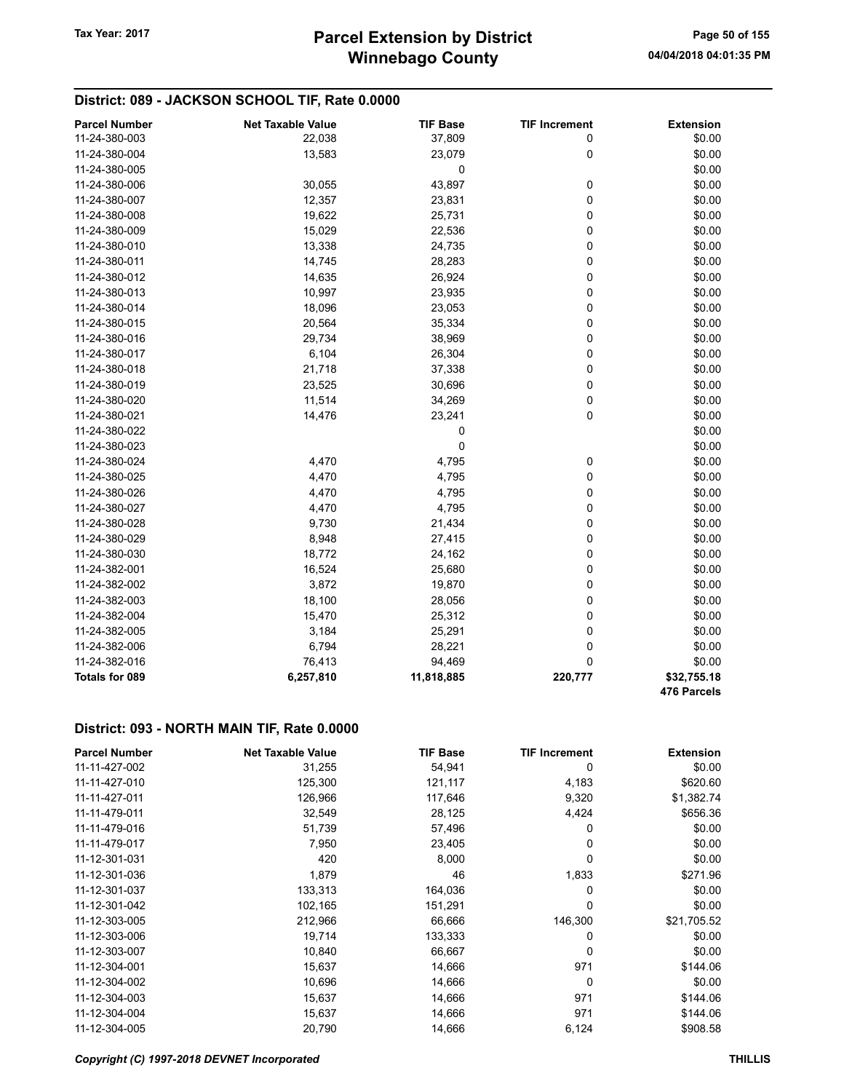### District: 089 - JACKSON SCHOOL TIF, Rate 0.0000

| <b>Parcel Number</b> | <b>Net Taxable Value</b> | <b>TIF Base</b> | <b>TIF Increment</b> | <b>Extension</b>           |
|----------------------|--------------------------|-----------------|----------------------|----------------------------|
| 11-24-380-003        | 22,038                   | 37,809          | 0                    | \$0.00                     |
| 11-24-380-004        | 13,583                   | 23,079          | 0                    | \$0.00                     |
| 11-24-380-005        |                          | $\mathbf 0$     |                      | \$0.00                     |
| 11-24-380-006        | 30,055                   | 43,897          | 0                    | \$0.00                     |
| 11-24-380-007        | 12,357                   | 23,831          | 0                    | \$0.00                     |
| 11-24-380-008        | 19,622                   | 25,731          | 0                    | \$0.00                     |
| 11-24-380-009        | 15,029                   | 22,536          | 0                    | \$0.00                     |
| 11-24-380-010        | 13,338                   | 24,735          | 0                    | \$0.00                     |
| 11-24-380-011        | 14,745                   | 28,283          | 0                    | \$0.00                     |
| 11-24-380-012        | 14,635                   | 26,924          | 0                    | \$0.00                     |
| 11-24-380-013        | 10,997                   | 23,935          | 0                    | \$0.00                     |
| 11-24-380-014        | 18,096                   | 23,053          | 0                    | \$0.00                     |
| 11-24-380-015        | 20,564                   | 35,334          | 0                    | \$0.00                     |
| 11-24-380-016        | 29,734                   | 38,969          | 0                    | \$0.00                     |
| 11-24-380-017        | 6,104                    | 26,304          | 0                    | \$0.00                     |
| 11-24-380-018        | 21,718                   | 37,338          | 0                    | \$0.00                     |
| 11-24-380-019        | 23,525                   | 30,696          | 0                    | \$0.00                     |
| 11-24-380-020        | 11,514                   | 34,269          | 0                    | \$0.00                     |
| 11-24-380-021        | 14,476                   | 23,241          | 0                    | \$0.00                     |
| 11-24-380-022        |                          | 0               |                      | \$0.00                     |
| 11-24-380-023        |                          | 0               |                      | \$0.00                     |
| 11-24-380-024        | 4,470                    | 4,795           | 0                    | \$0.00                     |
| 11-24-380-025        | 4,470                    | 4,795           | 0                    | \$0.00                     |
| 11-24-380-026        | 4,470                    | 4,795           | 0                    | \$0.00                     |
| 11-24-380-027        | 4,470                    | 4,795           | 0                    | \$0.00                     |
| 11-24-380-028        | 9,730                    | 21,434          | 0                    | \$0.00                     |
| 11-24-380-029        | 8,948                    | 27,415          | 0                    | \$0.00                     |
| 11-24-380-030        | 18,772                   | 24,162          | $\mathbf 0$          | \$0.00                     |
| 11-24-382-001        | 16,524                   | 25,680          | 0                    | \$0.00                     |
| 11-24-382-002        | 3,872                    | 19,870          | 0                    | \$0.00                     |
| 11-24-382-003        | 18,100                   | 28,056          | 0                    | \$0.00                     |
| 11-24-382-004        | 15,470                   | 25,312          | 0                    | \$0.00                     |
| 11-24-382-005        | 3,184                    | 25,291          | 0                    | \$0.00                     |
| 11-24-382-006        | 6,794                    | 28,221          | $\mathbf 0$          | \$0.00                     |
| 11-24-382-016        | 76,413                   | 94,469          | $\Omega$             | \$0.00                     |
| Totals for 089       | 6,257,810                | 11,818,885      | 220,777              | \$32,755.18<br>476 Parcels |

#### District: 093 - NORTH MAIN TIF, Rate 0.0000

| <b>Parcel Number</b> | <b>Net Taxable Value</b> | <b>TIF Base</b> | <b>TIF Increment</b> | <b>Extension</b> |
|----------------------|--------------------------|-----------------|----------------------|------------------|
| 11-11-427-002        | 31,255                   | 54,941          | 0                    | \$0.00           |
| 11-11-427-010        | 125,300                  | 121,117         | 4,183                | \$620.60         |
| 11-11-427-011        | 126,966                  | 117,646         | 9,320                | \$1,382.74       |
| 11-11-479-011        | 32,549                   | 28,125          | 4,424                | \$656.36         |
| 11-11-479-016        | 51,739                   | 57,496          | 0                    | \$0.00           |
| 11-11-479-017        | 7,950                    | 23,405          | 0                    | \$0.00           |
| 11-12-301-031        | 420                      | 8,000           | 0                    | \$0.00           |
| 11-12-301-036        | 1,879                    | 46              | 1,833                | \$271.96         |
| 11-12-301-037        | 133,313                  | 164,036         | 0                    | \$0.00           |
| 11-12-301-042        | 102,165                  | 151,291         | 0                    | \$0.00           |
| 11-12-303-005        | 212,966                  | 66,666          | 146,300              | \$21,705.52      |
| 11-12-303-006        | 19,714                   | 133,333         | 0                    | \$0.00           |
| 11-12-303-007        | 10,840                   | 66,667          | 0                    | \$0.00           |
| 11-12-304-001        | 15,637                   | 14,666          | 971                  | \$144.06         |
| 11-12-304-002        | 10,696                   | 14,666          | 0                    | \$0.00           |
| 11-12-304-003        | 15,637                   | 14,666          | 971                  | \$144.06         |
| 11-12-304-004        | 15,637                   | 14,666          | 971                  | \$144.06         |
| 11-12-304-005        | 20,790                   | 14,666          | 6,124                | \$908.58         |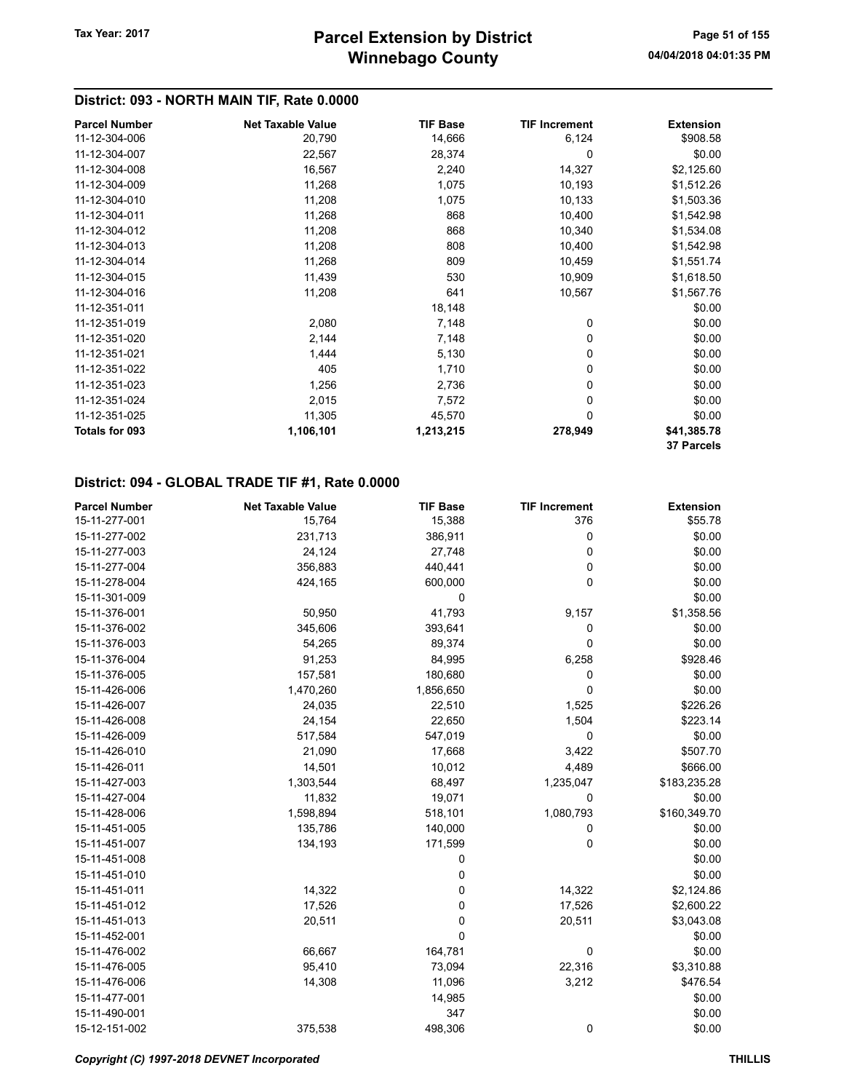### District: 093 - NORTH MAIN TIF, Rate 0.0000

| <b>Parcel Number</b> | <b>Net Taxable Value</b> | <b>TIF Base</b> | <b>TIF Increment</b> | <b>Extension</b> |
|----------------------|--------------------------|-----------------|----------------------|------------------|
| 11-12-304-006        | 20,790                   | 14,666          | 6,124                | \$908.58         |
| 11-12-304-007        | 22,567                   | 28,374          | 0                    | \$0.00           |
| 11-12-304-008        | 16,567                   | 2,240           | 14,327               | \$2,125.60       |
| 11-12-304-009        | 11,268                   | 1,075           | 10,193               | \$1,512.26       |
| 11-12-304-010        | 11,208                   | 1,075           | 10,133               | \$1,503.36       |
| 11-12-304-011        | 11,268                   | 868             | 10,400               | \$1,542.98       |
| 11-12-304-012        | 11,208                   | 868             | 10,340               | \$1,534.08       |
| 11-12-304-013        | 11,208                   | 808             | 10,400               | \$1,542.98       |
| 11-12-304-014        | 11,268                   | 809             | 10,459               | \$1,551.74       |
| 11-12-304-015        | 11,439                   | 530             | 10,909               | \$1,618.50       |
| 11-12-304-016        | 11,208                   | 641             | 10,567               | \$1,567.76       |
| 11-12-351-011        |                          | 18,148          |                      | \$0.00           |
| 11-12-351-019        | 2,080                    | 7,148           | 0                    | \$0.00           |
| 11-12-351-020        | 2,144                    | 7,148           | 0                    | \$0.00           |
| 11-12-351-021        | 1,444                    | 5,130           | 0                    | \$0.00           |
| 11-12-351-022        | 405                      | 1,710           | 0                    | \$0.00           |
| 11-12-351-023        | 1,256                    | 2,736           | 0                    | \$0.00           |
| 11-12-351-024        | 2,015                    | 7,572           | 0                    | \$0.00           |
| 11-12-351-025        | 11,305                   | 45,570          | 0                    | \$0.00           |
| Totals for 093       | 1,106,101                | 1,213,215       | 278,949              | \$41,385.78      |
|                      |                          |                 |                      | 37 Parcels       |

| <b>Parcel Number</b> | <b>Net Taxable Value</b> | <b>TIF Base</b> | <b>TIF Increment</b> | <b>Extension</b> |
|----------------------|--------------------------|-----------------|----------------------|------------------|
| 15-11-277-001        | 15,764                   | 15,388          | 376                  | \$55.78          |
| 15-11-277-002        | 231,713                  | 386,911         | 0                    | \$0.00           |
| 15-11-277-003        | 24,124                   | 27,748          | 0                    | \$0.00           |
| 15-11-277-004        | 356,883                  | 440,441         | 0                    | \$0.00           |
| 15-11-278-004        | 424,165                  | 600,000         | 0                    | \$0.00           |
| 15-11-301-009        |                          | 0               |                      | \$0.00           |
| 15-11-376-001        | 50,950                   | 41,793          | 9,157                | \$1,358.56       |
| 15-11-376-002        | 345,606                  | 393,641         | 0                    | \$0.00           |
| 15-11-376-003        | 54,265                   | 89,374          | 0                    | \$0.00           |
| 15-11-376-004        | 91,253                   | 84,995          | 6,258                | \$928.46         |
| 15-11-376-005        | 157,581                  | 180,680         | 0                    | \$0.00           |
| 15-11-426-006        | 1,470,260                | 1,856,650       | $\mathbf 0$          | \$0.00           |
| 15-11-426-007        | 24,035                   | 22,510          | 1,525                | \$226.26         |
| 15-11-426-008        | 24,154                   | 22,650          | 1,504                | \$223.14         |
| 15-11-426-009        | 517,584                  | 547,019         | 0                    | \$0.00           |
| 15-11-426-010        | 21,090                   | 17,668          | 3,422                | \$507.70         |
| 15-11-426-011        | 14,501                   | 10,012          | 4,489                | \$666.00         |
| 15-11-427-003        | 1,303,544                | 68,497          | 1,235,047            | \$183,235.28     |
| 15-11-427-004        | 11,832                   | 19,071          | 0                    | \$0.00           |
| 15-11-428-006        | 1,598,894                | 518,101         | 1,080,793            | \$160,349.70     |
| 15-11-451-005        | 135,786                  | 140,000         | 0                    | \$0.00           |
| 15-11-451-007        | 134,193                  | 171,599         | 0                    | \$0.00           |
| 15-11-451-008        |                          | 0               |                      | \$0.00           |
| 15-11-451-010        |                          | 0               |                      | \$0.00           |
| 15-11-451-011        | 14,322                   | 0               | 14,322               | \$2,124.86       |
| 15-11-451-012        | 17,526                   | 0               | 17,526               | \$2,600.22       |
| 15-11-451-013        | 20,511                   | 0               | 20,511               | \$3,043.08       |
| 15-11-452-001        |                          | 0               |                      | \$0.00           |
| 15-11-476-002        | 66,667                   | 164,781         | 0                    | \$0.00           |
| 15-11-476-005        | 95,410                   | 73,094          | 22,316               | \$3,310.88       |
| 15-11-476-006        | 14,308                   | 11,096          | 3,212                | \$476.54         |
| 15-11-477-001        |                          | 14,985          |                      | \$0.00           |
| 15-11-490-001        |                          | 347             |                      | \$0.00           |
| 15-12-151-002        | 375,538                  | 498,306         | 0                    | \$0.00           |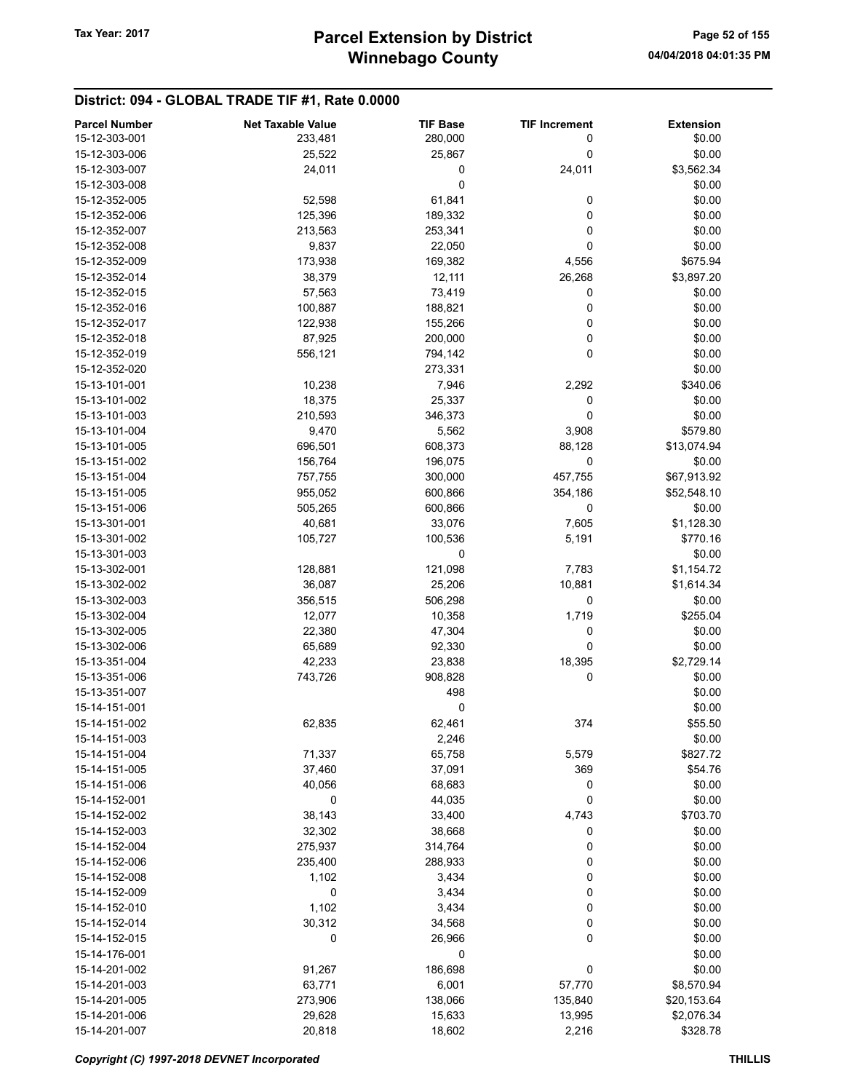| <b>Parcel Number</b> | <b>Net Taxable Value</b> | <b>TIF Base</b> | <b>TIF Increment</b> | <b>Extension</b> |
|----------------------|--------------------------|-----------------|----------------------|------------------|
| 15-12-303-001        | 233,481                  | 280,000         | 0                    | \$0.00           |
| 15-12-303-006        | 25,522                   | 25,867          | $\mathbf 0$          | \$0.00           |
| 15-12-303-007        | 24,011                   | 0               | 24,011               | \$3,562.34       |
| 15-12-303-008        |                          | 0               |                      | \$0.00           |
|                      |                          |                 |                      |                  |
| 15-12-352-005        | 52,598                   | 61,841          | 0                    | \$0.00           |
| 15-12-352-006        | 125,396                  | 189,332         | 0                    | \$0.00           |
| 15-12-352-007        | 213,563                  | 253,341         | 0                    | \$0.00           |
| 15-12-352-008        | 9,837                    | 22,050          | 0                    | \$0.00           |
| 15-12-352-009        | 173,938                  | 169,382         | 4,556                | \$675.94         |
| 15-12-352-014        | 38,379                   | 12,111          | 26,268               | \$3,897.20       |
| 15-12-352-015        | 57,563                   | 73,419          | 0                    | \$0.00           |
| 15-12-352-016        | 100,887                  | 188,821         | 0                    | \$0.00           |
| 15-12-352-017        | 122,938                  | 155,266         | 0                    | \$0.00           |
| 15-12-352-018        | 87,925                   | 200,000         | 0                    | \$0.00           |
| 15-12-352-019        | 556,121                  | 794,142         | 0                    | \$0.00           |
| 15-12-352-020        |                          | 273,331         |                      | \$0.00           |
| 15-13-101-001        | 10,238                   | 7,946           | 2,292                | \$340.06         |
| 15-13-101-002        | 18,375                   | 25,337          | 0                    | \$0.00           |
| 15-13-101-003        |                          |                 | 0                    | \$0.00           |
|                      | 210,593                  | 346,373         |                      |                  |
| 15-13-101-004        | 9,470                    | 5,562           | 3,908                | \$579.80         |
| 15-13-101-005        | 696,501                  | 608,373         | 88,128               | \$13,074.94      |
| 15-13-151-002        | 156,764                  | 196,075         | 0                    | \$0.00           |
| 15-13-151-004        | 757,755                  | 300,000         | 457,755              | \$67,913.92      |
| 15-13-151-005        | 955,052                  | 600,866         | 354,186              | \$52,548.10      |
| 15-13-151-006        | 505,265                  | 600,866         | 0                    | \$0.00           |
| 15-13-301-001        | 40,681                   | 33,076          | 7,605                | \$1,128.30       |
| 15-13-301-002        | 105,727                  | 100,536         | 5,191                | \$770.16         |
| 15-13-301-003        |                          | 0               |                      | \$0.00           |
| 15-13-302-001        | 128,881                  | 121,098         | 7,783                | \$1,154.72       |
| 15-13-302-002        | 36,087                   | 25,206          | 10,881               | \$1,614.34       |
| 15-13-302-003        | 356,515                  | 506,298         | 0                    | \$0.00           |
| 15-13-302-004        | 12,077                   | 10,358          | 1,719                | \$255.04         |
| 15-13-302-005        | 22,380                   | 47,304          | 0                    | \$0.00           |
| 15-13-302-006        | 65,689                   | 92,330          | 0                    | \$0.00           |
| 15-13-351-004        | 42,233                   | 23,838          | 18,395               | \$2,729.14       |
|                      | 743,726                  |                 | 0                    |                  |
| 15-13-351-006        |                          | 908,828         |                      | \$0.00           |
| 15-13-351-007        |                          | 498             |                      | \$0.00           |
| 15-14-151-001        |                          | 0               |                      | \$0.00           |
| 15-14-151-002        | 62,835                   | 62,461          | 374                  | \$55.50          |
| 15-14-151-003        |                          | 2,246           |                      | \$0.00           |
| 15-14-151-004        | 71,337                   | 65,758          | 5,579                | \$827.72         |
| 15-14-151-005        | 37,460                   | 37,091          | 369                  | \$54.76          |
| 15-14-151-006        | 40,056                   | 68,683          | 0                    | \$0.00           |
| 15-14-152-001        | 0                        | 44,035          | 0                    | \$0.00           |
| 15-14-152-002        | 38,143                   | 33,400          | 4,743                | \$703.70         |
| 15-14-152-003        | 32,302                   | 38,668          | 0                    | \$0.00           |
| 15-14-152-004        | 275,937                  | 314,764         | 0                    | \$0.00           |
| 15-14-152-006        | 235,400                  | 288,933         | 0                    | \$0.00           |
| 15-14-152-008        | 1,102                    | 3,434           | 0                    | \$0.00           |
| 15-14-152-009        | 0                        | 3,434           | 0                    | \$0.00           |
| 15-14-152-010        | 1,102                    | 3,434           | 0                    | \$0.00           |
| 15-14-152-014        | 30,312                   | 34,568          |                      | \$0.00           |
|                      |                          |                 | 0<br>0               |                  |
| 15-14-152-015        | 0                        | 26,966          |                      | \$0.00           |
| 15-14-176-001        |                          | 0               |                      | \$0.00           |
| 15-14-201-002        | 91,267                   | 186,698         | 0                    | \$0.00           |
| 15-14-201-003        | 63,771                   | 6,001           | 57,770               | \$8,570.94       |
| 15-14-201-005        | 273,906                  | 138,066         | 135,840              | \$20,153.64      |
| 15-14-201-006        | 29,628                   | 15,633          | 13,995               | \$2,076.34       |
| 15-14-201-007        | 20,818                   | 18,602          | 2,216                | \$328.78         |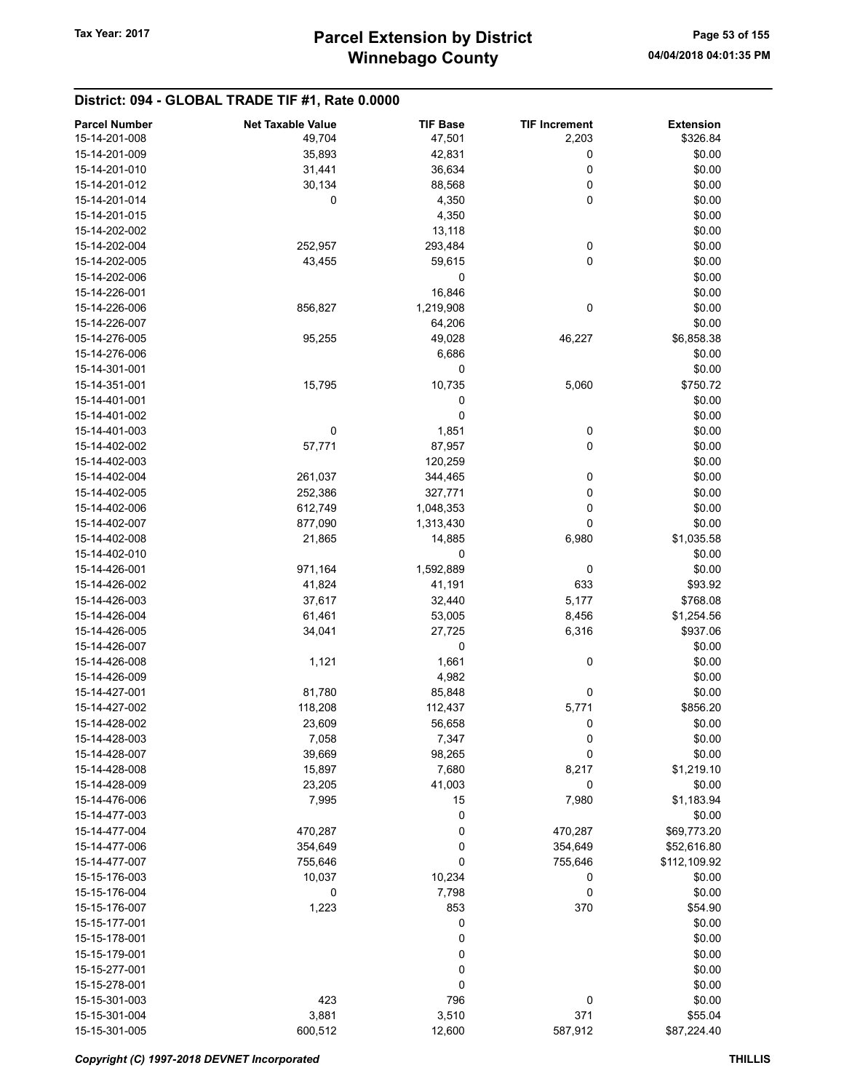| <b>Parcel Number</b> | <b>Net Taxable Value</b> | <b>TIF Base</b> | <b>TIF Increment</b> | <b>Extension</b> |
|----------------------|--------------------------|-----------------|----------------------|------------------|
| 15-14-201-008        | 49,704                   | 47,501          | 2,203                | \$326.84         |
| 15-14-201-009        | 35,893                   | 42,831          | 0                    | \$0.00           |
|                      |                          |                 |                      |                  |
| 15-14-201-010        | 31,441                   | 36,634          | 0                    | \$0.00           |
| 15-14-201-012        | 30,134                   | 88,568          | 0                    | \$0.00           |
| 15-14-201-014        | 0                        | 4,350           | 0                    | \$0.00           |
| 15-14-201-015        |                          | 4,350           |                      | \$0.00           |
| 15-14-202-002        |                          | 13,118          |                      | \$0.00           |
| 15-14-202-004        | 252,957                  | 293,484         | 0                    | \$0.00           |
| 15-14-202-005        | 43,455                   | 59,615          | 0                    | \$0.00           |
| 15-14-202-006        |                          | 0               |                      | \$0.00           |
| 15-14-226-001        |                          | 16,846          |                      | \$0.00           |
| 15-14-226-006        |                          |                 |                      |                  |
|                      | 856,827                  | 1,219,908       | 0                    | \$0.00           |
| 15-14-226-007        |                          | 64,206          |                      | \$0.00           |
| 15-14-276-005        | 95,255                   | 49,028          | 46,227               | \$6,858.38       |
| 15-14-276-006        |                          | 6,686           |                      | \$0.00           |
| 15-14-301-001        |                          | 0               |                      | \$0.00           |
| 15-14-351-001        | 15,795                   | 10,735          | 5,060                | \$750.72         |
| 15-14-401-001        |                          | 0               |                      | \$0.00           |
| 15-14-401-002        |                          | 0               |                      | \$0.00           |
| 15-14-401-003        | 0                        | 1,851           | 0                    | \$0.00           |
|                      |                          |                 |                      |                  |
| 15-14-402-002        | 57,771                   | 87,957          | 0                    | \$0.00           |
| 15-14-402-003        |                          | 120,259         |                      | \$0.00           |
| 15-14-402-004        | 261,037                  | 344,465         | 0                    | \$0.00           |
| 15-14-402-005        | 252,386                  | 327,771         | 0                    | \$0.00           |
| 15-14-402-006        | 612,749                  | 1,048,353       | 0                    | \$0.00           |
| 15-14-402-007        | 877,090                  | 1,313,430       | 0                    | \$0.00           |
| 15-14-402-008        | 21,865                   | 14,885          | 6,980                | \$1,035.58       |
| 15-14-402-010        |                          | 0               |                      | \$0.00           |
| 15-14-426-001        | 971,164                  | 1,592,889       | 0                    | \$0.00           |
|                      |                          |                 |                      |                  |
| 15-14-426-002        | 41,824                   | 41,191          | 633                  | \$93.92          |
| 15-14-426-003        | 37,617                   | 32,440          | 5,177                | \$768.08         |
| 15-14-426-004        | 61,461                   | 53,005          | 8,456                | \$1,254.56       |
| 15-14-426-005        | 34,041                   | 27,725          | 6,316                | \$937.06         |
| 15-14-426-007        |                          | 0               |                      | \$0.00           |
| 15-14-426-008        | 1,121                    | 1,661           | 0                    | \$0.00           |
| 15-14-426-009        |                          | 4,982           |                      | \$0.00           |
| 15-14-427-001        | 81,780                   | 85,848          | 0                    | \$0.00           |
| 15-14-427-002        | 118,208                  | 112,437         | 5,771                | \$856.20         |
| 15-14-428-002        | 23,609                   | 56,658          | 0                    | \$0.00           |
| 15-14-428-003        | 7,058                    |                 |                      | \$0.00           |
|                      |                          | 7,347           | $\pmb{0}$            |                  |
| 15-14-428-007        | 39,669                   | 98,265          | 0                    | \$0.00           |
| 15-14-428-008        | 15,897                   | 7,680           | 8,217                | \$1,219.10       |
| 15-14-428-009        | 23,205                   | 41,003          | 0                    | \$0.00           |
| 15-14-476-006        | 7,995                    | 15              | 7,980                | \$1,183.94       |
| 15-14-477-003        |                          | 0               |                      | \$0.00           |
| 15-14-477-004        | 470,287                  | 0               | 470,287              | \$69,773.20      |
| 15-14-477-006        | 354,649                  | 0               | 354,649              | \$52,616.80      |
| 15-14-477-007        | 755,646                  | 0               | 755,646              | \$112,109.92     |
| 15-15-176-003        |                          | 10,234          |                      |                  |
|                      | 10,037                   |                 | 0                    | \$0.00           |
| 15-15-176-004        | 0                        | 7,798           | 0                    | \$0.00           |
| 15-15-176-007        | 1,223                    | 853             | 370                  | \$54.90          |
| 15-15-177-001        |                          | 0               |                      | \$0.00           |
| 15-15-178-001        |                          | 0               |                      | \$0.00           |
| 15-15-179-001        |                          | 0               |                      | \$0.00           |
| 15-15-277-001        |                          | 0               |                      | \$0.00           |
| 15-15-278-001        |                          | 0               |                      | \$0.00           |
| 15-15-301-003        | 423                      | 796             | 0                    | \$0.00           |
| 15-15-301-004        |                          |                 | 371                  |                  |
|                      | 3,881                    | 3,510           |                      | \$55.04          |
| 15-15-301-005        | 600,512                  | 12,600          | 587,912              | \$87,224.40      |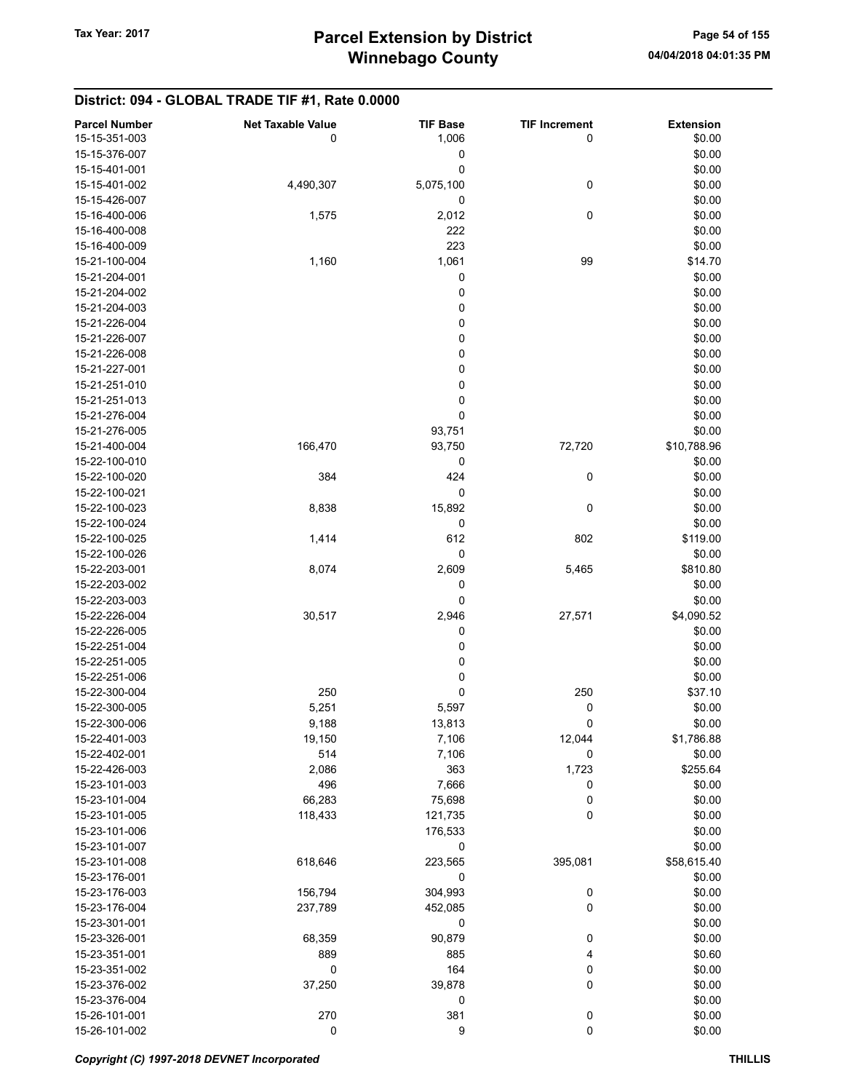| <b>Parcel Number</b> | <b>Net Taxable Value</b> | <b>TIF Base</b> | <b>TIF Increment</b> | <b>Extension</b> |
|----------------------|--------------------------|-----------------|----------------------|------------------|
| 15-15-351-003        | 0                        | 1,006           | 0                    | \$0.00           |
| 15-15-376-007        |                          | 0               |                      | \$0.00           |
| 15-15-401-001        |                          | 0               |                      | \$0.00           |
| 15-15-401-002        | 4,490,307                | 5,075,100       | 0                    | \$0.00           |
| 15-15-426-007        |                          | 0               |                      | \$0.00           |
|                      |                          |                 |                      |                  |
| 15-16-400-006        | 1,575                    | 2,012           | $\pmb{0}$            | \$0.00           |
| 15-16-400-008        |                          | 222             |                      | \$0.00           |
| 15-16-400-009        |                          | 223             |                      | \$0.00           |
| 15-21-100-004        | 1,160                    | 1,061           | 99                   | \$14.70          |
| 15-21-204-001        |                          | 0               |                      | \$0.00           |
| 15-21-204-002        |                          | $\pmb{0}$       |                      | \$0.00           |
| 15-21-204-003        |                          | 0               |                      | \$0.00           |
| 15-21-226-004        |                          | 0               |                      | \$0.00           |
| 15-21-226-007        |                          | 0               |                      | \$0.00           |
| 15-21-226-008        |                          | 0               |                      | \$0.00           |
| 15-21-227-001        |                          | 0               |                      | \$0.00           |
| 15-21-251-010        |                          | 0               |                      | \$0.00           |
| 15-21-251-013        |                          | $\pmb{0}$       |                      | \$0.00           |
| 15-21-276-004        |                          | 0               |                      | \$0.00           |
|                      |                          |                 |                      |                  |
| 15-21-276-005        |                          | 93,751          |                      | \$0.00           |
| 15-21-400-004        | 166,470                  | 93,750          | 72,720               | \$10,788.96      |
| 15-22-100-010        |                          | 0               |                      | \$0.00           |
| 15-22-100-020        | 384                      | 424             | 0                    | \$0.00           |
| 15-22-100-021        |                          | 0               |                      | \$0.00           |
| 15-22-100-023        | 8,838                    | 15,892          | 0                    | \$0.00           |
| 15-22-100-024        |                          | 0               |                      | \$0.00           |
| 15-22-100-025        | 1,414                    | 612             | 802                  | \$119.00         |
| 15-22-100-026        |                          | 0               |                      | \$0.00           |
| 15-22-203-001        | 8,074                    | 2,609           | 5,465                | \$810.80         |
| 15-22-203-002        |                          | 0               |                      | \$0.00           |
| 15-22-203-003        |                          | 0               |                      | \$0.00           |
| 15-22-226-004        | 30,517                   | 2,946           |                      | \$4,090.52       |
|                      |                          |                 | 27,571               |                  |
| 15-22-226-005        |                          | 0               |                      | \$0.00           |
| 15-22-251-004        |                          | 0               |                      | \$0.00           |
| 15-22-251-005        |                          | 0               |                      | \$0.00           |
| 15-22-251-006        |                          | $\pmb{0}$       |                      | \$0.00           |
| 15-22-300-004        | 250                      | 0               | 250                  | \$37.10          |
| 15-22-300-005        | 5,251                    | 5,597           | 0                    | \$0.00           |
| 15-22-300-006        | 9,188                    | 13,813          | 0                    | \$0.00           |
| 15-22-401-003        | 19,150                   | 7,106           | 12,044               | \$1,786.88       |
| 15-22-402-001        | 514                      | 7,106           | 0                    | \$0.00           |
| 15-22-426-003        | 2,086                    | 363             | 1,723                | \$255.64         |
| 15-23-101-003        | 496                      | 7,666           | 0                    | \$0.00           |
| 15-23-101-004        | 66,283                   | 75,698          | 0                    | \$0.00           |
| 15-23-101-005        | 118,433                  | 121,735         | 0                    | \$0.00           |
| 15-23-101-006        |                          | 176,533         |                      | \$0.00           |
| 15-23-101-007        |                          | 0               |                      | \$0.00           |
|                      |                          |                 |                      |                  |
| 15-23-101-008        | 618,646                  | 223,565         | 395,081              | \$58,615.40      |
| 15-23-176-001        |                          | 0               |                      | \$0.00           |
| 15-23-176-003        | 156,794                  | 304,993         | $\pmb{0}$            | \$0.00           |
| 15-23-176-004        | 237,789                  | 452,085         | 0                    | \$0.00           |
| 15-23-301-001        |                          | 0               |                      | \$0.00           |
| 15-23-326-001        | 68,359                   | 90,879          | 0                    | \$0.00           |
| 15-23-351-001        | 889                      | 885             | 4                    | \$0.60           |
| 15-23-351-002        | 0                        | 164             | 0                    | \$0.00           |
| 15-23-376-002        | 37,250                   | 39,878          | 0                    | \$0.00           |
| 15-23-376-004        |                          | 0               |                      | \$0.00           |
| 15-26-101-001        | 270                      | 381             | $\boldsymbol{0}$     | \$0.00           |
| 15-26-101-002        | 0                        | 9               | 0                    | \$0.00           |
|                      |                          |                 |                      |                  |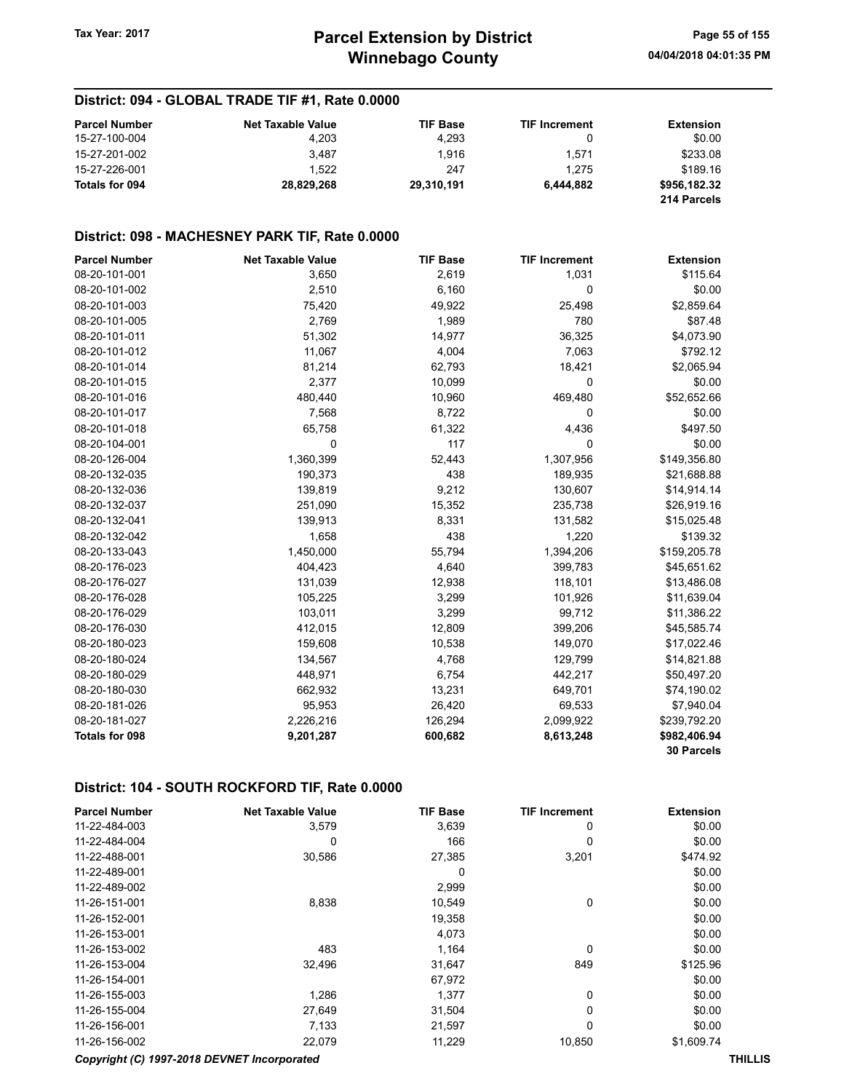| <b>Parcel Number</b> | <b>Net Taxable Value</b> | <b>TIF Base</b> | <b>TIF Increment</b> | <b>Extension</b> |
|----------------------|--------------------------|-----------------|----------------------|------------------|
| 15-27-100-004        | 4.203                    | 4.293           |                      | \$0.00           |
| 15-27-201-002        | 3.487                    | 1.916           | 1.571                | \$233.08         |
| 15-27-226-001        | 1.522                    | 247             | 1.275                | \$189.16         |
| Totals for 094       | 28.829.268               | 29,310,191      | 6.444.882            | \$956,182.32     |
|                      |                          |                 |                      | 214 Parcels      |

#### District: 098 - MACHESNEY PARK TIF, Rate 0.0000

| <b>Parcel Number</b>  | <b>Net Taxable Value</b> | <b>TIF Base</b> | <b>TIF Increment</b> | <b>Extension</b>  |
|-----------------------|--------------------------|-----------------|----------------------|-------------------|
| 08-20-101-001         | 3,650                    | 2,619           | 1,031                | \$115.64          |
| 08-20-101-002         | 2,510                    | 6,160           | 0                    | \$0.00            |
| 08-20-101-003         | 75,420                   | 49,922          | 25,498               | \$2,859.64        |
| 08-20-101-005         | 2,769                    | 1,989           | 780                  | \$87.48           |
| 08-20-101-011         | 51,302                   | 14,977          | 36,325               | \$4,073.90        |
| 08-20-101-012         | 11,067                   | 4,004           | 7,063                | \$792.12          |
| 08-20-101-014         | 81,214                   | 62,793          | 18,421               | \$2,065.94        |
| 08-20-101-015         | 2,377                    | 10,099          | 0                    | \$0.00            |
| 08-20-101-016         | 480,440                  | 10,960          | 469,480              | \$52,652.66       |
| 08-20-101-017         | 7,568                    | 8,722           | 0                    | \$0.00            |
| 08-20-101-018         | 65,758                   | 61,322          | 4,436                | \$497.50          |
| 08-20-104-001         | $\mathbf 0$              | 117             | 0                    | \$0.00            |
| 08-20-126-004         | 1,360,399                | 52,443          | 1,307,956            | \$149,356.80      |
| 08-20-132-035         | 190,373                  | 438             | 189,935              | \$21,688.88       |
| 08-20-132-036         | 139,819                  | 9,212           | 130,607              | \$14,914.14       |
| 08-20-132-037         | 251,090                  | 15,352          | 235,738              | \$26,919.16       |
| 08-20-132-041         | 139,913                  | 8,331           | 131,582              | \$15,025.48       |
| 08-20-132-042         | 1,658                    | 438             | 1,220                | \$139.32          |
| 08-20-133-043         | 1,450,000                | 55,794          | 1,394,206            | \$159,205.78      |
| 08-20-176-023         | 404,423                  | 4,640           | 399,783              | \$45,651.62       |
| 08-20-176-027         | 131,039                  | 12,938          | 118,101              | \$13,486.08       |
| 08-20-176-028         | 105,225                  | 3,299           | 101,926              | \$11,639.04       |
| 08-20-176-029         | 103,011                  | 3,299           | 99,712               | \$11,386.22       |
| 08-20-176-030         | 412,015                  | 12,809          | 399,206              | \$45,585.74       |
| 08-20-180-023         | 159,608                  | 10,538          | 149,070              | \$17,022.46       |
| 08-20-180-024         | 134,567                  | 4,768           | 129,799              | \$14,821.88       |
| 08-20-180-029         | 448,971                  | 6,754           | 442,217              | \$50,497.20       |
| 08-20-180-030         | 662,932                  | 13,231          | 649,701              | \$74,190.02       |
| 08-20-181-026         | 95,953                   | 26,420          | 69,533               | \$7,940.04        |
| 08-20-181-027         | 2,226,216                | 126,294         | 2,099,922            | \$239,792.20      |
| <b>Totals for 098</b> | 9,201,287                | 600,682         | 8,613,248            | \$982,406.94      |
|                       |                          |                 |                      | <b>30 Parcels</b> |

| <b>Parcel Number</b> | <b>Net Taxable Value</b>                    | <b>TIF Base</b> | <b>TIF Increment</b> | <b>Extension</b> |
|----------------------|---------------------------------------------|-----------------|----------------------|------------------|
| 11-22-484-003        | 3,579                                       | 3,639           | 0                    | \$0.00           |
| 11-22-484-004        | 0                                           | 166             | 0                    | \$0.00           |
| 11-22-488-001        | 30,586                                      | 27,385          | 3,201                | \$474.92         |
| 11-22-489-001        |                                             | 0               |                      | \$0.00           |
| 11-22-489-002        |                                             | 2,999           |                      | \$0.00           |
| 11-26-151-001        | 8,838                                       | 10,549          | $\mathbf 0$          | \$0.00           |
| 11-26-152-001        |                                             | 19,358          |                      | \$0.00           |
| 11-26-153-001        |                                             | 4,073           |                      | \$0.00           |
| 11-26-153-002        | 483                                         | 1,164           | $\Omega$             | \$0.00           |
| 11-26-153-004        | 32,496                                      | 31,647          | 849                  | \$125.96         |
| 11-26-154-001        |                                             | 67,972          |                      | \$0.00           |
| 11-26-155-003        | 1,286                                       | 1,377           | 0                    | \$0.00           |
| 11-26-155-004        | 27,649                                      | 31,504          | 0                    | \$0.00           |
| 11-26-156-001        | 7,133                                       | 21,597          | 0                    | \$0.00           |
| 11-26-156-002        | 22,079                                      | 11,229          | 10,850               | \$1,609.74       |
|                      | Copyright (C) 1997-2018 DEVNET Incorporated |                 |                      | <b>THILLIS</b>   |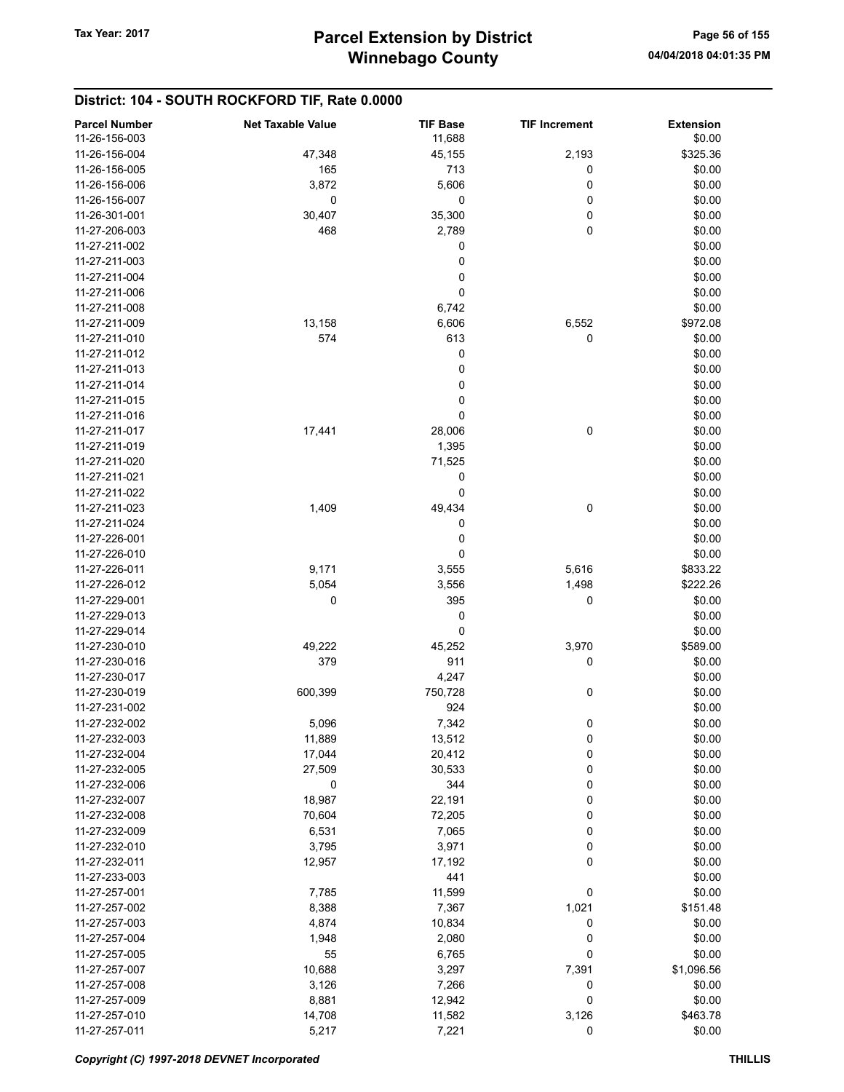| <b>Parcel Number</b><br>11-26-156-003 | <b>Net Taxable Value</b> | <b>TIF Base</b><br>11,688 | <b>TIF Increment</b> | <b>Extension</b><br>\$0.00 |
|---------------------------------------|--------------------------|---------------------------|----------------------|----------------------------|
| 11-26-156-004                         | 47,348                   | 45,155                    | 2,193                | \$325.36                   |
| 11-26-156-005                         | 165                      | 713                       | 0                    | \$0.00                     |
| 11-26-156-006                         | 3,872                    | 5,606                     | 0                    | \$0.00                     |
| 11-26-156-007                         | 0                        | 0                         | 0                    | \$0.00                     |
| 11-26-301-001                         | 30,407                   | 35,300                    | 0                    | \$0.00                     |
| 11-27-206-003                         | 468                      | 2,789                     | 0                    | \$0.00                     |
| 11-27-211-002                         |                          | 0                         |                      | \$0.00                     |
| 11-27-211-003                         |                          | 0                         |                      | \$0.00                     |
| 11-27-211-004                         |                          | 0                         |                      | \$0.00                     |
| 11-27-211-006                         |                          | 0                         |                      | \$0.00                     |
| 11-27-211-008                         |                          | 6,742                     |                      | \$0.00                     |
| 11-27-211-009                         | 13,158                   | 6,606                     | 6,552                | \$972.08                   |
| 11-27-211-010                         | 574                      | 613                       | 0                    | \$0.00                     |
| 11-27-211-012                         |                          | 0                         |                      | \$0.00                     |
| 11-27-211-013                         |                          | 0                         |                      | \$0.00                     |
| 11-27-211-014                         |                          | 0                         |                      | \$0.00                     |
| 11-27-211-015                         |                          | 0                         |                      | \$0.00                     |
| 11-27-211-016                         |                          | 0                         |                      | \$0.00                     |
| 11-27-211-017                         | 17,441                   |                           | 0                    |                            |
|                                       |                          | 28,006                    |                      | \$0.00                     |
| 11-27-211-019                         |                          | 1,395                     |                      | \$0.00                     |
| 11-27-211-020                         |                          | 71,525                    |                      | \$0.00                     |
| 11-27-211-021                         |                          | 0                         |                      | \$0.00                     |
| 11-27-211-022                         |                          | 0                         |                      | \$0.00                     |
| 11-27-211-023                         | 1,409                    | 49,434                    | $\pmb{0}$            | \$0.00                     |
| 11-27-211-024                         |                          | 0                         |                      | \$0.00                     |
| 11-27-226-001                         |                          | 0                         |                      | \$0.00                     |
| 11-27-226-010                         |                          | 0                         |                      | \$0.00                     |
| 11-27-226-011                         | 9,171                    | 3,555                     | 5,616                | \$833.22                   |
| 11-27-226-012                         | 5,054                    | 3,556                     | 1,498                | \$222.26                   |
| 11-27-229-001                         | 0                        | 395                       | 0                    | \$0.00                     |
| 11-27-229-013                         |                          | 0<br>0                    |                      | \$0.00                     |
| 11-27-229-014                         |                          |                           |                      | \$0.00                     |
| 11-27-230-010                         | 49,222                   | 45,252                    | 3,970                | \$589.00                   |
| 11-27-230-016                         | 379                      | 911                       | 0                    | \$0.00                     |
| 11-27-230-017                         |                          | 4,247                     |                      | \$0.00                     |
| 11-27-230-019                         | 600,399                  | 750,728                   | 0                    | \$0.00                     |
| 11-27-231-002                         |                          | 924                       |                      | \$0.00                     |
| 11-27-232-002                         | 5,096                    | 7,342                     | 0                    | \$0.00<br>\$0.00           |
| 11-27-232-003                         | 11,889                   | 13,512                    | 0                    |                            |
| 11-27-232-004<br>11-27-232-005        | 17,044                   | 20,412                    | 0                    | \$0.00                     |
|                                       | 27,509                   | 30,533                    | 0                    | \$0.00                     |
| 11-27-232-006                         | 0                        | 344                       | 0                    | \$0.00                     |
| 11-27-232-007<br>11-27-232-008        | 18,987                   | 22,191                    | 0                    | \$0.00                     |
|                                       | 70,604                   | 72,205                    | 0                    | \$0.00                     |
| 11-27-232-009                         | 6,531                    | 7,065                     | 0                    | \$0.00                     |
| 11-27-232-010                         | 3,795                    | 3,971                     | 0                    | \$0.00                     |
| 11-27-232-011                         | 12,957                   | 17,192                    | 0                    | \$0.00                     |
| 11-27-233-003                         |                          | 441                       |                      | \$0.00                     |
| 11-27-257-001                         | 7,785                    | 11,599                    | 0                    | \$0.00                     |
| 11-27-257-002                         | 8,388                    | 7,367                     | 1,021                | \$151.48                   |
| 11-27-257-003                         | 4,874                    | 10,834                    | 0                    | \$0.00                     |
| 11-27-257-004                         | 1,948                    | 2,080                     | 0                    | \$0.00                     |
| 11-27-257-005                         | 55                       | 6,765                     | 0                    | \$0.00                     |
| 11-27-257-007                         | 10,688                   | 3,297                     | 7,391                | \$1,096.56                 |
| 11-27-257-008                         | 3,126                    | 7,266                     | 0                    | \$0.00                     |
| 11-27-257-009                         | 8,881                    | 12,942                    | 0                    | \$0.00                     |
| 11-27-257-010                         | 14,708                   | 11,582                    | 3,126                | \$463.78                   |
| 11-27-257-011                         | 5,217                    | 7,221                     | 0                    | \$0.00                     |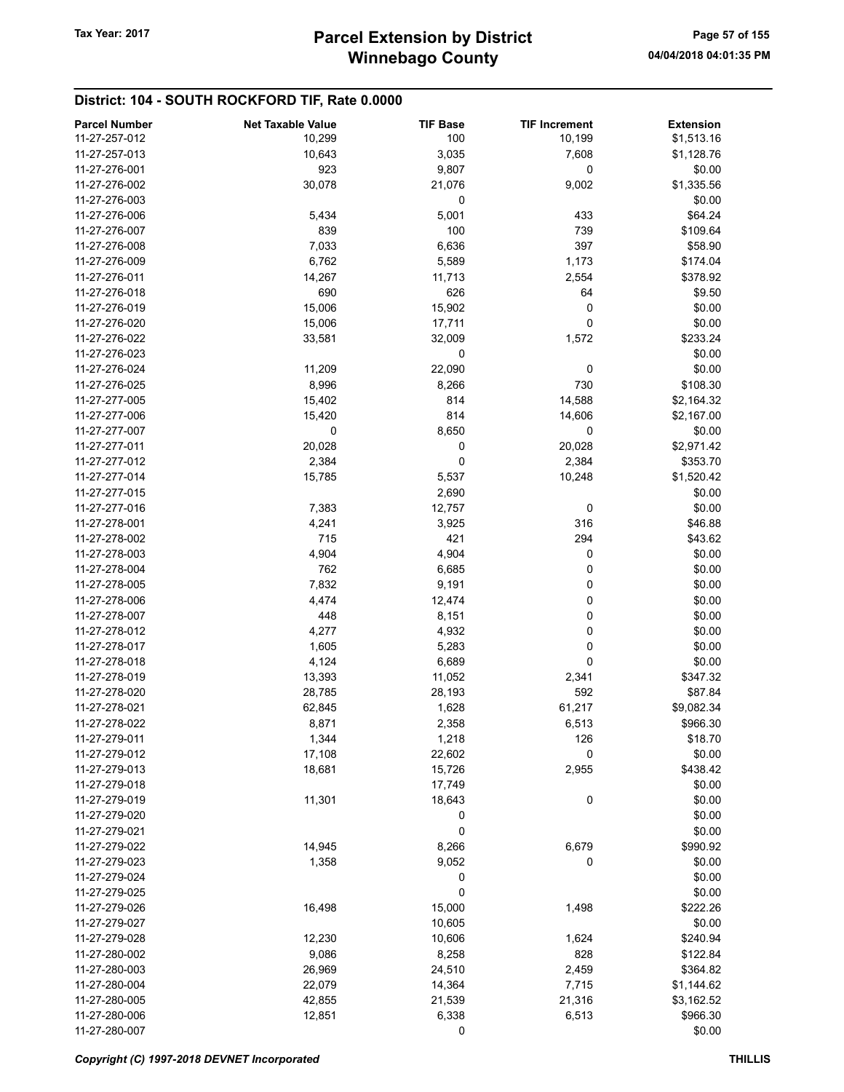| <b>Parcel Number</b> | <b>Net Taxable Value</b> | <b>TIF Base</b> | <b>TIF Increment</b> | <b>Extension</b> |
|----------------------|--------------------------|-----------------|----------------------|------------------|
| 11-27-257-012        | 10,299                   | 100             | 10,199               | \$1,513.16       |
| 11-27-257-013        | 10,643                   | 3,035           | 7,608                | \$1,128.76       |
| 11-27-276-001        | 923                      | 9,807           | 0                    |                  |
|                      |                          |                 |                      | \$0.00           |
| 11-27-276-002        | 30,078                   | 21,076          | 9,002                | \$1,335.56       |
| 11-27-276-003        |                          | 0               |                      | \$0.00           |
| 11-27-276-006        | 5,434                    | 5,001           | 433                  | \$64.24          |
| 11-27-276-007        | 839                      | 100             | 739                  | \$109.64         |
| 11-27-276-008        | 7,033                    | 6,636           | 397                  | \$58.90          |
| 11-27-276-009        | 6,762                    | 5,589           | 1,173                | \$174.04         |
| 11-27-276-011        | 14,267                   | 11,713          | 2,554                | \$378.92         |
| 11-27-276-018        | 690                      | 626             | 64                   | \$9.50           |
| 11-27-276-019        | 15,006                   | 15,902          | 0                    | \$0.00           |
| 11-27-276-020        | 15,006                   | 17,711          | 0                    | \$0.00           |
| 11-27-276-022        | 33,581                   | 32,009          | 1,572                | \$233.24         |
| 11-27-276-023        |                          | 0               |                      | \$0.00           |
| 11-27-276-024        | 11,209                   | 22,090          | 0                    | \$0.00           |
| 11-27-276-025        | 8,996                    | 8,266           | 730                  | \$108.30         |
| 11-27-277-005        | 15,402                   | 814             | 14,588               | \$2,164.32       |
| 11-27-277-006        | 15,420                   | 814             | 14,606               | \$2,167.00       |
| 11-27-277-007        | 0                        | 8,650           | 0                    | \$0.00           |
| 11-27-277-011        | 20,028                   | 0               | 20,028               | \$2,971.42       |
| 11-27-277-012        | 2,384                    | 0               | 2,384                | \$353.70         |
| 11-27-277-014        | 15,785                   | 5,537           | 10,248               | \$1,520.42       |
| 11-27-277-015        |                          | 2,690           |                      | \$0.00           |
| 11-27-277-016        | 7,383                    | 12,757          | 0                    | \$0.00           |
| 11-27-278-001        | 4,241                    | 3,925           | 316                  | \$46.88          |
| 11-27-278-002        | 715                      | 421             | 294                  | \$43.62          |
| 11-27-278-003        | 4,904                    | 4,904           | 0                    | \$0.00           |
| 11-27-278-004        | 762                      | 6,685           | 0                    | \$0.00           |
| 11-27-278-005        | 7,832                    | 9,191           | 0                    | \$0.00           |
| 11-27-278-006        | 4,474                    | 12,474          | 0                    | \$0.00           |
| 11-27-278-007        | 448                      | 8,151           | 0                    | \$0.00           |
| 11-27-278-012        | 4,277                    | 4,932           | 0                    | \$0.00           |
| 11-27-278-017        | 1,605                    | 5,283           | 0                    | \$0.00           |
| 11-27-278-018        |                          | 6,689           | 0                    | \$0.00           |
| 11-27-278-019        | 4,124                    |                 |                      |                  |
|                      | 13,393                   | 11,052          | 2,341                | \$347.32         |
| 11-27-278-020        | 28,785                   | 28,193          | 592                  | \$87.84          |
| 11-27-278-021        | 62,845                   | 1,628           | 61,217               | \$9,082.34       |
| 11-27-278-022        | 8,871                    | 2,358           | 6,513                | \$966.30         |
| 11-27-279-011        | 1,344                    | 1,218           | 126                  | \$18.70          |
| 11-27-279-012        | 17,108                   | 22,602          | 0                    | \$0.00           |
| 11-27-279-013        | 18,681                   | 15,726          | 2,955                | \$438.42         |
| 11-27-279-018        |                          | 17,749          |                      | \$0.00           |
| 11-27-279-019        | 11,301                   | 18,643          | 0                    | \$0.00           |
| 11-27-279-020        |                          | 0               |                      | \$0.00           |
| 11-27-279-021        |                          | 0               |                      | \$0.00           |
| 11-27-279-022        | 14,945                   | 8,266           | 6,679                | \$990.92         |
| 11-27-279-023        | 1,358                    | 9,052           | 0                    | \$0.00           |
| 11-27-279-024        |                          | 0               |                      | \$0.00           |
| 11-27-279-025        |                          | 0               |                      | \$0.00           |
| 11-27-279-026        | 16,498                   | 15,000          | 1,498                | \$222.26         |
| 11-27-279-027        |                          | 10,605          |                      | \$0.00           |
| 11-27-279-028        | 12,230                   | 10,606          | 1,624                | \$240.94         |
| 11-27-280-002        | 9,086                    | 8,258           | 828                  | \$122.84         |
| 11-27-280-003        | 26,969                   | 24,510          | 2,459                | \$364.82         |
| 11-27-280-004        | 22,079                   | 14,364          | 7,715                | \$1,144.62       |
| 11-27-280-005        | 42,855                   | 21,539          | 21,316               | \$3,162.52       |
| 11-27-280-006        | 12,851                   | 6,338           | 6,513                | \$966.30         |
| 11-27-280-007        |                          | 0               |                      | \$0.00           |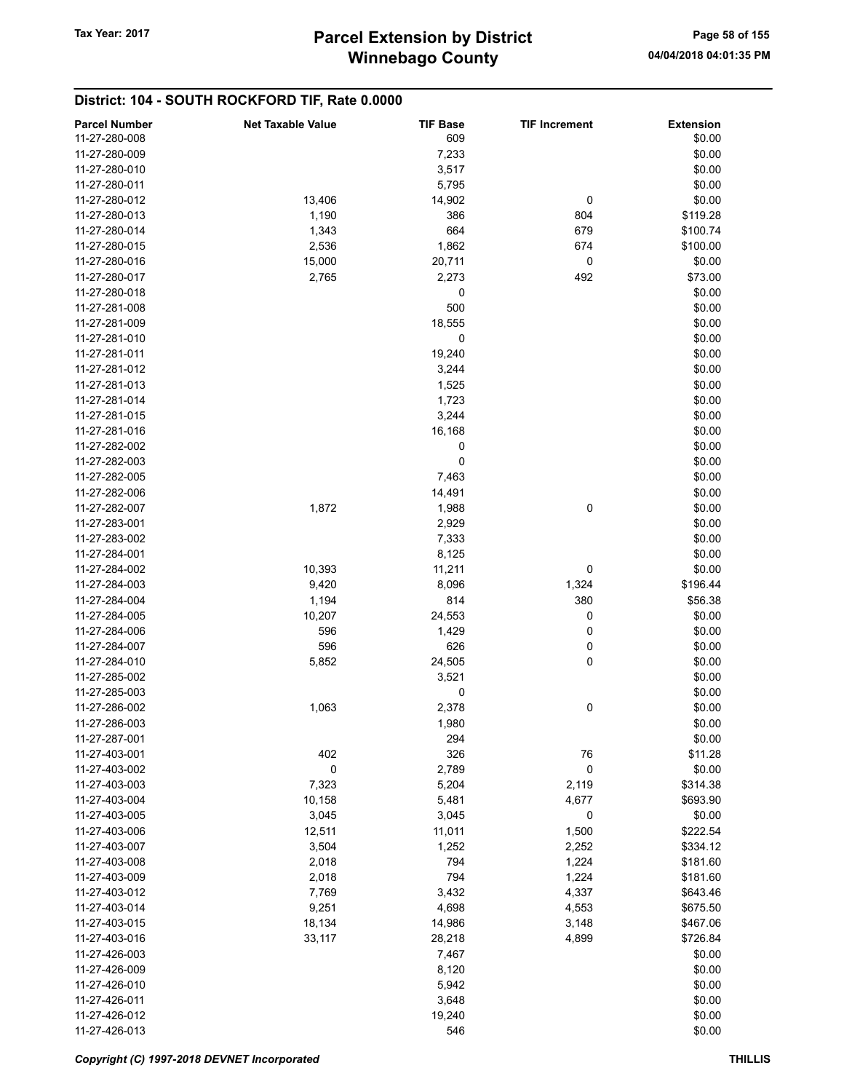| <b>Parcel Number</b> | <b>Net Taxable Value</b> | <b>TIF Base</b> | <b>TIF Increment</b> | <b>Extension</b> |
|----------------------|--------------------------|-----------------|----------------------|------------------|
| 11-27-280-008        |                          | 609             |                      | \$0.00           |
| 11-27-280-009        |                          | 7,233           |                      | \$0.00           |
| 11-27-280-010        |                          | 3,517           |                      | \$0.00           |
| 11-27-280-011        |                          | 5,795           |                      | \$0.00           |
|                      |                          |                 |                      |                  |
| 11-27-280-012        | 13,406                   | 14,902          | 0                    | \$0.00           |
| 11-27-280-013        | 1,190                    | 386             | 804                  | \$119.28         |
| 11-27-280-014        | 1,343                    | 664             | 679                  | \$100.74         |
| 11-27-280-015        | 2,536                    | 1,862           | 674                  | \$100.00         |
| 11-27-280-016        | 15,000                   | 20,711          | 0                    | \$0.00           |
| 11-27-280-017        | 2,765                    | 2,273           | 492                  | \$73.00          |
| 11-27-280-018        |                          | 0               |                      | \$0.00           |
| 11-27-281-008        |                          | 500             |                      | \$0.00           |
| 11-27-281-009        |                          |                 |                      | \$0.00           |
|                      |                          | 18,555          |                      |                  |
| 11-27-281-010        |                          | 0               |                      | \$0.00           |
| 11-27-281-011        |                          | 19,240          |                      | \$0.00           |
| 11-27-281-012        |                          | 3,244           |                      | \$0.00           |
| 11-27-281-013        |                          | 1,525           |                      | \$0.00           |
| 11-27-281-014        |                          | 1,723           |                      | \$0.00           |
| 11-27-281-015        |                          | 3,244           |                      | \$0.00           |
| 11-27-281-016        |                          | 16,168          |                      | \$0.00           |
| 11-27-282-002        |                          | 0               |                      | \$0.00           |
|                      |                          |                 |                      |                  |
| 11-27-282-003        |                          | 0               |                      | \$0.00           |
| 11-27-282-005        |                          | 7,463           |                      | \$0.00           |
| 11-27-282-006        |                          | 14,491          |                      | \$0.00           |
| 11-27-282-007        | 1,872                    | 1,988           | $\pmb{0}$            | \$0.00           |
| 11-27-283-001        |                          | 2,929           |                      | \$0.00           |
| 11-27-283-002        |                          | 7,333           |                      | \$0.00           |
| 11-27-284-001        |                          | 8,125           |                      | \$0.00           |
| 11-27-284-002        | 10,393                   | 11,211          | 0                    | \$0.00           |
| 11-27-284-003        | 9,420                    | 8,096           | 1,324                | \$196.44         |
|                      |                          |                 |                      |                  |
| 11-27-284-004        | 1,194                    | 814             | 380                  | \$56.38          |
| 11-27-284-005        | 10,207                   | 24,553          | 0                    | \$0.00           |
| 11-27-284-006        | 596                      | 1,429           | 0                    | \$0.00           |
| 11-27-284-007        | 596                      | 626             | 0                    | \$0.00           |
| 11-27-284-010        | 5,852                    | 24,505          | 0                    | \$0.00           |
| 11-27-285-002        |                          | 3,521           |                      | \$0.00           |
| 11-27-285-003        |                          | 0               |                      | \$0.00           |
| 11-27-286-002        | 1,063                    | 2,378           | 0                    | \$0.00           |
| 11-27-286-003        |                          | 1,980           |                      | \$0.00           |
| 11-27-287-001        |                          | 294             |                      | \$0.00           |
|                      |                          |                 |                      |                  |
| 11-27-403-001        | 402                      | 326             | 76                   | \$11.28          |
| 11-27-403-002        | $\pmb{0}$                | 2,789           | 0                    | \$0.00           |
| 11-27-403-003        | 7,323                    | 5,204           | 2,119                | \$314.38         |
| 11-27-403-004        | 10,158                   | 5,481           | 4,677                | \$693.90         |
| 11-27-403-005        | 3,045                    | 3,045           | 0                    | \$0.00           |
| 11-27-403-006        | 12,511                   | 11,011          | 1,500                | \$222.54         |
| 11-27-403-007        | 3,504                    | 1,252           | 2,252                | \$334.12         |
| 11-27-403-008        | 2,018                    | 794             | 1,224                | \$181.60         |
| 11-27-403-009        |                          | 794             |                      | \$181.60         |
|                      | 2,018                    |                 | 1,224                |                  |
| 11-27-403-012        | 7,769                    | 3,432           | 4,337                | \$643.46         |
| 11-27-403-014        | 9,251                    | 4,698           | 4,553                | \$675.50         |
| 11-27-403-015        | 18,134                   | 14,986          | 3,148                | \$467.06         |
| 11-27-403-016        | 33,117                   | 28,218          | 4,899                | \$726.84         |
| 11-27-426-003        |                          | 7,467           |                      | \$0.00           |
| 11-27-426-009        |                          | 8,120           |                      | \$0.00           |
| 11-27-426-010        |                          | 5,942           |                      | \$0.00           |
| 11-27-426-011        |                          | 3,648           |                      | \$0.00           |
|                      |                          |                 |                      |                  |
| 11-27-426-012        |                          | 19,240          |                      | \$0.00           |
| 11-27-426-013        |                          | 546             |                      | \$0.00           |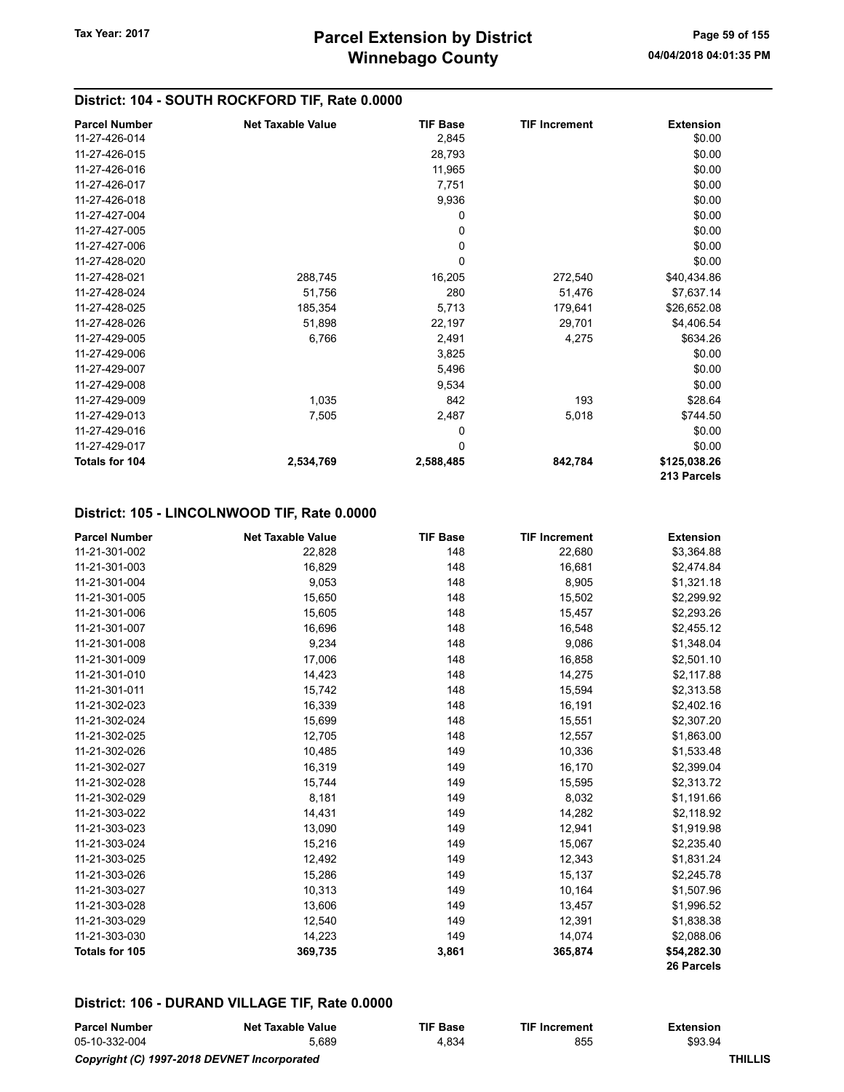| <b>Parcel Number</b> | <b>Net Taxable Value</b> | <b>TIF Base</b> | <b>TIF Increment</b> | <b>Extension</b> |
|----------------------|--------------------------|-----------------|----------------------|------------------|
| 11-27-426-014        |                          | 2,845           |                      | \$0.00           |
| 11-27-426-015        |                          | 28,793          |                      | \$0.00           |
| 11-27-426-016        |                          | 11,965          |                      | \$0.00           |
| 11-27-426-017        |                          | 7,751           |                      | \$0.00           |
| 11-27-426-018        |                          | 9,936           |                      | \$0.00           |
| 11-27-427-004        |                          | 0               |                      | \$0.00           |
| 11-27-427-005        |                          | 0               |                      | \$0.00           |
| 11-27-427-006        |                          | 0               |                      | \$0.00           |
| 11-27-428-020        |                          | $\mathbf 0$     |                      | \$0.00           |
| 11-27-428-021        | 288,745                  | 16,205          | 272,540              | \$40,434.86      |
| 11-27-428-024        | 51,756                   | 280             | 51,476               | \$7,637.14       |
| 11-27-428-025        | 185,354                  | 5,713           | 179,641              | \$26,652.08      |
| 11-27-428-026        | 51,898                   | 22,197          | 29,701               | \$4,406.54       |
| 11-27-429-005        | 6,766                    | 2,491           | 4,275                | \$634.26         |
| 11-27-429-006        |                          | 3,825           |                      | \$0.00           |
| 11-27-429-007        |                          | 5,496           |                      | \$0.00           |
| 11-27-429-008        |                          | 9,534           |                      | \$0.00           |
| 11-27-429-009        | 1,035                    | 842             | 193                  | \$28.64          |
| 11-27-429-013        | 7,505                    | 2,487           | 5,018                | \$744.50         |
| 11-27-429-016        |                          | 0               |                      | \$0.00           |
| 11-27-429-017        |                          | 0               |                      | \$0.00           |
| Totals for 104       | 2,534,769                | 2,588,485       | 842,784              | \$125,038.26     |
|                      |                          |                 |                      | 213 Parcels      |

#### District: 105 - LINCOLNWOOD TIF, Rate 0.0000

| <b>Parcel Number</b>  | <b>Net Taxable Value</b> | <b>TIF Base</b> | <b>TIF Increment</b> | <b>Extension</b> |
|-----------------------|--------------------------|-----------------|----------------------|------------------|
| 11-21-301-002         | 22,828                   | 148             | 22,680               | \$3,364.88       |
| 11-21-301-003         | 16,829                   | 148             | 16,681               | \$2,474.84       |
| 11-21-301-004         | 9,053                    | 148             | 8,905                | \$1,321.18       |
| 11-21-301-005         | 15,650                   | 148             | 15,502               | \$2,299.92       |
| 11-21-301-006         | 15,605                   | 148             | 15,457               | \$2,293.26       |
| 11-21-301-007         | 16,696                   | 148             | 16,548               | \$2,455.12       |
| 11-21-301-008         | 9,234                    | 148             | 9,086                | \$1,348.04       |
| 11-21-301-009         | 17,006                   | 148             | 16,858               | \$2,501.10       |
| 11-21-301-010         | 14,423                   | 148             | 14,275               | \$2,117.88       |
| 11-21-301-011         | 15,742                   | 148             | 15,594               | \$2,313.58       |
| 11-21-302-023         | 16,339                   | 148             | 16,191               | \$2,402.16       |
| 11-21-302-024         | 15,699                   | 148             | 15,551               | \$2,307.20       |
| 11-21-302-025         | 12,705                   | 148             | 12,557               | \$1,863.00       |
| 11-21-302-026         | 10,485                   | 149             | 10,336               | \$1,533.48       |
| 11-21-302-027         | 16,319                   | 149             | 16,170               | \$2,399.04       |
| 11-21-302-028         | 15,744                   | 149             | 15,595               | \$2,313.72       |
| 11-21-302-029         | 8,181                    | 149             | 8,032                | \$1,191.66       |
| 11-21-303-022         | 14,431                   | 149             | 14,282               | \$2,118.92       |
| 11-21-303-023         | 13,090                   | 149             | 12,941               | \$1,919.98       |
| 11-21-303-024         | 15,216                   | 149             | 15,067               | \$2,235.40       |
| 11-21-303-025         | 12,492                   | 149             | 12,343               | \$1,831.24       |
| 11-21-303-026         | 15,286                   | 149             | 15,137               | \$2,245.78       |
| 11-21-303-027         | 10,313                   | 149             | 10,164               | \$1,507.96       |
| 11-21-303-028         | 13,606                   | 149             | 13,457               | \$1,996.52       |
| 11-21-303-029         | 12,540                   | 149             | 12,391               | \$1,838.38       |
| 11-21-303-030         | 14,223                   | 149             | 14,074               | \$2,088.06       |
| <b>Totals for 105</b> | 369,735                  | 3,861           | 365,874              | \$54,282.30      |
|                       |                          |                 |                      | 26 Parcels       |

### District: 106 - DURAND VILLAGE TIF, Rate 0.0000

| <b>Parcel Number</b> | <b>Net Taxable Value</b>                    | TIF Base | <b>TIF Increment</b> | Extension      |
|----------------------|---------------------------------------------|----------|----------------------|----------------|
| 05-10-332-004        | 5.689                                       | 4.834    | 855                  | \$93.94        |
|                      | Copyright (C) 1997-2018 DEVNET Incorporated |          |                      | <b>THILLIS</b> |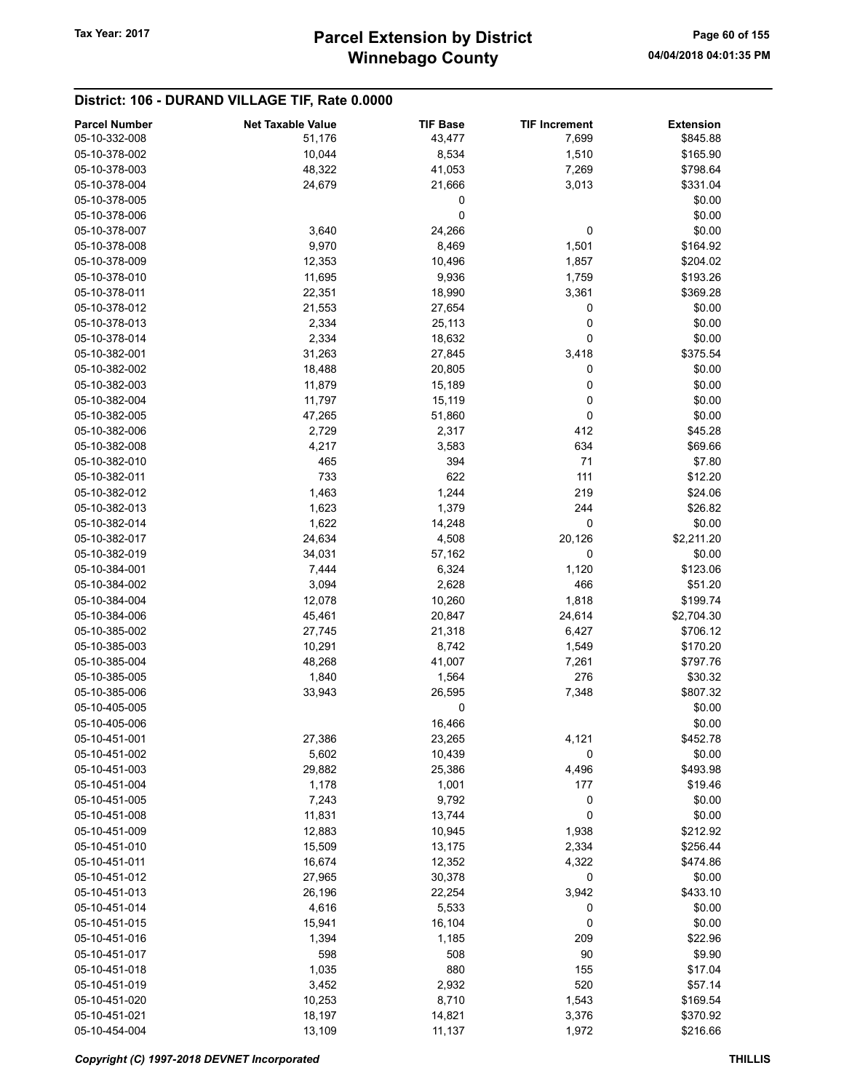### District: 106 - DURAND VILLAGE TIF, Rate 0.0000

| <b>Parcel Number</b>           | <b>Net Taxable Value</b> | <b>TIF Base</b> | <b>TIF Increment</b> | <b>Extension</b> |
|--------------------------------|--------------------------|-----------------|----------------------|------------------|
| 05-10-332-008                  | 51,176                   | 43,477          | 7,699                | \$845.88         |
| 05-10-378-002                  | 10,044                   | 8,534           | 1,510                | \$165.90         |
| 05-10-378-003                  | 48,322                   | 41,053          | 7,269                | \$798.64         |
| 05-10-378-004                  | 24,679                   | 21,666          | 3,013                | \$331.04         |
| 05-10-378-005                  |                          | 0               |                      | \$0.00           |
| 05-10-378-006                  |                          | 0               |                      | \$0.00           |
| 05-10-378-007                  |                          |                 | 0                    | \$0.00           |
|                                | 3,640                    | 24,266          |                      |                  |
| 05-10-378-008                  | 9,970                    | 8,469           | 1,501                | \$164.92         |
| 05-10-378-009                  | 12,353                   | 10,496          | 1,857                | \$204.02         |
| 05-10-378-010                  | 11,695                   | 9,936           | 1,759                | \$193.26         |
| 05-10-378-011                  | 22,351                   | 18,990          | 3,361                | \$369.28         |
| 05-10-378-012                  | 21,553                   | 27,654          | 0                    | \$0.00           |
| 05-10-378-013                  | 2,334                    | 25,113          | 0                    | \$0.00           |
| 05-10-378-014                  | 2,334                    | 18,632          | 0                    | \$0.00           |
| 05-10-382-001                  | 31,263                   | 27,845          | 3,418                | \$375.54         |
| 05-10-382-002                  | 18,488                   | 20,805          | 0                    | \$0.00           |
| 05-10-382-003                  | 11,879                   | 15,189          | 0                    | \$0.00           |
| 05-10-382-004                  | 11,797                   | 15,119          | 0                    | \$0.00           |
| 05-10-382-005                  | 47,265                   | 51,860          | 0                    | \$0.00           |
| 05-10-382-006                  | 2,729                    | 2,317           | 412                  | \$45.28          |
| 05-10-382-008                  | 4,217                    | 3,583           | 634                  | \$69.66          |
| 05-10-382-010                  | 465                      | 394             | 71                   | \$7.80           |
| 05-10-382-011                  | 733                      | 622             | 111                  | \$12.20          |
| 05-10-382-012                  | 1,463                    | 1,244           | 219                  | \$24.06          |
| 05-10-382-013                  | 1,623                    | 1,379           | 244                  | \$26.82          |
| 05-10-382-014                  | 1,622                    | 14,248          | 0                    | \$0.00           |
| 05-10-382-017                  | 24,634                   | 4,508           | 20,126               | \$2,211.20       |
| 05-10-382-019                  | 34,031                   | 57,162          | 0                    | \$0.00           |
| 05-10-384-001                  | 7,444                    | 6,324           | 1,120                | \$123.06         |
| 05-10-384-002                  | 3,094                    | 2,628           | 466                  | \$51.20          |
| 05-10-384-004                  | 12,078                   | 10,260          | 1,818                | \$199.74         |
| 05-10-384-006                  | 45,461                   | 20,847          | 24,614               | \$2,704.30       |
| 05-10-385-002                  | 27,745                   | 21,318          | 6,427                | \$706.12         |
| 05-10-385-003                  | 10,291                   | 8,742           | 1,549                | \$170.20         |
| 05-10-385-004                  | 48,268                   | 41,007          | 7,261                | \$797.76         |
| 05-10-385-005                  | 1,840                    |                 | 276                  | \$30.32          |
| 05-10-385-006                  |                          | 1,564           |                      |                  |
| 05-10-405-005                  | 33,943                   | 26,595<br>0     | 7,348                | \$807.32         |
|                                |                          |                 |                      | \$0.00           |
| 05-10-405-006<br>05-10-451-001 |                          | 16,466          |                      | \$0.00           |
|                                | 27,386                   | 23,265          | 4,121                | \$452.78         |
| 05-10-451-002                  | 5,602                    | 10,439          | 0                    | \$0.00           |
| 05-10-451-003                  | 29,882                   | 25,386          | 4,496                | \$493.98         |
| 05-10-451-004                  | 1,178                    | 1,001           | 177                  | \$19.46          |
| 05-10-451-005                  | 7,243                    | 9,792           | 0                    | \$0.00           |
| 05-10-451-008                  | 11,831                   | 13,744          | 0                    | \$0.00           |
| 05-10-451-009                  | 12,883                   | 10,945          | 1,938                | \$212.92         |
| 05-10-451-010                  | 15,509                   | 13,175          | 2,334                | \$256.44         |
| 05-10-451-011                  | 16,674                   | 12,352          | 4,322                | \$474.86         |
| 05-10-451-012                  | 27,965                   | 30,378          | 0                    | \$0.00           |
| 05-10-451-013                  | 26,196                   | 22,254          | 3,942                | \$433.10         |
| 05-10-451-014                  | 4,616                    | 5,533           | 0                    | \$0.00           |
| 05-10-451-015                  | 15,941                   | 16,104          | 0                    | \$0.00           |
| 05-10-451-016                  | 1,394                    | 1,185           | 209                  | \$22.96          |
| 05-10-451-017                  | 598                      | 508             | 90                   | \$9.90           |
| 05-10-451-018                  | 1,035                    | 880             | 155                  | \$17.04          |
| 05-10-451-019                  | 3,452                    | 2,932           | 520                  | \$57.14          |
| 05-10-451-020                  | 10,253                   | 8,710           | 1,543                | \$169.54         |
| 05-10-451-021                  | 18,197                   | 14,821          | 3,376                | \$370.92         |
| 05-10-454-004                  | 13,109                   | 11,137          | 1,972                | \$216.66         |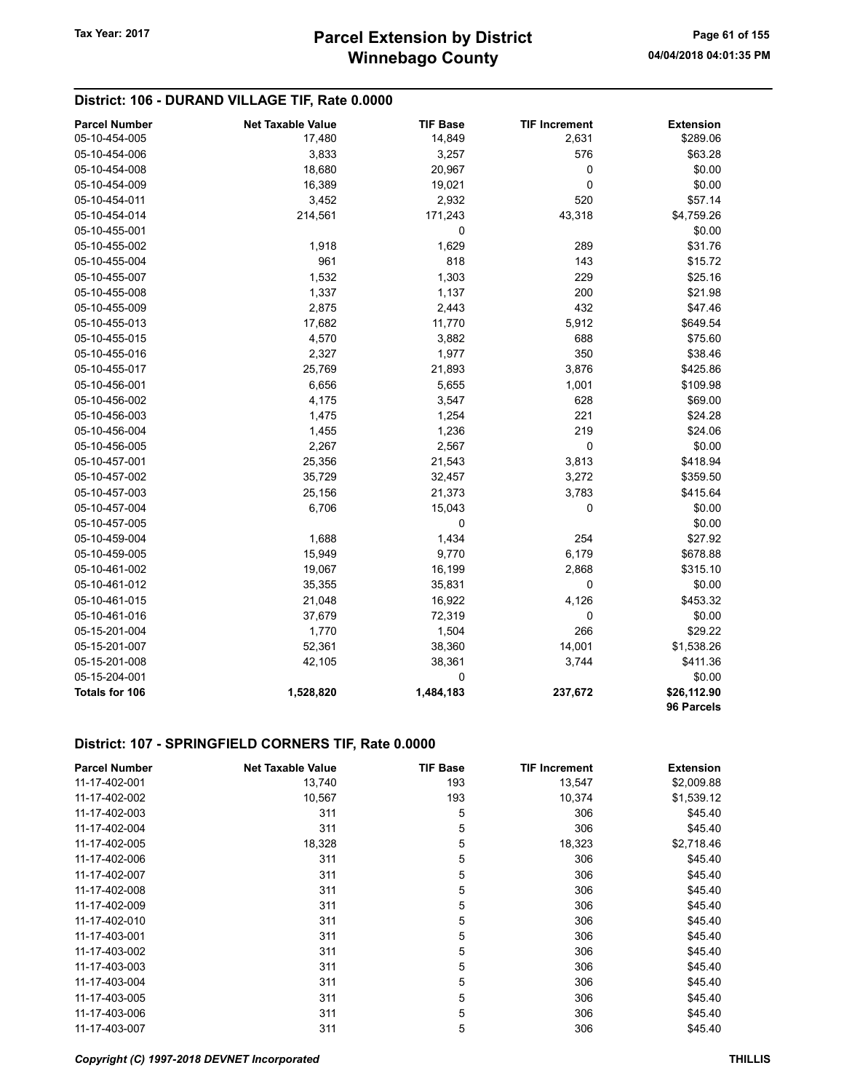### District: 106 - DURAND VILLAGE TIF, Rate 0.0000

| <b>Parcel Number</b> | <b>Net Taxable Value</b> | <b>TIF Base</b> | <b>TIF Increment</b> | <b>Extension</b>          |
|----------------------|--------------------------|-----------------|----------------------|---------------------------|
| 05-10-454-005        | 17,480                   | 14,849          | 2,631                | \$289.06                  |
| 05-10-454-006        | 3,833                    | 3,257           | 576                  | \$63.28                   |
| 05-10-454-008        | 18,680                   | 20,967          | 0                    | \$0.00                    |
| 05-10-454-009        | 16,389                   | 19,021          | 0                    | \$0.00                    |
| 05-10-454-011        | 3,452                    | 2,932           | 520                  | \$57.14                   |
| 05-10-454-014        | 214,561                  | 171,243         | 43,318               | \$4,759.26                |
| 05-10-455-001        |                          | 0               |                      | \$0.00                    |
| 05-10-455-002        | 1,918                    | 1,629           | 289                  | \$31.76                   |
| 05-10-455-004        | 961                      | 818             | 143                  | \$15.72                   |
| 05-10-455-007        | 1,532                    | 1,303           | 229                  | \$25.16                   |
| 05-10-455-008        | 1,337                    | 1,137           | 200                  | \$21.98                   |
| 05-10-455-009        | 2,875                    | 2,443           | 432                  | \$47.46                   |
| 05-10-455-013        | 17,682                   | 11,770          | 5,912                | \$649.54                  |
| 05-10-455-015        | 4,570                    | 3,882           | 688                  | \$75.60                   |
| 05-10-455-016        | 2,327                    | 1,977           | 350                  | \$38.46                   |
| 05-10-455-017        | 25,769                   | 21,893          | 3,876                | \$425.86                  |
| 05-10-456-001        | 6,656                    | 5,655           | 1,001                | \$109.98                  |
| 05-10-456-002        | 4,175                    | 3,547           | 628                  | \$69.00                   |
| 05-10-456-003        | 1,475                    | 1,254           | 221                  | \$24.28                   |
| 05-10-456-004        | 1,455                    | 1,236           | 219                  | \$24.06                   |
| 05-10-456-005        | 2,267                    | 2,567           | 0                    | \$0.00                    |
| 05-10-457-001        | 25,356                   | 21,543          | 3,813                | \$418.94                  |
| 05-10-457-002        | 35,729                   | 32,457          | 3,272                | \$359.50                  |
| 05-10-457-003        | 25,156                   | 21,373          | 3,783                | \$415.64                  |
| 05-10-457-004        | 6,706                    | 15,043          | 0                    | \$0.00                    |
| 05-10-457-005        |                          | 0               |                      | \$0.00                    |
| 05-10-459-004        | 1,688                    | 1,434           | 254                  | \$27.92                   |
| 05-10-459-005        | 15,949                   | 9,770           | 6,179                | \$678.88                  |
| 05-10-461-002        | 19,067                   | 16,199          | 2,868                | \$315.10                  |
| 05-10-461-012        | 35,355                   | 35,831          | 0                    | \$0.00                    |
| 05-10-461-015        | 21,048                   | 16,922          | 4,126                | \$453.32                  |
| 05-10-461-016        | 37,679                   | 72,319          | 0                    | \$0.00                    |
| 05-15-201-004        | 1,770                    | 1,504           | 266                  | \$29.22                   |
| 05-15-201-007        | 52,361                   | 38,360          | 14,001               | \$1,538.26                |
| 05-15-201-008        | 42,105                   | 38,361          | 3,744                | \$411.36                  |
| 05-15-204-001        |                          | 0               |                      | \$0.00                    |
| Totals for 106       | 1,528,820                | 1,484,183       | 237,672              | \$26,112.90<br>96 Parcels |

#### District: 107 - SPRINGFIELD CORNERS TIF, Rate 0.0000

| <b>Parcel Number</b> | <b>Net Taxable Value</b> | <b>TIF Base</b> | <b>TIF Increment</b> | <b>Extension</b> |
|----------------------|--------------------------|-----------------|----------------------|------------------|
| 11-17-402-001        | 13,740                   | 193             | 13,547               | \$2,009.88       |
| 11-17-402-002        | 10,567                   | 193             | 10.374               | \$1,539.12       |
| 11-17-402-003        | 311                      | 5               | 306                  | \$45.40          |
| 11-17-402-004        | 311                      | 5               | 306                  | \$45.40          |
| 11-17-402-005        | 18,328                   | 5               | 18,323               | \$2,718.46       |
| 11-17-402-006        | 311                      | 5               | 306                  | \$45.40          |
| 11-17-402-007        | 311                      | 5               | 306                  | \$45.40          |
| 11-17-402-008        | 311                      | 5               | 306                  | \$45.40          |
| 11-17-402-009        | 311                      | 5               | 306                  | \$45.40          |
| 11-17-402-010        | 311                      | 5               | 306                  | \$45.40          |
| 11-17-403-001        | 311                      | 5               | 306                  | \$45.40          |
| 11-17-403-002        | 311                      | 5               | 306                  | \$45.40          |
| 11-17-403-003        | 311                      | 5               | 306                  | \$45.40          |
| 11-17-403-004        | 311                      | 5               | 306                  | \$45.40          |
| 11-17-403-005        | 311                      | 5               | 306                  | \$45.40          |
| 11-17-403-006        | 311                      | 5               | 306                  | \$45.40          |
| 11-17-403-007        | 311                      | 5               | 306                  | \$45.40          |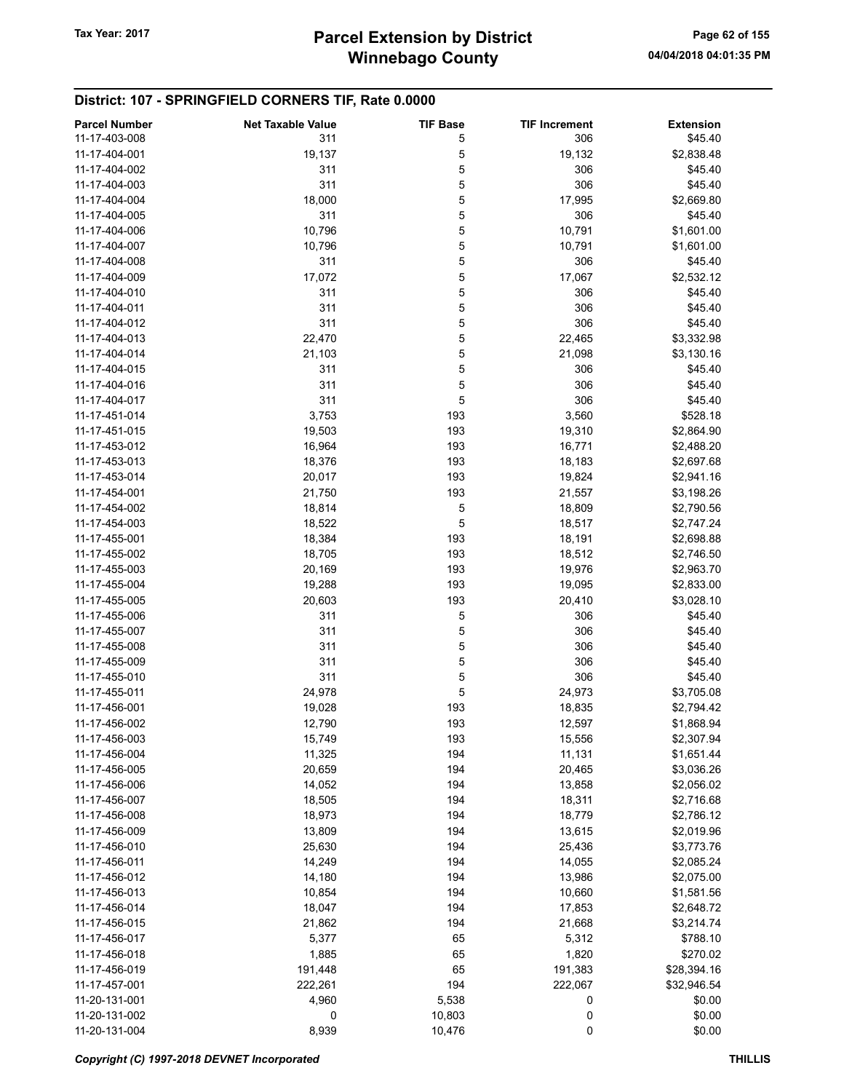### District: 107 - SPRINGFIELD CORNERS TIF, Rate 0.0000

| <b>Parcel Number</b> | <b>Net Taxable Value</b> | <b>TIF Base</b> | <b>TIF Increment</b> | <b>Extension</b> |
|----------------------|--------------------------|-----------------|----------------------|------------------|
| 11-17-403-008        | 311                      | 5               | 306                  | \$45.40          |
| 11-17-404-001        | 19,137                   | 5               | 19,132               | \$2,838.48       |
| 11-17-404-002        | 311                      | 5               | 306                  | \$45.40          |
| 11-17-404-003        | 311                      | 5               | 306                  | \$45.40          |
|                      |                          |                 |                      |                  |
| 11-17-404-004        | 18,000                   | 5               | 17,995               | \$2,669.80       |
| 11-17-404-005        | 311                      | 5               | 306                  | \$45.40          |
| 11-17-404-006        | 10,796                   | 5               | 10,791               | \$1,601.00       |
| 11-17-404-007        | 10,796                   | 5               | 10,791               | \$1,601.00       |
| 11-17-404-008        | 311                      | 5               | 306                  | \$45.40          |
| 11-17-404-009        | 17,072                   | 5               | 17,067               | \$2,532.12       |
| 11-17-404-010        | 311                      | 5               | 306                  | \$45.40          |
| 11-17-404-011        | 311                      | 5               | 306                  | \$45.40          |
| 11-17-404-012        | 311                      | 5               | 306                  | \$45.40          |
| 11-17-404-013        | 22,470                   | 5               | 22,465               | \$3,332.98       |
| 11-17-404-014        | 21,103                   | 5               | 21,098               | \$3,130.16       |
| 11-17-404-015        | 311                      | 5               | 306                  | \$45.40          |
|                      |                          |                 |                      |                  |
| 11-17-404-016        | 311                      | 5               | 306                  | \$45.40          |
| 11-17-404-017        | 311                      | 5               | 306                  | \$45.40          |
| 11-17-451-014        | 3,753                    | 193             | 3,560                | \$528.18         |
| 11-17-451-015        | 19,503                   | 193             | 19,310               | \$2,864.90       |
| 11-17-453-012        | 16,964                   | 193             | 16,771               | \$2,488.20       |
| 11-17-453-013        | 18,376                   | 193             | 18,183               | \$2,697.68       |
| 11-17-453-014        | 20,017                   | 193             | 19,824               | \$2,941.16       |
| 11-17-454-001        | 21,750                   | 193             | 21,557               | \$3,198.26       |
| 11-17-454-002        | 18,814                   | 5               | 18,809               | \$2,790.56       |
| 11-17-454-003        | 18,522                   | 5               | 18,517               | \$2,747.24       |
| 11-17-455-001        | 18,384                   | 193             | 18,191               | \$2,698.88       |
| 11-17-455-002        |                          | 193             |                      |                  |
|                      | 18,705                   |                 | 18,512               | \$2,746.50       |
| 11-17-455-003        | 20,169                   | 193             | 19,976               | \$2,963.70       |
| 11-17-455-004        | 19,288                   | 193             | 19,095               | \$2,833.00       |
| 11-17-455-005        | 20,603                   | 193             | 20,410               | \$3,028.10       |
| 11-17-455-006        | 311                      | 5               | 306                  | \$45.40          |
| 11-17-455-007        | 311                      | 5               | 306                  | \$45.40          |
| 11-17-455-008        | 311                      | 5               | 306                  | \$45.40          |
| 11-17-455-009        | 311                      | 5               | 306                  | \$45.40          |
| 11-17-455-010        | 311                      | 5               | 306                  | \$45.40          |
| 11-17-455-011        | 24,978                   | 5               | 24,973               | \$3,705.08       |
| 11-17-456-001        | 19,028                   | 193             | 18,835               | \$2,794.42       |
| 11-17-456-002        | 12,790                   | 193             | 12,597               | \$1,868.94       |
| 11-17-456-003        | 15,749                   | 193             | 15,556               | \$2,307.94       |
| 11-17-456-004        | 11,325                   | 194             |                      |                  |
|                      |                          |                 | 11,131               | \$1,651.44       |
| 11-17-456-005        | 20,659                   | 194             | 20,465               | \$3,036.26       |
| 11-17-456-006        | 14,052                   | 194             | 13,858               | \$2,056.02       |
| 11-17-456-007        | 18,505                   | 194             | 18,311               | \$2,716.68       |
| 11-17-456-008        | 18,973                   | 194             | 18,779               | \$2,786.12       |
| 11-17-456-009        | 13,809                   | 194             | 13,615               | \$2,019.96       |
| 11-17-456-010        | 25,630                   | 194             | 25,436               | \$3,773.76       |
| 11-17-456-011        | 14,249                   | 194             | 14,055               | \$2,085.24       |
| 11-17-456-012        | 14,180                   | 194             | 13,986               | \$2,075.00       |
| 11-17-456-013        | 10,854                   | 194             | 10,660               | \$1,581.56       |
| 11-17-456-014        | 18,047                   | 194             | 17,853               | \$2,648.72       |
| 11-17-456-015        | 21,862                   | 194             | 21,668               | \$3,214.74       |
| 11-17-456-017        | 5,377                    | 65              | 5,312                | \$788.10         |
| 11-17-456-018        | 1,885                    | 65              | 1,820                | \$270.02         |
|                      |                          |                 |                      |                  |
| 11-17-456-019        | 191,448                  | 65              | 191,383              | \$28,394.16      |
| 11-17-457-001        | 222,261                  | 194             | 222,067              | \$32,946.54      |
| 11-20-131-001        | 4,960                    | 5,538           | 0                    | \$0.00           |
| 11-20-131-002        | 0                        | 10,803          | 0                    | \$0.00           |
| 11-20-131-004        | 8,939                    | 10,476          | 0                    | \$0.00           |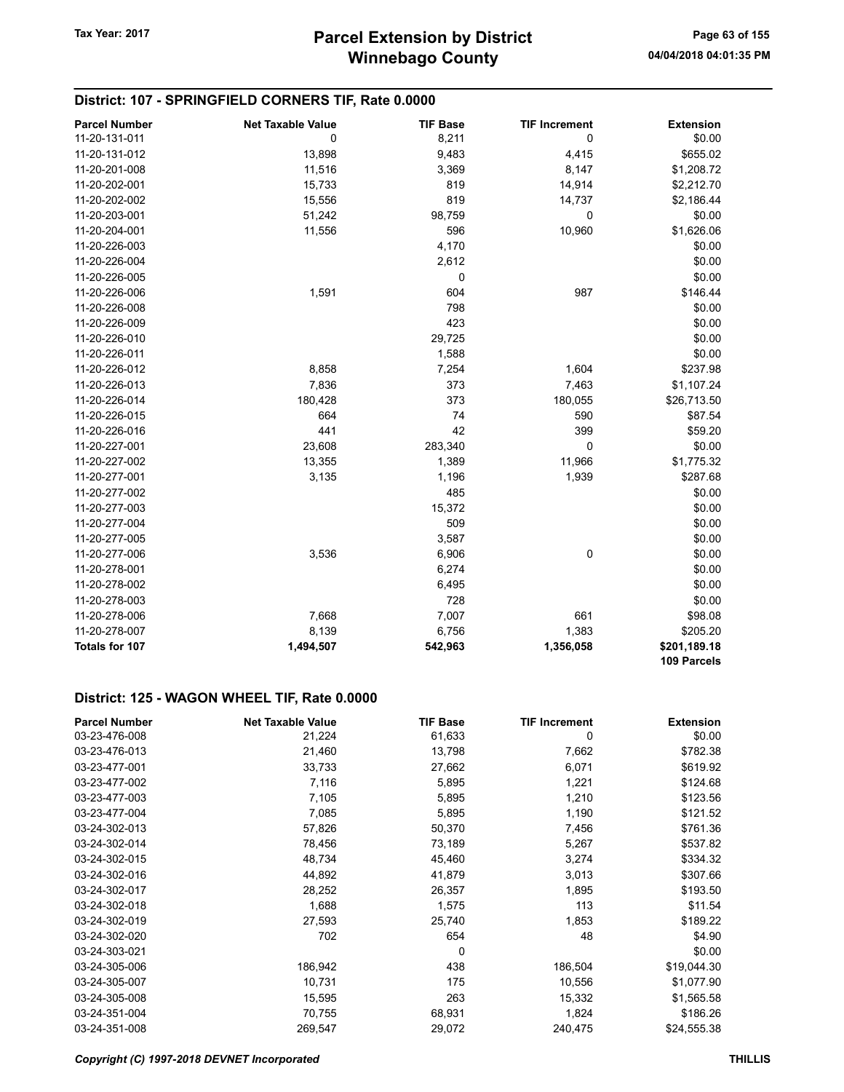#### District: 107 - SPRINGFIELD CORNERS TIF, Rate 0.0000

| <b>Parcel Number</b>  | <b>Net Taxable Value</b> | <b>TIF Base</b> | <b>TIF Increment</b> | <b>Extension</b> |
|-----------------------|--------------------------|-----------------|----------------------|------------------|
| 11-20-131-011         | 0                        | 8,211           | 0                    | \$0.00           |
| 11-20-131-012         | 13,898                   | 9,483           | 4,415                | \$655.02         |
| 11-20-201-008         | 11,516                   | 3,369           | 8,147                | \$1,208.72       |
| 11-20-202-001         | 15,733                   | 819             | 14,914               | \$2,212.70       |
| 11-20-202-002         | 15,556                   | 819             | 14,737               | \$2,186.44       |
| 11-20-203-001         | 51,242                   | 98,759          | 0                    | \$0.00           |
| 11-20-204-001         | 11,556                   | 596             | 10,960               | \$1,626.06       |
| 11-20-226-003         |                          | 4,170           |                      | \$0.00           |
| 11-20-226-004         |                          | 2,612           |                      | \$0.00           |
| 11-20-226-005         |                          | 0               |                      | \$0.00           |
| 11-20-226-006         | 1,591                    | 604             | 987                  | \$146.44         |
| 11-20-226-008         |                          | 798             |                      | \$0.00           |
| 11-20-226-009         |                          | 423             |                      | \$0.00           |
| 11-20-226-010         |                          | 29,725          |                      | \$0.00           |
| 11-20-226-011         |                          | 1,588           |                      | \$0.00           |
| 11-20-226-012         | 8,858                    | 7,254           | 1,604                | \$237.98         |
| 11-20-226-013         | 7,836                    | 373             | 7,463                | \$1,107.24       |
| 11-20-226-014         | 180,428                  | 373             | 180,055              | \$26,713.50      |
| 11-20-226-015         | 664                      | 74              | 590                  | \$87.54          |
| 11-20-226-016         | 441                      | 42              | 399                  | \$59.20          |
| 11-20-227-001         | 23,608                   | 283,340         | 0                    | \$0.00           |
| 11-20-227-002         | 13,355                   | 1,389           | 11,966               | \$1,775.32       |
| 11-20-277-001         | 3,135                    | 1,196           | 1,939                | \$287.68         |
| 11-20-277-002         |                          | 485             |                      | \$0.00           |
| 11-20-277-003         |                          | 15,372          |                      | \$0.00           |
| 11-20-277-004         |                          | 509             |                      | \$0.00           |
| 11-20-277-005         |                          | 3,587           |                      | \$0.00           |
| 11-20-277-006         | 3,536                    | 6,906           | $\pmb{0}$            | \$0.00           |
| 11-20-278-001         |                          | 6,274           |                      | \$0.00           |
| 11-20-278-002         |                          | 6,495           |                      | \$0.00           |
| 11-20-278-003         |                          | 728             |                      | \$0.00           |
| 11-20-278-006         | 7,668                    | 7,007           | 661                  | \$98.08          |
| 11-20-278-007         | 8,139                    | 6,756           | 1,383                | \$205.20         |
| <b>Totals for 107</b> | 1,494,507                | 542,963         | 1,356,058            | \$201,189.18     |
|                       |                          |                 |                      | 109 Parcels      |

## District: 125 - WAGON WHEEL TIF, Rate 0.0000

| <b>Parcel Number</b> | <b>Net Taxable Value</b> | <b>TIF Base</b> | <b>TIF Increment</b> | <b>Extension</b> |
|----------------------|--------------------------|-----------------|----------------------|------------------|
| 03-23-476-008        | 21,224                   | 61,633          | 0                    | \$0.00           |
| 03-23-476-013        | 21,460                   | 13,798          | 7,662                | \$782.38         |
| 03-23-477-001        | 33,733                   | 27,662          | 6,071                | \$619.92         |
| 03-23-477-002        | 7,116                    | 5,895           | 1,221                | \$124.68         |
| 03-23-477-003        | 7,105                    | 5,895           | 1,210                | \$123.56         |
| 03-23-477-004        | 7,085                    | 5,895           | 1,190                | \$121.52         |
| 03-24-302-013        | 57,826                   | 50,370          | 7,456                | \$761.36         |
| 03-24-302-014        | 78,456                   | 73,189          | 5,267                | \$537.82         |
| 03-24-302-015        | 48,734                   | 45,460          | 3,274                | \$334.32         |
| 03-24-302-016        | 44,892                   | 41,879          | 3,013                | \$307.66         |
| 03-24-302-017        | 28,252                   | 26,357          | 1,895                | \$193.50         |
| 03-24-302-018        | 1,688                    | 1,575           | 113                  | \$11.54          |
| 03-24-302-019        | 27,593                   | 25,740          | 1,853                | \$189.22         |
| 03-24-302-020        | 702                      | 654             | 48                   | \$4.90           |
| 03-24-303-021        |                          | 0               |                      | \$0.00           |
| 03-24-305-006        | 186,942                  | 438             | 186,504              | \$19,044.30      |
| 03-24-305-007        | 10,731                   | 175             | 10,556               | \$1,077.90       |
| 03-24-305-008        | 15,595                   | 263             | 15,332               | \$1,565.58       |
| 03-24-351-004        | 70,755                   | 68,931          | 1,824                | \$186.26         |
| 03-24-351-008        | 269,547                  | 29,072          | 240,475              | \$24,555.38      |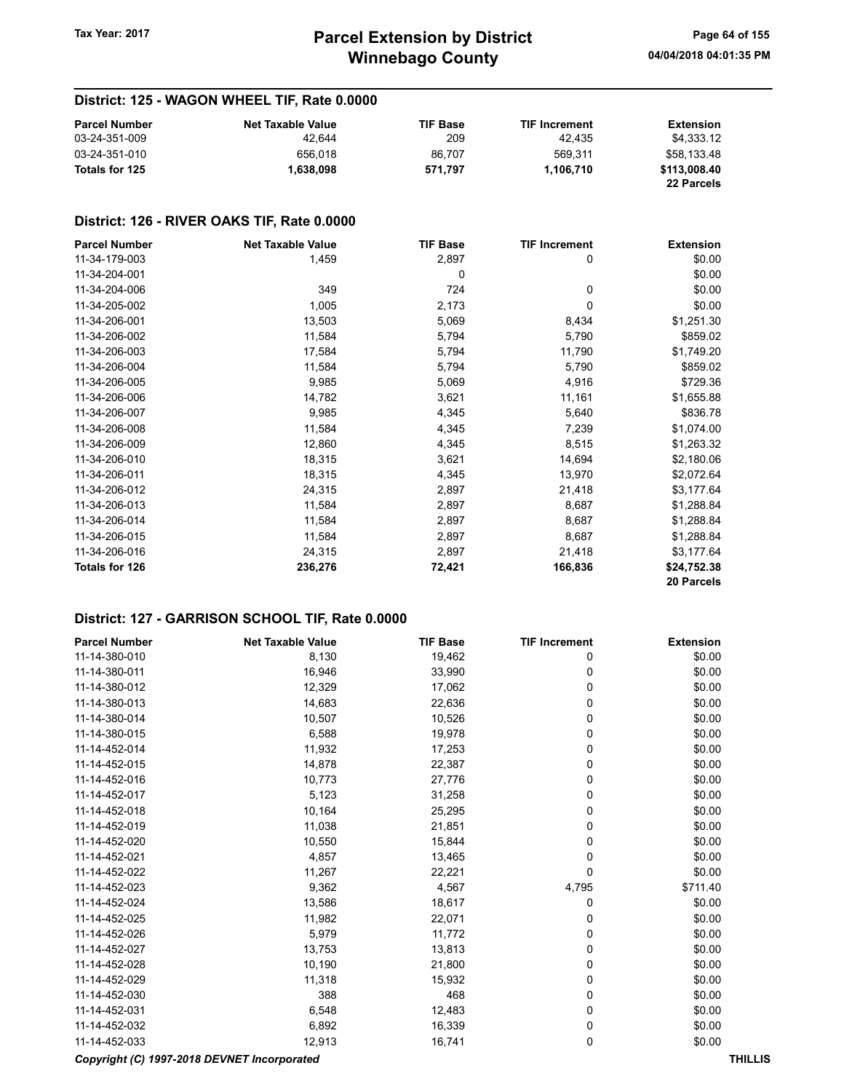### District: 125 - WAGON WHEEL TIF, Rate 0.0000

| <b>Parcel Number</b> | <b>Net Taxable Value</b> | <b>TIF Base</b> | <b>TIF Increment</b> | Extension         |
|----------------------|--------------------------|-----------------|----------------------|-------------------|
| 03-24-351-009        | 42.644                   | 209             | 42.435               | \$4.333.12        |
| 03-24-351-010        | 656.018                  | 86.707          | 569.311              | \$58.133.48       |
| Totals for 125       | 1.638.098                | 571.797         | 1.106.710            | \$113.008.40      |
|                      |                          |                 |                      | <b>22 Parcels</b> |

#### District: 126 - RIVER OAKS TIF, Rate 0.0000

| <b>Parcel Number</b> | <b>Net Taxable Value</b> | <b>TIF Base</b> | <b>TIF Increment</b> | <b>Extension</b> |
|----------------------|--------------------------|-----------------|----------------------|------------------|
| 11-34-179-003        | 1,459                    | 2,897           | 0                    | \$0.00           |
| 11-34-204-001        |                          | 0               |                      | \$0.00           |
| 11-34-204-006        | 349                      | 724             | 0                    | \$0.00           |
| 11-34-205-002        | 1,005                    | 2,173           | 0                    | \$0.00           |
| 11-34-206-001        | 13,503                   | 5,069           | 8,434                | \$1,251.30       |
| 11-34-206-002        | 11,584                   | 5,794           | 5,790                | \$859.02         |
| 11-34-206-003        | 17,584                   | 5,794           | 11,790               | \$1,749.20       |
| 11-34-206-004        | 11,584                   | 5,794           | 5,790                | \$859.02         |
| 11-34-206-005        | 9,985                    | 5,069           | 4,916                | \$729.36         |
| 11-34-206-006        | 14,782                   | 3,621           | 11,161               | \$1,655.88       |
| 11-34-206-007        | 9,985                    | 4,345           | 5,640                | \$836.78         |
| 11-34-206-008        | 11,584                   | 4,345           | 7,239                | \$1,074.00       |
| 11-34-206-009        | 12,860                   | 4,345           | 8,515                | \$1,263.32       |
| 11-34-206-010        | 18,315                   | 3,621           | 14,694               | \$2,180.06       |
| 11-34-206-011        | 18,315                   | 4,345           | 13,970               | \$2,072.64       |
| 11-34-206-012        | 24,315                   | 2,897           | 21,418               | \$3,177.64       |
| 11-34-206-013        | 11,584                   | 2,897           | 8,687                | \$1,288.84       |
| 11-34-206-014        | 11,584                   | 2,897           | 8,687                | \$1,288.84       |
| 11-34-206-015        | 11,584                   | 2,897           | 8,687                | \$1,288.84       |
| 11-34-206-016        | 24,315                   | 2,897           | 21,418               | \$3,177.64       |
| Totals for 126       | 236,276                  | 72,421          | 166,836              | \$24,752.38      |
|                      |                          |                 |                      | 20 Parcels       |

#### District: 127 - GARRISON SCHOOL TIF, Rate 0.0000

| <b>Parcel Number</b>                        | <b>Net Taxable Value</b> | <b>TIF Base</b> | <b>TIF Increment</b> | <b>Extension</b> |
|---------------------------------------------|--------------------------|-----------------|----------------------|------------------|
| 11-14-380-010                               | 8,130                    | 19,462          | 0                    | \$0.00           |
| 11-14-380-011                               | 16,946                   | 33,990          | 0                    | \$0.00           |
| 11-14-380-012                               | 12,329                   | 17,062          | 0                    | \$0.00           |
| 11-14-380-013                               | 14,683                   | 22,636          | 0                    | \$0.00           |
| 11-14-380-014                               | 10,507                   | 10,526          | 0                    | \$0.00           |
| 11-14-380-015                               | 6,588                    | 19,978          | 0                    | \$0.00           |
| 11-14-452-014                               | 11,932                   | 17,253          | 0                    | \$0.00           |
| 11-14-452-015                               | 14,878                   | 22,387          | 0                    | \$0.00           |
| 11-14-452-016                               | 10,773                   | 27,776          | 0                    | \$0.00           |
| 11-14-452-017                               | 5,123                    | 31,258          | 0                    | \$0.00           |
| 11-14-452-018                               | 10,164                   | 25,295          | 0                    | \$0.00           |
| 11-14-452-019                               | 11,038                   | 21,851          | 0                    | \$0.00           |
| 11-14-452-020                               | 10,550                   | 15,844          | 0                    | \$0.00           |
| 11-14-452-021                               | 4,857                    | 13,465          | 0                    | \$0.00           |
| 11-14-452-022                               | 11,267                   | 22,221          | 0                    | \$0.00           |
| 11-14-452-023                               | 9,362                    | 4,567           | 4,795                | \$711.40         |
| 11-14-452-024                               | 13,586                   | 18,617          | 0                    | \$0.00           |
| 11-14-452-025                               | 11,982                   | 22,071          | 0                    | \$0.00           |
| 11-14-452-026                               | 5,979                    | 11,772          | 0                    | \$0.00           |
| 11-14-452-027                               | 13,753                   | 13,813          | 0                    | \$0.00           |
| 11-14-452-028                               | 10,190                   | 21,800          | 0                    | \$0.00           |
| 11-14-452-029                               | 11,318                   | 15,932          | 0                    | \$0.00           |
| 11-14-452-030                               | 388                      | 468             | 0                    | \$0.00           |
| 11-14-452-031                               | 6,548                    | 12,483          | 0                    | \$0.00           |
| 11-14-452-032                               | 6,892                    | 16,339          | 0                    | \$0.00           |
| 11-14-452-033                               | 12,913                   | 16,741          | 0                    | \$0.00           |
| Copyright (C) 1997-2018 DEVNET Incorporated |                          |                 |                      |                  |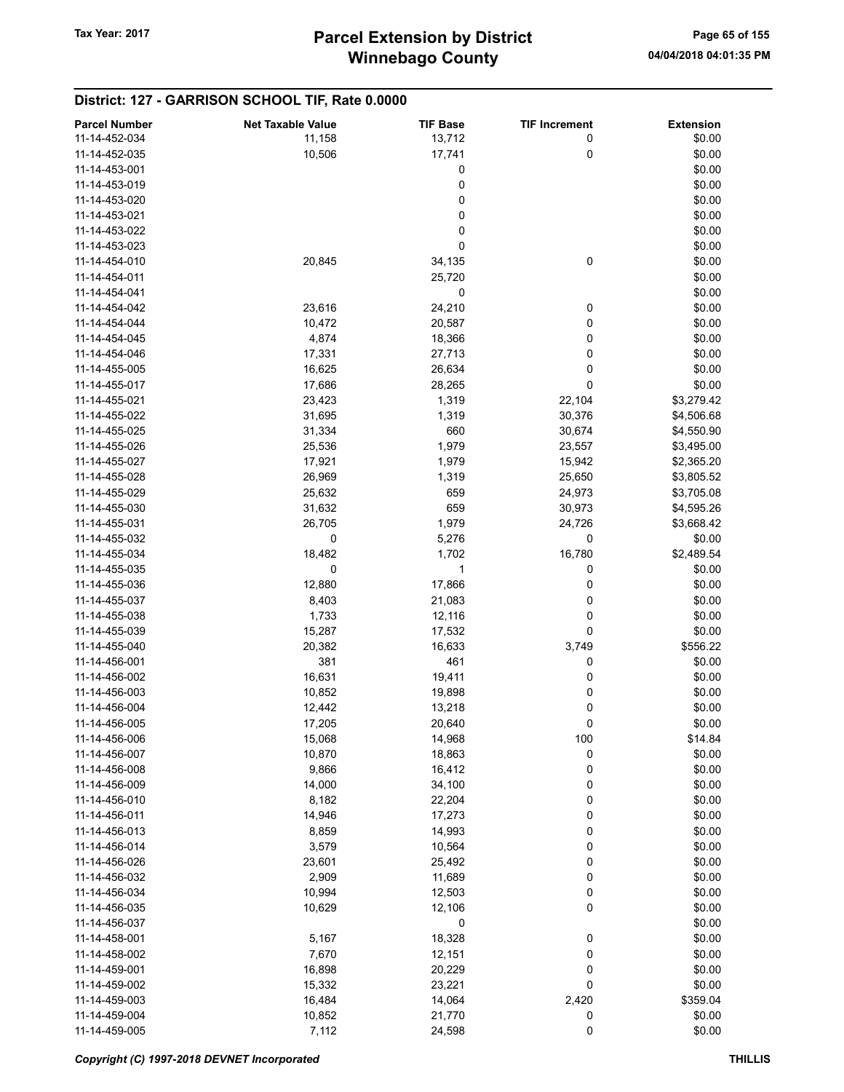### District: 127 - GARRISON SCHOOL TIF, Rate 0.0000

| <b>Parcel Number</b> | <b>Net Taxable Value</b> | <b>TIF Base</b> | <b>TIF Increment</b> | <b>Extension</b> |
|----------------------|--------------------------|-----------------|----------------------|------------------|
| 11-14-452-034        | 11,158                   | 13,712          | 0                    | \$0.00           |
| 11-14-452-035        | 10,506                   | 17,741          | 0                    | \$0.00           |
| 11-14-453-001        |                          | 0               |                      | \$0.00           |
| 11-14-453-019        |                          | 0               |                      | \$0.00           |
| 11-14-453-020        |                          | 0               |                      | \$0.00           |
| 11-14-453-021        |                          | 0               |                      | \$0.00           |
|                      |                          |                 |                      |                  |
| 11-14-453-022        |                          | 0               |                      | \$0.00           |
| 11-14-453-023        |                          | 0               |                      | \$0.00           |
| 11-14-454-010        | 20,845                   | 34,135          | 0                    | \$0.00           |
| 11-14-454-011        |                          | 25,720          |                      | \$0.00           |
| 11-14-454-041        |                          | 0               |                      | \$0.00           |
| 11-14-454-042        | 23,616                   | 24,210          | 0                    | \$0.00           |
| 11-14-454-044        | 10,472                   | 20,587          | 0                    | \$0.00           |
| 11-14-454-045        | 4,874                    | 18,366          | 0                    | \$0.00           |
| 11-14-454-046        | 17,331                   | 27,713          | 0                    | \$0.00           |
| 11-14-455-005        | 16,625                   | 26,634          | 0                    | \$0.00           |
| 11-14-455-017        | 17,686                   | 28,265          | $\mathbf 0$          | \$0.00           |
| 11-14-455-021        | 23,423                   | 1,319           | 22,104               | \$3,279.42       |
| 11-14-455-022        | 31,695                   | 1,319           | 30,376               | \$4,506.68       |
| 11-14-455-025        | 31,334                   | 660             | 30,674               | \$4,550.90       |
| 11-14-455-026        | 25,536                   | 1,979           | 23,557               | \$3,495.00       |
| 11-14-455-027        | 17,921                   | 1,979           | 15,942               | \$2,365.20       |
| 11-14-455-028        | 26,969                   | 1,319           | 25,650               | \$3,805.52       |
| 11-14-455-029        | 25,632                   | 659             | 24,973               | \$3,705.08       |
|                      |                          | 659             |                      |                  |
| 11-14-455-030        | 31,632                   |                 | 30,973               | \$4,595.26       |
| 11-14-455-031        | 26,705                   | 1,979           | 24,726               | \$3,668.42       |
| 11-14-455-032        | 0                        | 5,276           | 0                    | \$0.00           |
| 11-14-455-034        | 18,482                   | 1,702           | 16,780               | \$2,489.54       |
| 11-14-455-035        | 0                        | 1               | 0                    | \$0.00           |
| 11-14-455-036        | 12,880                   | 17,866          | 0                    | \$0.00           |
| 11-14-455-037        | 8,403                    | 21,083          | 0                    | \$0.00           |
| 11-14-455-038        | 1,733                    | 12,116          | 0                    | \$0.00           |
| 11-14-455-039        | 15,287                   | 17,532          | 0                    | \$0.00           |
| 11-14-455-040        | 20,382                   | 16,633          | 3,749                | \$556.22         |
| 11-14-456-001        | 381                      | 461             | 0                    | \$0.00           |
| 11-14-456-002        | 16,631                   | 19,411          | 0                    | \$0.00           |
| 11-14-456-003        | 10,852                   | 19,898          | 0                    | \$0.00           |
| 11-14-456-004        | 12,442                   | 13,218          | 0                    | \$0.00           |
| 11-14-456-005        | 17,205                   | 20,640          | 0                    | \$0.00           |
| 11-14-456-006        | 15,068                   | 14,968          | 100                  | \$14.84          |
| 11-14-456-007        | 10,870                   | 18,863          | 0                    | \$0.00           |
| 11-14-456-008        | 9,866                    | 16,412          | 0                    | \$0.00           |
| 11-14-456-009        | 14,000                   | 34,100          | 0                    | \$0.00           |
| 11-14-456-010        | 8,182                    | 22,204          | 0                    | \$0.00           |
| 11-14-456-011        | 14,946                   | 17,273          | 0                    | \$0.00           |
| 11-14-456-013        |                          |                 | 0                    |                  |
|                      | 8,859                    | 14,993          |                      | \$0.00           |
| 11-14-456-014        | 3,579                    | 10,564          | 0                    | \$0.00           |
| 11-14-456-026        | 23,601                   | 25,492          | 0                    | \$0.00           |
| 11-14-456-032        | 2,909                    | 11,689          | 0                    | \$0.00           |
| 11-14-456-034        | 10,994                   | 12,503          | 0                    | \$0.00           |
| 11-14-456-035        | 10,629                   | 12,106          | 0                    | \$0.00           |
| 11-14-456-037        |                          | 0               |                      | \$0.00           |
| 11-14-458-001        | 5,167                    | 18,328          | 0                    | \$0.00           |
| 11-14-458-002        | 7,670                    | 12,151          | 0                    | \$0.00           |
| 11-14-459-001        | 16,898                   | 20,229          | 0                    | \$0.00           |
| 11-14-459-002        | 15,332                   | 23,221          | 0                    | \$0.00           |
| 11-14-459-003        | 16,484                   | 14,064          | 2,420                | \$359.04         |
| 11-14-459-004        | 10,852                   | 21,770          | 0                    | \$0.00           |
| 11-14-459-005        | 7,112                    | 24,598          | $\pmb{0}$            | \$0.00           |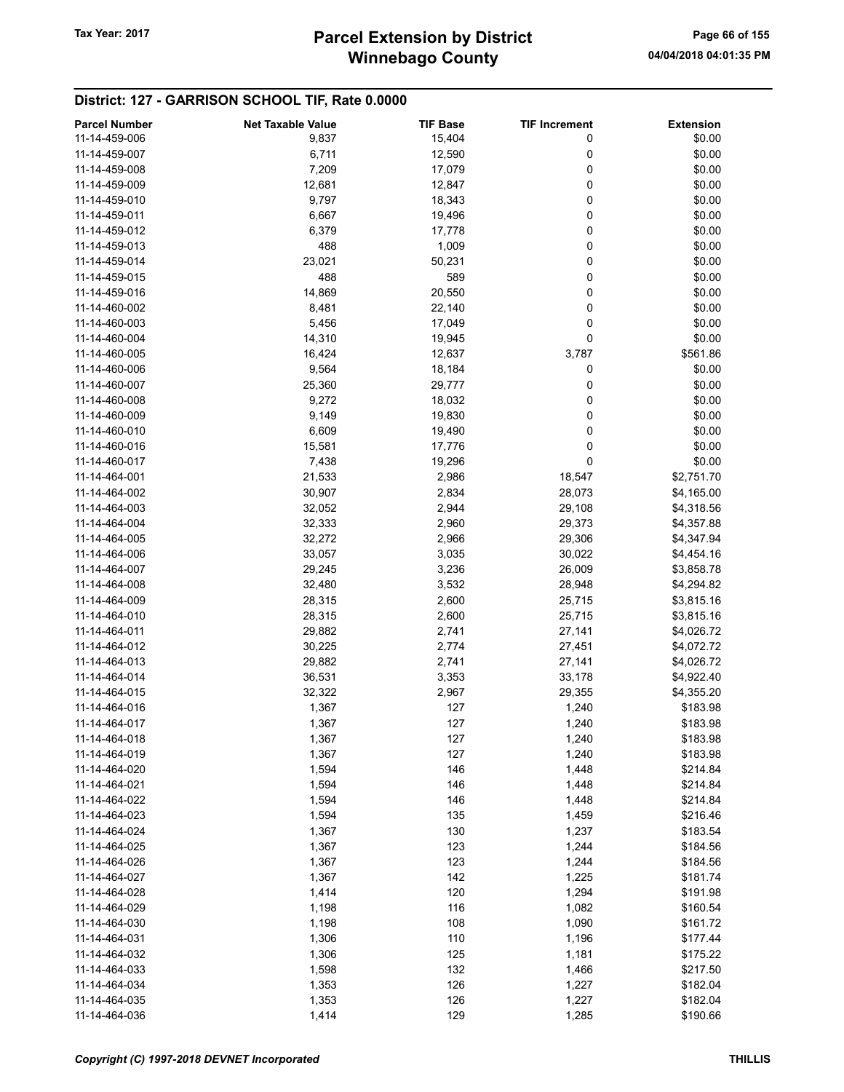# Winnebago County Tax Year: 2017 **Parcel Extension by District** Page 66 of 155

### District: 127 - GARRISON SCHOOL TIF, Rate 0.0000

| <b>Parcel Number</b>           | <b>Net Taxable Value</b> | <b>TIF Base</b> | <b>TIF Increment</b> | <b>Extension</b>     |
|--------------------------------|--------------------------|-----------------|----------------------|----------------------|
| 11-14-459-006                  | 9,837                    | 15,404          | 0                    | \$0.00               |
| 11-14-459-007                  | 6,711                    | 12,590          | 0                    | \$0.00               |
| 11-14-459-008                  | 7,209                    | 17,079          | 0                    | \$0.00               |
| 11-14-459-009                  | 12,681                   | 12,847          | 0                    | \$0.00               |
| 11-14-459-010                  | 9,797                    | 18,343          | 0                    | \$0.00               |
| 11-14-459-011                  | 6,667                    | 19,496          | 0                    | \$0.00               |
| 11-14-459-012                  | 6,379                    | 17,778          | 0                    | \$0.00               |
| 11-14-459-013                  | 488                      | 1,009           | 0                    | \$0.00               |
| 11-14-459-014                  | 23,021                   | 50,231          | 0                    | \$0.00               |
| 11-14-459-015                  | 488                      | 589             | 0                    | \$0.00               |
| 11-14-459-016                  | 14,869                   | 20,550          | 0                    | \$0.00               |
| 11-14-460-002                  | 8,481                    | 22,140          | 0                    | \$0.00               |
| 11-14-460-003                  | 5,456                    | 17,049          | 0                    | \$0.00               |
| 11-14-460-004                  | 14,310                   | 19,945          | 0                    | \$0.00               |
| 11-14-460-005                  | 16,424                   | 12,637          | 3,787                | \$561.86             |
| 11-14-460-006                  | 9,564                    | 18,184          | 0                    | \$0.00               |
| 11-14-460-007                  | 25,360                   | 29,777          | 0                    | \$0.00               |
| 11-14-460-008                  | 9,272                    | 18,032          | 0                    | \$0.00               |
| 11-14-460-009                  | 9,149                    | 19,830          | 0                    | \$0.00               |
| 11-14-460-010                  | 6,609                    | 19,490          | 0                    | \$0.00               |
| 11-14-460-016                  | 15,581                   | 17,776          | 0                    | \$0.00               |
| 11-14-460-017                  | 7,438                    | 19,296          | 0                    | \$0.00               |
| 11-14-464-001                  | 21,533                   | 2,986           | 18,547               | \$2,751.70           |
| 11-14-464-002                  | 30,907                   | 2,834           | 28,073               | \$4,165.00           |
| 11-14-464-003                  | 32,052                   | 2,944           | 29,108               | \$4,318.56           |
| 11-14-464-004                  | 32,333                   | 2,960           | 29,373               | \$4,357.88           |
| 11-14-464-005                  | 32,272                   | 2,966           | 29,306               | \$4,347.94           |
| 11-14-464-006                  | 33,057                   | 3,035           | 30,022               | \$4,454.16           |
| 11-14-464-007                  | 29,245                   | 3,236           | 26,009               | \$3,858.78           |
| 11-14-464-008                  | 32,480                   | 3,532           | 28,948               | \$4,294.82           |
| 11-14-464-009                  | 28,315                   | 2,600           | 25,715               | \$3,815.16           |
| 11-14-464-010                  | 28,315                   | 2,600           | 25,715               | \$3,815.16           |
| 11-14-464-011                  | 29,882                   | 2,741           | 27,141               | \$4,026.72           |
| 11-14-464-012                  | 30,225                   | 2,774           | 27,451               | \$4,072.72           |
| 11-14-464-013                  | 29,882                   | 2,741           | 27,141               | \$4,026.72           |
| 11-14-464-014                  | 36,531                   | 3,353           | 33,178               | \$4,922.40           |
| 11-14-464-015                  | 32,322                   | 2,967           | 29,355               | \$4,355.20           |
| 11-14-464-016                  | 1,367                    | 127             | 1,240                | \$183.98             |
| 11-14-464-017                  | 1,367                    | 127             | 1,240                | \$183.98             |
| 11-14-464-018                  | 1,367                    | 127             | 1,240                | \$183.98             |
| 11-14-464-019                  | 1,367                    | 127             | 1,240                | \$183.98             |
| 11-14-464-020                  | 1,594                    | 146             | 1,448                | \$214.84             |
| 11-14-464-021                  | 1,594                    | 146             | 1,448                | \$214.84             |
| 11-14-464-022                  |                          | 146             |                      |                      |
| 11-14-464-023                  | 1,594                    |                 | 1,448                | \$214.84             |
| 11-14-464-024                  | 1,594                    | 135             | 1,459                | \$216.46<br>\$183.54 |
| 11-14-464-025                  | 1,367                    | 130             | 1,237                |                      |
| 11-14-464-026                  | 1,367                    | 123             | 1,244                | \$184.56             |
| 11-14-464-027                  | 1,367                    | 123<br>142      | 1,244                | \$184.56             |
|                                | 1,367                    |                 | 1,225                | \$181.74             |
| 11-14-464-028<br>11-14-464-029 | 1,414                    | 120             | 1,294                | \$191.98             |
|                                | 1,198                    | 116             | 1,082                | \$160.54             |
| 11-14-464-030                  | 1,198                    | 108             | 1,090                | \$161.72             |
| 11-14-464-031                  | 1,306                    | 110             | 1,196                | \$177.44             |
| 11-14-464-032                  | 1,306                    | 125             | 1,181                | \$175.22             |
| 11-14-464-033                  | 1,598                    | 132             | 1,466                | \$217.50             |
| 11-14-464-034                  | 1,353                    | 126             | 1,227                | \$182.04             |
| 11-14-464-035                  | 1,353                    | 126             | 1,227                | \$182.04             |
| 11-14-464-036                  | 1,414                    | 129             | 1,285                | \$190.66             |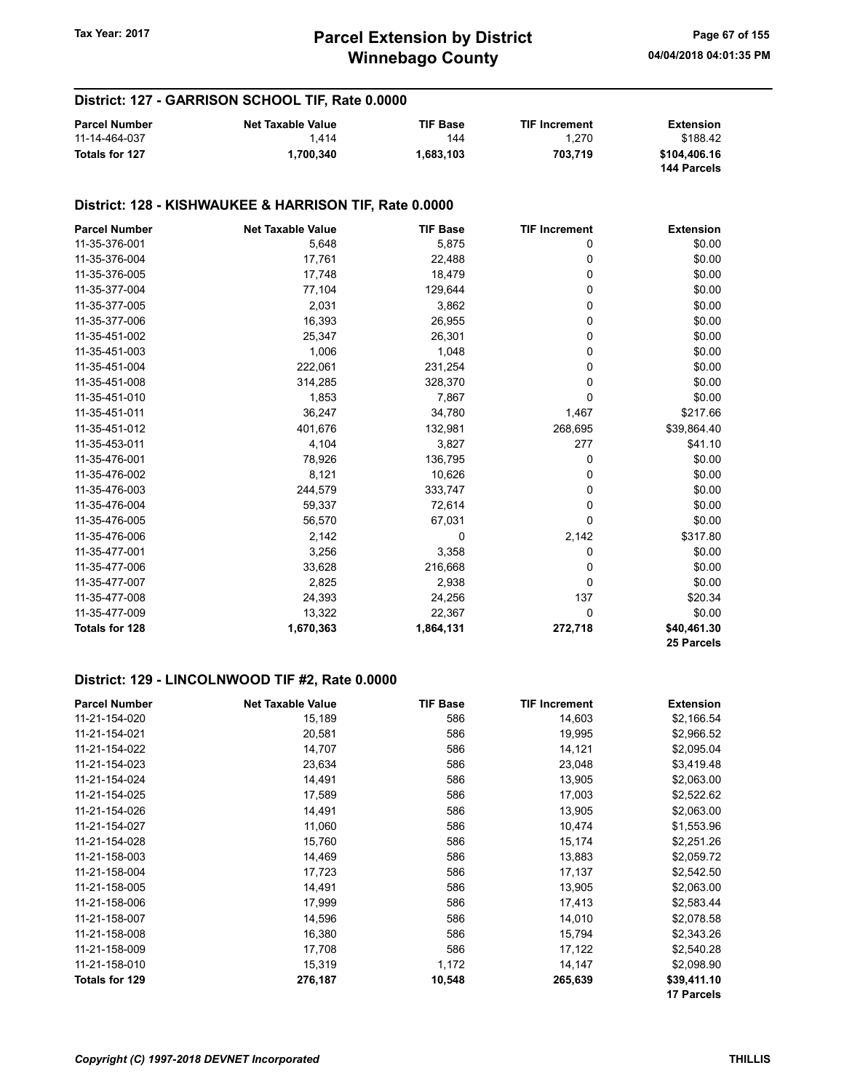## Winnebago County Tax Year: 2017 **Parcel Extension by District** Page 67 of 155

#### District: 127 - GARRISON SCHOOL TIF, Rate 0.0000

| <b>Parcel Number</b> | <b>Net Taxable Value</b> | <b>TIF Base</b> | <b>TIF Increment</b> | Extension                   |
|----------------------|--------------------------|-----------------|----------------------|-----------------------------|
| 11-14-464-037        | 1.414                    | 144             | 1.270                | \$188.42                    |
| Totals for 127       | 1.700.340                | 1.683.103       | 703.719              | \$104,406.16<br>144 Parcels |

#### District: 128 - KISHWAUKEE & HARRISON TIF, Rate 0.0000

| <b>Parcel Number</b>  | <b>Net Taxable Value</b> | <b>TIF Base</b> | <b>TIF Increment</b> | <b>Extension</b> |
|-----------------------|--------------------------|-----------------|----------------------|------------------|
| 11-35-376-001         | 5,648                    | 5,875           | 0                    | \$0.00           |
| 11-35-376-004         | 17,761                   | 22,488          | 0                    | \$0.00           |
| 11-35-376-005         | 17,748                   | 18,479          | 0                    | \$0.00           |
| 11-35-377-004         | 77,104                   | 129,644         | 0                    | \$0.00           |
| 11-35-377-005         | 2,031                    | 3,862           | 0                    | \$0.00           |
| 11-35-377-006         | 16,393                   | 26,955          | 0                    | \$0.00           |
| 11-35-451-002         | 25,347                   | 26,301          | 0                    | \$0.00           |
| 11-35-451-003         | 1,006                    | 1,048           | 0                    | \$0.00           |
| 11-35-451-004         | 222,061                  | 231,254         | 0                    | \$0.00           |
| 11-35-451-008         | 314,285                  | 328,370         | 0                    | \$0.00           |
| 11-35-451-010         | 1,853                    | 7,867           | 0                    | \$0.00           |
| 11-35-451-011         | 36,247                   | 34,780          | 1,467                | \$217.66         |
| 11-35-451-012         | 401,676                  | 132,981         | 268,695              | \$39,864.40      |
| 11-35-453-011         | 4,104                    | 3,827           | 277                  | \$41.10          |
| 11-35-476-001         | 78,926                   | 136,795         | 0                    | \$0.00           |
| 11-35-476-002         | 8,121                    | 10,626          | 0                    | \$0.00           |
| 11-35-476-003         | 244,579                  | 333,747         | 0                    | \$0.00           |
| 11-35-476-004         | 59,337                   | 72,614          | 0                    | \$0.00           |
| 11-35-476-005         | 56,570                   | 67,031          | 0                    | \$0.00           |
| 11-35-476-006         | 2,142                    | 0               | 2,142                | \$317.80         |
| 11-35-477-001         | 3,256                    | 3,358           | 0                    | \$0.00           |
| 11-35-477-006         | 33,628                   | 216,668         | 0                    | \$0.00           |
| 11-35-477-007         | 2,825                    | 2,938           | 0                    | \$0.00           |
| 11-35-477-008         | 24,393                   | 24,256          | 137                  | \$20.34          |
| 11-35-477-009         | 13,322                   | 22,367          | 0                    | \$0.00           |
| <b>Totals for 128</b> | 1,670,363                | 1,864,131       | 272,718              | \$40,461.30      |
|                       |                          |                 |                      | 25 Parcels       |

### District: 129 - LINCOLNWOOD TIF #2, Rate 0.0000

| <b>Parcel Number</b> | <b>Net Taxable Value</b> | <b>TIF Base</b> | <b>TIF Increment</b> | <b>Extension</b> |
|----------------------|--------------------------|-----------------|----------------------|------------------|
| 11-21-154-020        | 15,189                   | 586             | 14,603               | \$2,166.54       |
| 11-21-154-021        | 20,581                   | 586             | 19,995               | \$2,966.52       |
| 11-21-154-022        | 14,707                   | 586             | 14,121               | \$2,095.04       |
| 11-21-154-023        | 23,634                   | 586             | 23,048               | \$3,419.48       |
| 11-21-154-024        | 14,491                   | 586             | 13,905               | \$2,063.00       |
| 11-21-154-025        | 17,589                   | 586             | 17,003               | \$2,522.62       |
| 11-21-154-026        | 14,491                   | 586             | 13,905               | \$2,063.00       |
| 11-21-154-027        | 11,060                   | 586             | 10,474               | \$1,553.96       |
| 11-21-154-028        | 15,760                   | 586             | 15,174               | \$2,251.26       |
| 11-21-158-003        | 14,469                   | 586             | 13,883               | \$2,059.72       |
| 11-21-158-004        | 17,723                   | 586             | 17,137               | \$2,542.50       |
| 11-21-158-005        | 14,491                   | 586             | 13,905               | \$2,063.00       |
| 11-21-158-006        | 17,999                   | 586             | 17,413               | \$2,583.44       |
| 11-21-158-007        | 14,596                   | 586             | 14,010               | \$2,078.58       |
| 11-21-158-008        | 16,380                   | 586             | 15,794               | \$2,343.26       |
| 11-21-158-009        | 17,708                   | 586             | 17,122               | \$2,540.28       |
| 11-21-158-010        | 15,319                   | 1,172           | 14,147               | \$2,098.90       |
| Totals for 129       | 276,187                  | 10,548          | 265,639              | \$39,411.10      |
|                      |                          |                 |                      | 17 Parcels       |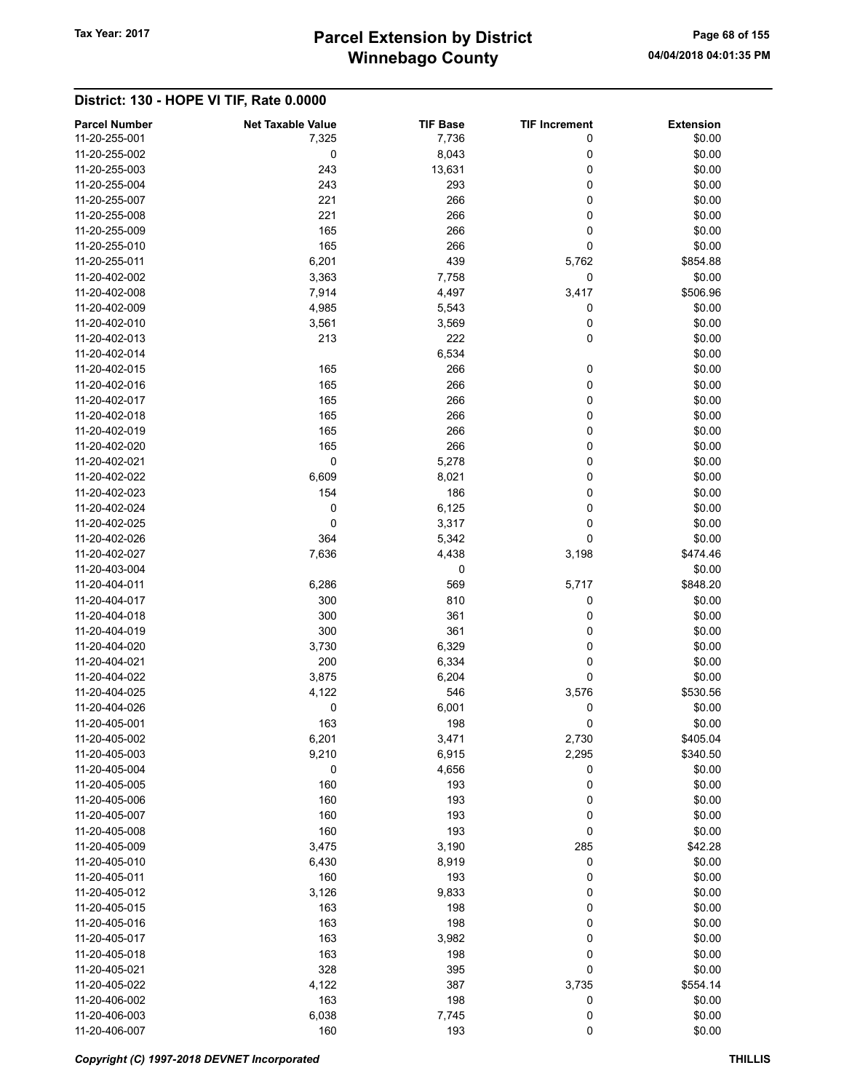# Winnebago County Tax Year: 2017 **Parcel Extension by District** Page 68 of 155

| <b>Parcel Number</b> | <b>Net Taxable Value</b> | <b>TIF Base</b> | <b>TIF Increment</b> | <b>Extension</b> |
|----------------------|--------------------------|-----------------|----------------------|------------------|
| 11-20-255-001        | 7,325                    | 7,736           | 0                    | \$0.00           |
| 11-20-255-002        | 0                        | 8,043           | 0                    | \$0.00           |
| 11-20-255-003        | 243                      | 13,631          | 0                    | \$0.00           |
| 11-20-255-004        | 243                      | 293             | 0                    | \$0.00           |
| 11-20-255-007        | 221                      | 266             | 0                    | \$0.00           |
| 11-20-255-008        | 221                      | 266             | 0                    | \$0.00           |
| 11-20-255-009        | 165                      | 266             | 0                    | \$0.00           |
| 11-20-255-010        | 165                      | 266             | 0                    | \$0.00           |
| 11-20-255-011        | 6,201                    | 439             | 5,762                | \$854.88         |
| 11-20-402-002        | 3,363                    | 7,758           | 0                    | \$0.00           |
| 11-20-402-008        | 7,914                    | 4,497           | 3,417                | \$506.96         |
| 11-20-402-009        | 4,985                    | 5,543           | 0                    | \$0.00           |
| 11-20-402-010        | 3,561                    | 3,569           | 0                    | \$0.00           |
| 11-20-402-013        | 213                      | 222             | 0                    | \$0.00           |
| 11-20-402-014        |                          | 6,534           |                      | \$0.00           |
| 11-20-402-015        | 165                      | 266             | 0                    | \$0.00           |
| 11-20-402-016        | 165                      | 266             | 0                    | \$0.00           |
| 11-20-402-017        | 165                      | 266             | 0                    | \$0.00           |
| 11-20-402-018        | 165                      | 266             | 0                    | \$0.00           |
| 11-20-402-019        | 165                      | 266             | 0                    | \$0.00           |
| 11-20-402-020        | 165                      | 266             | 0                    | \$0.00           |
| 11-20-402-021        | $\pmb{0}$                | 5,278           | 0                    | \$0.00           |
| 11-20-402-022        | 6,609                    | 8,021           | 0                    | \$0.00           |
| 11-20-402-023        | 154                      | 186             | 0                    | \$0.00           |
| 11-20-402-024        | 0                        | 6,125           | 0                    | \$0.00           |
| 11-20-402-025        | 0                        | 3,317           | 0                    | \$0.00           |
| 11-20-402-026        | 364                      | 5,342           | 0                    | \$0.00           |
| 11-20-402-027        | 7,636                    | 4,438           | 3,198                | \$474.46         |
| 11-20-403-004        |                          | 0               |                      | \$0.00           |
| 11-20-404-011        | 6,286                    | 569             | 5,717                | \$848.20         |
| 11-20-404-017        | 300                      | 810             | 0                    | \$0.00           |
| 11-20-404-018        | 300                      | 361             | 0                    | \$0.00           |
| 11-20-404-019        | 300                      | 361             | 0                    | \$0.00           |
| 11-20-404-020        | 3,730                    | 6,329           | 0                    | \$0.00           |
| 11-20-404-021        | 200                      | 6,334           | 0                    | \$0.00           |
| 11-20-404-022        | 3,875                    | 6,204           | 0                    | \$0.00           |
| 11-20-404-025        | 4,122                    | 546             | 3,576                | \$530.56         |
| 11-20-404-026        | 0                        | 6,001           | 0                    | \$0.00           |
| 11-20-405-001        | 163                      | 198             | 0                    | \$0.00           |
| 11-20-405-002        | 6,201                    | 3,471           | 2,730                | \$405.04         |
| 11-20-405-003        | 9,210                    | 6,915           | 2,295                | \$340.50         |
| 11-20-405-004        | 0                        | 4,656           | 0                    | \$0.00           |
| 11-20-405-005        | 160                      | 193             | 0                    | \$0.00           |
| 11-20-405-006        | 160                      | 193             | 0                    | \$0.00           |
| 11-20-405-007        | 160                      | 193             | 0                    | \$0.00           |
| 11-20-405-008        | 160                      | 193             | 0                    | \$0.00           |
| 11-20-405-009        | 3,475                    | 3,190           | 285                  | \$42.28          |
| 11-20-405-010        | 6,430                    | 8,919           | $\pmb{0}$            | \$0.00           |
| 11-20-405-011        | 160                      | 193             | 0                    | \$0.00           |
| 11-20-405-012        | 3,126                    | 9,833           | 0                    | \$0.00           |
| 11-20-405-015        | 163                      | 198             | 0                    | \$0.00           |
| 11-20-405-016        | 163                      | 198             | 0                    | \$0.00           |
| 11-20-405-017        | 163                      | 3,982           | 0                    | \$0.00           |
| 11-20-405-018        | 163                      | 198             | 0                    | \$0.00           |
| 11-20-405-021        | 328                      | 395             | $\pmb{0}$            | \$0.00           |
| 11-20-405-022        | 4,122                    | 387             | 3,735                | \$554.14         |
| 11-20-406-002        | 163                      | 198             | 0                    | \$0.00           |
| 11-20-406-003        | 6,038                    | 7,745           | 0                    | \$0.00           |
| 11-20-406-007        | 160                      | 193             | 0                    | \$0.00           |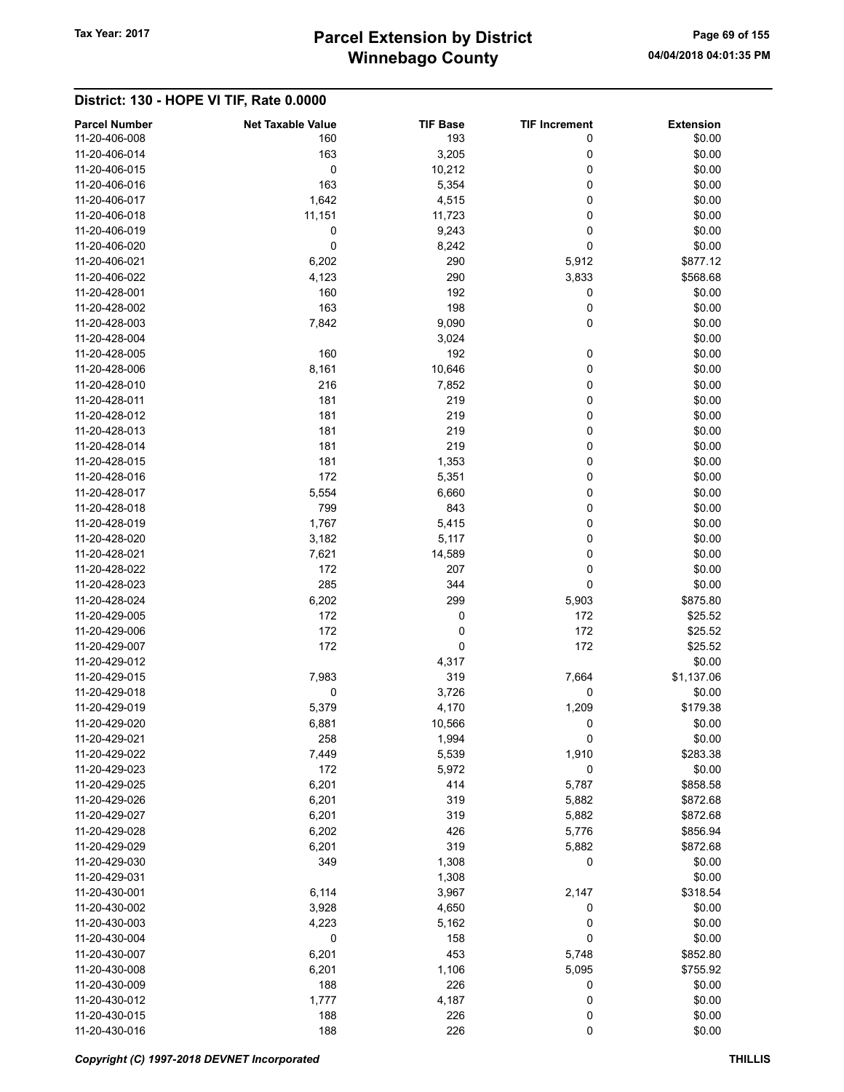# Winnebago County Tax Year: 2017 **Parcel Extension by District** Page 69 of 155

| <b>Parcel Number</b><br>11-20-406-008 | <b>Net Taxable Value</b><br>160 | <b>TIF Base</b><br>193 | <b>TIF Increment</b><br>0 | <b>Extension</b><br>\$0.00 |
|---------------------------------------|---------------------------------|------------------------|---------------------------|----------------------------|
| 11-20-406-014                         | 163                             | 3,205                  | 0                         | \$0.00                     |
| 11-20-406-015                         | 0                               | 10,212                 | 0                         | \$0.00                     |
| 11-20-406-016                         | 163                             | 5,354                  | 0                         | \$0.00                     |
| 11-20-406-017                         | 1,642                           | 4,515                  | 0                         | \$0.00                     |
| 11-20-406-018                         | 11,151                          | 11,723                 | 0                         | \$0.00                     |
| 11-20-406-019                         | 0                               | 9,243                  | 0                         | \$0.00                     |
| 11-20-406-020                         | $\mathbf 0$                     | 8,242                  | 0                         | \$0.00                     |
| 11-20-406-021                         | 6,202                           | 290                    | 5,912                     | \$877.12                   |
| 11-20-406-022                         | 4,123                           | 290                    | 3,833                     | \$568.68                   |
| 11-20-428-001                         | 160                             | 192                    | 0                         | \$0.00                     |
| 11-20-428-002                         | 163                             | 198                    | 0                         | \$0.00                     |
| 11-20-428-003                         | 7,842                           | 9,090                  | 0                         | \$0.00                     |
| 11-20-428-004                         |                                 | 3,024                  |                           | \$0.00                     |
| 11-20-428-005                         | 160                             | 192                    | 0                         | \$0.00                     |
| 11-20-428-006                         | 8,161                           | 10,646                 | 0                         | \$0.00                     |
| 11-20-428-010                         | 216                             | 7,852                  | 0                         | \$0.00                     |
| 11-20-428-011                         | 181                             | 219                    | 0                         | \$0.00                     |
| 11-20-428-012                         | 181                             | 219                    | 0                         | \$0.00                     |
| 11-20-428-013                         | 181                             | 219                    | 0                         | \$0.00                     |
| 11-20-428-014                         | 181                             | 219                    | 0                         | \$0.00                     |
| 11-20-428-015                         | 181                             | 1,353                  | 0                         | \$0.00                     |
| 11-20-428-016                         | 172                             | 5,351                  | 0                         | \$0.00                     |
| 11-20-428-017                         | 5,554                           | 6,660                  | 0                         | \$0.00                     |
| 11-20-428-018                         | 799                             | 843                    | 0                         |                            |
| 11-20-428-019                         |                                 |                        | 0                         | \$0.00<br>\$0.00           |
| 11-20-428-020                         | 1,767                           | 5,415                  | 0                         | \$0.00                     |
| 11-20-428-021                         | 3,182<br>7,621                  | 5,117<br>14,589        | 0                         | \$0.00                     |
| 11-20-428-022                         | 172                             | 207                    | 0                         | \$0.00                     |
| 11-20-428-023                         | 285                             | 344                    | 0                         | \$0.00                     |
| 11-20-428-024                         | 6,202                           | 299                    |                           | \$875.80                   |
| 11-20-429-005                         | 172                             | 0                      | 5,903<br>172              |                            |
| 11-20-429-006                         | 172                             | 0                      | 172                       | \$25.52<br>\$25.52         |
| 11-20-429-007                         | 172                             | 0                      | 172                       | \$25.52                    |
| 11-20-429-012                         |                                 | 4,317                  |                           | \$0.00                     |
| 11-20-429-015                         | 7,983                           | 319                    | 7,664                     | \$1,137.06                 |
| 11-20-429-018                         | 0                               | 3,726                  | 0                         | \$0.00                     |
| 11-20-429-019                         | 5,379                           | 4,170                  | 1,209                     | \$179.38                   |
| 11-20-429-020                         | 6,881                           | 10,566                 | 0                         | \$0.00                     |
| 11-20-429-021                         | 258                             | 1,994                  | 0                         | \$0.00                     |
| 11-20-429-022                         | 7,449                           | 5,539                  | 1,910                     | \$283.38                   |
| 11-20-429-023                         | 172                             | 5,972                  | 0                         | \$0.00                     |
| 11-20-429-025                         | 6,201                           | 414                    | 5,787                     | \$858.58                   |
| 11-20-429-026                         | 6,201                           | 319                    | 5,882                     | \$872.68                   |
| 11-20-429-027                         | 6,201                           | 319                    | 5,882                     | \$872.68                   |
| 11-20-429-028                         | 6,202                           | 426                    | 5,776                     | \$856.94                   |
| 11-20-429-029                         | 6,201                           | 319                    | 5,882                     | \$872.68                   |
| 11-20-429-030                         | 349                             | 1,308                  | 0                         | \$0.00                     |
| 11-20-429-031                         |                                 | 1,308                  |                           | \$0.00                     |
| 11-20-430-001                         | 6,114                           | 3,967                  | 2,147                     | \$318.54                   |
| 11-20-430-002                         | 3,928                           | 4,650                  | 0                         | \$0.00                     |
| 11-20-430-003                         | 4,223                           | 5,162                  | 0                         | \$0.00                     |
| 11-20-430-004                         | 0                               | 158                    | 0                         | \$0.00                     |
| 11-20-430-007                         | 6,201                           | 453                    | 5,748                     | \$852.80                   |
| 11-20-430-008                         | 6,201                           | 1,106                  | 5,095                     | \$755.92                   |
| 11-20-430-009                         | 188                             | 226                    | 0                         | \$0.00                     |
| 11-20-430-012                         | 1,777                           | 4,187                  | 0                         | \$0.00                     |
| 11-20-430-015                         | 188                             | 226                    | 0                         | \$0.00                     |
| 11-20-430-016                         | 188                             | 226                    | 0                         | \$0.00                     |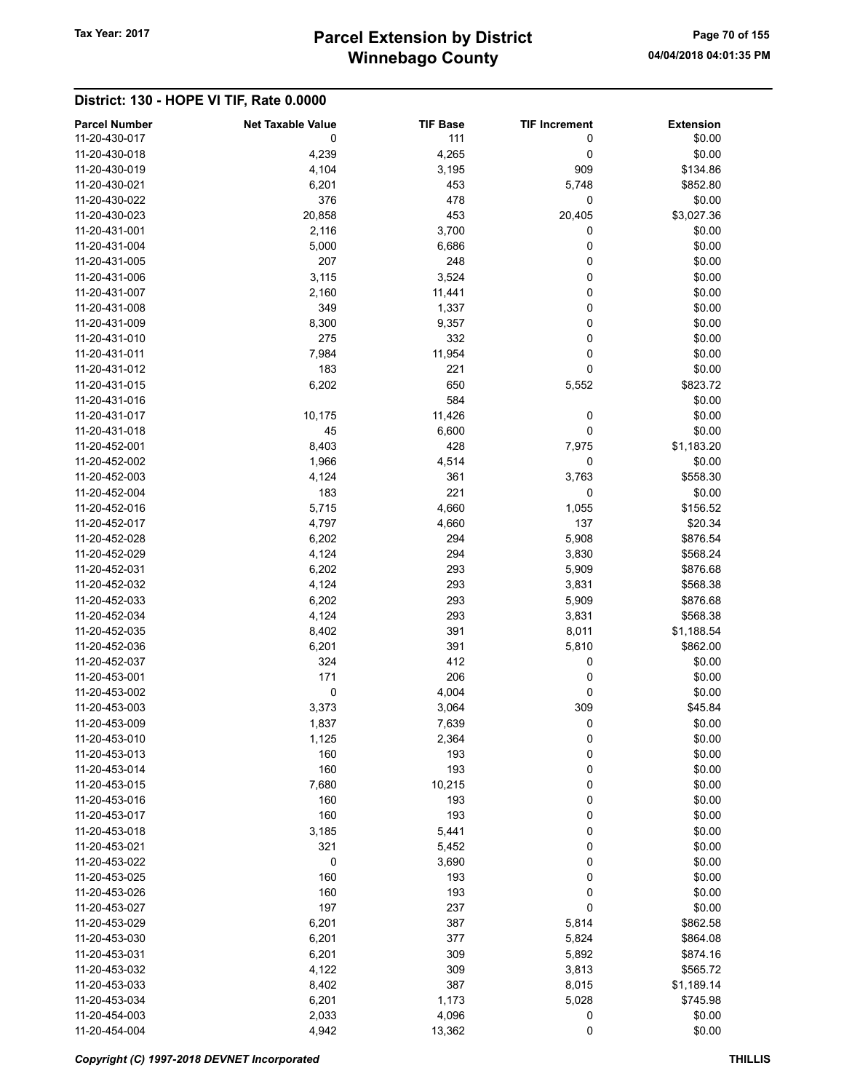# Winnebago County Tax Year: 2017 **Parcel Extension by District** Page 70 of 155

|                                       |                               |                        |                           | <b>Extension</b> |
|---------------------------------------|-------------------------------|------------------------|---------------------------|------------------|
| <b>Parcel Number</b><br>11-20-430-017 | <b>Net Taxable Value</b><br>0 | <b>TIF Base</b><br>111 | <b>TIF Increment</b><br>0 | \$0.00           |
| 11-20-430-018                         | 4,239                         |                        | $\mathbf 0$               | \$0.00           |
|                                       |                               | 4,265                  |                           |                  |
| 11-20-430-019                         | 4,104                         | 3,195                  | 909                       | \$134.86         |
| 11-20-430-021                         | 6,201                         | 453                    | 5,748                     | \$852.80         |
| 11-20-430-022                         | 376                           | 478                    | $\pmb{0}$                 | \$0.00           |
| 11-20-430-023                         | 20,858                        | 453                    | 20,405                    | \$3,027.36       |
| 11-20-431-001                         | 2,116                         | 3,700                  | 0                         | \$0.00           |
| 11-20-431-004                         | 5,000                         | 6,686                  | 0                         | \$0.00           |
| 11-20-431-005                         | 207                           | 248                    | 0                         | \$0.00           |
| 11-20-431-006                         | 3,115                         | 3,524                  | 0                         | \$0.00           |
| 11-20-431-007                         | 2,160                         | 11,441                 | 0                         | \$0.00           |
| 11-20-431-008                         | 349                           | 1,337                  | 0                         | \$0.00           |
| 11-20-431-009                         | 8,300                         | 9,357                  | 0                         | \$0.00           |
| 11-20-431-010                         | 275                           | 332                    | 0                         | \$0.00           |
| 11-20-431-011                         | 7,984                         | 11,954                 | 0                         | \$0.00           |
| 11-20-431-012                         | 183                           | 221                    | 0                         | \$0.00           |
| 11-20-431-015                         | 6,202                         | 650                    | 5,552                     | \$823.72         |
| 11-20-431-016                         |                               | 584                    |                           | \$0.00           |
| 11-20-431-017                         | 10,175                        | 11,426                 | 0                         | \$0.00           |
| 11-20-431-018                         | 45                            | 6,600                  | 0                         | \$0.00           |
| 11-20-452-001                         | 8,403                         | 428                    | 7,975                     | \$1,183.20       |
| 11-20-452-002                         | 1,966                         | 4,514                  | 0                         | \$0.00           |
| 11-20-452-003                         | 4,124                         | 361                    | 3,763                     | \$558.30         |
| 11-20-452-004                         | 183                           | 221                    | 0                         | \$0.00           |
| 11-20-452-016                         | 5,715                         | 4,660                  | 1,055                     | \$156.52         |
| 11-20-452-017                         | 4,797                         | 4,660                  | 137                       | \$20.34          |
| 11-20-452-028                         | 6,202                         | 294                    | 5,908                     | \$876.54         |
| 11-20-452-029                         | 4,124                         | 294                    | 3,830                     | \$568.24         |
| 11-20-452-031                         | 6,202                         | 293                    | 5,909                     | \$876.68         |
| 11-20-452-032                         | 4,124                         | 293                    | 3,831                     | \$568.38         |
| 11-20-452-033                         | 6,202                         | 293                    | 5,909                     | \$876.68         |
| 11-20-452-034                         | 4,124                         | 293                    | 3,831                     | \$568.38         |
| 11-20-452-035                         | 8,402                         | 391                    | 8,011                     | \$1,188.54       |
| 11-20-452-036                         | 6,201                         | 391                    | 5,810                     | \$862.00         |
| 11-20-452-037                         | 324                           | 412                    | 0                         | \$0.00           |
|                                       | 171                           | 206                    | 0                         | \$0.00           |
| 11-20-453-001                         |                               |                        |                           |                  |
| 11-20-453-002                         | 0                             | 4,004                  | 0                         | \$0.00           |
| 11-20-453-003                         | 3,373                         | 3,064                  | 309                       | \$45.84          |
| 11-20-453-009                         | 1,837                         | 7,639                  | 0                         | \$0.00           |
| 11-20-453-010                         | 1,125                         | 2,364                  | 0                         | \$0.00           |
| 11-20-453-013                         | 160                           | 193                    | $\pmb{0}$                 | \$0.00           |
| 11-20-453-014                         | 160                           | 193                    | 0                         | \$0.00           |
| 11-20-453-015                         | 7,680                         | 10,215                 | 0                         | \$0.00           |
| 11-20-453-016                         | 160                           | 193                    | 0                         | \$0.00           |
| 11-20-453-017                         | 160                           | 193                    | 0                         | \$0.00           |
| 11-20-453-018                         | 3,185                         | 5,441                  | 0                         | \$0.00           |
| 11-20-453-021                         | 321                           | 5,452                  | 0                         | \$0.00           |
| 11-20-453-022                         | $\pmb{0}$                     | 3,690                  | 0                         | \$0.00           |
| 11-20-453-025                         | 160                           | 193                    | 0                         | \$0.00           |
| 11-20-453-026                         | 160                           | 193                    | 0                         | \$0.00           |
| 11-20-453-027                         | 197                           | 237                    | 0                         | \$0.00           |
| 11-20-453-029                         | 6,201                         | 387                    | 5,814                     | \$862.58         |
| 11-20-453-030                         | 6,201                         | 377                    | 5,824                     | \$864.08         |
| 11-20-453-031                         | 6,201                         | 309                    | 5,892                     | \$874.16         |
| 11-20-453-032                         | 4,122                         | 309                    | 3,813                     | \$565.72         |
| 11-20-453-033                         | 8,402                         | 387                    | 8,015                     | \$1,189.14       |
| 11-20-453-034                         | 6,201                         | 1,173                  | 5,028                     | \$745.98         |
| 11-20-454-003                         | 2,033                         | 4,096                  | 0                         | \$0.00           |
| 11-20-454-004                         | 4,942                         | 13,362                 | $\mathbf 0$               | \$0.00           |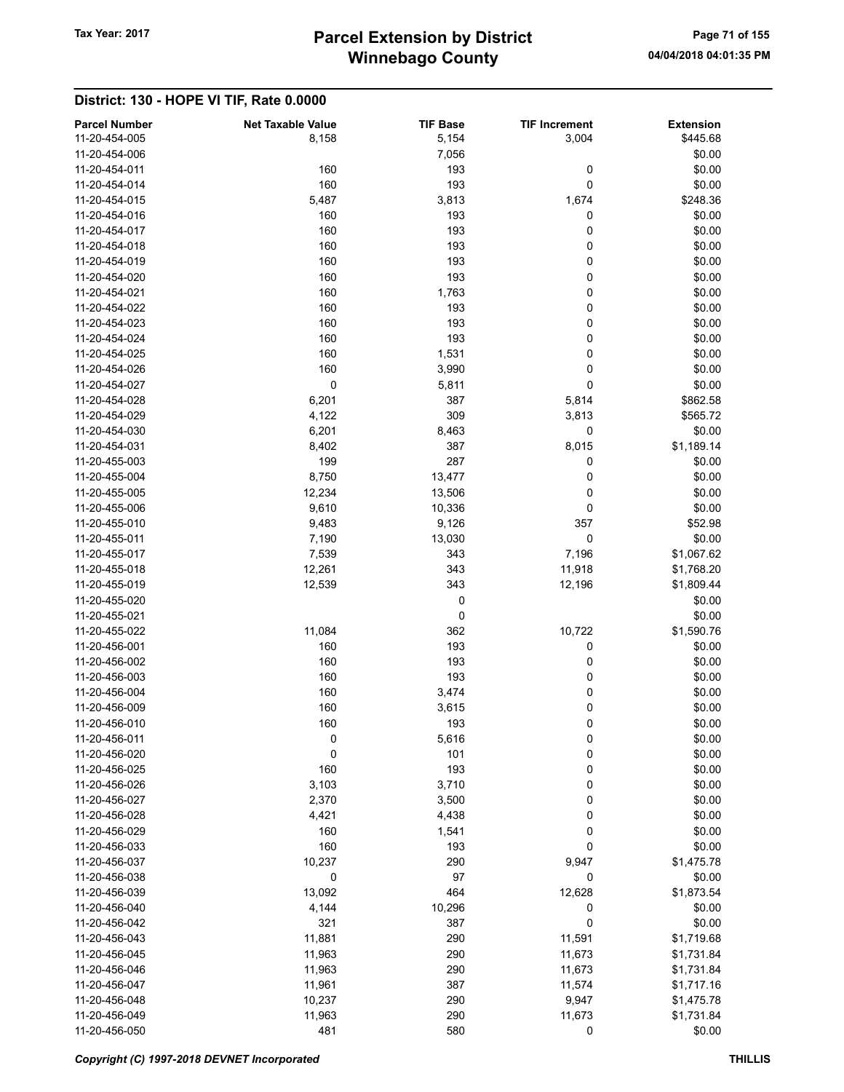| <b>Parcel Number</b> | <b>Net Taxable Value</b> | <b>TIF Base</b> | <b>TIF Increment</b> | <b>Extension</b> |
|----------------------|--------------------------|-----------------|----------------------|------------------|
| 11-20-454-005        | 8,158                    | 5,154           | 3,004                | \$445.68         |
| 11-20-454-006        |                          | 7,056           |                      | \$0.00           |
| 11-20-454-011        | 160                      | 193             | 0                    | \$0.00           |
| 11-20-454-014        | 160                      | 193             | 0                    | \$0.00           |
| 11-20-454-015        | 5,487                    | 3,813           | 1,674                | \$248.36         |
| 11-20-454-016        | 160                      | 193             | 0                    | \$0.00           |
| 11-20-454-017        | 160                      | 193             | 0                    | \$0.00           |
| 11-20-454-018        | 160                      | 193             | 0                    | \$0.00           |
| 11-20-454-019        | 160                      | 193             | 0                    | \$0.00           |
| 11-20-454-020        | 160                      | 193             | 0                    | \$0.00           |
| 11-20-454-021        | 160                      | 1,763           | 0                    | \$0.00           |
| 11-20-454-022        | 160                      | 193             | 0                    | \$0.00           |
| 11-20-454-023        | 160                      | 193             | 0                    | \$0.00           |
| 11-20-454-024        | 160                      | 193             | 0                    | \$0.00           |
| 11-20-454-025        | 160                      | 1,531           | 0                    | \$0.00           |
| 11-20-454-026        | 160                      | 3,990           | 0                    | \$0.00           |
| 11-20-454-027        | 0                        | 5,811           | 0                    | \$0.00           |
| 11-20-454-028        | 6,201                    | 387             | 5,814                | \$862.58         |
| 11-20-454-029        | 4,122                    | 309             | 3,813                | \$565.72         |
| 11-20-454-030        | 6,201                    | 8,463           | 0                    | \$0.00           |
| 11-20-454-031        | 8,402                    | 387             | 8,015                | \$1,189.14       |
| 11-20-455-003        | 199                      | 287             | 0                    | \$0.00           |
| 11-20-455-004        | 8,750                    | 13,477          | 0                    | \$0.00           |
| 11-20-455-005        | 12,234                   | 13,506          | 0                    | \$0.00           |
| 11-20-455-006        |                          |                 |                      | \$0.00           |
|                      | 9,610                    | 10,336          | 0                    |                  |
| 11-20-455-010        | 9,483                    | 9,126           | 357                  | \$52.98          |
| 11-20-455-011        | 7,190                    | 13,030          | 0                    | \$0.00           |
| 11-20-455-017        | 7,539                    | 343             | 7,196                | \$1,067.62       |
| 11-20-455-018        | 12,261                   | 343             | 11,918               | \$1,768.20       |
| 11-20-455-019        | 12,539                   | 343             | 12,196               | \$1,809.44       |
| 11-20-455-020        |                          | 0               |                      | \$0.00           |
| 11-20-455-021        |                          | 0               |                      | \$0.00           |
| 11-20-455-022        | 11,084                   | 362             | 10,722               | \$1,590.76       |
| 11-20-456-001        | 160                      | 193             | 0                    | \$0.00           |
| 11-20-456-002        | 160                      | 193             | 0                    | \$0.00           |
| 11-20-456-003        | 160                      | 193             | 0                    | \$0.00           |
| 11-20-456-004        | 160                      | 3,474           | 0                    | \$0.00           |
| 11-20-456-009        | 160                      | 3,615           | 0                    | \$0.00           |
| 11-20-456-010        | 160                      | 193             | 0                    | \$0.00           |
| 11-20-456-011        | 0                        | 5,616           | 0                    | \$0.00           |
| 11-20-456-020        | 0                        | 101             | 0                    | \$0.00           |
| 11-20-456-025        | 160                      | 193             | 0                    | \$0.00           |
| 11-20-456-026        | 3,103                    | 3,710           | 0                    | \$0.00           |
| 11-20-456-027        | 2,370                    | 3,500           | 0                    | \$0.00           |
| 11-20-456-028        | 4,421                    | 4,438           | 0                    | \$0.00           |
| 11-20-456-029        | 160                      | 1,541           | 0                    | \$0.00           |
| 11-20-456-033        | 160                      | 193             | 0                    | \$0.00           |
| 11-20-456-037        | 10,237                   | 290             | 9,947                | \$1,475.78       |
| 11-20-456-038        | 0                        | 97              | 0                    | \$0.00           |
| 11-20-456-039        | 13,092                   | 464             | 12,628               | \$1,873.54       |
| 11-20-456-040        | 4,144                    | 10,296          | 0                    | \$0.00           |
| 11-20-456-042        | 321                      | 387             | 0                    | \$0.00           |
| 11-20-456-043        | 11,881                   | 290             | 11,591               | \$1,719.68       |
| 11-20-456-045        | 11,963                   | 290             | 11,673               | \$1,731.84       |
| 11-20-456-046        | 11,963                   | 290             | 11,673               | \$1,731.84       |
| 11-20-456-047        | 11,961                   | 387             | 11,574               | \$1,717.16       |
| 11-20-456-048        | 10,237                   | 290             | 9,947                | \$1,475.78       |
| 11-20-456-049        | 11,963                   | 290             | 11,673               | \$1,731.84       |
| 11-20-456-050        | 481                      | 580             | 0                    | \$0.00           |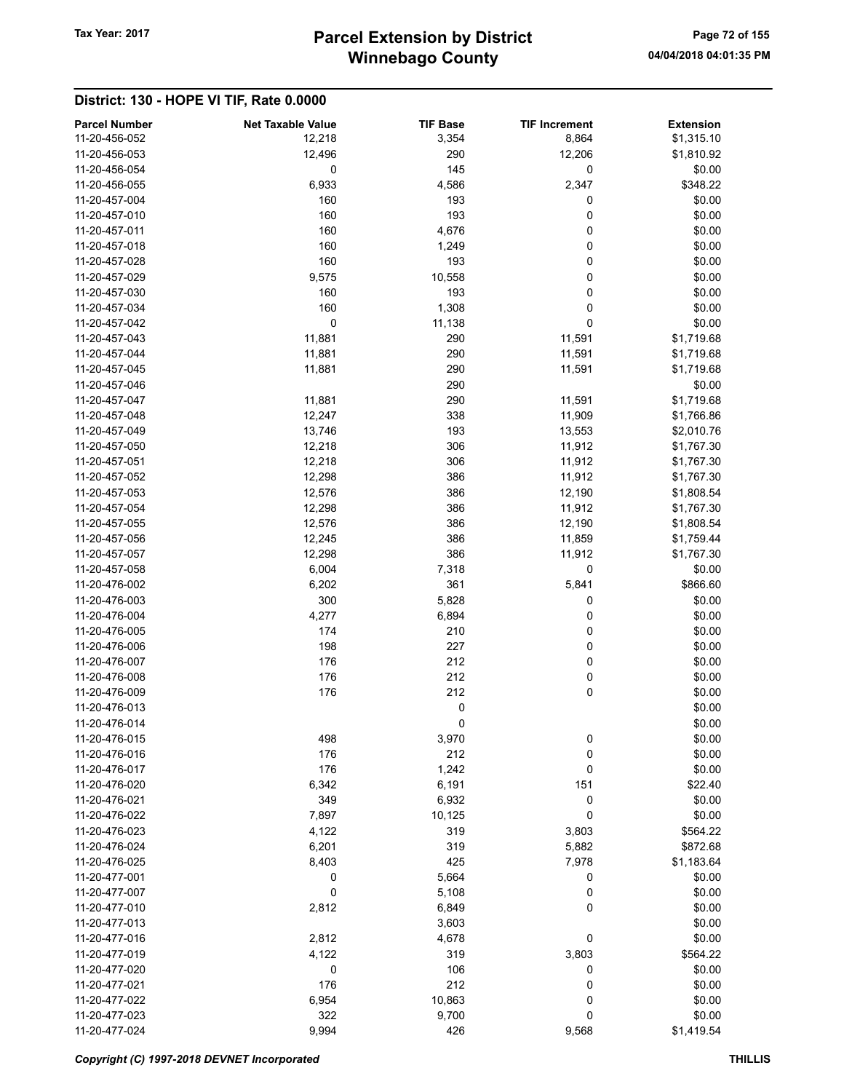# Winnebago County Tax Year: 2017 **Parcel Extension by District** Page 72 of 155

| <b>Parcel Number</b> | <b>Net Taxable Value</b> | <b>TIF Base</b> | <b>TIF Increment</b> | <b>Extension</b> |
|----------------------|--------------------------|-----------------|----------------------|------------------|
| 11-20-456-052        | 12,218                   | 3,354           | 8,864                | \$1,315.10       |
| 11-20-456-053        | 12,496                   | 290             | 12,206               | \$1,810.92       |
| 11-20-456-054        | 0                        | 145             | 0                    | \$0.00           |
| 11-20-456-055        | 6,933                    | 4,586           | 2,347                | \$348.22         |
| 11-20-457-004        | 160                      | 193             | 0                    | \$0.00           |
| 11-20-457-010        | 160                      | 193             | 0                    | \$0.00           |
| 11-20-457-011        | 160                      | 4,676           | 0                    | \$0.00           |
| 11-20-457-018        | 160                      | 1,249           | 0                    | \$0.00           |
| 11-20-457-028        | 160                      | 193             | 0                    | \$0.00           |
| 11-20-457-029        | 9,575                    | 10,558          | 0                    | \$0.00           |
| 11-20-457-030        | 160                      | 193             | 0                    | \$0.00           |
| 11-20-457-034        | 160                      | 1,308           | 0                    | \$0.00           |
| 11-20-457-042        | 0                        | 11,138          | 0                    | \$0.00           |
| 11-20-457-043        | 11,881                   | 290             | 11,591               | \$1,719.68       |
| 11-20-457-044        | 11,881                   | 290             | 11,591               | \$1,719.68       |
| 11-20-457-045        | 11,881                   | 290             | 11,591               | \$1,719.68       |
| 11-20-457-046        |                          | 290             |                      | \$0.00           |
| 11-20-457-047        | 11,881                   | 290             | 11,591               | \$1,719.68       |
| 11-20-457-048        | 12,247                   | 338             | 11,909               | \$1,766.86       |
| 11-20-457-049        | 13,746                   | 193             | 13,553               | \$2,010.76       |
| 11-20-457-050        | 12,218                   | 306             | 11,912               | \$1,767.30       |
| 11-20-457-051        | 12,218                   | 306             | 11,912               | \$1,767.30       |
| 11-20-457-052        | 12,298                   | 386             | 11,912               | \$1,767.30       |
| 11-20-457-053        | 12,576                   | 386             | 12,190               | \$1,808.54       |
| 11-20-457-054        | 12,298                   | 386             | 11,912               | \$1,767.30       |
| 11-20-457-055        | 12,576                   | 386             | 12,190               | \$1,808.54       |
| 11-20-457-056        | 12,245                   | 386             | 11,859               | \$1,759.44       |
| 11-20-457-057        | 12,298                   | 386             | 11,912               | \$1,767.30       |
| 11-20-457-058        | 6,004                    | 7,318           | $\mathbf 0$          | \$0.00           |
| 11-20-476-002        | 6,202                    | 361             | 5,841                | \$866.60         |
| 11-20-476-003        | 300                      | 5,828           | 0                    | \$0.00           |
| 11-20-476-004        | 4,277                    | 6,894           | 0                    | \$0.00           |
| 11-20-476-005        | 174                      | 210             | 0                    | \$0.00           |
| 11-20-476-006        | 198                      | 227             | 0                    | \$0.00           |
| 11-20-476-007        | 176                      | 212             | 0                    | \$0.00           |
| 11-20-476-008        | 176                      | 212             | 0                    | \$0.00           |
| 11-20-476-009        | 176                      | 212             | 0                    | \$0.00           |
| 11-20-476-013        |                          | 0               |                      | \$0.00           |
| 11-20-476-014        |                          | 0               |                      | \$0.00           |
| 11-20-476-015        | 498                      | 3,970           | 0                    | \$0.00           |
| 11-20-476-016        | 176                      | 212             | 0                    | \$0.00           |
| 11-20-476-017        | 176                      | 1,242           | 0                    | \$0.00           |
| 11-20-476-020        | 6,342                    | 6,191           | 151                  | \$22.40          |
| 11-20-476-021        | 349                      | 6,932           | $\boldsymbol{0}$     | \$0.00           |
| 11-20-476-022        | 7,897                    | 10,125          | 0                    | \$0.00           |
| 11-20-476-023        | 4,122                    | 319             | 3,803                | \$564.22         |
| 11-20-476-024        | 6,201                    | 319             | 5,882                | \$872.68         |
| 11-20-476-025        | 8,403                    | 425             | 7,978                | \$1,183.64       |
| 11-20-477-001        | 0                        | 5,664           | 0                    | \$0.00           |
| 11-20-477-007        | 0                        | 5,108           | 0                    | \$0.00           |
| 11-20-477-010        | 2,812                    | 6,849           | 0                    | \$0.00           |
| 11-20-477-013        |                          | 3,603           |                      | \$0.00           |
| 11-20-477-016        | 2,812                    | 4,678           | $\boldsymbol{0}$     | \$0.00           |
| 11-20-477-019        | 4,122                    | 319             | 3,803                | \$564.22         |
| 11-20-477-020        | 0                        | 106             | 0                    | \$0.00           |
| 11-20-477-021        | 176                      | 212             | 0                    | \$0.00           |
| 11-20-477-022        | 6,954                    | 10,863          | 0                    | \$0.00           |
| 11-20-477-023        | 322                      | 9,700           | 0                    | \$0.00           |
| 11-20-477-024        | 9,994                    | 426             | 9,568                | \$1,419.54       |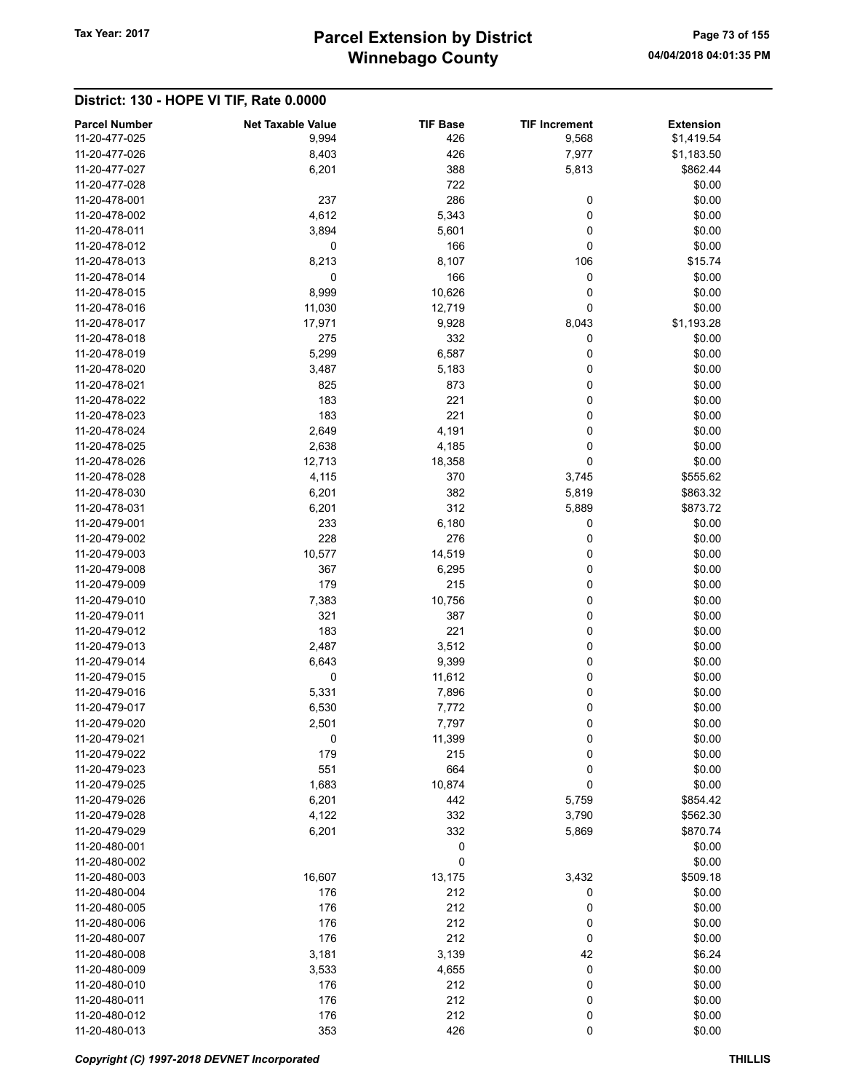# Winnebago County Tax Year: 2017 **Parcel Extension by District** Page 73 of 155

#### District: 130 - HOPE VI TIF, Rate 0.0000

| <b>Parcel Number</b><br>11-20-477-025 | <b>Net Taxable Value</b><br>9,994 | <b>TIF Base</b><br>426 | <b>TIF Increment</b><br>9,568 | <b>Extension</b><br>\$1,419.54 |
|---------------------------------------|-----------------------------------|------------------------|-------------------------------|--------------------------------|
| 11-20-477-026                         | 8,403                             | 426                    | 7,977                         | \$1,183.50                     |
| 11-20-477-027                         | 6,201                             | 388                    | 5,813                         | \$862.44                       |
| 11-20-477-028                         |                                   | 722                    |                               | \$0.00                         |
| 11-20-478-001                         | 237                               | 286                    | 0                             | \$0.00                         |
| 11-20-478-002                         | 4,612                             | 5,343                  | 0                             | \$0.00                         |
| 11-20-478-011                         | 3,894                             | 5,601                  | 0                             | \$0.00                         |
| 11-20-478-012                         | 0                                 | 166                    | 0                             | \$0.00                         |
| 11-20-478-013                         | 8,213                             | 8,107                  | 106                           | \$15.74                        |
| 11-20-478-014                         | 0                                 | 166                    | 0                             | \$0.00                         |
| 11-20-478-015                         | 8,999                             | 10,626                 | 0                             | \$0.00                         |
| 11-20-478-016                         | 11,030                            | 12,719                 | 0                             | \$0.00                         |
| 11-20-478-017                         | 17,971                            | 9,928                  | 8,043                         | \$1,193.28                     |
| 11-20-478-018                         | 275                               | 332                    | 0                             | \$0.00                         |
| 11-20-478-019                         | 5,299                             | 6,587                  | 0                             | \$0.00                         |
| 11-20-478-020                         | 3,487                             | 5,183                  | 0                             | \$0.00                         |
| 11-20-478-021                         | 825                               | 873                    | 0                             | \$0.00                         |
| 11-20-478-022                         | 183                               | 221                    | 0                             | \$0.00                         |
| 11-20-478-023                         | 183                               | 221                    | 0                             | \$0.00                         |
| 11-20-478-024                         | 2,649                             | 4,191                  | 0                             | \$0.00                         |
| 11-20-478-025                         | 2,638                             | 4,185                  | 0                             | \$0.00                         |
| 11-20-478-026                         | 12,713                            | 18,358                 | 0                             | \$0.00                         |
| 11-20-478-028                         | 4,115                             | 370                    | 3,745                         | \$555.62                       |
| 11-20-478-030                         | 6,201                             | 382                    | 5,819                         | \$863.32                       |
| 11-20-478-031                         | 6,201                             | 312                    | 5,889                         | \$873.72                       |
| 11-20-479-001                         | 233                               | 6,180                  | 0                             | \$0.00                         |
| 11-20-479-002                         | 228                               | 276                    | 0                             | \$0.00                         |
| 11-20-479-003                         | 10,577                            | 14,519                 | 0                             | \$0.00                         |
| 11-20-479-008                         | 367                               | 6,295                  | 0                             | \$0.00                         |
| 11-20-479-009                         | 179                               | 215                    | 0                             | \$0.00                         |
| 11-20-479-010                         | 7,383                             | 10,756                 | 0                             | \$0.00                         |
| 11-20-479-011                         | 321                               | 387                    | 0                             | \$0.00                         |
| 11-20-479-012                         | 183                               | 221                    | 0                             | \$0.00                         |
| 11-20-479-013                         | 2,487                             | 3,512                  | 0                             | \$0.00                         |
| 11-20-479-014                         | 6,643                             | 9,399                  | 0                             | \$0.00                         |
| 11-20-479-015                         | 0                                 | 11,612                 | 0                             | \$0.00                         |
| 11-20-479-016                         | 5,331                             | 7,896                  | 0                             | \$0.00                         |
| 11-20-479-017                         | 6,530                             | 7,772                  | 0                             | \$0.00                         |
| 11-20-479-020                         | 2,501                             | 7,797                  | 0                             | \$0.00                         |
| 11-20-479-021                         | 0                                 | 11,399                 | 0                             | \$0.00                         |
| 11-20-479-022                         | 179                               | 215                    | 0                             | \$0.00                         |
| 11-20-479-023                         | 551                               | 664                    | 0                             | \$0.00                         |
| 11-20-479-025                         | 1,683                             | 10,874                 | 0                             | \$0.00                         |
| 11-20-479-026                         | 6,201                             | 442                    | 5,759                         | \$854.42                       |
| 11-20-479-028                         | 4,122                             | 332                    | 3,790                         | \$562.30                       |
| 11-20-479-029                         | 6,201                             | 332                    | 5,869                         | \$870.74                       |
| 11-20-480-001                         |                                   | 0                      |                               | \$0.00                         |
| 11-20-480-002                         |                                   | 0                      |                               | \$0.00                         |
| 11-20-480-003                         | 16,607                            | 13,175                 | 3,432                         | \$509.18                       |
| 11-20-480-004                         | 176                               | 212                    | 0                             | \$0.00                         |
| 11-20-480-005                         | 176                               | 212                    | 0                             | \$0.00                         |
| 11-20-480-006                         | 176                               | 212                    | 0                             | \$0.00                         |
| 11-20-480-007                         | 176                               | 212                    | 0                             | \$0.00                         |
| 11-20-480-008                         | 3,181                             | 3,139                  | 42                            | \$6.24                         |
| 11-20-480-009                         | 3,533                             | 4,655                  | 0                             | \$0.00                         |
| 11-20-480-010                         | 176                               | 212                    | 0                             | \$0.00                         |
| 11-20-480-011                         | 176                               | 212                    | 0                             | \$0.00                         |
| 11-20-480-012                         | 176                               | 212                    | 0                             | \$0.00                         |
| 11-20-480-013                         | 353                               | 426                    | $\pmb{0}$                     | \$0.00                         |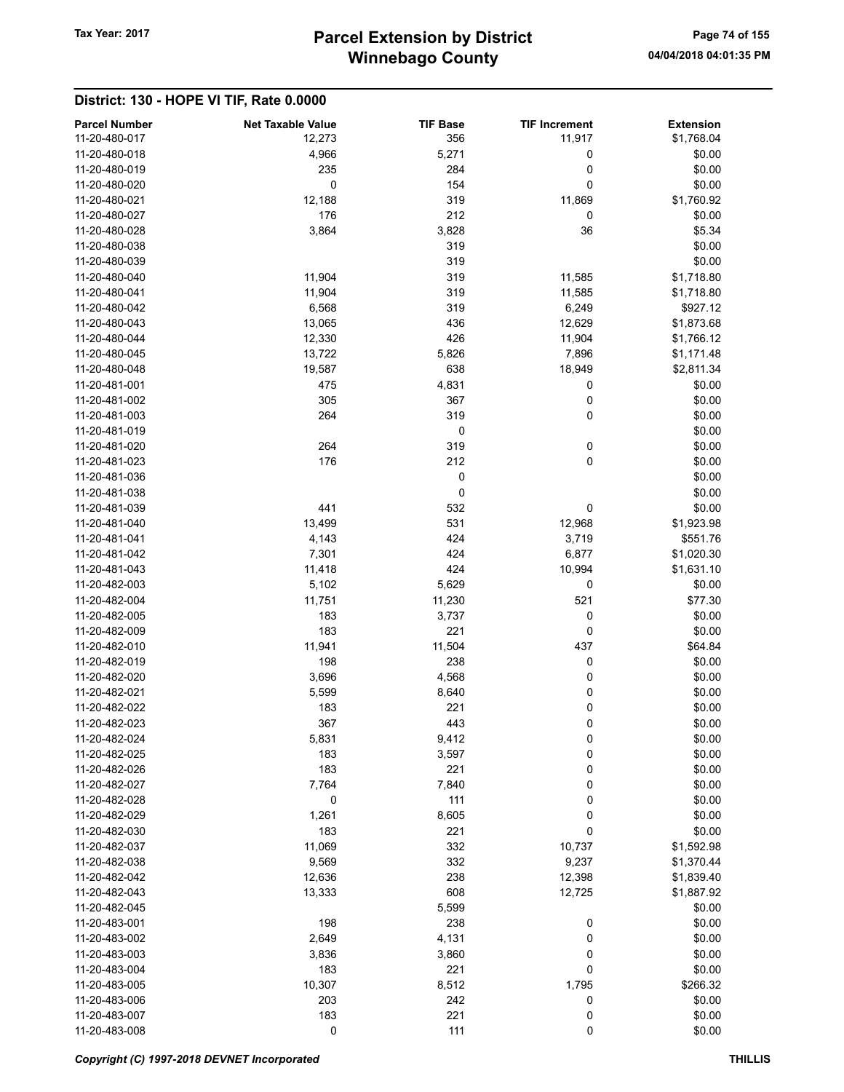#### District: 130 - HOPE VI TIF, Rate 0.0000

| <b>Parcel Number</b><br>11-20-480-017 | <b>Net Taxable Value</b><br>12,273 | <b>TIF Base</b><br>356 | <b>TIF Increment</b><br>11,917 | <b>Extension</b><br>\$1,768.04 |
|---------------------------------------|------------------------------------|------------------------|--------------------------------|--------------------------------|
| 11-20-480-018                         | 4,966                              | 5,271                  | 0                              | \$0.00                         |
| 11-20-480-019                         | 235                                | 284                    | 0                              | \$0.00                         |
| 11-20-480-020                         | 0                                  | 154                    | 0                              | \$0.00                         |
| 11-20-480-021                         | 12,188                             | 319                    | 11,869                         | \$1,760.92                     |
| 11-20-480-027                         | 176                                | 212                    | 0                              | \$0.00                         |
| 11-20-480-028                         | 3,864                              | 3,828                  | 36                             | \$5.34                         |
| 11-20-480-038                         |                                    | 319                    |                                | \$0.00                         |
| 11-20-480-039                         |                                    | 319                    |                                | \$0.00                         |
| 11-20-480-040                         | 11,904                             | 319                    | 11,585                         | \$1,718.80                     |
| 11-20-480-041                         | 11,904                             | 319                    | 11,585                         | \$1,718.80                     |
| 11-20-480-042                         | 6,568                              | 319                    | 6,249                          | \$927.12                       |
| 11-20-480-043                         | 13,065                             | 436                    | 12,629                         | \$1,873.68                     |
| 11-20-480-044                         | 12,330                             | 426                    | 11,904                         | \$1,766.12                     |
| 11-20-480-045                         | 13,722                             | 5,826                  | 7,896                          | \$1,171.48                     |
| 11-20-480-048                         | 19,587                             | 638                    | 18,949                         | \$2,811.34                     |
| 11-20-481-001                         | 475                                | 4,831                  | 0                              | \$0.00                         |
| 11-20-481-002                         | 305                                | 367                    | 0                              | \$0.00                         |
| 11-20-481-003                         | 264                                | 319                    | 0                              | \$0.00                         |
| 11-20-481-019                         |                                    | $\mathbf 0$            |                                | \$0.00                         |
| 11-20-481-020                         | 264                                | 319                    | 0                              | \$0.00                         |
| 11-20-481-023                         | 176                                | 212                    | 0                              | \$0.00                         |
| 11-20-481-036                         |                                    | 0                      |                                | \$0.00                         |
| 11-20-481-038                         |                                    | 0                      |                                | \$0.00                         |
| 11-20-481-039                         | 441                                | 532                    | 0                              | \$0.00                         |
| 11-20-481-040                         | 13,499                             | 531                    | 12,968                         | \$1,923.98                     |
| 11-20-481-041                         | 4,143                              | 424                    | 3,719                          | \$551.76                       |
| 11-20-481-042                         | 7,301                              | 424                    | 6,877                          | \$1,020.30                     |
| 11-20-481-043                         | 11,418                             | 424                    | 10,994                         | \$1,631.10                     |
| 11-20-482-003                         | 5,102                              | 5,629                  | 0                              | \$0.00                         |
| 11-20-482-004                         | 11,751                             | 11,230                 | 521                            | \$77.30                        |
| 11-20-482-005                         | 183                                | 3,737                  | 0                              | \$0.00                         |
| 11-20-482-009                         | 183                                | 221                    | 0                              | \$0.00                         |
| 11-20-482-010                         | 11,941                             | 11,504                 | 437                            | \$64.84                        |
| 11-20-482-019                         | 198                                | 238                    | 0                              | \$0.00                         |
| 11-20-482-020                         | 3,696                              | 4,568                  | 0                              | \$0.00                         |
| 11-20-482-021                         | 5,599                              | 8,640                  | 0                              | \$0.00                         |
| 11-20-482-022                         | 183                                | 221                    | 0                              | \$0.00                         |
| 11-20-482-023                         | 367                                | 443                    | 0                              | \$0.00                         |
| 11-20-482-024                         | 5,831                              | 9,412                  | 0                              | \$0.00                         |
| 11-20-482-025                         | 183                                | 3,597                  | 0                              | \$0.00                         |
| 11-20-482-026                         | 183                                | 221                    | 0                              | \$0.00                         |
| 11-20-482-027                         | 7,764                              | 7,840                  | 0                              | \$0.00                         |
| 11-20-482-028                         | 0                                  | 111                    | 0                              | \$0.00                         |
| 11-20-482-029                         | 1,261                              | 8,605                  | 0                              | \$0.00                         |
| 11-20-482-030                         | 183                                | 221                    | 0                              | \$0.00                         |
| 11-20-482-037                         | 11,069                             | 332                    | 10,737                         | \$1,592.98                     |
| 11-20-482-038                         | 9,569                              | 332                    | 9,237                          | \$1,370.44                     |
| 11-20-482-042                         | 12,636                             | 238                    | 12,398                         | \$1,839.40                     |
| 11-20-482-043                         | 13,333                             | 608                    | 12,725                         | \$1,887.92                     |
| 11-20-482-045                         |                                    | 5,599                  |                                | \$0.00                         |
| 11-20-483-001                         | 198                                | 238                    | 0                              | \$0.00                         |
| 11-20-483-002                         | 2,649                              | 4,131                  | 0                              | \$0.00                         |
| 11-20-483-003                         | 3,836                              | 3,860                  | 0                              | \$0.00                         |
| 11-20-483-004                         | 183                                | 221                    | 0                              | \$0.00                         |
| 11-20-483-005                         | 10,307                             | 8,512                  | 1,795                          | \$266.32                       |
| 11-20-483-006                         | 203                                | 242                    | 0                              | \$0.00                         |
| 11-20-483-007                         | 183                                | 221                    | 0                              | \$0.00                         |
| 11-20-483-008                         | $\pmb{0}$                          | 111                    | 0                              | \$0.00                         |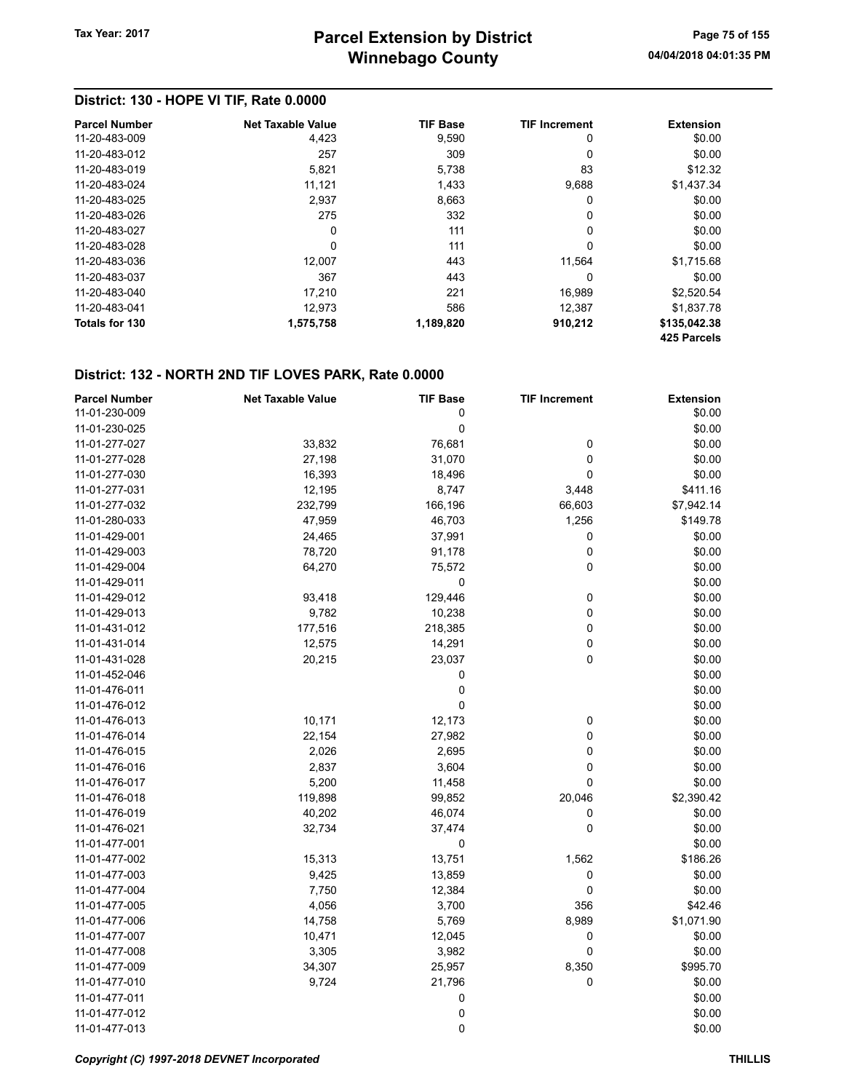# District: 130 - HOPE VI TIF, Rate 0.0000

| <b>Parcel Number</b> | <b>Net Taxable Value</b> | <b>TIF Base</b> | <b>TIF Increment</b> | <b>Extension</b>            |
|----------------------|--------------------------|-----------------|----------------------|-----------------------------|
| 11-20-483-009        | 4,423                    | 9,590           | 0                    | \$0.00                      |
| 11-20-483-012        | 257                      | 309             | 0                    | \$0.00                      |
| 11-20-483-019        | 5,821                    | 5,738           | 83                   | \$12.32                     |
| 11-20-483-024        | 11.121                   | 1,433           | 9.688                | \$1,437.34                  |
| 11-20-483-025        | 2.937                    | 8,663           | 0                    | \$0.00                      |
| 11-20-483-026        | 275                      | 332             | 0                    | \$0.00                      |
| 11-20-483-027        | 0                        | 111             | 0                    | \$0.00                      |
| 11-20-483-028        | $\Omega$                 | 111             | $\mathbf{0}$         | \$0.00                      |
| 11-20-483-036        | 12.007                   | 443             | 11.564               | \$1,715.68                  |
| 11-20-483-037        | 367                      | 443             | 0                    | \$0.00                      |
| 11-20-483-040        | 17.210                   | 221             | 16.989               | \$2,520.54                  |
| 11-20-483-041        | 12.973                   | 586             | 12,387               | \$1,837.78                  |
| Totals for 130       | 1,575,758                | 1,189,820       | 910,212              | \$135,042.38<br>425 Parcels |

| <b>Parcel Number</b> | <b>Net Taxable Value</b> | <b>TIF Base</b> | <b>TIF Increment</b> | <b>Extension</b> |
|----------------------|--------------------------|-----------------|----------------------|------------------|
| 11-01-230-009        |                          | 0               |                      | \$0.00           |
| 11-01-230-025        |                          | $\mathbf 0$     |                      | \$0.00           |
| 11-01-277-027        | 33,832                   | 76,681          | 0                    | \$0.00           |
| 11-01-277-028        | 27,198                   | 31,070          | 0                    | \$0.00           |
| 11-01-277-030        | 16,393                   | 18,496          | $\mathbf 0$          | \$0.00           |
| 11-01-277-031        | 12,195                   | 8,747           | 3,448                | \$411.16         |
| 11-01-277-032        | 232,799                  | 166,196         | 66,603               | \$7,942.14       |
| 11-01-280-033        | 47,959                   | 46,703          | 1,256                | \$149.78         |
| 11-01-429-001        | 24,465                   | 37,991          | 0                    | \$0.00           |
| 11-01-429-003        | 78,720                   | 91,178          | 0                    | \$0.00           |
| 11-01-429-004        | 64,270                   | 75,572          | $\mathbf 0$          | \$0.00           |
| 11-01-429-011        |                          | 0               |                      | \$0.00           |
| 11-01-429-012        | 93,418                   | 129,446         | 0                    | \$0.00           |
| 11-01-429-013        | 9,782                    | 10,238          | 0                    | \$0.00           |
| 11-01-431-012        | 177,516                  | 218,385         | 0                    | \$0.00           |
| 11-01-431-014        | 12,575                   | 14,291          | $\mathbf 0$          | \$0.00           |
| 11-01-431-028        | 20,215                   | 23,037          | $\mathbf 0$          | \$0.00           |
| 11-01-452-046        |                          | 0               |                      | \$0.00           |
| 11-01-476-011        |                          | 0               |                      | \$0.00           |
| 11-01-476-012        |                          | 0               |                      | \$0.00           |
| 11-01-476-013        | 10,171                   | 12,173          | $\pmb{0}$            | \$0.00           |
| 11-01-476-014        | 22,154                   | 27,982          | 0                    | \$0.00           |
| 11-01-476-015        | 2,026                    | 2,695           | 0                    | \$0.00           |
| 11-01-476-016        | 2,837                    | 3,604           | 0                    | \$0.00           |
| 11-01-476-017        | 5,200                    | 11,458          | $\mathbf 0$          | \$0.00           |
| 11-01-476-018        | 119,898                  | 99,852          | 20,046               | \$2,390.42       |
| 11-01-476-019        | 40,202                   | 46,074          | 0                    | \$0.00           |
| 11-01-476-021        | 32,734                   | 37,474          | 0                    | \$0.00           |
| 11-01-477-001        |                          | $\mathbf 0$     |                      | \$0.00           |
| 11-01-477-002        | 15,313                   | 13,751          | 1,562                | \$186.26         |
| 11-01-477-003        | 9,425                    | 13,859          | 0                    | \$0.00           |
| 11-01-477-004        | 7,750                    | 12,384          | 0                    | \$0.00           |
| 11-01-477-005        | 4,056                    | 3,700           | 356                  | \$42.46          |
| 11-01-477-006        | 14,758                   | 5,769           | 8,989                | \$1,071.90       |
| 11-01-477-007        | 10,471                   | 12,045          | 0                    | \$0.00           |
| 11-01-477-008        | 3,305                    | 3,982           | $\mathbf 0$          | \$0.00           |
| 11-01-477-009        | 34,307                   | 25,957          | 8,350                | \$995.70         |
| 11-01-477-010        | 9,724                    | 21,796          | 0                    | \$0.00           |
| 11-01-477-011        |                          | 0               |                      | \$0.00           |
| 11-01-477-012        |                          | 0               |                      | \$0.00           |
| 11-01-477-013        |                          | 0               |                      | \$0.00           |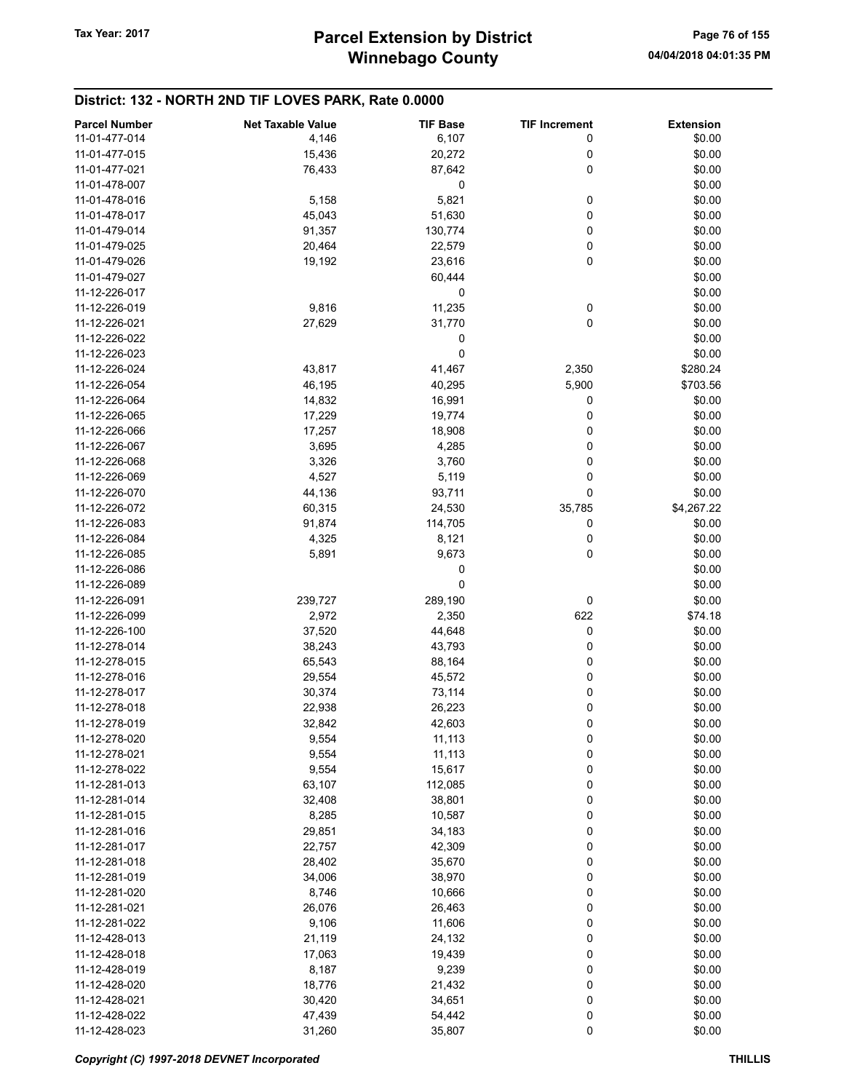| <b>Parcel Number</b> | <b>Net Taxable Value</b> | <b>TIF Base</b> | <b>TIF Increment</b> | <b>Extension</b> |
|----------------------|--------------------------|-----------------|----------------------|------------------|
| 11-01-477-014        | 4,146                    | 6,107           | 0                    | \$0.00           |
| 11-01-477-015        | 15,436                   | 20,272          | 0                    | \$0.00           |
|                      |                          |                 |                      |                  |
| 11-01-477-021        | 76,433                   | 87,642          | 0                    | \$0.00           |
| 11-01-478-007        |                          | 0               |                      | \$0.00           |
| 11-01-478-016        | 5,158                    | 5,821           | 0                    | \$0.00           |
| 11-01-478-017        | 45,043                   | 51,630          | 0                    | \$0.00           |
| 11-01-479-014        | 91,357                   | 130,774         | 0                    | \$0.00           |
| 11-01-479-025        | 20,464                   | 22,579          | 0                    | \$0.00           |
| 11-01-479-026        | 19,192                   | 23,616          | 0                    | \$0.00           |
| 11-01-479-027        |                          | 60,444          |                      | \$0.00           |
| 11-12-226-017        |                          | 0               |                      | \$0.00           |
|                      |                          |                 |                      |                  |
| 11-12-226-019        | 9,816                    | 11,235          | 0                    | \$0.00           |
| 11-12-226-021        | 27,629                   | 31,770          | 0                    | \$0.00           |
| 11-12-226-022        |                          | 0               |                      | \$0.00           |
| 11-12-226-023        |                          | 0               |                      | \$0.00           |
| 11-12-226-024        | 43,817                   | 41,467          | 2,350                | \$280.24         |
| 11-12-226-054        | 46,195                   | 40,295          | 5,900                | \$703.56         |
| 11-12-226-064        | 14,832                   | 16,991          | 0                    | \$0.00           |
| 11-12-226-065        | 17,229                   | 19,774          | 0                    | \$0.00           |
| 11-12-226-066        | 17,257                   | 18,908          | 0                    | \$0.00           |
|                      |                          |                 |                      |                  |
| 11-12-226-067        | 3,695                    | 4,285           | 0                    | \$0.00           |
| 11-12-226-068        | 3,326                    | 3,760           | 0                    | \$0.00           |
| 11-12-226-069        | 4,527                    | 5,119           | 0                    | \$0.00           |
| 11-12-226-070        | 44,136                   | 93,711          | 0                    | \$0.00           |
| 11-12-226-072        | 60,315                   | 24,530          | 35,785               | \$4,267.22       |
| 11-12-226-083        | 91,874                   | 114,705         | 0                    | \$0.00           |
| 11-12-226-084        | 4,325                    | 8,121           | 0                    | \$0.00           |
| 11-12-226-085        | 5,891                    | 9,673           | 0                    | \$0.00           |
|                      |                          |                 |                      |                  |
| 11-12-226-086        |                          | 0               |                      | \$0.00           |
| 11-12-226-089        |                          | 0               |                      | \$0.00           |
| 11-12-226-091        | 239,727                  | 289,190         | 0                    | \$0.00           |
| 11-12-226-099        | 2,972                    | 2,350           | 622                  | \$74.18          |
| 11-12-226-100        | 37,520                   | 44,648          | 0                    | \$0.00           |
| 11-12-278-014        | 38,243                   | 43,793          | 0                    | \$0.00           |
| 11-12-278-015        | 65,543                   | 88,164          | 0                    | \$0.00           |
| 11-12-278-016        | 29,554                   | 45,572          | 0                    | \$0.00           |
| 11-12-278-017        | 30,374                   | 73,114          | 0                    | \$0.00           |
| 11-12-278-018        | 22,938                   | 26,223          | 0                    | \$0.00           |
|                      |                          |                 |                      |                  |
| 11-12-278-019        | 32,842                   | 42,603          | 0                    | \$0.00           |
| 11-12-278-020        | 9,554                    | 11,113          | 0                    | \$0.00           |
| 11-12-278-021        | 9,554                    | 11,113          | 0                    | \$0.00           |
| 11-12-278-022        | 9,554                    | 15,617          | 0                    | \$0.00           |
| 11-12-281-013        | 63,107                   | 112,085         | 0                    | \$0.00           |
| 11-12-281-014        | 32,408                   | 38,801          | 0                    | \$0.00           |
| 11-12-281-015        | 8,285                    | 10,587          | 0                    | \$0.00           |
| 11-12-281-016        | 29,851                   | 34,183          | 0                    | \$0.00           |
| 11-12-281-017        | 22,757                   | 42,309          | 0                    | \$0.00           |
|                      |                          |                 |                      |                  |
| 11-12-281-018        | 28,402                   | 35,670          | 0                    | \$0.00           |
| 11-12-281-019        | 34,006                   | 38,970          | 0                    | \$0.00           |
| 11-12-281-020        | 8,746                    | 10,666          | 0                    | \$0.00           |
| 11-12-281-021        | 26,076                   | 26,463          | 0                    | \$0.00           |
| 11-12-281-022        | 9,106                    | 11,606          | 0                    | \$0.00           |
| 11-12-428-013        | 21,119                   | 24,132          | 0                    | \$0.00           |
| 11-12-428-018        | 17,063                   | 19,439          | 0                    | \$0.00           |
| 11-12-428-019        | 8,187                    | 9,239           | 0                    | \$0.00           |
| 11-12-428-020        | 18,776                   | 21,432          | 0                    | \$0.00           |
| 11-12-428-021        | 30,420                   | 34,651          | 0                    | \$0.00           |
|                      |                          |                 |                      |                  |
| 11-12-428-022        | 47,439                   | 54,442          | 0                    | \$0.00           |
| 11-12-428-023        | 31,260                   | 35,807          | 0                    | \$0.00           |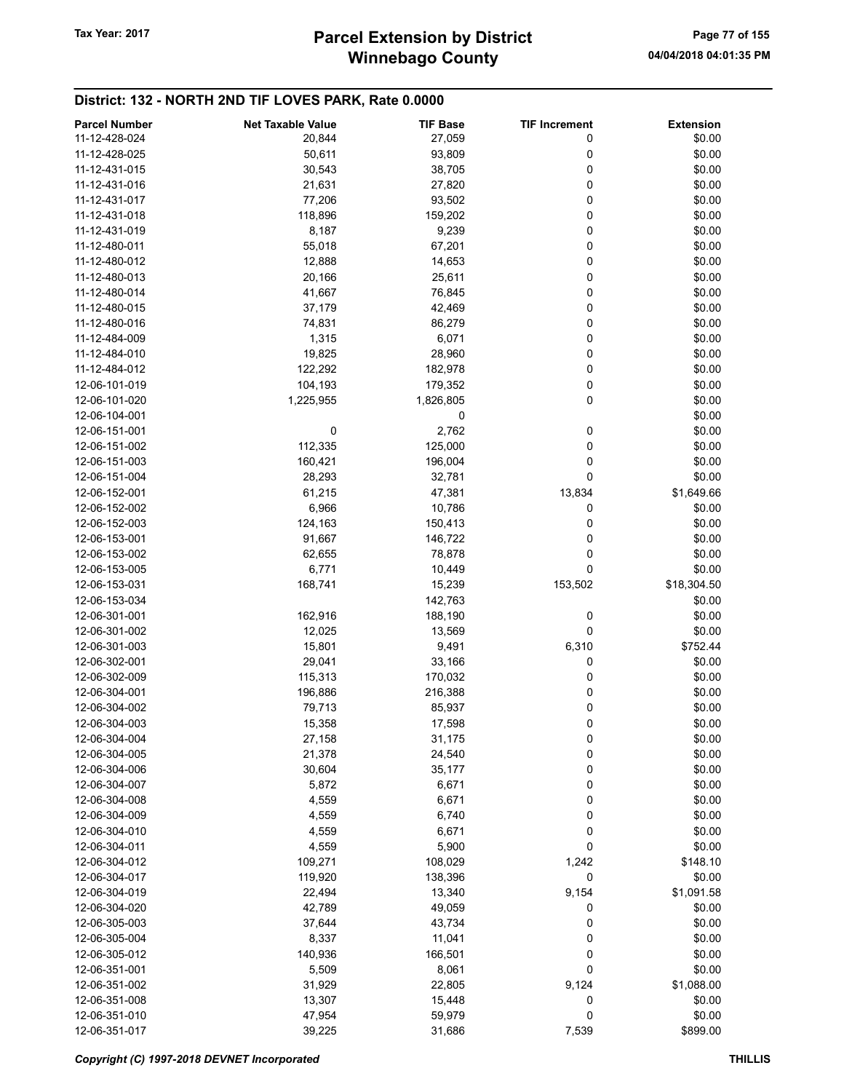# Winnebago County Tax Year: 2017 **Parcel Extension by District** Page 77 of 155

| <b>Parcel Number</b> | <b>Net Taxable Value</b> | <b>TIF Base</b> | <b>TIF Increment</b> | <b>Extension</b> |
|----------------------|--------------------------|-----------------|----------------------|------------------|
| 11-12-428-024        | 20,844                   | 27,059          | 0                    | \$0.00           |
| 11-12-428-025        | 50,611                   | 93,809          | 0                    | \$0.00           |
| 11-12-431-015        | 30,543                   | 38,705          | 0                    | \$0.00           |
| 11-12-431-016        | 21,631                   | 27,820          | 0                    | \$0.00           |
| 11-12-431-017        | 77,206                   | 93,502          | 0                    | \$0.00           |
|                      |                          |                 |                      |                  |
| 11-12-431-018        | 118,896                  | 159,202         | 0                    | \$0.00           |
| 11-12-431-019        | 8,187                    | 9,239           | 0                    | \$0.00           |
| 11-12-480-011        | 55,018                   | 67,201          | 0                    | \$0.00           |
| 11-12-480-012        | 12,888                   | 14,653          | 0                    | \$0.00           |
| 11-12-480-013        | 20,166                   | 25,611          | 0                    | \$0.00           |
| 11-12-480-014        | 41,667                   | 76,845          | 0                    | \$0.00           |
| 11-12-480-015        | 37,179                   | 42,469          | 0                    | \$0.00           |
| 11-12-480-016        | 74,831                   | 86,279          | 0                    | \$0.00           |
| 11-12-484-009        | 1,315                    | 6,071           | 0                    | \$0.00           |
| 11-12-484-010        | 19,825                   | 28,960          | 0                    | \$0.00           |
| 11-12-484-012        | 122,292                  | 182,978         | 0                    | \$0.00           |
| 12-06-101-019        | 104,193                  | 179,352         | 0                    | \$0.00           |
| 12-06-101-020        | 1,225,955                | 1,826,805       | 0                    | \$0.00           |
|                      |                          |                 |                      |                  |
| 12-06-104-001        |                          | 0               |                      | \$0.00           |
| 12-06-151-001        | 0                        | 2,762           | 0                    | \$0.00           |
| 12-06-151-002        | 112,335                  | 125,000         | 0                    | \$0.00           |
| 12-06-151-003        | 160,421                  | 196,004         | 0                    | \$0.00           |
| 12-06-151-004        | 28,293                   | 32,781          | 0                    | \$0.00           |
| 12-06-152-001        | 61,215                   | 47,381          | 13,834               | \$1,649.66       |
| 12-06-152-002        | 6,966                    | 10,786          | 0                    | \$0.00           |
| 12-06-152-003        | 124,163                  | 150,413         | 0                    | \$0.00           |
| 12-06-153-001        | 91,667                   | 146,722         | 0                    | \$0.00           |
| 12-06-153-002        | 62,655                   | 78,878          | 0                    | \$0.00           |
| 12-06-153-005        | 6,771                    | 10,449          | 0                    | \$0.00           |
| 12-06-153-031        | 168,741                  | 15,239          |                      | \$18,304.50      |
|                      |                          |                 | 153,502              |                  |
| 12-06-153-034        |                          | 142,763         |                      | \$0.00           |
| 12-06-301-001        | 162,916                  | 188,190         | 0                    | \$0.00           |
| 12-06-301-002        | 12,025                   | 13,569          | 0                    | \$0.00           |
| 12-06-301-003        | 15,801                   | 9,491           | 6,310                | \$752.44         |
| 12-06-302-001        | 29,041                   | 33,166          | 0                    | \$0.00           |
| 12-06-302-009        | 115,313                  | 170,032         | 0                    | \$0.00           |
| 12-06-304-001        | 196,886                  | 216,388         | 0                    | \$0.00           |
| 12-06-304-002        | 79,713                   | 85,937          | 0                    | \$0.00           |
| 12-06-304-003        | 15,358                   | 17,598          | 0                    | \$0.00           |
| 12-06-304-004        | 27,158                   | 31,175          | 0                    | \$0.00           |
| 12-06-304-005        | 21,378                   | 24,540          | 0                    | \$0.00           |
| 12-06-304-006        | 30,604                   | 35,177          | 0                    | \$0.00           |
| 12-06-304-007        | 5,872                    | 6,671           | 0                    | \$0.00           |
| 12-06-304-008        | 4,559                    |                 |                      | \$0.00           |
|                      |                          | 6,671           | 0                    |                  |
| 12-06-304-009        | 4,559                    | 6,740           | 0                    | \$0.00           |
| 12-06-304-010        | 4,559                    | 6,671           | 0                    | \$0.00           |
| 12-06-304-011        | 4,559                    | 5,900           | 0                    | \$0.00           |
| 12-06-304-012        | 109,271                  | 108,029         | 1,242                | \$148.10         |
| 12-06-304-017        | 119,920                  | 138,396         | 0                    | \$0.00           |
| 12-06-304-019        | 22,494                   | 13,340          | 9,154                | \$1,091.58       |
| 12-06-304-020        | 42,789                   | 49,059          | 0                    | \$0.00           |
| 12-06-305-003        | 37,644                   | 43,734          | 0                    | \$0.00           |
| 12-06-305-004        | 8,337                    | 11,041          | 0                    | \$0.00           |
| 12-06-305-012        | 140,936                  | 166,501         | 0                    | \$0.00           |
| 12-06-351-001        | 5,509                    | 8,061           | 0                    | \$0.00           |
| 12-06-351-002        | 31,929                   | 22,805          | 9,124                | \$1,088.00       |
| 12-06-351-008        | 13,307                   | 15,448          | 0                    | \$0.00           |
| 12-06-351-010        | 47,954                   | 59,979          | 0                    | \$0.00           |
| 12-06-351-017        |                          |                 |                      | \$899.00         |
|                      | 39,225                   | 31,686          | 7,539                |                  |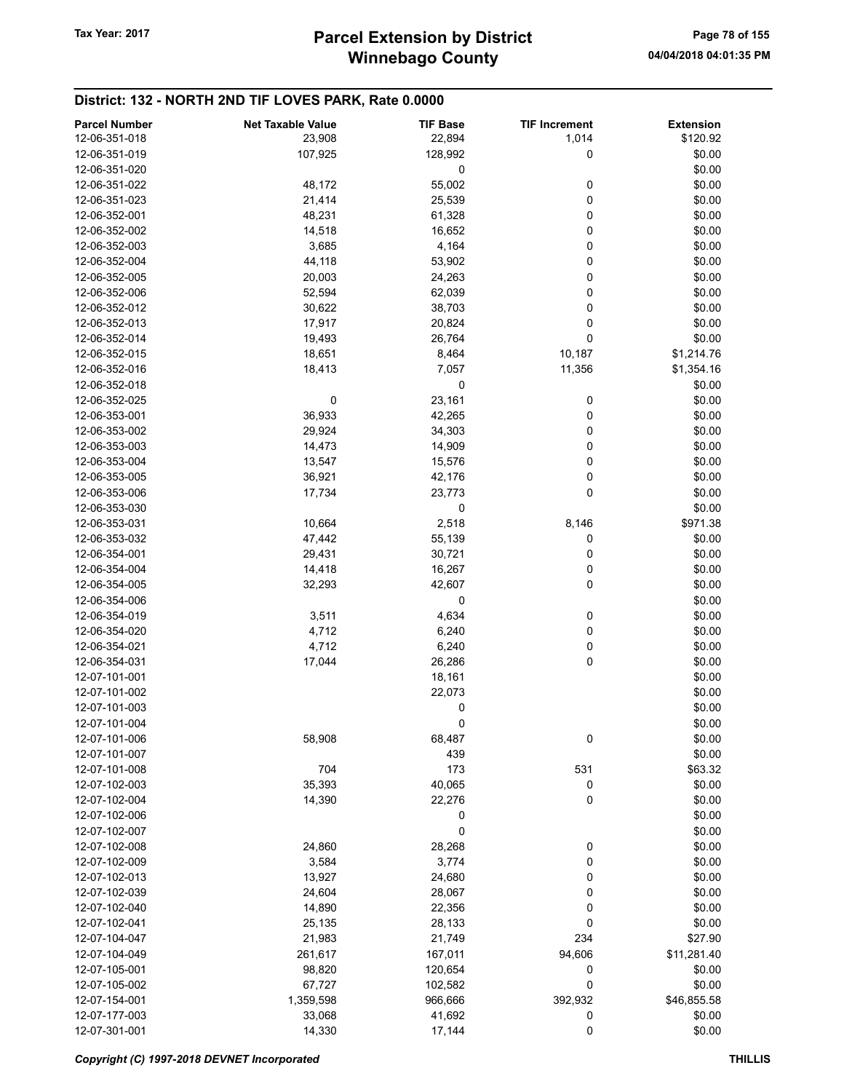| <b>Parcel Number</b> | <b>Net Taxable Value</b> | <b>TIF Base</b> | <b>TIF Increment</b> | <b>Extension</b> |
|----------------------|--------------------------|-----------------|----------------------|------------------|
| 12-06-351-018        | 23,908                   | 22,894          | 1,014                | \$120.92         |
| 12-06-351-019        | 107,925                  | 128,992         | 0                    | \$0.00           |
| 12-06-351-020        |                          | 0               |                      | \$0.00           |
| 12-06-351-022        | 48,172                   | 55,002          | 0                    | \$0.00           |
| 12-06-351-023        | 21,414                   | 25,539          | 0                    | \$0.00           |
| 12-06-352-001        | 48,231                   | 61,328          | 0                    | \$0.00           |
| 12-06-352-002        | 14,518                   | 16,652          | 0                    | \$0.00           |
| 12-06-352-003        | 3,685                    | 4,164           | 0                    | \$0.00           |
| 12-06-352-004        | 44,118                   | 53,902          | 0                    | \$0.00           |
| 12-06-352-005        | 20,003                   | 24,263          | 0                    | \$0.00           |
| 12-06-352-006        | 52,594                   | 62,039          | 0                    | \$0.00           |
| 12-06-352-012        | 30,622                   | 38,703          | 0                    | \$0.00           |
| 12-06-352-013        | 17,917                   | 20,824          | 0                    | \$0.00           |
| 12-06-352-014        | 19,493                   | 26,764          | 0                    | \$0.00           |
| 12-06-352-015        | 18,651                   | 8,464           | 10,187               | \$1,214.76       |
| 12-06-352-016        | 18,413                   | 7,057           | 11,356               | \$1,354.16       |
| 12-06-352-018        |                          | 0               |                      | \$0.00           |
| 12-06-352-025        | $\pmb{0}$                | 23,161          | 0                    | \$0.00           |
| 12-06-353-001        | 36,933                   | 42,265          | 0                    | \$0.00           |
| 12-06-353-002        | 29,924                   | 34,303          | 0                    | \$0.00           |
| 12-06-353-003        | 14,473                   | 14,909          | 0                    | \$0.00           |
| 12-06-353-004        | 13,547                   | 15,576          | 0                    | \$0.00           |
| 12-06-353-005        | 36,921                   | 42,176          | 0                    | \$0.00           |
| 12-06-353-006        | 17,734                   | 23,773          | 0                    | \$0.00           |
| 12-06-353-030        |                          | 0               |                      | \$0.00           |
| 12-06-353-031        | 10,664                   | 2,518           | 8,146                | \$971.38         |
| 12-06-353-032        | 47,442                   | 55,139          | 0                    | \$0.00           |
| 12-06-354-001        | 29,431                   | 30,721          | 0                    | \$0.00           |
| 12-06-354-004        | 14,418                   | 16,267          | 0                    | \$0.00           |
| 12-06-354-005        | 32,293                   | 42,607          | 0                    | \$0.00           |
| 12-06-354-006        |                          | 0               |                      | \$0.00           |
| 12-06-354-019        | 3,511                    | 4,634           | 0                    | \$0.00           |
| 12-06-354-020        | 4,712                    | 6,240           | 0                    | \$0.00           |
| 12-06-354-021        | 4,712                    | 6,240           | 0                    | \$0.00           |
| 12-06-354-031        | 17,044                   | 26,286          | 0                    | \$0.00           |
| 12-07-101-001        |                          | 18,161          |                      | \$0.00           |
| 12-07-101-002        |                          | 22,073          |                      | \$0.00           |
| 12-07-101-003        |                          | 0               |                      | \$0.00           |
| 12-07-101-004        |                          | 0               |                      | \$0.00           |
| 12-07-101-006        | 58,908                   | 68,487          | 0                    | \$0.00           |
| 12-07-101-007        |                          | 439             |                      | \$0.00           |
| 12-07-101-008        | 704                      | 173             | 531                  | \$63.32          |
| 12-07-102-003        | 35,393                   | 40,065          | 0                    | \$0.00           |
| 12-07-102-004        | 14,390                   | 22,276          | 0                    | \$0.00           |
| 12-07-102-006        |                          | 0               |                      | \$0.00           |
| 12-07-102-007        |                          | 0               |                      | \$0.00           |
| 12-07-102-008        | 24,860                   | 28,268          | 0                    | \$0.00           |
| 12-07-102-009        | 3,584                    | 3,774           | 0                    | \$0.00           |
| 12-07-102-013        | 13,927                   | 24,680          | 0                    | \$0.00           |
| 12-07-102-039        | 24,604                   | 28,067          | 0                    | \$0.00           |
| 12-07-102-040        | 14,890                   | 22,356          | 0                    | \$0.00           |
| 12-07-102-041        | 25,135                   | 28,133          | 0                    | \$0.00           |
| 12-07-104-047        | 21,983                   | 21,749          | 234                  | \$27.90          |
| 12-07-104-049        | 261,617                  | 167,011         | 94,606               | \$11,281.40      |
| 12-07-105-001        | 98,820                   | 120,654         | 0                    | \$0.00           |
| 12-07-105-002        | 67,727                   | 102,582         | 0                    | \$0.00           |
| 12-07-154-001        | 1,359,598                | 966,666         | 392,932              | \$46,855.58      |
| 12-07-177-003        | 33,068                   | 41,692          | 0                    | \$0.00           |
| 12-07-301-001        | 14,330                   | 17,144          | 0                    | \$0.00           |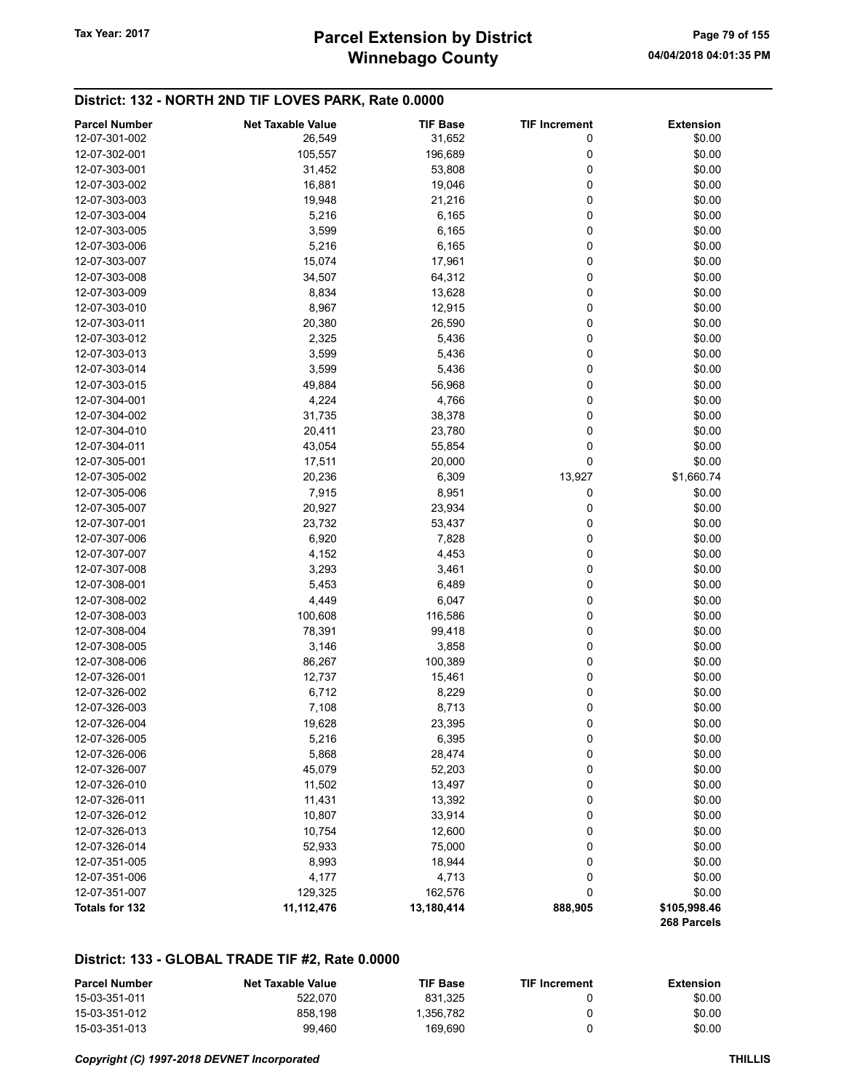# Winnebago County Tax Year: 2017 **Parcel Extension by District** Page 79 of 155

#### District: 132 - NORTH 2ND TIF LOVES PARK, Rate 0.0000

| <b>Parcel Number</b>  | <b>Net Taxable Value</b> | <b>TIF Base</b> | <b>TIF Increment</b> | <b>Extension</b> |
|-----------------------|--------------------------|-----------------|----------------------|------------------|
| 12-07-301-002         | 26,549                   | 31,652          | 0                    | \$0.00           |
| 12-07-302-001         | 105,557                  | 196,689         | 0                    | \$0.00           |
| 12-07-303-001         | 31,452                   | 53,808          | 0                    | \$0.00           |
| 12-07-303-002         | 16,881                   | 19,046          | 0                    | \$0.00           |
| 12-07-303-003         | 19,948                   | 21,216          | 0                    | \$0.00           |
| 12-07-303-004         | 5,216                    | 6,165           | 0                    | \$0.00           |
| 12-07-303-005         | 3,599                    | 6,165           | 0                    | \$0.00           |
| 12-07-303-006         | 5,216                    | 6,165           | 0                    | \$0.00           |
| 12-07-303-007         | 15,074                   | 17,961          | 0                    | \$0.00           |
| 12-07-303-008         | 34,507                   | 64,312          | 0                    | \$0.00           |
| 12-07-303-009         | 8,834                    | 13,628          | 0                    | \$0.00           |
| 12-07-303-010         | 8,967                    | 12,915          | 0                    | \$0.00           |
| 12-07-303-011         | 20,380                   | 26,590          | 0                    | \$0.00           |
| 12-07-303-012         | 2,325                    | 5,436           | 0                    | \$0.00           |
| 12-07-303-013         | 3,599                    | 5,436           | 0                    | \$0.00           |
| 12-07-303-014         | 3,599                    | 5,436           | 0                    | \$0.00           |
| 12-07-303-015         | 49,884                   | 56,968          | 0                    | \$0.00           |
| 12-07-304-001         | 4,224                    | 4,766           | 0                    | \$0.00           |
| 12-07-304-002         | 31,735                   | 38,378          | 0                    | \$0.00           |
| 12-07-304-010         | 20,411                   | 23,780          | 0                    | \$0.00           |
| 12-07-304-011         | 43,054                   | 55,854          | 0                    | \$0.00           |
| 12-07-305-001         | 17,511                   | 20,000          | 0                    | \$0.00           |
| 12-07-305-002         |                          |                 |                      | \$1,660.74       |
| 12-07-305-006         | 20,236<br>7,915          | 6,309           | 13,927               | \$0.00           |
|                       |                          | 8,951           | 0                    |                  |
| 12-07-305-007         | 20,927                   | 23,934          | 0                    | \$0.00           |
| 12-07-307-001         | 23,732                   | 53,437          | 0                    | \$0.00           |
| 12-07-307-006         | 6,920                    | 7,828           | 0                    | \$0.00           |
| 12-07-307-007         | 4,152                    | 4,453           | 0                    | \$0.00           |
| 12-07-307-008         | 3,293                    | 3,461           | 0                    | \$0.00           |
| 12-07-308-001         | 5,453                    | 6,489           | 0                    | \$0.00           |
| 12-07-308-002         | 4,449                    | 6,047           | 0                    | \$0.00           |
| 12-07-308-003         | 100,608                  | 116,586         | 0                    | \$0.00           |
| 12-07-308-004         | 78,391                   | 99,418          | 0                    | \$0.00           |
| 12-07-308-005         | 3,146                    | 3,858           | 0                    | \$0.00           |
| 12-07-308-006         | 86,267                   | 100,389         | 0                    | \$0.00           |
| 12-07-326-001         | 12,737                   | 15,461          | 0                    | \$0.00           |
| 12-07-326-002         | 6,712                    | 8,229           | 0                    | \$0.00           |
| 12-07-326-003         | 7,108                    | 8,713           | 0                    | \$0.00           |
| 12-07-326-004         | 19,628                   | 23,395          | 0                    | \$0.00           |
| 12-07-326-005         | 5,216                    | 6,395           | 0                    | \$0.00           |
| 12-07-326-006         | 5,868                    | 28,474          | 0                    | \$0.00           |
| 12-07-326-007         | 45,079                   | 52,203          | 0                    | \$0.00           |
| 12-07-326-010         | 11,502                   | 13,497          | 0                    | \$0.00           |
| 12-07-326-011         | 11,431                   | 13,392          | 0                    | \$0.00           |
| 12-07-326-012         | 10,807                   | 33,914          | 0                    | \$0.00           |
| 12-07-326-013         | 10,754                   | 12,600          | 0                    | \$0.00           |
| 12-07-326-014         | 52,933                   | 75,000          | 0                    | \$0.00           |
| 12-07-351-005         | 8,993                    | 18,944          | 0                    | \$0.00           |
| 12-07-351-006         | 4,177                    | 4,713           | 0                    | \$0.00           |
| 12-07-351-007         | 129,325                  | 162,576         | 0                    | \$0.00           |
| <b>Totals for 132</b> | 11, 112, 476             | 13,180,414      | 888,905              | \$105,998.46     |
|                       |                          |                 |                      | 268 Parcels      |

#### District: 133 - GLOBAL TRADE TIF #2, Rate 0.0000

| <b>Parcel Number</b> | Net Taxable Value | TIF Base  | <b>TIF Increment</b> | Extension |
|----------------------|-------------------|-----------|----------------------|-----------|
| 15-03-351-011        | 522.070           | 831.325   |                      | \$0.00    |
| 15-03-351-012        | 858.198           | 1.356.782 |                      | \$0.00    |
| 15-03-351-013        | 99.460            | 169.690   |                      | \$0.00    |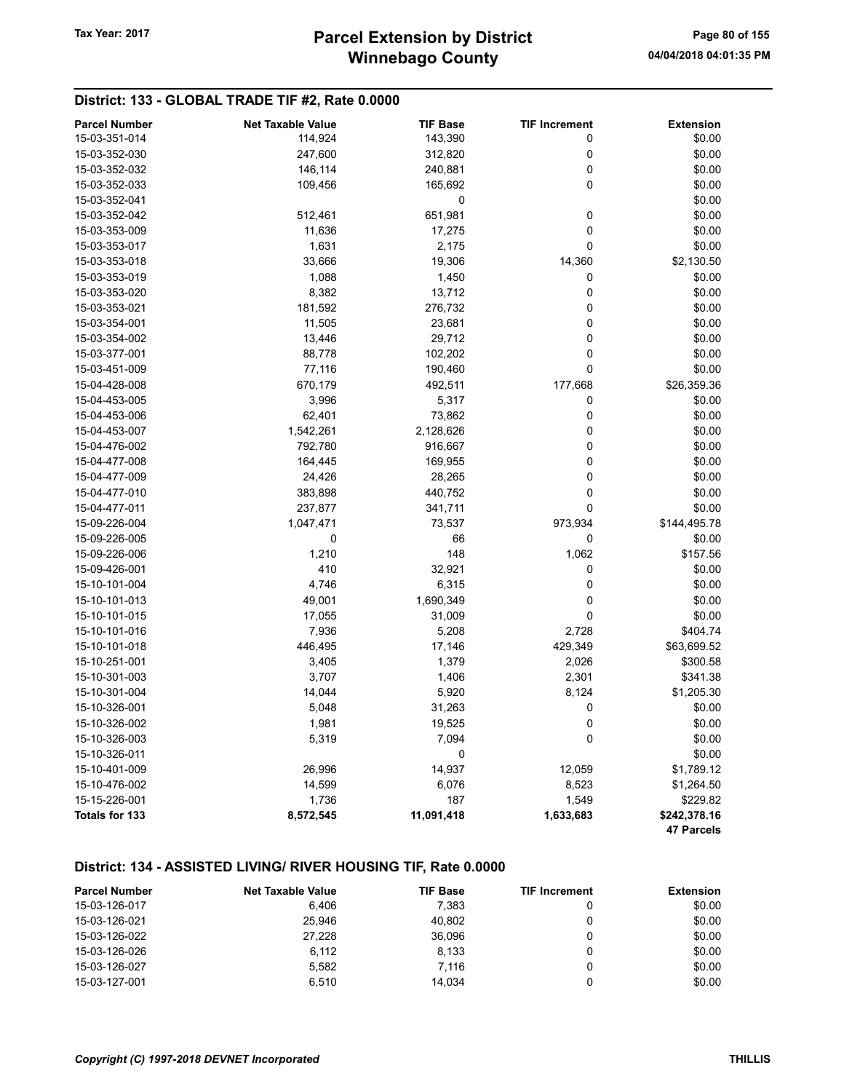# District: 133 - GLOBAL TRADE TIF #2, Rate 0.0000

| <b>Parcel Number</b>  | <b>Net Taxable Value</b> | <b>TIF Base</b> | <b>TIF Increment</b> | <b>Extension</b>  |
|-----------------------|--------------------------|-----------------|----------------------|-------------------|
| 15-03-351-014         | 114,924                  | 143,390         | 0                    | \$0.00            |
| 15-03-352-030         | 247,600                  | 312,820         | 0                    | \$0.00            |
| 15-03-352-032         | 146,114                  | 240,881         | $\mathbf 0$          | \$0.00            |
| 15-03-352-033         | 109,456                  | 165,692         | 0                    | \$0.00            |
| 15-03-352-041         |                          | $\mathbf 0$     |                      | \$0.00            |
| 15-03-352-042         | 512,461                  | 651,981         | $\mathbf 0$          | \$0.00            |
| 15-03-353-009         | 11,636                   | 17,275          | 0                    | \$0.00            |
| 15-03-353-017         | 1,631                    | 2,175           | 0                    | \$0.00            |
| 15-03-353-018         | 33,666                   | 19,306          | 14,360               | \$2,130.50        |
| 15-03-353-019         | 1,088                    | 1,450           | 0                    | \$0.00            |
| 15-03-353-020         | 8,382                    | 13,712          | 0                    | \$0.00            |
| 15-03-353-021         | 181,592                  | 276,732         | 0                    | \$0.00            |
| 15-03-354-001         | 11,505                   | 23,681          | $\pmb{0}$            | \$0.00            |
| 15-03-354-002         | 13,446                   | 29,712          | $\pmb{0}$            | \$0.00            |
| 15-03-377-001         | 88,778                   | 102,202         | 0                    | \$0.00            |
| 15-03-451-009         | 77,116                   | 190,460         | $\mathbf 0$          | \$0.00            |
| 15-04-428-008         | 670,179                  | 492,511         | 177,668              | \$26,359.36       |
| 15-04-453-005         | 3,996                    | 5,317           | 0                    | \$0.00            |
| 15-04-453-006         | 62,401                   | 73,862          | 0                    | \$0.00            |
| 15-04-453-007         | 1,542,261                | 2,128,626       | 0                    | \$0.00            |
| 15-04-476-002         | 792,780                  | 916,667         | 0                    | \$0.00            |
| 15-04-477-008         | 164,445                  | 169,955         | $\pmb{0}$            | \$0.00            |
| 15-04-477-009         | 24,426                   | 28,265          | 0                    | \$0.00            |
| 15-04-477-010         | 383,898                  | 440,752         | $\mathbf 0$          | \$0.00            |
| 15-04-477-011         | 237,877                  | 341,711         | $\pmb{0}$            | \$0.00            |
| 15-09-226-004         | 1,047,471                | 73,537          | 973,934              | \$144,495.78      |
| 15-09-226-005         | 0                        | 66              | 0                    | \$0.00            |
| 15-09-226-006         | 1,210                    | 148             | 1,062                | \$157.56          |
| 15-09-426-001         | 410                      | 32,921          | 0                    | \$0.00            |
| 15-10-101-004         | 4,746                    | 6,315           | 0                    | \$0.00            |
| 15-10-101-013         | 49,001                   | 1,690,349       | 0                    | \$0.00            |
| 15-10-101-015         | 17,055                   | 31,009          | $\pmb{0}$            | \$0.00            |
| 15-10-101-016         | 7,936                    | 5,208           | 2,728                | \$404.74          |
| 15-10-101-018         | 446,495                  | 17,146          | 429,349              | \$63,699.52       |
| 15-10-251-001         | 3,405                    | 1,379           | 2,026                | \$300.58          |
| 15-10-301-003         | 3,707                    | 1,406           | 2,301                | \$341.38          |
| 15-10-301-004         | 14,044                   | 5,920           | 8,124                | \$1,205.30        |
| 15-10-326-001         | 5,048                    | 31,263          | 0                    | \$0.00            |
| 15-10-326-002         | 1,981                    | 19,525          | $\pmb{0}$            | \$0.00            |
| 15-10-326-003         | 5,319                    | 7,094           | $\mathbf 0$          | \$0.00            |
| 15-10-326-011         |                          | 0               |                      | \$0.00            |
| 15-10-401-009         | 26,996                   | 14,937          | 12,059               | \$1,789.12        |
| 15-10-476-002         | 14,599                   | 6,076           | 8,523                | \$1,264.50        |
| 15-15-226-001         | 1,736                    | 187             | 1,549                | \$229.82          |
| <b>Totals for 133</b> | 8,572,545                | 11,091,418      | 1,633,683            | \$242,378.16      |
|                       |                          |                 |                      | <b>47 Parcels</b> |

# District: 134 - ASSISTED LIVING/ RIVER HOUSING TIF, Rate 0.0000

| <b>Parcel Number</b> | <b>Net Taxable Value</b> | <b>TIF Base</b> | <b>TIF Increment</b> | <b>Extension</b> |
|----------------------|--------------------------|-----------------|----------------------|------------------|
| 15-03-126-017        | 6.406                    | 7.383           |                      | \$0.00           |
| 15-03-126-021        | 25.946                   | 40.802          |                      | \$0.00           |
| 15-03-126-022        | 27,228                   | 36.096          | 0                    | \$0.00           |
| 15-03-126-026        | 6,112                    | 8,133           |                      | \$0.00           |
| 15-03-126-027        | 5.582                    | 7.116           |                      | \$0.00           |
| 15-03-127-001        | 6.510                    | 14.034          | n                    | \$0.00           |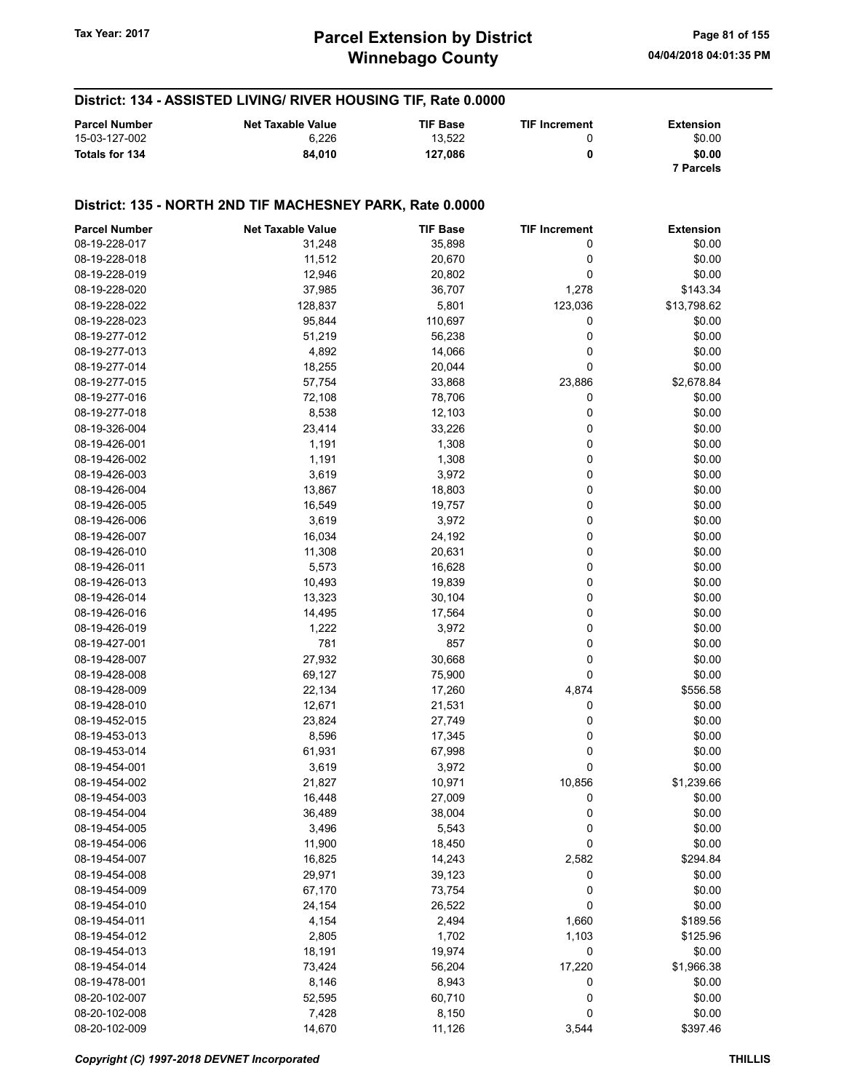District: 134 - ASSISTED LIVING/ RIVER HOUSING TIF, Rate 0.0000

#### Parcel Number **Net Taxable Value** TIF Base TIF Increment Extension 15-03-127-002 6,226 13,522 0 \$0.00 Totals for 134 84,010 127,086 0 \$0.00 7 Parcels District: 135 - NORTH 2ND TIF MACHESNEY PARK, Rate 0.0000 Parcel Number **Net Taxable Value** TIF Base TIF Increment Extension 08-19-228-017 31,248 35,898 0 \$0.00 08-19-228-018 11,512 20,670 0 \$0.00 08-19-228-019 12,946 20,802 0 \$0.00 08-19-228-020 37,985 36,707 1,278 \$143.34 08-19-228-022 128,837 5,801 123,036 \$13,798.62 08-19-228-023 95,844 110,697 0 \$0.00 08-19-277-012 **51,219** 51,219 56,238 0 56,238 08-19-277-013 4,892 14,066 0 \$0.00 08-19-277-014 18,255 20,044 0 \$0.00 08-19-277-015 57,754 33,868 23,886 \$2,678.84 08-19-277-016 72,108 78,706 0 \$0.00 08-19-277-018 **8,538** 12,103 0 \$0.00 08-19-326-004 23,414 33,226 0 \$0.00 08-19-426-001 1,191 1,308 0 \$0.00 08-19-426-002 **1,191** 1,191 1,308 0 0 \$0.00 08-19-426-003 3,619 3,619 3,972 0 \$0.00 08-19-426-004 13,867 18,803 0 \$0.00 08-19-426-005 16,549 19,757 0 \$0.00 08-19-426-006 3,619 3,972 0 \$0.00 08-19-426-007 **16,034** 24,192 0 \$0.00 08-19-426-010 11,308 20,631 0 \$0.00 08-19-426-011 5,573 16,628 0 \$0.00 08-19-426-013 **10,493** 10,493 19,839 0 0 \$0.00 08-19-426-014 **13,323** 30,104 0 \$0.00 08-19-426-016 14,495 17,564 0 \$0.00 08-19-426-019 1,222 3,972 0 \$0.00 08-19-427-001 **857** 0 \$0.00 08-19-428-007 27,932 30,668 0 \$0.00 08-19-428-008 69,127 69,127 75,900 0 0 \$0.00 08-19-428-009 22,134 17,260 4,874 \$556.58 08-19-428-010 12,671 21,531 0 \$0.00 08-19-452-015 23,824 23,824 27,749 0 \$0.00 08-19-453-013 8,596 17,345 \$0.00 08-19-453-014 61,931 67,998 0 \$0.00 08-19-454-001 3,619 3,972 0 \$0.00 08-19-454-002 21,827 10,971 10,971 10,856 \$1,239.66 08-19-454-003 **16,448** 27,009 0 \$0.00 08-19-454-004 36,489 38,004 0 \$0.00 08-19-454-005 3,496 5,543 0 \$0.00 08-19-454-006 11,900 18,450 0 \$0.00 08-19-454-007 **16,825** 16,825 14,243 2,582 \$294.84 08-19-454-008 29,971 39,123 0 \$0.00 08-19-454-009 67,170 73,754 0 \$0.00 08-19-454-010 **24,154** 24,154 26,522 0 \$0.00 08-19-454-011 **4,154** 2,494 1,660 \$189.56 08-19-454-012 2,805 1,702 1,103 \$125.96 08-19-454-013 18,191 19,974 0 \$0.00 08-19-454-014 73,424 56,204 17,220 \$1,966.38 08-19-478-001 **8,146** 8,146 8,943 0 \$0.00 08-20-102-007 52,595 60,710 0 \$0.00 08-20-102-008 7,428 8,150 0 \$0.00 08-20-102-009 14,670 14,670 11,126 3,544 \$397.46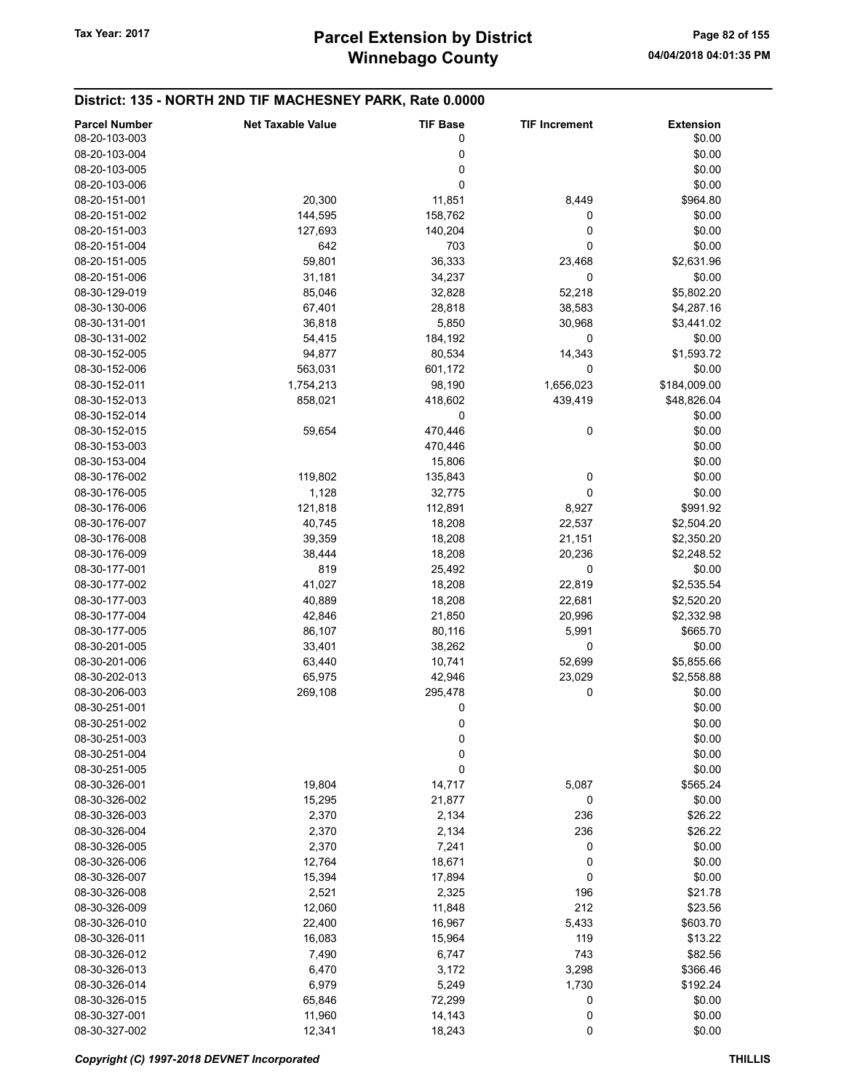| <b>Parcel Number</b> | <b>Net Taxable Value</b> | <b>TIF Base</b> | <b>TIF Increment</b> | <b>Extension</b> |
|----------------------|--------------------------|-----------------|----------------------|------------------|
| 08-20-103-003        |                          | 0               |                      | \$0.00           |
| 08-20-103-004        |                          | 0               |                      | \$0.00           |
| 08-20-103-005        |                          | 0               |                      | \$0.00           |
|                      |                          |                 |                      |                  |
| 08-20-103-006        |                          | 0               |                      | \$0.00           |
| 08-20-151-001        | 20,300                   | 11,851          | 8,449                | \$964.80         |
| 08-20-151-002        | 144,595                  | 158,762         | 0                    | \$0.00           |
| 08-20-151-003        | 127,693                  | 140,204         | 0                    | \$0.00           |
| 08-20-151-004        | 642                      | 703             | 0                    | \$0.00           |
| 08-20-151-005        | 59,801                   | 36,333          | 23,468               | \$2,631.96       |
| 08-20-151-006        | 31,181                   | 34,237          | 0                    | \$0.00           |
| 08-30-129-019        | 85,046                   | 32,828          | 52,218               | \$5,802.20       |
| 08-30-130-006        | 67,401                   | 28,818          | 38,583               | \$4,287.16       |
| 08-30-131-001        | 36,818                   | 5,850           | 30,968               | \$3,441.02       |
| 08-30-131-002        | 54,415                   | 184,192         | 0                    | \$0.00           |
| 08-30-152-005        | 94,877                   | 80,534          | 14,343               | \$1,593.72       |
| 08-30-152-006        | 563,031                  | 601,172         | 0                    | \$0.00           |
| 08-30-152-011        | 1,754,213                | 98,190          | 1,656,023            | \$184,009.00     |
| 08-30-152-013        | 858,021                  | 418,602         | 439,419              | \$48,826.04      |
| 08-30-152-014        |                          | 0               |                      | \$0.00           |
| 08-30-152-015        | 59,654                   | 470,446         | 0                    | \$0.00           |
| 08-30-153-003        |                          | 470,446         |                      | \$0.00           |
| 08-30-153-004        |                          |                 |                      | \$0.00           |
|                      |                          | 15,806          |                      |                  |
| 08-30-176-002        | 119,802                  | 135,843         | 0                    | \$0.00           |
| 08-30-176-005        | 1,128                    | 32,775          | 0                    | \$0.00           |
| 08-30-176-006        | 121,818                  | 112,891         | 8,927                | \$991.92         |
| 08-30-176-007        | 40,745                   | 18,208          | 22,537               | \$2,504.20       |
| 08-30-176-008        | 39,359                   | 18,208          | 21,151               | \$2,350.20       |
| 08-30-176-009        | 38,444                   | 18,208          | 20,236               | \$2,248.52       |
| 08-30-177-001        | 819                      | 25,492          | 0                    | \$0.00           |
| 08-30-177-002        | 41,027                   | 18,208          | 22,819               | \$2,535.54       |
| 08-30-177-003        | 40,889                   | 18,208          | 22,681               | \$2,520.20       |
| 08-30-177-004        | 42,846                   | 21,850          | 20,996               | \$2,332.98       |
| 08-30-177-005        | 86,107                   | 80,116          | 5,991                | \$665.70         |
| 08-30-201-005        | 33,401                   | 38,262          | 0                    | \$0.00           |
| 08-30-201-006        | 63,440                   | 10,741          | 52,699               | \$5,855.66       |
| 08-30-202-013        | 65,975                   | 42,946          | 23,029               | \$2,558.88       |
| 08-30-206-003        | 269,108                  | 295,478         | 0                    | \$0.00           |
| 08-30-251-001        |                          | 0               |                      | \$0.00           |
| 08-30-251-002        |                          | 0               |                      | \$0.00           |
| 08-30-251-003        |                          | 0               |                      | \$0.00           |
| 08-30-251-004        |                          | $\mathbf 0$     |                      | \$0.00           |
| 08-30-251-005        |                          | 0               |                      | \$0.00           |
| 08-30-326-001        | 19,804                   | 14,717          | 5,087                | \$565.24         |
| 08-30-326-002        | 15,295                   | 21,877          | 0                    | \$0.00           |
| 08-30-326-003        | 2,370                    | 2,134           | 236                  | \$26.22          |
| 08-30-326-004        |                          |                 | 236                  | \$26.22          |
|                      | 2,370                    | 2,134           |                      |                  |
| 08-30-326-005        | 2,370                    | 7,241           | 0                    | \$0.00           |
| 08-30-326-006        | 12,764                   | 18,671          | 0                    | \$0.00           |
| 08-30-326-007        | 15,394                   | 17,894          | 0                    | \$0.00           |
| 08-30-326-008        | 2,521                    | 2,325           | 196                  | \$21.78          |
| 08-30-326-009        | 12,060                   | 11,848          | 212                  | \$23.56          |
| 08-30-326-010        | 22,400                   | 16,967          | 5,433                | \$603.70         |
| 08-30-326-011        | 16,083                   | 15,964          | 119                  | \$13.22          |
| 08-30-326-012        | 7,490                    | 6,747           | 743                  | \$82.56          |
| 08-30-326-013        | 6,470                    | 3,172           | 3,298                | \$366.46         |
| 08-30-326-014        | 6,979                    | 5,249           | 1,730                | \$192.24         |
| 08-30-326-015        | 65,846                   | 72,299          | 0                    | \$0.00           |
| 08-30-327-001        | 11,960                   | 14,143          | 0                    | \$0.00           |
| 08-30-327-002        | 12,341                   | 18,243          | 0                    | \$0.00           |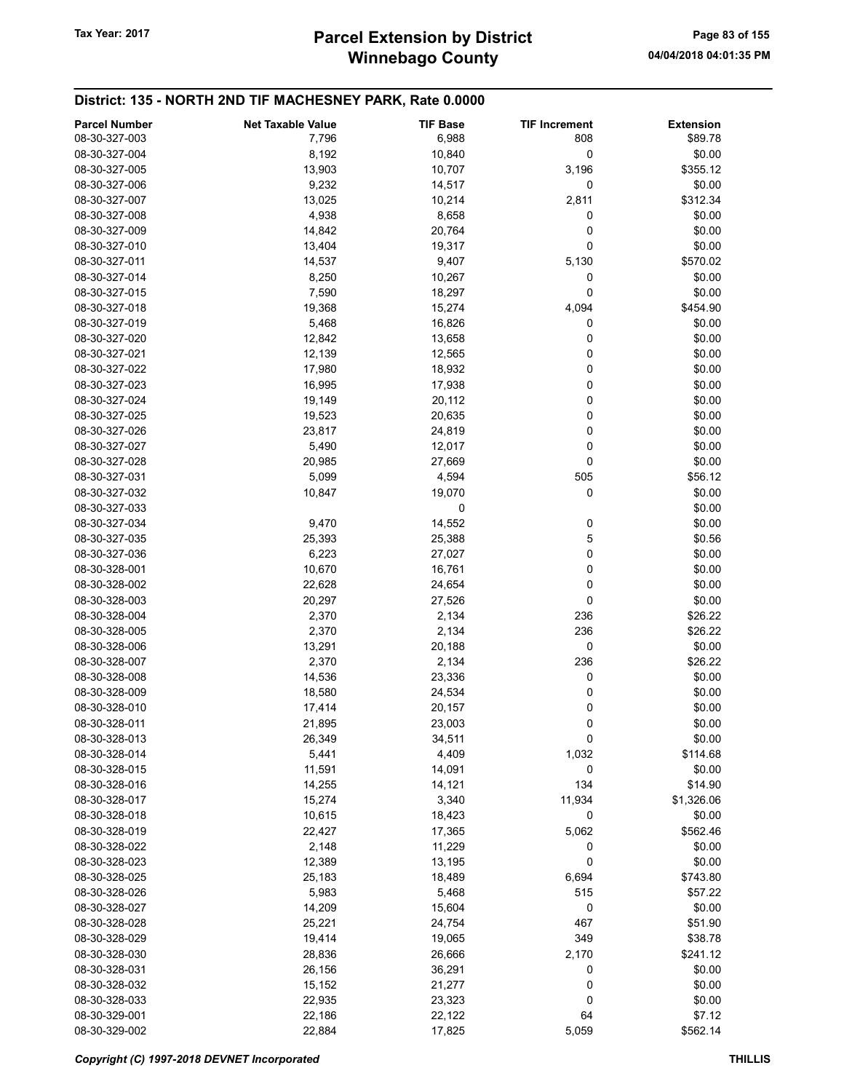| <b>Parcel Number</b> | <b>Net Taxable Value</b> | <b>TIF Base</b> | <b>TIF Increment</b> | <b>Extension</b> |
|----------------------|--------------------------|-----------------|----------------------|------------------|
| 08-30-327-003        | 7,796                    | 6,988           | 808                  | \$89.78          |
| 08-30-327-004        | 8,192                    | 10,840          | 0                    | \$0.00           |
| 08-30-327-005        | 13,903                   | 10,707          | 3,196                | \$355.12         |
| 08-30-327-006        | 9,232                    | 14,517          | 0                    | \$0.00           |
| 08-30-327-007        |                          |                 | 2,811                | \$312.34         |
|                      | 13,025                   | 10,214          |                      |                  |
| 08-30-327-008        | 4,938                    | 8,658           | 0                    | \$0.00           |
| 08-30-327-009        | 14,842                   | 20,764          | 0                    | \$0.00           |
| 08-30-327-010        | 13,404                   | 19,317          | 0                    | \$0.00           |
| 08-30-327-011        | 14,537                   | 9,407           | 5,130                | \$570.02         |
| 08-30-327-014        | 8,250                    | 10,267          | 0                    | \$0.00           |
| 08-30-327-015        | 7,590                    | 18,297          | 0                    | \$0.00           |
| 08-30-327-018        | 19,368                   | 15,274          | 4,094                | \$454.90         |
| 08-30-327-019        | 5,468                    | 16,826          | 0                    | \$0.00           |
| 08-30-327-020        | 12,842                   | 13,658          | 0                    | \$0.00           |
| 08-30-327-021        | 12,139                   | 12,565          | 0                    | \$0.00           |
| 08-30-327-022        | 17,980                   | 18,932          | 0                    | \$0.00           |
| 08-30-327-023        | 16,995                   | 17,938          | 0                    | \$0.00           |
| 08-30-327-024        | 19,149                   | 20,112          | 0                    | \$0.00           |
| 08-30-327-025        | 19,523                   | 20,635          | 0                    | \$0.00           |
| 08-30-327-026        | 23,817                   | 24,819          | 0                    | \$0.00           |
| 08-30-327-027        | 5,490                    | 12,017          | 0                    | \$0.00           |
| 08-30-327-028        | 20,985                   | 27,669          | 0                    | \$0.00           |
| 08-30-327-031        | 5,099                    | 4,594           | 505                  | \$56.12          |
| 08-30-327-032        | 10,847                   | 19,070          | 0                    | \$0.00           |
| 08-30-327-033        |                          | 0               |                      | \$0.00           |
| 08-30-327-034        | 9,470                    | 14,552          | 0                    | \$0.00           |
| 08-30-327-035        | 25,393                   | 25,388          | 5                    | \$0.56           |
| 08-30-327-036        | 6,223                    | 27,027          | 0                    | \$0.00           |
| 08-30-328-001        | 10,670                   | 16,761          | 0                    | \$0.00           |
| 08-30-328-002        | 22,628                   | 24,654          | 0                    | \$0.00           |
| 08-30-328-003        | 20,297                   | 27,526          | 0                    | \$0.00           |
| 08-30-328-004        | 2,370                    | 2,134           | 236                  | \$26.22          |
| 08-30-328-005        | 2,370                    | 2,134           | 236                  | \$26.22          |
| 08-30-328-006        | 13,291                   | 20,188          | 0                    | \$0.00           |
| 08-30-328-007        | 2,370                    | 2,134           | 236                  | \$26.22          |
| 08-30-328-008        | 14,536                   | 23,336          | 0                    | \$0.00           |
| 08-30-328-009        | 18,580                   | 24,534          | 0                    | \$0.00           |
| 08-30-328-010        | 17,414                   | 20,157          | 0                    | \$0.00           |
| 08-30-328-011        | 21,895                   | 23,003          | 0                    | \$0.00           |
| 08-30-328-013        |                          |                 |                      |                  |
| 08-30-328-014        | 26,349                   | 34,511          | 0                    | \$0.00           |
|                      | 5,441                    | 4,409           | 1,032                | \$114.68         |
| 08-30-328-015        | 11,591                   | 14,091          | 0                    | \$0.00           |
| 08-30-328-016        | 14,255                   | 14,121          | 134                  | \$14.90          |
| 08-30-328-017        | 15,274                   | 3,340           | 11,934               | \$1,326.06       |
| 08-30-328-018        | 10,615                   | 18,423          | 0                    | \$0.00           |
| 08-30-328-019        | 22,427                   | 17,365          | 5,062                | \$562.46         |
| 08-30-328-022        | 2,148                    | 11,229          | 0                    | \$0.00           |
| 08-30-328-023        | 12,389                   | 13,195          | 0                    | \$0.00           |
| 08-30-328-025        | 25,183                   | 18,489          | 6,694                | \$743.80         |
| 08-30-328-026        | 5,983                    | 5,468           | 515                  | \$57.22          |
| 08-30-328-027        | 14,209                   | 15,604          | 0                    | \$0.00           |
| 08-30-328-028        | 25,221                   | 24,754          | 467                  | \$51.90          |
| 08-30-328-029        | 19,414                   | 19,065          | 349                  | \$38.78          |
| 08-30-328-030        | 28,836                   | 26,666          | 2,170                | \$241.12         |
| 08-30-328-031        | 26,156                   | 36,291          | 0                    | \$0.00           |
| 08-30-328-032        | 15,152                   | 21,277          | 0                    | \$0.00           |
| 08-30-328-033        | 22,935                   | 23,323          | 0                    | \$0.00           |
| 08-30-329-001        | 22,186                   | 22,122          | 64                   | \$7.12           |
| 08-30-329-002        | 22,884                   | 17,825          | 5,059                | \$562.14         |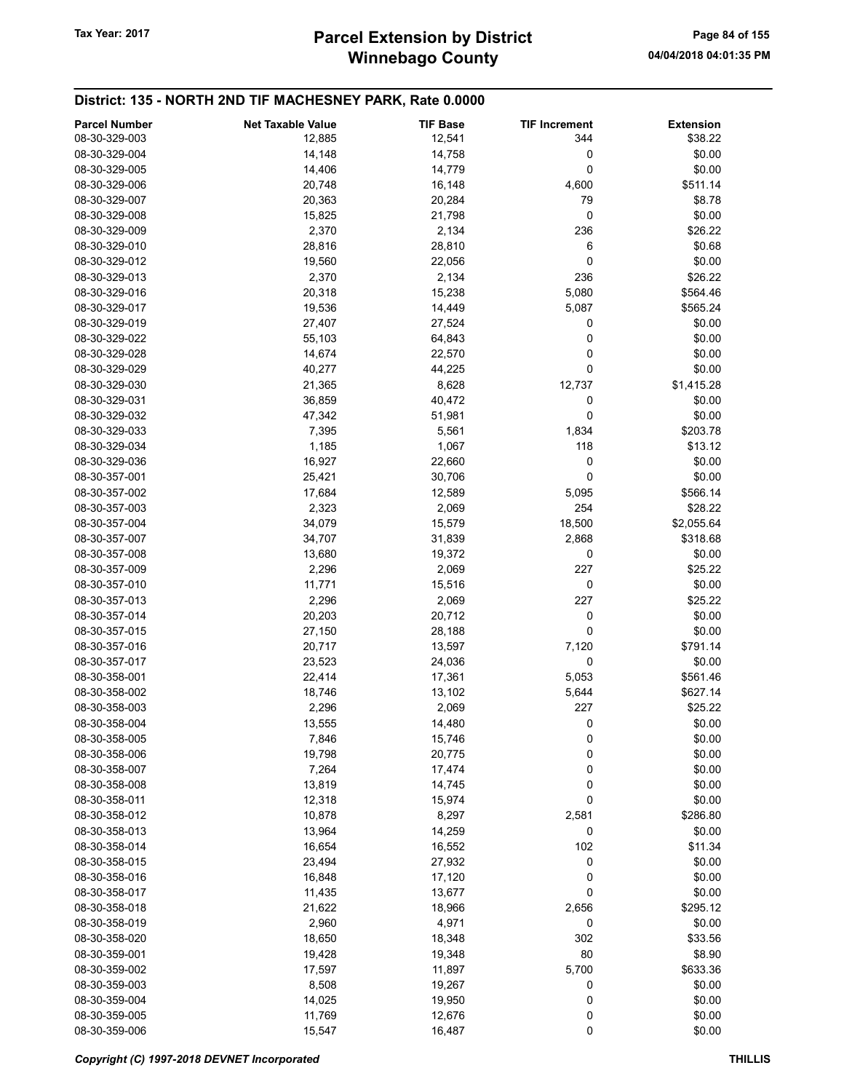| <b>Parcel Number</b> | <b>Net Taxable Value</b> | <b>TIF Base</b> | <b>TIF Increment</b> | <b>Extension</b> |
|----------------------|--------------------------|-----------------|----------------------|------------------|
| 08-30-329-003        | 12,885                   | 12,541          | 344                  | \$38.22          |
| 08-30-329-004        | 14,148                   | 14,758          | 0                    | \$0.00           |
| 08-30-329-005        | 14,406                   | 14,779          | 0                    | \$0.00           |
| 08-30-329-006        | 20,748                   | 16,148          | 4,600                | \$511.14         |
| 08-30-329-007        | 20,363                   | 20,284          | 79                   | \$8.78           |
|                      |                          |                 |                      |                  |
| 08-30-329-008        | 15,825                   | 21,798          | 0                    | \$0.00           |
| 08-30-329-009        | 2,370                    | 2,134           | 236                  | \$26.22          |
| 08-30-329-010        | 28,816                   | 28,810          | 6                    | \$0.68           |
| 08-30-329-012        | 19,560                   | 22,056          | 0                    | \$0.00           |
| 08-30-329-013        | 2,370                    | 2,134           | 236                  | \$26.22          |
| 08-30-329-016        | 20,318                   | 15,238          | 5,080                | \$564.46         |
| 08-30-329-017        | 19,536                   | 14,449          | 5,087                | \$565.24         |
| 08-30-329-019        | 27,407                   | 27,524          | 0                    | \$0.00           |
| 08-30-329-022        | 55,103                   | 64,843          | 0                    | \$0.00           |
| 08-30-329-028        | 14,674                   | 22,570          | 0                    | \$0.00           |
| 08-30-329-029        | 40,277                   | 44,225          | 0                    | \$0.00           |
| 08-30-329-030        | 21,365                   | 8,628           | 12,737               | \$1,415.28       |
| 08-30-329-031        | 36,859                   | 40,472          | 0                    | \$0.00           |
| 08-30-329-032        | 47,342                   | 51,981          | 0                    | \$0.00           |
| 08-30-329-033        | 7,395                    | 5,561           | 1,834                | \$203.78         |
| 08-30-329-034        | 1,185                    | 1,067           | 118                  | \$13.12          |
| 08-30-329-036        | 16,927                   | 22,660          | 0                    | \$0.00           |
| 08-30-357-001        | 25,421                   | 30,706          | 0                    | \$0.00           |
| 08-30-357-002        | 17,684                   | 12,589          | 5,095                | \$566.14         |
| 08-30-357-003        | 2,323                    | 2,069           | 254                  | \$28.22          |
| 08-30-357-004        | 34,079                   | 15,579          | 18,500               | \$2,055.64       |
| 08-30-357-007        | 34,707                   | 31,839          | 2,868                | \$318.68         |
| 08-30-357-008        | 13,680                   | 19,372          | 0                    | \$0.00           |
| 08-30-357-009        | 2,296                    | 2,069           | 227                  | \$25.22          |
| 08-30-357-010        | 11,771                   | 15,516          | 0                    | \$0.00           |
| 08-30-357-013        | 2,296                    | 2,069           | 227                  | \$25.22          |
| 08-30-357-014        | 20,203                   | 20,712          | 0                    | \$0.00           |
| 08-30-357-015        | 27,150                   | 28,188          | 0                    | \$0.00           |
| 08-30-357-016        | 20,717                   | 13,597          | 7,120                | \$791.14         |
| 08-30-357-017        | 23,523                   | 24,036          | 0                    | \$0.00           |
| 08-30-358-001        | 22,414                   | 17,361          | 5,053                | \$561.46         |
| 08-30-358-002        | 18,746                   | 13,102          | 5,644                | \$627.14         |
| 08-30-358-003        |                          |                 | 227                  | \$25.22          |
| 08-30-358-004        | 2,296                    | 2,069<br>14,480 | 0                    | \$0.00           |
| 08-30-358-005        | 13,555                   |                 |                      |                  |
|                      | 7,846                    | 15,746          | 0                    | \$0.00           |
| 08-30-358-006        | 19,798                   | 20,775          | 0                    | \$0.00           |
| 08-30-358-007        | 7,264                    | 17,474          | 0                    | \$0.00           |
| 08-30-358-008        | 13,819                   | 14,745          | 0                    | \$0.00           |
| 08-30-358-011        | 12,318                   | 15,974          | 0                    | \$0.00           |
| 08-30-358-012        | 10,878                   | 8,297           | 2,581                | \$286.80         |
| 08-30-358-013        | 13,964                   | 14,259          | 0                    | \$0.00           |
| 08-30-358-014        | 16,654                   | 16,552          | 102                  | \$11.34          |
| 08-30-358-015        | 23,494                   | 27,932          | 0                    | \$0.00           |
| 08-30-358-016        | 16,848                   | 17,120          | 0                    | \$0.00           |
| 08-30-358-017        | 11,435                   | 13,677          | 0                    | \$0.00           |
| 08-30-358-018        | 21,622                   | 18,966          | 2,656                | \$295.12         |
| 08-30-358-019        | 2,960                    | 4,971           | 0                    | \$0.00           |
| 08-30-358-020        | 18,650                   | 18,348          | 302                  | \$33.56          |
| 08-30-359-001        | 19,428                   | 19,348          | 80                   | \$8.90           |
| 08-30-359-002        | 17,597                   | 11,897          | 5,700                | \$633.36         |
| 08-30-359-003        | 8,508                    | 19,267          | 0                    | \$0.00           |
| 08-30-359-004        | 14,025                   | 19,950          | 0                    | \$0.00           |
| 08-30-359-005        | 11,769                   | 12,676          | 0                    | \$0.00           |
| 08-30-359-006        | 15,547                   | 16,487          | 0                    | \$0.00           |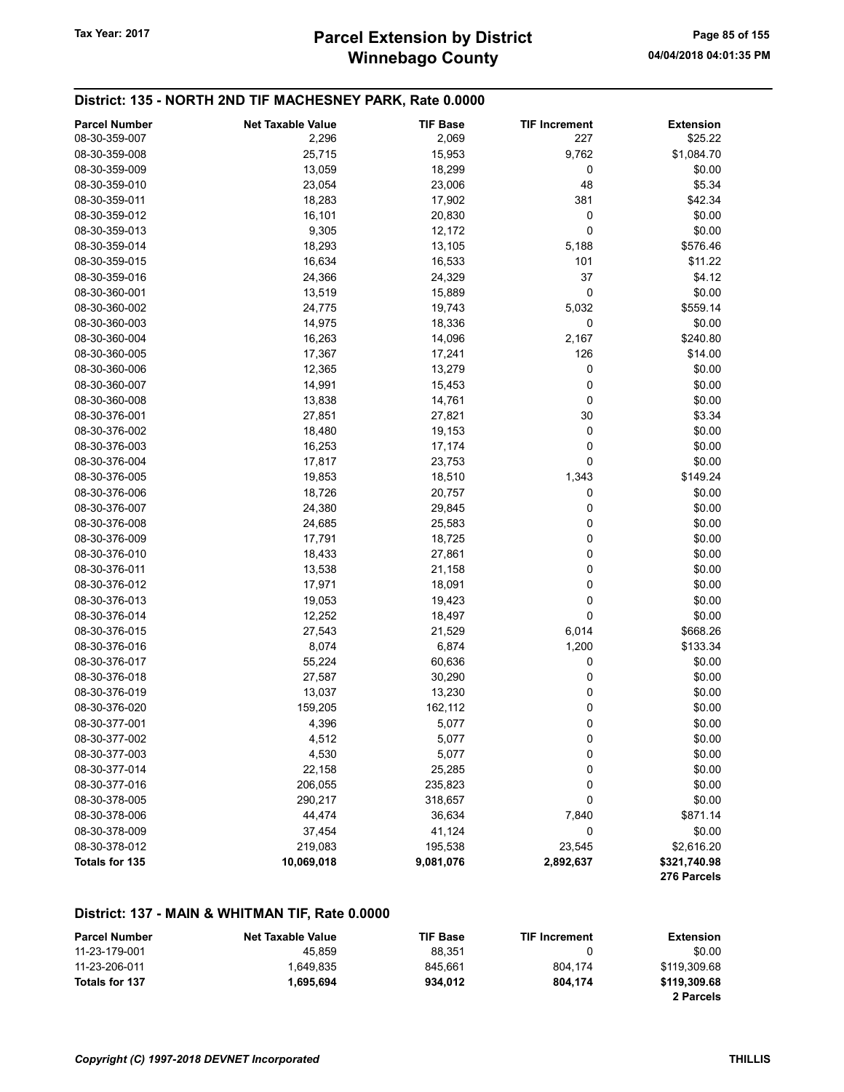| <b>Parcel Number</b>           | <b>Net Taxable Value</b> | <b>TIF Base</b> | <b>TIF Increment</b> | <b>Extension</b>            |
|--------------------------------|--------------------------|-----------------|----------------------|-----------------------------|
| 08-30-359-007                  | 2,296                    | 2,069           | 227                  | \$25.22                     |
| 08-30-359-008                  | 25,715                   | 15,953          | 9,762                | \$1,084.70                  |
| 08-30-359-009                  | 13,059                   | 18,299          | 0                    | \$0.00                      |
| 08-30-359-010                  | 23,054                   | 23,006          | 48                   | \$5.34                      |
| 08-30-359-011                  | 18,283                   | 17,902          | 381                  | \$42.34                     |
| 08-30-359-012                  | 16,101                   | 20,830          | 0                    | \$0.00                      |
| 08-30-359-013                  | 9,305                    | 12,172          | $\mathbf 0$          | \$0.00                      |
| 08-30-359-014                  | 18,293                   | 13,105          | 5,188                | \$576.46                    |
| 08-30-359-015                  | 16,634                   | 16,533          | 101                  | \$11.22                     |
| 08-30-359-016                  | 24,366                   | 24,329          | 37                   | \$4.12                      |
| 08-30-360-001                  | 13,519                   | 15,889          | $\pmb{0}$            | \$0.00                      |
| 08-30-360-002                  | 24,775                   | 19,743          | 5,032                | \$559.14                    |
| 08-30-360-003                  | 14,975                   | 18,336          | 0                    | \$0.00                      |
| 08-30-360-004                  | 16,263                   | 14,096          | 2,167                | \$240.80                    |
| 08-30-360-005                  | 17,367                   | 17,241          | 126                  | \$14.00                     |
| 08-30-360-006                  | 12,365                   | 13,279          | 0                    | \$0.00                      |
| 08-30-360-007                  | 14,991                   | 15,453          | 0                    | \$0.00                      |
| 08-30-360-008                  | 13,838                   | 14,761          | 0                    | \$0.00                      |
| 08-30-376-001                  | 27,851                   | 27,821          | 30                   | \$3.34                      |
| 08-30-376-002                  | 18,480                   | 19,153          | 0                    | \$0.00                      |
| 08-30-376-003                  | 16,253                   | 17,174          | 0                    | \$0.00                      |
| 08-30-376-004                  | 17,817                   | 23,753          | 0                    | \$0.00                      |
| 08-30-376-005                  | 19,853                   | 18,510          | 1,343                | \$149.24                    |
| 08-30-376-006                  | 18,726                   | 20,757          | 0                    | \$0.00                      |
| 08-30-376-007                  | 24,380                   | 29,845          | 0                    | \$0.00                      |
| 08-30-376-008                  | 24,685                   | 25,583          | 0                    | \$0.00                      |
| 08-30-376-009                  | 17,791                   | 18,725          | 0                    | \$0.00                      |
| 08-30-376-010                  | 18,433                   | 27,861          | 0                    | \$0.00                      |
| 08-30-376-011                  | 13,538                   | 21,158          | 0                    | \$0.00                      |
| 08-30-376-012                  | 17,971                   |                 | 0                    | \$0.00                      |
|                                |                          | 18,091          | 0                    |                             |
| 08-30-376-013<br>08-30-376-014 | 19,053                   | 19,423          | 0                    | \$0.00<br>\$0.00            |
|                                | 12,252                   | 18,497          |                      |                             |
| 08-30-376-015                  | 27,543                   | 21,529          | 6,014                | \$668.26                    |
| 08-30-376-016                  | 8,074                    | 6,874           | 1,200                | \$133.34                    |
| 08-30-376-017                  | 55,224                   | 60,636          | 0                    | \$0.00                      |
| 08-30-376-018                  | 27,587                   | 30,290          | 0                    | \$0.00                      |
| 08-30-376-019                  | 13,037                   | 13,230          | 0                    | \$0.00                      |
| 08-30-376-020                  | 159,205                  | 162,112         | 0                    | \$0.00                      |
| 08-30-377-001                  | 4,396                    | 5,077           | 0                    | \$0.00                      |
| 08-30-377-002                  | 4,512                    | 5,077           | $\boldsymbol{0}$     | \$0.00                      |
| 08-30-377-003                  | 4,530                    | 5,077           | 0                    | \$0.00                      |
| 08-30-377-014                  | 22,158                   | 25,285          | 0                    | \$0.00                      |
| 08-30-377-016                  | 206,055                  | 235,823         | 0                    | \$0.00                      |
| 08-30-378-005                  | 290,217                  | 318,657         | 0                    | \$0.00                      |
| 08-30-378-006                  | 44,474                   | 36,634          | 7,840                | \$871.14                    |
| 08-30-378-009                  | 37,454                   | 41,124          | 0                    | \$0.00                      |
| 08-30-378-012                  | 219,083                  | 195,538         | 23,545               | \$2,616.20                  |
| Totals for 135                 | 10,069,018               | 9,081,076       | 2,892,637            | \$321,740.98<br>276 Parcels |

#### District: 137 - MAIN & WHITMAN TIF, Rate 0.0000

| <b>Parcel Number</b> | <b>Net Taxable Value</b> | <b>TIF Base</b> | <b>TIF Increment</b> | Extension    |
|----------------------|--------------------------|-----------------|----------------------|--------------|
| 11-23-179-001        | 45.859                   | 88.351          |                      | \$0.00       |
| 11-23-206-011        | 1.649.835                | 845.661         | 804.174              | \$119.309.68 |
| Totals for 137       | 1.695.694                | 934.012         | 804.174              | \$119.309.68 |
|                      |                          |                 |                      | 2 Parcels    |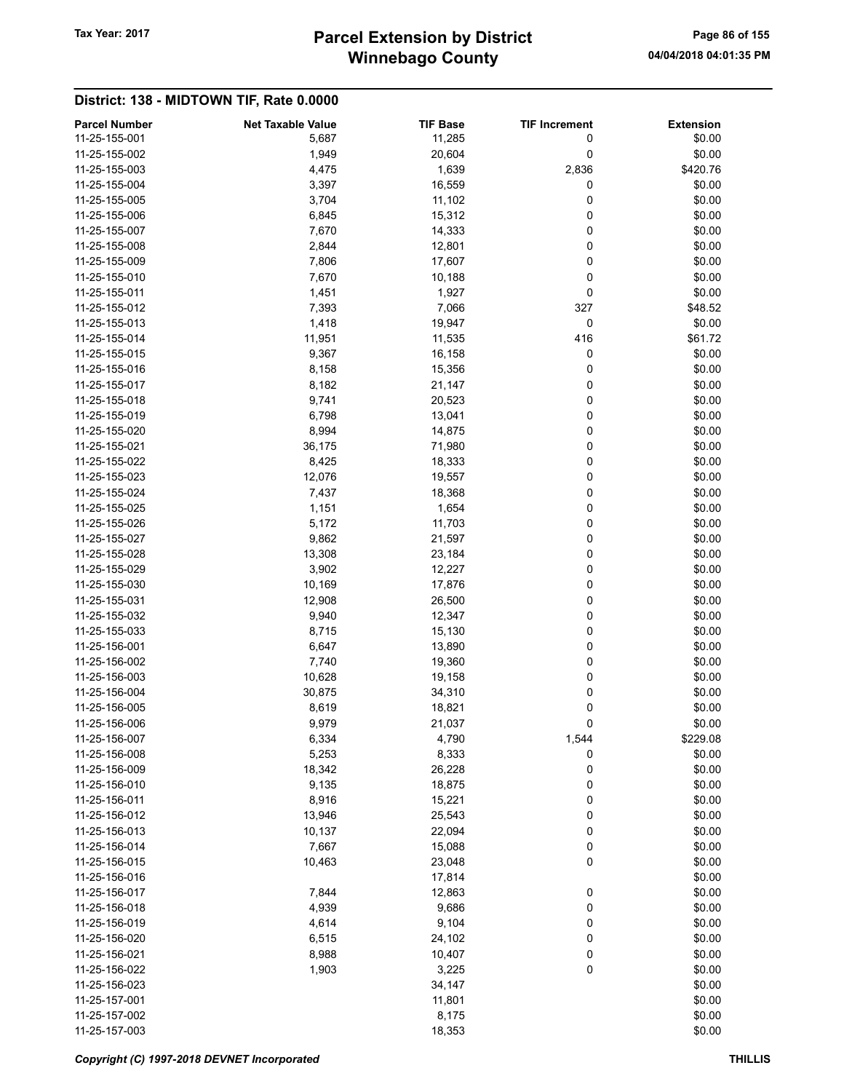# Winnebago County Tax Year: 2017 **Parcel Extension by District** Page 86 of 155

|                                       |                                   |                           |                           | <b>Extension</b> |
|---------------------------------------|-----------------------------------|---------------------------|---------------------------|------------------|
| <b>Parcel Number</b><br>11-25-155-001 | <b>Net Taxable Value</b><br>5,687 | <b>TIF Base</b><br>11,285 | <b>TIF Increment</b><br>0 | \$0.00           |
| 11-25-155-002                         | 1,949                             | 20,604                    | 0                         | \$0.00           |
| 11-25-155-003                         | 4,475                             | 1,639                     | 2,836                     | \$420.76         |
| 11-25-155-004                         | 3,397                             | 16,559                    | 0                         | \$0.00           |
| 11-25-155-005                         | 3,704                             | 11,102                    | 0                         | \$0.00           |
| 11-25-155-006                         | 6,845                             | 15,312                    | 0                         | \$0.00           |
| 11-25-155-007                         | 7,670                             | 14,333                    | 0                         | \$0.00           |
| 11-25-155-008                         | 2,844                             | 12,801                    | 0                         | \$0.00           |
| 11-25-155-009                         | 7,806                             | 17,607                    | 0                         | \$0.00           |
| 11-25-155-010                         | 7,670                             | 10,188                    | 0                         | \$0.00           |
| 11-25-155-011                         | 1,451                             | 1,927                     | 0                         | \$0.00           |
| 11-25-155-012                         | 7,393                             | 7,066                     | 327                       | \$48.52          |
| 11-25-155-013                         | 1,418                             | 19,947                    | 0                         | \$0.00           |
| 11-25-155-014                         | 11,951                            | 11,535                    | 416                       | \$61.72          |
| 11-25-155-015                         | 9,367                             | 16,158                    | 0                         | \$0.00           |
| 11-25-155-016                         | 8,158                             | 15,356                    | 0                         | \$0.00           |
| 11-25-155-017                         | 8,182                             | 21,147                    | 0                         | \$0.00           |
| 11-25-155-018                         | 9,741                             | 20,523                    | 0                         | \$0.00           |
| 11-25-155-019                         | 6,798                             | 13,041                    | 0                         | \$0.00           |
| 11-25-155-020                         | 8,994                             | 14,875                    | 0                         | \$0.00           |
| 11-25-155-021                         | 36,175                            | 71,980                    | 0                         | \$0.00           |
| 11-25-155-022                         | 8,425                             | 18,333                    | 0                         | \$0.00           |
| 11-25-155-023                         | 12,076                            | 19,557                    | 0                         | \$0.00           |
| 11-25-155-024                         | 7,437                             | 18,368                    | 0                         | \$0.00           |
| 11-25-155-025                         | 1,151                             | 1,654                     | 0                         | \$0.00           |
| 11-25-155-026                         | 5,172                             | 11,703                    | 0                         | \$0.00           |
| 11-25-155-027                         | 9,862                             | 21,597                    | 0                         | \$0.00           |
| 11-25-155-028                         | 13,308                            | 23,184                    | 0                         | \$0.00           |
| 11-25-155-029                         | 3,902                             | 12,227                    | 0                         | \$0.00           |
| 11-25-155-030                         | 10,169                            | 17,876                    | 0                         | \$0.00           |
| 11-25-155-031                         | 12,908                            | 26,500                    | 0                         | \$0.00           |
| 11-25-155-032                         | 9,940                             | 12,347                    | 0                         | \$0.00           |
| 11-25-155-033                         | 8,715                             | 15,130                    | 0                         | \$0.00           |
| 11-25-156-001                         | 6,647                             | 13,890                    | 0                         | \$0.00           |
| 11-25-156-002                         | 7,740                             | 19,360                    | 0                         | \$0.00           |
| 11-25-156-003                         | 10,628                            | 19,158                    | 0                         | \$0.00           |
| 11-25-156-004                         | 30,875                            | 34,310                    | 0                         | \$0.00           |
| 11-25-156-005                         | 8,619                             | 18,821                    | 0                         | \$0.00           |
| 11-25-156-006                         | 9,979                             | 21,037                    | 0                         | \$0.00           |
| 11-25-156-007                         | 6,334                             | 4,790                     | 1,544                     | \$229.08         |
| 11-25-156-008                         | 5,253                             | 8,333                     | 0                         | \$0.00           |
| 11-25-156-009                         | 18,342                            | 26,228                    | 0                         | \$0.00           |
| 11-25-156-010                         | 9,135                             | 18,875                    | 0                         | \$0.00           |
| 11-25-156-011                         | 8,916                             | 15,221                    | 0                         | \$0.00           |
| 11-25-156-012                         | 13,946                            | 25,543                    | 0                         | \$0.00           |
| 11-25-156-013                         | 10,137                            | 22,094                    | 0                         | \$0.00           |
| 11-25-156-014                         | 7,667                             | 15,088                    | 0                         | \$0.00           |
| 11-25-156-015                         | 10,463                            | 23,048                    | 0                         | \$0.00           |
| 11-25-156-016                         |                                   | 17,814                    |                           | \$0.00           |
| 11-25-156-017                         | 7,844                             | 12,863                    | 0                         | \$0.00           |
| 11-25-156-018                         | 4,939                             | 9,686                     | 0                         | \$0.00           |
| 11-25-156-019                         | 4,614                             | 9,104                     | 0                         | \$0.00           |
| 11-25-156-020                         | 6,515                             | 24,102                    | 0                         | \$0.00           |
| 11-25-156-021                         | 8,988                             | 10,407                    | 0                         | \$0.00           |
| 11-25-156-022                         | 1,903                             | 3,225                     | 0                         | \$0.00           |
| 11-25-156-023                         |                                   | 34,147                    |                           | \$0.00           |
| 11-25-157-001                         |                                   | 11,801                    |                           | \$0.00           |
| 11-25-157-002                         |                                   | 8,175                     |                           | \$0.00           |
| 11-25-157-003                         |                                   | 18,353                    |                           | \$0.00           |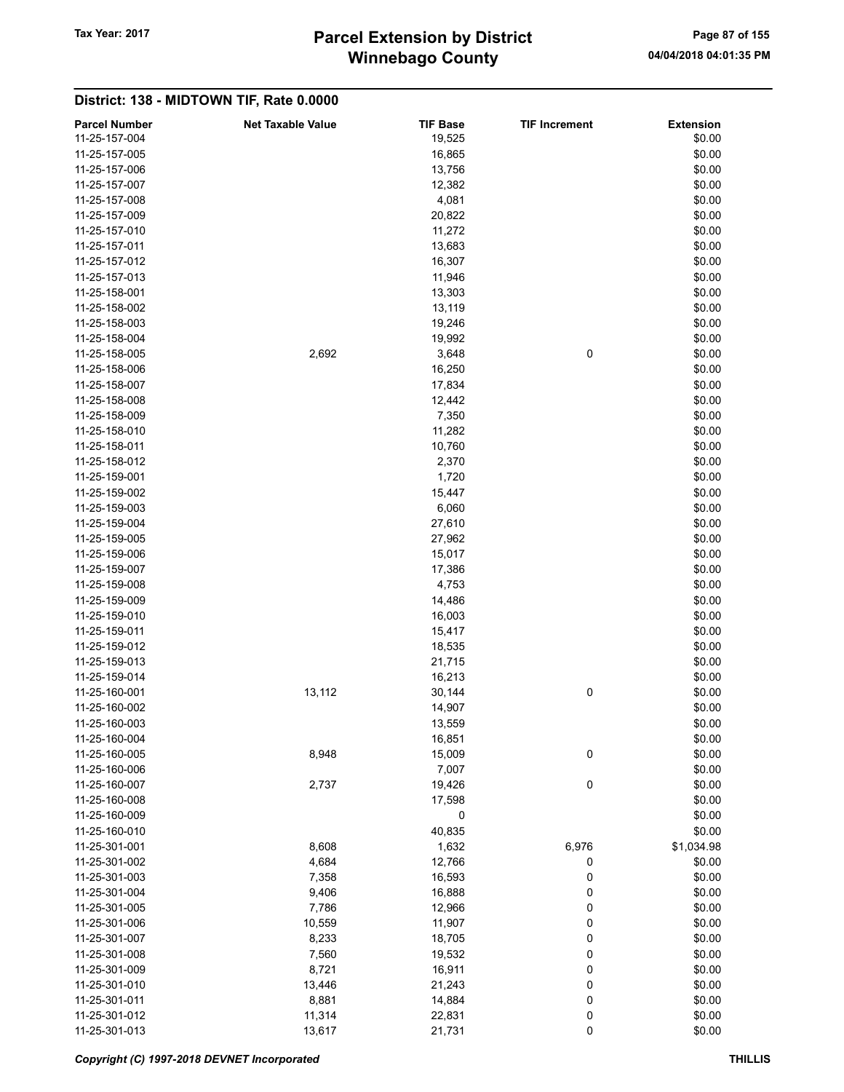# Winnebago County Tax Year: 2017 **Parcel Extension by District** Page 87 of 155

| <b>Parcel Number</b><br>11-25-157-004 | <b>Net Taxable Value</b> | <b>TIF Base</b><br>19,525 | <b>TIF Increment</b> | <b>Extension</b><br>\$0.00 |
|---------------------------------------|--------------------------|---------------------------|----------------------|----------------------------|
|                                       |                          |                           |                      |                            |
| 11-25-157-005<br>11-25-157-006        |                          | 16,865                    |                      | \$0.00                     |
|                                       |                          | 13,756                    |                      | \$0.00                     |
| 11-25-157-007                         |                          | 12,382                    |                      | \$0.00                     |
| 11-25-157-008                         |                          | 4,081                     |                      | \$0.00                     |
| 11-25-157-009                         |                          | 20,822                    |                      | \$0.00                     |
| 11-25-157-010                         |                          | 11,272                    |                      | \$0.00                     |
| 11-25-157-011                         |                          | 13,683                    |                      | \$0.00                     |
| 11-25-157-012                         |                          | 16,307                    |                      | \$0.00                     |
| 11-25-157-013                         |                          | 11,946                    |                      | \$0.00                     |
| 11-25-158-001                         |                          | 13,303                    |                      | \$0.00                     |
| 11-25-158-002                         |                          | 13,119                    |                      | \$0.00                     |
| 11-25-158-003                         |                          | 19,246                    |                      | \$0.00                     |
| 11-25-158-004                         |                          | 19,992                    |                      | \$0.00                     |
| 11-25-158-005                         | 2,692                    | 3,648                     | 0                    | \$0.00                     |
| 11-25-158-006                         |                          | 16,250                    |                      | \$0.00                     |
| 11-25-158-007                         |                          | 17,834                    |                      | \$0.00                     |
| 11-25-158-008                         |                          | 12,442                    |                      | \$0.00                     |
| 11-25-158-009                         |                          | 7,350                     |                      | \$0.00                     |
| 11-25-158-010                         |                          | 11,282                    |                      | \$0.00                     |
| 11-25-158-011                         |                          | 10,760                    |                      | \$0.00                     |
| 11-25-158-012                         |                          | 2,370                     |                      | \$0.00                     |
| 11-25-159-001                         |                          | 1,720                     |                      | \$0.00                     |
| 11-25-159-002                         |                          | 15,447                    |                      | \$0.00                     |
| 11-25-159-003                         |                          | 6,060                     |                      | \$0.00                     |
| 11-25-159-004                         |                          | 27,610                    |                      | \$0.00                     |
| 11-25-159-005                         |                          | 27,962                    |                      | \$0.00                     |
| 11-25-159-006                         |                          | 15,017                    |                      | \$0.00                     |
| 11-25-159-007                         |                          | 17,386                    |                      | \$0.00                     |
| 11-25-159-008                         |                          | 4,753                     |                      | \$0.00                     |
| 11-25-159-009                         |                          | 14,486                    |                      | \$0.00                     |
| 11-25-159-010                         |                          | 16,003                    |                      | \$0.00                     |
| 11-25-159-011                         |                          | 15,417                    |                      | \$0.00                     |
| 11-25-159-012                         |                          | 18,535                    |                      | \$0.00                     |
| 11-25-159-013                         |                          | 21,715                    |                      | \$0.00                     |
| 11-25-159-014                         |                          | 16,213                    |                      | \$0.00                     |
| 11-25-160-001                         | 13,112                   | 30,144                    | 0                    | \$0.00                     |
| 11-25-160-002                         |                          | 14,907                    |                      | \$0.00                     |
| 11-25-160-003                         |                          | 13,559                    |                      | \$0.00                     |
| 11-25-160-004                         |                          | 16,851                    |                      | \$0.00                     |
| 11-25-160-005                         | 8,948                    | 15,009                    | 0                    | \$0.00                     |
| 11-25-160-006                         |                          | 7,007                     |                      | \$0.00                     |
| 11-25-160-007                         | 2,737                    | 19,426                    | 0                    | \$0.00                     |
| 11-25-160-008                         |                          | 17,598                    |                      | \$0.00                     |
| 11-25-160-009                         |                          | 0                         |                      | \$0.00                     |
| 11-25-160-010                         |                          | 40,835                    |                      | \$0.00                     |
| 11-25-301-001                         | 8,608                    | 1,632                     | 6,976                | \$1,034.98                 |
| 11-25-301-002                         | 4,684                    | 12,766                    | 0                    | \$0.00                     |
| 11-25-301-003                         | 7,358                    | 16,593                    | 0                    | \$0.00                     |
| 11-25-301-004                         | 9,406                    | 16,888                    | 0                    | \$0.00                     |
| 11-25-301-005                         |                          |                           |                      | \$0.00                     |
| 11-25-301-006                         | 7,786                    | 12,966                    | 0<br>$\pmb{0}$       | \$0.00                     |
| 11-25-301-007                         | 10,559<br>8,233          | 11,907                    |                      | \$0.00                     |
|                                       |                          | 18,705                    | $\bf{0}$             |                            |
| 11-25-301-008                         | 7,560                    | 19,532                    | 0                    | \$0.00                     |
| 11-25-301-009                         | 8,721                    | 16,911                    | 0                    | \$0.00                     |
| 11-25-301-010                         | 13,446                   | 21,243                    | 0                    | \$0.00                     |
| 11-25-301-011                         | 8,881                    | 14,884                    | 0                    | \$0.00                     |
| 11-25-301-012                         | 11,314                   | 22,831                    | $\boldsymbol{0}$     | \$0.00                     |
| 11-25-301-013                         | 13,617                   | 21,731                    | 0                    | \$0.00                     |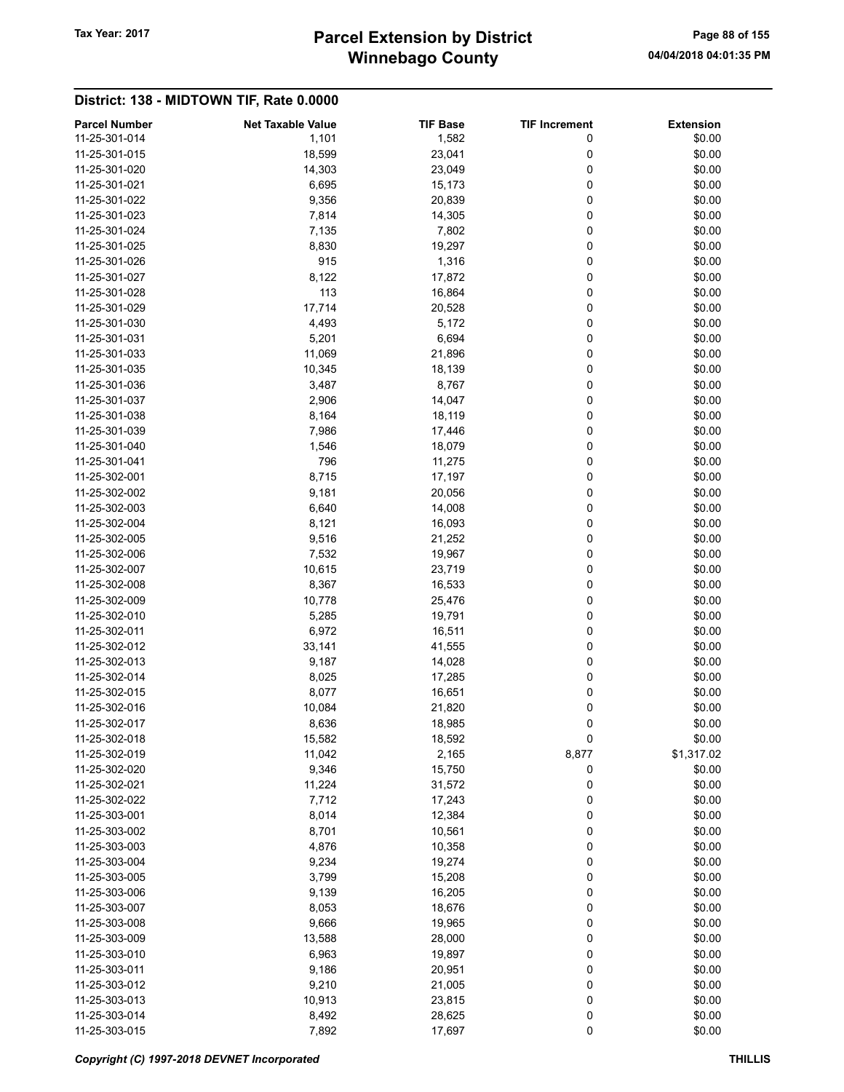# Winnebago County Tax Year: 2017 **Parcel Extension by District** Page 88 of 155

| <b>Parcel Number</b> | <b>Net Taxable Value</b> | <b>TIF Base</b> | <b>TIF Increment</b> | <b>Extension</b> |
|----------------------|--------------------------|-----------------|----------------------|------------------|
| 11-25-301-014        | 1,101                    | 1,582           | 0                    | \$0.00           |
| 11-25-301-015        | 18,599                   | 23,041          | 0                    | \$0.00           |
| 11-25-301-020        | 14,303                   | 23,049          | 0                    | \$0.00           |
| 11-25-301-021        | 6,695                    | 15,173          | 0                    | \$0.00           |
| 11-25-301-022        | 9,356                    | 20,839          | 0                    | \$0.00           |
| 11-25-301-023        | 7,814                    | 14,305          | 0                    | \$0.00           |
| 11-25-301-024        | 7,135                    | 7,802           | 0                    | \$0.00           |
| 11-25-301-025        | 8,830                    | 19,297          | 0                    | \$0.00           |
| 11-25-301-026        | 915                      | 1,316           | 0                    | \$0.00           |
| 11-25-301-027        | 8,122                    | 17,872          | 0                    | \$0.00           |
| 11-25-301-028        | 113                      | 16,864          | 0                    | \$0.00           |
| 11-25-301-029        | 17,714                   | 20,528          | 0                    | \$0.00           |
| 11-25-301-030        | 4,493                    | 5,172           | 0                    | \$0.00           |
| 11-25-301-031        | 5,201                    | 6,694           | 0                    | \$0.00           |
| 11-25-301-033        | 11,069                   | 21,896          | 0                    | \$0.00           |
| 11-25-301-035        | 10,345                   | 18,139          | 0                    | \$0.00           |
| 11-25-301-036        | 3,487                    | 8,767           | 0                    | \$0.00           |
| 11-25-301-037        | 2,906                    | 14,047          | 0                    | \$0.00           |
| 11-25-301-038        | 8,164                    | 18,119          | 0                    | \$0.00           |
| 11-25-301-039        | 7,986                    | 17,446          | 0                    | \$0.00           |
|                      |                          |                 |                      |                  |
| 11-25-301-040        | 1,546                    | 18,079          | 0                    | \$0.00           |
| 11-25-301-041        | 796                      | 11,275          | 0                    | \$0.00           |
| 11-25-302-001        | 8,715                    | 17,197          | 0                    | \$0.00           |
| 11-25-302-002        | 9,181                    | 20,056          | 0                    | \$0.00           |
| 11-25-302-003        | 6,640                    | 14,008          | 0                    | \$0.00           |
| 11-25-302-004        | 8,121                    | 16,093          | 0                    | \$0.00           |
| 11-25-302-005        | 9,516                    | 21,252          | 0                    | \$0.00           |
| 11-25-302-006        | 7,532                    | 19,967          | 0                    | \$0.00           |
| 11-25-302-007        | 10,615                   | 23,719          | 0                    | \$0.00           |
| 11-25-302-008        | 8,367                    | 16,533          | 0                    | \$0.00           |
| 11-25-302-009        | 10,778                   | 25,476          | 0                    | \$0.00           |
| 11-25-302-010        | 5,285                    | 19,791          | 0                    | \$0.00           |
| 11-25-302-011        | 6,972                    | 16,511          | 0                    | \$0.00           |
| 11-25-302-012        | 33,141                   | 41,555          | 0                    | \$0.00           |
| 11-25-302-013        | 9,187                    | 14,028          | 0                    | \$0.00           |
| 11-25-302-014        | 8,025                    | 17,285          | 0                    | \$0.00           |
| 11-25-302-015        | 8,077                    | 16,651          | 0                    | \$0.00           |
| 11-25-302-016        | 10,084                   | 21,820          | 0                    | \$0.00           |
| 11-25-302-017        | 8,636                    | 18,985          | 0                    | \$0.00           |
| 11-25-302-018        | 15,582                   | 18,592          | 0                    | \$0.00           |
| 11-25-302-019        | 11,042                   | 2,165           | 8,877                | \$1,317.02       |
| 11-25-302-020        | 9,346                    | 15,750          | 0                    | \$0.00           |
| 11-25-302-021        | 11,224                   | 31,572          | 0                    | \$0.00           |
| 11-25-302-022        | 7,712                    | 17,243          | 0                    | \$0.00           |
| 11-25-303-001        | 8,014                    | 12,384          | 0                    | \$0.00           |
| 11-25-303-002        | 8,701                    | 10,561          | 0                    | \$0.00           |
| 11-25-303-003        | 4,876                    | 10,358          | 0                    | \$0.00           |
| 11-25-303-004        | 9,234                    | 19,274          | 0                    | \$0.00           |
|                      |                          | 15,208          |                      |                  |
| 11-25-303-005        | 3,799                    |                 | 0                    | \$0.00           |
| 11-25-303-006        | 9,139                    | 16,205          | 0                    | \$0.00           |
| 11-25-303-007        | 8,053                    | 18,676          | 0                    | \$0.00           |
| 11-25-303-008        | 9,666                    | 19,965          | 0                    | \$0.00           |
| 11-25-303-009        | 13,588                   | 28,000          | 0                    | \$0.00           |
| 11-25-303-010        | 6,963                    | 19,897          | 0                    | \$0.00           |
| 11-25-303-011        | 9,186                    | 20,951          | 0                    | \$0.00           |
| 11-25-303-012        | 9,210                    | 21,005          | 0                    | \$0.00           |
| 11-25-303-013        | 10,913                   | 23,815          | 0                    | \$0.00           |
| 11-25-303-014        | 8,492                    | 28,625          | 0                    | \$0.00           |
| 11-25-303-015        | 7,892                    | 17,697          | 0                    | \$0.00           |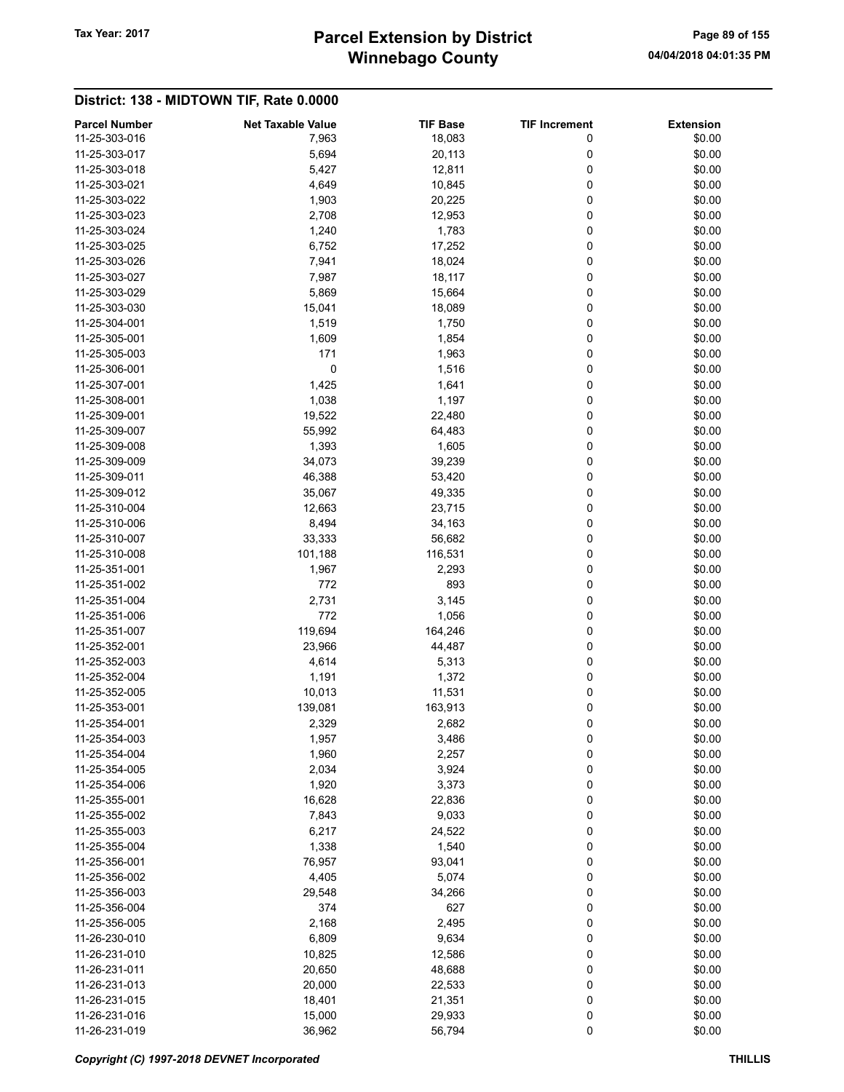# Winnebago County Tax Year: 2017 **Parcel Extension by District** Page 89 of 155

| <b>Parcel Number</b> | <b>Net Taxable Value</b> | <b>TIF Base</b> | <b>TIF Increment</b> | <b>Extension</b> |
|----------------------|--------------------------|-----------------|----------------------|------------------|
| 11-25-303-016        | 7,963                    | 18,083          | 0                    | \$0.00           |
| 11-25-303-017        | 5,694                    | 20,113          | 0                    | \$0.00           |
| 11-25-303-018        | 5,427                    | 12,811          | 0                    | \$0.00           |
| 11-25-303-021        | 4,649                    | 10,845          | 0                    | \$0.00           |
| 11-25-303-022        | 1,903                    | 20,225          | 0                    | \$0.00           |
| 11-25-303-023        | 2,708                    | 12,953          | 0                    | \$0.00           |
| 11-25-303-024        | 1,240                    | 1,783           | 0                    | \$0.00           |
| 11-25-303-025        | 6,752                    | 17,252          | 0                    | \$0.00           |
| 11-25-303-026        | 7,941                    | 18,024          | 0                    | \$0.00           |
| 11-25-303-027        | 7,987                    | 18,117          | 0                    | \$0.00           |
| 11-25-303-029        | 5,869                    | 15,664          | 0                    | \$0.00           |
| 11-25-303-030        | 15,041                   | 18,089          | 0                    | \$0.00           |
| 11-25-304-001        | 1,519                    | 1,750           | 0                    | \$0.00           |
| 11-25-305-001        | 1,609                    | 1,854           | 0                    | \$0.00           |
| 11-25-305-003        | 171                      | 1,963           | 0                    | \$0.00           |
| 11-25-306-001        | 0                        | 1,516           | 0                    | \$0.00           |
| 11-25-307-001        | 1,425                    | 1,641           | 0                    | \$0.00           |
| 11-25-308-001        | 1,038                    | 1,197           | 0                    | \$0.00           |
| 11-25-309-001        | 19,522                   | 22,480          | 0                    | \$0.00           |
| 11-25-309-007        | 55,992                   | 64,483          | 0                    | \$0.00           |
| 11-25-309-008        | 1,393                    | 1,605           | 0                    | \$0.00           |
| 11-25-309-009        | 34,073                   | 39,239          | 0                    | \$0.00           |
| 11-25-309-011        | 46,388                   | 53,420          | 0                    | \$0.00           |
| 11-25-309-012        | 35,067                   | 49,335          | 0                    | \$0.00           |
| 11-25-310-004        | 12,663                   | 23,715          | 0                    | \$0.00           |
| 11-25-310-006        | 8,494                    | 34,163          | 0                    | \$0.00           |
| 11-25-310-007        | 33,333                   | 56,682          | 0                    | \$0.00           |
| 11-25-310-008        | 101,188                  | 116,531         | 0                    | \$0.00           |
| 11-25-351-001        | 1,967                    | 2,293           | 0                    | \$0.00           |
| 11-25-351-002        | 772                      | 893             | 0                    | \$0.00           |
| 11-25-351-004        | 2,731                    | 3,145           | 0                    | \$0.00           |
| 11-25-351-006        | 772                      | 1,056           | 0                    | \$0.00           |
| 11-25-351-007        | 119,694                  | 164,246         | 0                    | \$0.00           |
| 11-25-352-001        | 23,966                   | 44,487          | 0                    | \$0.00           |
| 11-25-352-003        | 4,614                    | 5,313           | 0                    | \$0.00           |
| 11-25-352-004        | 1,191                    | 1,372           | 0                    | \$0.00           |
| 11-25-352-005        | 10,013                   | 11,531          | 0                    | \$0.00           |
| 11-25-353-001        | 139,081                  | 163,913         | 0                    | \$0.00           |
| 11-25-354-001        | 2,329                    | 2,682           | 0                    | \$0.00           |
| 11-25-354-003        | 1,957                    | 3,486           | 0                    | \$0.00           |
| 11-25-354-004        | 1,960                    | 2,257           | 0                    | \$0.00           |
| 11-25-354-005        | 2,034                    | 3,924           | 0                    | \$0.00           |
| 11-25-354-006        | 1,920                    | 3,373           | 0                    | \$0.00           |
| 11-25-355-001        | 16,628                   | 22,836          | 0                    | \$0.00           |
| 11-25-355-002        | 7,843                    | 9,033           | 0                    | \$0.00           |
| 11-25-355-003        | 6,217                    | 24,522          | 0                    | \$0.00           |
| 11-25-355-004        | 1,338                    | 1,540           | 0                    | \$0.00           |
| 11-25-356-001        | 76,957                   | 93,041          | 0                    | \$0.00           |
| 11-25-356-002        | 4,405                    | 5,074           | 0                    | \$0.00           |
| 11-25-356-003        | 29,548                   | 34,266          | 0                    | \$0.00           |
|                      |                          |                 |                      |                  |
| 11-25-356-004        | 374                      | 627             | 0                    | \$0.00           |
| 11-25-356-005        | 2,168                    | 2,495           | 0                    | \$0.00           |
| 11-26-230-010        | 6,809                    | 9,634           | 0                    | \$0.00           |
| 11-26-231-010        | 10,825                   | 12,586          | $\mathbf 0$          | \$0.00           |
| 11-26-231-011        | 20,650                   | 48,688          | 0                    | \$0.00           |
| 11-26-231-013        | 20,000                   | 22,533          | 0                    | \$0.00           |
| 11-26-231-015        | 18,401                   | 21,351          | 0                    | \$0.00           |
| 11-26-231-016        | 15,000                   | 29,933          | 0                    | \$0.00           |
| 11-26-231-019        | 36,962                   | 56,794          | 0                    | \$0.00           |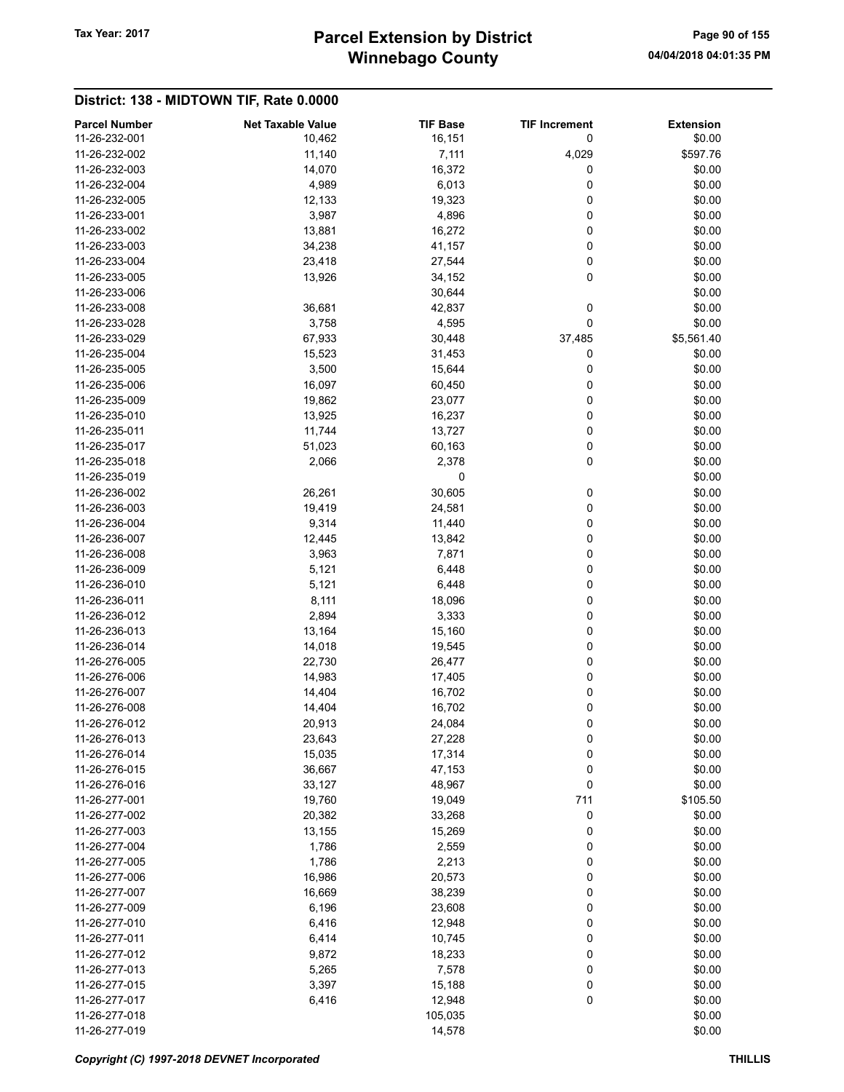# Winnebago County Tax Year: 2017 **Parcel Extension by District** Page 90 of 155

| <b>Parcel Number</b> | <b>Net Taxable Value</b> | <b>TIF Base</b>  | <b>TIF Increment</b> | <b>Extension</b>   |
|----------------------|--------------------------|------------------|----------------------|--------------------|
| 11-26-232-001        | 10,462                   | 16,151           | 0                    | \$0.00             |
| 11-26-232-002        | 11,140                   | 7,111            | 4,029                | \$597.76           |
| 11-26-232-003        | 14,070                   | 16,372           | 0                    | \$0.00             |
| 11-26-232-004        | 4,989                    | 6,013            | 0                    | \$0.00             |
| 11-26-232-005        | 12,133                   | 19,323           | 0                    | \$0.00             |
| 11-26-233-001        | 3,987                    | 4,896            | 0                    | \$0.00             |
| 11-26-233-002        | 13,881                   | 16,272           | 0                    | \$0.00             |
| 11-26-233-003        | 34,238                   | 41,157           | 0                    | \$0.00             |
| 11-26-233-004        | 23,418                   | 27,544           | 0                    | \$0.00             |
| 11-26-233-005        | 13,926                   | 34,152           | 0                    | \$0.00             |
| 11-26-233-006        |                          | 30,644           |                      | \$0.00             |
| 11-26-233-008        | 36,681                   | 42,837           | 0                    | \$0.00             |
| 11-26-233-028        | 3,758                    | 4,595            | 0                    | \$0.00             |
| 11-26-233-029        | 67,933                   | 30,448           | 37,485               | \$5,561.40         |
| 11-26-235-004        | 15,523                   | 31,453           | 0                    | \$0.00             |
| 11-26-235-005        | 3,500                    | 15,644           | 0                    | \$0.00             |
| 11-26-235-006        | 16,097                   | 60,450           | 0                    | \$0.00             |
| 11-26-235-009        | 19,862                   | 23,077           | 0                    | \$0.00             |
| 11-26-235-010        | 13,925                   | 16,237           | 0                    | \$0.00             |
| 11-26-235-011        | 11,744                   | 13,727           | 0                    | \$0.00             |
| 11-26-235-017        | 51,023                   | 60,163           | 0                    | \$0.00             |
| 11-26-235-018        | 2,066                    | 2,378            | 0                    | \$0.00             |
| 11-26-235-019        |                          | 0                |                      | \$0.00             |
| 11-26-236-002        | 26,261                   | 30,605           | 0                    | \$0.00             |
| 11-26-236-003        | 19,419                   | 24,581           | 0                    | \$0.00             |
| 11-26-236-004        | 9,314                    | 11,440           | 0                    | \$0.00             |
| 11-26-236-007        | 12,445                   | 13,842           | 0                    | \$0.00             |
| 11-26-236-008        | 3,963                    | 7,871            | 0                    | \$0.00             |
| 11-26-236-009        | 5,121                    | 6,448            | 0                    | \$0.00             |
| 11-26-236-010        | 5,121                    | 6,448            | 0                    | \$0.00             |
| 11-26-236-011        | 8,111                    | 18,096           | 0                    | \$0.00             |
| 11-26-236-012        | 2,894                    | 3,333            | 0                    | \$0.00             |
| 11-26-236-013        | 13,164                   | 15,160           | 0                    | \$0.00             |
| 11-26-236-014        | 14,018                   | 19,545           | 0                    | \$0.00             |
| 11-26-276-005        | 22,730                   | 26,477           | 0                    | \$0.00             |
| 11-26-276-006        | 14,983                   | 17,405           | 0                    | \$0.00             |
| 11-26-276-007        | 14,404                   | 16,702           | 0                    | \$0.00             |
| 11-26-276-008        | 14,404                   | 16,702           | 0                    | \$0.00             |
| 11-26-276-012        | 20,913                   | 24,084           | $\Omega$             | \$0.00             |
| 11-26-276-013        | 23,643                   | 27,228           | 0                    | \$0.00             |
| 11-26-276-014        |                          |                  |                      |                    |
| 11-26-276-015        | 15,035                   | 17,314           | 0<br>0               | \$0.00             |
| 11-26-276-016        | 36,667                   | 47,153<br>48,967 | $\mathbf 0$          | \$0.00             |
| 11-26-277-001        | 33,127<br>19,760         |                  |                      | \$0.00<br>\$105.50 |
| 11-26-277-002        |                          | 19,049           | 711                  |                    |
| 11-26-277-003        | 20,382                   | 33,268           | 0                    | \$0.00             |
|                      | 13,155                   | 15,269           | 0                    | \$0.00             |
| 11-26-277-004        | 1,786                    | 2,559            | 0                    | \$0.00             |
| 11-26-277-005        | 1,786                    | 2,213            | 0                    | \$0.00             |
| 11-26-277-006        | 16,986                   | 20,573           | 0                    | \$0.00             |
| 11-26-277-007        | 16,669                   | 38,239           | 0                    | \$0.00             |
| 11-26-277-009        | 6,196                    | 23,608           | 0                    | \$0.00             |
| 11-26-277-010        | 6,416                    | 12,948           | 0                    | \$0.00             |
| 11-26-277-011        | 6,414                    | 10,745           | 0                    | \$0.00             |
| 11-26-277-012        | 9,872                    | 18,233           | 0                    | \$0.00             |
| 11-26-277-013        | 5,265                    | 7,578            | 0                    | \$0.00             |
| 11-26-277-015        | 3,397                    | 15,188           | 0                    | \$0.00             |
| 11-26-277-017        | 6,416                    | 12,948           | 0                    | \$0.00             |
| 11-26-277-018        |                          | 105,035          |                      | \$0.00             |
| 11-26-277-019        |                          | 14,578           |                      | \$0.00             |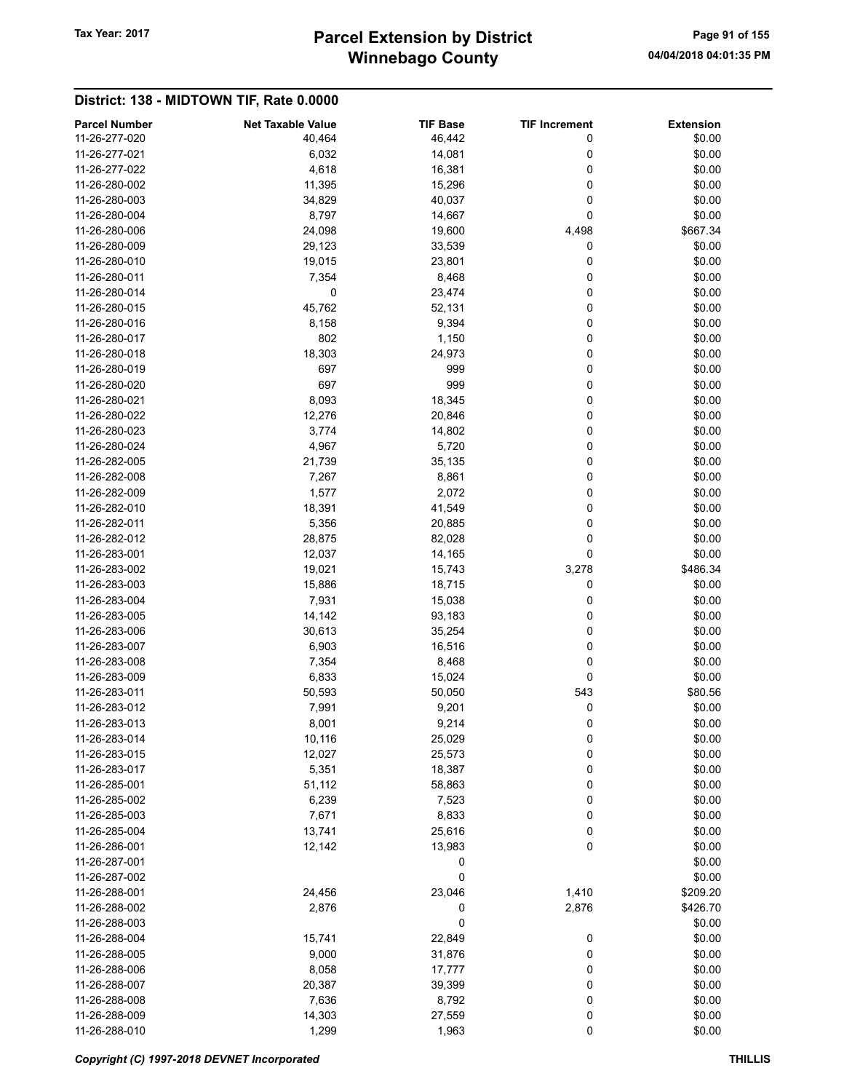# Winnebago County Tax Year: 2017 **Parcel Extension by District** Page 91 of 155

| <b>Parcel Number</b> | <b>Net Taxable Value</b> | <b>TIF Base</b> | <b>TIF Increment</b> | <b>Extension</b> |
|----------------------|--------------------------|-----------------|----------------------|------------------|
| 11-26-277-020        | 40,464                   | 46,442          | 0                    | \$0.00           |
| 11-26-277-021        | 6,032                    | 14,081          | 0                    | \$0.00           |
| 11-26-277-022        | 4,618                    | 16,381          | 0                    | \$0.00           |
| 11-26-280-002        | 11,395                   | 15,296          | 0                    | \$0.00           |
| 11-26-280-003        | 34,829                   | 40,037          | 0                    | \$0.00           |
| 11-26-280-004        | 8,797                    | 14,667          | $\mathbf 0$          | \$0.00           |
| 11-26-280-006        | 24,098                   | 19,600          | 4,498                | \$667.34         |
| 11-26-280-009        | 29,123                   | 33,539          | 0                    | \$0.00           |
| 11-26-280-010        | 19,015                   | 23,801          | 0                    | \$0.00           |
| 11-26-280-011        | 7,354                    | 8,468           | 0                    | \$0.00           |
| 11-26-280-014        | 0                        | 23,474          | 0                    | \$0.00           |
| 11-26-280-015        | 45,762                   | 52,131          | 0                    | \$0.00           |
| 11-26-280-016        | 8,158                    | 9,394           | 0                    | \$0.00           |
| 11-26-280-017        | 802                      | 1,150           | 0                    | \$0.00           |
| 11-26-280-018        | 18,303                   | 24,973          | 0                    | \$0.00           |
| 11-26-280-019        | 697                      | 999             | 0                    | \$0.00           |
| 11-26-280-020        | 697                      | 999             | 0                    | \$0.00           |
| 11-26-280-021        | 8,093                    | 18,345          | 0                    | \$0.00           |
| 11-26-280-022        | 12,276                   | 20,846          | 0                    | \$0.00           |
| 11-26-280-023        | 3,774                    | 14,802          | 0                    | \$0.00           |
| 11-26-280-024        | 4,967                    | 5,720           | 0                    | \$0.00           |
| 11-26-282-005        | 21,739                   | 35,135          | 0                    | \$0.00           |
| 11-26-282-008        | 7,267                    | 8,861           | 0                    | \$0.00           |
| 11-26-282-009        | 1,577                    | 2,072           | 0                    | \$0.00           |
| 11-26-282-010        | 18,391                   | 41,549          | 0                    | \$0.00           |
| 11-26-282-011        | 5,356                    | 20,885          | 0                    | \$0.00           |
| 11-26-282-012        | 28,875                   | 82,028          | 0                    | \$0.00           |
| 11-26-283-001        | 12,037                   | 14,165          | 0                    | \$0.00           |
| 11-26-283-002        | 19,021                   | 15,743          | 3,278                | \$486.34         |
| 11-26-283-003        | 15,886                   | 18,715          | 0                    | \$0.00           |
| 11-26-283-004        | 7,931                    | 15,038          | 0                    | \$0.00           |
| 11-26-283-005        | 14,142                   | 93,183          | 0                    | \$0.00           |
| 11-26-283-006        | 30,613                   | 35,254          | 0                    | \$0.00           |
| 11-26-283-007        | 6,903                    | 16,516          | 0                    | \$0.00           |
| 11-26-283-008        | 7,354                    | 8,468           | 0                    | \$0.00           |
| 11-26-283-009        | 6,833                    | 15,024          | 0                    | \$0.00           |
| 11-26-283-011        | 50,593                   | 50,050          | 543                  | \$80.56          |
| 11-26-283-012        | 7,991                    | 9,201           | 0                    | \$0.00           |
| 11-26-283-013        | 8,001                    | 9,214           | 0                    | \$0.00           |
| 11-26-283-014        | 10,116                   | 25,029          | $\boldsymbol{0}$     | \$0.00           |
| 11-26-283-015        | 12,027                   | 25,573          | 0                    | \$0.00           |
| 11-26-283-017        | 5,351                    | 18,387          | 0                    | \$0.00           |
| 11-26-285-001        | 51,112                   | 58,863          | 0                    | \$0.00           |
| 11-26-285-002        | 6,239                    | 7,523           | 0                    | \$0.00           |
| 11-26-285-003        | 7,671                    | 8,833           | 0                    | \$0.00           |
| 11-26-285-004        | 13,741                   | 25,616          | $\boldsymbol{0}$     | \$0.00           |
| 11-26-286-001        | 12,142                   | 13,983          | 0                    | \$0.00           |
| 11-26-287-001        |                          | 0               |                      | \$0.00           |
| 11-26-287-002        |                          | 0               |                      | \$0.00           |
| 11-26-288-001        | 24,456                   | 23,046          | 1,410                | \$209.20         |
| 11-26-288-002        | 2,876                    | 0               | 2,876                | \$426.70         |
| 11-26-288-003        |                          | 0               |                      | \$0.00           |
| 11-26-288-004        | 15,741                   | 22,849          | 0                    | \$0.00           |
| 11-26-288-005        | 9,000                    | 31,876          | 0                    | \$0.00           |
| 11-26-288-006        | 8,058                    | 17,777          | 0                    | \$0.00           |
| 11-26-288-007        | 20,387                   | 39,399          | 0                    | \$0.00           |
| 11-26-288-008        | 7,636                    | 8,792           | 0                    | \$0.00           |
| 11-26-288-009        | 14,303                   | 27,559          | $\pmb{0}$            | \$0.00           |
| 11-26-288-010        | 1,299                    | 1,963           | 0                    | \$0.00           |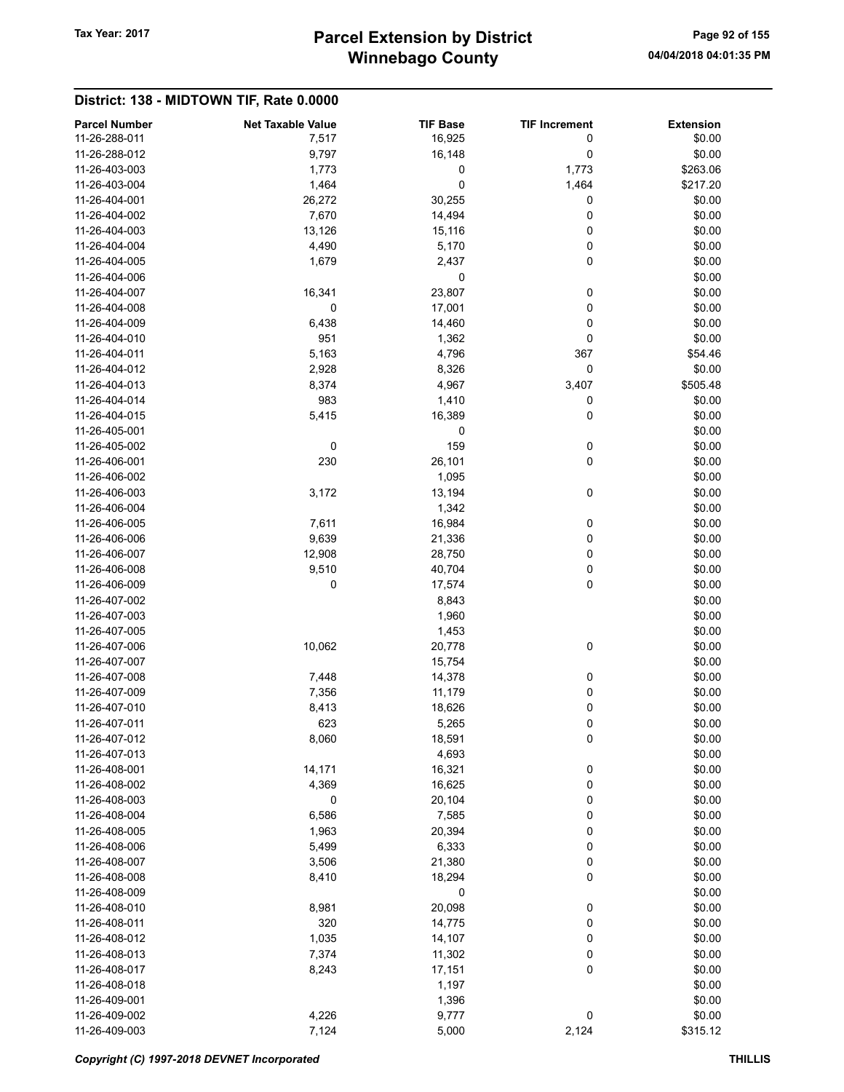# Winnebago County Tax Year: 2017 **Parcel Extension by District** Page 92 of 155

| <b>Parcel Number</b>           | <b>Net Taxable Value</b> | <b>TIF Base</b> | <b>TIF Increment</b> | <b>Extension</b> |
|--------------------------------|--------------------------|-----------------|----------------------|------------------|
| 11-26-288-011                  | 7,517                    | 16,925          | 0                    | \$0.00           |
| 11-26-288-012                  | 9,797                    | 16,148          | 0                    | \$0.00           |
| 11-26-403-003                  | 1,773                    | 0               | 1,773                | \$263.06         |
| 11-26-403-004                  | 1,464                    | 0               | 1,464                | \$217.20         |
| 11-26-404-001                  | 26,272                   | 30,255          | 0                    | \$0.00           |
| 11-26-404-002                  | 7,670                    | 14,494          | 0                    | \$0.00           |
| 11-26-404-003                  | 13,126                   | 15,116          | 0                    | \$0.00           |
| 11-26-404-004                  | 4,490                    | 5,170           | 0                    | \$0.00           |
| 11-26-404-005                  | 1,679                    | 2,437           | 0                    | \$0.00           |
| 11-26-404-006                  |                          | 0               |                      | \$0.00           |
| 11-26-404-007                  | 16,341                   | 23,807          | 0                    | \$0.00           |
| 11-26-404-008                  | 0                        | 17,001          | 0                    | \$0.00           |
| 11-26-404-009                  | 6,438                    | 14,460          | 0                    | \$0.00           |
| 11-26-404-010                  | 951                      | 1,362           | 0                    | \$0.00           |
| 11-26-404-011                  | 5,163                    | 4,796           | 367                  | \$54.46          |
| 11-26-404-012                  | 2,928                    | 8,326           | 0                    | \$0.00           |
| 11-26-404-013                  | 8,374                    | 4,967           | 3,407                | \$505.48         |
| 11-26-404-014                  | 983                      | 1,410           | 0                    | \$0.00           |
| 11-26-404-015                  | 5,415                    | 16,389          | 0                    | \$0.00           |
| 11-26-405-001                  |                          | 0               |                      | \$0.00           |
| 11-26-405-002                  | 0                        | 159             | 0                    | \$0.00           |
| 11-26-406-001                  | 230                      | 26,101          | 0                    | \$0.00           |
| 11-26-406-002                  |                          | 1,095           |                      | \$0.00           |
| 11-26-406-003                  | 3,172                    | 13,194          | 0                    | \$0.00           |
| 11-26-406-004                  |                          | 1,342           |                      | \$0.00           |
| 11-26-406-005                  | 7,611                    | 16,984          | 0                    | \$0.00           |
| 11-26-406-006                  | 9,639                    | 21,336          | 0                    | \$0.00           |
| 11-26-406-007                  | 12,908                   | 28,750          | 0                    | \$0.00           |
| 11-26-406-008                  | 9,510                    | 40,704          | 0                    | \$0.00           |
| 11-26-406-009                  | 0                        | 17,574          | 0                    | \$0.00           |
| 11-26-407-002                  |                          |                 |                      | \$0.00           |
| 11-26-407-003                  |                          | 8,843<br>1,960  |                      | \$0.00           |
| 11-26-407-005                  |                          | 1,453           |                      | \$0.00           |
| 11-26-407-006                  |                          |                 | 0                    |                  |
|                                | 10,062                   | 20,778          |                      | \$0.00           |
| 11-26-407-007<br>11-26-407-008 | 7,448                    | 15,754          |                      | \$0.00           |
|                                |                          | 14,378          | 0                    | \$0.00           |
| 11-26-407-009                  | 7,356                    | 11,179          | 0                    | \$0.00           |
| 11-26-407-010                  | 8,413                    | 18,626          | 0                    | \$0.00           |
| 11-26-407-011                  | 623                      | 5,265           | 0                    | \$0.00           |
| 11-26-407-012                  | 8,060                    | 18,591          | 0                    | \$0.00           |
| 11-26-407-013                  |                          | 4,693           |                      | \$0.00           |
| 11-26-408-001                  | 14,171                   | 16,321          | 0                    | \$0.00           |
| 11-26-408-002                  | 4,369                    | 16,625          | 0                    | \$0.00           |
| 11-26-408-003                  | 0                        | 20,104          | 0                    | \$0.00           |
| 11-26-408-004                  | 6,586                    | 7,585           | 0                    | \$0.00           |
| 11-26-408-005                  | 1,963                    | 20,394          | 0                    | \$0.00           |
| 11-26-408-006                  | 5,499                    | 6,333           | 0                    | \$0.00           |
| 11-26-408-007                  | 3,506                    | 21,380          | 0                    | \$0.00           |
| 11-26-408-008                  | 8,410                    | 18,294          | 0                    | \$0.00           |
| 11-26-408-009                  |                          | 0               |                      | \$0.00           |
| 11-26-408-010                  | 8,981                    | 20,098          | 0                    | \$0.00           |
| 11-26-408-011                  | 320                      | 14,775          | 0                    | \$0.00           |
| 11-26-408-012                  | 1,035                    | 14,107          | 0                    | \$0.00           |
| 11-26-408-013                  | 7,374                    | 11,302          | 0                    | \$0.00           |
| 11-26-408-017                  | 8,243                    | 17,151          | 0                    | \$0.00           |
| 11-26-408-018                  |                          | 1,197           |                      | \$0.00           |
| 11-26-409-001                  |                          | 1,396           |                      | \$0.00           |
| 11-26-409-002                  | 4,226                    | 9,777           | 0                    | \$0.00           |
| 11-26-409-003                  | 7,124                    | 5,000           | 2,124                | \$315.12         |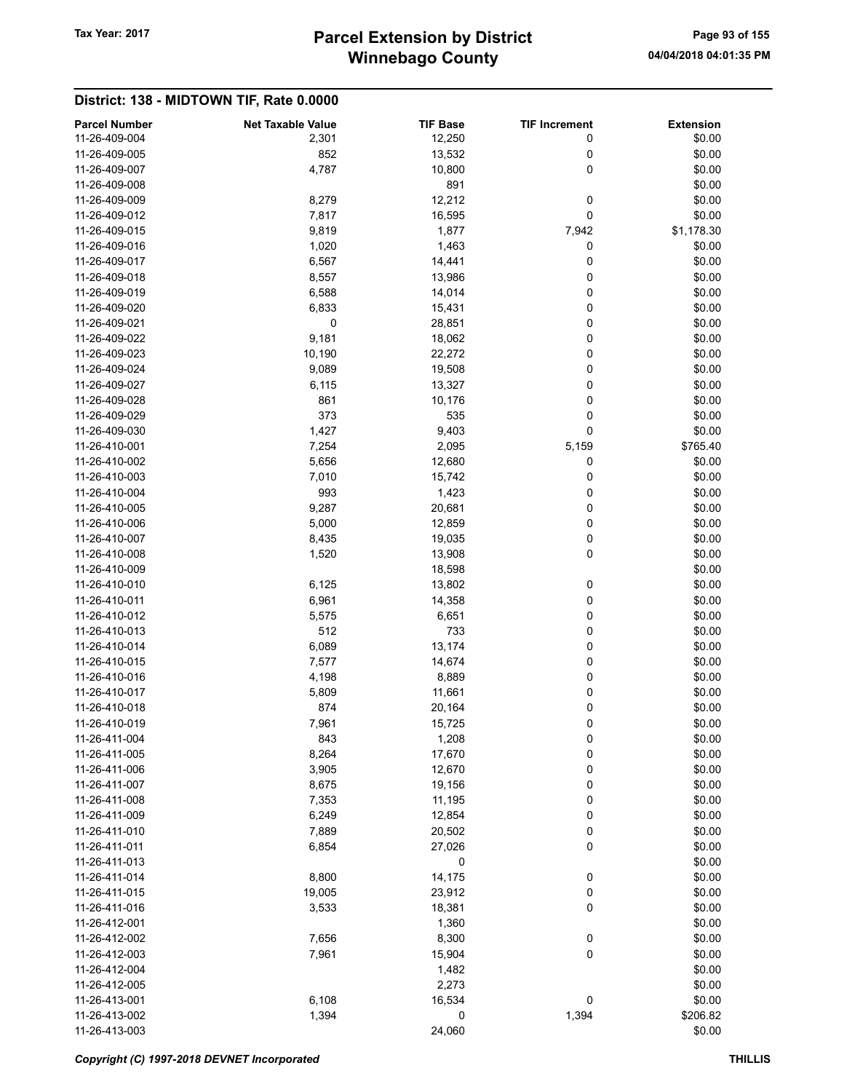# Winnebago County Tax Year: 2017 **Parcel Extension by District** Page 93 of 155

| <b>Parcel Number</b> | <b>Net Taxable Value</b> | <b>TIF Base</b> | <b>TIF Increment</b> | <b>Extension</b> |
|----------------------|--------------------------|-----------------|----------------------|------------------|
| 11-26-409-004        | 2,301                    | 12,250          | 0                    | \$0.00           |
| 11-26-409-005        | 852                      | 13,532          | 0                    | \$0.00           |
| 11-26-409-007        | 4,787                    | 10,800          | 0                    | \$0.00           |
| 11-26-409-008        |                          | 891             |                      | \$0.00           |
| 11-26-409-009        | 8,279                    | 12,212          | 0                    | \$0.00           |
| 11-26-409-012        | 7,817                    | 16,595          | 0                    | \$0.00           |
| 11-26-409-015        | 9,819                    | 1,877           | 7,942                | \$1,178.30       |
| 11-26-409-016        | 1,020                    | 1,463           | 0                    | \$0.00           |
| 11-26-409-017        | 6,567                    | 14,441          | 0                    | \$0.00           |
| 11-26-409-018        | 8,557                    | 13,986          | 0                    | \$0.00           |
| 11-26-409-019        | 6,588                    | 14,014          | 0                    | \$0.00           |
| 11-26-409-020        | 6,833                    | 15,431          | 0                    | \$0.00           |
| 11-26-409-021        | 0                        | 28,851          | 0                    | \$0.00           |
| 11-26-409-022        | 9,181                    | 18,062          | 0                    | \$0.00           |
| 11-26-409-023        | 10,190                   | 22,272          | 0                    | \$0.00           |
| 11-26-409-024        | 9,089                    | 19,508          | 0                    | \$0.00           |
| 11-26-409-027        | 6,115                    | 13,327          | 0                    | \$0.00           |
| 11-26-409-028        | 861                      | 10,176          | 0                    | \$0.00           |
| 11-26-409-029        | 373                      | 535             | 0                    | \$0.00           |
| 11-26-409-030        | 1,427                    | 9,403           | 0                    | \$0.00           |
| 11-26-410-001        | 7,254                    | 2,095           | 5,159                | \$765.40         |
| 11-26-410-002        | 5,656                    | 12,680          | 0                    | \$0.00           |
| 11-26-410-003        | 7,010                    | 15,742          | 0                    | \$0.00           |
| 11-26-410-004        | 993                      | 1,423           | 0                    | \$0.00           |
| 11-26-410-005        | 9,287                    | 20,681          | 0                    | \$0.00           |
| 11-26-410-006        | 5,000                    | 12,859          | 0                    | \$0.00           |
| 11-26-410-007        | 8,435                    | 19,035          | 0                    | \$0.00           |
| 11-26-410-008        | 1,520                    | 13,908          | 0                    | \$0.00           |
| 11-26-410-009        |                          | 18,598          |                      | \$0.00           |
| 11-26-410-010        | 6,125                    | 13,802          | 0                    | \$0.00           |
| 11-26-410-011        | 6,961                    | 14,358          | 0                    | \$0.00           |
| 11-26-410-012        | 5,575                    | 6,651           | 0                    | \$0.00           |
| 11-26-410-013        | 512                      | 733             | 0                    | \$0.00           |
| 11-26-410-014        |                          |                 | 0                    | \$0.00           |
| 11-26-410-015        | 6,089                    | 13,174          |                      |                  |
|                      | 7,577                    | 14,674          | 0                    | \$0.00           |
| 11-26-410-016        | 4,198                    | 8,889           | 0                    | \$0.00           |
| 11-26-410-017        | 5,809                    | 11,661          | 0                    | \$0.00           |
| 11-26-410-018        | 874                      | 20,164          | 0                    | \$0.00           |
| 11-26-410-019        | 7,961                    | 15,725          | 0                    | \$0.00           |
| 11-26-411-004        | 843                      | 1,208           | 0                    | \$0.00           |
| 11-26-411-005        | 8,264                    | 17,670          | 0                    | \$0.00           |
| 11-26-411-006        | 3,905                    | 12,670          | 0                    | \$0.00           |
| 11-26-411-007        | 8,675                    | 19,156          | 0                    | \$0.00           |
| 11-26-411-008        | 7,353                    | 11,195          | 0                    | \$0.00           |
| 11-26-411-009        | 6,249                    | 12,854          | 0                    | \$0.00           |
| 11-26-411-010        | 7,889                    | 20,502          | 0                    | \$0.00           |
| 11-26-411-011        | 6,854                    | 27,026          | 0                    | \$0.00           |
| 11-26-411-013        |                          | 0               |                      | \$0.00           |
| 11-26-411-014        | 8,800                    | 14,175          | 0                    | \$0.00           |
| 11-26-411-015        | 19,005                   | 23,912          | 0                    | \$0.00           |
| 11-26-411-016        | 3,533                    | 18,381          | 0                    | \$0.00           |
| 11-26-412-001        |                          | 1,360           |                      | \$0.00           |
| 11-26-412-002        | 7,656                    | 8,300           | $\boldsymbol{0}$     | \$0.00           |
| 11-26-412-003        | 7,961                    | 15,904          | 0                    | \$0.00           |
| 11-26-412-004        |                          | 1,482           |                      | \$0.00           |
| 11-26-412-005        |                          | 2,273           |                      | \$0.00           |
| 11-26-413-001        | 6,108                    | 16,534          | 0                    | \$0.00           |
| 11-26-413-002        | 1,394                    | 0               | 1,394                | \$206.82         |
| 11-26-413-003        |                          | 24,060          |                      | \$0.00           |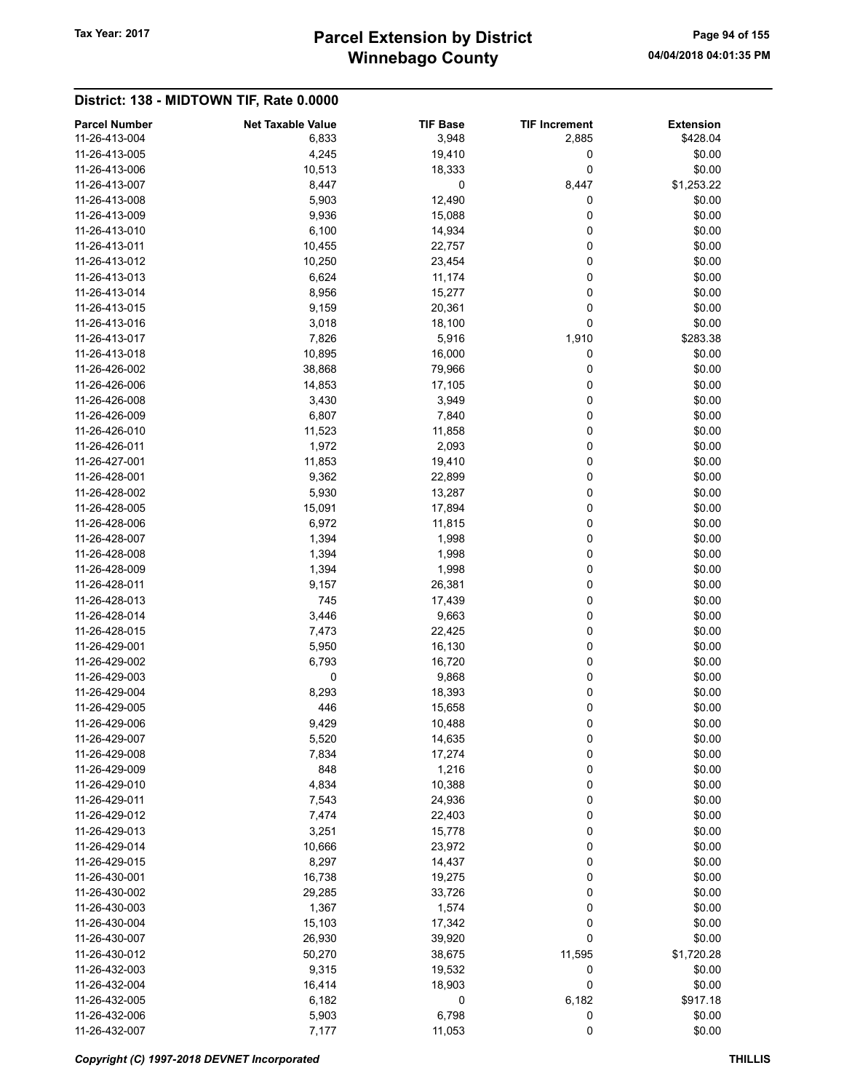# Winnebago County Tax Year: 2017 **Parcel Extension by District** Page 94 of 155

| <b>Parcel Number</b>           | <b>Net Taxable Value</b> | <b>TIF Base</b> | <b>TIF Increment</b> | <b>Extension</b> |
|--------------------------------|--------------------------|-----------------|----------------------|------------------|
| 11-26-413-004                  | 6,833                    | 3,948           | 2,885                | \$428.04         |
| 11-26-413-005                  | 4,245                    | 19,410          | 0                    | \$0.00           |
| 11-26-413-006                  | 10,513                   | 18,333          | 0                    | \$0.00           |
| 11-26-413-007                  | 8,447                    | 0               | 8,447                | \$1,253.22       |
| 11-26-413-008                  | 5,903                    | 12,490          | 0                    | \$0.00           |
| 11-26-413-009                  | 9,936                    | 15,088          | 0                    | \$0.00           |
| 11-26-413-010                  | 6,100                    | 14,934          | 0                    | \$0.00           |
| 11-26-413-011                  | 10,455                   | 22,757          | 0                    | \$0.00           |
| 11-26-413-012                  | 10,250                   | 23,454          | 0                    | \$0.00           |
| 11-26-413-013                  | 6,624                    | 11,174          | 0                    | \$0.00           |
| 11-26-413-014                  | 8,956                    | 15,277          | 0                    | \$0.00           |
| 11-26-413-015                  | 9,159                    | 20,361          | 0                    | \$0.00           |
| 11-26-413-016                  | 3,018                    | 18,100          | 0                    | \$0.00           |
| 11-26-413-017                  | 7,826                    | 5,916           | 1,910                | \$283.38         |
| 11-26-413-018                  | 10,895                   | 16,000          | 0                    | \$0.00           |
| 11-26-426-002                  | 38,868                   | 79,966          | 0                    | \$0.00           |
| 11-26-426-006                  | 14,853                   | 17,105          | 0                    | \$0.00           |
| 11-26-426-008                  | 3,430                    | 3,949           | 0                    | \$0.00           |
| 11-26-426-009                  | 6,807                    | 7,840           | 0                    | \$0.00           |
| 11-26-426-010                  | 11,523                   | 11,858          | 0                    | \$0.00           |
| 11-26-426-011                  | 1,972                    | 2,093           | 0                    | \$0.00           |
| 11-26-427-001                  | 11,853                   | 19,410          | 0                    | \$0.00           |
| 11-26-428-001                  | 9,362                    | 22,899          | 0                    | \$0.00           |
| 11-26-428-002                  | 5,930                    | 13,287          | 0                    | \$0.00           |
| 11-26-428-005                  | 15,091                   | 17,894          | 0                    | \$0.00           |
| 11-26-428-006                  | 6,972                    |                 | 0                    | \$0.00           |
|                                |                          | 11,815          | 0                    |                  |
| 11-26-428-007<br>11-26-428-008 | 1,394                    | 1,998           | 0                    | \$0.00           |
|                                | 1,394                    | 1,998<br>1,998  |                      | \$0.00           |
| 11-26-428-009                  | 1,394                    |                 | 0                    | \$0.00           |
| 11-26-428-011                  | 9,157                    | 26,381          | 0                    | \$0.00           |
| 11-26-428-013                  | 745                      | 17,439          | 0                    | \$0.00           |
| 11-26-428-014                  | 3,446                    | 9,663           | 0                    | \$0.00           |
| 11-26-428-015                  | 7,473                    | 22,425          | 0                    | \$0.00           |
| 11-26-429-001                  | 5,950                    | 16,130          | 0                    | \$0.00           |
| 11-26-429-002                  | 6,793                    | 16,720          | 0                    | \$0.00           |
| 11-26-429-003                  | 0                        | 9,868           | 0                    | \$0.00           |
| 11-26-429-004                  | 8,293                    | 18,393          | 0                    | \$0.00           |
| 11-26-429-005                  | 446                      | 15,658          | 0                    | \$0.00           |
| 11-26-429-006                  | 9,429                    | 10,488          | $\Omega$             | \$0.00           |
| 11-26-429-007                  | 5,520                    | 14,635          | 0                    | \$0.00           |
| 11-26-429-008                  | 7,834                    | 17,274          | 0                    | \$0.00           |
| 11-26-429-009                  | 848                      | 1,216           | 0                    | \$0.00           |
| 11-26-429-010                  | 4,834                    | 10,388          | 0                    | \$0.00           |
| 11-26-429-011                  | 7,543                    | 24,936          | 0                    | \$0.00           |
| 11-26-429-012                  | 7,474                    | 22,403          | 0                    | \$0.00           |
| 11-26-429-013                  | 3,251                    | 15,778          | 0                    | \$0.00           |
| 11-26-429-014                  | 10,666                   | 23,972          | 0                    | \$0.00           |
| 11-26-429-015                  | 8,297                    | 14,437          | 0                    | \$0.00           |
| 11-26-430-001                  | 16,738                   | 19,275          | 0                    | \$0.00           |
| 11-26-430-002                  | 29,285                   | 33,726          | 0                    | \$0.00           |
| 11-26-430-003                  | 1,367                    | 1,574           | 0                    | \$0.00           |
| 11-26-430-004                  | 15,103                   | 17,342          | 0                    | \$0.00           |
| 11-26-430-007                  | 26,930                   | 39,920          | 0                    | \$0.00           |
| 11-26-430-012                  | 50,270                   | 38,675          | 11,595               | \$1,720.28       |
| 11-26-432-003                  | 9,315                    | 19,532          | 0                    | \$0.00           |
| 11-26-432-004                  | 16,414                   | 18,903          | 0                    | \$0.00           |
| 11-26-432-005                  | 6,182                    | 0               | 6,182                | \$917.18         |
| 11-26-432-006                  | 5,903                    | 6,798           | 0                    | \$0.00           |
| 11-26-432-007                  | 7,177                    | 11,053          | 0                    | \$0.00           |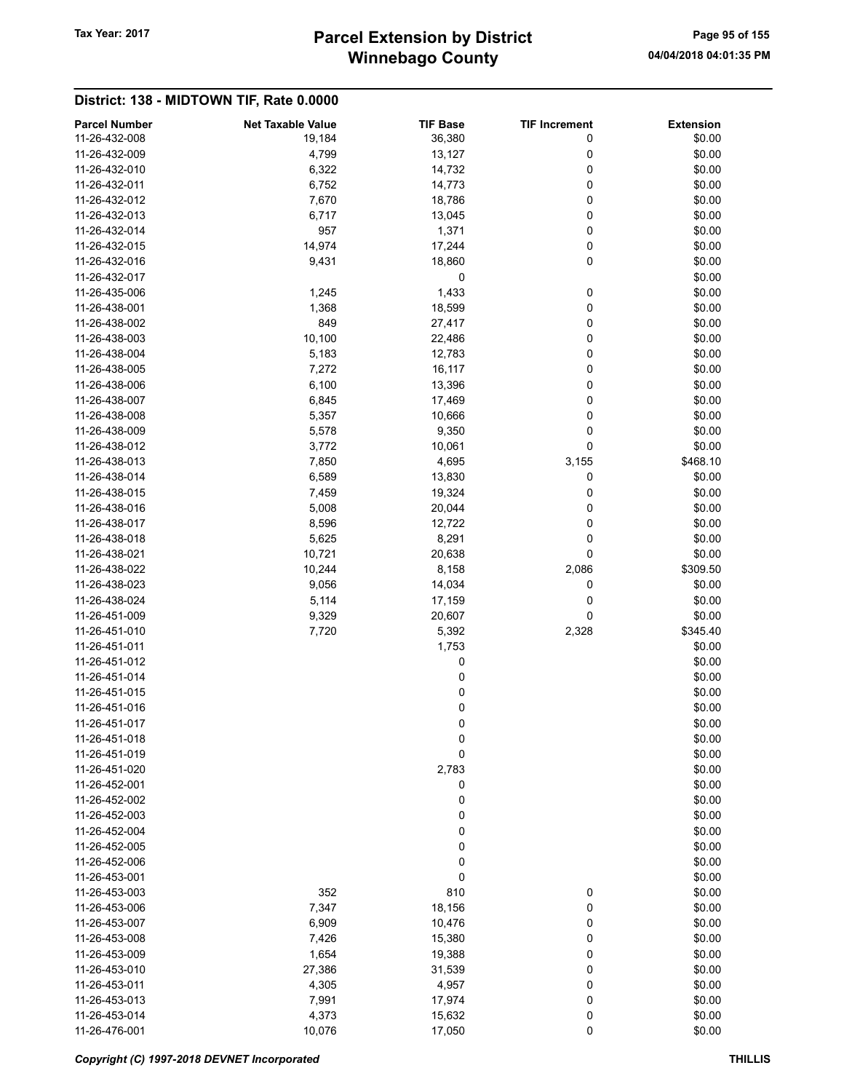# Winnebago County Tax Year: 2017 **Parcel Extension by District** Page 95 of 155

| <b>Parcel Number</b> | <b>Net Taxable Value</b> | <b>TIF Base</b> | <b>TIF Increment</b> | <b>Extension</b> |
|----------------------|--------------------------|-----------------|----------------------|------------------|
| 11-26-432-008        | 19,184                   | 36,380          | 0                    | \$0.00           |
| 11-26-432-009        | 4,799                    | 13,127          | 0                    | \$0.00           |
| 11-26-432-010        | 6,322                    | 14,732          | 0                    | \$0.00           |
| 11-26-432-011        | 6,752                    | 14,773          | 0                    | \$0.00           |
| 11-26-432-012        | 7,670                    | 18,786          | 0                    | \$0.00           |
| 11-26-432-013        | 6,717                    | 13,045          | 0                    | \$0.00           |
| 11-26-432-014        | 957                      | 1,371           | 0                    | \$0.00           |
| 11-26-432-015        | 14,974                   | 17,244          | 0                    | \$0.00           |
| 11-26-432-016        | 9,431                    | 18,860          | 0                    | \$0.00           |
| 11-26-432-017        |                          | 0               |                      | \$0.00           |
| 11-26-435-006        | 1,245                    | 1,433           | 0                    | \$0.00           |
| 11-26-438-001        | 1,368                    | 18,599          | 0                    | \$0.00           |
| 11-26-438-002        | 849                      | 27,417          | 0                    | \$0.00           |
| 11-26-438-003        | 10,100                   | 22,486          | 0                    | \$0.00           |
| 11-26-438-004        | 5,183                    | 12,783          | 0                    | \$0.00           |
| 11-26-438-005        | 7,272                    | 16,117          | 0                    | \$0.00           |
| 11-26-438-006        | 6,100                    | 13,396          | 0                    | \$0.00           |
| 11-26-438-007        | 6,845                    | 17,469          | 0                    | \$0.00           |
| 11-26-438-008        | 5,357                    | 10,666          | 0                    | \$0.00           |
| 11-26-438-009        | 5,578                    | 9,350           | 0                    | \$0.00           |
| 11-26-438-012        | 3,772                    | 10,061          | 0                    | \$0.00           |
| 11-26-438-013        | 7,850                    | 4,695           | 3,155                | \$468.10         |
| 11-26-438-014        | 6,589                    | 13,830          | 0                    | \$0.00           |
| 11-26-438-015        | 7,459                    | 19,324          | 0                    | \$0.00           |
| 11-26-438-016        | 5,008                    | 20,044          | 0                    | \$0.00           |
| 11-26-438-017        | 8,596                    | 12,722          | 0                    | \$0.00           |
| 11-26-438-018        | 5,625                    | 8,291           | 0                    | \$0.00           |
| 11-26-438-021        | 10,721                   | 20,638          | 0                    | \$0.00           |
| 11-26-438-022        | 10,244                   | 8,158           | 2,086                | \$309.50         |
| 11-26-438-023        | 9,056                    | 14,034          | 0                    | \$0.00           |
| 11-26-438-024        | 5,114                    | 17,159          | 0                    | \$0.00           |
| 11-26-451-009        | 9,329                    | 20,607          | 0                    | \$0.00           |
| 11-26-451-010        | 7,720                    | 5,392           | 2,328                | \$345.40         |
| 11-26-451-011        |                          | 1,753           |                      | \$0.00           |
| 11-26-451-012        |                          | 0               |                      | \$0.00           |
| 11-26-451-014        |                          | 0               |                      | \$0.00           |
| 11-26-451-015        |                          | 0               |                      | \$0.00           |
| 11-26-451-016        |                          | 0               |                      | \$0.00           |
| 11-26-451-017        |                          | 0               |                      | \$0.00           |
| 11-26-451-018        |                          | 0               |                      | \$0.00           |
| 11-26-451-019        |                          | 0               |                      | \$0.00           |
| 11-26-451-020        |                          | 2,783           |                      | \$0.00           |
| 11-26-452-001        |                          | 0               |                      | \$0.00           |
| 11-26-452-002        |                          | 0               |                      | \$0.00           |
| 11-26-452-003        |                          | 0               |                      | \$0.00           |
| 11-26-452-004        |                          | 0               |                      | \$0.00           |
| 11-26-452-005        |                          | 0               |                      | \$0.00           |
| 11-26-452-006        |                          | 0               |                      | \$0.00           |
| 11-26-453-001        |                          | 0               |                      | \$0.00           |
| 11-26-453-003        | 352                      | 810             | 0                    | \$0.00           |
| 11-26-453-006        | 7,347                    | 18,156          | 0                    | \$0.00           |
| 11-26-453-007        | 6,909                    | 10,476          | 0                    | \$0.00           |
| 11-26-453-008        | 7,426                    | 15,380          | 0                    | \$0.00           |
| 11-26-453-009        | 1,654                    | 19,388          | 0                    | \$0.00           |
| 11-26-453-010        | 27,386                   | 31,539          | 0                    | \$0.00           |
| 11-26-453-011        | 4,305                    | 4,957           | 0                    | \$0.00           |
| 11-26-453-013        | 7,991                    | 17,974          | 0                    | \$0.00           |
| 11-26-453-014        | 4,373                    | 15,632          | 0                    | \$0.00           |
| 11-26-476-001        | 10,076                   | 17,050          | 0                    | \$0.00           |
|                      |                          |                 |                      |                  |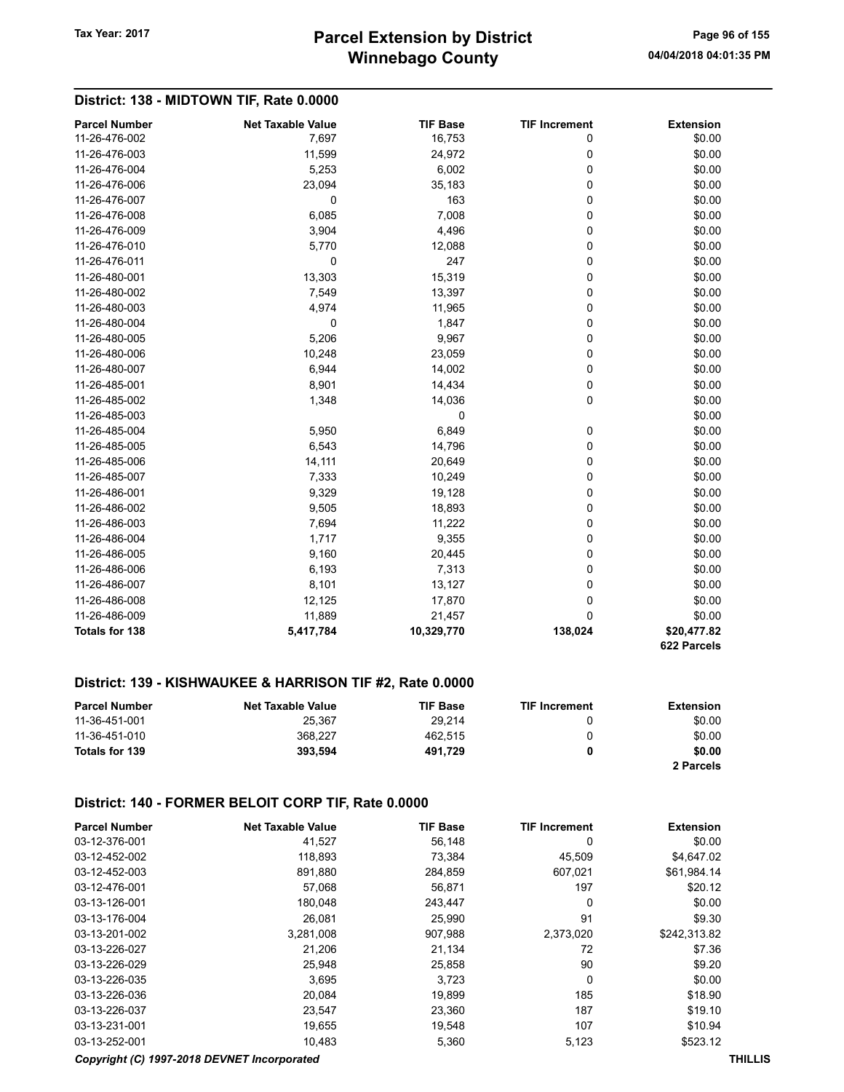# Winnebago County Tax Year: 2017 **Parcel Extension by District** Tax Year: 2017 Page 96 of 155

# District: 138 - MIDTOWN TIF, Rate 0.0000 Parcel Number **Net Taxable Value** TIF Base TIF Increment Extension 11-26-476-002 7,697 7,697 16,753 0 \$0.00 11-26-476-003 11,599 24,972 0 \$0.00

|                       |           |            |         | 622 Parcels |
|-----------------------|-----------|------------|---------|-------------|
| <b>Totals for 138</b> | 5,417,784 | 10,329,770 | 138,024 | \$20,477.82 |
| 11-26-486-009         | 11,889    | 21,457     | 0       | \$0.00      |
| 11-26-486-008         | 12,125    | 17,870     | 0       | \$0.00      |
| 11-26-486-007         | 8,101     | 13,127     | 0       | \$0.00      |
| 11-26-486-006         | 6,193     | 7,313      | 0       | \$0.00      |
| 11-26-486-005         | 9,160     | 20,445     | 0       | \$0.00      |
| 11-26-486-004         | 1,717     | 9,355      | 0       | \$0.00      |
| 11-26-486-003         | 7,694     | 11,222     | 0       | \$0.00      |
| 11-26-486-002         | 9,505     | 18,893     | 0       | \$0.00      |
| 11-26-486-001         | 9,329     | 19,128     | 0       | \$0.00      |
| 11-26-485-007         | 7,333     | 10,249     | 0       | \$0.00      |
| 11-26-485-006         | 14,111    | 20,649     | 0       | \$0.00      |
| 11-26-485-005         | 6,543     | 14,796     | 0       | \$0.00      |
| 11-26-485-004         | 5,950     | 6,849      | 0       | \$0.00      |
| 11-26-485-003         |           | 0          |         | \$0.00      |
| 11-26-485-002         | 1,348     | 14,036     | 0       | \$0.00      |
| 11-26-485-001         | 8,901     | 14,434     | 0       | \$0.00      |
| 11-26-480-007         | 6,944     | 14,002     | 0       | \$0.00      |
| 11-26-480-006         | 10,248    | 23,059     | 0       | \$0.00      |
| 11-26-480-005         | 5,206     | 9,967      | 0       | \$0.00      |
| 11-26-480-004         | 0         | 1,847      | 0       | \$0.00      |
| 11-26-480-003         | 4,974     | 11,965     | 0       | \$0.00      |
| 11-26-480-002         | 7,549     | 13,397     | 0       | \$0.00      |
| 11-26-480-001         | 13,303    | 15,319     | 0       | \$0.00      |
| 11-26-476-011         | 0         | 247        | 0       | \$0.00      |
| 11-26-476-010         | 5,770     | 12,088     | 0       | \$0.00      |
| 11-26-476-009         | 3,904     | 4,496      | 0       | \$0.00      |
| 11-26-476-008         | 6,085     | 7,008      | 0       | \$0.00      |
| 11-26-476-007         | 0         | 163        | 0       | \$0.00      |
| 11-26-476-006         | 23,094    | 35,183     | 0       | \$0.00      |
| 11-26-476-004         | 5,253     | 6,002      | 0       | \$0.00      |
| $11 - 20 - 470 - 000$ | 11,ວອອ    | 24,91 Z    | v       | QU.UU       |

#### District: 139 - KISHWAUKEE & HARRISON TIF #2, Rate 0.0000

| <b>Parcel Number</b> | <b>Net Taxable Value</b> | <b>TIF Base</b> | <b>TIF Increment</b> | <b>Extension</b> |
|----------------------|--------------------------|-----------------|----------------------|------------------|
| 11-36-451-001        | 25.367                   | 29.214          |                      | \$0.00           |
| 11-36-451-010        | 368.227                  | 462.515         | O                    | \$0.00           |
| Totals for 139       | 393.594                  | 491.729         | 0                    | \$0.00           |
|                      |                          |                 |                      | 2 Parcels        |

#### District: 140 - FORMER BELOIT CORP TIF, Rate 0.0000

| <b>Parcel Number</b> | <b>Net Taxable Value</b> | <b>TIF Base</b> | <b>TIF Increment</b> | <b>Extension</b> |
|----------------------|--------------------------|-----------------|----------------------|------------------|
| 03-12-376-001        | 41,527                   | 56,148          | 0                    | \$0.00           |
| 03-12-452-002        | 118,893                  | 73.384          | 45,509               | \$4,647.02       |
| 03-12-452-003        | 891,880                  | 284,859         | 607,021              | \$61,984.14      |
| 03-12-476-001        | 57,068                   | 56,871          | 197                  | \$20.12          |
| 03-13-126-001        | 180,048                  | 243,447         | 0                    | \$0.00           |
| 03-13-176-004        | 26,081                   | 25,990          | 91                   | \$9.30           |
| 03-13-201-002        | 3.281.008                | 907.988         | 2.373.020            | \$242,313.82     |
| 03-13-226-027        | 21,206                   | 21,134          | 72                   | \$7.36           |
| 03-13-226-029        | 25,948                   | 25,858          | 90                   | \$9.20           |
| 03-13-226-035        | 3,695                    | 3,723           | 0                    | \$0.00           |
| 03-13-226-036        | 20,084                   | 19.899          | 185                  | \$18.90          |
| 03-13-226-037        | 23,547                   | 23,360          | 187                  | \$19.10          |
| 03-13-231-001        | 19,655                   | 19,548          | 107                  | \$10.94          |
| 03-13-252-001        | 10,483                   | 5,360           | 5,123                | \$523.12         |

#### Copyright (C) 1997-2018 DEVNET Incorporated THILLIS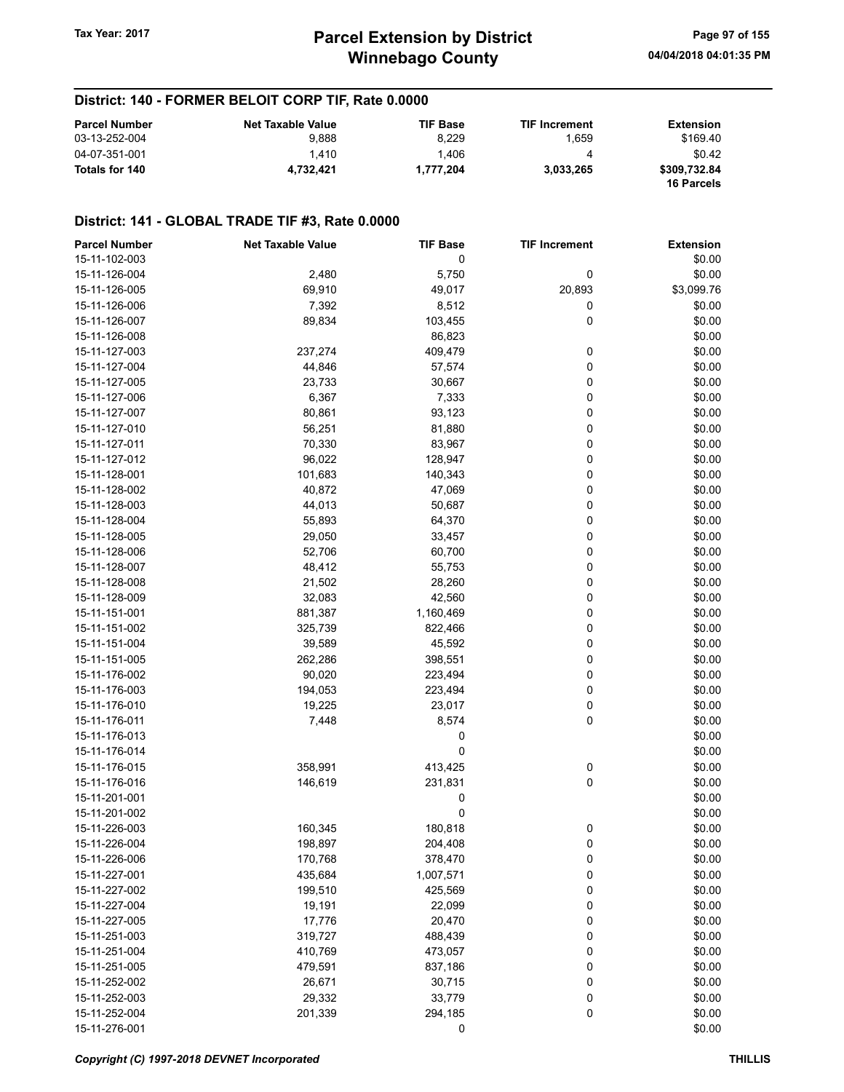# District: 140 - FORMER BELOIT CORP TIF, Rate 0.0000

| <b>Parcel Number</b> | <b>Net Taxable Value</b> | <b>TIF Base</b> | <b>TIF Increment</b> | <b>Extension</b>                  |
|----------------------|--------------------------|-----------------|----------------------|-----------------------------------|
| 03-13-252-004        | 9.888                    | 8.229           | ∣.659                | \$169.40                          |
| 04-07-351-001        | 1.410                    | 1.406           |                      | \$0.42                            |
| Totals for 140       | 4.732.421                | 1.777.204       | 3.033.265            | \$309,732.84<br><b>16 Parcels</b> |

#### District: 141 - GLOBAL TRADE TIF #3, Rate 0.0000

| 15-11-102-003<br>0                    |        | \$0.00     |
|---------------------------------------|--------|------------|
| 15-11-126-004<br>2,480<br>5,750       | 0      | \$0.00     |
| 69,910<br>15-11-126-005<br>49,017     | 20,893 | \$3,099.76 |
| 15-11-126-006<br>7,392<br>8,512       | 0      | \$0.00     |
| 15-11-126-007<br>89,834<br>103,455    | 0      | \$0.00     |
| 15-11-126-008<br>86,823               |        | \$0.00     |
| 15-11-127-003<br>237,274<br>409,479   | 0      | \$0.00     |
| 15-11-127-004<br>44,846<br>57,574     | 0      | \$0.00     |
| 23,733<br>30,667<br>15-11-127-005     | 0      | \$0.00     |
| 15-11-127-006<br>6,367<br>7,333       | 0      | \$0.00     |
| 15-11-127-007<br>80,861<br>93,123     | 0      | \$0.00     |
| 15-11-127-010<br>56,251<br>81,880     | 0      | \$0.00     |
| 15-11-127-011<br>70,330<br>83,967     | 0      | \$0.00     |
| 15-11-127-012<br>96,022<br>128,947    | 0      | \$0.00     |
| 101,683<br>15-11-128-001<br>140,343   | 0      | \$0.00     |
| 15-11-128-002<br>40,872<br>47,069     | 0      | \$0.00     |
| 15-11-128-003<br>44,013<br>50,687     | 0      | \$0.00     |
| 55,893<br>64,370<br>15-11-128-004     | 0      | \$0.00     |
| 15-11-128-005<br>29,050<br>33,457     | 0      | \$0.00     |
| 15-11-128-006<br>52,706<br>60,700     | 0      | \$0.00     |
| 15-11-128-007<br>48,412<br>55,753     | 0      | \$0.00     |
| 21,502<br>28,260<br>15-11-128-008     | 0      | \$0.00     |
| 15-11-128-009<br>32,083<br>42,560     | 0      | \$0.00     |
| 15-11-151-001<br>881,387<br>1,160,469 | 0      | \$0.00     |
| 15-11-151-002<br>325,739<br>822,466   | 0      | \$0.00     |
| 15-11-151-004<br>39,589<br>45,592     | 0      | \$0.00     |
| 262,286<br>15-11-151-005<br>398,551   | 0      | \$0.00     |
| 90,020<br>223,494<br>15-11-176-002    | 0      | \$0.00     |
| 223,494<br>15-11-176-003<br>194,053   | 0      | \$0.00     |
| 15-11-176-010<br>19,225<br>23,017     | 0      | \$0.00     |
| 15-11-176-011<br>7,448<br>8,574       | 0      | \$0.00     |
| 15-11-176-013<br>0                    |        | \$0.00     |
| 0<br>15-11-176-014                    |        | \$0.00     |
| 15-11-176-015<br>358,991<br>413,425   | 0      | \$0.00     |
| 15-11-176-016<br>146,619<br>231,831   | 0      | \$0.00     |
| 15-11-201-001<br>0                    |        | \$0.00     |
| 0<br>15-11-201-002                    |        | \$0.00     |
| 15-11-226-003<br>160,345<br>180,818   | 0      | \$0.00     |
| 15-11-226-004<br>198,897<br>204,408   | 0      | \$0.00     |
| 15-11-226-006<br>170,768<br>378,470   | 0      | \$0.00     |
| 15-11-227-001<br>435,684<br>1,007,571 | 0      | \$0.00     |
| 15-11-227-002<br>199,510<br>425,569   | 0      | \$0.00     |
| 15-11-227-004<br>22,099<br>19,191     | 0      | \$0.00     |
| 15-11-227-005<br>17,776<br>20,470     | 0      | \$0.00     |
| 15-11-251-003<br>319,727<br>488,439   | 0      | \$0.00     |
| 15-11-251-004<br>410,769<br>473,057   | 0      | \$0.00     |
| 15-11-251-005<br>479,591<br>837,186   | 0      | \$0.00     |
| 15-11-252-002<br>26,671<br>30,715     | 0      | \$0.00     |
| 15-11-252-003<br>29,332<br>33,779     | 0      | \$0.00     |
| 15-11-252-004<br>201,339<br>294,185   | 0      | \$0.00     |
| 15-11-276-001<br>0                    |        | \$0.00     |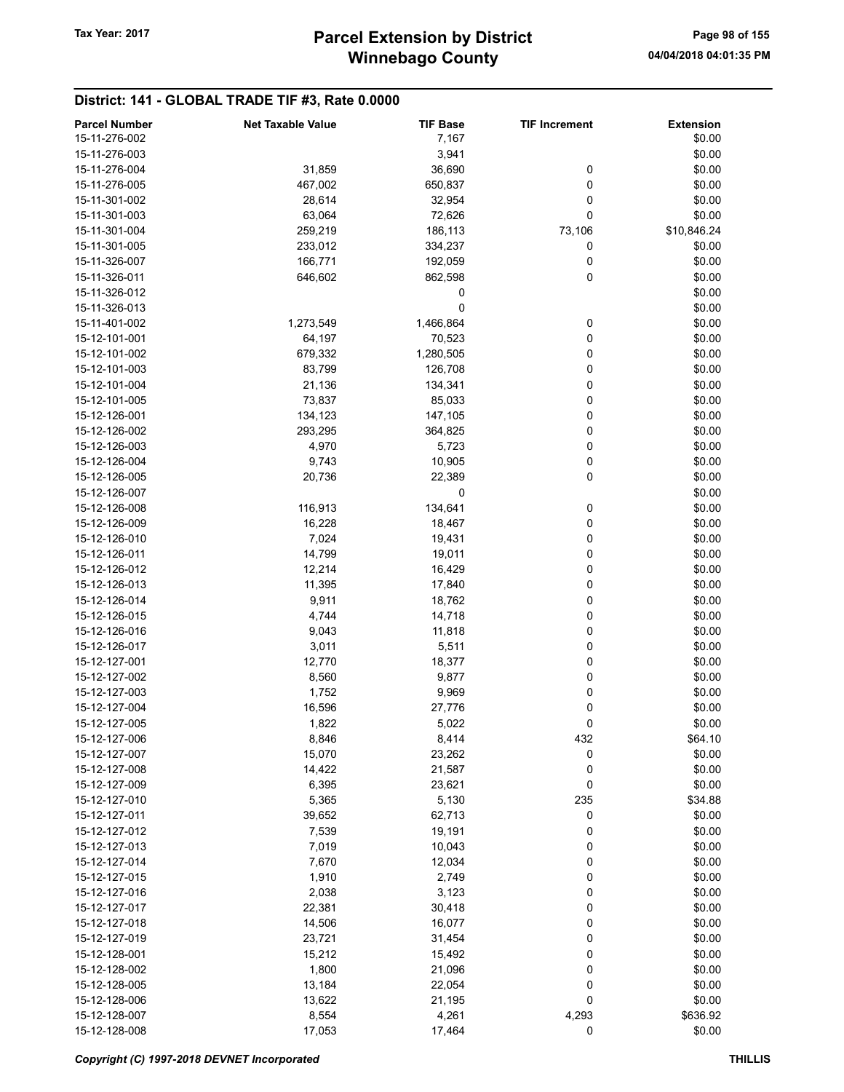# District: 141 - GLOBAL TRADE TIF #3, Rate 0.0000

| <b>Parcel Number</b> | <b>Net Taxable Value</b> | <b>TIF Base</b> | <b>TIF Increment</b> | <b>Extension</b> |
|----------------------|--------------------------|-----------------|----------------------|------------------|
| 15-11-276-002        |                          | 7,167           |                      | \$0.00           |
| 15-11-276-003        |                          | 3,941           |                      | \$0.00           |
| 15-11-276-004        | 31,859                   | 36,690          | 0                    | \$0.00           |
| 15-11-276-005        | 467,002                  | 650,837         | 0                    | \$0.00           |
| 15-11-301-002        | 28,614                   | 32,954          | 0                    | \$0.00           |
| 15-11-301-003        |                          |                 | 0                    |                  |
|                      | 63,064                   | 72,626          |                      | \$0.00           |
| 15-11-301-004        | 259,219                  | 186,113         | 73,106               | \$10,846.24      |
| 15-11-301-005        | 233,012                  | 334,237         | 0                    | \$0.00           |
| 15-11-326-007        | 166,771                  | 192,059         | 0                    | \$0.00           |
| 15-11-326-011        | 646,602                  | 862,598         | 0                    | \$0.00           |
| 15-11-326-012        |                          | 0               |                      | \$0.00           |
| 15-11-326-013        |                          | 0               |                      | \$0.00           |
| 15-11-401-002        | 1,273,549                | 1,466,864       | 0                    | \$0.00           |
| 15-12-101-001        | 64,197                   | 70,523          | 0                    | \$0.00           |
| 15-12-101-002        | 679,332                  | 1,280,505       | 0                    | \$0.00           |
| 15-12-101-003        | 83,799                   | 126,708         | 0                    | \$0.00           |
| 15-12-101-004        | 21,136                   | 134,341         | 0                    | \$0.00           |
| 15-12-101-005        | 73,837                   | 85,033          | 0                    | \$0.00           |
| 15-12-126-001        | 134,123                  | 147,105         | 0                    | \$0.00           |
| 15-12-126-002        | 293,295                  | 364,825         | 0                    | \$0.00           |
|                      |                          |                 |                      |                  |
| 15-12-126-003        | 4,970                    | 5,723           | 0                    | \$0.00           |
| 15-12-126-004        | 9,743                    | 10,905          | 0                    | \$0.00           |
| 15-12-126-005        | 20,736                   | 22,389          | 0                    | \$0.00           |
| 15-12-126-007        |                          | 0               |                      | \$0.00           |
| 15-12-126-008        | 116,913                  | 134,641         | 0                    | \$0.00           |
| 15-12-126-009        | 16,228                   | 18,467          | 0                    | \$0.00           |
| 15-12-126-010        | 7,024                    | 19,431          | 0                    | \$0.00           |
| 15-12-126-011        | 14,799                   | 19,011          | 0                    | \$0.00           |
| 15-12-126-012        | 12,214                   | 16,429          | 0                    | \$0.00           |
| 15-12-126-013        | 11,395                   | 17,840          | 0                    | \$0.00           |
| 15-12-126-014        | 9,911                    | 18,762          | 0                    | \$0.00           |
| 15-12-126-015        | 4,744                    | 14,718          | 0                    | \$0.00           |
| 15-12-126-016        | 9,043                    | 11,818          | 0                    | \$0.00           |
| 15-12-126-017        | 3,011                    | 5,511           | 0                    | \$0.00           |
| 15-12-127-001        | 12,770                   | 18,377          | 0                    | \$0.00           |
| 15-12-127-002        | 8,560                    | 9,877           | 0                    | \$0.00           |
| 15-12-127-003        |                          |                 |                      |                  |
|                      | 1,752                    | 9,969           | 0                    | \$0.00           |
| 15-12-127-004        | 16,596                   | 27,776          | 0                    | \$0.00           |
| 15-12-127-005        | 1,822                    | 5,022           | 0                    | \$0.00           |
| 15-12-127-006        | 8,846                    | 8,414           | 432                  | \$64.10          |
| 15-12-127-007        | 15,070                   | 23,262          | 0                    | \$0.00           |
| 15-12-127-008        | 14,422                   | 21,587          | 0                    | \$0.00           |
| 15-12-127-009        | 6,395                    | 23,621          | $\pmb{0}$            | \$0.00           |
| 15-12-127-010        | 5,365                    | 5,130           | 235                  | \$34.88          |
| 15-12-127-011        | 39,652                   | 62,713          | 0                    | \$0.00           |
| 15-12-127-012        | 7,539                    | 19,191          | 0                    | \$0.00           |
| 15-12-127-013        | 7,019                    | 10,043          | 0                    | \$0.00           |
| 15-12-127-014        | 7,670                    | 12,034          | 0                    | \$0.00           |
| 15-12-127-015        | 1,910                    | 2,749           | 0                    | \$0.00           |
| 15-12-127-016        | 2,038                    | 3,123           | 0                    | \$0.00           |
| 15-12-127-017        | 22,381                   | 30,418          | 0                    | \$0.00           |
|                      |                          |                 |                      |                  |
| 15-12-127-018        | 14,506                   | 16,077          | 0                    | \$0.00           |
| 15-12-127-019        | 23,721                   | 31,454          | 0                    | \$0.00           |
| 15-12-128-001        | 15,212                   | 15,492          | 0                    | \$0.00           |
| 15-12-128-002        | 1,800                    | 21,096          | 0                    | \$0.00           |
| 15-12-128-005        | 13,184                   | 22,054          | 0                    | \$0.00           |
| 15-12-128-006        | 13,622                   | 21,195          | 0                    | \$0.00           |
| 15-12-128-007        | 8,554                    | 4,261           | 4,293                | \$636.92         |
| 15-12-128-008        | 17,053                   | 17,464          | 0                    | \$0.00           |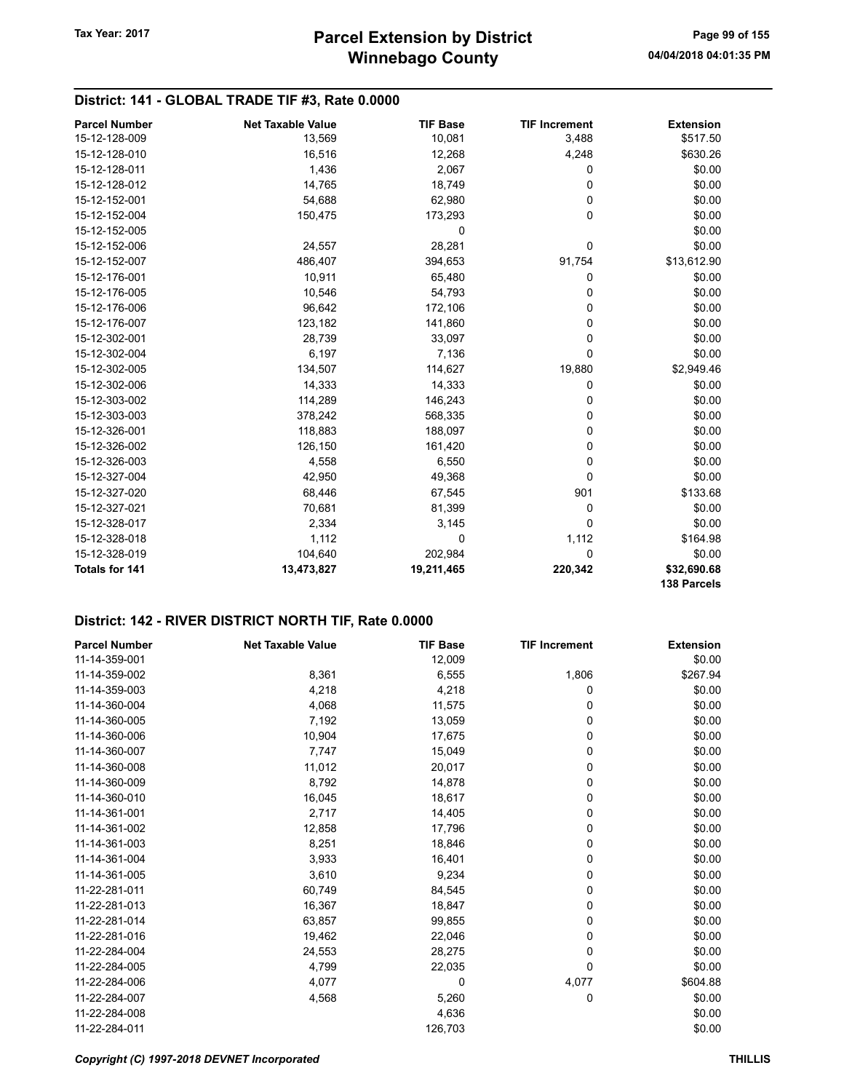# District: 141 - GLOBAL TRADE TIF #3, Rate 0.0000

| <b>Parcel Number</b>  | <b>Net Taxable Value</b> | <b>TIF Base</b> | <b>TIF Increment</b> | <b>Extension</b>   |
|-----------------------|--------------------------|-----------------|----------------------|--------------------|
| 15-12-128-009         | 13,569                   | 10,081          | 3,488                | \$517.50           |
| 15-12-128-010         | 16,516                   | 12,268          | 4,248                | \$630.26           |
| 15-12-128-011         | 1,436                    | 2,067           | 0                    | \$0.00             |
| 15-12-128-012         | 14,765                   | 18,749          | 0                    | \$0.00             |
| 15-12-152-001         | 54,688                   | 62,980          | 0                    | \$0.00             |
| 15-12-152-004         | 150,475                  | 173,293         | 0                    | \$0.00             |
| 15-12-152-005         |                          | 0               |                      | \$0.00             |
| 15-12-152-006         | 24,557                   | 28,281          | 0                    | \$0.00             |
| 15-12-152-007         | 486,407                  | 394,653         | 91,754               | \$13,612.90        |
| 15-12-176-001         | 10,911                   | 65,480          | 0                    | \$0.00             |
| 15-12-176-005         | 10,546                   | 54,793          | 0                    | \$0.00             |
| 15-12-176-006         | 96,642                   | 172,106         | 0                    | \$0.00             |
| 15-12-176-007         | 123,182                  | 141,860         | 0                    | \$0.00             |
| 15-12-302-001         | 28,739                   | 33,097          | 0                    | \$0.00             |
| 15-12-302-004         | 6,197                    | 7,136           | 0                    | \$0.00             |
| 15-12-302-005         | 134,507                  | 114,627         | 19,880               | \$2,949.46         |
| 15-12-302-006         | 14,333                   | 14,333          | 0                    | \$0.00             |
| 15-12-303-002         | 114,289                  | 146,243         | 0                    | \$0.00             |
| 15-12-303-003         | 378,242                  | 568,335         | 0                    | \$0.00             |
| 15-12-326-001         | 118,883                  | 188,097         | 0                    | \$0.00             |
| 15-12-326-002         | 126,150                  | 161,420         | 0                    | \$0.00             |
| 15-12-326-003         | 4,558                    | 6,550           | 0                    | \$0.00             |
| 15-12-327-004         | 42,950                   | 49,368          | $\Omega$             | \$0.00             |
| 15-12-327-020         | 68,446                   | 67,545          | 901                  | \$133.68           |
| 15-12-327-021         | 70,681                   | 81,399          | 0                    | \$0.00             |
| 15-12-328-017         | 2,334                    | 3,145           | 0                    | \$0.00             |
| 15-12-328-018         | 1,112                    | 0               | 1,112                | \$164.98           |
| 15-12-328-019         | 104,640                  | 202,984         | 0                    | \$0.00             |
| <b>Totals for 141</b> | 13,473,827               | 19,211,465      | 220,342              | \$32,690.68        |
|                       |                          |                 |                      | <b>138 Parcels</b> |

| <b>Parcel Number</b> | <b>Net Taxable Value</b> | <b>TIF Base</b> | <b>TIF Increment</b> | <b>Extension</b> |
|----------------------|--------------------------|-----------------|----------------------|------------------|
| 11-14-359-001        |                          | 12,009          |                      | \$0.00           |
| 11-14-359-002        | 8,361                    | 6,555           | 1,806                | \$267.94         |
| 11-14-359-003        | 4,218                    | 4,218           | 0                    | \$0.00           |
| 11-14-360-004        | 4,068                    | 11,575          | 0                    | \$0.00           |
| 11-14-360-005        | 7,192                    | 13,059          | 0                    | \$0.00           |
| 11-14-360-006        | 10,904                   | 17,675          | 0                    | \$0.00           |
| 11-14-360-007        | 7,747                    | 15,049          | 0                    | \$0.00           |
| 11-14-360-008        | 11,012                   | 20,017          | 0                    | \$0.00           |
| 11-14-360-009        | 8,792                    | 14,878          | 0                    | \$0.00           |
| 11-14-360-010        | 16,045                   | 18,617          | 0                    | \$0.00           |
| 11-14-361-001        | 2,717                    | 14,405          | 0                    | \$0.00           |
| 11-14-361-002        | 12,858                   | 17,796          | 0                    | \$0.00           |
| 11-14-361-003        | 8,251                    | 18,846          | 0                    | \$0.00           |
| 11-14-361-004        | 3,933                    | 16,401          | 0                    | \$0.00           |
| 11-14-361-005        | 3,610                    | 9,234           | 0                    | \$0.00           |
| 11-22-281-011        | 60,749                   | 84,545          | 0                    | \$0.00           |
| 11-22-281-013        | 16,367                   | 18,847          | 0                    | \$0.00           |
| 11-22-281-014        | 63,857                   | 99,855          | 0                    | \$0.00           |
| 11-22-281-016        | 19,462                   | 22,046          | 0                    | \$0.00           |
| 11-22-284-004        | 24,553                   | 28,275          | 0                    | \$0.00           |
| 11-22-284-005        | 4,799                    | 22,035          | 0                    | \$0.00           |
| 11-22-284-006        | 4,077                    | 0               | 4,077                | \$604.88         |
| 11-22-284-007        | 4,568                    | 5,260           | 0                    | \$0.00           |
| 11-22-284-008        |                          | 4,636           |                      | \$0.00           |
| 11-22-284-011        |                          | 126,703         |                      | \$0.00           |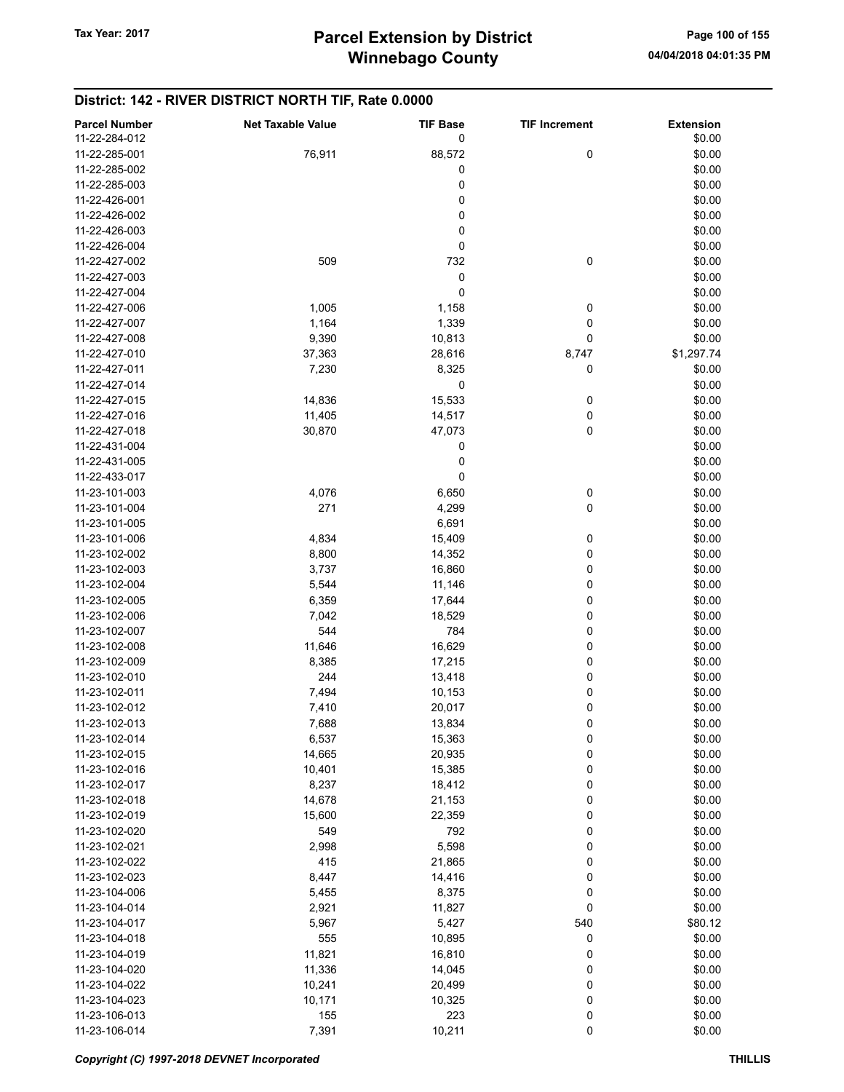| <b>Parcel Number</b> | <b>Net Taxable Value</b> | <b>TIF Base</b> | <b>TIF Increment</b> | <b>Extension</b> |
|----------------------|--------------------------|-----------------|----------------------|------------------|
| 11-22-284-012        |                          | 0               |                      | \$0.00           |
| 11-22-285-001        | 76,911                   | 88,572          | $\mathbf 0$          | \$0.00           |
| 11-22-285-002        |                          | 0               |                      | \$0.00           |
| 11-22-285-003        |                          | 0               |                      | \$0.00           |
| 11-22-426-001        |                          |                 |                      |                  |
|                      |                          | 0               |                      | \$0.00           |
| 11-22-426-002        |                          | 0               |                      | \$0.00           |
| 11-22-426-003        |                          | 0               |                      | \$0.00           |
| 11-22-426-004        |                          | 0               |                      | \$0.00           |
| 11-22-427-002        | 509                      | 732             | $\pmb{0}$            | \$0.00           |
| 11-22-427-003        |                          | 0               |                      | \$0.00           |
| 11-22-427-004        |                          | 0               |                      | \$0.00           |
| 11-22-427-006        | 1,005                    | 1,158           | 0                    | \$0.00           |
| 11-22-427-007        | 1,164                    | 1,339           | 0                    | \$0.00           |
| 11-22-427-008        | 9,390                    | 10,813          | 0                    | \$0.00           |
| 11-22-427-010        |                          |                 |                      | \$1,297.74       |
|                      | 37,363                   | 28,616          | 8,747                |                  |
| 11-22-427-011        | 7,230                    | 8,325           | 0                    | \$0.00           |
| 11-22-427-014        |                          | 0               |                      | \$0.00           |
| 11-22-427-015        | 14,836                   | 15,533          | 0                    | \$0.00           |
| 11-22-427-016        | 11,405                   | 14,517          | 0                    | \$0.00           |
| 11-22-427-018        | 30,870                   | 47,073          | 0                    | \$0.00           |
| 11-22-431-004        |                          | 0               |                      | \$0.00           |
| 11-22-431-005        |                          | 0               |                      | \$0.00           |
| 11-22-433-017        |                          | 0               |                      | \$0.00           |
| 11-23-101-003        | 4,076                    | 6,650           | 0                    | \$0.00           |
| 11-23-101-004        | 271                      | 4,299           | 0                    | \$0.00           |
|                      |                          |                 |                      |                  |
| 11-23-101-005        |                          | 6,691           |                      | \$0.00           |
| 11-23-101-006        | 4,834                    | 15,409          | 0                    | \$0.00           |
| 11-23-102-002        | 8,800                    | 14,352          | 0                    | \$0.00           |
| 11-23-102-003        | 3,737                    | 16,860          | 0                    | \$0.00           |
| 11-23-102-004        | 5,544                    | 11,146          | 0                    | \$0.00           |
| 11-23-102-005        | 6,359                    | 17,644          | 0                    | \$0.00           |
| 11-23-102-006        | 7,042                    | 18,529          | 0                    | \$0.00           |
| 11-23-102-007        | 544                      | 784             | 0                    | \$0.00           |
| 11-23-102-008        | 11,646                   | 16,629          | 0                    | \$0.00           |
| 11-23-102-009        | 8,385                    | 17,215          | 0                    | \$0.00           |
| 11-23-102-010        | 244                      | 13,418          | 0                    | \$0.00           |
| 11-23-102-011        |                          |                 |                      |                  |
|                      | 7,494                    | 10,153          | 0                    | \$0.00           |
| 11-23-102-012        | 7,410                    | 20,017          | 0                    | \$0.00           |
| 11-23-102-013        | 7,688                    | 13,834          | 0                    | \$0.00           |
| 11-23-102-014        | 6,537                    | 15,363          | 0                    | \$0.00           |
| 11-23-102-015        | 14,665                   | 20,935          | 0                    | \$0.00           |
| 11-23-102-016        | 10,401                   | 15,385          | 0                    | \$0.00           |
| 11-23-102-017        | 8,237                    | 18,412          | 0                    | \$0.00           |
| 11-23-102-018        | 14,678                   | 21,153          | 0                    | \$0.00           |
| 11-23-102-019        | 15,600                   | 22,359          | 0                    | \$0.00           |
| 11-23-102-020        | 549                      | 792             | 0                    | \$0.00           |
| 11-23-102-021        | 2,998                    | 5,598           | 0                    | \$0.00           |
| 11-23-102-022        |                          |                 |                      |                  |
|                      | 415                      | 21,865          | 0                    | \$0.00           |
| 11-23-102-023        | 8,447                    | 14,416          | 0                    | \$0.00           |
| 11-23-104-006        | 5,455                    | 8,375           | $\pmb{0}$            | \$0.00           |
| 11-23-104-014        | 2,921                    | 11,827          | 0                    | \$0.00           |
| 11-23-104-017        | 5,967                    | 5,427           | 540                  | \$80.12          |
| 11-23-104-018        | 555                      | 10,895          | 0                    | \$0.00           |
| 11-23-104-019        | 11,821                   | 16,810          | 0                    | \$0.00           |
| 11-23-104-020        | 11,336                   | 14,045          | 0                    | \$0.00           |
| 11-23-104-022        | 10,241                   | 20,499          | 0                    | \$0.00           |
| 11-23-104-023        | 10,171                   | 10,325          | 0                    | \$0.00           |
| 11-23-106-013        | 155                      | 223             | 0                    | \$0.00           |
| 11-23-106-014        | 7,391                    | 10,211          | $\pmb{0}$            | \$0.00           |
|                      |                          |                 |                      |                  |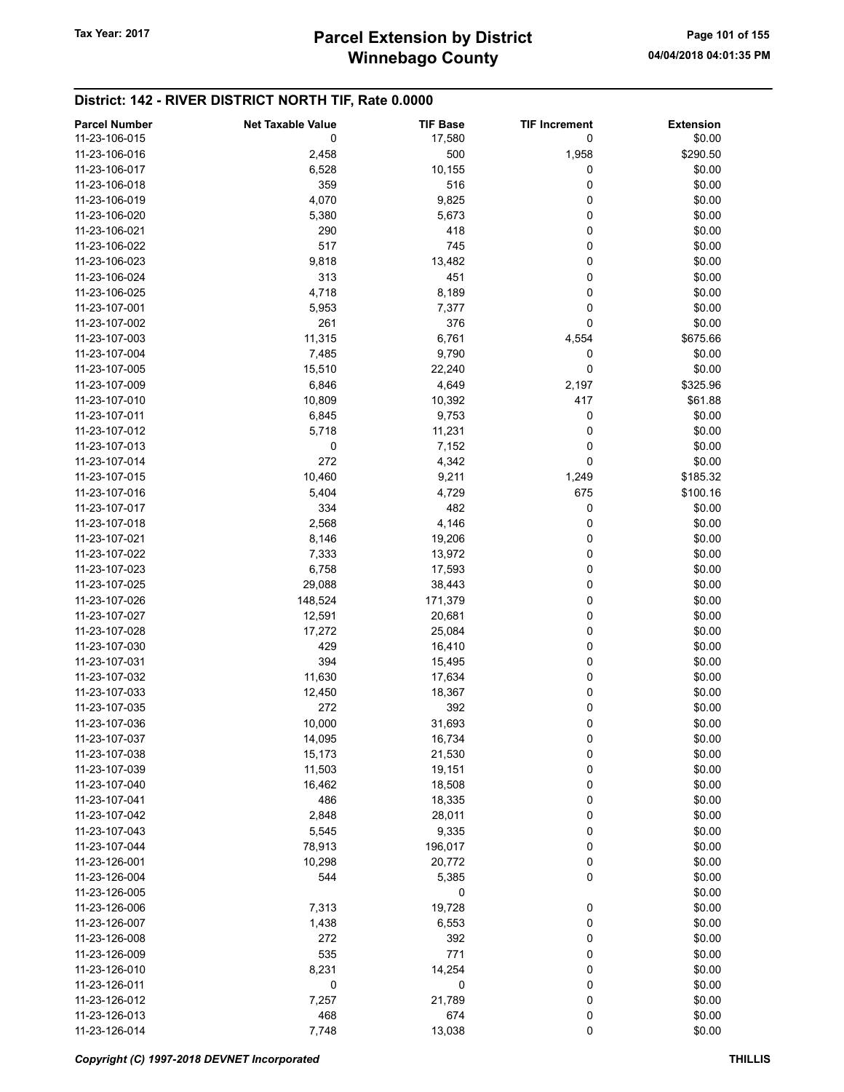| <b>Parcel Number</b> | <b>Net Taxable Value</b> | <b>TIF Base</b> | <b>TIF Increment</b> | <b>Extension</b> |
|----------------------|--------------------------|-----------------|----------------------|------------------|
| 11-23-106-015        | 0                        | 17,580          | 0                    | \$0.00           |
| 11-23-106-016        | 2,458                    | 500             | 1,958                | \$290.50         |
| 11-23-106-017        | 6,528                    | 10,155          | 0                    | \$0.00           |
| 11-23-106-018        | 359                      | 516             | 0                    | \$0.00           |
| 11-23-106-019        | 4,070                    |                 | 0                    | \$0.00           |
|                      |                          | 9,825           |                      |                  |
| 11-23-106-020        | 5,380                    | 5,673           | 0                    | \$0.00           |
| 11-23-106-021        | 290                      | 418             | 0                    | \$0.00           |
| 11-23-106-022        | 517                      | 745             | 0                    | \$0.00           |
| 11-23-106-023        | 9,818                    | 13,482          | 0                    | \$0.00           |
| 11-23-106-024        | 313                      | 451             | 0                    | \$0.00           |
| 11-23-106-025        | 4,718                    | 8,189           | 0                    | \$0.00           |
| 11-23-107-001        | 5,953                    | 7,377           | 0                    | \$0.00           |
| 11-23-107-002        | 261                      | 376             | 0                    | \$0.00           |
| 11-23-107-003        | 11,315                   | 6,761           | 4,554                | \$675.66         |
| 11-23-107-004        | 7,485                    | 9,790           | 0                    | \$0.00           |
| 11-23-107-005        | 15,510                   | 22,240          | 0                    | \$0.00           |
| 11-23-107-009        | 6,846                    | 4,649           | 2,197                | \$325.96         |
| 11-23-107-010        | 10,809                   | 10,392          | 417                  | \$61.88          |
| 11-23-107-011        |                          | 9,753           | 0                    | \$0.00           |
|                      | 6,845                    |                 |                      |                  |
| 11-23-107-012        | 5,718                    | 11,231          | 0                    | \$0.00           |
| 11-23-107-013        | 0                        | 7,152           | 0                    | \$0.00           |
| 11-23-107-014        | 272                      | 4,342           | 0                    | \$0.00           |
| 11-23-107-015        | 10,460                   | 9,211           | 1,249                | \$185.32         |
| 11-23-107-016        | 5,404                    | 4,729           | 675                  | \$100.16         |
| 11-23-107-017        | 334                      | 482             | 0                    | \$0.00           |
| 11-23-107-018        | 2,568                    | 4,146           | 0                    | \$0.00           |
| 11-23-107-021        | 8,146                    | 19,206          | 0                    | \$0.00           |
| 11-23-107-022        | 7,333                    | 13,972          | 0                    | \$0.00           |
| 11-23-107-023        | 6,758                    | 17,593          | 0                    | \$0.00           |
| 11-23-107-025        | 29,088                   | 38,443          | 0                    | \$0.00           |
| 11-23-107-026        | 148,524                  | 171,379         | 0                    | \$0.00           |
| 11-23-107-027        | 12,591                   | 20,681          | 0                    | \$0.00           |
| 11-23-107-028        | 17,272                   | 25,084          | 0                    | \$0.00           |
| 11-23-107-030        | 429                      | 16,410          | 0                    | \$0.00           |
| 11-23-107-031        | 394                      |                 | 0                    |                  |
|                      | 11,630                   | 15,495          |                      | \$0.00<br>\$0.00 |
| 11-23-107-032        |                          | 17,634          | 0                    |                  |
| 11-23-107-033        | 12,450                   | 18,367          | 0                    | \$0.00           |
| 11-23-107-035        | 272                      | 392             | 0                    | \$0.00           |
| 11-23-107-036        | 10,000                   | 31,693          | 0                    | \$0.00           |
| 11-23-107-037        | 14,095                   | 16,734          | 0                    | \$0.00           |
| 11-23-107-038        | 15,173                   | 21,530          | 0                    | \$0.00           |
| 11-23-107-039        | 11,503                   | 19,151          | 0                    | \$0.00           |
| 11-23-107-040        | 16,462                   | 18,508          | 0                    | \$0.00           |
| 11-23-107-041        | 486                      | 18,335          | 0                    | \$0.00           |
| 11-23-107-042        | 2,848                    | 28,011          | 0                    | \$0.00           |
| 11-23-107-043        | 5,545                    | 9,335           | 0                    | \$0.00           |
| 11-23-107-044        | 78,913                   | 196,017         | 0                    | \$0.00           |
| 11-23-126-001        | 10,298                   | 20,772          | 0                    | \$0.00           |
| 11-23-126-004        | 544                      | 5,385           | 0                    | \$0.00           |
| 11-23-126-005        |                          | 0               |                      | \$0.00           |
| 11-23-126-006        |                          |                 |                      | \$0.00           |
|                      | 7,313                    | 19,728          | 0                    |                  |
| 11-23-126-007        | 1,438                    | 6,553           | 0                    | \$0.00           |
| 11-23-126-008        | 272                      | 392             | 0                    | \$0.00           |
| 11-23-126-009        | 535                      | 771             | 0                    | \$0.00           |
| 11-23-126-010        | 8,231                    | 14,254          | 0                    | \$0.00           |
| 11-23-126-011        | 0                        | 0               | 0                    | \$0.00           |
| 11-23-126-012        | 7,257                    | 21,789          | 0                    | \$0.00           |
| 11-23-126-013        | 468                      | 674             | 0                    | \$0.00           |
| 11-23-126-014        | 7,748                    | 13,038          | 0                    | \$0.00           |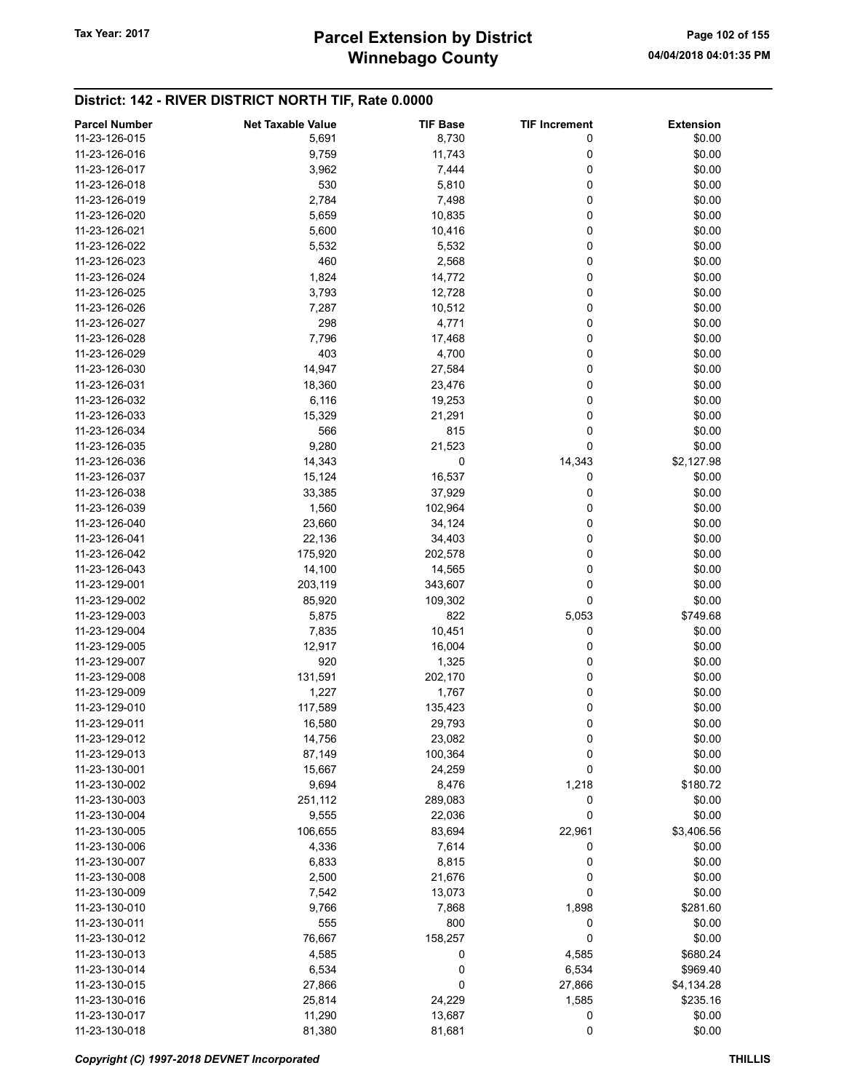# Winnebago County Tax Year: 2017 **Parcel Extension by District** Page 102 of 155

| <b>Parcel Number</b> | <b>Net Taxable Value</b> | <b>TIF Base</b> | <b>TIF Increment</b> | <b>Extension</b> |
|----------------------|--------------------------|-----------------|----------------------|------------------|
| 11-23-126-015        | 5,691                    | 8,730           | 0                    | \$0.00           |
| 11-23-126-016        | 9,759                    | 11,743          | 0                    | \$0.00           |
| 11-23-126-017        | 3,962                    | 7,444           | 0                    | \$0.00           |
| 11-23-126-018        | 530                      | 5,810           | 0                    | \$0.00           |
| 11-23-126-019        | 2,784                    | 7,498           | 0                    | \$0.00           |
| 11-23-126-020        | 5,659                    | 10,835          | 0                    | \$0.00           |
| 11-23-126-021        | 5,600                    | 10,416          | 0                    | \$0.00           |
| 11-23-126-022        | 5,532                    | 5,532           | 0                    | \$0.00           |
| 11-23-126-023        | 460                      |                 | 0                    | \$0.00           |
|                      |                          | 2,568           |                      |                  |
| 11-23-126-024        | 1,824                    | 14,772          | 0                    | \$0.00           |
| 11-23-126-025        | 3,793                    | 12,728          | 0                    | \$0.00           |
| 11-23-126-026        | 7,287                    | 10,512          | 0                    | \$0.00           |
| 11-23-126-027        | 298                      | 4,771           | 0                    | \$0.00           |
| 11-23-126-028        | 7,796                    | 17,468          | 0                    | \$0.00           |
| 11-23-126-029        | 403                      | 4,700           | 0                    | \$0.00           |
| 11-23-126-030        | 14,947                   | 27,584          | 0                    | \$0.00           |
| 11-23-126-031        | 18,360                   | 23,476          | 0                    | \$0.00           |
| 11-23-126-032        | 6,116                    | 19,253          | 0                    | \$0.00           |
| 11-23-126-033        | 15,329                   | 21,291          | 0                    | \$0.00           |
| 11-23-126-034        | 566                      | 815             | 0                    | \$0.00           |
| 11-23-126-035        | 9,280                    | 21,523          | 0                    | \$0.00           |
| 11-23-126-036        | 14,343                   | 0               | 14,343               | \$2,127.98       |
| 11-23-126-037        | 15,124                   | 16,537          | 0                    | \$0.00           |
| 11-23-126-038        | 33,385                   | 37,929          | 0                    | \$0.00           |
| 11-23-126-039        | 1,560                    | 102,964         | 0                    | \$0.00           |
| 11-23-126-040        | 23,660                   | 34,124          | 0                    | \$0.00           |
| 11-23-126-041        | 22,136                   |                 | 0                    | \$0.00           |
|                      |                          | 34,403          |                      |                  |
| 11-23-126-042        | 175,920                  | 202,578         | 0                    | \$0.00           |
| 11-23-126-043        | 14,100                   | 14,565          | 0                    | \$0.00           |
| 11-23-129-001        | 203,119                  | 343,607         | 0                    | \$0.00           |
| 11-23-129-002        | 85,920                   | 109,302         | 0                    | \$0.00           |
| 11-23-129-003        | 5,875                    | 822             | 5,053                | \$749.68         |
| 11-23-129-004        | 7,835                    | 10,451          | 0                    | \$0.00           |
| 11-23-129-005        | 12,917                   | 16,004          | 0                    | \$0.00           |
| 11-23-129-007        | 920                      | 1,325           | 0                    | \$0.00           |
| 11-23-129-008        | 131,591                  | 202,170         | 0                    | \$0.00           |
| 11-23-129-009        | 1,227                    | 1,767           | 0                    | \$0.00           |
| 11-23-129-010        | 117,589                  | 135,423         | 0                    | \$0.00           |
| 11-23-129-011        | 16,580                   | 29,793          | 0                    | \$0.00           |
| 11-23-129-012        | 14,756                   | 23,082          | 0                    | \$0.00           |
| 11-23-129-013        | 87,149                   | 100,364         | 0                    | \$0.00           |
| 11-23-130-001        | 15,667                   | 24,259          | $\pmb{0}$            | \$0.00           |
| 11-23-130-002        | 9,694                    | 8,476           | 1,218                | \$180.72         |
| 11-23-130-003        | 251,112                  | 289,083         | 0                    | \$0.00           |
| 11-23-130-004        | 9,555                    | 22,036          | 0                    | \$0.00           |
| 11-23-130-005        | 106,655                  | 83,694          | 22,961               | \$3,406.56       |
| 11-23-130-006        | 4,336                    | 7,614           | 0                    | \$0.00           |
| 11-23-130-007        |                          |                 |                      | \$0.00           |
|                      | 6,833                    | 8,815           | 0                    |                  |
| 11-23-130-008        | 2,500                    | 21,676          | 0                    | \$0.00           |
| 11-23-130-009        | 7,542                    | 13,073          | 0                    | \$0.00           |
| 11-23-130-010        | 9,766                    | 7,868           | 1,898                | \$281.60         |
| 11-23-130-011        | 555                      | 800             | 0                    | \$0.00           |
| 11-23-130-012        | 76,667                   | 158,257         | 0                    | \$0.00           |
| 11-23-130-013        | 4,585                    | 0               | 4,585                | \$680.24         |
| 11-23-130-014        | 6,534                    | 0               | 6,534                | \$969.40         |
| 11-23-130-015        | 27,866                   | 0               | 27,866               | \$4,134.28       |
| 11-23-130-016        | 25,814                   | 24,229          | 1,585                | \$235.16         |
| 11-23-130-017        | 11,290                   | 13,687          | 0                    | \$0.00           |
| 11-23-130-018        | 81,380                   | 81,681          | 0                    | \$0.00           |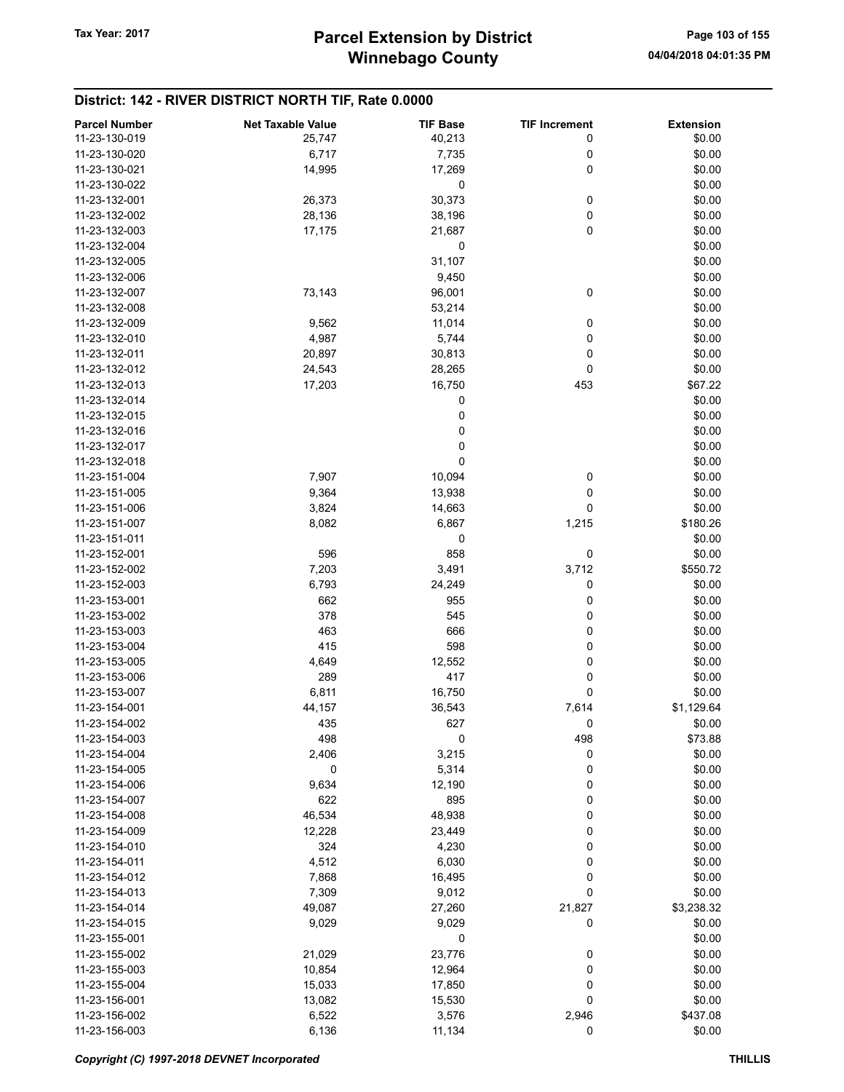| <b>Parcel Number</b> | <b>Net Taxable Value</b> | <b>TIF Base</b> | <b>TIF Increment</b> | <b>Extension</b> |
|----------------------|--------------------------|-----------------|----------------------|------------------|
| 11-23-130-019        | 25,747                   | 40,213          | 0                    | \$0.00           |
| 11-23-130-020        | 6,717                    | 7,735           | 0                    | \$0.00           |
| 11-23-130-021        | 14,995                   | 17,269          | 0                    | \$0.00           |
| 11-23-130-022        |                          | 0               |                      | \$0.00           |
| 11-23-132-001        |                          | 30,373          |                      | \$0.00           |
|                      | 26,373                   |                 | 0                    |                  |
| 11-23-132-002        | 28,136                   | 38,196          | 0                    | \$0.00           |
| 11-23-132-003        | 17,175                   | 21,687          | 0                    | \$0.00           |
| 11-23-132-004        |                          | 0               |                      | \$0.00           |
| 11-23-132-005        |                          | 31,107          |                      | \$0.00           |
| 11-23-132-006        |                          | 9,450           |                      | \$0.00           |
| 11-23-132-007        | 73,143                   | 96,001          | 0                    | \$0.00           |
| 11-23-132-008        |                          | 53,214          |                      | \$0.00           |
| 11-23-132-009        | 9,562                    | 11,014          | 0                    | \$0.00           |
| 11-23-132-010        | 4,987                    | 5,744           | 0                    | \$0.00           |
| 11-23-132-011        | 20,897                   | 30,813          | 0                    | \$0.00           |
| 11-23-132-012        | 24,543                   | 28,265          | 0                    | \$0.00           |
| 11-23-132-013        | 17,203                   | 16,750          | 453                  | \$67.22          |
| 11-23-132-014        |                          | 0               |                      | \$0.00           |
| 11-23-132-015        |                          | 0               |                      | \$0.00           |
| 11-23-132-016        |                          | 0               |                      | \$0.00           |
| 11-23-132-017        |                          | 0               |                      | \$0.00           |
| 11-23-132-018        |                          | 0               |                      | \$0.00           |
| 11-23-151-004        | 7,907                    | 10,094          | 0                    | \$0.00           |
| 11-23-151-005        | 9,364                    | 13,938          | 0                    | \$0.00           |
| 11-23-151-006        | 3,824                    | 14,663          | 0                    | \$0.00           |
| 11-23-151-007        | 8,082                    | 6,867           | 1,215                | \$180.26         |
| 11-23-151-011        |                          | 0               |                      | \$0.00           |
| 11-23-152-001        | 596                      | 858             | 0                    | \$0.00           |
| 11-23-152-002        | 7,203                    | 3,491           | 3,712                | \$550.72         |
| 11-23-152-003        | 6,793                    | 24,249          | 0                    | \$0.00           |
| 11-23-153-001        | 662                      | 955             | 0                    | \$0.00           |
| 11-23-153-002        | 378                      | 545             | 0                    | \$0.00           |
| 11-23-153-003        | 463                      | 666             | 0                    | \$0.00           |
| 11-23-153-004        | 415                      | 598             | 0                    | \$0.00           |
|                      |                          |                 |                      |                  |
| 11-23-153-005        | 4,649                    | 12,552          | 0                    | \$0.00           |
| 11-23-153-006        | 289                      | 417             | 0                    | \$0.00           |
| 11-23-153-007        | 6,811                    | 16,750          | 0                    | \$0.00           |
| 11-23-154-001        | 44,157                   | 36,543          | 7,614                | \$1,129.64       |
| 11-23-154-002        | 435                      | 627             | 0                    | \$0.00           |
| 11-23-154-003        | 498                      | 0               | 498                  | \$73.88          |
| 11-23-154-004        | 2,406                    | 3,215           | 0                    | \$0.00           |
| 11-23-154-005        | 0                        | 5,314           | 0                    | \$0.00           |
| 11-23-154-006        | 9,634                    | 12,190          | 0                    | \$0.00           |
| 11-23-154-007        | 622                      | 895             | 0                    | \$0.00           |
| 11-23-154-008        | 46,534                   | 48,938          | 0                    | \$0.00           |
| 11-23-154-009        | 12,228                   | 23,449          | 0                    | \$0.00           |
| 11-23-154-010        | 324                      | 4,230           | 0                    | \$0.00           |
| 11-23-154-011        | 4,512                    | 6,030           | 0                    | \$0.00           |
| 11-23-154-012        | 7,868                    | 16,495          | 0                    | \$0.00           |
| 11-23-154-013        | 7,309                    | 9,012           | 0                    | \$0.00           |
| 11-23-154-014        | 49,087                   | 27,260          | 21,827               | \$3,238.32       |
| 11-23-154-015        | 9,029                    | 9,029           | 0                    | \$0.00           |
| 11-23-155-001        |                          | 0               |                      | \$0.00           |
| 11-23-155-002        | 21,029                   | 23,776          | 0                    | \$0.00           |
| 11-23-155-003        | 10,854                   | 12,964          | 0                    | \$0.00           |
| 11-23-155-004        | 15,033                   | 17,850          | 0                    | \$0.00           |
| 11-23-156-001        | 13,082                   | 15,530          | 0                    | \$0.00           |
| 11-23-156-002        | 6,522                    | 3,576           | 2,946                | \$437.08         |
| 11-23-156-003        | 6,136                    | 11,134          | 0                    | \$0.00           |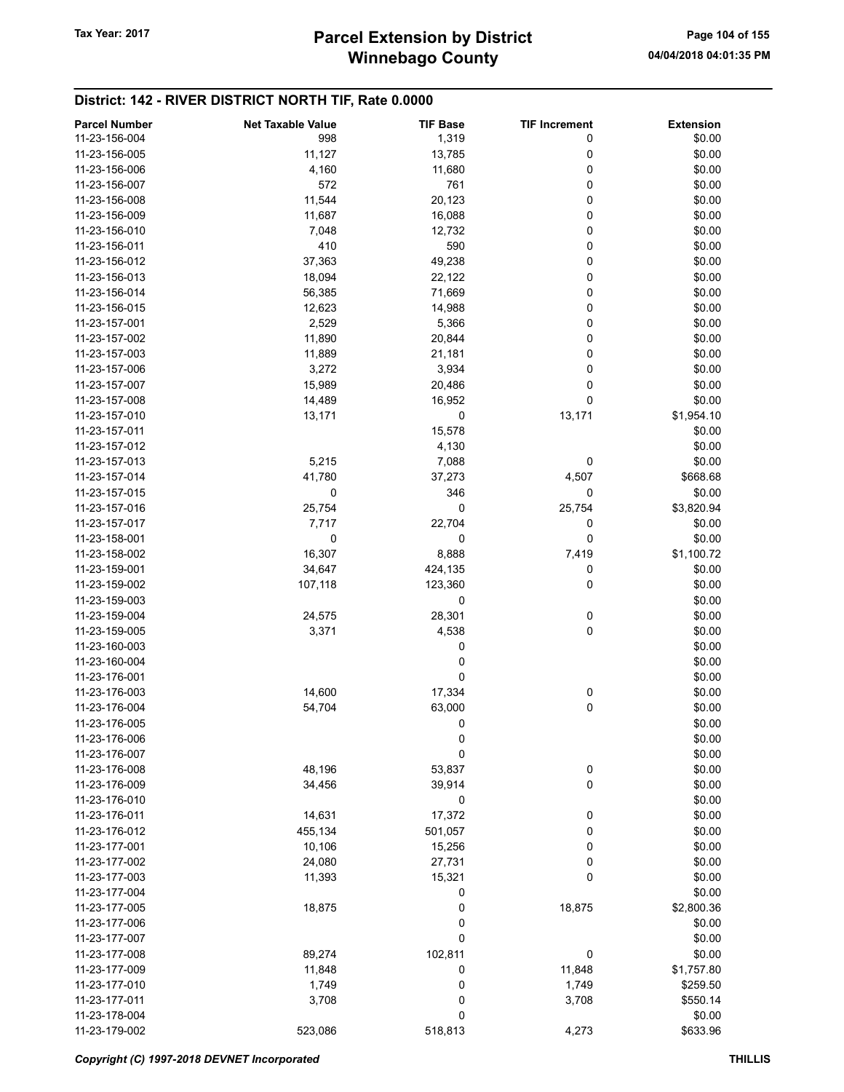| <b>Parcel Number</b> | <b>Net Taxable Value</b> | <b>TIF Base</b> | <b>TIF Increment</b> | <b>Extension</b> |
|----------------------|--------------------------|-----------------|----------------------|------------------|
| 11-23-156-004        | 998                      | 1,319           | 0                    | \$0.00           |
| 11-23-156-005        | 11,127                   | 13,785          | 0                    | \$0.00           |
| 11-23-156-006        | 4,160                    | 11,680          | 0                    | \$0.00           |
| 11-23-156-007        | 572                      | 761             | 0                    | \$0.00           |
| 11-23-156-008        | 11,544                   | 20,123          | 0                    | \$0.00           |
|                      |                          |                 |                      |                  |
| 11-23-156-009        | 11,687                   | 16,088          | 0                    | \$0.00           |
| 11-23-156-010        | 7,048                    | 12,732          | 0                    | \$0.00           |
| 11-23-156-011        | 410                      | 590             | 0                    | \$0.00           |
| 11-23-156-012        | 37,363                   | 49,238          | 0                    | \$0.00           |
| 11-23-156-013        | 18,094                   | 22,122          | 0                    | \$0.00           |
| 11-23-156-014        | 56,385                   | 71,669          | 0                    | \$0.00           |
| 11-23-156-015        | 12,623                   | 14,988          | 0                    | \$0.00           |
| 11-23-157-001        | 2,529                    | 5,366           | 0                    | \$0.00           |
| 11-23-157-002        | 11,890                   | 20,844          | 0                    | \$0.00           |
| 11-23-157-003        | 11,889                   | 21,181          | 0                    | \$0.00           |
| 11-23-157-006        | 3,272                    | 3,934           | 0                    | \$0.00           |
| 11-23-157-007        | 15,989                   | 20,486          | 0                    | \$0.00           |
| 11-23-157-008        | 14,489                   | 16,952          | 0                    | \$0.00           |
| 11-23-157-010        | 13,171                   | 0               | 13,171               | \$1,954.10       |
|                      |                          |                 |                      |                  |
| 11-23-157-011        |                          | 15,578          |                      | \$0.00           |
| 11-23-157-012        |                          | 4,130           |                      | \$0.00           |
| 11-23-157-013        | 5,215                    | 7,088           | 0                    | \$0.00           |
| 11-23-157-014        | 41,780                   | 37,273          | 4,507                | \$668.68         |
| 11-23-157-015        | 0                        | 346             | 0                    | \$0.00           |
| 11-23-157-016        | 25,754                   | 0               | 25,754               | \$3,820.94       |
| 11-23-157-017        | 7,717                    | 22,704          | 0                    | \$0.00           |
| 11-23-158-001        | 0                        | 0               | 0                    | \$0.00           |
| 11-23-158-002        | 16,307                   | 8,888           | 7,419                | \$1,100.72       |
| 11-23-159-001        | 34,647                   | 424,135         | 0                    | \$0.00           |
| 11-23-159-002        | 107,118                  | 123,360         | 0                    | \$0.00           |
| 11-23-159-003        |                          | 0               |                      | \$0.00           |
| 11-23-159-004        | 24,575                   | 28,301          | 0                    | \$0.00           |
| 11-23-159-005        | 3,371                    | 4,538           | 0                    | \$0.00           |
| 11-23-160-003        |                          | 0               |                      | \$0.00           |
| 11-23-160-004        |                          | 0               |                      | \$0.00           |
|                      |                          |                 |                      |                  |
| 11-23-176-001        |                          | 0               |                      | \$0.00           |
| 11-23-176-003        | 14,600                   | 17,334          | 0                    | \$0.00           |
| 11-23-176-004        | 54,704                   | 63,000          | 0                    | \$0.00           |
| 11-23-176-005        |                          | 0               |                      | \$0.00           |
| 11-23-176-006        |                          | $\pmb{0}$       |                      | \$0.00           |
| 11-23-176-007        |                          | 0               |                      | \$0.00           |
| 11-23-176-008        | 48,196                   | 53,837          | 0                    | \$0.00           |
| 11-23-176-009        | 34,456                   | 39,914          | 0                    | \$0.00           |
| 11-23-176-010        |                          | 0               |                      | \$0.00           |
| 11-23-176-011        | 14,631                   | 17,372          | 0                    | \$0.00           |
| 11-23-176-012        | 455,134                  | 501,057         | 0                    | \$0.00           |
| 11-23-177-001        | 10,106                   | 15,256          | 0                    | \$0.00           |
| 11-23-177-002        | 24,080                   | 27,731          | 0                    | \$0.00           |
| 11-23-177-003        | 11,393                   | 15,321          | 0                    | \$0.00           |
| 11-23-177-004        |                          | 0               |                      | \$0.00           |
|                      |                          |                 |                      |                  |
| 11-23-177-005        | 18,875                   | 0               | 18,875               | \$2,800.36       |
| 11-23-177-006        |                          | 0               |                      | \$0.00           |
| 11-23-177-007        |                          | 0               |                      | \$0.00           |
| 11-23-177-008        | 89,274                   | 102,811         | 0                    | \$0.00           |
| 11-23-177-009        | 11,848                   | 0               | 11,848               | \$1,757.80       |
| 11-23-177-010        | 1,749                    | 0               | 1,749                | \$259.50         |
| 11-23-177-011        | 3,708                    | 0               | 3,708                | \$550.14         |
| 11-23-178-004        |                          | 0               |                      | \$0.00           |
| 11-23-179-002        | 523,086                  | 518,813         | 4,273                | \$633.96         |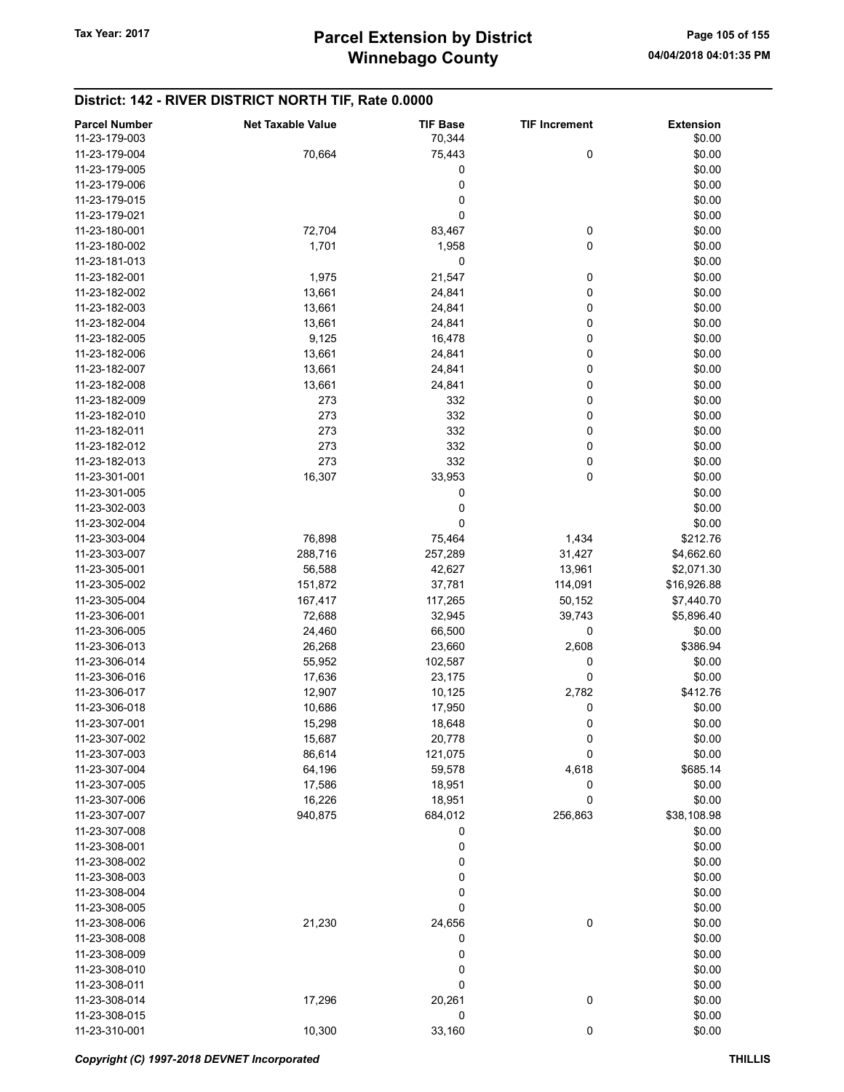| <b>Parcel Number</b>           | <b>Net Taxable Value</b> | <b>TIF Base</b> | <b>TIF Increment</b> | <b>Extension</b>   |
|--------------------------------|--------------------------|-----------------|----------------------|--------------------|
| 11-23-179-003                  |                          | 70,344          |                      | \$0.00             |
| 11-23-179-004                  | 70,664                   | 75,443          | 0                    | \$0.00             |
| 11-23-179-005                  |                          | 0               |                      | \$0.00             |
| 11-23-179-006                  |                          | 0               |                      | \$0.00             |
| 11-23-179-015                  |                          | 0               |                      | \$0.00             |
|                                |                          |                 |                      |                    |
| 11-23-179-021                  |                          | 0               |                      | \$0.00             |
| 11-23-180-001                  | 72,704                   | 83,467          | 0                    | \$0.00             |
| 11-23-180-002                  | 1,701                    | 1,958           | 0                    | \$0.00             |
| 11-23-181-013                  |                          | 0               |                      | \$0.00             |
| 11-23-182-001                  | 1,975                    | 21,547          | 0                    | \$0.00             |
| 11-23-182-002                  | 13,661                   | 24,841          | 0                    | \$0.00             |
| 11-23-182-003                  | 13,661                   | 24,841          | 0                    | \$0.00             |
| 11-23-182-004                  | 13,661                   | 24,841          | 0                    | \$0.00             |
| 11-23-182-005                  | 9,125                    | 16,478          | 0                    | \$0.00             |
| 11-23-182-006                  | 13,661                   | 24,841          | 0                    | \$0.00             |
| 11-23-182-007                  | 13,661                   | 24,841          | 0                    | \$0.00             |
| 11-23-182-008                  | 13,661                   | 24,841          | 0                    | \$0.00             |
| 11-23-182-009                  | 273                      | 332             | 0                    | \$0.00             |
| 11-23-182-010                  | 273                      | 332             | 0                    | \$0.00             |
| 11-23-182-011                  | 273                      | 332             | 0                    | \$0.00             |
|                                |                          |                 |                      |                    |
| 11-23-182-012                  | 273                      | 332             | 0                    | \$0.00             |
| 11-23-182-013                  | 273                      | 332             | 0                    | \$0.00             |
| 11-23-301-001                  | 16,307                   | 33,953          | 0                    | \$0.00             |
| 11-23-301-005                  |                          | 0               |                      | \$0.00             |
| 11-23-302-003                  |                          | 0               |                      | \$0.00             |
| 11-23-302-004                  |                          | 0               |                      | \$0.00             |
| 11-23-303-004                  | 76,898                   | 75,464          | 1,434                | \$212.76           |
| 11-23-303-007                  | 288,716                  | 257,289         | 31,427               | \$4,662.60         |
| 11-23-305-001                  | 56,588                   | 42,627          | 13,961               | \$2,071.30         |
| 11-23-305-002                  | 151,872                  | 37,781          | 114,091              | \$16,926.88        |
| 11-23-305-004                  | 167,417                  | 117,265         | 50,152               | \$7,440.70         |
| 11-23-306-001                  | 72,688                   | 32,945          | 39,743               | \$5,896.40         |
| 11-23-306-005                  | 24,460                   | 66,500          | 0                    | \$0.00             |
| 11-23-306-013                  | 26,268                   | 23,660          | 2,608                | \$386.94           |
| 11-23-306-014                  | 55,952                   | 102,587         | 0                    | \$0.00             |
|                                |                          | 23,175          | 0                    |                    |
| 11-23-306-016<br>11-23-306-017 | 17,636                   |                 |                      | \$0.00<br>\$412.76 |
|                                | 12,907                   | 10,125          | 2,782                |                    |
| 11-23-306-018                  | 10,686                   | 17,950          | 0                    | \$0.00             |
| 11-23-307-001                  | 15,298                   | 18,648          | 0                    | \$0.00             |
| 11-23-307-002                  | 15,687                   | 20,778          | 0                    | \$0.00             |
| 11-23-307-003                  | 86,614                   | 121,075         | 0                    | \$0.00             |
| 11-23-307-004                  | 64,196                   | 59,578          | 4,618                | \$685.14           |
| 11-23-307-005                  | 17,586                   | 18,951          | 0                    | \$0.00             |
| 11-23-307-006                  | 16,226                   | 18,951          | 0                    | \$0.00             |
| 11-23-307-007                  | 940,875                  | 684,012         | 256,863              | \$38,108.98        |
| 11-23-307-008                  |                          | 0               |                      | \$0.00             |
| 11-23-308-001                  |                          | 0               |                      | \$0.00             |
| 11-23-308-002                  |                          | 0               |                      | \$0.00             |
| 11-23-308-003                  |                          | 0               |                      | \$0.00             |
| 11-23-308-004                  |                          | 0               |                      | \$0.00             |
| 11-23-308-005                  |                          | 0               |                      | \$0.00             |
| 11-23-308-006                  | 21,230                   | 24,656          |                      | \$0.00             |
|                                |                          |                 | 0                    |                    |
| 11-23-308-008                  |                          | 0               |                      | \$0.00             |
| 11-23-308-009                  |                          | 0               |                      | \$0.00             |
| 11-23-308-010                  |                          | 0               |                      | \$0.00             |
| 11-23-308-011                  |                          | 0               |                      | \$0.00             |
| 11-23-308-014                  | 17,296                   | 20,261          | 0                    | \$0.00             |
| 11-23-308-015                  |                          | 0               |                      | \$0.00             |
| 11-23-310-001                  | 10,300                   | 33,160          | 0                    | \$0.00             |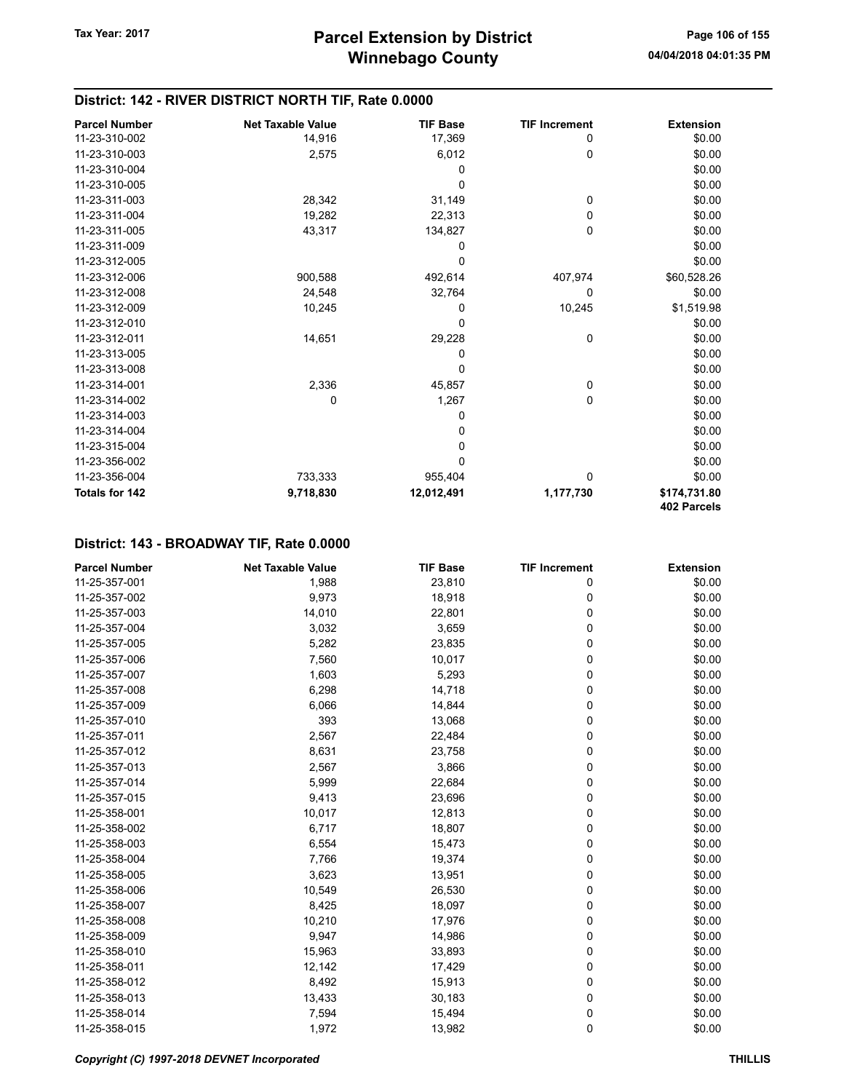| <b>Parcel Number</b>  | <b>Net Taxable Value</b> | <b>TIF Base</b> | <b>TIF Increment</b> | <b>Extension</b> |
|-----------------------|--------------------------|-----------------|----------------------|------------------|
| 11-23-310-002         | 14,916                   | 17,369          | 0                    | \$0.00           |
| 11-23-310-003         | 2,575                    | 6,012           | 0                    | \$0.00           |
| 11-23-310-004         |                          | 0               |                      | \$0.00           |
| 11-23-310-005         |                          | $\mathbf 0$     |                      | \$0.00           |
| 11-23-311-003         | 28,342                   | 31,149          | 0                    | \$0.00           |
| 11-23-311-004         | 19,282                   | 22,313          | 0                    | \$0.00           |
| 11-23-311-005         | 43,317                   | 134,827         | 0                    | \$0.00           |
| 11-23-311-009         |                          | 0               |                      | \$0.00           |
| 11-23-312-005         |                          | 0               |                      | \$0.00           |
| 11-23-312-006         | 900,588                  | 492,614         | 407,974              | \$60,528.26      |
| 11-23-312-008         | 24,548                   | 32,764          | 0                    | \$0.00           |
| 11-23-312-009         | 10,245                   | 0               | 10,245               | \$1,519.98       |
| 11-23-312-010         |                          | 0               |                      | \$0.00           |
| 11-23-312-011         | 14,651                   | 29,228          | 0                    | \$0.00           |
| 11-23-313-005         |                          | 0               |                      | \$0.00           |
| 11-23-313-008         |                          | 0               |                      | \$0.00           |
| 11-23-314-001         | 2,336                    | 45,857          | 0                    | \$0.00           |
| 11-23-314-002         | 0                        | 1,267           | 0                    | \$0.00           |
| 11-23-314-003         |                          | 0               |                      | \$0.00           |
| 11-23-314-004         |                          | 0               |                      | \$0.00           |
| 11-23-315-004         |                          | 0               |                      | \$0.00           |
| 11-23-356-002         |                          | 0               |                      | \$0.00           |
| 11-23-356-004         | 733,333                  | 955,404         | 0                    | \$0.00           |
| <b>Totals for 142</b> | 9,718,830                | 12,012,491      | 1,177,730            | \$174,731.80     |
|                       |                          |                 |                      | 402 Parcels      |

#### District: 143 - BROADWAY TIF, Rate 0.0000

| <b>Parcel Number</b> | <b>Net Taxable Value</b> | <b>TIF Base</b> | <b>TIF Increment</b> | <b>Extension</b> |
|----------------------|--------------------------|-----------------|----------------------|------------------|
| 11-25-357-001        | 1,988                    | 23,810          | 0                    | \$0.00           |
| 11-25-357-002        | 9,973                    | 18,918          | 0                    | \$0.00           |
| 11-25-357-003        | 14,010                   | 22,801          | 0                    | \$0.00           |
| 11-25-357-004        | 3,032                    | 3,659           | 0                    | \$0.00           |
| 11-25-357-005        | 5,282                    | 23,835          | 0                    | \$0.00           |
| 11-25-357-006        | 7,560                    | 10,017          | 0                    | \$0.00           |
| 11-25-357-007        | 1,603                    | 5,293           | 0                    | \$0.00           |
| 11-25-357-008        | 6,298                    | 14,718          | 0                    | \$0.00           |
| 11-25-357-009        | 6,066                    | 14,844          | 0                    | \$0.00           |
| 11-25-357-010        | 393                      | 13,068          | 0                    | \$0.00           |
| 11-25-357-011        | 2,567                    | 22,484          | 0                    | \$0.00           |
| 11-25-357-012        | 8,631                    | 23,758          | 0                    | \$0.00           |
| 11-25-357-013        | 2,567                    | 3,866           | 0                    | \$0.00           |
| 11-25-357-014        | 5,999                    | 22,684          | 0                    | \$0.00           |
| 11-25-357-015        | 9,413                    | 23,696          | 0                    | \$0.00           |
| 11-25-358-001        | 10,017                   | 12,813          | 0                    | \$0.00           |
| 11-25-358-002        | 6,717                    | 18,807          | 0                    | \$0.00           |
| 11-25-358-003        | 6,554                    | 15,473          | 0                    | \$0.00           |
| 11-25-358-004        | 7,766                    | 19,374          | 0                    | \$0.00           |
| 11-25-358-005        | 3,623                    | 13,951          | 0                    | \$0.00           |
| 11-25-358-006        | 10,549                   | 26,530          | 0                    | \$0.00           |
| 11-25-358-007        | 8,425                    | 18,097          | 0                    | \$0.00           |
| 11-25-358-008        | 10,210                   | 17,976          | 0                    | \$0.00           |
| 11-25-358-009        | 9,947                    | 14,986          | 0                    | \$0.00           |
| 11-25-358-010        | 15,963                   | 33,893          | 0                    | \$0.00           |
| 11-25-358-011        | 12,142                   | 17,429          | 0                    | \$0.00           |
| 11-25-358-012        | 8,492                    | 15,913          | 0                    | \$0.00           |
| 11-25-358-013        | 13,433                   | 30,183          | 0                    | \$0.00           |
| 11-25-358-014        | 7,594                    | 15,494          | 0                    | \$0.00           |
| 11-25-358-015        | 1,972                    | 13,982          | 0                    | \$0.00           |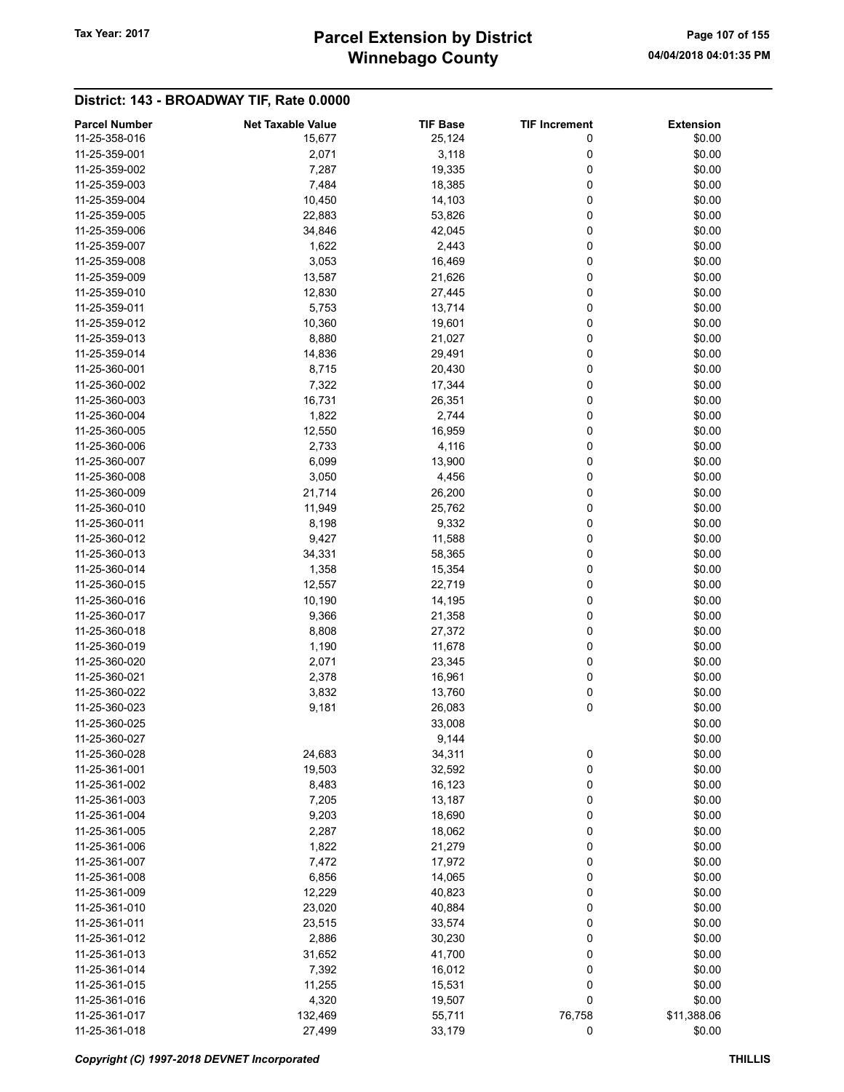# Winnebago County Tax Year: 2017 **Parcel Extension by District** Page 107 of 155

# District: 143 - BROADWAY TIF, Rate 0.0000

| <b>Parcel Number</b>           | <b>Net Taxable Value</b> | <b>TIF Base</b> | <b>TIF Increment</b> | <b>Extension</b> |
|--------------------------------|--------------------------|-----------------|----------------------|------------------|
| 11-25-358-016                  | 15,677                   | 25,124          | 0                    | \$0.00           |
| 11-25-359-001                  | 2,071                    | 3,118           | 0                    | \$0.00           |
| 11-25-359-002                  | 7,287                    | 19,335          | 0                    | \$0.00           |
| 11-25-359-003                  | 7,484                    | 18,385          | 0                    | \$0.00           |
| 11-25-359-004                  | 10,450                   | 14,103          | 0                    | \$0.00           |
| 11-25-359-005                  | 22,883                   | 53,826          | 0                    | \$0.00           |
| 11-25-359-006                  | 34,846                   | 42,045          | 0                    | \$0.00           |
|                                |                          |                 | 0                    |                  |
| 11-25-359-007<br>11-25-359-008 | 1,622                    | 2,443           |                      | \$0.00           |
|                                | 3,053                    | 16,469          | 0                    | \$0.00           |
| 11-25-359-009                  | 13,587                   | 21,626          | 0                    | \$0.00           |
| 11-25-359-010                  | 12,830                   | 27,445          | 0                    | \$0.00           |
| 11-25-359-011                  | 5,753                    | 13,714          | 0                    | \$0.00           |
| 11-25-359-012                  | 10,360                   | 19,601          | 0                    | \$0.00           |
| 11-25-359-013                  | 8,880                    | 21,027          | 0                    | \$0.00           |
| 11-25-359-014                  | 14,836                   | 29,491          | 0                    | \$0.00           |
| 11-25-360-001                  | 8,715                    | 20,430          | 0                    | \$0.00           |
| 11-25-360-002                  | 7,322                    | 17,344          | 0                    | \$0.00           |
| 11-25-360-003                  | 16,731                   | 26,351          | 0                    | \$0.00           |
| 11-25-360-004                  | 1,822                    | 2,744           | 0                    | \$0.00           |
| 11-25-360-005                  | 12,550                   | 16,959          | 0                    | \$0.00           |
| 11-25-360-006                  | 2,733                    | 4,116           | 0                    | \$0.00           |
| 11-25-360-007                  | 6,099                    | 13,900          | 0                    | \$0.00           |
| 11-25-360-008                  | 3,050                    | 4,456           | 0                    | \$0.00           |
| 11-25-360-009                  | 21,714                   | 26,200          | 0                    | \$0.00           |
| 11-25-360-010                  | 11,949                   | 25,762          | 0                    | \$0.00           |
| 11-25-360-011                  | 8,198                    | 9,332           | 0                    | \$0.00           |
| 11-25-360-012                  | 9,427                    | 11,588          | 0                    | \$0.00           |
| 11-25-360-013                  | 34,331                   | 58,365          | 0                    | \$0.00           |
| 11-25-360-014                  | 1,358                    | 15,354          | 0                    | \$0.00           |
| 11-25-360-015                  | 12,557                   | 22,719          | 0                    | \$0.00           |
| 11-25-360-016                  | 10,190                   | 14,195          | 0                    | \$0.00           |
| 11-25-360-017                  | 9,366                    | 21,358          | 0                    | \$0.00           |
| 11-25-360-018                  | 8,808                    | 27,372          | 0                    | \$0.00           |
| 11-25-360-019                  | 1,190                    | 11,678          | 0                    | \$0.00           |
| 11-25-360-020                  | 2,071                    | 23,345          | 0                    | \$0.00           |
| 11-25-360-021                  | 2,378                    | 16,961          | 0                    | \$0.00           |
| 11-25-360-022                  | 3,832                    | 13,760          | 0                    | \$0.00           |
| 11-25-360-023                  | 9,181                    | 26,083          | 0                    | \$0.00           |
| 11-25-360-025                  |                          | 33,008          |                      | \$0.00           |
| 11-25-360-027                  |                          | 9,144           |                      | \$0.00           |
| 11-25-360-028                  | 24,683                   | 34,311          | 0                    | \$0.00           |
| 11-25-361-001                  | 19,503                   | 32,592          | 0                    | \$0.00           |
| 11-25-361-002                  |                          |                 |                      | \$0.00           |
| 11-25-361-003                  | 8,483                    | 16,123          | 0                    |                  |
|                                | 7,205                    | 13,187          | 0                    | \$0.00           |
| 11-25-361-004                  | 9,203                    | 18,690          | 0                    | \$0.00           |
| 11-25-361-005                  | 2,287                    | 18,062          | 0                    | \$0.00           |
| 11-25-361-006                  | 1,822                    | 21,279          | 0                    | \$0.00           |
| 11-25-361-007                  | 7,472                    | 17,972          | 0                    | \$0.00           |
| 11-25-361-008                  | 6,856                    | 14,065          | 0                    | \$0.00           |
| 11-25-361-009                  | 12,229                   | 40,823          | 0                    | \$0.00           |
| 11-25-361-010                  | 23,020                   | 40,884          | $\mathbf 0$          | \$0.00           |
| 11-25-361-011                  | 23,515                   | 33,574          | 0                    | \$0.00           |
| 11-25-361-012                  | 2,886                    | 30,230          | 0                    | \$0.00           |
| 11-25-361-013                  | 31,652                   | 41,700          | 0                    | \$0.00           |
| 11-25-361-014                  | 7,392                    | 16,012          | 0                    | \$0.00           |
| 11-25-361-015                  | 11,255                   | 15,531          | 0                    | \$0.00           |
| 11-25-361-016                  | 4,320                    | 19,507          | 0                    | \$0.00           |
| 11-25-361-017                  | 132,469                  | 55,711          | 76,758               | \$11,388.06      |
| 11-25-361-018                  | 27,499                   | 33,179          | $\mathbf 0$          | \$0.00           |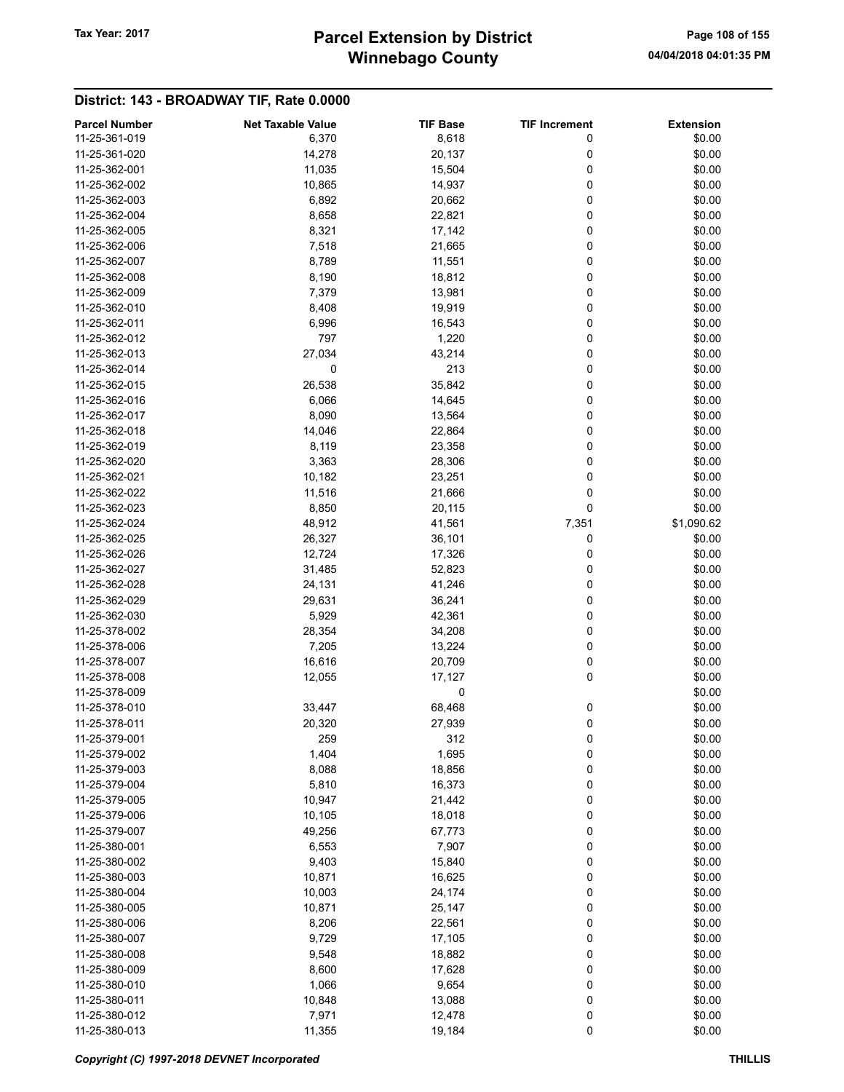# Winnebago County Tax Year: 2017 **Parcel Extension by District** Page 108 of 155

# District: 143 - BROADWAY TIF, Rate 0.0000

| <b>Parcel Number</b> | <b>Net Taxable Value</b> | <b>TIF Base</b> | <b>TIF Increment</b> | <b>Extension</b> |
|----------------------|--------------------------|-----------------|----------------------|------------------|
| 11-25-361-019        | 6,370                    | 8,618           | 0                    | \$0.00           |
| 11-25-361-020        | 14,278                   | 20,137          | 0                    | \$0.00           |
| 11-25-362-001        | 11,035                   | 15,504          | 0                    | \$0.00           |
| 11-25-362-002        | 10,865                   | 14,937          | 0                    | \$0.00           |
| 11-25-362-003        | 6,892                    | 20,662          | 0                    | \$0.00           |
| 11-25-362-004        |                          |                 |                      |                  |
|                      | 8,658                    | 22,821          | 0                    | \$0.00           |
| 11-25-362-005        | 8,321                    | 17,142          | 0                    | \$0.00           |
| 11-25-362-006        | 7,518                    | 21,665          | 0                    | \$0.00           |
| 11-25-362-007        | 8,789                    | 11,551          | 0                    | \$0.00           |
| 11-25-362-008        | 8,190                    | 18,812          | 0                    | \$0.00           |
| 11-25-362-009        | 7,379                    | 13,981          | 0                    | \$0.00           |
| 11-25-362-010        | 8,408                    | 19,919          | 0                    | \$0.00           |
| 11-25-362-011        | 6,996                    | 16,543          | 0                    | \$0.00           |
| 11-25-362-012        | 797                      | 1,220           | 0                    | \$0.00           |
| 11-25-362-013        | 27,034                   | 43,214          | 0                    | \$0.00           |
| 11-25-362-014        | 0                        | 213             | 0                    | \$0.00           |
| 11-25-362-015        | 26,538                   | 35,842          | 0                    | \$0.00           |
| 11-25-362-016        | 6,066                    | 14,645          | 0                    | \$0.00           |
| 11-25-362-017        | 8,090                    | 13,564          | 0                    | \$0.00           |
| 11-25-362-018        | 14,046                   | 22,864          | 0                    | \$0.00           |
|                      |                          |                 |                      |                  |
| 11-25-362-019        | 8,119                    | 23,358          | 0                    | \$0.00           |
| 11-25-362-020        | 3,363                    | 28,306          | 0                    | \$0.00           |
| 11-25-362-021        | 10,182                   | 23,251          | 0                    | \$0.00           |
| 11-25-362-022        | 11,516                   | 21,666          | 0                    | \$0.00           |
| 11-25-362-023        | 8,850                    | 20,115          | 0                    | \$0.00           |
| 11-25-362-024        | 48,912                   | 41,561          | 7,351                | \$1,090.62       |
| 11-25-362-025        | 26,327                   | 36,101          | 0                    | \$0.00           |
| 11-25-362-026        | 12,724                   | 17,326          | 0                    | \$0.00           |
| 11-25-362-027        | 31,485                   | 52,823          | 0                    | \$0.00           |
| 11-25-362-028        | 24,131                   | 41,246          | 0                    | \$0.00           |
| 11-25-362-029        | 29,631                   | 36,241          | 0                    | \$0.00           |
| 11-25-362-030        | 5,929                    | 42,361          | 0                    | \$0.00           |
| 11-25-378-002        | 28,354                   | 34,208          | 0                    | \$0.00           |
| 11-25-378-006        | 7,205                    | 13,224          | 0                    | \$0.00           |
| 11-25-378-007        | 16,616                   | 20,709          | 0                    | \$0.00           |
| 11-25-378-008        | 12,055                   | 17,127          | 0                    | \$0.00           |
|                      |                          |                 |                      |                  |
| 11-25-378-009        |                          | 0               |                      | \$0.00           |
| 11-25-378-010        | 33,447                   | 68,468          | 0                    | \$0.00           |
| 11-25-378-011        | 20,320                   | 27,939          | 0                    | \$0.00           |
| 11-25-379-001        | 259                      | 312             | 0                    | \$0.00           |
| 11-25-379-002        | 1,404                    | 1,695           | 0                    | \$0.00           |
| 11-25-379-003        | 8,088                    | 18,856          | 0                    | \$0.00           |
| 11-25-379-004        | 5,810                    | 16,373          | 0                    | \$0.00           |
| 11-25-379-005        | 10,947                   | 21,442          | 0                    | \$0.00           |
| 11-25-379-006        | 10,105                   | 18,018          | 0                    | \$0.00           |
| 11-25-379-007        | 49,256                   | 67,773          | 0                    | \$0.00           |
| 11-25-380-001        | 6,553                    | 7,907           | 0                    | \$0.00           |
| 11-25-380-002        | 9,403                    | 15,840          | 0                    | \$0.00           |
| 11-25-380-003        | 10,871                   | 16,625          | 0                    | \$0.00           |
| 11-25-380-004        | 10,003                   | 24,174          | $\pmb{0}$            | \$0.00           |
|                      |                          |                 |                      |                  |
| 11-25-380-005        | 10,871                   | 25,147          | 0                    | \$0.00           |
| 11-25-380-006        | 8,206                    | 22,561          | 0                    | \$0.00           |
| 11-25-380-007        | 9,729                    | 17,105          | 0                    | \$0.00           |
| 11-25-380-008        | 9,548                    | 18,882          | 0                    | \$0.00           |
| 11-25-380-009        | 8,600                    | 17,628          | 0                    | \$0.00           |
| 11-25-380-010        | 1,066                    | 9,654           | 0                    | \$0.00           |
| 11-25-380-011        | 10,848                   | 13,088          | 0                    | \$0.00           |
| 11-25-380-012        | 7,971                    | 12,478          | 0                    | \$0.00           |
| 11-25-380-013        | 11,355                   | 19,184          | $\pmb{0}$            | \$0.00           |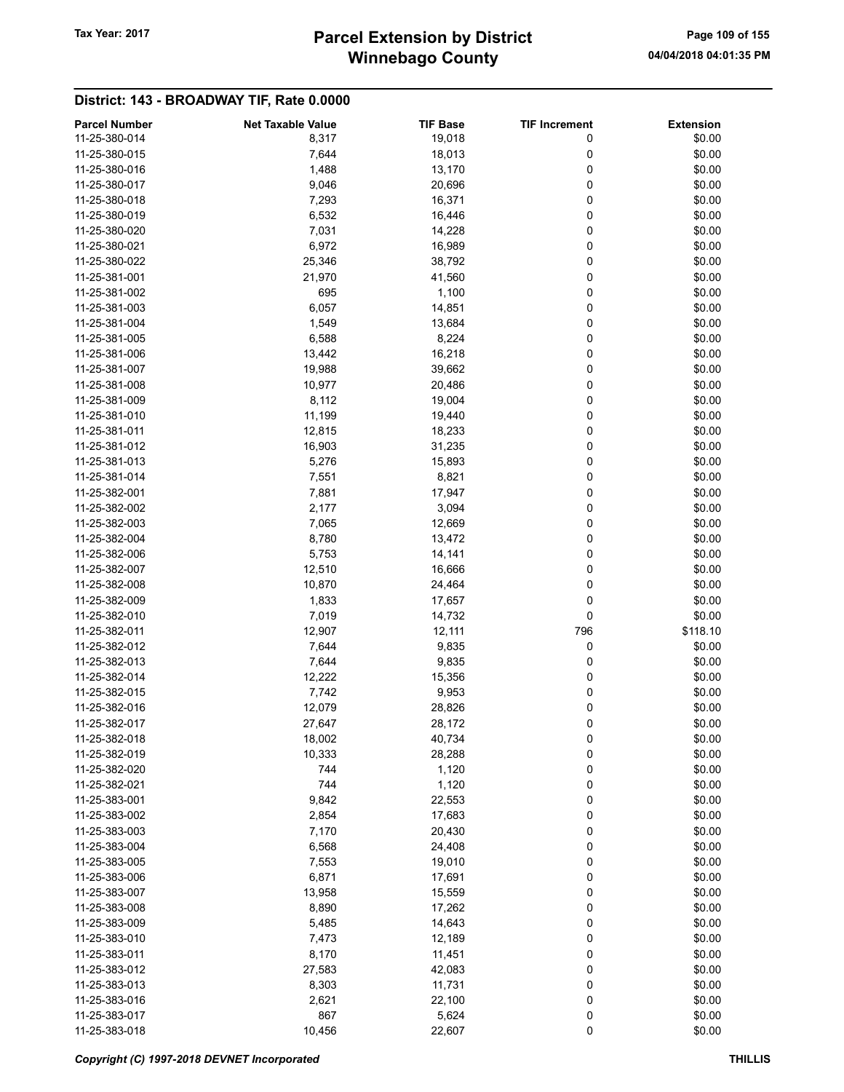# Winnebago County Tax Year: 2017 **Parcel Extension by District** Page 109 of 155

| <b>Parcel Number</b> | <b>Net Taxable Value</b> | <b>TIF Base</b> | <b>TIF Increment</b> | <b>Extension</b> |
|----------------------|--------------------------|-----------------|----------------------|------------------|
| 11-25-380-014        | 8,317                    | 19,018          | 0                    | \$0.00           |
| 11-25-380-015        | 7,644                    | 18,013          | 0                    | \$0.00           |
|                      |                          |                 |                      |                  |
| 11-25-380-016        | 1,488                    | 13,170          | 0                    | \$0.00           |
| 11-25-380-017        | 9,046                    | 20,696          | 0                    | \$0.00           |
| 11-25-380-018        | 7,293                    | 16,371          | 0                    | \$0.00           |
| 11-25-380-019        | 6,532                    | 16,446          | 0                    | \$0.00           |
| 11-25-380-020        | 7,031                    | 14,228          | 0                    | \$0.00           |
| 11-25-380-021        | 6,972                    | 16,989          | 0                    | \$0.00           |
| 11-25-380-022        | 25,346                   | 38,792          | 0                    | \$0.00           |
| 11-25-381-001        | 21,970                   | 41,560          | 0                    | \$0.00           |
| 11-25-381-002        | 695                      | 1,100           | 0                    | \$0.00           |
|                      |                          | 14,851          | 0                    |                  |
| 11-25-381-003        | 6,057                    |                 |                      | \$0.00           |
| 11-25-381-004        | 1,549                    | 13,684          | 0                    | \$0.00           |
| 11-25-381-005        | 6,588                    | 8,224           | 0                    | \$0.00           |
| 11-25-381-006        | 13,442                   | 16,218          | 0                    | \$0.00           |
| 11-25-381-007        | 19,988                   | 39,662          | 0                    | \$0.00           |
| 11-25-381-008        | 10,977                   | 20,486          | 0                    | \$0.00           |
| 11-25-381-009        | 8,112                    | 19,004          | 0                    | \$0.00           |
| 11-25-381-010        | 11,199                   | 19,440          | 0                    | \$0.00           |
| 11-25-381-011        | 12,815                   | 18,233          | 0                    | \$0.00           |
| 11-25-381-012        | 16,903                   | 31,235          | 0                    | \$0.00           |
|                      |                          |                 |                      |                  |
| 11-25-381-013        | 5,276                    | 15,893          | 0                    | \$0.00           |
| 11-25-381-014        | 7,551                    | 8,821           | 0                    | \$0.00           |
| 11-25-382-001        | 7,881                    | 17,947          | 0                    | \$0.00           |
| 11-25-382-002        | 2,177                    | 3,094           | 0                    | \$0.00           |
| 11-25-382-003        | 7,065                    | 12,669          | 0                    | \$0.00           |
| 11-25-382-004        | 8,780                    | 13,472          | 0                    | \$0.00           |
| 11-25-382-006        | 5,753                    | 14,141          | 0                    | \$0.00           |
| 11-25-382-007        | 12,510                   | 16,666          | 0                    | \$0.00           |
| 11-25-382-008        | 10,870                   | 24,464          | 0                    | \$0.00           |
| 11-25-382-009        | 1,833                    | 17,657          | 0                    | \$0.00           |
| 11-25-382-010        | 7,019                    | 14,732          | 0                    | \$0.00           |
|                      |                          |                 |                      |                  |
| 11-25-382-011        | 12,907                   | 12,111          | 796                  | \$118.10         |
| 11-25-382-012        | 7,644                    | 9,835           | 0                    | \$0.00           |
| 11-25-382-013        | 7,644                    | 9,835           | 0                    | \$0.00           |
| 11-25-382-014        | 12,222                   | 15,356          | 0                    | \$0.00           |
| 11-25-382-015        | 7,742                    | 9,953           | 0                    | \$0.00           |
| 11-25-382-016        | 12,079                   | 28,826          | 0                    | \$0.00           |
| 11-25-382-017        | 27,647                   | 28,172          | 0                    | \$0.00           |
| 11-25-382-018        | 18,002                   | 40,734          | 0                    | \$0.00           |
| 11-25-382-019        | 10,333                   | 28,288          | 0                    | \$0.00           |
| 11-25-382-020        | 744                      | 1,120           | 0                    | \$0.00           |
| 11-25-382-021        | 744                      | 1,120           |                      |                  |
|                      |                          |                 | 0                    | \$0.00           |
| 11-25-383-001        | 9,842                    | 22,553          | 0                    | \$0.00           |
| 11-25-383-002        | 2,854                    | 17,683          | 0                    | \$0.00           |
| 11-25-383-003        | 7,170                    | 20,430          | 0                    | \$0.00           |
| 11-25-383-004        | 6,568                    | 24,408          | 0                    | \$0.00           |
| 11-25-383-005        | 7,553                    | 19,010          | 0                    | \$0.00           |
| 11-25-383-006        | 6,871                    | 17,691          | 0                    | \$0.00           |
| 11-25-383-007        | 13,958                   | 15,559          | 0                    | \$0.00           |
| 11-25-383-008        | 8,890                    | 17,262          | 0                    | \$0.00           |
| 11-25-383-009        | 5,485                    | 14,643          | 0                    | \$0.00           |
| 11-25-383-010        | 7,473                    | 12,189          | 0                    | \$0.00           |
| 11-25-383-011        |                          |                 | 0                    | \$0.00           |
|                      | 8,170                    | 11,451          |                      |                  |
| 11-25-383-012        | 27,583                   | 42,083          | 0                    | \$0.00           |
| 11-25-383-013        | 8,303                    | 11,731          | 0                    | \$0.00           |
| 11-25-383-016        | 2,621                    | 22,100          | 0                    | \$0.00           |
| 11-25-383-017        | 867                      | 5,624           | 0                    | \$0.00           |
| 11-25-383-018        | 10,456                   | 22,607          | 0                    | \$0.00           |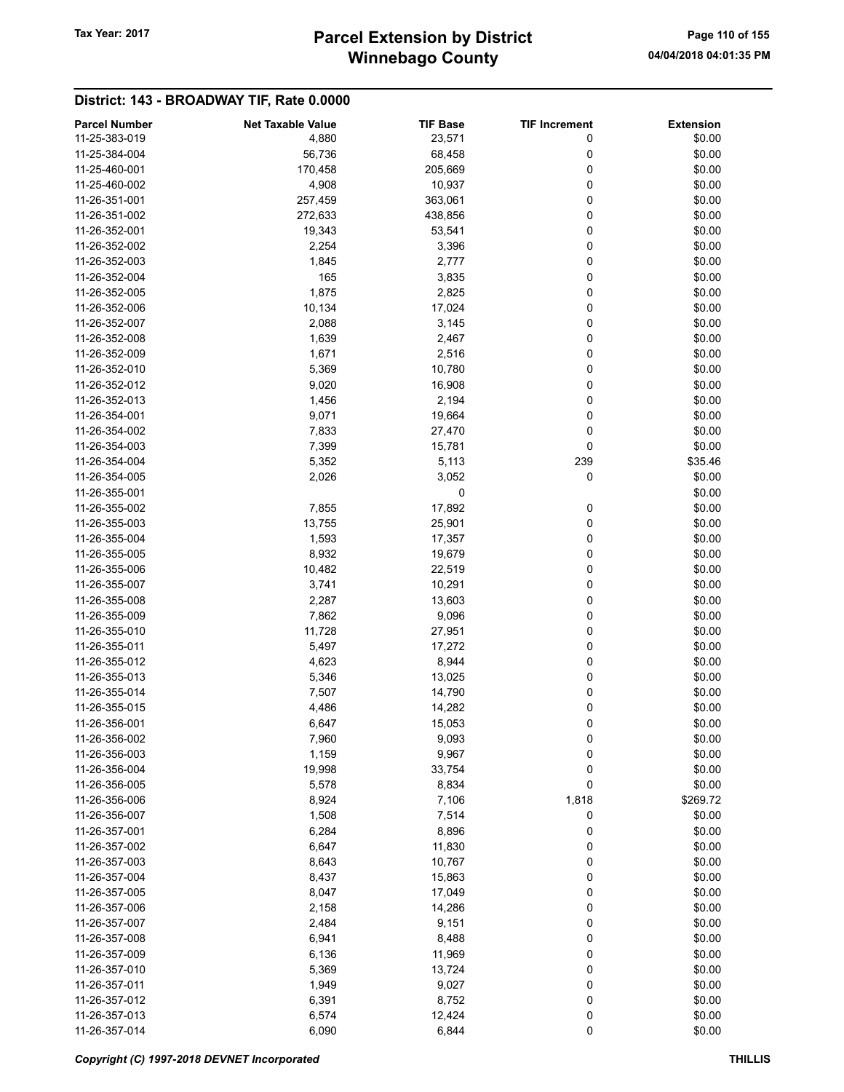# Winnebago County Tax Year: 2017 **Parcel Extension by District** Page 110 of 155

| <b>Parcel Number</b> | <b>Net Taxable Value</b> | <b>TIF Base</b> | <b>TIF Increment</b> | <b>Extension</b> |
|----------------------|--------------------------|-----------------|----------------------|------------------|
| 11-25-383-019        | 4,880                    | 23,571          | 0                    | \$0.00           |
| 11-25-384-004        | 56,736                   | 68,458          | 0                    | \$0.00           |
| 11-25-460-001        | 170,458                  | 205,669         | 0                    | \$0.00           |
| 11-25-460-002        | 4,908                    | 10,937          | 0                    | \$0.00           |
| 11-26-351-001        | 257,459                  | 363,061         | 0                    | \$0.00           |
| 11-26-351-002        | 272,633                  | 438,856         | 0                    | \$0.00           |
| 11-26-352-001        | 19,343                   | 53,541          | 0                    | \$0.00           |
|                      |                          |                 |                      |                  |
| 11-26-352-002        | 2,254                    | 3,396           | 0                    | \$0.00           |
| 11-26-352-003        | 1,845                    | 2,777           | 0                    | \$0.00           |
| 11-26-352-004        | 165                      | 3,835           | 0                    | \$0.00           |
| 11-26-352-005        | 1,875                    | 2,825           | 0                    | \$0.00           |
| 11-26-352-006        | 10,134                   | 17,024          | 0                    | \$0.00           |
| 11-26-352-007        | 2,088                    | 3,145           | 0                    | \$0.00           |
| 11-26-352-008        | 1,639                    | 2,467           | 0                    | \$0.00           |
| 11-26-352-009        | 1,671                    | 2,516           | 0                    | \$0.00           |
| 11-26-352-010        | 5,369                    | 10,780          | 0                    | \$0.00           |
| 11-26-352-012        | 9,020                    | 16,908          | 0                    | \$0.00           |
| 11-26-352-013        | 1,456                    | 2,194           | 0                    | \$0.00           |
| 11-26-354-001        | 9,071                    | 19,664          | 0                    | \$0.00           |
| 11-26-354-002        | 7,833                    | 27,470          | 0                    | \$0.00           |
| 11-26-354-003        |                          |                 | 0                    | \$0.00           |
|                      | 7,399                    | 15,781          |                      |                  |
| 11-26-354-004        | 5,352                    | 5,113           | 239                  | \$35.46          |
| 11-26-354-005        | 2,026                    | 3,052           | 0                    | \$0.00           |
| 11-26-355-001        |                          | 0               |                      | \$0.00           |
| 11-26-355-002        | 7,855                    | 17,892          | 0                    | \$0.00           |
| 11-26-355-003        | 13,755                   | 25,901          | 0                    | \$0.00           |
| 11-26-355-004        | 1,593                    | 17,357          | 0                    | \$0.00           |
| 11-26-355-005        | 8,932                    | 19,679          | 0                    | \$0.00           |
| 11-26-355-006        | 10,482                   | 22,519          | 0                    | \$0.00           |
| 11-26-355-007        | 3,741                    | 10,291          | 0                    | \$0.00           |
| 11-26-355-008        | 2,287                    | 13,603          | 0                    | \$0.00           |
| 11-26-355-009        | 7,862                    | 9,096           | 0                    | \$0.00           |
| 11-26-355-010        | 11,728                   | 27,951          | 0                    | \$0.00           |
| 11-26-355-011        | 5,497                    | 17,272          | 0                    | \$0.00           |
| 11-26-355-012        | 4,623                    | 8,944           | 0                    | \$0.00           |
| 11-26-355-013        | 5,346                    | 13,025          | 0                    | \$0.00           |
|                      |                          |                 |                      | \$0.00           |
| 11-26-355-014        | 7,507                    | 14,790          | 0                    |                  |
| 11-26-355-015        | 4,486                    | 14,282          | 0                    | \$0.00           |
| 11-26-356-001        | 6,647                    | 15,053          | 0                    | \$0.00           |
| 11-26-356-002        | 7,960                    | 9,093           | 0                    | \$0.00           |
| 11-26-356-003        | 1,159                    | 9,967           | 0                    | \$0.00           |
| 11-26-356-004        | 19,998                   | 33,754          | 0                    | \$0.00           |
| 11-26-356-005        | 5,578                    | 8,834           | 0                    | \$0.00           |
| 11-26-356-006        | 8,924                    | 7,106           | 1,818                | \$269.72         |
| 11-26-356-007        | 1,508                    | 7,514           | 0                    | \$0.00           |
| 11-26-357-001        | 6,284                    | 8,896           | 0                    | \$0.00           |
| 11-26-357-002        | 6,647                    | 11,830          | 0                    | \$0.00           |
| 11-26-357-003        | 8,643                    | 10,767          | 0                    | \$0.00           |
| 11-26-357-004        | 8,437                    | 15,863          | 0                    | \$0.00           |
| 11-26-357-005        | 8,047                    | 17,049          | 0                    | \$0.00           |
| 11-26-357-006        |                          |                 |                      | \$0.00           |
|                      | 2,158                    | 14,286          | 0                    |                  |
| 11-26-357-007        | 2,484                    | 9,151           | 0                    | \$0.00           |
| 11-26-357-008        | 6,941                    | 8,488           | 0                    | \$0.00           |
| 11-26-357-009        | 6,136                    | 11,969          | 0                    | \$0.00           |
| 11-26-357-010        | 5,369                    | 13,724          | 0                    | \$0.00           |
| 11-26-357-011        | 1,949                    | 9,027           | 0                    | \$0.00           |
| 11-26-357-012        | 6,391                    | 8,752           | 0                    | \$0.00           |
| 11-26-357-013        | 6,574                    | 12,424          | 0                    | \$0.00           |
| 11-26-357-014        | 6,090                    | 6,844           | 0                    | \$0.00           |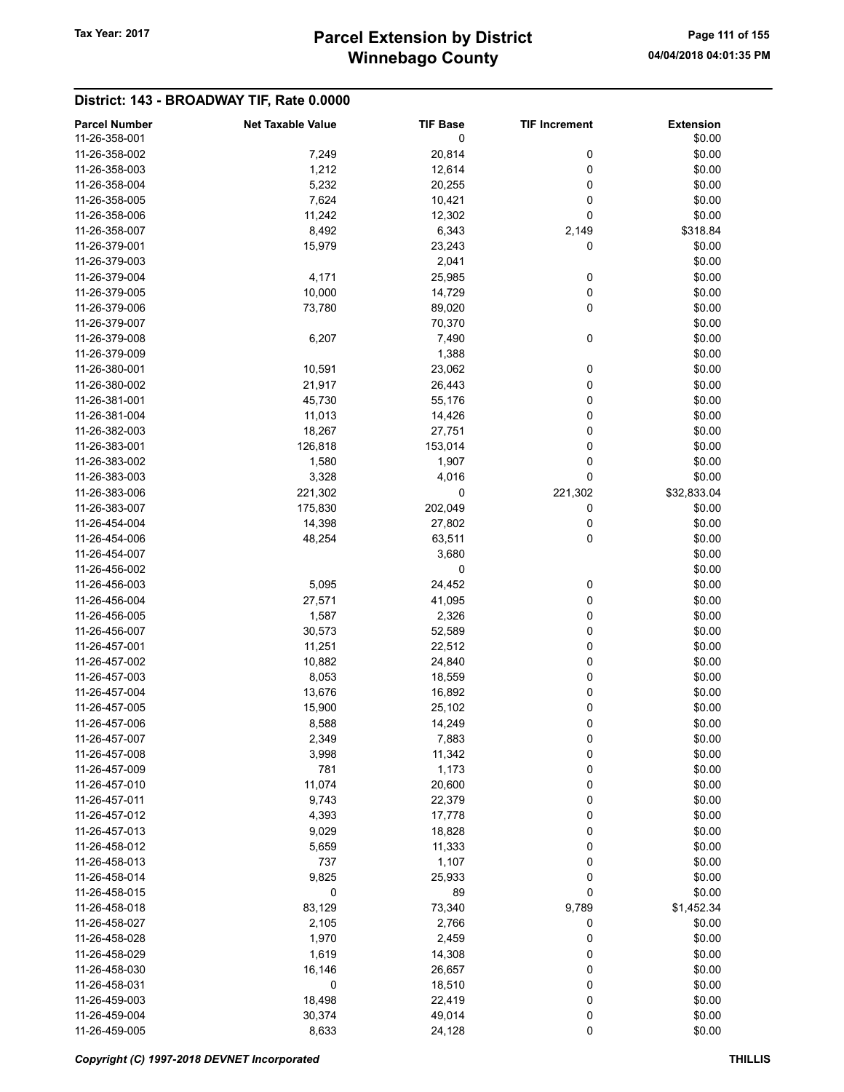# Winnebago County Tax Year: 2017 **Parcel Extension by District** Page 111 of 155

| <b>Parcel Number</b><br>11-26-358-001 | <b>Net Taxable Value</b> | <b>TIF Base</b><br>0 | <b>TIF Increment</b> | <b>Extension</b><br>\$0.00 |
|---------------------------------------|--------------------------|----------------------|----------------------|----------------------------|
| 11-26-358-002                         | 7,249                    | 20,814               | 0                    | \$0.00                     |
| 11-26-358-003                         | 1,212                    | 12,614               | 0                    | \$0.00                     |
| 11-26-358-004                         | 5,232                    | 20,255               | 0                    | \$0.00                     |
| 11-26-358-005                         | 7,624                    | 10,421               | 0                    | \$0.00                     |
| 11-26-358-006                         | 11,242                   | 12,302               | 0                    | \$0.00                     |
| 11-26-358-007                         | 8,492                    | 6,343                | 2,149                | \$318.84                   |
| 11-26-379-001                         | 15,979                   | 23,243               | 0                    | \$0.00                     |
| 11-26-379-003                         |                          | 2,041                |                      | \$0.00                     |
| 11-26-379-004                         | 4,171                    | 25,985               | 0                    | \$0.00                     |
| 11-26-379-005                         | 10,000                   | 14,729               | 0                    | \$0.00                     |
| 11-26-379-006                         | 73,780                   | 89,020               | 0                    | \$0.00                     |
| 11-26-379-007                         |                          | 70,370               |                      | \$0.00                     |
| 11-26-379-008                         | 6,207                    | 7,490                | 0                    | \$0.00                     |
| 11-26-379-009                         |                          | 1,388                |                      | \$0.00                     |
| 11-26-380-001                         | 10,591                   | 23,062               | 0                    | \$0.00                     |
| 11-26-380-002                         | 21,917                   | 26,443               | 0                    | \$0.00                     |
| 11-26-381-001                         | 45,730                   | 55,176               | 0                    | \$0.00                     |
| 11-26-381-004                         | 11,013                   | 14,426               | 0                    | \$0.00                     |
| 11-26-382-003                         | 18,267                   | 27,751               | 0                    | \$0.00                     |
| 11-26-383-001                         | 126,818                  | 153,014              | 0                    | \$0.00                     |
| 11-26-383-002                         | 1,580                    | 1,907                | 0                    | \$0.00                     |
| 11-26-383-003                         | 3,328                    | 4,016                | 0                    | \$0.00                     |
| 11-26-383-006                         | 221,302                  | 0                    | 221,302              | \$32,833.04                |
| 11-26-383-007                         | 175,830                  | 202,049              | 0                    | \$0.00                     |
| 11-26-454-004                         | 14,398                   | 27,802               | 0                    | \$0.00                     |
| 11-26-454-006                         | 48,254                   | 63,511               | 0                    | \$0.00                     |
| 11-26-454-007                         |                          | 3,680                |                      | \$0.00                     |
| 11-26-456-002                         |                          | 0                    |                      | \$0.00                     |
| 11-26-456-003                         | 5,095                    | 24,452               | 0                    | \$0.00                     |
| 11-26-456-004                         | 27,571                   | 41,095               | 0                    | \$0.00                     |
| 11-26-456-005                         | 1,587                    | 2,326                | 0                    | \$0.00                     |
| 11-26-456-007                         | 30,573                   | 52,589               | 0                    | \$0.00                     |
| 11-26-457-001                         | 11,251                   | 22,512               | 0                    | \$0.00                     |
| 11-26-457-002                         | 10,882                   | 24,840               | 0                    | \$0.00                     |
| 11-26-457-003                         | 8,053                    | 18,559               | 0                    | \$0.00                     |
| 11-26-457-004                         | 13,676                   | 16,892               | 0                    | \$0.00                     |
| 11-26-457-005                         | 15,900                   | 25,102               | 0                    | \$0.00                     |
| 11-26-457-006                         | 8,588                    | 14,249               | 0                    | \$0.00                     |
| 11-26-457-007                         | 2,349                    | 7,883                | 0                    | \$0.00                     |
| 11-26-457-008                         | 3,998                    | 11,342               | 0                    | \$0.00                     |
| 11-26-457-009                         | 781                      | 1,173                | 0                    | \$0.00                     |
| 11-26-457-010                         | 11,074                   | 20,600               | 0                    | \$0.00                     |
| 11-26-457-011                         | 9,743                    | 22,379               | 0                    | \$0.00                     |
| 11-26-457-012                         | 4,393                    | 17,778               | 0                    | \$0.00                     |
| 11-26-457-013                         | 9,029                    | 18,828               | 0                    | \$0.00                     |
| 11-26-458-012                         | 5,659                    | 11,333               | 0                    | \$0.00                     |
| 11-26-458-013                         | 737                      | 1,107                | 0                    | \$0.00                     |
| 11-26-458-014                         | 9,825                    | 25,933               | 0                    | \$0.00                     |
| 11-26-458-015                         | 0                        | 89                   | 0                    | \$0.00                     |
| 11-26-458-018                         | 83,129                   | 73,340               | 9,789                | \$1,452.34                 |
| 11-26-458-027                         | 2,105                    | 2,766                | 0                    | \$0.00                     |
| 11-26-458-028                         | 1,970                    | 2,459                | 0                    | \$0.00                     |
| 11-26-458-029                         | 1,619                    | 14,308               | 0                    | \$0.00                     |
| 11-26-458-030                         | 16,146                   | 26,657               | 0                    | \$0.00                     |
| 11-26-458-031                         | 0                        | 18,510               | 0                    | \$0.00                     |
| 11-26-459-003                         | 18,498                   | 22,419               | 0                    | \$0.00                     |
| 11-26-459-004                         | 30,374                   | 49,014               | 0                    | \$0.00                     |
| 11-26-459-005                         | 8,633                    | 24,128               | 0                    | \$0.00                     |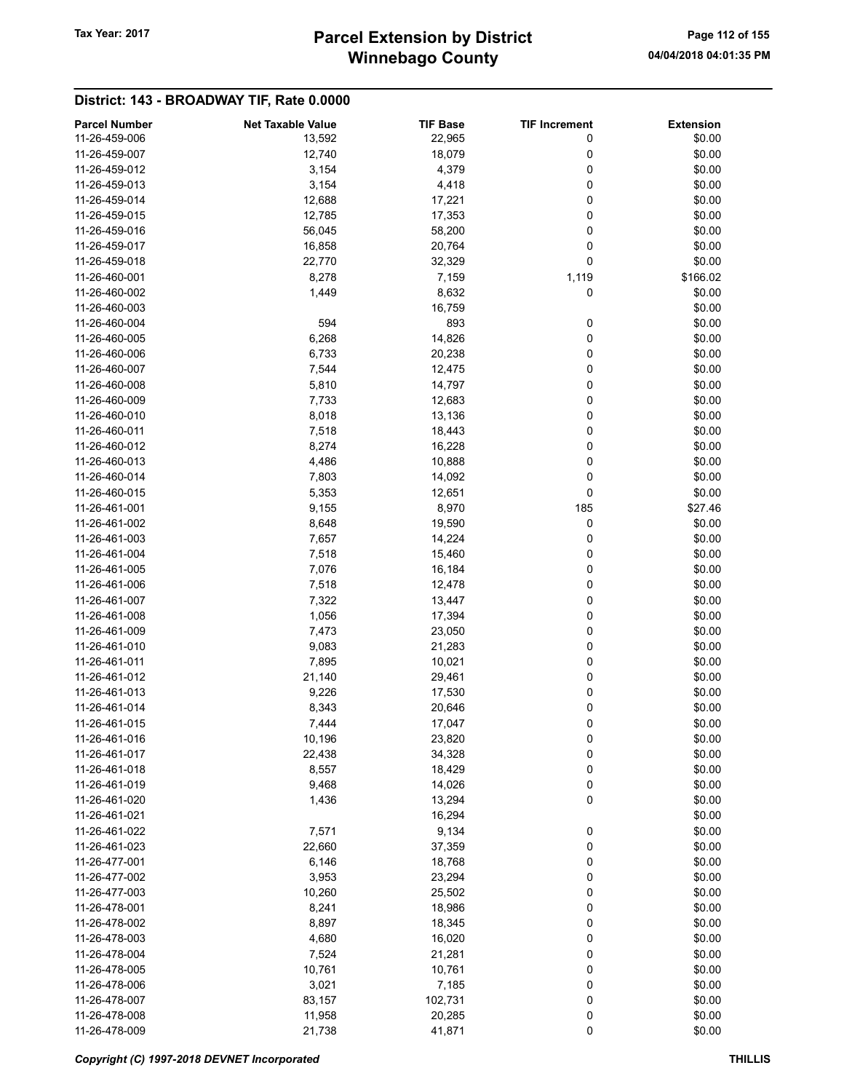# Winnebago County Tax Year: 2017 **Parcel Extension by District** Page 112 of 155

| <b>Parcel Number</b> | <b>Net Taxable Value</b> | <b>TIF Base</b> | <b>TIF Increment</b> | <b>Extension</b> |
|----------------------|--------------------------|-----------------|----------------------|------------------|
| 11-26-459-006        | 13,592                   | 22,965          | 0                    | \$0.00           |
| 11-26-459-007        | 12,740                   | 18,079          | 0                    | \$0.00           |
| 11-26-459-012        | 3,154                    | 4,379           | 0                    | \$0.00           |
| 11-26-459-013        | 3,154                    | 4,418           | 0                    | \$0.00           |
| 11-26-459-014        | 12,688                   | 17,221          | 0                    | \$0.00           |
| 11-26-459-015        | 12,785                   |                 |                      |                  |
|                      |                          | 17,353          | 0                    | \$0.00           |
| 11-26-459-016        | 56,045                   | 58,200          | 0                    | \$0.00           |
| 11-26-459-017        | 16,858                   | 20,764          | 0                    | \$0.00           |
| 11-26-459-018        | 22,770                   | 32,329          | 0                    | \$0.00           |
| 11-26-460-001        | 8,278                    | 7,159           | 1,119                | \$166.02         |
| 11-26-460-002        | 1,449                    | 8,632           | 0                    | \$0.00           |
| 11-26-460-003        |                          | 16,759          |                      | \$0.00           |
| 11-26-460-004        | 594                      | 893             | 0                    | \$0.00           |
| 11-26-460-005        | 6,268                    | 14,826          | 0                    | \$0.00           |
| 11-26-460-006        | 6,733                    | 20,238          | 0                    | \$0.00           |
| 11-26-460-007        | 7,544                    | 12,475          | 0                    | \$0.00           |
| 11-26-460-008        | 5,810                    | 14,797          | 0                    | \$0.00           |
| 11-26-460-009        | 7,733                    | 12,683          | 0                    | \$0.00           |
| 11-26-460-010        | 8,018                    | 13,136          | 0                    | \$0.00           |
| 11-26-460-011        | 7,518                    | 18,443          | 0                    | \$0.00           |
| 11-26-460-012        | 8,274                    | 16,228          | 0                    | \$0.00           |
| 11-26-460-013        | 4,486                    | 10,888          | 0                    | \$0.00           |
| 11-26-460-014        | 7,803                    | 14,092          | 0                    | \$0.00           |
| 11-26-460-015        | 5,353                    | 12,651          | 0                    | \$0.00           |
| 11-26-461-001        | 9,155                    | 8,970           | 185                  | \$27.46          |
| 11-26-461-002        | 8,648                    | 19,590          | 0                    | \$0.00           |
| 11-26-461-003        |                          |                 |                      | \$0.00           |
|                      | 7,657                    | 14,224          | 0                    |                  |
| 11-26-461-004        | 7,518                    | 15,460          | 0                    | \$0.00           |
| 11-26-461-005        | 7,076                    | 16,184          | 0                    | \$0.00           |
| 11-26-461-006        | 7,518                    | 12,478          | 0                    | \$0.00           |
| 11-26-461-007        | 7,322                    | 13,447          | 0                    | \$0.00           |
| 11-26-461-008        | 1,056                    | 17,394          | 0                    | \$0.00           |
| 11-26-461-009        | 7,473                    | 23,050          | 0                    | \$0.00           |
| 11-26-461-010        | 9,083                    | 21,283          | 0                    | \$0.00           |
| 11-26-461-011        | 7,895                    | 10,021          | 0                    | \$0.00           |
| 11-26-461-012        | 21,140                   | 29,461          | 0                    | \$0.00           |
| 11-26-461-013        | 9,226                    | 17,530          | 0                    | \$0.00           |
| 11-26-461-014        | 8,343                    | 20,646          | 0                    | \$0.00           |
| 11-26-461-015        | 7,444                    | 17,047          | 0                    | \$0.00           |
| 11-26-461-016        | 10,196                   | 23,820          | 0                    | \$0.00           |
| 11-26-461-017        | 22,438                   | 34,328          | 0                    | \$0.00           |
| 11-26-461-018        | 8,557                    | 18,429          | 0                    | \$0.00           |
| 11-26-461-019        | 9,468                    | 14,026          | 0                    | \$0.00           |
| 11-26-461-020        | 1,436                    | 13,294          | 0                    | \$0.00           |
| 11-26-461-021        |                          | 16,294          |                      | \$0.00           |
| 11-26-461-022        | 7,571                    | 9,134           | 0                    | \$0.00           |
| 11-26-461-023        | 22,660                   | 37,359          | 0                    | \$0.00           |
| 11-26-477-001        | 6,146                    | 18,768          | 0                    | \$0.00           |
| 11-26-477-002        | 3,953                    | 23,294          | 0                    | \$0.00           |
| 11-26-477-003        | 10,260                   | 25,502          | 0                    | \$0.00           |
| 11-26-478-001        |                          |                 |                      | \$0.00           |
|                      | 8,241                    | 18,986          | 0                    |                  |
| 11-26-478-002        | 8,897                    | 18,345          | 0                    | \$0.00           |
| 11-26-478-003        | 4,680                    | 16,020          | 0                    | \$0.00           |
| 11-26-478-004        | 7,524                    | 21,281          | 0                    | \$0.00           |
| 11-26-478-005        | 10,761                   | 10,761          | 0                    | \$0.00           |
| 11-26-478-006        | 3,021                    | 7,185           | 0                    | \$0.00           |
| 11-26-478-007        | 83,157                   | 102,731         | 0                    | \$0.00           |
| 11-26-478-008        | 11,958                   | 20,285          | 0                    | \$0.00           |
| 11-26-478-009        | 21,738                   | 41,871          | 0                    | \$0.00           |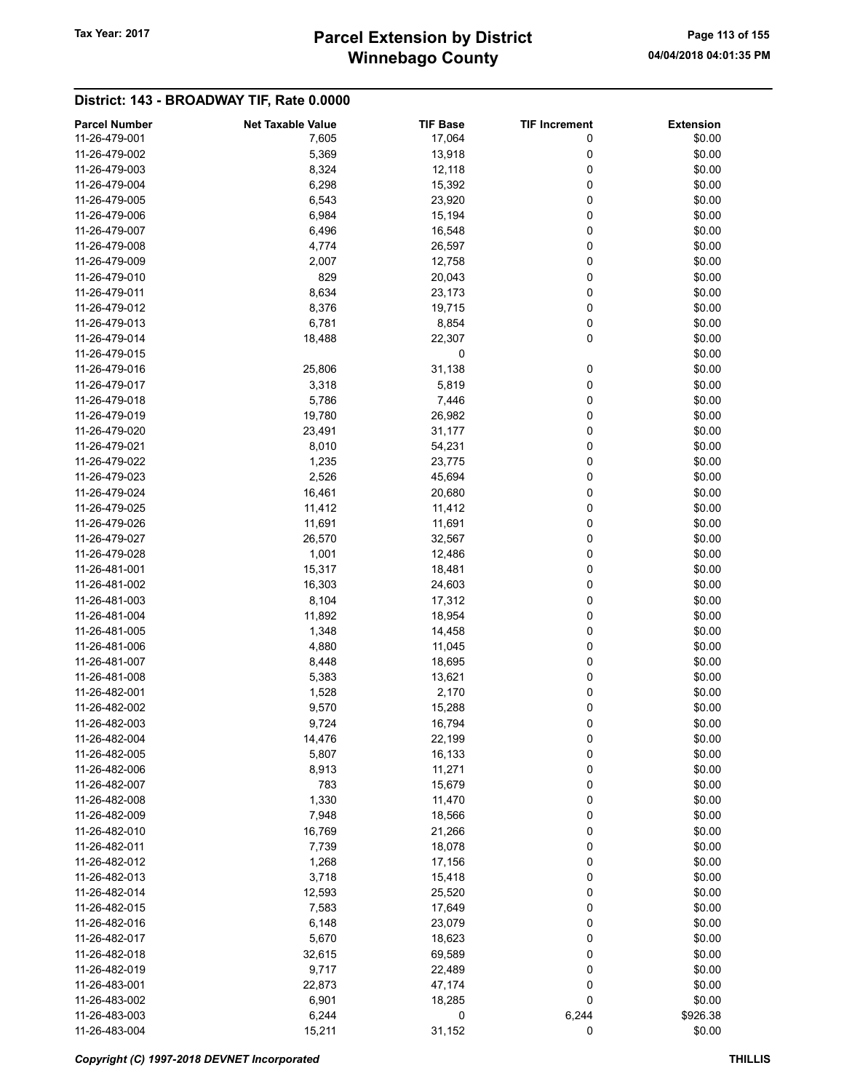# Winnebago County Tax Year: 2017 **Parcel Extension by District** Page 113 of 155

| <b>Parcel Number</b> | <b>Net Taxable Value</b> | <b>TIF Base</b> | <b>TIF Increment</b> | <b>Extension</b> |
|----------------------|--------------------------|-----------------|----------------------|------------------|
| 11-26-479-001        | 7,605                    | 17,064          | 0                    | \$0.00           |
| 11-26-479-002        | 5,369                    | 13,918          | 0                    | \$0.00           |
| 11-26-479-003        | 8,324                    | 12,118          | 0                    | \$0.00           |
| 11-26-479-004        | 6,298                    | 15,392          | 0                    | \$0.00           |
| 11-26-479-005        | 6,543                    | 23,920          | 0                    | \$0.00           |
| 11-26-479-006        | 6,984                    | 15,194          | 0                    | \$0.00           |
| 11-26-479-007        | 6,496                    | 16,548          | 0                    | \$0.00           |
| 11-26-479-008        | 4,774                    | 26,597          | 0                    | \$0.00           |
| 11-26-479-009        | 2,007                    | 12,758          | 0                    | \$0.00           |
| 11-26-479-010        | 829                      |                 |                      | \$0.00           |
|                      |                          | 20,043          | 0                    |                  |
| 11-26-479-011        | 8,634                    | 23,173          | 0                    | \$0.00           |
| 11-26-479-012        | 8,376                    | 19,715          | 0                    | \$0.00           |
| 11-26-479-013        | 6,781                    | 8,854           | 0                    | \$0.00           |
| 11-26-479-014        | 18,488                   | 22,307          | 0                    | \$0.00           |
| 11-26-479-015        |                          | 0               |                      | \$0.00           |
| 11-26-479-016        | 25,806                   | 31,138          | 0                    | \$0.00           |
| 11-26-479-017        | 3,318                    | 5,819           | 0                    | \$0.00           |
| 11-26-479-018        | 5,786                    | 7,446           | 0                    | \$0.00           |
| 11-26-479-019        | 19,780                   | 26,982          | 0                    | \$0.00           |
| 11-26-479-020        | 23,491                   | 31,177          | 0                    | \$0.00           |
| 11-26-479-021        | 8,010                    | 54,231          | 0                    | \$0.00           |
| 11-26-479-022        | 1,235                    | 23,775          | 0                    | \$0.00           |
| 11-26-479-023        | 2,526                    | 45,694          | 0                    | \$0.00           |
| 11-26-479-024        | 16,461                   | 20,680          | 0                    | \$0.00           |
| 11-26-479-025        | 11,412                   | 11,412          | 0                    | \$0.00           |
| 11-26-479-026        | 11,691                   | 11,691          | 0                    | \$0.00           |
| 11-26-479-027        | 26,570                   | 32,567          | 0                    | \$0.00           |
| 11-26-479-028        | 1,001                    | 12,486          | 0                    | \$0.00           |
| 11-26-481-001        | 15,317                   | 18,481          | 0                    | \$0.00           |
| 11-26-481-002        | 16,303                   | 24,603          | 0                    | \$0.00           |
|                      |                          |                 |                      |                  |
| 11-26-481-003        | 8,104                    | 17,312          | 0                    | \$0.00           |
| 11-26-481-004        | 11,892                   | 18,954          | 0                    | \$0.00           |
| 11-26-481-005        | 1,348                    | 14,458          | 0                    | \$0.00           |
| 11-26-481-006        | 4,880                    | 11,045          | 0                    | \$0.00           |
| 11-26-481-007        | 8,448                    | 18,695          | 0                    | \$0.00           |
| 11-26-481-008        | 5,383                    | 13,621          | 0                    | \$0.00           |
| 11-26-482-001        | 1,528                    | 2,170           | 0                    | \$0.00           |
| 11-26-482-002        | 9,570                    | 15,288          | 0                    | \$0.00           |
| 11-26-482-003        | 9,724                    | 16,794          | 0                    | \$0.00           |
| 11-26-482-004        | 14,476                   | 22,199          | 0                    | \$0.00           |
| 11-26-482-005        | 5,807                    | 16,133          | 0                    | \$0.00           |
| 11-26-482-006        | 8,913                    | 11,271          | 0                    | \$0.00           |
| 11-26-482-007        | 783                      | 15,679          | 0                    | \$0.00           |
| 11-26-482-008        | 1,330                    | 11,470          | 0                    | \$0.00           |
| 11-26-482-009        | 7,948                    | 18,566          | 0                    | \$0.00           |
| 11-26-482-010        | 16,769                   | 21,266          | 0                    | \$0.00           |
| 11-26-482-011        | 7,739                    | 18,078          | 0                    | \$0.00           |
| 11-26-482-012        | 1,268                    | 17,156          | 0                    | \$0.00           |
| 11-26-482-013        | 3,718                    | 15,418          | 0                    | \$0.00           |
| 11-26-482-014        | 12,593                   | 25,520          | 0                    | \$0.00           |
| 11-26-482-015        | 7,583                    | 17,649          | 0                    | \$0.00           |
| 11-26-482-016        |                          |                 | 0                    | \$0.00           |
|                      | 6,148                    | 23,079          |                      |                  |
| 11-26-482-017        | 5,670                    | 18,623          | 0                    | \$0.00           |
| 11-26-482-018        | 32,615                   | 69,589          | 0                    | \$0.00           |
| 11-26-482-019        | 9,717                    | 22,489          | 0                    | \$0.00           |
| 11-26-483-001        | 22,873                   | 47,174          | 0                    | \$0.00           |
| 11-26-483-002        | 6,901                    | 18,285          | 0                    | \$0.00           |
| 11-26-483-003        | 6,244                    | 0               | 6,244                | \$926.38         |
| 11-26-483-004        | 15,211                   | 31,152          | 0                    | \$0.00           |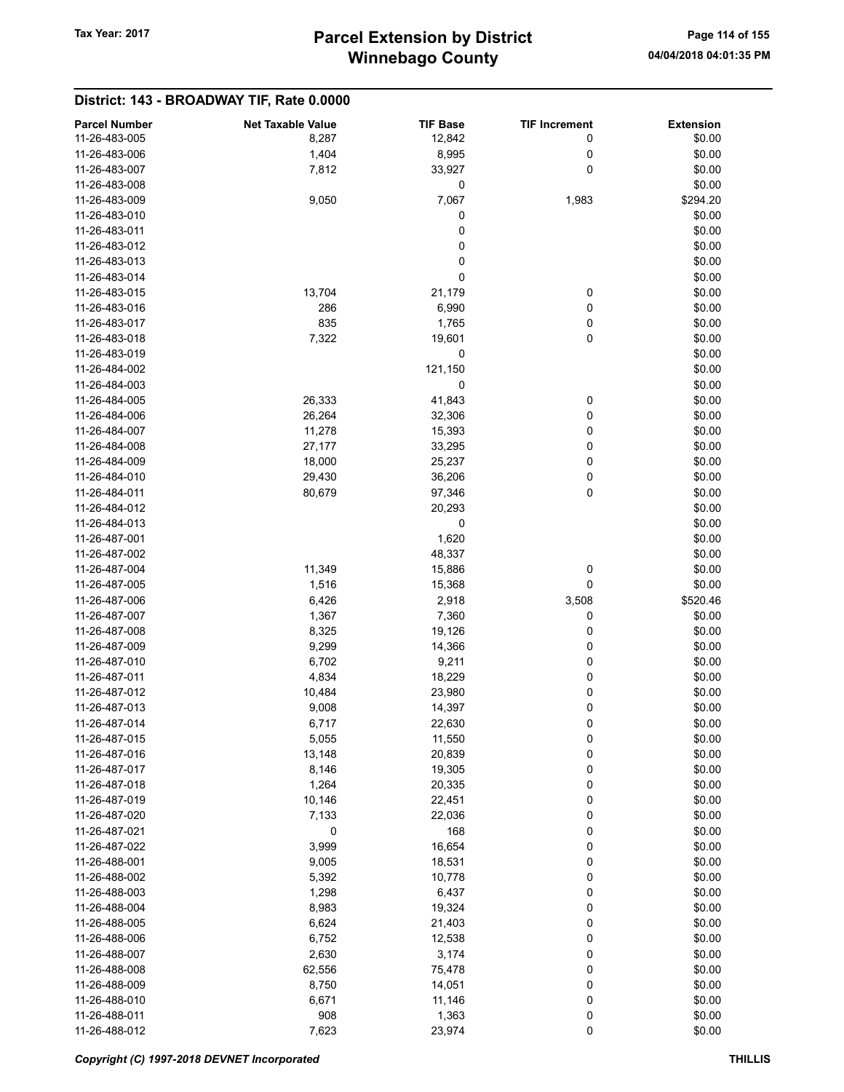| <b>Parcel Number</b> | <b>Net Taxable Value</b> | <b>TIF Base</b> | <b>TIF Increment</b> | <b>Extension</b> |
|----------------------|--------------------------|-----------------|----------------------|------------------|
| 11-26-483-005        | 8,287                    | 12,842          | 0                    | \$0.00           |
| 11-26-483-006        | 1,404                    | 8,995           | 0                    | \$0.00           |
| 11-26-483-007        | 7,812                    | 33,927          | 0                    | \$0.00           |
| 11-26-483-008        |                          | 0               |                      | \$0.00           |
| 11-26-483-009        | 9,050                    | 7,067           | 1,983                | \$294.20         |
| 11-26-483-010        |                          | 0               |                      | \$0.00           |
| 11-26-483-011        |                          | 0               |                      | \$0.00           |
| 11-26-483-012        |                          | 0               |                      | \$0.00           |
| 11-26-483-013        |                          | 0               |                      | \$0.00           |
| 11-26-483-014        |                          | 0               |                      | \$0.00           |
| 11-26-483-015        | 13,704                   | 21,179          | 0                    | \$0.00           |
| 11-26-483-016        | 286                      | 6,990           | 0                    | \$0.00           |
| 11-26-483-017        | 835                      | 1,765           | 0                    | \$0.00           |
| 11-26-483-018        | 7,322                    | 19,601          | 0                    | \$0.00           |
| 11-26-483-019        |                          | 0               |                      | \$0.00           |
| 11-26-484-002        |                          | 121,150         |                      | \$0.00           |
| 11-26-484-003        |                          | 0               |                      | \$0.00           |
| 11-26-484-005        | 26,333                   | 41,843          | 0                    | \$0.00           |
| 11-26-484-006        | 26,264                   | 32,306          | 0                    | \$0.00           |
| 11-26-484-007        | 11,278                   | 15,393          | 0                    | \$0.00           |
| 11-26-484-008        | 27,177                   | 33,295          | 0                    | \$0.00           |
| 11-26-484-009        | 18,000                   | 25,237          | 0                    | \$0.00           |
| 11-26-484-010        | 29,430                   | 36,206          | 0                    | \$0.00           |
| 11-26-484-011        | 80,679                   | 97,346          | 0                    | \$0.00           |
| 11-26-484-012        |                          |                 |                      | \$0.00           |
| 11-26-484-013        |                          | 20,293          |                      | \$0.00           |
|                      |                          | 0               |                      |                  |
| 11-26-487-001        |                          | 1,620           |                      | \$0.00           |
| 11-26-487-002        |                          | 48,337          |                      | \$0.00           |
| 11-26-487-004        | 11,349                   | 15,886          | 0                    | \$0.00           |
| 11-26-487-005        | 1,516                    | 15,368          | 0                    | \$0.00           |
| 11-26-487-006        | 6,426                    | 2,918           | 3,508                | \$520.46         |
| 11-26-487-007        | 1,367                    | 7,360           | 0                    | \$0.00           |
| 11-26-487-008        | 8,325                    | 19,126          | 0                    | \$0.00           |
| 11-26-487-009        | 9,299                    | 14,366          | 0                    | \$0.00           |
| 11-26-487-010        | 6,702                    | 9,211           | 0                    | \$0.00           |
| 11-26-487-011        | 4,834                    | 18,229          | 0                    | \$0.00           |
| 11-26-487-012        | 10,484                   | 23,980          | 0                    | \$0.00           |
| 11-26-487-013        | 9,008                    | 14,397          | 0                    | \$0.00           |
| 11-26-487-014        | 6.717                    | 22,630          | 0                    | \$0.00           |
| 11-26-487-015        | 5,055                    | 11,550          | 0                    | \$0.00           |
| 11-26-487-016        | 13,148                   | 20,839          | 0                    | \$0.00           |
| 11-26-487-017        | 8,146                    | 19,305          | 0                    | \$0.00           |
| 11-26-487-018        | 1,264                    | 20,335          | 0                    | \$0.00           |
| 11-26-487-019        | 10,146                   | 22,451          | 0                    | \$0.00           |
| 11-26-487-020        | 7,133                    | 22,036          | 0                    | \$0.00           |
| 11-26-487-021        | 0                        | 168             | 0                    | \$0.00           |
| 11-26-487-022        | 3,999                    | 16,654          | 0                    | \$0.00           |
| 11-26-488-001        | 9,005                    | 18,531          | 0                    | \$0.00           |
| 11-26-488-002        | 5,392                    | 10,778          | 0                    | \$0.00           |
| 11-26-488-003        | 1,298                    | 6,437           | 0                    | \$0.00           |
| 11-26-488-004        | 8,983                    | 19,324          | 0                    | \$0.00           |
| 11-26-488-005        | 6,624                    | 21,403          | 0                    | \$0.00           |
| 11-26-488-006        | 6,752                    | 12,538          | 0                    | \$0.00           |
| 11-26-488-007        | 2,630                    | 3,174           | 0                    | \$0.00           |
| 11-26-488-008        | 62,556                   | 75,478          | 0                    | \$0.00           |
| 11-26-488-009        | 8,750                    | 14,051          | 0                    | \$0.00           |
| 11-26-488-010        | 6,671                    | 11,146          | 0                    | \$0.00           |
| 11-26-488-011        | 908                      | 1,363           | 0                    | \$0.00           |
| 11-26-488-012        | 7,623                    | 23,974          | 0                    | \$0.00           |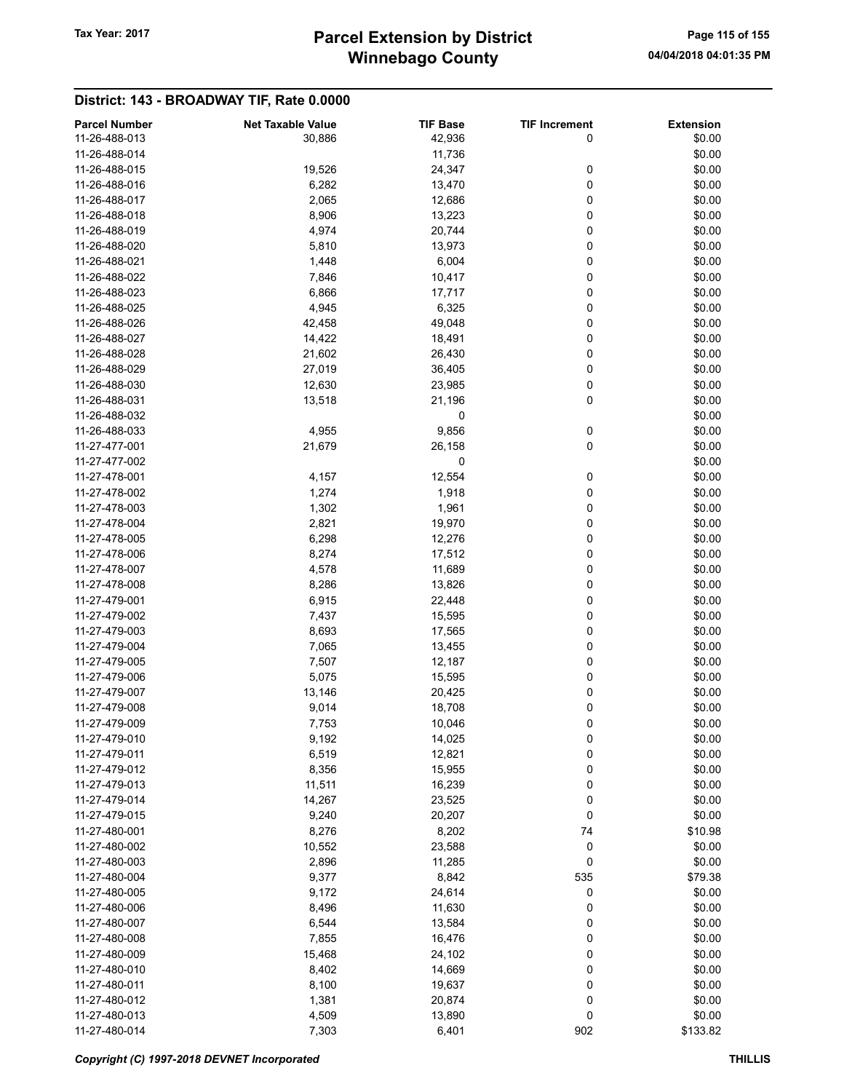# Winnebago County Tax Year: 2017 **Parcel Extension by District** Page 115 of 155

| <b>Parcel Number</b> | <b>Net Taxable Value</b> | <b>TIF Base</b> | <b>TIF Increment</b> | <b>Extension</b> |
|----------------------|--------------------------|-----------------|----------------------|------------------|
| 11-26-488-013        | 30,886                   | 42,936          | 0                    | \$0.00           |
| 11-26-488-014        |                          | 11,736          |                      | \$0.00           |
| 11-26-488-015        | 19,526                   | 24,347          | 0                    | \$0.00           |
| 11-26-488-016        | 6,282                    | 13,470          | 0                    | \$0.00           |
| 11-26-488-017        | 2,065                    | 12,686          | 0                    | \$0.00           |
| 11-26-488-018        | 8,906                    | 13,223          | 0                    | \$0.00           |
| 11-26-488-019        | 4,974                    | 20,744          | 0                    | \$0.00           |
| 11-26-488-020        | 5,810                    | 13,973          | 0                    | \$0.00           |
| 11-26-488-021        | 1,448                    | 6,004           | 0                    | \$0.00           |
| 11-26-488-022        | 7,846                    | 10,417          | 0                    | \$0.00           |
| 11-26-488-023        | 6,866                    | 17,717          | 0                    | \$0.00           |
| 11-26-488-025        | 4,945                    | 6,325           | 0                    | \$0.00           |
| 11-26-488-026        | 42,458                   | 49,048          | 0                    | \$0.00           |
| 11-26-488-027        | 14,422                   | 18,491          | 0                    | \$0.00           |
| 11-26-488-028        | 21,602                   | 26,430          | 0                    | \$0.00           |
| 11-26-488-029        | 27,019                   | 36,405          | 0                    | \$0.00           |
| 11-26-488-030        | 12,630                   |                 | 0                    | \$0.00           |
|                      |                          | 23,985          |                      |                  |
| 11-26-488-031        | 13,518                   | 21,196          | 0                    | \$0.00           |
| 11-26-488-032        |                          | 0               |                      | \$0.00           |
| 11-26-488-033        | 4,955                    | 9,856           | 0                    | \$0.00           |
| 11-27-477-001        | 21,679                   | 26,158          | 0                    | \$0.00           |
| 11-27-477-002        |                          | 0               |                      | \$0.00           |
| 11-27-478-001        | 4,157                    | 12,554          | 0                    | \$0.00           |
| 11-27-478-002        | 1,274                    | 1,918           | 0                    | \$0.00           |
| 11-27-478-003        | 1,302                    | 1,961           | 0                    | \$0.00           |
| 11-27-478-004        | 2,821                    | 19,970          | 0                    | \$0.00           |
| 11-27-478-005        | 6,298                    | 12,276          | 0                    | \$0.00           |
| 11-27-478-006        | 8,274                    | 17,512          | 0                    | \$0.00           |
| 11-27-478-007        | 4,578                    | 11,689          | 0                    | \$0.00           |
| 11-27-478-008        | 8,286                    | 13,826          | 0                    | \$0.00           |
| 11-27-479-001        | 6,915                    | 22,448          | 0                    | \$0.00           |
| 11-27-479-002        | 7,437                    | 15,595          | 0                    | \$0.00           |
| 11-27-479-003        | 8,693                    | 17,565          | 0                    | \$0.00           |
| 11-27-479-004        | 7,065                    | 13,455          | 0                    | \$0.00           |
| 11-27-479-005        | 7,507                    | 12,187          | 0                    | \$0.00           |
| 11-27-479-006        | 5,075                    | 15,595          | 0                    | \$0.00           |
| 11-27-479-007        | 13,146                   | 20,425          | 0                    | \$0.00           |
| 11-27-479-008        | 9,014                    | 18,708          | 0                    | \$0.00           |
| 11-27-479-009        | 7,753                    | 10,046          | 0                    | \$0.00           |
| 11-27-479-010        | 9,192                    | 14,025          | 0                    | \$0.00           |
| 11-27-479-011        | 6,519                    | 12,821          | 0                    | \$0.00           |
| 11-27-479-012        | 8,356                    | 15,955          | 0                    | \$0.00           |
| 11-27-479-013        | 11,511                   | 16,239          | 0                    | \$0.00           |
| 11-27-479-014        | 14,267                   | 23,525          | 0                    | \$0.00           |
| 11-27-479-015        | 9,240                    | 20,207          | 0                    | \$0.00           |
| 11-27-480-001        | 8,276                    | 8,202           | 74                   | \$10.98          |
| 11-27-480-002        |                          |                 |                      |                  |
|                      | 10,552                   | 23,588          | 0                    | \$0.00           |
| 11-27-480-003        | 2,896                    | 11,285          | 0                    | \$0.00           |
| 11-27-480-004        | 9,377                    | 8,842           | 535                  | \$79.38          |
| 11-27-480-005        | 9,172                    | 24,614          | 0                    | \$0.00           |
| 11-27-480-006        | 8,496                    | 11,630          | 0                    | \$0.00           |
| 11-27-480-007        | 6,544                    | 13,584          | 0                    | \$0.00           |
| 11-27-480-008        | 7,855                    | 16,476          | 0                    | \$0.00           |
| 11-27-480-009        | 15,468                   | 24,102          | 0                    | \$0.00           |
| 11-27-480-010        | 8,402                    | 14,669          | 0                    | \$0.00           |
| 11-27-480-011        | 8,100                    | 19,637          | 0                    | \$0.00           |
| 11-27-480-012        | 1,381                    | 20,874          | 0                    | \$0.00           |
| 11-27-480-013        | 4,509                    | 13,890          | 0                    | \$0.00           |
| 11-27-480-014        | 7,303                    | 6,401           | 902                  | \$133.82         |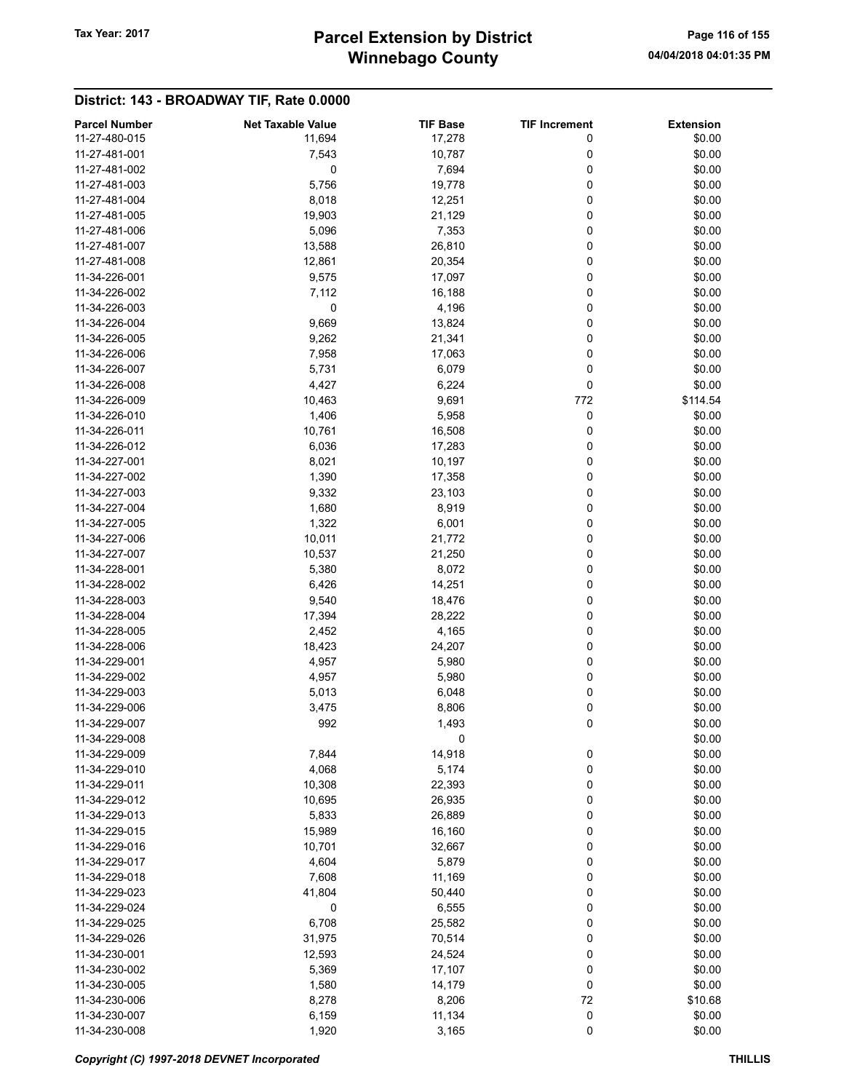# Winnebago County Tax Year: 2017 **Parcel Extension by District** Page 116 of 155

| 11-27-480-015<br>17,278<br>\$0.00<br>11,694<br>0<br>10,787<br>0<br>\$0.00<br>11-27-481-001<br>7,543<br>0<br>11-27-481-002<br>0<br>7,694<br>\$0.00<br>11-27-481-003<br>5,756<br>19,778<br>0<br>\$0.00<br>\$0.00<br>11-27-481-004<br>8,018<br>12,251<br>0<br>11-27-481-005<br>19,903<br>21,129<br>0<br>\$0.00<br>11-27-481-006<br>5,096<br>7,353<br>0<br>\$0.00<br>11-27-481-007<br>13,588<br>26,810<br>0<br>\$0.00<br>\$0.00<br>11-27-481-008<br>12,861<br>20,354<br>0<br>\$0.00<br>11-34-226-001<br>9,575<br>17,097<br>0<br>11-34-226-002<br>7,112<br>16,188<br>0<br>\$0.00<br>0<br>\$0.00<br>11-34-226-003<br>4,196<br>0<br>11-34-226-004<br>9,669<br>13,824<br>0<br>\$0.00<br>11-34-226-005<br>21,341<br>0<br>\$0.00<br>9,262<br>\$0.00<br>11-34-226-006<br>7,958<br>17,063<br>0<br>0<br>\$0.00<br>11-34-226-007<br>5,731<br>6,079<br>0<br>\$0.00<br>11-34-226-008<br>4,427<br>6,224<br>\$114.54<br>11-34-226-009<br>10,463<br>9,691<br>772<br>11-34-226-010<br>1,406<br>5,958<br>0<br>\$0.00<br>11-34-226-011<br>10,761<br>16,508<br>0<br>\$0.00<br>11-34-226-012<br>6,036<br>17,283<br>0<br>\$0.00<br>11-34-227-001<br>8,021<br>10,197<br>0<br>\$0.00<br>\$0.00<br>11-34-227-002<br>1,390<br>17,358<br>0<br>11-34-227-003<br>9,332<br>23,103<br>0<br>\$0.00<br>\$0.00<br>11-34-227-004<br>1,680<br>8,919<br>0<br>\$0.00<br>11-34-227-005<br>1,322<br>6,001<br>0<br>11-34-227-006<br>10,011<br>0<br>\$0.00<br>21,772<br>10,537<br>0<br>11-34-227-007<br>21,250<br>\$0.00<br>11-34-228-001<br>5,380<br>8,072<br>0<br>\$0.00<br>6,426<br>0<br>\$0.00<br>11-34-228-002<br>14,251<br>\$0.00<br>11-34-228-003<br>9,540<br>18,476<br>0<br>11-34-228-004<br>17,394<br>28,222<br>0<br>\$0.00<br>11-34-228-005<br>2,452<br>0<br>\$0.00<br>4,165<br>11-34-228-006<br>18,423<br>24,207<br>0<br>\$0.00<br>11-34-229-001<br>4,957<br>5,980<br>0<br>\$0.00<br>11-34-229-002<br>4,957<br>5,980<br>0<br>\$0.00<br>11-34-229-003<br>5,013<br>6,048<br>0<br>\$0.00<br>11-34-229-006<br>3,475<br>8,806<br>0<br>\$0.00<br>11-34-229-007<br>0<br>992<br>1,493<br>\$0.00<br>11-34-229-008<br>0<br>\$0.00<br>\$0.00<br>11-34-229-009<br>7,844<br>14,918<br>0<br>11-34-229-010<br>4,068<br>5,174<br>0<br>\$0.00<br>11-34-229-011<br>10,308<br>22,393<br>0<br>\$0.00<br>0<br>\$0.00<br>11-34-229-012<br>10,695<br>26,935<br>0<br>\$0.00<br>11-34-229-013<br>5,833<br>26,889<br>0<br>\$0.00<br>11-34-229-015<br>15,989<br>16,160<br>\$0.00<br>11-34-229-016<br>10,701<br>32,667<br>0<br>11-34-229-017<br>4,604<br>5,879<br>0<br>\$0.00<br>11,169<br>0<br>\$0.00<br>11-34-229-018<br>7,608<br>11-34-229-023<br>41,804<br>0<br>\$0.00<br>50,440<br>0<br>0<br>\$0.00<br>11-34-229-024<br>6,555<br>6,708<br>25,582<br>0<br>\$0.00<br>11-34-229-025<br>31,975<br>0<br>\$0.00<br>11-34-229-026<br>70,514<br>11-34-230-001<br>12,593<br>24,524<br>0<br>\$0.00<br>0<br>\$0.00<br>11-34-230-002<br>5,369<br>17,107<br>$\pmb{0}$<br>\$0.00<br>11-34-230-005<br>1,580<br>14,179<br>8,206<br>72<br>11-34-230-006<br>8,278<br>\$10.68<br>0<br>\$0.00<br>11-34-230-007<br>6,159<br>11,134 | <b>Parcel Number</b> | <b>Net Taxable Value</b> | <b>TIF Base</b> | <b>TIF Increment</b> | <b>Extension</b> |
|------------------------------------------------------------------------------------------------------------------------------------------------------------------------------------------------------------------------------------------------------------------------------------------------------------------------------------------------------------------------------------------------------------------------------------------------------------------------------------------------------------------------------------------------------------------------------------------------------------------------------------------------------------------------------------------------------------------------------------------------------------------------------------------------------------------------------------------------------------------------------------------------------------------------------------------------------------------------------------------------------------------------------------------------------------------------------------------------------------------------------------------------------------------------------------------------------------------------------------------------------------------------------------------------------------------------------------------------------------------------------------------------------------------------------------------------------------------------------------------------------------------------------------------------------------------------------------------------------------------------------------------------------------------------------------------------------------------------------------------------------------------------------------------------------------------------------------------------------------------------------------------------------------------------------------------------------------------------------------------------------------------------------------------------------------------------------------------------------------------------------------------------------------------------------------------------------------------------------------------------------------------------------------------------------------------------------------------------------------------------------------------------------------------------------------------------------------------------------------------------------------------------------------------------------------------------------------------------------------------------------------------------------------------------------------------------------------------------------------------------------------------------------------------------------------------------------------------------------------------------------------------------------------------------------------------------------------------------------------------------------------------------------------------------------|----------------------|--------------------------|-----------------|----------------------|------------------|
|                                                                                                                                                                                                                                                                                                                                                                                                                                                                                                                                                                                                                                                                                                                                                                                                                                                                                                                                                                                                                                                                                                                                                                                                                                                                                                                                                                                                                                                                                                                                                                                                                                                                                                                                                                                                                                                                                                                                                                                                                                                                                                                                                                                                                                                                                                                                                                                                                                                                                                                                                                                                                                                                                                                                                                                                                                                                                                                                                                                                                                                      |                      |                          |                 |                      |                  |
|                                                                                                                                                                                                                                                                                                                                                                                                                                                                                                                                                                                                                                                                                                                                                                                                                                                                                                                                                                                                                                                                                                                                                                                                                                                                                                                                                                                                                                                                                                                                                                                                                                                                                                                                                                                                                                                                                                                                                                                                                                                                                                                                                                                                                                                                                                                                                                                                                                                                                                                                                                                                                                                                                                                                                                                                                                                                                                                                                                                                                                                      |                      |                          |                 |                      |                  |
|                                                                                                                                                                                                                                                                                                                                                                                                                                                                                                                                                                                                                                                                                                                                                                                                                                                                                                                                                                                                                                                                                                                                                                                                                                                                                                                                                                                                                                                                                                                                                                                                                                                                                                                                                                                                                                                                                                                                                                                                                                                                                                                                                                                                                                                                                                                                                                                                                                                                                                                                                                                                                                                                                                                                                                                                                                                                                                                                                                                                                                                      |                      |                          |                 |                      |                  |
|                                                                                                                                                                                                                                                                                                                                                                                                                                                                                                                                                                                                                                                                                                                                                                                                                                                                                                                                                                                                                                                                                                                                                                                                                                                                                                                                                                                                                                                                                                                                                                                                                                                                                                                                                                                                                                                                                                                                                                                                                                                                                                                                                                                                                                                                                                                                                                                                                                                                                                                                                                                                                                                                                                                                                                                                                                                                                                                                                                                                                                                      |                      |                          |                 |                      |                  |
|                                                                                                                                                                                                                                                                                                                                                                                                                                                                                                                                                                                                                                                                                                                                                                                                                                                                                                                                                                                                                                                                                                                                                                                                                                                                                                                                                                                                                                                                                                                                                                                                                                                                                                                                                                                                                                                                                                                                                                                                                                                                                                                                                                                                                                                                                                                                                                                                                                                                                                                                                                                                                                                                                                                                                                                                                                                                                                                                                                                                                                                      |                      |                          |                 |                      |                  |
|                                                                                                                                                                                                                                                                                                                                                                                                                                                                                                                                                                                                                                                                                                                                                                                                                                                                                                                                                                                                                                                                                                                                                                                                                                                                                                                                                                                                                                                                                                                                                                                                                                                                                                                                                                                                                                                                                                                                                                                                                                                                                                                                                                                                                                                                                                                                                                                                                                                                                                                                                                                                                                                                                                                                                                                                                                                                                                                                                                                                                                                      |                      |                          |                 |                      |                  |
|                                                                                                                                                                                                                                                                                                                                                                                                                                                                                                                                                                                                                                                                                                                                                                                                                                                                                                                                                                                                                                                                                                                                                                                                                                                                                                                                                                                                                                                                                                                                                                                                                                                                                                                                                                                                                                                                                                                                                                                                                                                                                                                                                                                                                                                                                                                                                                                                                                                                                                                                                                                                                                                                                                                                                                                                                                                                                                                                                                                                                                                      |                      |                          |                 |                      |                  |
|                                                                                                                                                                                                                                                                                                                                                                                                                                                                                                                                                                                                                                                                                                                                                                                                                                                                                                                                                                                                                                                                                                                                                                                                                                                                                                                                                                                                                                                                                                                                                                                                                                                                                                                                                                                                                                                                                                                                                                                                                                                                                                                                                                                                                                                                                                                                                                                                                                                                                                                                                                                                                                                                                                                                                                                                                                                                                                                                                                                                                                                      |                      |                          |                 |                      |                  |
|                                                                                                                                                                                                                                                                                                                                                                                                                                                                                                                                                                                                                                                                                                                                                                                                                                                                                                                                                                                                                                                                                                                                                                                                                                                                                                                                                                                                                                                                                                                                                                                                                                                                                                                                                                                                                                                                                                                                                                                                                                                                                                                                                                                                                                                                                                                                                                                                                                                                                                                                                                                                                                                                                                                                                                                                                                                                                                                                                                                                                                                      |                      |                          |                 |                      |                  |
|                                                                                                                                                                                                                                                                                                                                                                                                                                                                                                                                                                                                                                                                                                                                                                                                                                                                                                                                                                                                                                                                                                                                                                                                                                                                                                                                                                                                                                                                                                                                                                                                                                                                                                                                                                                                                                                                                                                                                                                                                                                                                                                                                                                                                                                                                                                                                                                                                                                                                                                                                                                                                                                                                                                                                                                                                                                                                                                                                                                                                                                      |                      |                          |                 |                      |                  |
|                                                                                                                                                                                                                                                                                                                                                                                                                                                                                                                                                                                                                                                                                                                                                                                                                                                                                                                                                                                                                                                                                                                                                                                                                                                                                                                                                                                                                                                                                                                                                                                                                                                                                                                                                                                                                                                                                                                                                                                                                                                                                                                                                                                                                                                                                                                                                                                                                                                                                                                                                                                                                                                                                                                                                                                                                                                                                                                                                                                                                                                      |                      |                          |                 |                      |                  |
|                                                                                                                                                                                                                                                                                                                                                                                                                                                                                                                                                                                                                                                                                                                                                                                                                                                                                                                                                                                                                                                                                                                                                                                                                                                                                                                                                                                                                                                                                                                                                                                                                                                                                                                                                                                                                                                                                                                                                                                                                                                                                                                                                                                                                                                                                                                                                                                                                                                                                                                                                                                                                                                                                                                                                                                                                                                                                                                                                                                                                                                      |                      |                          |                 |                      |                  |
|                                                                                                                                                                                                                                                                                                                                                                                                                                                                                                                                                                                                                                                                                                                                                                                                                                                                                                                                                                                                                                                                                                                                                                                                                                                                                                                                                                                                                                                                                                                                                                                                                                                                                                                                                                                                                                                                                                                                                                                                                                                                                                                                                                                                                                                                                                                                                                                                                                                                                                                                                                                                                                                                                                                                                                                                                                                                                                                                                                                                                                                      |                      |                          |                 |                      |                  |
|                                                                                                                                                                                                                                                                                                                                                                                                                                                                                                                                                                                                                                                                                                                                                                                                                                                                                                                                                                                                                                                                                                                                                                                                                                                                                                                                                                                                                                                                                                                                                                                                                                                                                                                                                                                                                                                                                                                                                                                                                                                                                                                                                                                                                                                                                                                                                                                                                                                                                                                                                                                                                                                                                                                                                                                                                                                                                                                                                                                                                                                      |                      |                          |                 |                      |                  |
|                                                                                                                                                                                                                                                                                                                                                                                                                                                                                                                                                                                                                                                                                                                                                                                                                                                                                                                                                                                                                                                                                                                                                                                                                                                                                                                                                                                                                                                                                                                                                                                                                                                                                                                                                                                                                                                                                                                                                                                                                                                                                                                                                                                                                                                                                                                                                                                                                                                                                                                                                                                                                                                                                                                                                                                                                                                                                                                                                                                                                                                      |                      |                          |                 |                      |                  |
|                                                                                                                                                                                                                                                                                                                                                                                                                                                                                                                                                                                                                                                                                                                                                                                                                                                                                                                                                                                                                                                                                                                                                                                                                                                                                                                                                                                                                                                                                                                                                                                                                                                                                                                                                                                                                                                                                                                                                                                                                                                                                                                                                                                                                                                                                                                                                                                                                                                                                                                                                                                                                                                                                                                                                                                                                                                                                                                                                                                                                                                      |                      |                          |                 |                      |                  |
|                                                                                                                                                                                                                                                                                                                                                                                                                                                                                                                                                                                                                                                                                                                                                                                                                                                                                                                                                                                                                                                                                                                                                                                                                                                                                                                                                                                                                                                                                                                                                                                                                                                                                                                                                                                                                                                                                                                                                                                                                                                                                                                                                                                                                                                                                                                                                                                                                                                                                                                                                                                                                                                                                                                                                                                                                                                                                                                                                                                                                                                      |                      |                          |                 |                      |                  |
|                                                                                                                                                                                                                                                                                                                                                                                                                                                                                                                                                                                                                                                                                                                                                                                                                                                                                                                                                                                                                                                                                                                                                                                                                                                                                                                                                                                                                                                                                                                                                                                                                                                                                                                                                                                                                                                                                                                                                                                                                                                                                                                                                                                                                                                                                                                                                                                                                                                                                                                                                                                                                                                                                                                                                                                                                                                                                                                                                                                                                                                      |                      |                          |                 |                      |                  |
|                                                                                                                                                                                                                                                                                                                                                                                                                                                                                                                                                                                                                                                                                                                                                                                                                                                                                                                                                                                                                                                                                                                                                                                                                                                                                                                                                                                                                                                                                                                                                                                                                                                                                                                                                                                                                                                                                                                                                                                                                                                                                                                                                                                                                                                                                                                                                                                                                                                                                                                                                                                                                                                                                                                                                                                                                                                                                                                                                                                                                                                      |                      |                          |                 |                      |                  |
|                                                                                                                                                                                                                                                                                                                                                                                                                                                                                                                                                                                                                                                                                                                                                                                                                                                                                                                                                                                                                                                                                                                                                                                                                                                                                                                                                                                                                                                                                                                                                                                                                                                                                                                                                                                                                                                                                                                                                                                                                                                                                                                                                                                                                                                                                                                                                                                                                                                                                                                                                                                                                                                                                                                                                                                                                                                                                                                                                                                                                                                      |                      |                          |                 |                      |                  |
|                                                                                                                                                                                                                                                                                                                                                                                                                                                                                                                                                                                                                                                                                                                                                                                                                                                                                                                                                                                                                                                                                                                                                                                                                                                                                                                                                                                                                                                                                                                                                                                                                                                                                                                                                                                                                                                                                                                                                                                                                                                                                                                                                                                                                                                                                                                                                                                                                                                                                                                                                                                                                                                                                                                                                                                                                                                                                                                                                                                                                                                      |                      |                          |                 |                      |                  |
|                                                                                                                                                                                                                                                                                                                                                                                                                                                                                                                                                                                                                                                                                                                                                                                                                                                                                                                                                                                                                                                                                                                                                                                                                                                                                                                                                                                                                                                                                                                                                                                                                                                                                                                                                                                                                                                                                                                                                                                                                                                                                                                                                                                                                                                                                                                                                                                                                                                                                                                                                                                                                                                                                                                                                                                                                                                                                                                                                                                                                                                      |                      |                          |                 |                      |                  |
|                                                                                                                                                                                                                                                                                                                                                                                                                                                                                                                                                                                                                                                                                                                                                                                                                                                                                                                                                                                                                                                                                                                                                                                                                                                                                                                                                                                                                                                                                                                                                                                                                                                                                                                                                                                                                                                                                                                                                                                                                                                                                                                                                                                                                                                                                                                                                                                                                                                                                                                                                                                                                                                                                                                                                                                                                                                                                                                                                                                                                                                      |                      |                          |                 |                      |                  |
|                                                                                                                                                                                                                                                                                                                                                                                                                                                                                                                                                                                                                                                                                                                                                                                                                                                                                                                                                                                                                                                                                                                                                                                                                                                                                                                                                                                                                                                                                                                                                                                                                                                                                                                                                                                                                                                                                                                                                                                                                                                                                                                                                                                                                                                                                                                                                                                                                                                                                                                                                                                                                                                                                                                                                                                                                                                                                                                                                                                                                                                      |                      |                          |                 |                      |                  |
|                                                                                                                                                                                                                                                                                                                                                                                                                                                                                                                                                                                                                                                                                                                                                                                                                                                                                                                                                                                                                                                                                                                                                                                                                                                                                                                                                                                                                                                                                                                                                                                                                                                                                                                                                                                                                                                                                                                                                                                                                                                                                                                                                                                                                                                                                                                                                                                                                                                                                                                                                                                                                                                                                                                                                                                                                                                                                                                                                                                                                                                      |                      |                          |                 |                      |                  |
|                                                                                                                                                                                                                                                                                                                                                                                                                                                                                                                                                                                                                                                                                                                                                                                                                                                                                                                                                                                                                                                                                                                                                                                                                                                                                                                                                                                                                                                                                                                                                                                                                                                                                                                                                                                                                                                                                                                                                                                                                                                                                                                                                                                                                                                                                                                                                                                                                                                                                                                                                                                                                                                                                                                                                                                                                                                                                                                                                                                                                                                      |                      |                          |                 |                      |                  |
|                                                                                                                                                                                                                                                                                                                                                                                                                                                                                                                                                                                                                                                                                                                                                                                                                                                                                                                                                                                                                                                                                                                                                                                                                                                                                                                                                                                                                                                                                                                                                                                                                                                                                                                                                                                                                                                                                                                                                                                                                                                                                                                                                                                                                                                                                                                                                                                                                                                                                                                                                                                                                                                                                                                                                                                                                                                                                                                                                                                                                                                      |                      |                          |                 |                      |                  |
|                                                                                                                                                                                                                                                                                                                                                                                                                                                                                                                                                                                                                                                                                                                                                                                                                                                                                                                                                                                                                                                                                                                                                                                                                                                                                                                                                                                                                                                                                                                                                                                                                                                                                                                                                                                                                                                                                                                                                                                                                                                                                                                                                                                                                                                                                                                                                                                                                                                                                                                                                                                                                                                                                                                                                                                                                                                                                                                                                                                                                                                      |                      |                          |                 |                      |                  |
|                                                                                                                                                                                                                                                                                                                                                                                                                                                                                                                                                                                                                                                                                                                                                                                                                                                                                                                                                                                                                                                                                                                                                                                                                                                                                                                                                                                                                                                                                                                                                                                                                                                                                                                                                                                                                                                                                                                                                                                                                                                                                                                                                                                                                                                                                                                                                                                                                                                                                                                                                                                                                                                                                                                                                                                                                                                                                                                                                                                                                                                      |                      |                          |                 |                      |                  |
|                                                                                                                                                                                                                                                                                                                                                                                                                                                                                                                                                                                                                                                                                                                                                                                                                                                                                                                                                                                                                                                                                                                                                                                                                                                                                                                                                                                                                                                                                                                                                                                                                                                                                                                                                                                                                                                                                                                                                                                                                                                                                                                                                                                                                                                                                                                                                                                                                                                                                                                                                                                                                                                                                                                                                                                                                                                                                                                                                                                                                                                      |                      |                          |                 |                      |                  |
|                                                                                                                                                                                                                                                                                                                                                                                                                                                                                                                                                                                                                                                                                                                                                                                                                                                                                                                                                                                                                                                                                                                                                                                                                                                                                                                                                                                                                                                                                                                                                                                                                                                                                                                                                                                                                                                                                                                                                                                                                                                                                                                                                                                                                                                                                                                                                                                                                                                                                                                                                                                                                                                                                                                                                                                                                                                                                                                                                                                                                                                      |                      |                          |                 |                      |                  |
|                                                                                                                                                                                                                                                                                                                                                                                                                                                                                                                                                                                                                                                                                                                                                                                                                                                                                                                                                                                                                                                                                                                                                                                                                                                                                                                                                                                                                                                                                                                                                                                                                                                                                                                                                                                                                                                                                                                                                                                                                                                                                                                                                                                                                                                                                                                                                                                                                                                                                                                                                                                                                                                                                                                                                                                                                                                                                                                                                                                                                                                      |                      |                          |                 |                      |                  |
|                                                                                                                                                                                                                                                                                                                                                                                                                                                                                                                                                                                                                                                                                                                                                                                                                                                                                                                                                                                                                                                                                                                                                                                                                                                                                                                                                                                                                                                                                                                                                                                                                                                                                                                                                                                                                                                                                                                                                                                                                                                                                                                                                                                                                                                                                                                                                                                                                                                                                                                                                                                                                                                                                                                                                                                                                                                                                                                                                                                                                                                      |                      |                          |                 |                      |                  |
|                                                                                                                                                                                                                                                                                                                                                                                                                                                                                                                                                                                                                                                                                                                                                                                                                                                                                                                                                                                                                                                                                                                                                                                                                                                                                                                                                                                                                                                                                                                                                                                                                                                                                                                                                                                                                                                                                                                                                                                                                                                                                                                                                                                                                                                                                                                                                                                                                                                                                                                                                                                                                                                                                                                                                                                                                                                                                                                                                                                                                                                      |                      |                          |                 |                      |                  |
|                                                                                                                                                                                                                                                                                                                                                                                                                                                                                                                                                                                                                                                                                                                                                                                                                                                                                                                                                                                                                                                                                                                                                                                                                                                                                                                                                                                                                                                                                                                                                                                                                                                                                                                                                                                                                                                                                                                                                                                                                                                                                                                                                                                                                                                                                                                                                                                                                                                                                                                                                                                                                                                                                                                                                                                                                                                                                                                                                                                                                                                      |                      |                          |                 |                      |                  |
|                                                                                                                                                                                                                                                                                                                                                                                                                                                                                                                                                                                                                                                                                                                                                                                                                                                                                                                                                                                                                                                                                                                                                                                                                                                                                                                                                                                                                                                                                                                                                                                                                                                                                                                                                                                                                                                                                                                                                                                                                                                                                                                                                                                                                                                                                                                                                                                                                                                                                                                                                                                                                                                                                                                                                                                                                                                                                                                                                                                                                                                      |                      |                          |                 |                      |                  |
|                                                                                                                                                                                                                                                                                                                                                                                                                                                                                                                                                                                                                                                                                                                                                                                                                                                                                                                                                                                                                                                                                                                                                                                                                                                                                                                                                                                                                                                                                                                                                                                                                                                                                                                                                                                                                                                                                                                                                                                                                                                                                                                                                                                                                                                                                                                                                                                                                                                                                                                                                                                                                                                                                                                                                                                                                                                                                                                                                                                                                                                      |                      |                          |                 |                      |                  |
|                                                                                                                                                                                                                                                                                                                                                                                                                                                                                                                                                                                                                                                                                                                                                                                                                                                                                                                                                                                                                                                                                                                                                                                                                                                                                                                                                                                                                                                                                                                                                                                                                                                                                                                                                                                                                                                                                                                                                                                                                                                                                                                                                                                                                                                                                                                                                                                                                                                                                                                                                                                                                                                                                                                                                                                                                                                                                                                                                                                                                                                      |                      |                          |                 |                      |                  |
|                                                                                                                                                                                                                                                                                                                                                                                                                                                                                                                                                                                                                                                                                                                                                                                                                                                                                                                                                                                                                                                                                                                                                                                                                                                                                                                                                                                                                                                                                                                                                                                                                                                                                                                                                                                                                                                                                                                                                                                                                                                                                                                                                                                                                                                                                                                                                                                                                                                                                                                                                                                                                                                                                                                                                                                                                                                                                                                                                                                                                                                      |                      |                          |                 |                      |                  |
|                                                                                                                                                                                                                                                                                                                                                                                                                                                                                                                                                                                                                                                                                                                                                                                                                                                                                                                                                                                                                                                                                                                                                                                                                                                                                                                                                                                                                                                                                                                                                                                                                                                                                                                                                                                                                                                                                                                                                                                                                                                                                                                                                                                                                                                                                                                                                                                                                                                                                                                                                                                                                                                                                                                                                                                                                                                                                                                                                                                                                                                      |                      |                          |                 |                      |                  |
|                                                                                                                                                                                                                                                                                                                                                                                                                                                                                                                                                                                                                                                                                                                                                                                                                                                                                                                                                                                                                                                                                                                                                                                                                                                                                                                                                                                                                                                                                                                                                                                                                                                                                                                                                                                                                                                                                                                                                                                                                                                                                                                                                                                                                                                                                                                                                                                                                                                                                                                                                                                                                                                                                                                                                                                                                                                                                                                                                                                                                                                      |                      |                          |                 |                      |                  |
|                                                                                                                                                                                                                                                                                                                                                                                                                                                                                                                                                                                                                                                                                                                                                                                                                                                                                                                                                                                                                                                                                                                                                                                                                                                                                                                                                                                                                                                                                                                                                                                                                                                                                                                                                                                                                                                                                                                                                                                                                                                                                                                                                                                                                                                                                                                                                                                                                                                                                                                                                                                                                                                                                                                                                                                                                                                                                                                                                                                                                                                      |                      |                          |                 |                      |                  |
|                                                                                                                                                                                                                                                                                                                                                                                                                                                                                                                                                                                                                                                                                                                                                                                                                                                                                                                                                                                                                                                                                                                                                                                                                                                                                                                                                                                                                                                                                                                                                                                                                                                                                                                                                                                                                                                                                                                                                                                                                                                                                                                                                                                                                                                                                                                                                                                                                                                                                                                                                                                                                                                                                                                                                                                                                                                                                                                                                                                                                                                      |                      |                          |                 |                      |                  |
|                                                                                                                                                                                                                                                                                                                                                                                                                                                                                                                                                                                                                                                                                                                                                                                                                                                                                                                                                                                                                                                                                                                                                                                                                                                                                                                                                                                                                                                                                                                                                                                                                                                                                                                                                                                                                                                                                                                                                                                                                                                                                                                                                                                                                                                                                                                                                                                                                                                                                                                                                                                                                                                                                                                                                                                                                                                                                                                                                                                                                                                      |                      |                          |                 |                      |                  |
|                                                                                                                                                                                                                                                                                                                                                                                                                                                                                                                                                                                                                                                                                                                                                                                                                                                                                                                                                                                                                                                                                                                                                                                                                                                                                                                                                                                                                                                                                                                                                                                                                                                                                                                                                                                                                                                                                                                                                                                                                                                                                                                                                                                                                                                                                                                                                                                                                                                                                                                                                                                                                                                                                                                                                                                                                                                                                                                                                                                                                                                      |                      |                          |                 |                      |                  |
|                                                                                                                                                                                                                                                                                                                                                                                                                                                                                                                                                                                                                                                                                                                                                                                                                                                                                                                                                                                                                                                                                                                                                                                                                                                                                                                                                                                                                                                                                                                                                                                                                                                                                                                                                                                                                                                                                                                                                                                                                                                                                                                                                                                                                                                                                                                                                                                                                                                                                                                                                                                                                                                                                                                                                                                                                                                                                                                                                                                                                                                      |                      |                          |                 |                      |                  |
|                                                                                                                                                                                                                                                                                                                                                                                                                                                                                                                                                                                                                                                                                                                                                                                                                                                                                                                                                                                                                                                                                                                                                                                                                                                                                                                                                                                                                                                                                                                                                                                                                                                                                                                                                                                                                                                                                                                                                                                                                                                                                                                                                                                                                                                                                                                                                                                                                                                                                                                                                                                                                                                                                                                                                                                                                                                                                                                                                                                                                                                      |                      |                          |                 |                      |                  |
|                                                                                                                                                                                                                                                                                                                                                                                                                                                                                                                                                                                                                                                                                                                                                                                                                                                                                                                                                                                                                                                                                                                                                                                                                                                                                                                                                                                                                                                                                                                                                                                                                                                                                                                                                                                                                                                                                                                                                                                                                                                                                                                                                                                                                                                                                                                                                                                                                                                                                                                                                                                                                                                                                                                                                                                                                                                                                                                                                                                                                                                      |                      |                          |                 |                      |                  |
|                                                                                                                                                                                                                                                                                                                                                                                                                                                                                                                                                                                                                                                                                                                                                                                                                                                                                                                                                                                                                                                                                                                                                                                                                                                                                                                                                                                                                                                                                                                                                                                                                                                                                                                                                                                                                                                                                                                                                                                                                                                                                                                                                                                                                                                                                                                                                                                                                                                                                                                                                                                                                                                                                                                                                                                                                                                                                                                                                                                                                                                      |                      |                          |                 |                      |                  |
|                                                                                                                                                                                                                                                                                                                                                                                                                                                                                                                                                                                                                                                                                                                                                                                                                                                                                                                                                                                                                                                                                                                                                                                                                                                                                                                                                                                                                                                                                                                                                                                                                                                                                                                                                                                                                                                                                                                                                                                                                                                                                                                                                                                                                                                                                                                                                                                                                                                                                                                                                                                                                                                                                                                                                                                                                                                                                                                                                                                                                                                      |                      |                          |                 |                      |                  |
|                                                                                                                                                                                                                                                                                                                                                                                                                                                                                                                                                                                                                                                                                                                                                                                                                                                                                                                                                                                                                                                                                                                                                                                                                                                                                                                                                                                                                                                                                                                                                                                                                                                                                                                                                                                                                                                                                                                                                                                                                                                                                                                                                                                                                                                                                                                                                                                                                                                                                                                                                                                                                                                                                                                                                                                                                                                                                                                                                                                                                                                      |                      |                          |                 |                      |                  |
|                                                                                                                                                                                                                                                                                                                                                                                                                                                                                                                                                                                                                                                                                                                                                                                                                                                                                                                                                                                                                                                                                                                                                                                                                                                                                                                                                                                                                                                                                                                                                                                                                                                                                                                                                                                                                                                                                                                                                                                                                                                                                                                                                                                                                                                                                                                                                                                                                                                                                                                                                                                                                                                                                                                                                                                                                                                                                                                                                                                                                                                      |                      |                          |                 |                      |                  |
|                                                                                                                                                                                                                                                                                                                                                                                                                                                                                                                                                                                                                                                                                                                                                                                                                                                                                                                                                                                                                                                                                                                                                                                                                                                                                                                                                                                                                                                                                                                                                                                                                                                                                                                                                                                                                                                                                                                                                                                                                                                                                                                                                                                                                                                                                                                                                                                                                                                                                                                                                                                                                                                                                                                                                                                                                                                                                                                                                                                                                                                      |                      |                          |                 |                      |                  |
|                                                                                                                                                                                                                                                                                                                                                                                                                                                                                                                                                                                                                                                                                                                                                                                                                                                                                                                                                                                                                                                                                                                                                                                                                                                                                                                                                                                                                                                                                                                                                                                                                                                                                                                                                                                                                                                                                                                                                                                                                                                                                                                                                                                                                                                                                                                                                                                                                                                                                                                                                                                                                                                                                                                                                                                                                                                                                                                                                                                                                                                      |                      |                          |                 |                      |                  |
|                                                                                                                                                                                                                                                                                                                                                                                                                                                                                                                                                                                                                                                                                                                                                                                                                                                                                                                                                                                                                                                                                                                                                                                                                                                                                                                                                                                                                                                                                                                                                                                                                                                                                                                                                                                                                                                                                                                                                                                                                                                                                                                                                                                                                                                                                                                                                                                                                                                                                                                                                                                                                                                                                                                                                                                                                                                                                                                                                                                                                                                      |                      |                          |                 |                      |                  |
|                                                                                                                                                                                                                                                                                                                                                                                                                                                                                                                                                                                                                                                                                                                                                                                                                                                                                                                                                                                                                                                                                                                                                                                                                                                                                                                                                                                                                                                                                                                                                                                                                                                                                                                                                                                                                                                                                                                                                                                                                                                                                                                                                                                                                                                                                                                                                                                                                                                                                                                                                                                                                                                                                                                                                                                                                                                                                                                                                                                                                                                      |                      |                          |                 |                      |                  |
|                                                                                                                                                                                                                                                                                                                                                                                                                                                                                                                                                                                                                                                                                                                                                                                                                                                                                                                                                                                                                                                                                                                                                                                                                                                                                                                                                                                                                                                                                                                                                                                                                                                                                                                                                                                                                                                                                                                                                                                                                                                                                                                                                                                                                                                                                                                                                                                                                                                                                                                                                                                                                                                                                                                                                                                                                                                                                                                                                                                                                                                      |                      |                          |                 |                      |                  |
|                                                                                                                                                                                                                                                                                                                                                                                                                                                                                                                                                                                                                                                                                                                                                                                                                                                                                                                                                                                                                                                                                                                                                                                                                                                                                                                                                                                                                                                                                                                                                                                                                                                                                                                                                                                                                                                                                                                                                                                                                                                                                                                                                                                                                                                                                                                                                                                                                                                                                                                                                                                                                                                                                                                                                                                                                                                                                                                                                                                                                                                      |                      |                          |                 |                      |                  |
|                                                                                                                                                                                                                                                                                                                                                                                                                                                                                                                                                                                                                                                                                                                                                                                                                                                                                                                                                                                                                                                                                                                                                                                                                                                                                                                                                                                                                                                                                                                                                                                                                                                                                                                                                                                                                                                                                                                                                                                                                                                                                                                                                                                                                                                                                                                                                                                                                                                                                                                                                                                                                                                                                                                                                                                                                                                                                                                                                                                                                                                      |                      |                          |                 |                      |                  |
|                                                                                                                                                                                                                                                                                                                                                                                                                                                                                                                                                                                                                                                                                                                                                                                                                                                                                                                                                                                                                                                                                                                                                                                                                                                                                                                                                                                                                                                                                                                                                                                                                                                                                                                                                                                                                                                                                                                                                                                                                                                                                                                                                                                                                                                                                                                                                                                                                                                                                                                                                                                                                                                                                                                                                                                                                                                                                                                                                                                                                                                      |                      |                          |                 |                      |                  |
|                                                                                                                                                                                                                                                                                                                                                                                                                                                                                                                                                                                                                                                                                                                                                                                                                                                                                                                                                                                                                                                                                                                                                                                                                                                                                                                                                                                                                                                                                                                                                                                                                                                                                                                                                                                                                                                                                                                                                                                                                                                                                                                                                                                                                                                                                                                                                                                                                                                                                                                                                                                                                                                                                                                                                                                                                                                                                                                                                                                                                                                      |                      |                          |                 |                      |                  |
|                                                                                                                                                                                                                                                                                                                                                                                                                                                                                                                                                                                                                                                                                                                                                                                                                                                                                                                                                                                                                                                                                                                                                                                                                                                                                                                                                                                                                                                                                                                                                                                                                                                                                                                                                                                                                                                                                                                                                                                                                                                                                                                                                                                                                                                                                                                                                                                                                                                                                                                                                                                                                                                                                                                                                                                                                                                                                                                                                                                                                                                      | 11-34-230-008        | 1,920                    | 3,165           | $\pmb{0}$            | \$0.00           |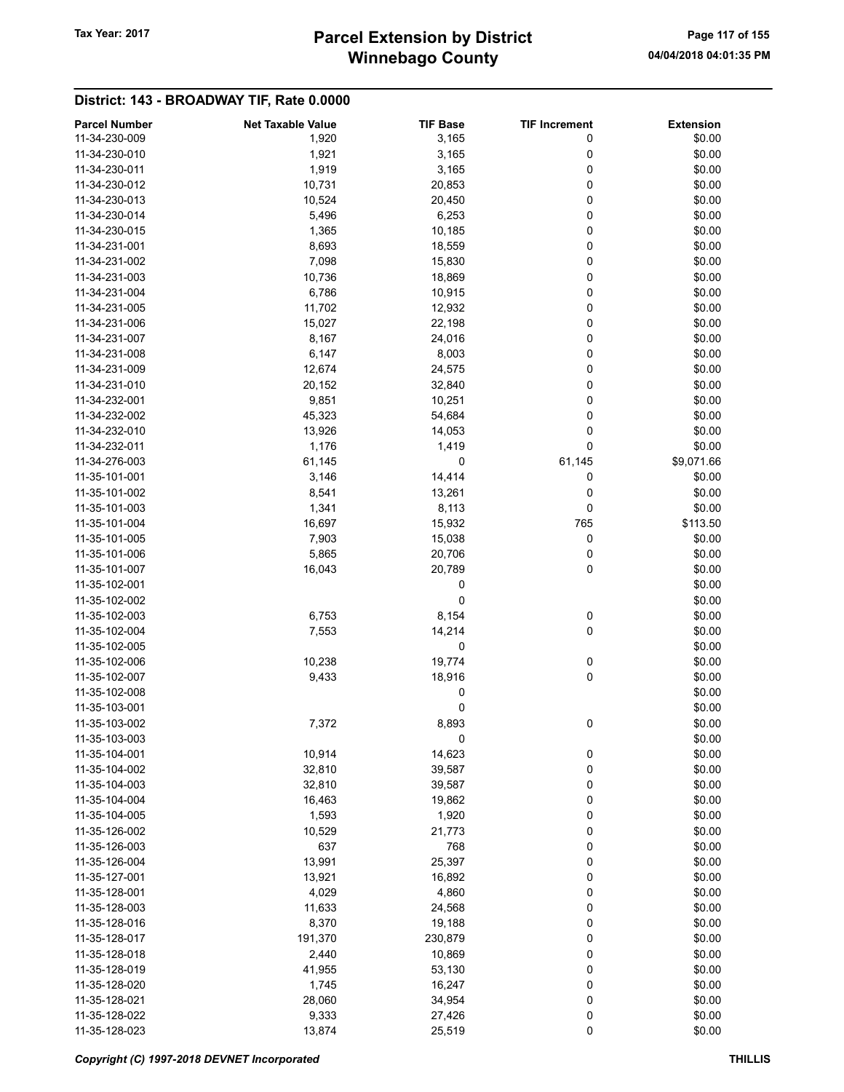# Winnebago County Tax Year: 2017 **Parcel Extension by District** Page 117 of 155

| <b>Parcel Number</b> | <b>Net Taxable Value</b> | <b>TIF Base</b> | <b>TIF Increment</b> | <b>Extension</b> |
|----------------------|--------------------------|-----------------|----------------------|------------------|
| 11-34-230-009        | 1,920                    | 3,165           | 0                    | \$0.00           |
| 11-34-230-010        | 1,921                    | 3,165           | 0                    | \$0.00           |
| 11-34-230-011        | 1,919                    | 3,165           | 0                    | \$0.00           |
| 11-34-230-012        | 10,731                   | 20,853          | 0                    | \$0.00           |
| 11-34-230-013        | 10,524                   | 20,450          | 0                    | \$0.00           |
|                      |                          |                 |                      |                  |
| 11-34-230-014        | 5,496                    | 6,253           | 0                    | \$0.00           |
| 11-34-230-015        | 1,365                    | 10,185          | 0                    | \$0.00           |
| 11-34-231-001        | 8,693                    | 18,559          | 0                    | \$0.00           |
| 11-34-231-002        | 7,098                    | 15,830          | 0                    | \$0.00           |
| 11-34-231-003        | 10,736                   | 18,869          | 0                    | \$0.00           |
| 11-34-231-004        | 6,786                    | 10,915          | 0                    | \$0.00           |
| 11-34-231-005        | 11,702                   | 12,932          | 0                    | \$0.00           |
| 11-34-231-006        | 15,027                   | 22,198          | 0                    | \$0.00           |
| 11-34-231-007        | 8,167                    | 24,016          | 0                    | \$0.00           |
| 11-34-231-008        | 6,147                    | 8,003           | 0                    | \$0.00           |
| 11-34-231-009        | 12,674                   | 24,575          | 0                    | \$0.00           |
| 11-34-231-010        | 20,152                   | 32,840          | 0                    | \$0.00           |
| 11-34-232-001        | 9,851                    | 10,251          | 0                    | \$0.00           |
| 11-34-232-002        | 45,323                   | 54,684          | 0                    | \$0.00           |
| 11-34-232-010        |                          |                 |                      |                  |
|                      | 13,926                   | 14,053          | 0                    | \$0.00           |
| 11-34-232-011        | 1,176                    | 1,419           | 0                    | \$0.00           |
| 11-34-276-003        | 61,145                   | 0               | 61,145               | \$9,071.66       |
| 11-35-101-001        | 3,146                    | 14,414          | 0                    | \$0.00           |
| 11-35-101-002        | 8,541                    | 13,261          | 0                    | \$0.00           |
| 11-35-101-003        | 1,341                    | 8,113           | 0                    | \$0.00           |
| 11-35-101-004        | 16,697                   | 15,932          | 765                  | \$113.50         |
| 11-35-101-005        | 7,903                    | 15,038          | 0                    | \$0.00           |
| 11-35-101-006        | 5,865                    | 20,706          | 0                    | \$0.00           |
| 11-35-101-007        | 16,043                   | 20,789          | 0                    | \$0.00           |
| 11-35-102-001        |                          | 0               |                      | \$0.00           |
| 11-35-102-002        |                          | 0               |                      | \$0.00           |
| 11-35-102-003        | 6,753                    | 8,154           | 0                    | \$0.00           |
| 11-35-102-004        | 7,553                    | 14,214          | 0                    | \$0.00           |
| 11-35-102-005        |                          | 0               |                      | \$0.00           |
| 11-35-102-006        | 10,238                   | 19,774          | 0                    | \$0.00           |
| 11-35-102-007        | 9,433                    | 18,916          | 0                    | \$0.00           |
| 11-35-102-008        |                          |                 |                      |                  |
|                      |                          | 0               |                      | \$0.00           |
| 11-35-103-001        |                          | 0               |                      | \$0.00           |
| 11-35-103-002        | 7,372                    | 8,893           | 0                    | \$0.00           |
| 11-35-103-003        |                          | 0               |                      | \$0.00           |
| 11-35-104-001        | 10,914                   | 14,623          | 0                    | \$0.00           |
| 11-35-104-002        | 32,810                   | 39,587          | 0                    | \$0.00           |
| 11-35-104-003        | 32,810                   | 39,587          | 0                    | \$0.00           |
| 11-35-104-004        | 16,463                   | 19,862          | 0                    | \$0.00           |
| 11-35-104-005        | 1,593                    | 1,920           | 0                    | \$0.00           |
| 11-35-126-002        | 10,529                   | 21,773          | 0                    | \$0.00           |
| 11-35-126-003        | 637                      | 768             | 0                    | \$0.00           |
| 11-35-126-004        | 13,991                   | 25,397          | 0                    | \$0.00           |
| 11-35-127-001        | 13,921                   | 16,892          | 0                    | \$0.00           |
| 11-35-128-001        | 4,029                    | 4,860           | 0                    | \$0.00           |
| 11-35-128-003        | 11,633                   | 24,568          | $\mathbf 0$          | \$0.00           |
| 11-35-128-016        | 8,370                    | 19,188          | 0                    | \$0.00           |
| 11-35-128-017        |                          |                 | 0                    | \$0.00           |
|                      | 191,370                  | 230,879         |                      |                  |
| 11-35-128-018        | 2,440                    | 10,869          | 0                    | \$0.00           |
| 11-35-128-019        | 41,955                   | 53,130          | 0                    | \$0.00           |
| 11-35-128-020        | 1,745                    | 16,247          | 0                    | \$0.00           |
| 11-35-128-021        | 28,060                   | 34,954          | 0                    | \$0.00           |
| 11-35-128-022        | 9,333                    | 27,426          | 0                    | \$0.00           |
| 11-35-128-023        | 13,874                   | 25,519          | $\pmb{0}$            | \$0.00           |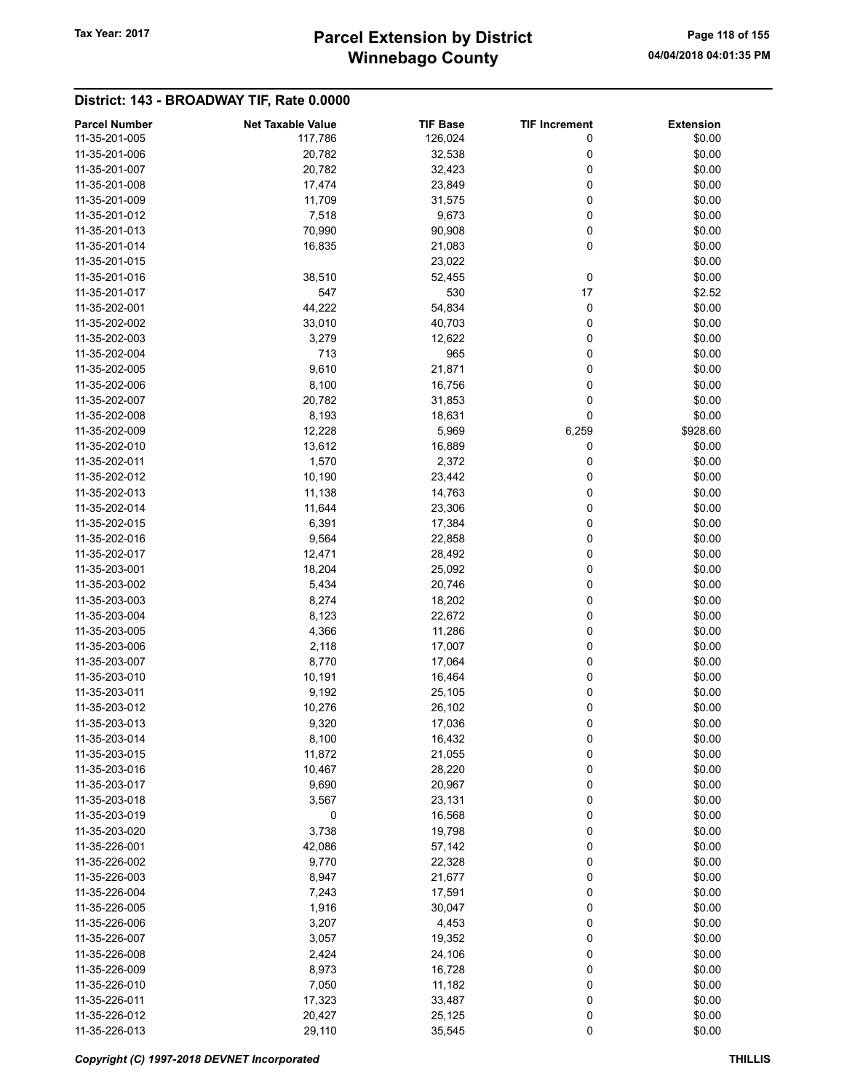# Winnebago County Tax Year: 2017 **Parcel Extension by District** Page 118 of 155

|                      |                          |                 | <b>TIF Increment</b> |                  |
|----------------------|--------------------------|-----------------|----------------------|------------------|
| <b>Parcel Number</b> | <b>Net Taxable Value</b> | <b>TIF Base</b> |                      | <b>Extension</b> |
| 11-35-201-005        | 117,786                  | 126,024         | 0                    | \$0.00           |
| 11-35-201-006        | 20,782                   | 32,538          | 0                    | \$0.00           |
| 11-35-201-007        | 20,782                   | 32,423          | 0                    | \$0.00           |
| 11-35-201-008        | 17,474                   | 23,849          | 0                    | \$0.00           |
| 11-35-201-009        | 11,709                   | 31,575          | 0                    | \$0.00           |
| 11-35-201-012        | 7,518                    | 9,673           | 0                    | \$0.00           |
| 11-35-201-013        | 70,990                   | 90,908          | 0                    | \$0.00           |
| 11-35-201-014        | 16,835                   | 21,083          | 0                    | \$0.00           |
| 11-35-201-015        |                          | 23,022          |                      | \$0.00           |
| 11-35-201-016        | 38,510                   | 52,455          | 0                    | \$0.00           |
| 11-35-201-017        | 547                      | 530             | 17                   | \$2.52           |
| 11-35-202-001        | 44,222                   | 54,834          | 0                    | \$0.00           |
|                      |                          |                 |                      |                  |
| 11-35-202-002        | 33,010                   | 40,703          | 0                    | \$0.00           |
| 11-35-202-003        | 3,279                    | 12,622          | 0                    | \$0.00           |
| 11-35-202-004        | 713                      | 965             | 0                    | \$0.00           |
| 11-35-202-005        | 9,610                    | 21,871          | 0                    | \$0.00           |
| 11-35-202-006        | 8,100                    | 16,756          | 0                    | \$0.00           |
| 11-35-202-007        | 20,782                   | 31,853          | 0                    | \$0.00           |
| 11-35-202-008        | 8,193                    | 18,631          | 0                    | \$0.00           |
| 11-35-202-009        | 12,228                   | 5,969           | 6,259                | \$928.60         |
| 11-35-202-010        | 13,612                   | 16,889          | 0                    | \$0.00           |
| 11-35-202-011        | 1,570                    | 2,372           | 0                    | \$0.00           |
| 11-35-202-012        | 10,190                   | 23,442          | 0                    | \$0.00           |
| 11-35-202-013        |                          |                 | 0                    |                  |
|                      | 11,138                   | 14,763          |                      | \$0.00           |
| 11-35-202-014        | 11,644                   | 23,306          | 0                    | \$0.00           |
| 11-35-202-015        | 6,391                    | 17,384          | 0                    | \$0.00           |
| 11-35-202-016        | 9,564                    | 22,858          | 0                    | \$0.00           |
| 11-35-202-017        | 12,471                   | 28,492          | 0                    | \$0.00           |
| 11-35-203-001        | 18,204                   | 25,092          | 0                    | \$0.00           |
| 11-35-203-002        | 5,434                    | 20,746          | 0                    | \$0.00           |
| 11-35-203-003        | 8,274                    | 18,202          | 0                    | \$0.00           |
| 11-35-203-004        | 8,123                    | 22,672          | 0                    | \$0.00           |
| 11-35-203-005        | 4,366                    | 11,286          | 0                    | \$0.00           |
| 11-35-203-006        | 2,118                    | 17,007          | 0                    | \$0.00           |
| 11-35-203-007        | 8,770                    | 17,064          | 0                    | \$0.00           |
| 11-35-203-010        | 10,191                   | 16,464          | 0                    | \$0.00           |
|                      |                          |                 | 0                    |                  |
| 11-35-203-011        | 9,192                    | 25,105          |                      | \$0.00           |
| 11-35-203-012        | 10,276                   | 26,102          | 0                    | \$0.00           |
| 11-35-203-013        | 9,320                    | 17,036          | 0                    | \$0.00           |
| 11-35-203-014        | 8,100                    | 16,432          | 0                    | \$0.00           |
| 11-35-203-015        | 11,872                   | 21,055          | 0                    | \$0.00           |
| 11-35-203-016        | 10,467                   | 28,220          | 0                    | \$0.00           |
| 11-35-203-017        | 9,690                    | 20,967          | 0                    | \$0.00           |
| 11-35-203-018        | 3,567                    | 23,131          | 0                    | \$0.00           |
| 11-35-203-019        | 0                        | 16,568          | 0                    | \$0.00           |
| 11-35-203-020        | 3,738                    | 19,798          | 0                    | \$0.00           |
| 11-35-226-001        | 42,086                   | 57,142          | 0                    | \$0.00           |
| 11-35-226-002        | 9,770                    | 22,328          | 0                    | \$0.00           |
| 11-35-226-003        | 8,947                    | 21,677          | 0                    | \$0.00           |
| 11-35-226-004        | 7,243                    | 17,591          | 0                    | \$0.00           |
| 11-35-226-005        |                          |                 |                      |                  |
|                      | 1,916                    | 30,047          | 0                    | \$0.00           |
| 11-35-226-006        | 3,207                    | 4,453           | 0                    | \$0.00           |
| 11-35-226-007        | 3,057                    | 19,352          | 0                    | \$0.00           |
| 11-35-226-008        | 2,424                    | 24,106          | 0                    | \$0.00           |
| 11-35-226-009        | 8,973                    | 16,728          | 0                    | \$0.00           |
| 11-35-226-010        | 7,050                    | 11,182          | 0                    | \$0.00           |
| 11-35-226-011        | 17,323                   | 33,487          | 0                    | \$0.00           |
| 11-35-226-012        | 20,427                   | 25,125          | 0                    | \$0.00           |
| 11-35-226-013        | 29,110                   | 35,545          | 0                    | \$0.00           |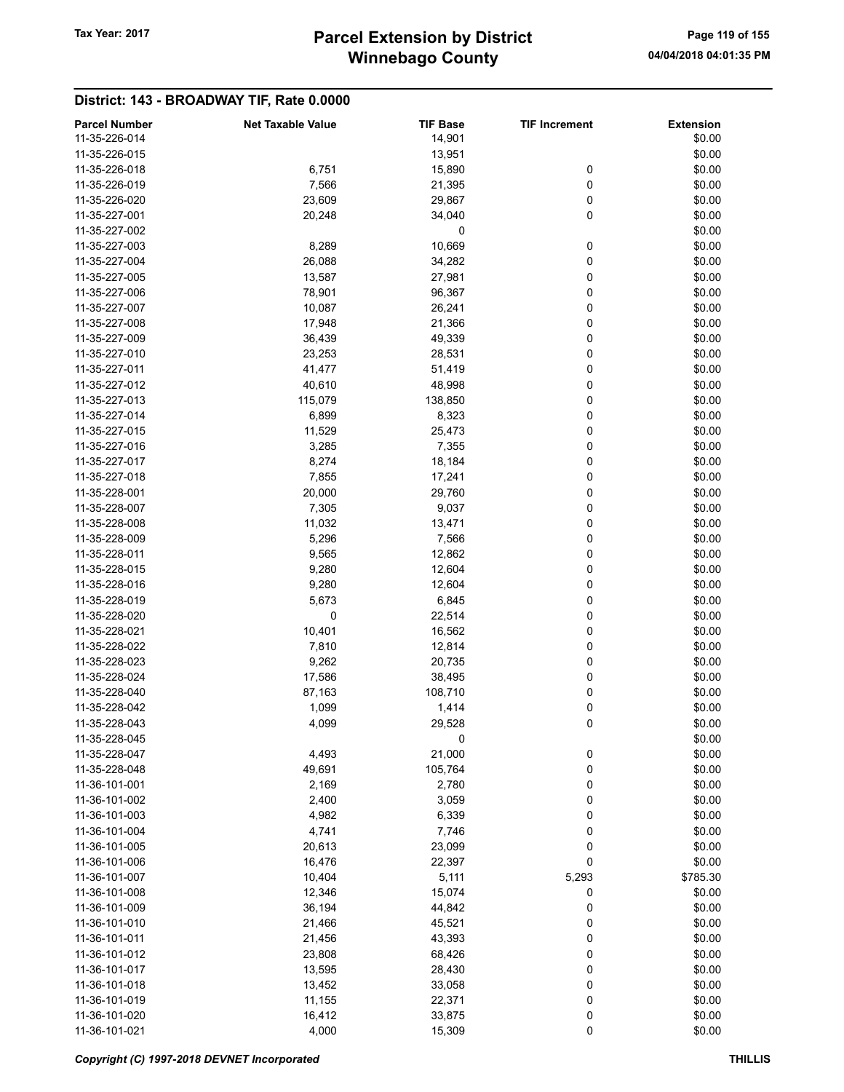# Winnebago County Tax Year: 2017 **Parcel Extension by District** Page 119 of 155

| <b>Parcel Number</b> | <b>Net Taxable Value</b> | <b>TIF Base</b> | <b>TIF Increment</b> | <b>Extension</b> |
|----------------------|--------------------------|-----------------|----------------------|------------------|
| 11-35-226-014        |                          | 14,901          |                      | \$0.00           |
| 11-35-226-015        |                          | 13,951          |                      | \$0.00           |
| 11-35-226-018        | 6,751                    | 15,890          | 0                    | \$0.00           |
| 11-35-226-019        | 7,566                    | 21,395          | 0                    | \$0.00           |
| 11-35-226-020        | 23,609                   | 29,867          | 0                    | \$0.00           |
| 11-35-227-001        | 20,248                   | 34,040          | 0                    | \$0.00           |
| 11-35-227-002        |                          | 0               |                      | \$0.00           |
| 11-35-227-003        | 8,289                    | 10,669          | 0                    | \$0.00           |
| 11-35-227-004        | 26,088                   | 34,282          | 0                    | \$0.00           |
| 11-35-227-005        | 13,587                   | 27,981          | 0                    | \$0.00           |
| 11-35-227-006        | 78,901                   | 96,367          | 0                    | \$0.00           |
| 11-35-227-007        | 10,087                   | 26,241          | 0                    | \$0.00           |
| 11-35-227-008        | 17,948                   | 21,366          | 0                    | \$0.00           |
| 11-35-227-009        | 36,439                   | 49,339          | 0                    | \$0.00           |
| 11-35-227-010        | 23,253                   | 28,531          | 0                    | \$0.00           |
| 11-35-227-011        | 41,477                   | 51,419          | 0                    | \$0.00           |
| 11-35-227-012        | 40,610                   | 48,998          | 0                    | \$0.00           |
| 11-35-227-013        | 115,079                  | 138,850         | 0                    | \$0.00           |
| 11-35-227-014        | 6,899                    | 8,323           | 0                    | \$0.00           |
| 11-35-227-015        | 11,529                   | 25,473          | 0                    | \$0.00           |
| 11-35-227-016        | 3,285                    | 7,355           | 0                    | \$0.00           |
| 11-35-227-017        | 8,274                    | 18,184          | 0                    | \$0.00           |
| 11-35-227-018        | 7,855                    | 17,241          | 0                    | \$0.00           |
| 11-35-228-001        | 20,000                   | 29,760          | 0                    | \$0.00           |
| 11-35-228-007        | 7,305                    | 9,037           | 0                    | \$0.00           |
| 11-35-228-008        | 11,032                   | 13,471          | 0                    | \$0.00           |
| 11-35-228-009        | 5,296                    | 7,566           | 0                    | \$0.00           |
| 11-35-228-011        | 9,565                    | 12,862          | 0                    | \$0.00           |
| 11-35-228-015        | 9,280                    | 12,604          | 0                    | \$0.00           |
| 11-35-228-016        | 9,280                    | 12,604          | 0                    | \$0.00           |
| 11-35-228-019        | 5,673                    | 6,845           | 0                    | \$0.00           |
| 11-35-228-020        | 0                        | 22,514          | 0                    | \$0.00           |
| 11-35-228-021        | 10,401                   | 16,562          | 0                    | \$0.00           |
| 11-35-228-022        | 7,810                    | 12,814          | 0                    | \$0.00           |
| 11-35-228-023        | 9,262                    | 20,735          | 0                    | \$0.00           |
| 11-35-228-024        | 17,586                   | 38,495          | 0                    | \$0.00           |
| 11-35-228-040        | 87,163                   | 108,710         | 0                    | \$0.00           |
| 11-35-228-042        | 1,099                    | 1,414           | 0                    | \$0.00           |
| 11-35-228-043        | 4,099                    | 29,528          | 0                    | \$0.00           |
| 11-35-228-045        |                          | 0               |                      | \$0.00           |
| 11-35-228-047        | 4,493                    | 21,000          | 0                    | \$0.00           |
| 11-35-228-048        | 49,691                   | 105,764         | 0                    | \$0.00           |
| 11-36-101-001        | 2,169                    | 2,780           | 0                    | \$0.00           |
| 11-36-101-002        | 2,400                    | 3,059           | 0                    | \$0.00           |
| 11-36-101-003        | 4,982                    | 6,339           | 0                    | \$0.00           |
| 11-36-101-004        | 4,741                    | 7,746           | 0                    | \$0.00           |
| 11-36-101-005        | 20,613                   | 23,099          | 0                    | \$0.00           |
| 11-36-101-006        | 16,476                   | 22,397          | 0                    | \$0.00           |
| 11-36-101-007        | 10,404                   | 5,111           | 5,293                | \$785.30         |
| 11-36-101-008        | 12,346                   | 15,074          | 0                    | \$0.00           |
| 11-36-101-009        | 36,194                   | 44,842          | 0                    | \$0.00           |
| 11-36-101-010        | 21,466                   | 45,521          | 0                    | \$0.00           |
| 11-36-101-011        | 21,456                   | 43,393          | 0                    | \$0.00           |
| 11-36-101-012        | 23,808                   | 68,426          | 0                    | \$0.00           |
| 11-36-101-017        | 13,595                   | 28,430          | 0                    | \$0.00           |
| 11-36-101-018        | 13,452                   | 33,058          | 0                    | \$0.00           |
| 11-36-101-019        | 11,155                   | 22,371          | 0                    | \$0.00           |
| 11-36-101-020        | 16,412                   | 33,875          | 0                    | \$0.00           |
| 11-36-101-021        | 4,000                    | 15,309          | 0                    | \$0.00           |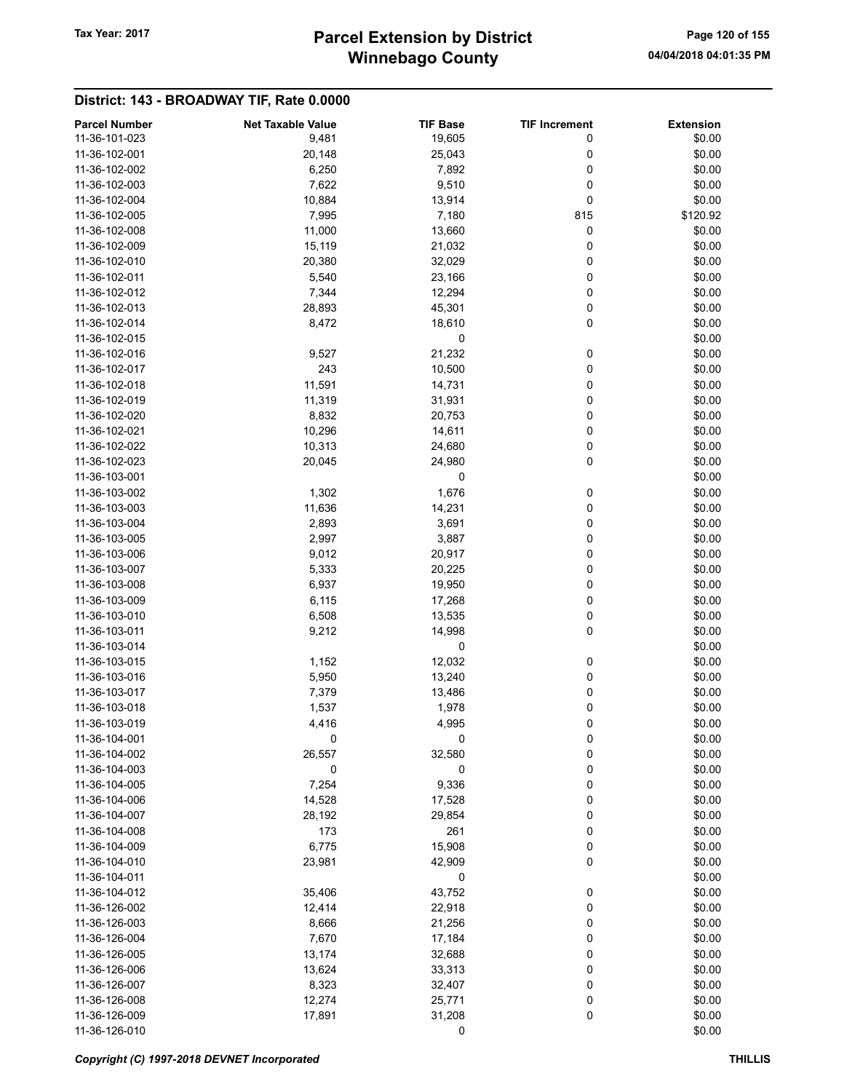# Winnebago County Tax Year: 2017 **Parcel Extension by District** Page 120 of 155

| <b>Parcel Number</b> | <b>Net Taxable Value</b> | <b>TIF Base</b> | <b>TIF Increment</b> | <b>Extension</b> |
|----------------------|--------------------------|-----------------|----------------------|------------------|
| 11-36-101-023        | 9,481                    | 19,605          | 0                    | \$0.00           |
| 11-36-102-001        | 20,148                   | 25,043          | 0                    | \$0.00           |
| 11-36-102-002        | 6,250                    | 7,892           | 0                    | \$0.00           |
| 11-36-102-003        | 7,622                    | 9,510           | 0                    | \$0.00           |
| 11-36-102-004        | 10,884                   | 13,914          | 0                    | \$0.00           |
| 11-36-102-005        | 7,995                    | 7,180           | 815                  | \$120.92         |
| 11-36-102-008        | 11,000                   | 13,660          | 0                    | \$0.00           |
| 11-36-102-009        | 15,119                   | 21,032          | 0                    | \$0.00           |
| 11-36-102-010        |                          |                 | 0                    | \$0.00           |
| 11-36-102-011        | 20,380<br>5,540          | 32,029          |                      |                  |
|                      |                          | 23,166          | 0                    | \$0.00           |
| 11-36-102-012        | 7,344                    | 12,294          | 0                    | \$0.00           |
| 11-36-102-013        | 28,893                   | 45,301          | 0                    | \$0.00           |
| 11-36-102-014        | 8,472                    | 18,610          | 0                    | \$0.00           |
| 11-36-102-015        |                          | 0               |                      | \$0.00           |
| 11-36-102-016        | 9,527                    | 21,232          | 0                    | \$0.00           |
| 11-36-102-017        | 243                      | 10,500          | 0                    | \$0.00           |
| 11-36-102-018        | 11,591                   | 14,731          | 0                    | \$0.00           |
| 11-36-102-019        | 11,319                   | 31,931          | 0                    | \$0.00           |
| 11-36-102-020        | 8,832                    | 20,753          | 0                    | \$0.00           |
| 11-36-102-021        | 10,296                   | 14,611          | 0                    | \$0.00           |
| 11-36-102-022        | 10,313                   | 24,680          | 0                    | \$0.00           |
| 11-36-102-023        | 20,045                   | 24,980          | 0                    | \$0.00           |
| 11-36-103-001        |                          | 0               |                      | \$0.00           |
| 11-36-103-002        | 1,302                    | 1,676           | 0                    | \$0.00           |
| 11-36-103-003        | 11,636                   | 14,231          | 0                    | \$0.00           |
| 11-36-103-004        | 2,893                    | 3,691           | 0                    | \$0.00           |
| 11-36-103-005        | 2,997                    | 3,887           | 0                    | \$0.00           |
| 11-36-103-006        | 9,012                    | 20,917          | 0                    | \$0.00           |
| 11-36-103-007        | 5,333                    | 20,225          | 0                    | \$0.00           |
| 11-36-103-008        | 6,937                    | 19,950          | 0                    | \$0.00           |
| 11-36-103-009        | 6,115                    | 17,268          | 0                    | \$0.00           |
| 11-36-103-010        | 6,508                    | 13,535          | 0                    | \$0.00           |
| 11-36-103-011        | 9,212                    | 14,998          | 0                    | \$0.00           |
| 11-36-103-014        |                          | 0               |                      | \$0.00           |
| 11-36-103-015        | 1,152                    | 12,032          | 0                    | \$0.00           |
| 11-36-103-016        | 5,950                    | 13,240          | 0                    | \$0.00           |
| 11-36-103-017        | 7,379                    | 13,486          | 0                    | \$0.00           |
| 11-36-103-018        | 1,537                    | 1,978           | 0                    | \$0.00           |
| 11-36-103-019        | 4,416                    | 4,995           | 0                    | \$0.00           |
| 11-36-104-001        | 0                        | 0               |                      | \$0.00           |
| 11-36-104-002        |                          | 32,580          | 0                    |                  |
| 11-36-104-003        | 26,557                   |                 | 0                    | \$0.00           |
|                      | 0                        | 0               | 0                    | \$0.00           |
| 11-36-104-005        | 7,254                    | 9,336           | 0                    | \$0.00           |
| 11-36-104-006        | 14,528                   | 17,528          | 0                    | \$0.00           |
| 11-36-104-007        | 28,192                   | 29,854          | 0                    | \$0.00           |
| 11-36-104-008        | 173                      | 261             | 0                    | \$0.00           |
| 11-36-104-009        | 6,775                    | 15,908          | 0                    | \$0.00           |
| 11-36-104-010        | 23,981                   | 42,909          | 0                    | \$0.00           |
| 11-36-104-011        |                          | 0               |                      | \$0.00           |
| 11-36-104-012        | 35,406                   | 43,752          | 0                    | \$0.00           |
| 11-36-126-002        | 12,414                   | 22,918          | 0                    | \$0.00           |
| 11-36-126-003        | 8,666                    | 21,256          | 0                    | \$0.00           |
| 11-36-126-004        | 7,670                    | 17,184          | 0                    | \$0.00           |
| 11-36-126-005        | 13,174                   | 32,688          | 0                    | \$0.00           |
| 11-36-126-006        | 13,624                   | 33,313          | 0                    | \$0.00           |
| 11-36-126-007        | 8,323                    | 32,407          | 0                    | \$0.00           |
| 11-36-126-008        | 12,274                   | 25,771          | 0                    | \$0.00           |
| 11-36-126-009        | 17,891                   | 31,208          | 0                    | \$0.00           |
| 11-36-126-010        |                          | 0               |                      | \$0.00           |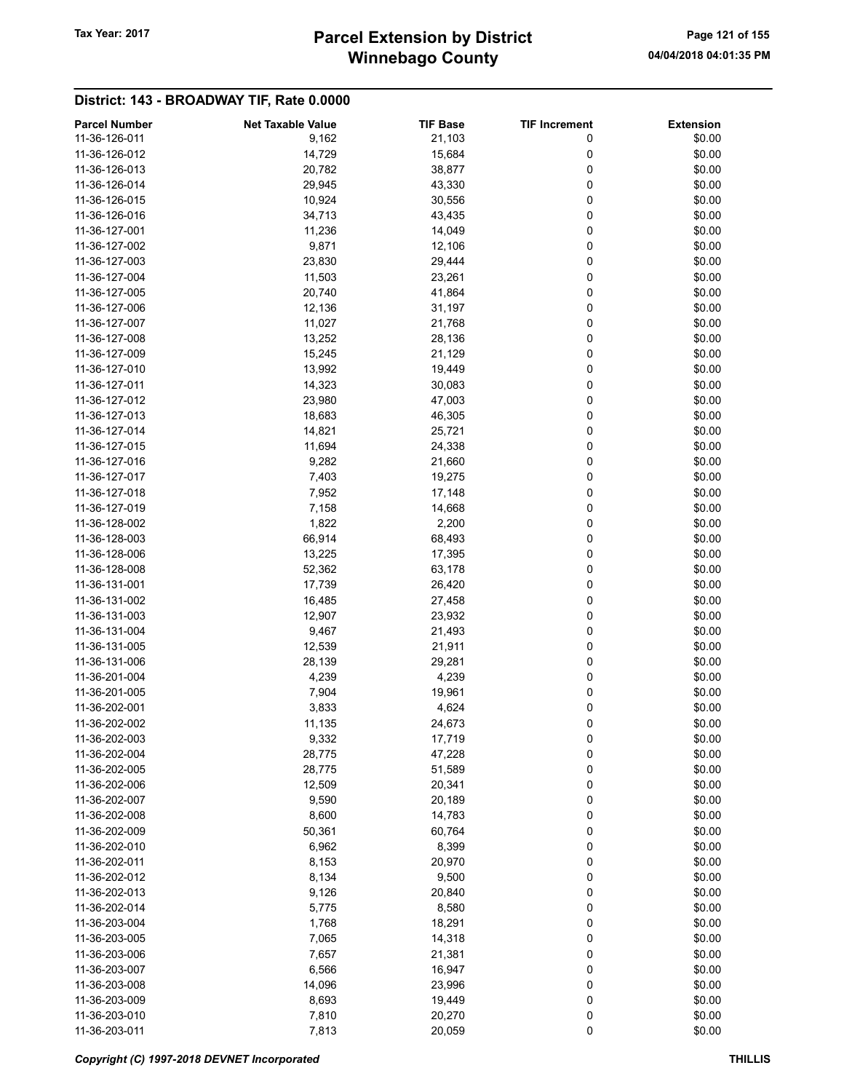# Winnebago County Tax Year: 2017 **Parcel Extension by District** Page 121 of 155

| <b>Parcel Number</b> | <b>Net Taxable Value</b> | <b>TIF Base</b> | <b>TIF Increment</b> | <b>Extension</b> |
|----------------------|--------------------------|-----------------|----------------------|------------------|
| 11-36-126-011        | 9,162                    | 21,103          | 0                    | \$0.00           |
| 11-36-126-012        | 14,729                   | 15,684          | 0                    | \$0.00           |
| 11-36-126-013        | 20,782                   | 38,877          | 0                    | \$0.00           |
| 11-36-126-014        | 29,945                   | 43,330          | 0                    | \$0.00           |
| 11-36-126-015        | 10,924                   | 30,556          | 0                    | \$0.00           |
| 11-36-126-016        | 34,713                   | 43,435          | 0                    | \$0.00           |
| 11-36-127-001        | 11,236                   | 14,049          | 0                    | \$0.00           |
| 11-36-127-002        | 9,871                    | 12,106          | 0                    | \$0.00           |
| 11-36-127-003        |                          |                 | 0                    | \$0.00           |
|                      | 23,830                   | 29,444          |                      |                  |
| 11-36-127-004        | 11,503                   | 23,261          | 0                    | \$0.00           |
| 11-36-127-005        | 20,740                   | 41,864          | 0                    | \$0.00           |
| 11-36-127-006        | 12,136                   | 31,197          | 0                    | \$0.00           |
| 11-36-127-007        | 11,027                   | 21,768          | 0                    | \$0.00           |
| 11-36-127-008        | 13,252                   | 28,136          | 0                    | \$0.00           |
| 11-36-127-009        | 15,245                   | 21,129          | 0                    | \$0.00           |
| 11-36-127-010        | 13,992                   | 19,449          | 0                    | \$0.00           |
| 11-36-127-011        | 14,323                   | 30,083          | 0                    | \$0.00           |
| 11-36-127-012        | 23,980                   | 47,003          | 0                    | \$0.00           |
| 11-36-127-013        | 18,683                   | 46,305          | 0                    | \$0.00           |
| 11-36-127-014        | 14,821                   | 25,721          | 0                    | \$0.00           |
| 11-36-127-015        | 11,694                   | 24,338          | 0                    | \$0.00           |
| 11-36-127-016        | 9,282                    | 21,660          | 0                    | \$0.00           |
| 11-36-127-017        | 7,403                    | 19,275          | 0                    | \$0.00           |
| 11-36-127-018        | 7,952                    | 17,148          | 0                    | \$0.00           |
| 11-36-127-019        | 7,158                    | 14,668          | 0                    | \$0.00           |
| 11-36-128-002        | 1,822                    | 2,200           | 0                    | \$0.00           |
| 11-36-128-003        | 66,914                   | 68,493          | 0                    | \$0.00           |
| 11-36-128-006        | 13,225                   | 17,395          | 0                    | \$0.00           |
| 11-36-128-008        |                          |                 |                      | \$0.00           |
|                      | 52,362                   | 63,178          | 0                    |                  |
| 11-36-131-001        | 17,739                   | 26,420          | 0                    | \$0.00           |
| 11-36-131-002        | 16,485                   | 27,458          | 0                    | \$0.00           |
| 11-36-131-003        | 12,907                   | 23,932          | 0                    | \$0.00           |
| 11-36-131-004        | 9,467                    | 21,493          | 0                    | \$0.00           |
| 11-36-131-005        | 12,539                   | 21,911          | 0                    | \$0.00           |
| 11-36-131-006        | 28,139                   | 29,281          | 0                    | \$0.00           |
| 11-36-201-004        | 4,239                    | 4,239           | 0                    | \$0.00           |
| 11-36-201-005        | 7,904                    | 19,961          | 0                    | \$0.00           |
| 11-36-202-001        | 3,833                    | 4,624           | 0                    | \$0.00           |
| 11-36-202-002        | 11,135                   | 24,673          | 0                    | \$0.00           |
| 11-36-202-003        | 9,332                    | 17,719          | 0                    | \$0.00           |
| 11-36-202-004        | 28,775                   | 47,228          | 0                    | \$0.00           |
| 11-36-202-005        | 28,775                   | 51,589          | $\pmb{0}$            | \$0.00           |
| 11-36-202-006        | 12,509                   | 20,341          | 0                    | \$0.00           |
| 11-36-202-007        | 9,590                    | 20,189          | 0                    | \$0.00           |
| 11-36-202-008        | 8,600                    | 14,783          | 0                    | \$0.00           |
| 11-36-202-009        | 50,361                   | 60,764          | 0                    | \$0.00           |
| 11-36-202-010        | 6,962                    | 8,399           | 0                    | \$0.00           |
| 11-36-202-011        | 8,153                    | 20,970          | 0                    | \$0.00           |
| 11-36-202-012        | 8,134                    | 9,500           | 0                    | \$0.00           |
| 11-36-202-013        |                          |                 | 0                    | \$0.00           |
|                      | 9,126                    | 20,840          |                      |                  |
| 11-36-202-014        | 5,775                    | 8,580           | 0                    | \$0.00           |
| 11-36-203-004        | 1,768                    | 18,291          | 0                    | \$0.00           |
| 11-36-203-005        | 7,065                    | 14,318          | 0                    | \$0.00           |
| 11-36-203-006        | 7,657                    | 21,381          | 0                    | \$0.00           |
| 11-36-203-007        | 6,566                    | 16,947          | 0                    | \$0.00           |
| 11-36-203-008        | 14,096                   | 23,996          | 0                    | \$0.00           |
| 11-36-203-009        | 8,693                    | 19,449          | 0                    | \$0.00           |
| 11-36-203-010        | 7,810                    | 20,270          | 0                    | \$0.00           |
| 11-36-203-011        | 7,813                    | 20,059          | $\pmb{0}$            | \$0.00           |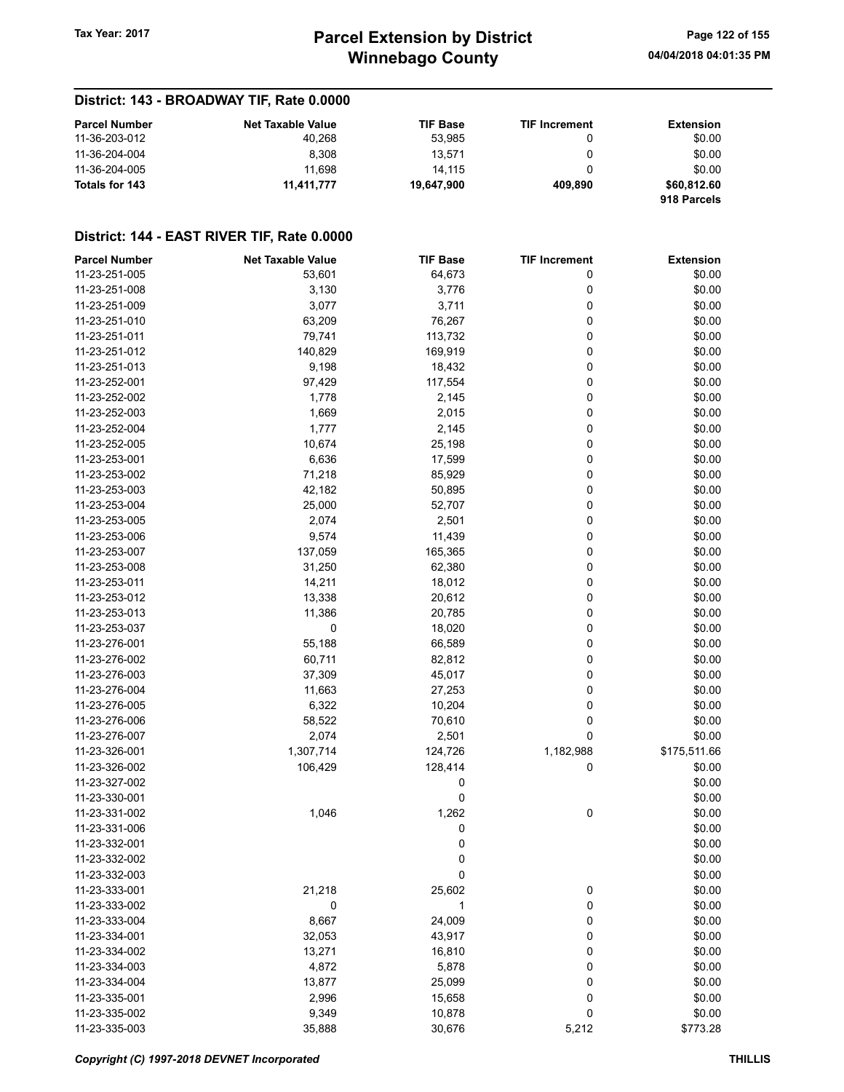# Winnebago County Tax Year: 2017 **Parcel Extension by District** Page 122 of 155

## District: 143 - BROADWAY TIF, Rate 0.0000

| <b>Parcel Number</b> | <b>Net Taxable Value</b> | <b>TIF Base</b> | <b>TIF Increment</b> | <b>Extension</b> |
|----------------------|--------------------------|-----------------|----------------------|------------------|
| 11-36-203-012        | 40.268                   | 53.985          |                      | \$0.00           |
| 11-36-204-004        | 8.308                    | 13.571          |                      | \$0.00           |
| 11-36-204-005        | 11.698                   | 14.115          |                      | \$0.00           |
| Totals for 143       | 11.411.777               | 19.647.900      | 409.890              | \$60,812.60      |
|                      |                          |                 |                      | 918 Parcels      |

| <b>Parcel Number</b> | <b>Net Taxable Value</b> | <b>TIF Base</b> | <b>TIF Increment</b> | <b>Extension</b> |
|----------------------|--------------------------|-----------------|----------------------|------------------|
| 11-23-251-005        | 53,601                   | 64,673          | 0                    | \$0.00           |
| 11-23-251-008        | 3,130                    | 3,776           | 0                    | \$0.00           |
| 11-23-251-009        | 3,077                    | 3,711           | 0                    | \$0.00           |
| 11-23-251-010        | 63,209                   | 76,267          | 0                    | \$0.00           |
| 11-23-251-011        | 79,741                   | 113,732         | 0                    | \$0.00           |
| 11-23-251-012        | 140,829                  | 169,919         | 0                    | \$0.00           |
| 11-23-251-013        | 9,198                    | 18,432          | 0                    | \$0.00           |
| 11-23-252-001        | 97,429                   | 117,554         | 0                    | \$0.00           |
| 11-23-252-002        | 1,778                    | 2,145           | 0                    | \$0.00           |
| 11-23-252-003        | 1,669                    | 2,015           | 0                    | \$0.00           |
| 11-23-252-004        | 1,777                    | 2,145           | 0                    | \$0.00           |
| 11-23-252-005        | 10,674                   | 25,198          | 0                    | \$0.00           |
| 11-23-253-001        | 6,636                    | 17,599          | 0                    | \$0.00           |
| 11-23-253-002        | 71,218                   | 85,929          | 0                    | \$0.00           |
| 11-23-253-003        | 42,182                   | 50,895          | 0                    | \$0.00           |
| 11-23-253-004        | 25,000                   | 52,707          | 0                    | \$0.00           |
|                      |                          |                 |                      |                  |
| 11-23-253-005        | 2,074                    | 2,501           | 0                    | \$0.00           |
| 11-23-253-006        | 9,574                    | 11,439          | 0                    | \$0.00           |
| 11-23-253-007        | 137,059                  | 165,365         | 0                    | \$0.00           |
| 11-23-253-008        | 31,250                   | 62,380          | 0                    | \$0.00           |
| 11-23-253-011        | 14,211                   | 18,012          | 0                    | \$0.00           |
| 11-23-253-012        | 13,338                   | 20,612          | 0                    | \$0.00           |
| 11-23-253-013        | 11,386                   | 20,785          | 0                    | \$0.00           |
| 11-23-253-037        | 0                        | 18,020          | 0                    | \$0.00           |
| 11-23-276-001        | 55,188                   | 66,589          | 0                    | \$0.00           |
| 11-23-276-002        | 60,711                   | 82,812          | 0                    | \$0.00           |
| 11-23-276-003        | 37,309                   | 45,017          | 0                    | \$0.00           |
| 11-23-276-004        | 11,663                   | 27,253          | 0                    | \$0.00           |
| 11-23-276-005        | 6,322                    | 10,204          | 0                    | \$0.00           |
| 11-23-276-006        | 58,522                   | 70,610          | 0                    | \$0.00           |
| 11-23-276-007        | 2,074                    | 2,501           | 0                    | \$0.00           |
| 11-23-326-001        | 1,307,714                | 124,726         | 1,182,988            | \$175,511.66     |
| 11-23-326-002        | 106,429                  | 128,414         | 0                    | \$0.00           |
| 11-23-327-002        |                          | 0               |                      | \$0.00           |
| 11-23-330-001        |                          | 0               |                      | \$0.00           |
| 11-23-331-002        | 1,046                    | 1,262           | 0                    | \$0.00           |
| 11-23-331-006        |                          | 0               |                      | \$0.00           |
| 11-23-332-001        |                          | 0               |                      | \$0.00           |
| 11-23-332-002        |                          | 0               |                      | \$0.00           |
| 11-23-332-003        |                          | 0               |                      | \$0.00           |
| 11-23-333-001        | 21,218                   | 25,602          | 0                    | \$0.00           |
| 11-23-333-002        | 0                        | 1               | 0                    | \$0.00           |
| 11-23-333-004        | 8,667                    | 24,009          | 0                    | \$0.00           |
| 11-23-334-001        | 32,053                   | 43,917          | 0                    | \$0.00           |
| 11-23-334-002        | 13,271                   | 16,810          | 0                    | \$0.00           |
| 11-23-334-003        | 4,872                    | 5,878           | 0                    | \$0.00           |
| 11-23-334-004        | 13,877                   | 25,099          | 0                    | \$0.00           |
| 11-23-335-001        | 2,996                    | 15,658          | 0                    | \$0.00           |
| 11-23-335-002        | 9,349                    | 10,878          | 0                    | \$0.00           |
| 11-23-335-003        | 35,888                   | 30,676          | 5,212                | \$773.28         |
|                      |                          |                 |                      |                  |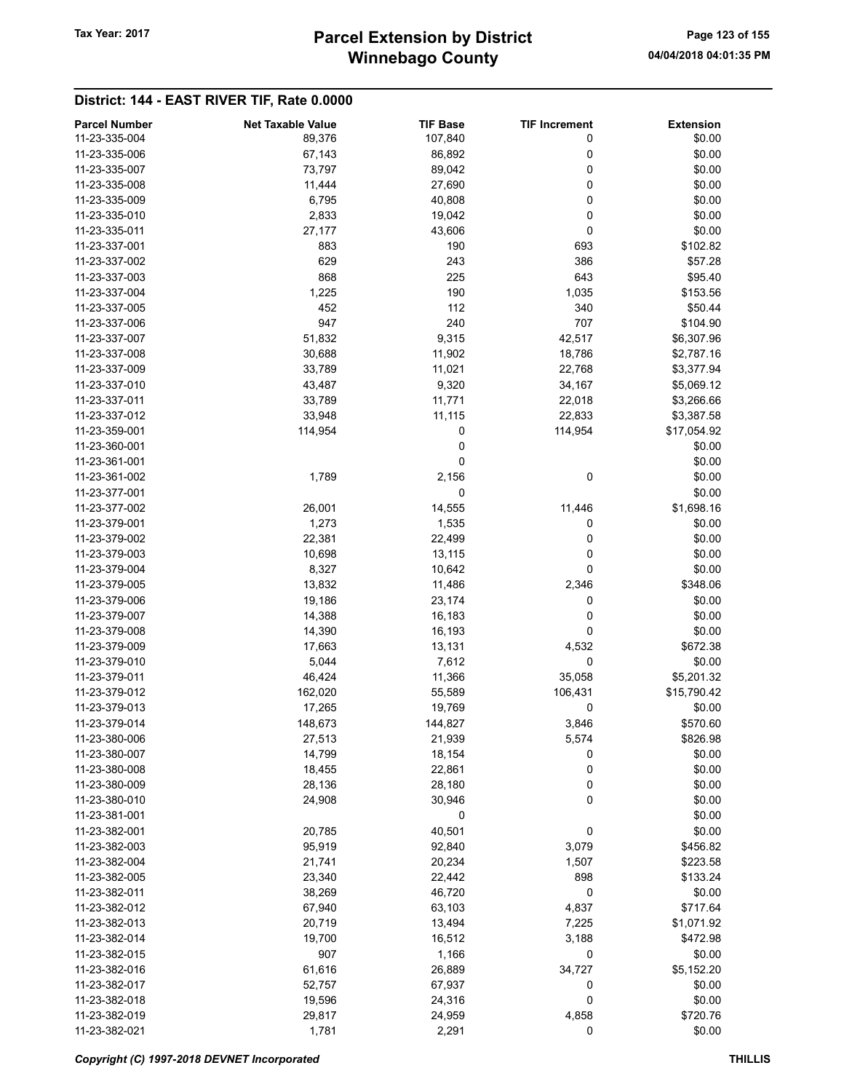| <b>Parcel Number</b> | <b>Net Taxable Value</b> | <b>TIF Base</b> | <b>TIF Increment</b> | <b>Extension</b> |
|----------------------|--------------------------|-----------------|----------------------|------------------|
| 11-23-335-004        | 89,376                   | 107,840         | 0                    | \$0.00           |
| 11-23-335-006        | 67,143                   | 86,892          | 0                    | \$0.00           |
| 11-23-335-007        |                          |                 | 0                    | \$0.00           |
|                      | 73,797                   | 89,042          |                      |                  |
| 11-23-335-008        | 11,444                   | 27,690          | 0                    | \$0.00           |
| 11-23-335-009        | 6,795                    | 40,808          | 0                    | \$0.00           |
| 11-23-335-010        | 2,833                    | 19,042          | 0                    | \$0.00           |
| 11-23-335-011        | 27,177                   | 43,606          | 0                    | \$0.00           |
| 11-23-337-001        | 883                      | 190             | 693                  | \$102.82         |
| 11-23-337-002        | 629                      | 243             | 386                  | \$57.28          |
| 11-23-337-003        | 868                      | 225             | 643                  | \$95.40          |
| 11-23-337-004        | 1,225                    | 190             | 1,035                | \$153.56         |
| 11-23-337-005        | 452                      | 112             | 340                  | \$50.44          |
| 11-23-337-006        | 947                      | 240             | 707                  | \$104.90         |
| 11-23-337-007        | 51,832                   | 9,315           | 42,517               | \$6,307.96       |
| 11-23-337-008        |                          |                 |                      |                  |
|                      | 30,688                   | 11,902          | 18,786               | \$2,787.16       |
| 11-23-337-009        | 33,789                   | 11,021          | 22,768               | \$3,377.94       |
| 11-23-337-010        | 43,487                   | 9,320           | 34,167               | \$5,069.12       |
| 11-23-337-011        | 33,789                   | 11,771          | 22,018               | \$3,266.66       |
| 11-23-337-012        | 33,948                   | 11,115          | 22,833               | \$3,387.58       |
| 11-23-359-001        | 114,954                  | 0               | 114,954              | \$17,054.92      |
| 11-23-360-001        |                          | 0               |                      | \$0.00           |
| 11-23-361-001        |                          | 0               |                      | \$0.00           |
| 11-23-361-002        | 1,789                    | 2,156           | 0                    | \$0.00           |
| 11-23-377-001        |                          | 0               |                      | \$0.00           |
| 11-23-377-002        | 26,001                   | 14,555          | 11,446               | \$1,698.16       |
| 11-23-379-001        | 1,273                    |                 |                      | \$0.00           |
|                      |                          | 1,535           | 0                    |                  |
| 11-23-379-002        | 22,381                   | 22,499          | 0                    | \$0.00           |
| 11-23-379-003        | 10,698                   | 13,115          | 0                    | \$0.00           |
| 11-23-379-004        | 8,327                    | 10,642          | 0                    | \$0.00           |
| 11-23-379-005        | 13,832                   | 11,486          | 2,346                | \$348.06         |
| 11-23-379-006        | 19,186                   | 23,174          | 0                    | \$0.00           |
| 11-23-379-007        | 14,388                   | 16,183          | 0                    | \$0.00           |
| 11-23-379-008        | 14,390                   | 16,193          | 0                    | \$0.00           |
| 11-23-379-009        | 17,663                   | 13,131          | 4,532                | \$672.38         |
| 11-23-379-010        | 5,044                    | 7,612           | 0                    | \$0.00           |
| 11-23-379-011        | 46,424                   | 11,366          | 35,058               | \$5,201.32       |
| 11-23-379-012        | 162,020                  | 55,589          | 106,431              | \$15,790.42      |
| 11-23-379-013        | 17,265                   | 19,769          | 0                    | \$0.00           |
| 11-23-379-014        | 148,673                  | 144,827         | 3,846                | \$570.60         |
| 11-23-380-006        | 27,513                   |                 | 5,574                | \$826.98         |
|                      |                          | 21,939          |                      |                  |
| 11-23-380-007        | 14,799                   | 18,154          | 0                    | \$0.00           |
| 11-23-380-008        | 18,455                   | 22,861          | 0                    | \$0.00           |
| 11-23-380-009        | 28,136                   | 28,180          | 0                    | \$0.00           |
| 11-23-380-010        | 24,908                   | 30,946          | 0                    | \$0.00           |
| 11-23-381-001        |                          | 0               |                      | \$0.00           |
| 11-23-382-001        | 20,785                   | 40,501          | 0                    | \$0.00           |
| 11-23-382-003        | 95,919                   | 92,840          | 3,079                | \$456.82         |
| 11-23-382-004        | 21,741                   | 20,234          | 1,507                | \$223.58         |
| 11-23-382-005        | 23,340                   | 22,442          | 898                  | \$133.24         |
| 11-23-382-011        | 38,269                   | 46,720          | 0                    | \$0.00           |
| 11-23-382-012        | 67,940                   | 63,103          | 4,837                | \$717.64         |
| 11-23-382-013        | 20,719                   | 13,494          | 7,225                | \$1,071.92       |
| 11-23-382-014        | 19,700                   | 16,512          | 3,188                | \$472.98         |
| 11-23-382-015        | 907                      | 1,166           | 0                    | \$0.00           |
|                      |                          |                 |                      |                  |
| 11-23-382-016        | 61,616                   | 26,889          | 34,727               | \$5,152.20       |
| 11-23-382-017        | 52,757                   | 67,937          | 0                    | \$0.00           |
| 11-23-382-018        | 19,596                   | 24,316          | 0                    | \$0.00           |
| 11-23-382-019        | 29,817                   | 24,959          | 4,858                | \$720.76         |
| 11-23-382-021        | 1,781                    | 2,291           | 0                    | \$0.00           |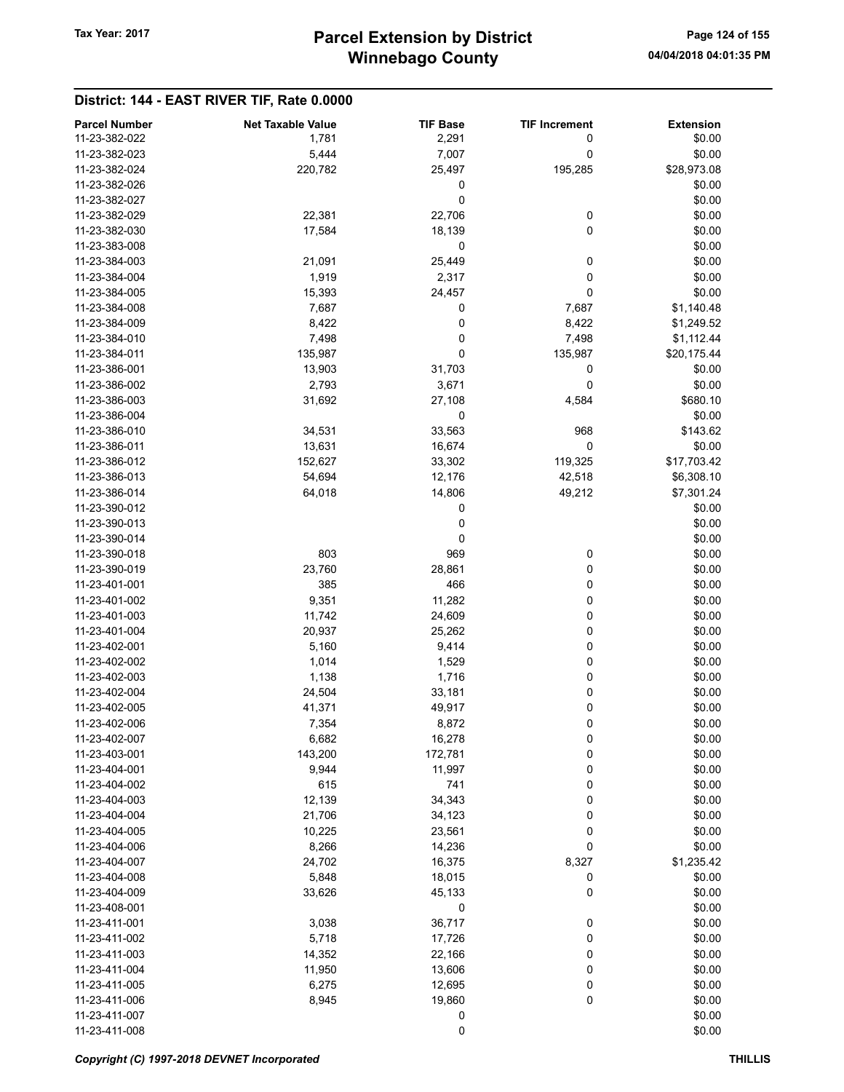| <b>Parcel Number</b>           | <b>Net Taxable Value</b> | <b>TIF Base</b> | <b>TIF Increment</b> | <b>Extension</b> |
|--------------------------------|--------------------------|-----------------|----------------------|------------------|
| 11-23-382-022                  | 1,781                    | 2,291           | 0                    | \$0.00           |
| 11-23-382-023                  | 5,444                    | 7,007           | 0                    | \$0.00           |
| 11-23-382-024                  | 220,782                  | 25,497          | 195,285              | \$28,973.08      |
| 11-23-382-026                  |                          | 0               |                      | \$0.00           |
| 11-23-382-027                  |                          | 0               |                      | \$0.00           |
| 11-23-382-029                  | 22,381                   | 22,706          | 0                    | \$0.00           |
| 11-23-382-030                  | 17,584                   | 18,139          | 0                    | \$0.00           |
| 11-23-383-008                  |                          | 0               |                      | \$0.00           |
| 11-23-384-003                  | 21,091                   | 25,449          | 0                    | \$0.00           |
| 11-23-384-004                  | 1,919                    | 2,317           | 0                    | \$0.00           |
| 11-23-384-005                  | 15,393                   | 24,457          | 0                    | \$0.00           |
| 11-23-384-008                  | 7,687                    | 0               | 7,687                | \$1,140.48       |
| 11-23-384-009                  | 8,422                    | 0               | 8,422                | \$1,249.52       |
| 11-23-384-010                  | 7,498                    | 0               | 7,498                | \$1,112.44       |
| 11-23-384-011                  | 135,987                  | 0               | 135,987              | \$20,175.44      |
| 11-23-386-001                  | 13,903                   | 31,703          | 0                    | \$0.00           |
| 11-23-386-002                  | 2,793                    | 3,671           | 0                    | \$0.00           |
| 11-23-386-003                  | 31,692                   | 27,108          | 4,584                | \$680.10         |
| 11-23-386-004                  |                          | 0               |                      | \$0.00           |
| 11-23-386-010                  | 34,531                   | 33,563          | 968                  | \$143.62         |
| 11-23-386-011                  | 13,631                   | 16,674          | 0                    | \$0.00           |
| 11-23-386-012                  | 152,627                  | 33,302          | 119,325              | \$17,703.42      |
| 11-23-386-013                  | 54,694                   | 12,176          | 42,518               | \$6,308.10       |
| 11-23-386-014                  | 64,018                   | 14,806          | 49,212               | \$7,301.24       |
| 11-23-390-012                  |                          | 0               |                      | \$0.00           |
| 11-23-390-013                  |                          | 0               |                      | \$0.00           |
| 11-23-390-014                  |                          | 0               |                      | \$0.00           |
| 11-23-390-018                  | 803                      | 969             | 0                    | \$0.00           |
| 11-23-390-019                  | 23,760                   | 28,861          | 0                    | \$0.00           |
| 11-23-401-001                  | 385                      | 466             | 0                    | \$0.00           |
| 11-23-401-002                  | 9,351                    | 11,282          | 0                    | \$0.00           |
| 11-23-401-003                  | 11,742                   | 24,609          | 0                    | \$0.00           |
| 11-23-401-004                  | 20,937                   | 25,262          | 0                    | \$0.00           |
| 11-23-402-001                  | 5,160                    | 9,414           | 0                    | \$0.00           |
| 11-23-402-002                  | 1,014                    | 1,529           | 0                    | \$0.00           |
| 11-23-402-003                  | 1,138                    | 1,716           | 0                    | \$0.00           |
| 11-23-402-004                  | 24,504                   | 33,181          | 0                    | \$0.00           |
| 11-23-402-005                  | 41,371                   | 49,917          | 0                    | \$0.00           |
| 11-23-402-006                  | 7,354                    | 8,872           | 0                    | \$0.00           |
| 11-23-402-007                  | 6,682                    | 16,278          | 0                    | \$0.00           |
| 11-23-403-001                  | 143,200                  | 172,781         | 0                    | \$0.00           |
| 11-23-404-001                  | 9,944                    | 11,997          | 0                    | \$0.00           |
| 11-23-404-002                  | 615                      | 741             | 0                    | \$0.00           |
| 11-23-404-003                  | 12,139                   | 34,343          | 0                    | \$0.00           |
| 11-23-404-004                  | 21,706                   | 34,123          | 0                    | \$0.00           |
| 11-23-404-005                  | 10,225                   | 23,561          | 0                    | \$0.00           |
| 11-23-404-006                  | 8,266                    | 14,236          | 0                    | \$0.00           |
| 11-23-404-007                  | 24,702                   | 16,375          | 8,327                | \$1,235.42       |
| 11-23-404-008                  | 5,848                    | 18,015          | 0                    | \$0.00           |
| 11-23-404-009                  |                          |                 | 0                    | \$0.00           |
|                                | 33,626                   | 45,133          |                      |                  |
| 11-23-408-001<br>11-23-411-001 |                          | 0<br>36,717     |                      | \$0.00<br>\$0.00 |
|                                | 3,038                    |                 | 0                    |                  |
| 11-23-411-002                  | 5,718                    | 17,726          | 0                    | \$0.00           |
| 11-23-411-003                  | 14,352                   | 22,166          | 0                    | \$0.00           |
| 11-23-411-004                  | 11,950                   | 13,606          | 0                    | \$0.00           |
| 11-23-411-005                  | 6,275                    | 12,695          | 0                    | \$0.00           |
| 11-23-411-006                  | 8,945                    | 19,860          | 0                    | \$0.00           |
| 11-23-411-007                  |                          | 0               |                      | \$0.00           |
| 11-23-411-008                  |                          | 0               |                      | \$0.00           |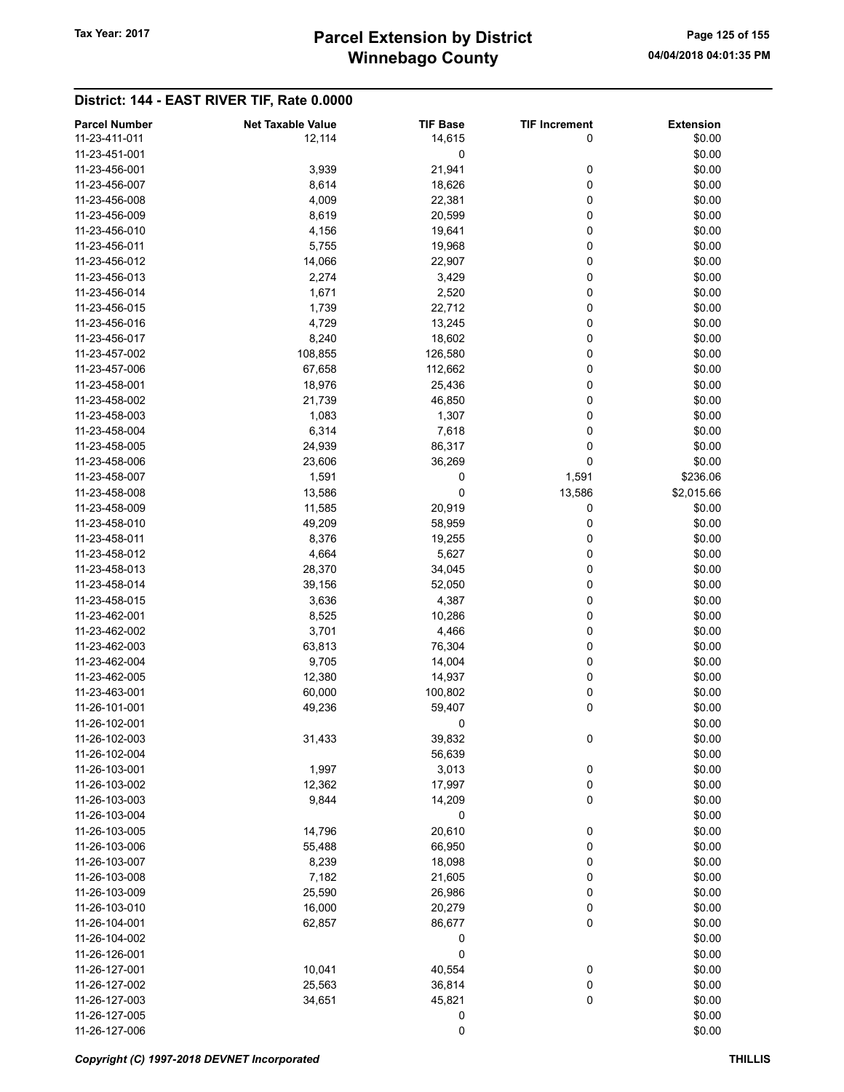| <b>Parcel Number</b> | <b>Net Taxable Value</b> | <b>TIF Base</b> | <b>TIF Increment</b> | <b>Extension</b> |
|----------------------|--------------------------|-----------------|----------------------|------------------|
| 11-23-411-011        | 12,114                   | 14,615          | 0                    | \$0.00           |
| 11-23-451-001        |                          | 0               |                      | \$0.00           |
| 11-23-456-001        | 3,939                    | 21,941          | 0                    | \$0.00           |
| 11-23-456-007        | 8,614                    | 18,626          | 0                    | \$0.00           |
| 11-23-456-008        | 4,009                    | 22,381          | 0                    | \$0.00           |
| 11-23-456-009        | 8,619                    | 20,599          | 0                    | \$0.00           |
| 11-23-456-010        | 4,156                    | 19,641          | 0                    | \$0.00           |
| 11-23-456-011        | 5,755                    | 19,968          | 0                    | \$0.00           |
| 11-23-456-012        | 14,066                   | 22,907          | 0                    | \$0.00           |
| 11-23-456-013        | 2,274                    |                 | 0                    | \$0.00           |
|                      |                          | 3,429           |                      |                  |
| 11-23-456-014        | 1,671                    | 2,520           | 0                    | \$0.00           |
| 11-23-456-015        | 1,739                    | 22,712          | 0                    | \$0.00           |
| 11-23-456-016        | 4,729                    | 13,245          | 0                    | \$0.00           |
| 11-23-456-017        | 8,240                    | 18,602          | 0                    | \$0.00           |
| 11-23-457-002        | 108,855                  | 126,580         | 0                    | \$0.00           |
| 11-23-457-006        | 67,658                   | 112,662         | 0                    | \$0.00           |
| 11-23-458-001        | 18,976                   | 25,436          | 0                    | \$0.00           |
| 11-23-458-002        | 21,739                   | 46,850          | 0                    | \$0.00           |
| 11-23-458-003        | 1,083                    | 1,307           | 0                    | \$0.00           |
| 11-23-458-004        | 6,314                    | 7,618           | 0                    | \$0.00           |
| 11-23-458-005        | 24,939                   | 86,317          | 0                    | \$0.00           |
| 11-23-458-006        | 23,606                   | 36,269          | 0                    | \$0.00           |
| 11-23-458-007        | 1,591                    | 0               | 1,591                | \$236.06         |
| 11-23-458-008        | 13,586                   | 0               | 13,586               | \$2,015.66       |
| 11-23-458-009        | 11,585                   | 20,919          | 0                    | \$0.00           |
| 11-23-458-010        | 49,209                   | 58,959          | 0                    | \$0.00           |
| 11-23-458-011        | 8,376                    | 19,255          | 0                    | \$0.00           |
| 11-23-458-012        |                          |                 | 0                    | \$0.00           |
|                      | 4,664                    | 5,627           |                      |                  |
| 11-23-458-013        | 28,370                   | 34,045          | 0                    | \$0.00           |
| 11-23-458-014        | 39,156                   | 52,050          | 0                    | \$0.00           |
| 11-23-458-015        | 3,636                    | 4,387           | 0                    | \$0.00           |
| 11-23-462-001        | 8,525                    | 10,286          | 0                    | \$0.00           |
| 11-23-462-002        | 3,701                    | 4,466           | 0                    | \$0.00           |
| 11-23-462-003        | 63,813                   | 76,304          | 0                    | \$0.00           |
| 11-23-462-004        | 9,705                    | 14,004          | 0                    | \$0.00           |
| 11-23-462-005        | 12,380                   | 14,937          | 0                    | \$0.00           |
| 11-23-463-001        | 60,000                   | 100,802         | 0                    | \$0.00           |
| 11-26-101-001        | 49,236                   | 59,407          | 0                    | \$0.00           |
| 11-26-102-001        |                          | 0               |                      | \$0.00           |
| 11-26-102-003        | 31,433                   | 39,832          | 0                    | \$0.00           |
| 11-26-102-004        |                          | 56,639          |                      | \$0.00           |
| 11-26-103-001        | 1,997                    | 3,013           | $\pmb{0}$            | \$0.00           |
| 11-26-103-002        | 12,362                   | 17,997          | 0                    | \$0.00           |
| 11-26-103-003        | 9,844                    | 14,209          | 0                    | \$0.00           |
| 11-26-103-004        |                          | 0               |                      | \$0.00           |
| 11-26-103-005        | 14,796                   | 20,610          | 0                    | \$0.00           |
| 11-26-103-006        | 55,488                   | 66,950          | 0                    | \$0.00           |
|                      |                          |                 |                      |                  |
| 11-26-103-007        | 8,239                    | 18,098          | 0                    | \$0.00           |
| 11-26-103-008        | 7,182                    | 21,605          | 0                    | \$0.00           |
| 11-26-103-009        | 25,590                   | 26,986          | 0                    | \$0.00           |
| 11-26-103-010        | 16,000                   | 20,279          | 0                    | \$0.00           |
| 11-26-104-001        | 62,857                   | 86,677          | 0                    | \$0.00           |
| 11-26-104-002        |                          | 0               |                      | \$0.00           |
| 11-26-126-001        |                          | 0               |                      | \$0.00           |
| 11-26-127-001        | 10,041                   | 40,554          | 0                    | \$0.00           |
| 11-26-127-002        | 25,563                   | 36,814          | 0                    | \$0.00           |
| 11-26-127-003        | 34,651                   | 45,821          | 0                    | \$0.00           |
| 11-26-127-005        |                          | 0               |                      | \$0.00           |
| 11-26-127-006        |                          | 0               |                      | \$0.00           |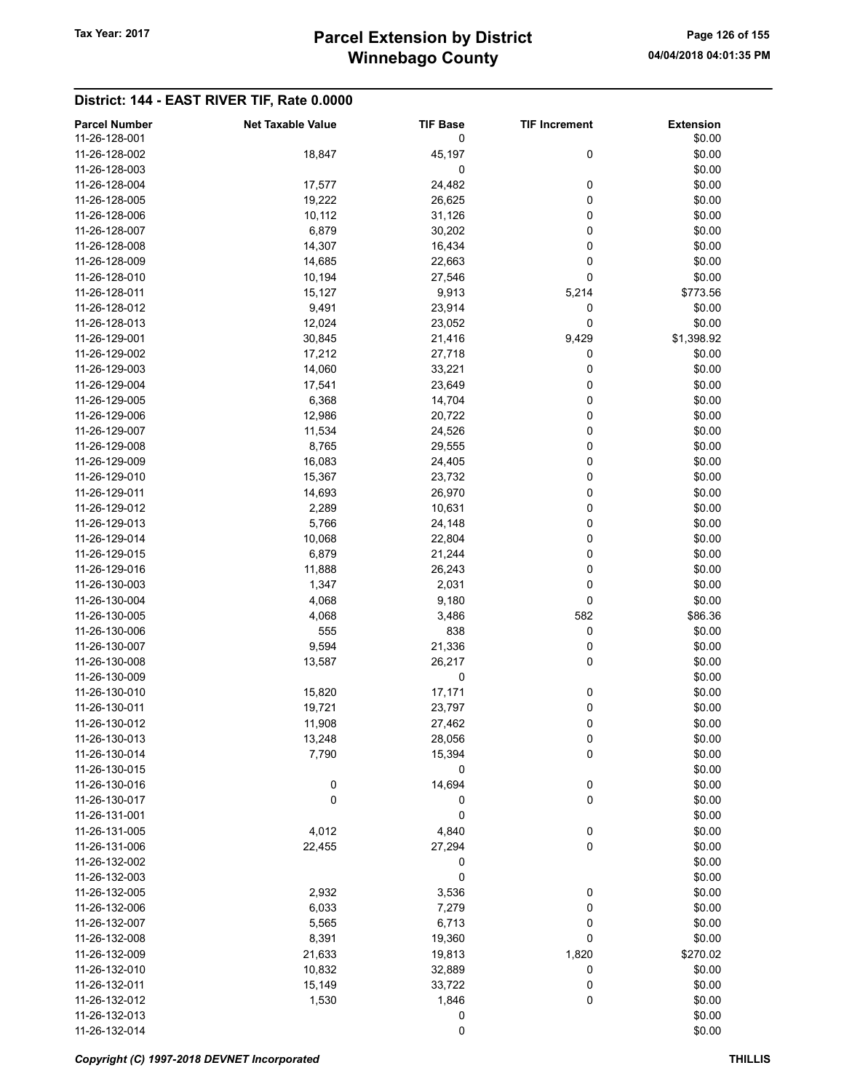| <b>Parcel Number</b> | <b>Net Taxable Value</b> | <b>TIF Base</b> | <b>TIF Increment</b> | <b>Extension</b> |
|----------------------|--------------------------|-----------------|----------------------|------------------|
| 11-26-128-001        |                          | 0               |                      | \$0.00           |
| 11-26-128-002        | 18,847                   | 45,197          | 0                    | \$0.00           |
| 11-26-128-003        |                          | 0               |                      | \$0.00           |
| 11-26-128-004        | 17,577                   | 24,482          | 0                    | \$0.00           |
| 11-26-128-005        | 19,222                   | 26,625          | 0                    | \$0.00           |
| 11-26-128-006        | 10,112                   | 31,126          | 0                    | \$0.00           |
| 11-26-128-007        | 6,879                    | 30,202          | 0                    | \$0.00           |
| 11-26-128-008        | 14,307                   | 16,434          | 0                    | \$0.00           |
| 11-26-128-009        | 14,685                   | 22,663          | 0                    | \$0.00           |
| 11-26-128-010        | 10,194                   | 27,546          | 0                    | \$0.00           |
| 11-26-128-011        | 15,127                   | 9,913           | 5,214                | \$773.56         |
| 11-26-128-012        | 9,491                    | 23,914          | 0                    | \$0.00           |
| 11-26-128-013        | 12,024                   | 23,052          | 0                    | \$0.00           |
| 11-26-129-001        | 30,845                   | 21,416          | 9,429                | \$1,398.92       |
| 11-26-129-002        | 17,212                   | 27,718          | 0                    | \$0.00           |
| 11-26-129-003        | 14,060                   | 33,221          | 0                    | \$0.00           |
| 11-26-129-004        | 17,541                   | 23,649          | 0                    | \$0.00           |
| 11-26-129-005        | 6,368                    | 14,704          | 0                    | \$0.00           |
| 11-26-129-006        | 12,986                   | 20,722          | 0                    | \$0.00           |
| 11-26-129-007        | 11,534                   | 24,526          | 0                    | \$0.00           |
| 11-26-129-008        | 8,765                    | 29,555          | 0                    | \$0.00           |
| 11-26-129-009        | 16,083                   | 24,405          | 0                    | \$0.00           |
| 11-26-129-010        | 15,367                   | 23,732          | 0                    | \$0.00           |
| 11-26-129-011        | 14,693                   | 26,970          | 0                    | \$0.00           |
| 11-26-129-012        | 2,289                    | 10,631          | 0                    | \$0.00           |
| 11-26-129-013        | 5,766                    | 24,148          | 0                    | \$0.00           |
| 11-26-129-014        | 10,068                   | 22,804          | 0                    | \$0.00           |
| 11-26-129-015        | 6,879                    | 21,244          | 0                    | \$0.00           |
| 11-26-129-016        | 11,888                   | 26,243          | 0                    | \$0.00           |
| 11-26-130-003        | 1,347                    | 2,031           | 0                    | \$0.00           |
| 11-26-130-004        | 4,068                    | 9,180           | 0                    | \$0.00           |
| 11-26-130-005        | 4,068                    | 3,486           | 582                  | \$86.36          |
| 11-26-130-006        | 555                      | 838             | 0                    | \$0.00           |
| 11-26-130-007        | 9,594                    | 21,336          | 0                    | \$0.00           |
| 11-26-130-008        | 13,587                   | 26,217          | 0                    | \$0.00           |
| 11-26-130-009        |                          | 0               |                      | \$0.00           |
| 11-26-130-010        | 15,820                   | 17,171          | 0                    | \$0.00           |
| 11-26-130-011        | 19,721                   | 23,797          | 0                    | \$0.00           |
| 11-26-130-012        | 11,908                   | 27,462          | 0                    | \$0.00           |
| 11-26-130-013        | 13,248                   | 28,056          | 0                    | \$0.00           |
| 11-26-130-014        | 7,790                    | 15,394          | 0                    | \$0.00           |
| 11-26-130-015        |                          | 0               |                      | \$0.00           |
| 11-26-130-016        | $\bf{0}$                 | 14,694          | $\boldsymbol{0}$     | \$0.00           |
| 11-26-130-017        | 0                        | 0               | $\pmb{0}$            | \$0.00           |
| 11-26-131-001        |                          | 0               |                      | \$0.00           |
| 11-26-131-005        | 4,012                    | 4,840           | 0                    | \$0.00           |
| 11-26-131-006        | 22,455                   | 27,294          | 0                    | \$0.00           |
| 11-26-132-002        |                          | 0               |                      | \$0.00           |
| 11-26-132-003        |                          | 0               |                      | \$0.00           |
| 11-26-132-005        | 2,932                    | 3,536           | 0                    | \$0.00           |
| 11-26-132-006        | 6,033                    | 7,279           | 0                    | \$0.00           |
| 11-26-132-007        | 5,565                    | 6,713           | 0                    | \$0.00           |
| 11-26-132-008        | 8,391                    | 19,360          | 0                    | \$0.00           |
| 11-26-132-009        | 21,633                   | 19,813          | 1,820                | \$270.02         |
| 11-26-132-010        | 10,832                   | 32,889          | 0                    | \$0.00           |
| 11-26-132-011        | 15,149                   | 33,722          | 0                    | \$0.00           |
| 11-26-132-012        | 1,530                    | 1,846           | 0                    | \$0.00           |
| 11-26-132-013        |                          | 0               |                      | \$0.00           |
| 11-26-132-014        |                          | 0               |                      | \$0.00           |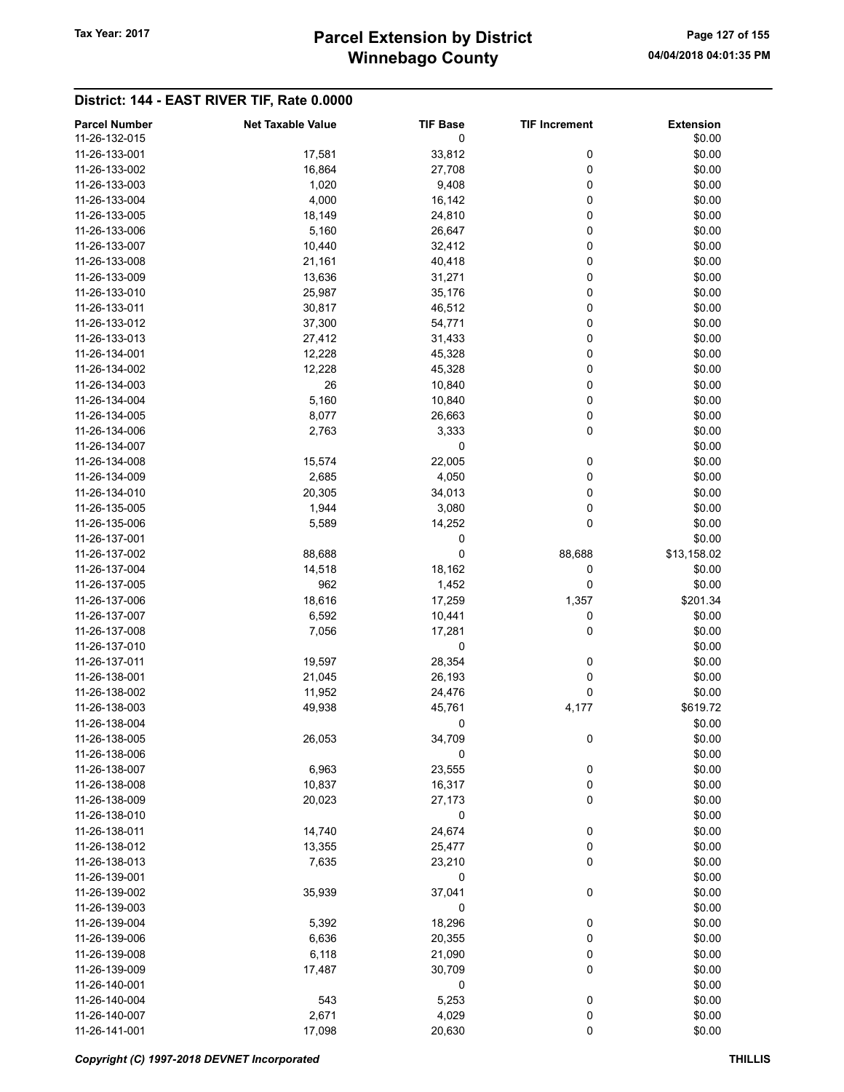# Winnebago County Tax Year: 2017 **Parcel Extension by District** Page 127 of 155

| <b>Parcel Number</b> | <b>Net Taxable Value</b> | <b>TIF Base</b> | <b>TIF Increment</b> | <b>Extension</b> |
|----------------------|--------------------------|-----------------|----------------------|------------------|
| 11-26-132-015        |                          | 0               |                      | \$0.00           |
|                      |                          |                 |                      |                  |
| 11-26-133-001        | 17,581                   | 33,812          | 0                    | \$0.00           |
| 11-26-133-002        | 16,864                   | 27,708          | 0                    | \$0.00           |
| 11-26-133-003        | 1,020                    | 9,408           | 0                    | \$0.00           |
| 11-26-133-004        | 4,000                    | 16,142          | 0                    | \$0.00           |
| 11-26-133-005        | 18,149                   | 24,810          | 0                    | \$0.00           |
|                      |                          |                 |                      |                  |
| 11-26-133-006        | 5,160                    | 26,647          | 0                    | \$0.00           |
| 11-26-133-007        | 10,440                   | 32,412          | 0                    | \$0.00           |
| 11-26-133-008        | 21,161                   | 40,418          | 0                    | \$0.00           |
| 11-26-133-009        | 13,636                   | 31,271          | 0                    | \$0.00           |
| 11-26-133-010        | 25,987                   | 35,176          | 0                    | \$0.00           |
| 11-26-133-011        | 30,817                   | 46,512          | 0                    | \$0.00           |
| 11-26-133-012        | 37,300                   | 54,771          | 0                    | \$0.00           |
|                      |                          |                 |                      |                  |
| 11-26-133-013        | 27,412                   | 31,433          | 0                    | \$0.00           |
| 11-26-134-001        | 12,228                   | 45,328          | 0                    | \$0.00           |
| 11-26-134-002        | 12,228                   | 45,328          | 0                    | \$0.00           |
| 11-26-134-003        | 26                       | 10,840          | 0                    | \$0.00           |
| 11-26-134-004        | 5,160                    | 10,840          | 0                    | \$0.00           |
| 11-26-134-005        | 8,077                    | 26,663          | 0                    | \$0.00           |
| 11-26-134-006        |                          |                 | 0                    |                  |
|                      | 2,763                    | 3,333           |                      | \$0.00           |
| 11-26-134-007        |                          | 0               |                      | \$0.00           |
| 11-26-134-008        | 15,574                   | 22,005          | 0                    | \$0.00           |
| 11-26-134-009        | 2,685                    | 4,050           | 0                    | \$0.00           |
| 11-26-134-010        | 20,305                   | 34,013          | 0                    | \$0.00           |
| 11-26-135-005        | 1,944                    | 3,080           | 0                    | \$0.00           |
| 11-26-135-006        | 5,589                    | 14,252          | 0                    | \$0.00           |
|                      |                          |                 |                      |                  |
| 11-26-137-001        |                          | 0               |                      | \$0.00           |
| 11-26-137-002        | 88,688                   | 0               | 88,688               | \$13,158.02      |
| 11-26-137-004        | 14,518                   | 18,162          | 0                    | \$0.00           |
| 11-26-137-005        | 962                      | 1,452           | 0                    | \$0.00           |
| 11-26-137-006        | 18,616                   | 17,259          | 1,357                | \$201.34         |
| 11-26-137-007        | 6,592                    | 10,441          | 0                    | \$0.00           |
| 11-26-137-008        | 7,056                    | 17,281          | 0                    | \$0.00           |
|                      |                          |                 |                      |                  |
| 11-26-137-010        |                          | 0               |                      | \$0.00           |
| 11-26-137-011        | 19,597                   | 28,354          | 0                    | \$0.00           |
| 11-26-138-001        | 21,045                   | 26,193          | 0                    | \$0.00           |
| 11-26-138-002        | 11,952                   | 24,476          | 0                    | \$0.00           |
| 11-26-138-003        | 49,938                   | 45,761          | 4,177                | \$619.72         |
| 11-26-138-004        |                          | 0               |                      | \$0.00           |
| 11-26-138-005        | 26,053                   | 34,709          | 0                    | \$0.00           |
| 11-26-138-006        |                          | 0               |                      | \$0.00           |
|                      |                          |                 |                      |                  |
| 11-26-138-007        | 6,963                    | 23,555          | 0                    | \$0.00           |
| 11-26-138-008        | 10,837                   | 16,317          | $\pmb{0}$            | \$0.00           |
| 11-26-138-009        | 20,023                   | 27,173          | 0                    | \$0.00           |
| 11-26-138-010        |                          | 0               |                      | \$0.00           |
| 11-26-138-011        | 14,740                   | 24,674          | 0                    | \$0.00           |
| 11-26-138-012        | 13,355                   | 25,477          | 0                    | \$0.00           |
| 11-26-138-013        | 7,635                    | 23,210          | 0                    | \$0.00           |
| 11-26-139-001        |                          |                 |                      |                  |
|                      |                          | 0               |                      | \$0.00           |
| 11-26-139-002        | 35,939                   | 37,041          | 0                    | \$0.00           |
| 11-26-139-003        |                          | 0               |                      | \$0.00           |
| 11-26-139-004        | 5,392                    | 18,296          | $\pmb{0}$            | \$0.00           |
| 11-26-139-006        | 6,636                    | 20,355          | 0                    | \$0.00           |
| 11-26-139-008        | 6,118                    | 21,090          | 0                    | \$0.00           |
| 11-26-139-009        | 17,487                   | 30,709          | 0                    | \$0.00           |
|                      |                          |                 |                      |                  |
| 11-26-140-001        |                          | 0               |                      | \$0.00           |
| 11-26-140-004        | 543                      | 5,253           | $\pmb{0}$            | \$0.00           |
| 11-26-140-007        | 2,671                    | 4,029           | 0                    | \$0.00           |
| 11-26-141-001        | 17,098                   | 20,630          | $\pmb{0}$            | \$0.00           |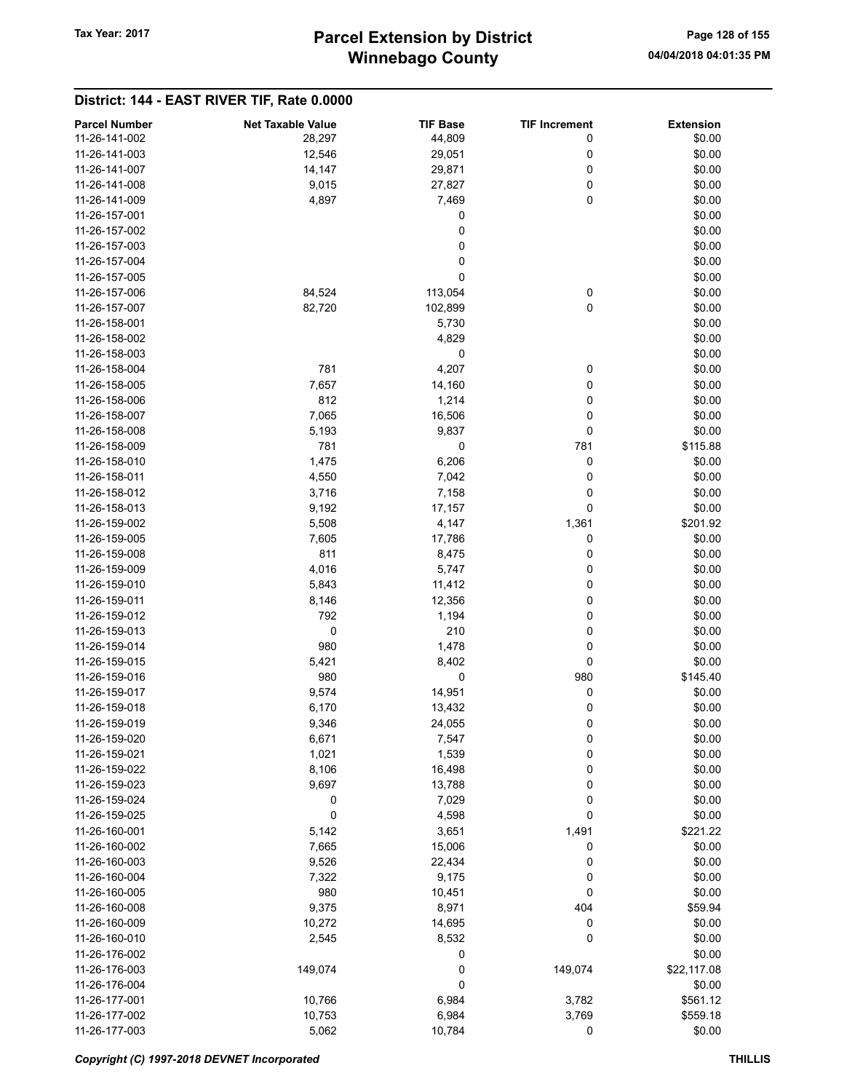| <b>Parcel Number</b> | <b>Net Taxable Value</b> | <b>TIF Base</b> | <b>TIF Increment</b> | <b>Extension</b> |
|----------------------|--------------------------|-----------------|----------------------|------------------|
| 11-26-141-002        | 28,297                   | 44,809          | 0                    | \$0.00           |
| 11-26-141-003        | 12,546                   | 29,051          | 0                    | \$0.00           |
| 11-26-141-007        | 14,147                   | 29,871          | 0                    | \$0.00           |
| 11-26-141-008        | 9,015                    | 27,827          | 0                    | \$0.00           |
| 11-26-141-009        | 4,897                    | 7,469           | 0                    | \$0.00           |
| 11-26-157-001        |                          | 0               |                      | \$0.00           |
| 11-26-157-002        |                          | 0               |                      | \$0.00           |
| 11-26-157-003        |                          | 0               |                      | \$0.00           |
| 11-26-157-004        |                          | 0               |                      | \$0.00           |
| 11-26-157-005        |                          | 0               |                      | \$0.00           |
| 11-26-157-006        | 84,524                   | 113,054         | 0                    | \$0.00           |
| 11-26-157-007        | 82,720                   | 102,899         | 0                    | \$0.00           |
| 11-26-158-001        |                          | 5,730           |                      | \$0.00           |
| 11-26-158-002        |                          | 4,829           |                      | \$0.00           |
| 11-26-158-003        |                          | 0               |                      | \$0.00           |
| 11-26-158-004        | 781                      | 4,207           | 0                    | \$0.00           |
| 11-26-158-005        | 7,657                    | 14,160          | 0                    | \$0.00           |
| 11-26-158-006        | 812                      | 1,214           | 0                    | \$0.00           |
| 11-26-158-007        | 7,065                    | 16,506          | 0                    | \$0.00           |
| 11-26-158-008        | 5,193                    | 9,837           | 0                    | \$0.00           |
| 11-26-158-009        | 781                      | 0               | 781                  | \$115.88         |
|                      |                          |                 |                      |                  |
| 11-26-158-010        | 1,475                    | 6,206           | 0                    | \$0.00           |
| 11-26-158-011        | 4,550                    | 7,042           | 0                    | \$0.00           |
| 11-26-158-012        | 3,716                    | 7,158           | 0                    | \$0.00           |
| 11-26-158-013        | 9,192                    | 17,157          | 0                    | \$0.00           |
| 11-26-159-002        | 5,508                    | 4,147           | 1,361                | \$201.92         |
| 11-26-159-005        | 7,605                    | 17,786          | 0                    | \$0.00           |
| 11-26-159-008        | 811                      | 8,475           | 0                    | \$0.00           |
| 11-26-159-009        | 4,016                    | 5,747           | 0                    | \$0.00           |
| 11-26-159-010        | 5,843                    | 11,412          | 0                    | \$0.00           |
| 11-26-159-011        | 8,146                    | 12,356          | 0                    | \$0.00           |
| 11-26-159-012        | 792                      | 1,194           | 0                    | \$0.00           |
| 11-26-159-013        | 0                        | 210             | 0                    | \$0.00           |
| 11-26-159-014        | 980                      | 1,478           | 0                    | \$0.00           |
| 11-26-159-015        | 5,421                    | 8,402           | 0                    | \$0.00           |
| 11-26-159-016        | 980                      | 0               | 980                  | \$145.40         |
| 11-26-159-017        | 9,574                    | 14,951          | 0                    | \$0.00           |
| 11-26-159-018        | 6,170                    | 13,432          | 0                    | \$0.00           |
| 11-26-159-019        | 9,346                    | 24,055          | 0                    | \$0.00           |
| 11-26-159-020        | 6,671                    | 7,547           | 0                    | \$0.00           |
| 11-26-159-021        | 1,021                    | 1,539           | 0                    | \$0.00           |
| 11-26-159-022        | 8,106                    | 16,498          | 0                    | \$0.00           |
| 11-26-159-023        | 9,697                    | 13,788          | 0                    | \$0.00           |
| 11-26-159-024        | 0                        | 7,029           | 0                    | \$0.00           |
| 11-26-159-025        | $\pmb{0}$                | 4,598           | 0                    | \$0.00           |
| 11-26-160-001        | 5,142                    | 3,651           | 1,491                | \$221.22         |
| 11-26-160-002        | 7,665                    | 15,006          | 0                    | \$0.00           |
| 11-26-160-003        | 9,526                    | 22,434          | 0                    | \$0.00           |
| 11-26-160-004        | 7,322                    | 9,175           | 0                    | \$0.00           |
| 11-26-160-005        | 980                      |                 | 0                    |                  |
|                      |                          | 10,451          |                      | \$0.00           |
| 11-26-160-008        | 9,375                    | 8,971           | 404                  | \$59.94          |
| 11-26-160-009        | 10,272                   | 14,695          | 0                    | \$0.00           |
| 11-26-160-010        | 2,545                    | 8,532           | 0                    | \$0.00           |
| 11-26-176-002        |                          | 0               |                      | \$0.00           |
| 11-26-176-003        | 149,074                  | 0               | 149,074              | \$22,117.08      |
| 11-26-176-004        |                          | 0               |                      | \$0.00           |
| 11-26-177-001        | 10,766                   | 6,984           | 3,782                | \$561.12         |
| 11-26-177-002        | 10,753                   | 6,984           | 3,769                | \$559.18         |
| 11-26-177-003        | 5,062                    | 10,784          | 0                    | \$0.00           |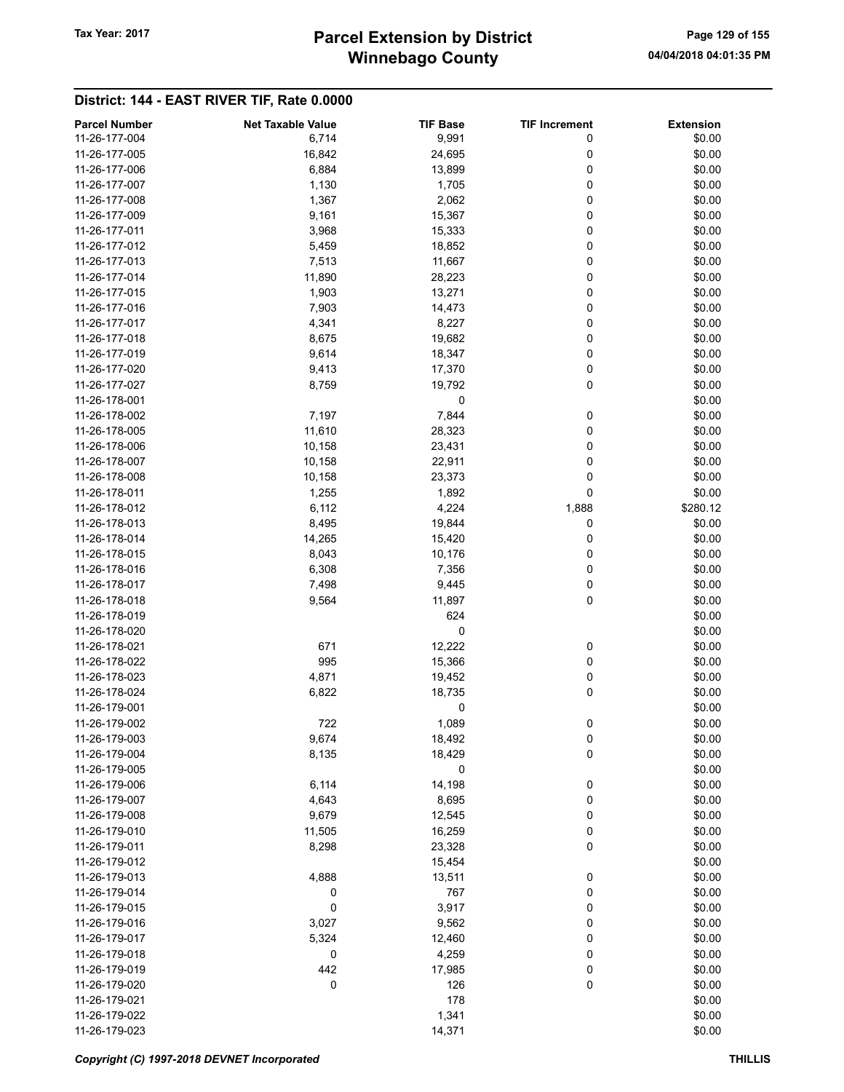# Winnebago County Tax Year: 2017 **Parcel Extension by District** Page 129 of 155

| <b>Parcel Number</b> | <b>Net Taxable Value</b> | <b>TIF Base</b> | <b>TIF Increment</b> | <b>Extension</b> |
|----------------------|--------------------------|-----------------|----------------------|------------------|
| 11-26-177-004        | 6,714                    | 9,991           | 0                    | \$0.00           |
| 11-26-177-005        | 16,842                   | 24,695          | 0                    | \$0.00           |
| 11-26-177-006        | 6,884                    | 13,899          | 0                    | \$0.00           |
| 11-26-177-007        | 1,130                    | 1,705           | 0                    | \$0.00           |
| 11-26-177-008        | 1,367                    | 2,062           | 0                    | \$0.00           |
| 11-26-177-009        | 9,161                    | 15,367          | 0                    | \$0.00           |
| 11-26-177-011        | 3,968                    | 15,333          | 0                    | \$0.00           |
| 11-26-177-012        | 5,459                    | 18,852          | 0                    | \$0.00           |
|                      |                          |                 |                      |                  |
| 11-26-177-013        | 7,513                    | 11,667          | 0                    | \$0.00           |
| 11-26-177-014        | 11,890                   | 28,223          | 0                    | \$0.00           |
| 11-26-177-015        | 1,903                    | 13,271          | 0                    | \$0.00           |
| 11-26-177-016        | 7,903                    | 14,473          | 0                    | \$0.00           |
| 11-26-177-017        | 4,341                    | 8,227           | 0                    | \$0.00           |
| 11-26-177-018        | 8,675                    | 19,682          | 0                    | \$0.00           |
| 11-26-177-019        | 9,614                    | 18,347          | 0                    | \$0.00           |
| 11-26-177-020        | 9,413                    | 17,370          | 0                    | \$0.00           |
| 11-26-177-027        | 8,759                    | 19,792          | 0                    | \$0.00           |
| 11-26-178-001        |                          | 0               |                      | \$0.00           |
| 11-26-178-002        | 7,197                    | 7,844           | 0                    | \$0.00           |
| 11-26-178-005        | 11,610                   | 28,323          | 0                    | \$0.00           |
| 11-26-178-006        | 10,158                   | 23,431          | 0                    | \$0.00           |
| 11-26-178-007        | 10,158                   | 22,911          | 0                    | \$0.00           |
| 11-26-178-008        | 10,158                   | 23,373          | 0                    | \$0.00           |
| 11-26-178-011        | 1,255                    | 1,892           | 0                    | \$0.00           |
| 11-26-178-012        | 6,112                    | 4,224           | 1,888                | \$280.12         |
| 11-26-178-013        | 8,495                    | 19,844          | 0                    | \$0.00           |
| 11-26-178-014        |                          |                 |                      |                  |
|                      | 14,265                   | 15,420          | 0                    | \$0.00           |
| 11-26-178-015        | 8,043                    | 10,176          | 0                    | \$0.00           |
| 11-26-178-016        | 6,308                    | 7,356           | 0                    | \$0.00           |
| 11-26-178-017        | 7,498                    | 9,445           | 0                    | \$0.00           |
| 11-26-178-018        | 9,564                    | 11,897          | 0                    | \$0.00           |
| 11-26-178-019        |                          | 624             |                      | \$0.00           |
| 11-26-178-020        |                          | 0               |                      | \$0.00           |
| 11-26-178-021        | 671                      | 12,222          | 0                    | \$0.00           |
| 11-26-178-022        | 995                      | 15,366          | 0                    | \$0.00           |
| 11-26-178-023        | 4,871                    | 19,452          | 0                    | \$0.00           |
| 11-26-178-024        | 6,822                    | 18,735          | 0                    | \$0.00           |
| 11-26-179-001        |                          | 0               |                      | \$0.00           |
| 11-26-179-002        | 722                      | 1,089           | 0                    | \$0.00           |
| 11-26-179-003        | 9,674                    | 18,492          | 0                    | \$0.00           |
| 11-26-179-004        | 8,135                    | 18,429          | 0                    | \$0.00           |
| 11-26-179-005        |                          | 0               |                      | \$0.00           |
| 11-26-179-006        | 6,114                    | 14,198          | 0                    | \$0.00           |
| 11-26-179-007        | 4,643                    | 8,695           | 0                    | \$0.00           |
| 11-26-179-008        | 9,679                    | 12,545          | 0                    | \$0.00           |
| 11-26-179-010        | 11,505                   | 16,259          | 0                    | \$0.00           |
| 11-26-179-011        | 8,298                    | 23,328          | 0                    | \$0.00           |
|                      |                          |                 |                      |                  |
| 11-26-179-012        |                          | 15,454          |                      | \$0.00           |
| 11-26-179-013        | 4,888                    | 13,511          | $\pmb{0}$            | \$0.00           |
| 11-26-179-014        | 0                        | 767             | 0                    | \$0.00           |
| 11-26-179-015        | $\pmb{0}$                | 3,917           | 0                    | \$0.00           |
| 11-26-179-016        | 3,027                    | 9,562           | 0                    | \$0.00           |
| 11-26-179-017        | 5,324                    | 12,460          | 0                    | \$0.00           |
| 11-26-179-018        | 0                        | 4,259           | 0                    | \$0.00           |
| 11-26-179-019        | 442                      | 17,985          | 0                    | \$0.00           |
| 11-26-179-020        | 0                        | 126             | 0                    | \$0.00           |
| 11-26-179-021        |                          | 178             |                      | \$0.00           |
| 11-26-179-022        |                          | 1,341           |                      | \$0.00           |
| 11-26-179-023        |                          | 14,371          |                      | \$0.00           |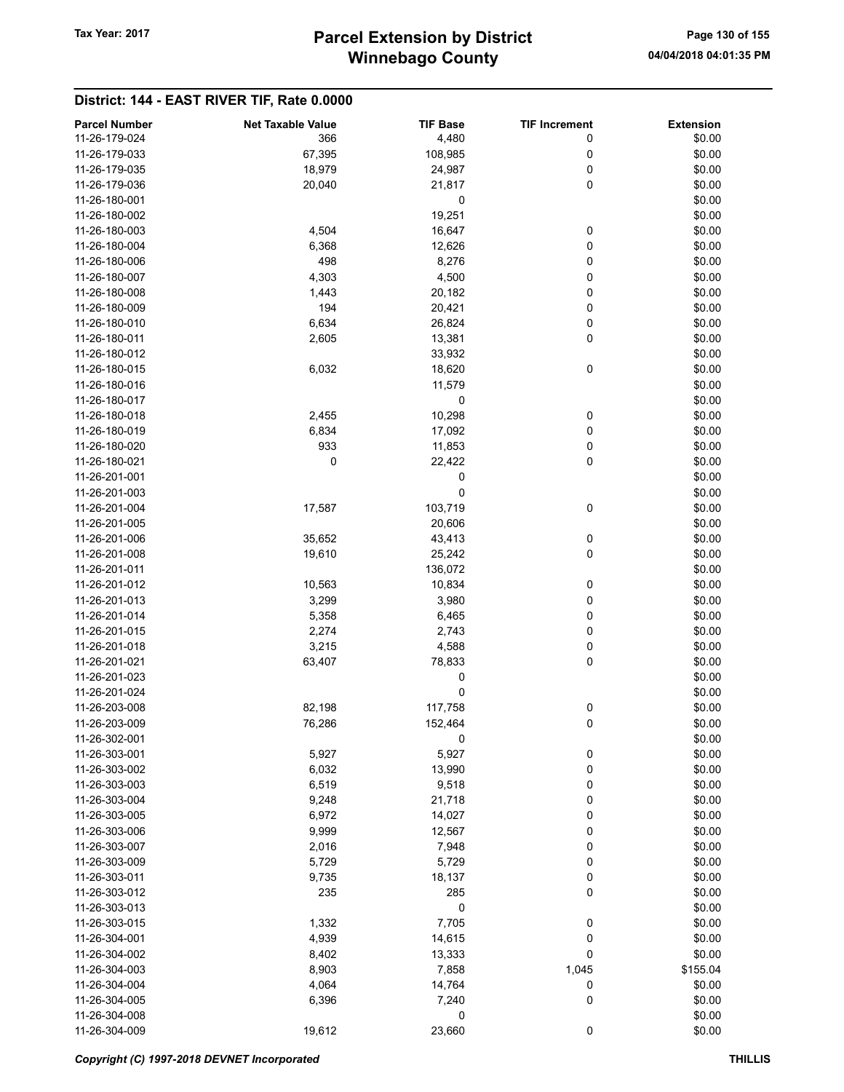# Winnebago County Tax Year: 2017 **Parcel Extension by District** Page 130 of 155

| <b>Parcel Number</b> | <b>Net Taxable Value</b> | <b>TIF Base</b> | <b>TIF Increment</b> | <b>Extension</b> |
|----------------------|--------------------------|-----------------|----------------------|------------------|
| 11-26-179-024        | 366                      | 4,480           | 0                    | \$0.00           |
| 11-26-179-033        | 67,395                   | 108,985         | 0                    | \$0.00           |
| 11-26-179-035        | 18,979                   | 24,987          | 0                    | \$0.00           |
| 11-26-179-036        | 20,040                   | 21,817          | 0                    | \$0.00           |
| 11-26-180-001        |                          | 0               |                      | \$0.00           |
| 11-26-180-002        |                          | 19,251          |                      | \$0.00           |
| 11-26-180-003        | 4,504                    | 16,647          | 0                    | \$0.00           |
| 11-26-180-004        | 6,368                    | 12,626          | 0                    | \$0.00           |
| 11-26-180-006        | 498                      | 8,276           | 0                    | \$0.00           |
| 11-26-180-007        | 4,303                    | 4,500           | 0                    | \$0.00           |
| 11-26-180-008        | 1,443                    | 20,182          | 0                    | \$0.00           |
| 11-26-180-009        | 194                      | 20,421          | 0                    | \$0.00           |
| 11-26-180-010        | 6,634                    | 26,824          | 0                    | \$0.00           |
| 11-26-180-011        | 2,605                    | 13,381          | 0                    | \$0.00           |
| 11-26-180-012        |                          | 33,932          |                      | \$0.00           |
| 11-26-180-015        | 6,032                    | 18,620          | 0                    | \$0.00           |
| 11-26-180-016        |                          | 11,579          |                      | \$0.00           |
| 11-26-180-017        |                          | 0               |                      | \$0.00           |
| 11-26-180-018        | 2,455                    | 10,298          | 0                    | \$0.00           |
| 11-26-180-019        | 6,834                    | 17,092          | 0                    | \$0.00           |
| 11-26-180-020        | 933                      | 11,853          | 0                    | \$0.00           |
| 11-26-180-021        | 0                        | 22,422          | 0                    | \$0.00           |
| 11-26-201-001        |                          | 0               |                      | \$0.00           |
| 11-26-201-003        |                          | 0               |                      | \$0.00           |
| 11-26-201-004        | 17,587                   | 103,719         | 0                    | \$0.00           |
| 11-26-201-005        |                          | 20,606          |                      | \$0.00           |
| 11-26-201-006        | 35,652                   | 43,413          | 0                    | \$0.00           |
| 11-26-201-008        | 19,610                   | 25,242          | $\pmb{0}$            | \$0.00           |
| 11-26-201-011        |                          | 136,072         |                      | \$0.00           |
| 11-26-201-012        | 10,563                   | 10,834          | 0                    | \$0.00           |
| 11-26-201-013        | 3,299                    | 3,980           | 0                    | \$0.00           |
| 11-26-201-014        | 5,358                    | 6,465           | 0                    | \$0.00           |
| 11-26-201-015        | 2,274                    | 2,743           | 0                    | \$0.00           |
| 11-26-201-018        | 3,215                    | 4,588           | 0                    | \$0.00           |
| 11-26-201-021        | 63,407                   | 78,833          | 0                    | \$0.00           |
| 11-26-201-023        |                          | 0               |                      | \$0.00           |
| 11-26-201-024        |                          | 0               |                      | \$0.00           |
| 11-26-203-008        | 82,198                   | 117,758         | 0                    | \$0.00           |
| 11-26-203-009        | 76,286                   | 152,464         | 0                    | \$0.00           |
| 11-26-302-001        |                          | 0               |                      | \$0.00           |
| 11-26-303-001        | 5,927                    | 5,927           | $\boldsymbol{0}$     | \$0.00           |
| 11-26-303-002        | 6,032                    | 13,990          | 0                    | \$0.00           |
| 11-26-303-003        | 6,519                    | 9,518           | 0                    | \$0.00           |
| 11-26-303-004        | 9,248                    | 21,718          | 0                    | \$0.00           |
| 11-26-303-005        | 6,972                    | 14,027          | 0                    | \$0.00           |
| 11-26-303-006        | 9,999                    | 12,567          | 0                    | \$0.00           |
| 11-26-303-007        | 2,016                    | 7,948           | 0                    | \$0.00           |
| 11-26-303-009        | 5,729                    | 5,729           | 0                    | \$0.00           |
| 11-26-303-011        | 9,735                    | 18,137          | 0                    | \$0.00           |
| 11-26-303-012        | 235                      | 285             | 0                    | \$0.00           |
| 11-26-303-013        |                          | 0               |                      | \$0.00           |
| 11-26-303-015        | 1,332                    | 7,705           | 0                    | \$0.00           |
| 11-26-304-001        | 4,939                    | 14,615          | 0                    | \$0.00           |
| 11-26-304-002        | 8,402                    | 13,333          | $\pmb{0}$            | \$0.00           |
| 11-26-304-003        | 8,903                    | 7,858           | 1,045                | \$155.04         |
| 11-26-304-004        | 4,064                    | 14,764          | 0                    | \$0.00           |
| 11-26-304-005        | 6,396                    | 7,240           | 0                    | \$0.00           |
| 11-26-304-008        |                          | 0               |                      | \$0.00           |
| 11-26-304-009        | 19,612                   | 23,660          | 0                    | \$0.00           |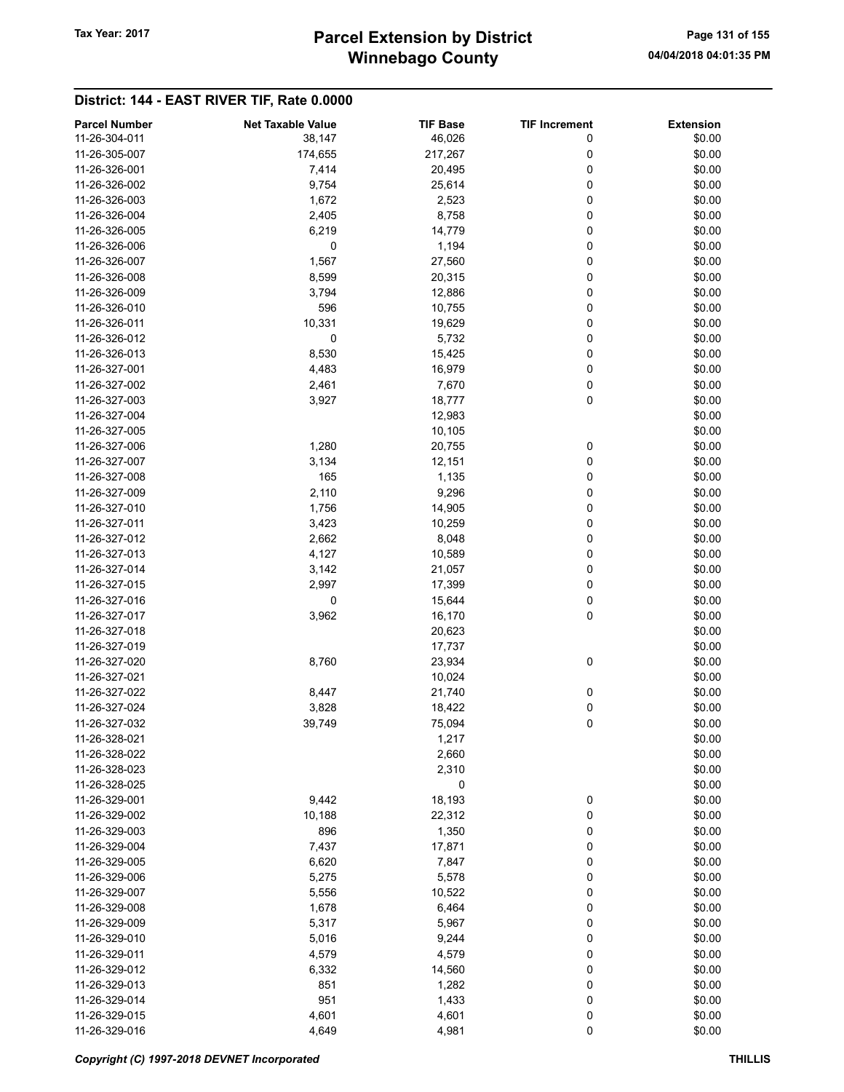# Winnebago County Tax Year: 2017 **Parcel Extension by District** Page 131 of 155

| <b>Parcel Number</b> | <b>Net Taxable Value</b> | <b>TIF Base</b> | <b>TIF Increment</b> | <b>Extension</b> |
|----------------------|--------------------------|-----------------|----------------------|------------------|
| 11-26-304-011        | 38,147                   | 46,026          | 0                    | \$0.00           |
| 11-26-305-007        | 174,655                  | 217,267         | 0                    | \$0.00           |
| 11-26-326-001        | 7,414                    | 20,495          | 0                    | \$0.00           |
| 11-26-326-002        | 9,754                    | 25,614          | 0                    | \$0.00           |
| 11-26-326-003        | 1,672                    | 2,523           | 0                    | \$0.00           |
| 11-26-326-004        | 2,405                    | 8,758           | 0                    | \$0.00           |
| 11-26-326-005        | 6,219                    | 14,779          | 0                    | \$0.00           |
| 11-26-326-006        | 0                        | 1,194           | 0                    | \$0.00           |
| 11-26-326-007        | 1,567                    | 27,560          | 0                    | \$0.00           |
| 11-26-326-008        |                          |                 | 0                    | \$0.00           |
| 11-26-326-009        | 8,599                    | 20,315          |                      | \$0.00           |
|                      | 3,794                    | 12,886          | 0                    |                  |
| 11-26-326-010        | 596                      | 10,755          | 0                    | \$0.00           |
| 11-26-326-011        | 10,331                   | 19,629          | 0                    | \$0.00           |
| 11-26-326-012        | 0                        | 5,732           | 0                    | \$0.00           |
| 11-26-326-013        | 8,530                    | 15,425          | 0                    | \$0.00           |
| 11-26-327-001        | 4,483                    | 16,979          | 0                    | \$0.00           |
| 11-26-327-002        | 2,461                    | 7,670           | 0                    | \$0.00           |
| 11-26-327-003        | 3,927                    | 18,777          | 0                    | \$0.00           |
| 11-26-327-004        |                          | 12,983          |                      | \$0.00           |
| 11-26-327-005        |                          | 10,105          |                      | \$0.00           |
| 11-26-327-006        | 1,280                    | 20,755          | 0                    | \$0.00           |
| 11-26-327-007        | 3,134                    | 12,151          | 0                    | \$0.00           |
| 11-26-327-008        | 165                      | 1,135           | 0                    | \$0.00           |
| 11-26-327-009        | 2,110                    | 9,296           | 0                    | \$0.00           |
| 11-26-327-010        | 1,756                    | 14,905          | 0                    | \$0.00           |
| 11-26-327-011        | 3,423                    | 10,259          | 0                    | \$0.00           |
| 11-26-327-012        | 2,662                    | 8,048           | 0                    | \$0.00           |
| 11-26-327-013        | 4,127                    | 10,589          | 0                    | \$0.00           |
| 11-26-327-014        | 3,142                    | 21,057          | 0                    | \$0.00           |
| 11-26-327-015        | 2,997                    | 17,399          | 0                    | \$0.00           |
| 11-26-327-016        | 0                        | 15,644          | 0                    | \$0.00           |
| 11-26-327-017        | 3,962                    | 16,170          | 0                    | \$0.00           |
| 11-26-327-018        |                          | 20,623          |                      | \$0.00           |
| 11-26-327-019        |                          | 17,737          |                      | \$0.00           |
| 11-26-327-020        | 8,760                    | 23,934          | 0                    | \$0.00           |
| 11-26-327-021        |                          | 10,024          |                      | \$0.00           |
| 11-26-327-022        | 8,447                    |                 |                      | \$0.00           |
|                      |                          | 21,740          | 0                    |                  |
| 11-26-327-024        | 3,828                    | 18,422          | 0                    | \$0.00           |
| 11-26-327-032        | 39,749                   | 75,094          | 0                    | \$0.00           |
| 11-26-328-021        |                          | 1,217           |                      | \$0.00           |
| 11-26-328-022        |                          | 2,660           |                      | \$0.00           |
| 11-26-328-023        |                          | 2,310           |                      | \$0.00           |
| 11-26-328-025        |                          | $\pmb{0}$       |                      | \$0.00           |
| 11-26-329-001        | 9,442                    | 18,193          | $\pmb{0}$            | \$0.00           |
| 11-26-329-002        | 10,188                   | 22,312          | 0                    | \$0.00           |
| 11-26-329-003        | 896                      | 1,350           | 0                    | \$0.00           |
| 11-26-329-004        | 7,437                    | 17,871          | 0                    | \$0.00           |
| 11-26-329-005        | 6,620                    | 7,847           | 0                    | \$0.00           |
| 11-26-329-006        | 5,275                    | 5,578           | 0                    | \$0.00           |
| 11-26-329-007        | 5,556                    | 10,522          | 0                    | \$0.00           |
| 11-26-329-008        | 1,678                    | 6,464           | $\boldsymbol{0}$     | \$0.00           |
| 11-26-329-009        | 5,317                    | 5,967           | 0                    | \$0.00           |
| 11-26-329-010        | 5,016                    | 9,244           | 0                    | \$0.00           |
| 11-26-329-011        | 4,579                    | 4,579           | 0                    | \$0.00           |
| 11-26-329-012        | 6,332                    | 14,560          | 0                    | \$0.00           |
| 11-26-329-013        | 851                      | 1,282           | 0                    | \$0.00           |
| 11-26-329-014        | 951                      | 1,433           | 0                    | \$0.00           |
| 11-26-329-015        | 4,601                    | 4,601           | $\boldsymbol{0}$     | \$0.00           |
| 11-26-329-016        | 4,649                    | 4,981           | $\pmb{0}$            | \$0.00           |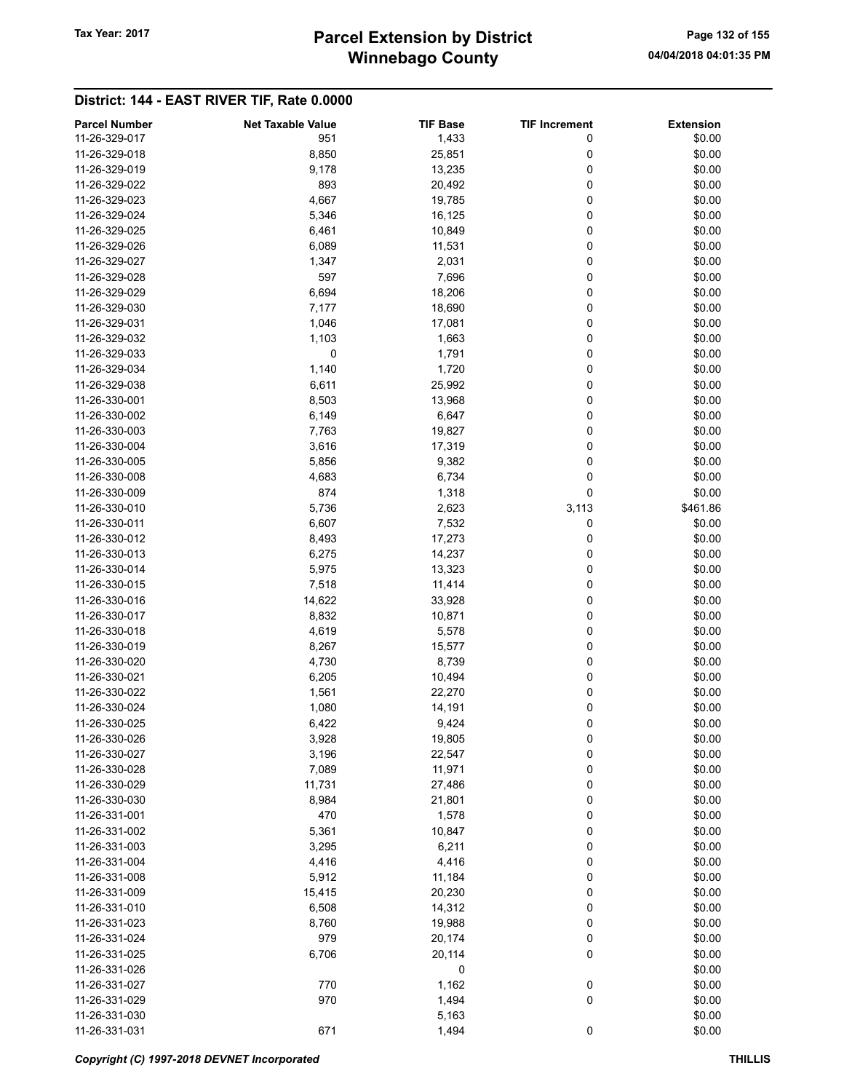# Winnebago County Tax Year: 2017 **Parcel Extension by District** Page 132 of 155

| <b>Parcel Number</b> | <b>Net Taxable Value</b> | <b>TIF Base</b> | <b>TIF Increment</b> | <b>Extension</b> |
|----------------------|--------------------------|-----------------|----------------------|------------------|
| 11-26-329-017        | 951                      | 1,433           | 0                    | \$0.00           |
| 11-26-329-018        | 8,850                    | 25,851          | 0                    | \$0.00           |
| 11-26-329-019        | 9,178                    | 13,235          | 0                    | \$0.00           |
| 11-26-329-022        | 893                      | 20,492          | 0                    | \$0.00           |
| 11-26-329-023        | 4,667                    | 19,785          | 0                    | \$0.00           |
| 11-26-329-024        | 5,346                    | 16,125          | 0                    | \$0.00           |
| 11-26-329-025        | 6,461                    | 10,849          | 0                    | \$0.00           |
| 11-26-329-026        | 6,089                    | 11,531          | 0                    | \$0.00           |
|                      |                          |                 |                      |                  |
| 11-26-329-027        | 1,347                    | 2,031           | 0                    | \$0.00           |
| 11-26-329-028        | 597                      | 7,696           | 0                    | \$0.00           |
| 11-26-329-029        | 6,694                    | 18,206          | 0                    | \$0.00           |
| 11-26-329-030        | 7,177                    | 18,690          | 0                    | \$0.00           |
| 11-26-329-031        | 1,046                    | 17,081          | 0                    | \$0.00           |
| 11-26-329-032        | 1,103                    | 1,663           | 0                    | \$0.00           |
| 11-26-329-033        | 0                        | 1,791           | 0                    | \$0.00           |
| 11-26-329-034        | 1,140                    | 1,720           | 0                    | \$0.00           |
| 11-26-329-038        | 6,611                    | 25,992          | 0                    | \$0.00           |
| 11-26-330-001        | 8,503                    | 13,968          | 0                    | \$0.00           |
| 11-26-330-002        | 6,149                    | 6,647           | 0                    | \$0.00           |
| 11-26-330-003        | 7,763                    | 19,827          | 0                    | \$0.00           |
| 11-26-330-004        | 3,616                    | 17,319          | 0                    | \$0.00           |
| 11-26-330-005        |                          |                 | 0                    | \$0.00           |
|                      | 5,856                    | 9,382           |                      |                  |
| 11-26-330-008        | 4,683                    | 6,734           | 0                    | \$0.00           |
| 11-26-330-009        | 874                      | 1,318           | 0                    | \$0.00           |
| 11-26-330-010        | 5,736                    | 2,623           | 3,113                | \$461.86         |
| 11-26-330-011        | 6,607                    | 7,532           | 0                    | \$0.00           |
| 11-26-330-012        | 8,493                    | 17,273          | 0                    | \$0.00           |
| 11-26-330-013        | 6,275                    | 14,237          | 0                    | \$0.00           |
| 11-26-330-014        | 5,975                    | 13,323          | 0                    | \$0.00           |
| 11-26-330-015        | 7,518                    | 11,414          | 0                    | \$0.00           |
| 11-26-330-016        | 14,622                   | 33,928          | 0                    | \$0.00           |
| 11-26-330-017        | 8,832                    | 10,871          | 0                    | \$0.00           |
| 11-26-330-018        | 4,619                    | 5,578           | 0                    | \$0.00           |
| 11-26-330-019        | 8,267                    | 15,577          | 0                    | \$0.00           |
| 11-26-330-020        | 4,730                    | 8,739           | 0                    | \$0.00           |
| 11-26-330-021        | 6,205                    | 10,494          | 0                    | \$0.00           |
| 11-26-330-022        | 1,561                    | 22,270          | 0                    | \$0.00           |
|                      |                          |                 |                      |                  |
| 11-26-330-024        | 1,080                    | 14,191          | 0                    | \$0.00           |
| 11-26-330-025        | 6,422                    | 9,424           | 0                    | \$0.00           |
| 11-26-330-026        | 3,928                    | 19,805          | 0                    | \$0.00           |
| 11-26-330-027        | 3,196                    | 22,547          | $\pmb{0}$            | \$0.00           |
| 11-26-330-028        | 7,089                    | 11,971          | 0                    | \$0.00           |
| 11-26-330-029        | 11,731                   | 27,486          | 0                    | \$0.00           |
| 11-26-330-030        | 8,984                    | 21,801          | 0                    | \$0.00           |
| 11-26-331-001        | 470                      | 1,578           | 0                    | \$0.00           |
| 11-26-331-002        | 5,361                    | 10,847          | 0                    | \$0.00           |
| 11-26-331-003        | 3,295                    | 6,211           | 0                    | \$0.00           |
| 11-26-331-004        | 4,416                    | 4,416           | 0                    | \$0.00           |
| 11-26-331-008        | 5,912                    | 11,184          | 0                    | \$0.00           |
| 11-26-331-009        | 15,415                   | 20,230          | 0                    | \$0.00           |
| 11-26-331-010        | 6,508                    | 14,312          | 0                    | \$0.00           |
| 11-26-331-023        | 8,760                    | 19,988          | 0                    | \$0.00           |
| 11-26-331-024        | 979                      |                 |                      | \$0.00           |
|                      |                          | 20,174          | 0                    |                  |
| 11-26-331-025        | 6,706                    | 20,114          | 0                    | \$0.00           |
| 11-26-331-026        |                          | 0               |                      | \$0.00           |
| 11-26-331-027        | 770                      | 1,162           | $\pmb{0}$            | \$0.00           |
| 11-26-331-029        | 970                      | 1,494           | $\pmb{0}$            | \$0.00           |
| 11-26-331-030        |                          | 5,163           |                      | \$0.00           |
| 11-26-331-031        | 671                      | 1,494           | $\pmb{0}$            | \$0.00           |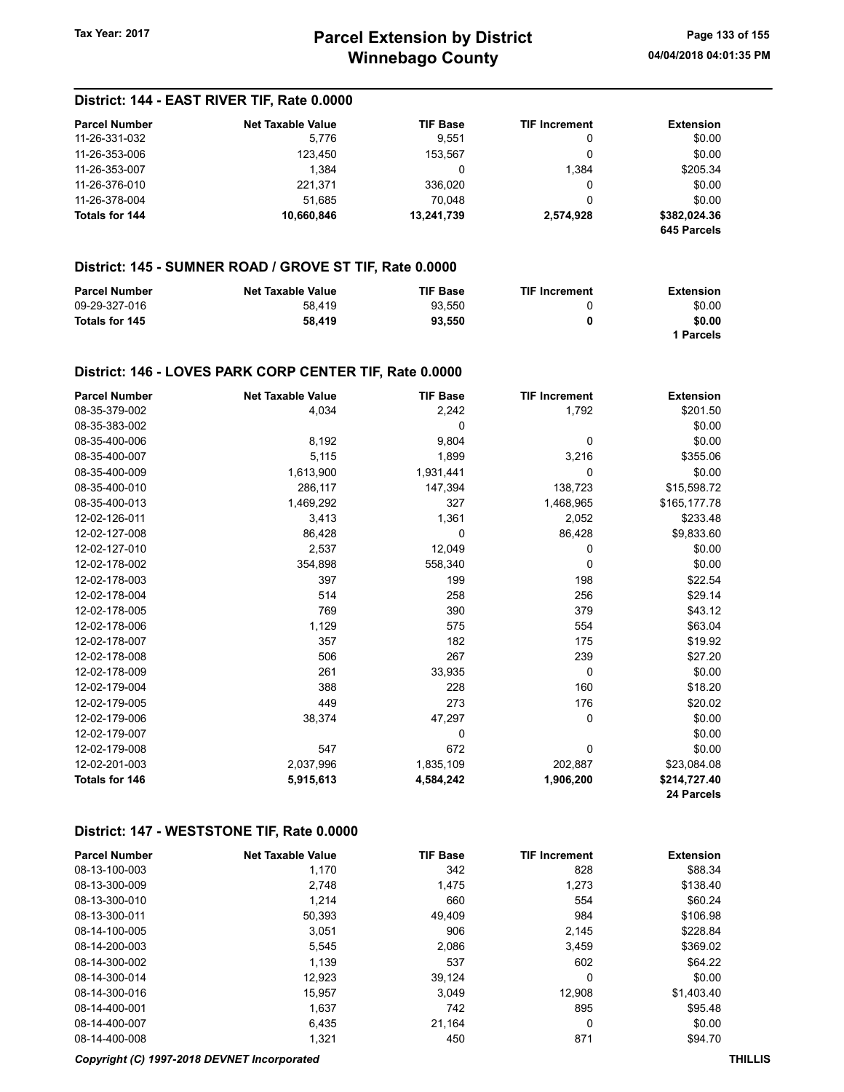| <b>Parcel Number</b>  | <b>Net Taxable Value</b> | <b>TIF Base</b> | <b>TIF Increment</b> | <b>Extension</b> |
|-----------------------|--------------------------|-----------------|----------------------|------------------|
| 11-26-331-032         | 5,776                    | 9.551           | 0                    | \$0.00           |
| 11-26-353-006         | 123.450                  | 153.567         |                      | \$0.00           |
| 11-26-353-007         | 1.384                    | 0               | 1.384                | \$205.34         |
| 11-26-376-010         | 221.371                  | 336.020         | 0                    | \$0.00           |
| 11-26-378-004         | 51.685                   | 70.048          |                      | \$0.00           |
| <b>Totals for 144</b> | 10.660.846               | 13,241,739      | 2.574.928            | \$382.024.36     |
|                       |                          |                 |                      | 645 Parcels      |

#### District: 145 - SUMNER ROAD / GROVE ST TIF, Rate 0.0000

| <b>Parcel Number</b> | <b>Net Taxable Value</b> | <b>TIF Base</b> | <b>TIF Increment</b> | Extension |
|----------------------|--------------------------|-----------------|----------------------|-----------|
| 09-29-327-016        | 58.419                   | 93.550          |                      | \$0.00    |
| Totals for 145       | 58.419                   | 93.550          |                      | \$0.00    |
|                      |                          |                 |                      | Parcels   |

#### District: 146 - LOVES PARK CORP CENTER TIF, Rate 0.0000

| <b>Parcel Number</b>  | <b>Net Taxable Value</b> | <b>TIF Base</b> | <b>TIF Increment</b> | <b>Extension</b> |
|-----------------------|--------------------------|-----------------|----------------------|------------------|
| 08-35-379-002         | 4,034                    | 2,242           | 1,792                | \$201.50         |
| 08-35-383-002         |                          | 0               |                      | \$0.00           |
| 08-35-400-006         | 8,192                    | 9,804           | 0                    | \$0.00           |
| 08-35-400-007         | 5,115                    | 1,899           | 3,216                | \$355.06         |
| 08-35-400-009         | 1,613,900                | 1,931,441       | 0                    | \$0.00           |
| 08-35-400-010         | 286,117                  | 147,394         | 138,723              | \$15,598.72      |
| 08-35-400-013         | 1,469,292                | 327             | 1,468,965            | \$165,177.78     |
| 12-02-126-011         | 3,413                    | 1,361           | 2,052                | \$233.48         |
| 12-02-127-008         | 86,428                   | 0               | 86,428               | \$9,833.60       |
| 12-02-127-010         | 2,537                    | 12,049          | 0                    | \$0.00           |
| 12-02-178-002         | 354,898                  | 558,340         | 0                    | \$0.00           |
| 12-02-178-003         | 397                      | 199             | 198                  | \$22.54          |
| 12-02-178-004         | 514                      | 258             | 256                  | \$29.14          |
| 12-02-178-005         | 769                      | 390             | 379                  | \$43.12          |
| 12-02-178-006         | 1,129                    | 575             | 554                  | \$63.04          |
| 12-02-178-007         | 357                      | 182             | 175                  | \$19.92          |
| 12-02-178-008         | 506                      | 267             | 239                  | \$27.20          |
| 12-02-178-009         | 261                      | 33,935          | 0                    | \$0.00           |
| 12-02-179-004         | 388                      | 228             | 160                  | \$18.20          |
| 12-02-179-005         | 449                      | 273             | 176                  | \$20.02          |
| 12-02-179-006         | 38,374                   | 47,297          | $\mathbf 0$          | \$0.00           |
| 12-02-179-007         |                          | 0               |                      | \$0.00           |
| 12-02-179-008         | 547                      | 672             | 0                    | \$0.00           |
| 12-02-201-003         | 2,037,996                | 1,835,109       | 202,887              | \$23,084.08      |
| <b>Totals for 146</b> | 5,915,613                | 4,584,242       | 1,906,200            | \$214,727.40     |
|                       |                          |                 |                      | 24 Parcels       |

#### District: 147 - WESTSTONE TIF, Rate 0.0000

| <b>Parcel Number</b> | <b>Net Taxable Value</b> | <b>TIF Base</b> | <b>TIF Increment</b> | <b>Extension</b> |
|----------------------|--------------------------|-----------------|----------------------|------------------|
| 08-13-100-003        | 1.170                    | 342             | 828                  | \$88.34          |
| 08-13-300-009        | 2.748                    | 1.475           | 1,273                | \$138.40         |
| 08-13-300-010        | 1.214                    | 660             | 554                  | \$60.24          |
| 08-13-300-011        | 50,393                   | 49.409          | 984                  | \$106.98         |
| 08-14-100-005        | 3.051                    | 906             | 2,145                | \$228.84         |
| 08-14-200-003        | 5.545                    | 2.086           | 3.459                | \$369.02         |
| 08-14-300-002        | 1.139                    | 537             | 602                  | \$64.22          |
| 08-14-300-014        | 12,923                   | 39.124          | 0                    | \$0.00           |
| 08-14-300-016        | 15.957                   | 3.049           | 12.908               | \$1,403.40       |
| 08-14-400-001        | 1,637                    | 742             | 895                  | \$95.48          |
| 08-14-400-007        | 6.435                    | 21.164          | 0                    | \$0.00           |
| 08-14-400-008        | 1,321                    | 450             | 871                  | \$94.70          |

#### Copyright (C) 1997-2018 DEVNET Incorporated THILLIS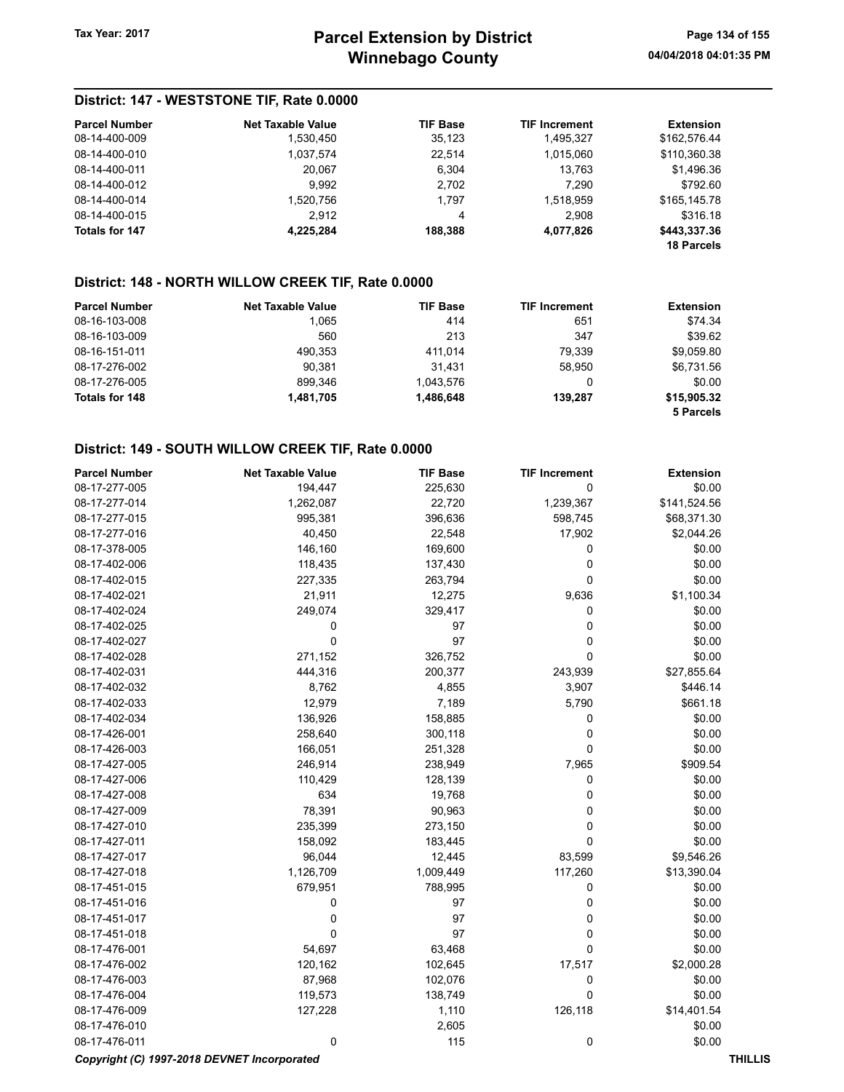## District: 147 - WESTSTONE TIF, Rate 0.0000

| <b>Parcel Number</b>  | Net Taxable Value | <b>TIF Base</b> | <b>TIF Increment</b> | <b>Extension</b>  |
|-----------------------|-------------------|-----------------|----------------------|-------------------|
| 08-14-400-009         | 1,530,450         | 35,123          | 1.495.327            | \$162.576.44      |
| 08-14-400-010         | 1,037,574         | 22.514          | 1.015.060            | \$110.360.38      |
| 08-14-400-011         | 20.067            | 6.304           | 13.763               | \$1,496.36        |
| 08-14-400-012         | 9.992             | 2,702           | 7,290                | \$792.60          |
| 08-14-400-014         | 1,520,756         | 1.797           | 1.518.959            | \$165.145.78      |
| 08-14-400-015         | 2.912             | 4               | 2.908                | \$316.18          |
| <b>Totals for 147</b> | 4,225,284         | 188,388         | 4,077,826            | \$443,337.36      |
|                       |                   |                 |                      | <b>18 Parcels</b> |

## District: 148 - NORTH WILLOW CREEK TIF, Rate 0.0000

| <b>Parcel Number</b> | <b>Net Taxable Value</b> | <b>TIF Base</b> | <b>TIF Increment</b> | <b>Extension</b> |
|----------------------|--------------------------|-----------------|----------------------|------------------|
| 08-16-103-008        | 1,065                    | 414             | 651                  | \$74.34          |
| 08-16-103-009        | 560                      | 213             | 347                  | \$39.62          |
| 08-16-151-011        | 490.353                  | 411.014         | 79.339               | \$9.059.80       |
| 08-17-276-002        | 90.381                   | 31.431          | 58.950               | \$6.731.56       |
| 08-17-276-005        | 899.346                  | 1.043.576       | 0                    | \$0.00           |
| Totals for 148       | 1.481.705                | 1.486.648       | 139.287              | \$15,905.32      |
|                      |                          |                 |                      | 5 Parcels        |

## District: 149 - SOUTH WILLOW CREEK TIF, Rate 0.0000

| <b>Parcel Number</b> | <b>Net Taxable Value</b> | <b>TIF Base</b> | <b>TIF Increment</b> | <b>Extension</b> |
|----------------------|--------------------------|-----------------|----------------------|------------------|
| 08-17-277-005        | 194,447                  | 225,630         | 0                    | \$0.00           |
| 08-17-277-014        | 1,262,087                | 22,720          | 1,239,367            | \$141,524.56     |
| 08-17-277-015        | 995,381                  | 396,636         | 598,745              | \$68,371.30      |
| 08-17-277-016        | 40,450                   | 22,548          | 17,902               | \$2,044.26       |
| 08-17-378-005        | 146,160                  | 169,600         | 0                    | \$0.00           |
| 08-17-402-006        | 118,435                  | 137,430         | $\mathbf 0$          | \$0.00           |
| 08-17-402-015        | 227,335                  | 263,794         | $\mathbf 0$          | \$0.00           |
| 08-17-402-021        | 21,911                   | 12,275          | 9,636                | \$1,100.34       |
| 08-17-402-024        | 249,074                  | 329,417         | 0                    | \$0.00           |
| 08-17-402-025        | 0                        | 97              | 0                    | \$0.00           |
| 08-17-402-027        | 0                        | 97              | 0                    | \$0.00           |
| 08-17-402-028        | 271,152                  | 326,752         | 0                    | \$0.00           |
| 08-17-402-031        | 444,316                  | 200,377         | 243,939              | \$27,855.64      |
| 08-17-402-032        | 8,762                    | 4,855           | 3,907                | \$446.14         |
| 08-17-402-033        | 12,979                   | 7,189           | 5,790                | \$661.18         |
| 08-17-402-034        | 136,926                  | 158,885         | 0                    | \$0.00           |
| 08-17-426-001        | 258,640                  | 300,118         | $\mathbf 0$          | \$0.00           |
| 08-17-426-003        | 166,051                  | 251,328         | $\mathbf 0$          | \$0.00           |
| 08-17-427-005        | 246,914                  | 238,949         | 7,965                | \$909.54         |
| 08-17-427-006        | 110,429                  | 128,139         | 0                    | \$0.00           |
| 08-17-427-008        | 634                      | 19,768          | 0                    | \$0.00           |
| 08-17-427-009        | 78,391                   | 90,963          | $\mathbf 0$          | \$0.00           |
| 08-17-427-010        | 235,399                  | 273,150         | 0                    | \$0.00           |
| 08-17-427-011        | 158,092                  | 183,445         | $\mathbf 0$          | \$0.00           |
| 08-17-427-017        | 96,044                   | 12,445          | 83,599               | \$9,546.26       |
| 08-17-427-018        | 1,126,709                | 1,009,449       | 117,260              | \$13,390.04      |
| 08-17-451-015        | 679,951                  | 788,995         | 0                    | \$0.00           |
| 08-17-451-016        | 0                        | 97              | $\mathbf 0$          | \$0.00           |
| 08-17-451-017        | 0                        | 97              | 0                    | \$0.00           |
| 08-17-451-018        | 0                        | 97              | $\mathbf 0$          | \$0.00           |
| 08-17-476-001        | 54,697                   | 63,468          | 0                    | \$0.00           |
| 08-17-476-002        | 120,162                  | 102,645         | 17,517               | \$2,000.28       |
| 08-17-476-003        | 87,968                   | 102,076         | 0                    | \$0.00           |
| 08-17-476-004        | 119,573                  | 138,749         | 0                    | \$0.00           |
| 08-17-476-009        | 127,228                  | 1,110           | 126,118              | \$14,401.54      |
| 08-17-476-010        |                          | 2,605           |                      | \$0.00           |
| 08-17-476-011        | 0                        | 115             | 0                    | \$0.00           |
|                      |                          |                 |                      |                  |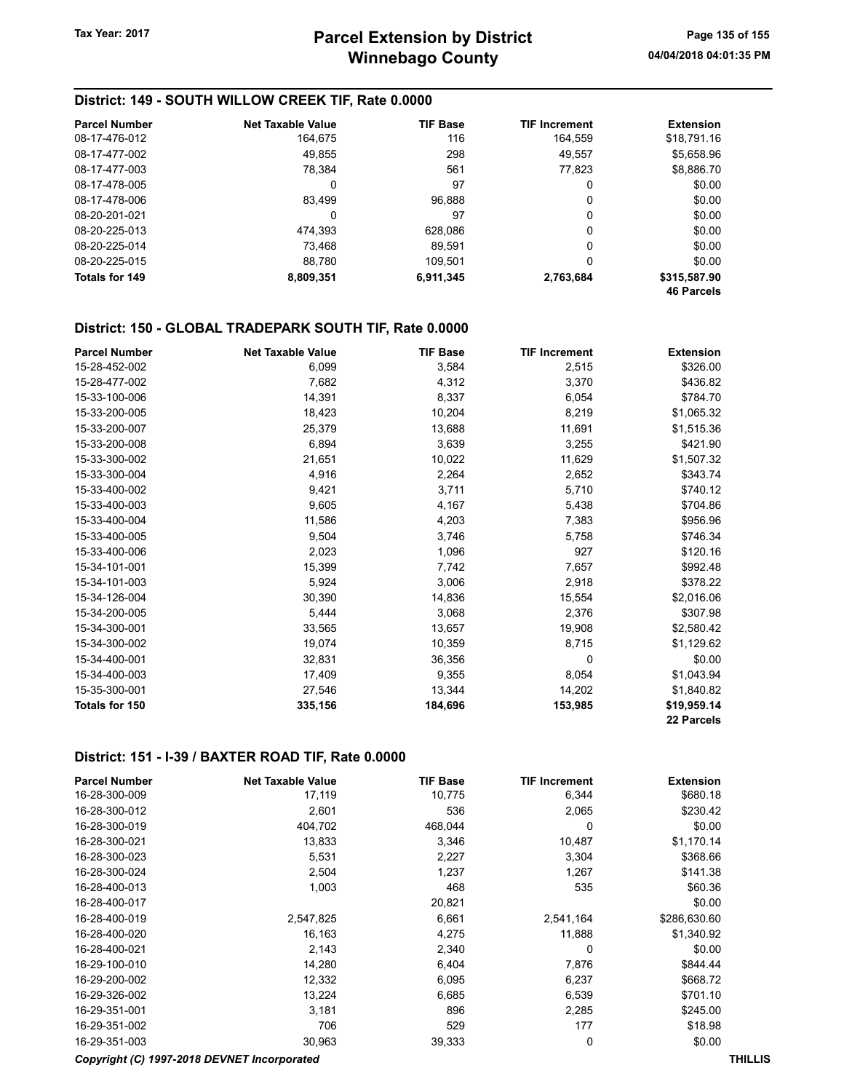## District: 149 - SOUTH WILLOW CREEK TIF, Rate 0.0000

| <b>Parcel Number</b> | <b>Net Taxable Value</b> | <b>TIF Base</b> | <b>TIF Increment</b> | <b>Extension</b>  |
|----------------------|--------------------------|-----------------|----------------------|-------------------|
| 08-17-476-012        | 164.675                  | 116             | 164.559              | \$18,791.16       |
| 08-17-477-002        | 49,855                   | 298             | 49,557               | \$5,658.96        |
| 08-17-477-003        | 78,384                   | 561             | 77,823               | \$8,886.70        |
| 08-17-478-005        | 0                        | 97              | 0                    | \$0.00            |
| 08-17-478-006        | 83,499                   | 96.888          | 0                    | \$0.00            |
| 08-20-201-021        | 0                        | 97              | 0                    | \$0.00            |
| 08-20-225-013        | 474.393                  | 628,086         | 0                    | \$0.00            |
| 08-20-225-014        | 73,468                   | 89.591          | 0                    | \$0.00            |
| 08-20-225-015        | 88,780                   | 109.501         | 0                    | \$0.00            |
| Totals for 149       | 8,809,351                | 6,911,345       | 2,763,684            | \$315,587.90      |
|                      |                          |                 |                      | <b>46 Parcels</b> |

## District: 150 - GLOBAL TRADEPARK SOUTH TIF, Rate 0.0000

| <b>Parcel Number</b> | <b>Net Taxable Value</b> | <b>TIF Base</b> | <b>TIF Increment</b> | <b>Extension</b> |
|----------------------|--------------------------|-----------------|----------------------|------------------|
| 15-28-452-002        | 6,099                    | 3,584           | 2,515                | \$326.00         |
| 15-28-477-002        | 7,682                    | 4,312           | 3,370                | \$436.82         |
| 15-33-100-006        | 14,391                   | 8,337           | 6,054                | \$784.70         |
| 15-33-200-005        | 18,423                   | 10,204          | 8,219                | \$1,065.32       |
| 15-33-200-007        | 25,379                   | 13,688          | 11,691               | \$1,515.36       |
| 15-33-200-008        | 6,894                    | 3,639           | 3,255                | \$421.90         |
| 15-33-300-002        | 21,651                   | 10,022          | 11,629               | \$1,507.32       |
| 15-33-300-004        | 4,916                    | 2,264           | 2,652                | \$343.74         |
| 15-33-400-002        | 9,421                    | 3,711           | 5,710                | \$740.12         |
| 15-33-400-003        | 9,605                    | 4,167           | 5,438                | \$704.86         |
| 15-33-400-004        | 11,586                   | 4,203           | 7,383                | \$956.96         |
| 15-33-400-005        | 9,504                    | 3,746           | 5,758                | \$746.34         |
| 15-33-400-006        | 2,023                    | 1,096           | 927                  | \$120.16         |
| 15-34-101-001        | 15,399                   | 7,742           | 7,657                | \$992.48         |
| 15-34-101-003        | 5,924                    | 3,006           | 2,918                | \$378.22         |
| 15-34-126-004        | 30,390                   | 14,836          | 15,554               | \$2,016.06       |
| 15-34-200-005        | 5,444                    | 3,068           | 2,376                | \$307.98         |
| 15-34-300-001        | 33,565                   | 13,657          | 19,908               | \$2,580.42       |
| 15-34-300-002        | 19,074                   | 10,359          | 8,715                | \$1,129.62       |
| 15-34-400-001        | 32,831                   | 36,356          | 0                    | \$0.00           |
| 15-34-400-003        | 17,409                   | 9,355           | 8,054                | \$1,043.94       |
| 15-35-300-001        | 27,546                   | 13,344          | 14,202               | \$1,840.82       |
| Totals for 150       | 335,156                  | 184,696         | 153,985              | \$19,959.14      |
|                      |                          |                 |                      | 22 Parcels       |

#### District: 151 - I-39 / BAXTER ROAD TIF, Rate 0.0000

| <b>Parcel Number</b>                        | <b>Net Taxable Value</b> | <b>TIF Base</b> | <b>TIF Increment</b> | <b>Extension</b> |  |
|---------------------------------------------|--------------------------|-----------------|----------------------|------------------|--|
| 16-28-300-009                               | 17,119                   | 10,775          | 6,344                | \$680.18         |  |
| 16-28-300-012                               | 2,601                    | 536             | 2,065                | \$230.42         |  |
| 16-28-300-019                               | 404,702                  | 468,044         | 0                    | \$0.00           |  |
| 16-28-300-021                               | 13,833                   | 3,346           | 10,487               | \$1,170.14       |  |
| 16-28-300-023                               | 5,531                    | 2,227           | 3,304                | \$368.66         |  |
| 16-28-300-024                               | 2,504                    | 1,237           | 1,267                | \$141.38         |  |
| 16-28-400-013                               | 1,003                    | 468             | 535                  | \$60.36          |  |
| 16-28-400-017                               |                          | 20,821          |                      | \$0.00           |  |
| 16-28-400-019                               | 2,547,825                | 6,661           | 2,541,164            | \$286,630.60     |  |
| 16-28-400-020                               | 16,163                   | 4,275           | 11,888               | \$1,340.92       |  |
| 16-28-400-021                               | 2,143                    | 2,340           | 0                    | \$0.00           |  |
| 16-29-100-010                               | 14,280                   | 6,404           | 7,876                | \$844.44         |  |
| 16-29-200-002                               | 12,332                   | 6,095           | 6,237                | \$668.72         |  |
| 16-29-326-002                               | 13,224                   | 6,685           | 6,539                | \$701.10         |  |
| 16-29-351-001                               | 3,181                    | 896             | 2,285                | \$245.00         |  |
| 16-29-351-002                               | 706                      | 529             | 177                  | \$18.98          |  |
| 16-29-351-003                               | 30,963                   | 39,333          | $\mathbf 0$          | \$0.00           |  |
| Copyright (C) 1997-2018 DEVNET Incorporated |                          |                 |                      | <b>THILLIS</b>   |  |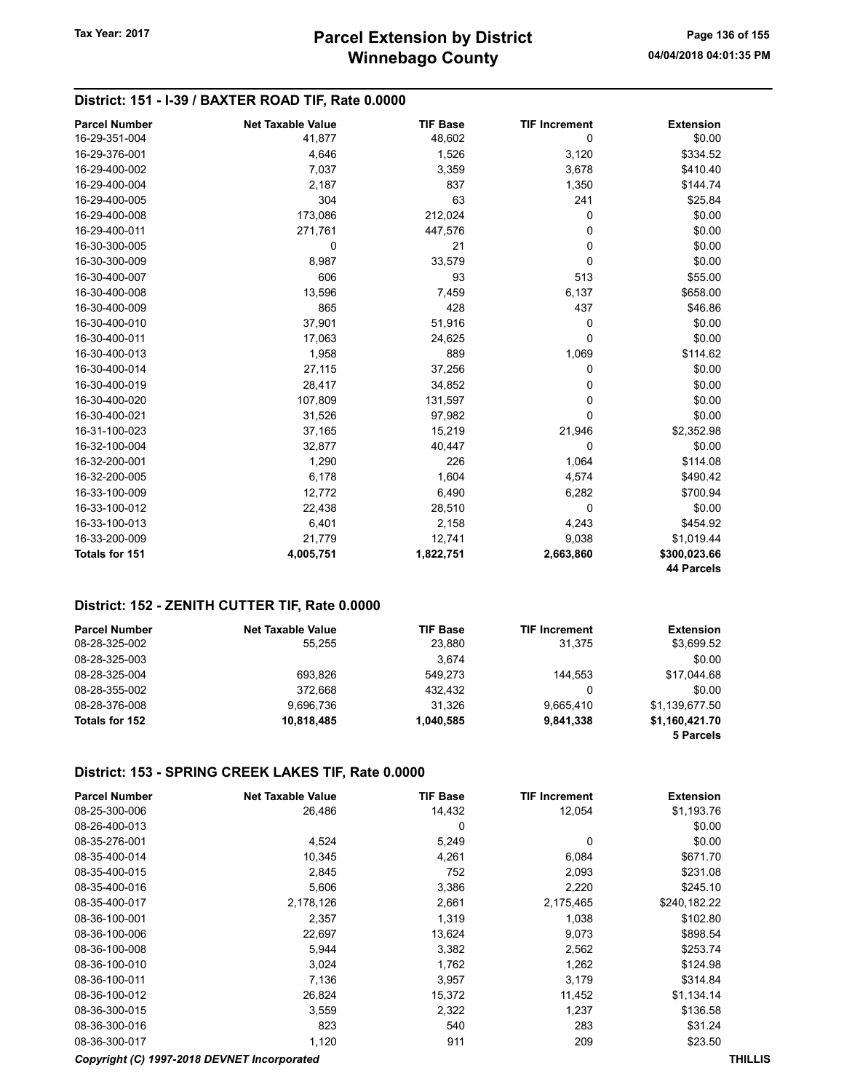## District: 151 - I-39 / BAXTER ROAD TIF, Rate 0.0000

| <b>Parcel Number</b> | <b>Net Taxable Value</b> | <b>TIF Base</b> | <b>TIF Increment</b> | <b>Extension</b>  |
|----------------------|--------------------------|-----------------|----------------------|-------------------|
| 16-29-351-004        | 41,877                   | 48,602          | 0                    | \$0.00            |
| 16-29-376-001        | 4,646                    | 1,526           | 3,120                | \$334.52          |
| 16-29-400-002        | 7,037                    | 3,359           | 3,678                | \$410.40          |
| 16-29-400-004        | 2,187                    | 837             | 1,350                | \$144.74          |
| 16-29-400-005        | 304                      | 63              | 241                  | \$25.84           |
| 16-29-400-008        | 173,086                  | 212,024         | 0                    | \$0.00            |
| 16-29-400-011        | 271,761                  | 447,576         | $\Omega$             | \$0.00            |
| 16-30-300-005        | 0                        | 21              | 0                    | \$0.00            |
| 16-30-300-009        | 8,987                    | 33,579          | $\Omega$             | \$0.00            |
| 16-30-400-007        | 606                      | 93              | 513                  | \$55.00           |
| 16-30-400-008        | 13,596                   | 7,459           | 6,137                | \$658.00          |
| 16-30-400-009        | 865                      | 428             | 437                  | \$46.86           |
| 16-30-400-010        | 37,901                   | 51,916          | 0                    | \$0.00            |
| 16-30-400-011        | 17,063                   | 24,625          | $\Omega$             | \$0.00            |
| 16-30-400-013        | 1,958                    | 889             | 1,069                | \$114.62          |
| 16-30-400-014        | 27,115                   | 37,256          | 0                    | \$0.00            |
| 16-30-400-019        | 28,417                   | 34,852          | 0                    | \$0.00            |
| 16-30-400-020        | 107,809                  | 131,597         | 0                    | \$0.00            |
| 16-30-400-021        | 31,526                   | 97,982          | 0                    | \$0.00            |
| 16-31-100-023        | 37,165                   | 15,219          | 21,946               | \$2,352.98        |
| 16-32-100-004        | 32,877                   | 40,447          | 0                    | \$0.00            |
| 16-32-200-001        | 1,290                    | 226             | 1,064                | \$114.08          |
| 16-32-200-005        | 6,178                    | 1,604           | 4,574                | \$490.42          |
| 16-33-100-009        | 12,772                   | 6,490           | 6,282                | \$700.94          |
| 16-33-100-012        | 22,438                   | 28,510          | 0                    | \$0.00            |
| 16-33-100-013        | 6,401                    | 2,158           | 4,243                | \$454.92          |
| 16-33-200-009        | 21,779                   | 12,741          | 9,038                | \$1,019.44        |
| Totals for 151       | 4,005,751                | 1,822,751       | 2,663,860            | \$300,023.66      |
|                      |                          |                 |                      | <b>44 Parcels</b> |

#### District: 152 - ZENITH CUTTER TIF, Rate 0.0000

| <b>Parcel Number</b> | <b>Net Taxable Value</b> | <b>TIF Base</b> | <b>TIF Increment</b> | <b>Extension</b> |
|----------------------|--------------------------|-----------------|----------------------|------------------|
| 08-28-325-002        | 55.255                   | 23.880          | 31.375               | \$3,699.52       |
| 08-28-325-003        |                          | 3.674           |                      | \$0.00           |
| 08-28-325-004        | 693.826                  | 549.273         | 144.553              | \$17.044.68      |
| 08-28-355-002        | 372.668                  | 432.432         |                      | \$0.00           |
| 08-28-376-008        | 9.696.736                | 31.326          | 9.665.410            | \$1,139,677.50   |
| Totals for 152       | 10.818.485               | 1.040.585       | 9,841,338            | \$1,160,421.70   |
|                      |                          |                 |                      | 5 Parcels        |

#### District: 153 - SPRING CREEK LAKES TIF, Rate 0.0000

| <b>Parcel Number</b> | <b>Net Taxable Value</b> | <b>TIF Base</b> | <b>TIF Increment</b> | <b>Extension</b> |
|----------------------|--------------------------|-----------------|----------------------|------------------|
| 08-25-300-006        | 26,486                   | 14,432          | 12,054               | \$1,193.76       |
| 08-26-400-013        |                          | 0               |                      | \$0.00           |
| 08-35-276-001        | 4,524                    | 5,249           | $\Omega$             | \$0.00           |
| 08-35-400-014        | 10,345                   | 4,261           | 6,084                | \$671.70         |
| 08-35-400-015        | 2,845                    | 752             | 2,093                | \$231.08         |
| 08-35-400-016        | 5,606                    | 3,386           | 2,220                | \$245.10         |
| 08-35-400-017        | 2,178,126                | 2,661           | 2,175,465            | \$240,182.22     |
| 08-36-100-001        | 2,357                    | 1,319           | 1,038                | \$102.80         |
| 08-36-100-006        | 22,697                   | 13,624          | 9,073                | \$898.54         |
| 08-36-100-008        | 5,944                    | 3,382           | 2,562                | \$253.74         |
| 08-36-100-010        | 3,024                    | 1,762           | 1,262                | \$124.98         |
| 08-36-100-011        | 7,136                    | 3,957           | 3,179                | \$314.84         |
| 08-36-100-012        | 26,824                   | 15,372          | 11,452               | \$1,134.14       |
| 08-36-300-015        | 3,559                    | 2,322           | 1,237                | \$136.58         |
| 08-36-300-016        | 823                      | 540             | 283                  | \$31.24          |
| 08-36-300-017        | 1,120                    | 911             | 209                  | \$23.50          |

#### Copyright (C) 1997-2018 DEVNET Incorporated THILLIS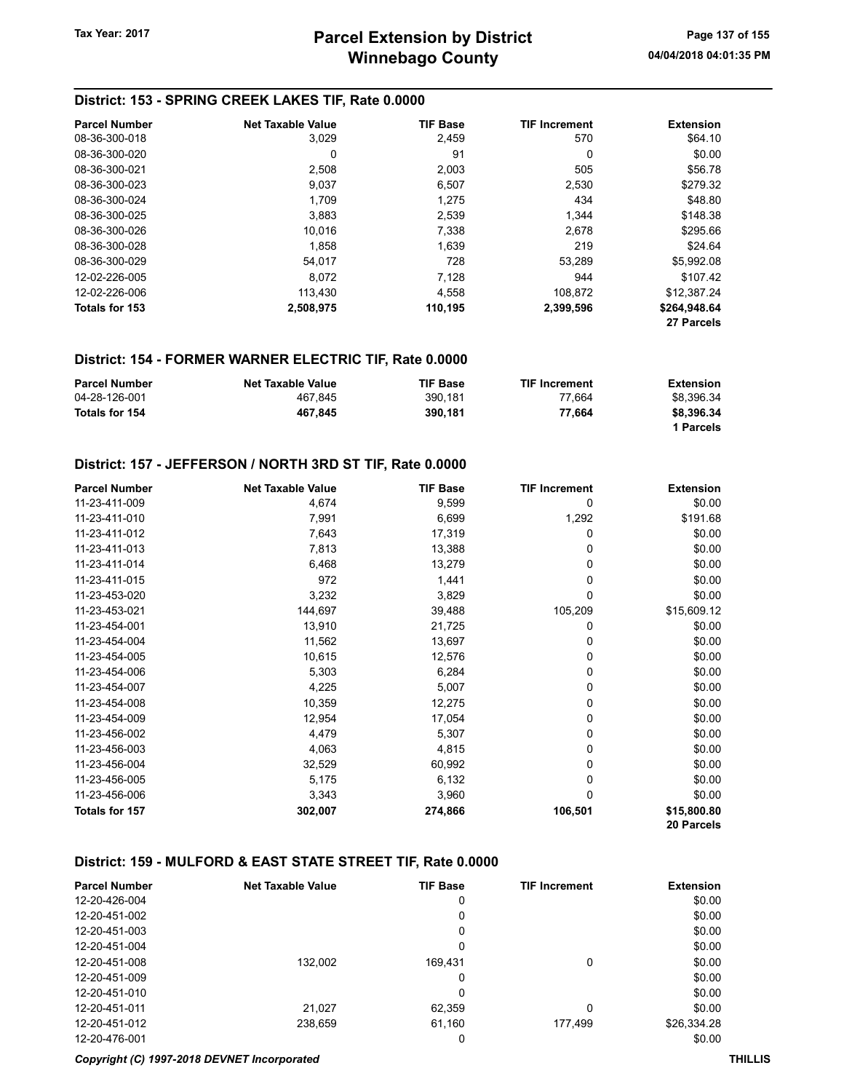#### District: 153 - SPRING CREEK LAKES TIF, Rate 0.0000

| <b>Parcel Number</b> | <b>Net Taxable Value</b> | <b>TIF Base</b> | <b>TIF Increment</b> | <b>Extension</b> |
|----------------------|--------------------------|-----------------|----------------------|------------------|
| 08-36-300-018        | 3,029                    | 2,459           | 570                  | \$64.10          |
| 08-36-300-020        | 0                        | 91              | 0                    | \$0.00           |
| 08-36-300-021        | 2.508                    | 2.003           | 505                  | \$56.78          |
| 08-36-300-023        | 9.037                    | 6,507           | 2.530                | \$279.32         |
| 08-36-300-024        | 1.709                    | 1.275           | 434                  | \$48.80          |
| 08-36-300-025        | 3.883                    | 2.539           | 1.344                | \$148.38         |
| 08-36-300-026        | 10.016                   | 7,338           | 2.678                | \$295.66         |
| 08-36-300-028        | 1.858                    | 1.639           | 219                  | \$24.64          |
| 08-36-300-029        | 54.017                   | 728             | 53.289               | \$5.992.08       |
| 12-02-226-005        | 8.072                    | 7.128           | 944                  | \$107.42         |
| 12-02-226-006        | 113,430                  | 4,558           | 108,872              | \$12,387.24      |
| Totals for 153       | 2,508,975                | 110,195         | 2,399,596            | \$264,948.64     |
|                      |                          |                 |                      | 27 Parcels       |

## District: 154 - FORMER WARNER ELECTRIC TIF, Rate 0.0000

| <b>Parcel Number</b> | <b>Net Taxable Value</b> | <b>TIF Base</b> | <b>TIF Increment</b> | Extension  |
|----------------------|--------------------------|-----------------|----------------------|------------|
| 04-28-126-001        | 467.845                  | 390.181         | 77.664               | \$8.396.34 |
| Totals for 154       | 467.845                  | 390.181         | 77.664               | \$8,396,34 |
|                      |                          |                 |                      | 1 Parcels  |

### District: 157 - JEFFERSON / NORTH 3RD ST TIF, Rate 0.0000

| <b>Parcel Number</b> | <b>Net Taxable Value</b> | <b>TIF Base</b> | <b>TIF Increment</b> | <b>Extension</b> |
|----------------------|--------------------------|-----------------|----------------------|------------------|
| 11-23-411-009        | 4,674                    | 9,599           | 0                    | \$0.00           |
| 11-23-411-010        | 7,991                    | 6,699           | 1,292                | \$191.68         |
| 11-23-411-012        | 7,643                    | 17,319          | 0                    | \$0.00           |
| 11-23-411-013        | 7,813                    | 13,388          | 0                    | \$0.00           |
| 11-23-411-014        | 6,468                    | 13,279          | 0                    | \$0.00           |
| 11-23-411-015        | 972                      | 1,441           | 0                    | \$0.00           |
| 11-23-453-020        | 3,232                    | 3,829           | 0                    | \$0.00           |
| 11-23-453-021        | 144,697                  | 39,488          | 105,209              | \$15,609.12      |
| 11-23-454-001        | 13,910                   | 21,725          | 0                    | \$0.00           |
| 11-23-454-004        | 11,562                   | 13,697          | 0                    | \$0.00           |
| 11-23-454-005        | 10,615                   | 12,576          | 0                    | \$0.00           |
| 11-23-454-006        | 5,303                    | 6,284           | 0                    | \$0.00           |
| 11-23-454-007        | 4,225                    | 5,007           | 0                    | \$0.00           |
| 11-23-454-008        | 10,359                   | 12,275          | 0                    | \$0.00           |
| 11-23-454-009        | 12,954                   | 17,054          | 0                    | \$0.00           |
| 11-23-456-002        | 4,479                    | 5,307           | 0                    | \$0.00           |
| 11-23-456-003        | 4,063                    | 4,815           | 0                    | \$0.00           |
| 11-23-456-004        | 32,529                   | 60,992          | 0                    | \$0.00           |
| 11-23-456-005        | 5,175                    | 6,132           | 0                    | \$0.00           |
| 11-23-456-006        | 3,343                    | 3,960           | 0                    | \$0.00           |
| Totals for 157       | 302,007                  | 274,866         | 106,501              | \$15,800.80      |
|                      |                          |                 |                      | 20 Parcels       |

| <b>Parcel Number</b> | <b>Net Taxable Value</b> | <b>TIF Base</b> | <b>TIF Increment</b> | <b>Extension</b> |
|----------------------|--------------------------|-----------------|----------------------|------------------|
| 12-20-426-004        |                          | 0               |                      | \$0.00           |
| 12-20-451-002        |                          | 0               |                      | \$0.00           |
| 12-20-451-003        |                          | 0               |                      | \$0.00           |
| 12-20-451-004        |                          | 0               |                      | \$0.00           |
| 12-20-451-008        | 132.002                  | 169.431         | 0                    | \$0.00           |
| 12-20-451-009        |                          | 0               |                      | \$0.00           |
| 12-20-451-010        |                          | 0               |                      | \$0.00           |
| 12-20-451-011        | 21,027                   | 62,359          | 0                    | \$0.00           |
| 12-20-451-012        | 238,659                  | 61,160          | 177.499              | \$26,334.28      |
| 12-20-476-001        |                          | 0               |                      | \$0.00           |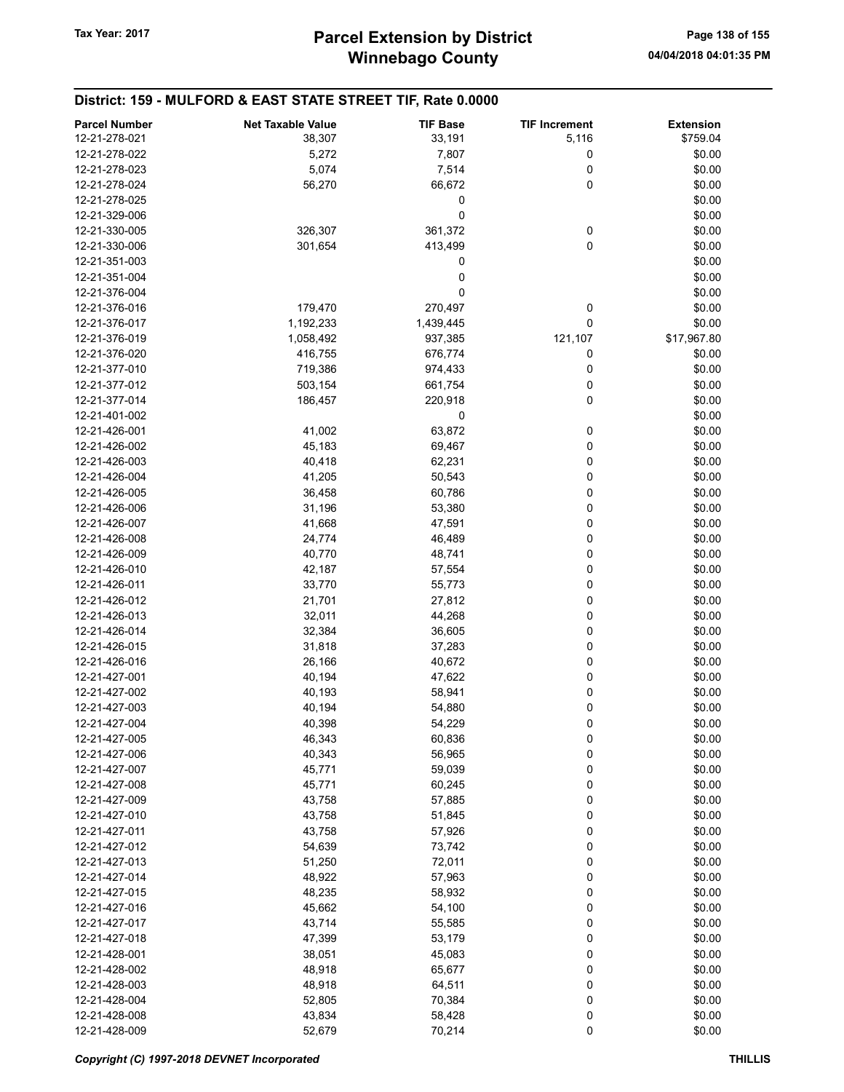| <b>Parcel Number</b> | <b>Net Taxable Value</b> | <b>TIF Base</b> | <b>TIF Increment</b> | <b>Extension</b> |
|----------------------|--------------------------|-----------------|----------------------|------------------|
| 12-21-278-021        | 38,307                   | 33,191          | 5,116                | \$759.04         |
| 12-21-278-022        | 5,272                    | 7,807           | 0                    | \$0.00           |
| 12-21-278-023        | 5,074                    | 7,514           | 0                    | \$0.00           |
| 12-21-278-024        | 56,270                   | 66,672          | 0                    | \$0.00           |
| 12-21-278-025        |                          | 0               |                      | \$0.00           |
| 12-21-329-006        |                          | 0               |                      | \$0.00           |
| 12-21-330-005        | 326,307                  | 361,372         | 0                    | \$0.00           |
| 12-21-330-006        | 301,654                  | 413,499         | 0                    | \$0.00           |
| 12-21-351-003        |                          | 0               |                      | \$0.00           |
| 12-21-351-004        |                          | 0               |                      | \$0.00           |
| 12-21-376-004        |                          | 0               |                      | \$0.00           |
| 12-21-376-016        | 179,470                  | 270,497         | 0                    | \$0.00           |
| 12-21-376-017        | 1,192,233                | 1,439,445       | 0                    | \$0.00           |
| 12-21-376-019        | 1,058,492                | 937,385         | 121,107              | \$17,967.80      |
| 12-21-376-020        | 416,755                  | 676,774         | 0                    | \$0.00           |
| 12-21-377-010        | 719,386                  | 974,433         | 0                    | \$0.00           |
| 12-21-377-012        | 503,154                  | 661,754         | 0                    | \$0.00           |
| 12-21-377-014        | 186,457                  | 220,918         | 0                    | \$0.00           |
| 12-21-401-002        |                          | 0               |                      | \$0.00           |
| 12-21-426-001        | 41,002                   | 63,872          | 0                    | \$0.00           |
| 12-21-426-002        | 45,183                   | 69,467          | 0                    | \$0.00           |
| 12-21-426-003        | 40,418                   | 62,231          | 0                    | \$0.00           |
| 12-21-426-004        | 41,205                   | 50,543          | 0                    | \$0.00           |
| 12-21-426-005        | 36,458                   | 60,786          | 0                    | \$0.00           |
| 12-21-426-006        | 31,196                   | 53,380          | 0                    | \$0.00           |
| 12-21-426-007        | 41,668                   | 47,591          | 0                    | \$0.00           |
| 12-21-426-008        | 24,774                   | 46,489          | 0                    | \$0.00           |
| 12-21-426-009        | 40,770                   | 48,741          | 0                    | \$0.00           |
| 12-21-426-010        | 42,187                   | 57,554          | 0                    | \$0.00           |
| 12-21-426-011        | 33,770                   | 55,773          | 0                    | \$0.00           |
| 12-21-426-012        | 21,701                   | 27,812          | 0                    | \$0.00           |
| 12-21-426-013        | 32,011                   | 44,268          | 0                    | \$0.00           |
| 12-21-426-014        | 32,384                   | 36,605          | 0                    | \$0.00           |
| 12-21-426-015        | 31,818                   | 37,283          | 0                    | \$0.00           |
| 12-21-426-016        | 26,166                   | 40,672          | 0                    | \$0.00           |
| 12-21-427-001        | 40,194                   | 47,622          | 0                    | \$0.00           |
| 12-21-427-002        | 40,193                   | 58,941          | 0                    | \$0.00           |
| 12-21-427-003        | 40,194                   | 54,880          | 0                    | \$0.00           |
| 12-21-427-004        | 40,398                   | 54,229          | 0                    | \$0.00           |
| 12-21-427-005        | 46,343                   | 60,836          | 0                    | \$0.00           |
| 12-21-427-006        | 40,343                   | 56,965          | 0                    | \$0.00           |
| 12-21-427-007        | 45,771                   | 59,039          | 0                    | \$0.00           |
| 12-21-427-008        | 45,771                   | 60,245          | 0                    | \$0.00           |
| 12-21-427-009        | 43,758                   | 57,885          | 0                    | \$0.00           |
| 12-21-427-010        | 43,758                   | 51,845          | 0                    | \$0.00           |
| 12-21-427-011        | 43,758                   | 57,926          | 0                    | \$0.00           |
| 12-21-427-012        | 54,639                   | 73,742          | 0                    | \$0.00           |
| 12-21-427-013        | 51,250                   | 72,011          | 0                    | \$0.00           |
| 12-21-427-014        | 48,922                   | 57,963          | 0                    | \$0.00           |
| 12-21-427-015        | 48,235                   | 58,932          | 0                    | \$0.00           |
| 12-21-427-016        | 45,662                   | 54,100          | 0                    | \$0.00           |
| 12-21-427-017        | 43,714                   | 55,585          | 0                    | \$0.00           |
| 12-21-427-018        | 47,399                   | 53,179          | 0                    | \$0.00           |
| 12-21-428-001        | 38,051                   | 45,083          | 0                    | \$0.00           |
| 12-21-428-002        | 48,918                   | 65,677          | 0                    | \$0.00           |
| 12-21-428-003        | 48,918                   | 64,511          | 0                    | \$0.00           |
| 12-21-428-004        | 52,805                   | 70,384          | 0                    | \$0.00           |
| 12-21-428-008        | 43,834                   | 58,428          | 0                    | \$0.00           |
| 12-21-428-009        | 52,679                   | 70,214          | 0                    | \$0.00           |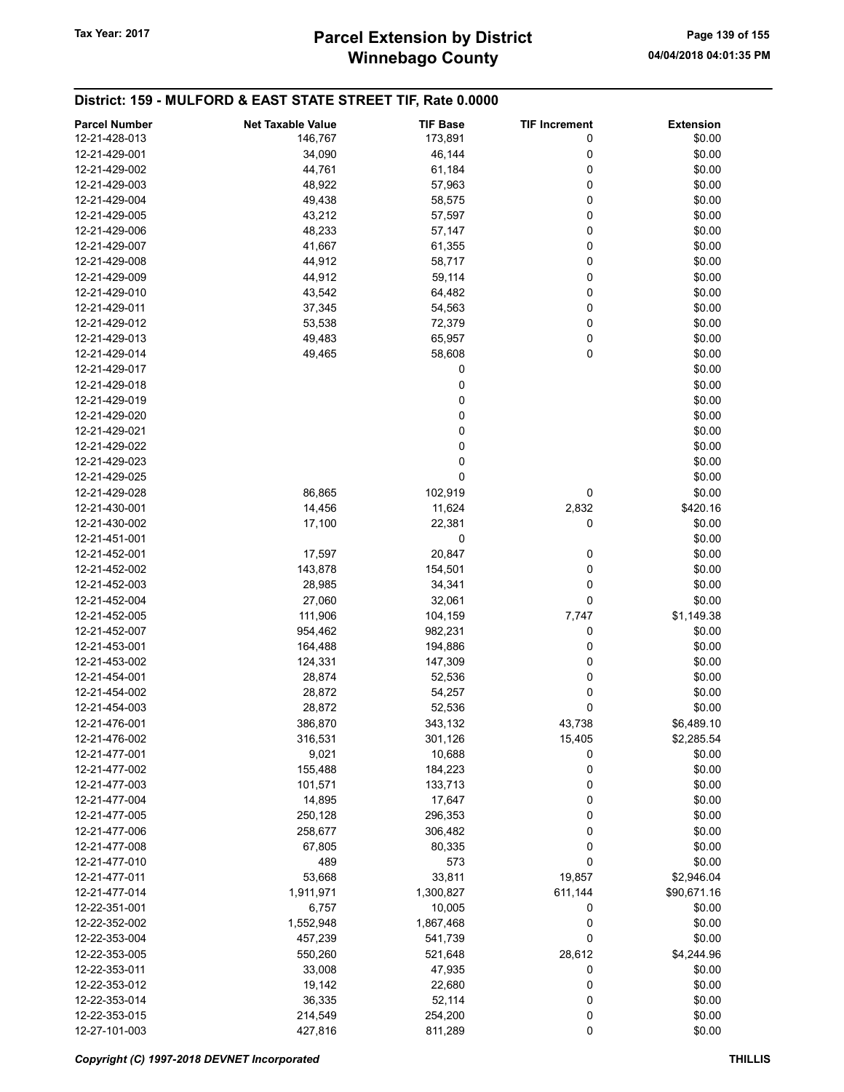# Winnebago County Tax Year: 2017 **Parcel Extension by District** Page 139 of 155

| <b>Parcel Number</b> | <b>Net Taxable Value</b> | <b>TIF Base</b> | <b>TIF Increment</b> | <b>Extension</b> |
|----------------------|--------------------------|-----------------|----------------------|------------------|
| 12-21-428-013        | 146,767                  | 173,891         | 0                    | \$0.00           |
| 12-21-429-001        | 34,090                   | 46,144          | 0                    | \$0.00           |
| 12-21-429-002        | 44,761                   | 61,184          | 0                    | \$0.00           |
| 12-21-429-003        | 48,922                   | 57,963          | 0                    | \$0.00           |
| 12-21-429-004        | 49,438                   | 58,575          | 0                    | \$0.00           |
| 12-21-429-005        | 43,212                   | 57,597          | 0                    | \$0.00           |
| 12-21-429-006        |                          |                 | 0                    | \$0.00           |
|                      | 48,233                   | 57,147          |                      |                  |
| 12-21-429-007        | 41,667                   | 61,355          | 0                    | \$0.00           |
| 12-21-429-008        | 44,912                   | 58,717          | 0                    | \$0.00           |
| 12-21-429-009        | 44,912                   | 59,114          | 0                    | \$0.00           |
| 12-21-429-010        | 43,542                   | 64,482          | 0                    | \$0.00           |
| 12-21-429-011        | 37,345                   | 54,563          | 0                    | \$0.00           |
| 12-21-429-012        | 53,538                   | 72,379          | 0                    | \$0.00           |
| 12-21-429-013        | 49,483                   | 65,957          | 0                    | \$0.00           |
| 12-21-429-014        | 49,465                   | 58,608          | 0                    | \$0.00           |
| 12-21-429-017        |                          | 0               |                      | \$0.00           |
| 12-21-429-018        |                          | 0               |                      | \$0.00           |
| 12-21-429-019        |                          | 0               |                      | \$0.00           |
| 12-21-429-020        |                          | 0               |                      | \$0.00           |
| 12-21-429-021        |                          | 0               |                      | \$0.00           |
| 12-21-429-022        |                          | 0               |                      | \$0.00           |
| 12-21-429-023        |                          | 0               |                      | \$0.00           |
| 12-21-429-025        |                          | 0               |                      | \$0.00           |
| 12-21-429-028        | 86,865                   | 102,919         | 0                    | \$0.00           |
| 12-21-430-001        | 14,456                   | 11,624          | 2,832                | \$420.16         |
| 12-21-430-002        | 17,100                   | 22,381          | 0                    | \$0.00           |
| 12-21-451-001        |                          | 0               |                      | \$0.00           |
| 12-21-452-001        | 17,597                   | 20,847          | 0                    | \$0.00           |
| 12-21-452-002        | 143,878                  | 154,501         | 0                    | \$0.00           |
| 12-21-452-003        | 28,985                   | 34,341          | 0                    | \$0.00           |
| 12-21-452-004        | 27,060                   | 32,061          | 0                    | \$0.00           |
| 12-21-452-005        | 111,906                  | 104,159         | 7,747                | \$1,149.38       |
| 12-21-452-007        | 954,462                  | 982,231         | 0                    | \$0.00           |
| 12-21-453-001        | 164,488                  | 194,886         | 0                    | \$0.00           |
| 12-21-453-002        | 124,331                  | 147,309         | 0                    | \$0.00           |
| 12-21-454-001        | 28,874                   | 52,536          | 0                    | \$0.00           |
| 12-21-454-002        | 28,872                   | 54,257          | 0                    | \$0.00           |
| 12-21-454-003        |                          |                 | 0                    |                  |
|                      | 28,872                   | 52,536          |                      | \$0.00           |
| 12-21-476-001        | 386,870                  | 343,132         | 43,738               | \$6,489.10       |
| 12-21-476-002        | 316,531                  | 301,126         | 15,405               | \$2,285.54       |
| 12-21-477-001        | 9,021                    | 10,688          | 0                    | \$0.00           |
| 12-21-477-002        | 155,488                  | 184,223         | 0                    | \$0.00           |
| 12-21-477-003        | 101,571                  | 133,713         | 0                    | \$0.00           |
| 12-21-477-004        | 14,895                   | 17,647          | 0                    | \$0.00           |
| 12-21-477-005        | 250,128                  | 296,353         | 0                    | \$0.00           |
| 12-21-477-006        | 258,677                  | 306,482         | 0                    | \$0.00           |
| 12-21-477-008        | 67,805                   | 80,335          | 0                    | \$0.00           |
| 12-21-477-010        | 489                      | 573             | 0                    | \$0.00           |
| 12-21-477-011        | 53,668                   | 33,811          | 19,857               | \$2,946.04       |
| 12-21-477-014        | 1,911,971                | 1,300,827       | 611,144              | \$90,671.16      |
| 12-22-351-001        | 6,757                    | 10,005          | 0                    | \$0.00           |
| 12-22-352-002        | 1,552,948                | 1,867,468       | 0                    | \$0.00           |
| 12-22-353-004        | 457,239                  | 541,739         | 0                    | \$0.00           |
| 12-22-353-005        | 550,260                  | 521,648         | 28,612               | \$4,244.96       |
| 12-22-353-011        | 33,008                   | 47,935          | 0                    | \$0.00           |
| 12-22-353-012        | 19,142                   | 22,680          | 0                    | \$0.00           |
| 12-22-353-014        | 36,335                   | 52,114          | 0                    | \$0.00           |
| 12-22-353-015        | 214,549                  | 254,200         | 0                    | \$0.00           |
| 12-27-101-003        | 427,816                  | 811,289         | 0                    | \$0.00           |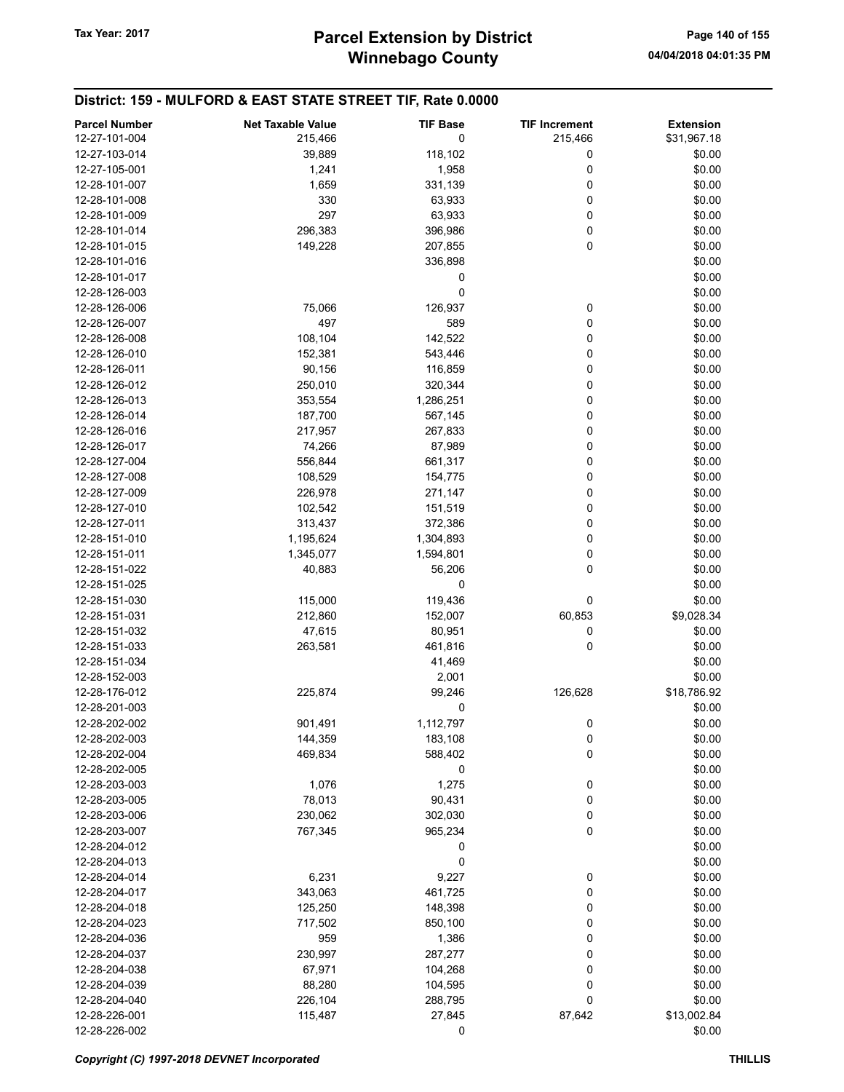| <b>Parcel Number</b> | <b>Net Taxable Value</b> | <b>TIF Base</b> | <b>TIF Increment</b> | <b>Extension</b> |
|----------------------|--------------------------|-----------------|----------------------|------------------|
| 12-27-101-004        | 215,466                  | 0               | 215,466              | \$31,967.18      |
| 12-27-103-014        | 39,889                   | 118,102         | 0                    | \$0.00           |
| 12-27-105-001        | 1,241                    | 1,958           | 0                    | \$0.00           |
| 12-28-101-007        | 1,659                    | 331,139         | 0                    | \$0.00           |
| 12-28-101-008        | 330                      | 63,933          | 0                    | \$0.00           |
| 12-28-101-009        | 297                      | 63,933          | 0                    | \$0.00           |
| 12-28-101-014        | 296,383                  | 396,986         | 0                    | \$0.00           |
| 12-28-101-015        | 149,228                  | 207,855         | 0                    | \$0.00           |
| 12-28-101-016        |                          | 336,898         |                      | \$0.00           |
| 12-28-101-017        |                          | 0               |                      | \$0.00           |
| 12-28-126-003        |                          | 0               |                      | \$0.00           |
| 12-28-126-006        | 75,066                   | 126,937         | 0                    | \$0.00           |
| 12-28-126-007        | 497                      | 589             | 0                    | \$0.00           |
| 12-28-126-008        | 108,104                  | 142,522         | 0                    | \$0.00           |
| 12-28-126-010        | 152,381                  | 543,446         | 0                    | \$0.00           |
| 12-28-126-011        | 90,156                   | 116,859         | 0                    | \$0.00           |
| 12-28-126-012        | 250,010                  | 320,344         | 0                    | \$0.00           |
| 12-28-126-013        | 353,554                  | 1,286,251       | 0                    | \$0.00           |
| 12-28-126-014        | 187,700                  | 567,145         | 0                    | \$0.00           |
| 12-28-126-016        | 217,957                  | 267,833         | 0                    | \$0.00           |
| 12-28-126-017        | 74,266                   | 87,989          | 0                    | \$0.00           |
| 12-28-127-004        | 556,844                  | 661,317         | 0                    | \$0.00           |
| 12-28-127-008        | 108,529                  | 154,775         | 0                    | \$0.00           |
| 12-28-127-009        | 226,978                  | 271,147         | 0                    | \$0.00           |
| 12-28-127-010        | 102,542                  | 151,519         | 0                    | \$0.00           |
| 12-28-127-011        | 313,437                  | 372,386         | 0                    | \$0.00           |
| 12-28-151-010        | 1,195,624                | 1,304,893       | 0                    | \$0.00           |
| 12-28-151-011        | 1,345,077                | 1,594,801       | 0                    | \$0.00           |
| 12-28-151-022        | 40,883                   | 56,206          | 0                    | \$0.00           |
| 12-28-151-025        |                          | 0               |                      | \$0.00           |
| 12-28-151-030        | 115,000                  | 119,436         | 0                    | \$0.00           |
| 12-28-151-031        | 212,860                  | 152,007         | 60,853               | \$9,028.34       |
| 12-28-151-032        | 47,615                   | 80,951          | 0                    | \$0.00           |
| 12-28-151-033        | 263,581                  | 461,816         | 0                    | \$0.00           |
| 12-28-151-034        |                          | 41,469          |                      | \$0.00           |
| 12-28-152-003        |                          | 2,001           |                      | \$0.00           |
| 12-28-176-012        | 225,874                  | 99,246          | 126,628              | \$18,786.92      |
| 12-28-201-003        |                          | 0               |                      | \$0.00           |
| 12-28-202-002        | 901,491                  | 1,112,797       | 0                    | \$0.00           |
| 12-28-202-003        | 144,359                  | 183,108         | 0                    | \$0.00           |
| 12-28-202-004        | 469,834                  | 588,402         | 0                    | \$0.00           |
| 12-28-202-005        |                          | 0               |                      | \$0.00           |
| 12-28-203-003        | 1,076                    | 1,275           | 0                    | \$0.00           |
| 12-28-203-005        | 78,013                   | 90,431          | 0                    | \$0.00           |
| 12-28-203-006        | 230,062                  | 302,030         | 0                    | \$0.00           |
| 12-28-203-007        | 767,345                  | 965,234         | 0                    | \$0.00           |
| 12-28-204-012        |                          | 0               |                      | \$0.00           |
| 12-28-204-013        |                          | 0               |                      | \$0.00           |
| 12-28-204-014        | 6,231                    | 9,227           | 0                    | \$0.00           |
| 12-28-204-017        | 343,063                  | 461,725         | 0                    | \$0.00           |
| 12-28-204-018        | 125,250                  | 148,398         | 0                    | \$0.00           |
| 12-28-204-023        | 717,502                  | 850,100         | 0                    | \$0.00           |
| 12-28-204-036        | 959                      | 1,386           | 0                    | \$0.00           |
| 12-28-204-037        | 230,997                  | 287,277         | 0                    | \$0.00           |
| 12-28-204-038        | 67,971                   | 104,268         | 0                    | \$0.00           |
| 12-28-204-039        | 88,280                   | 104,595         | 0                    | \$0.00           |
| 12-28-204-040        | 226,104                  | 288,795         | 0                    | \$0.00           |
| 12-28-226-001        | 115,487                  | 27,845          | 87,642               | \$13,002.84      |
| 12-28-226-002        |                          | 0               |                      | \$0.00           |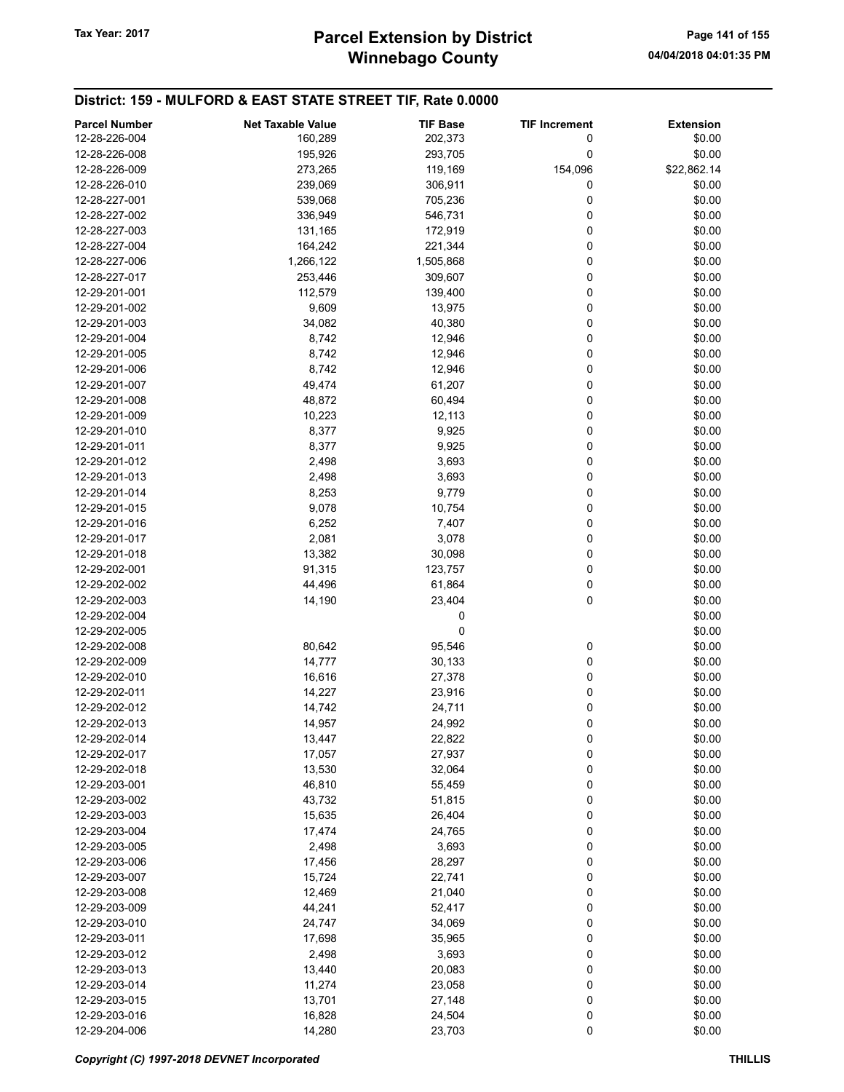| <b>Parcel Number</b> | <b>Net Taxable Value</b> | <b>TIF Base</b> | <b>TIF Increment</b> | <b>Extension</b> |
|----------------------|--------------------------|-----------------|----------------------|------------------|
| 12-28-226-004        | 160,289                  | 202,373         | 0                    | \$0.00           |
|                      |                          |                 |                      |                  |
| 12-28-226-008        | 195,926                  | 293,705         | 0                    | \$0.00           |
| 12-28-226-009        | 273,265                  | 119,169         | 154,096              | \$22,862.14      |
| 12-28-226-010        | 239,069                  | 306,911         | 0                    | \$0.00           |
| 12-28-227-001        | 539,068                  | 705,236         | 0                    | \$0.00           |
| 12-28-227-002        | 336,949                  | 546,731         | 0                    | \$0.00           |
| 12-28-227-003        | 131,165                  | 172,919         | 0                    | \$0.00           |
| 12-28-227-004        | 164,242                  | 221,344         | 0                    | \$0.00           |
| 12-28-227-006        | 1,266,122                | 1,505,868       | 0                    | \$0.00           |
| 12-28-227-017        | 253,446                  | 309,607         | 0                    | \$0.00           |
| 12-29-201-001        | 112,579                  | 139,400         | 0                    | \$0.00           |
| 12-29-201-002        | 9,609                    | 13,975          | 0                    | \$0.00           |
|                      |                          |                 | 0                    | \$0.00           |
| 12-29-201-003        | 34,082                   | 40,380          |                      |                  |
| 12-29-201-004        | 8,742                    | 12,946          | 0                    | \$0.00           |
| 12-29-201-005        | 8,742                    | 12,946          | 0                    | \$0.00           |
| 12-29-201-006        | 8,742                    | 12,946          | 0                    | \$0.00           |
| 12-29-201-007        | 49,474                   | 61,207          | 0                    | \$0.00           |
| 12-29-201-008        | 48,872                   | 60,494          | 0                    | \$0.00           |
| 12-29-201-009        | 10,223                   | 12,113          | 0                    | \$0.00           |
| 12-29-201-010        | 8,377                    | 9,925           | 0                    | \$0.00           |
| 12-29-201-011        | 8,377                    | 9,925           | 0                    | \$0.00           |
| 12-29-201-012        | 2,498                    | 3,693           | 0                    | \$0.00           |
| 12-29-201-013        | 2,498                    | 3,693           | 0                    | \$0.00           |
| 12-29-201-014        | 8,253                    | 9,779           | 0                    | \$0.00           |
| 12-29-201-015        | 9,078                    |                 | 0                    | \$0.00           |
|                      |                          | 10,754          |                      |                  |
| 12-29-201-016        | 6,252                    | 7,407           | 0                    | \$0.00           |
| 12-29-201-017        | 2,081                    | 3,078           | 0                    | \$0.00           |
| 12-29-201-018        | 13,382                   | 30,098          | 0                    | \$0.00           |
| 12-29-202-001        | 91,315                   | 123,757         | 0                    | \$0.00           |
| 12-29-202-002        | 44,496                   | 61,864          | 0                    | \$0.00           |
| 12-29-202-003        | 14,190                   | 23,404          | 0                    | \$0.00           |
| 12-29-202-004        |                          | 0               |                      | \$0.00           |
| 12-29-202-005        |                          | 0               |                      | \$0.00           |
| 12-29-202-008        | 80,642                   | 95,546          | 0                    | \$0.00           |
| 12-29-202-009        | 14,777                   | 30,133          | 0                    | \$0.00           |
| 12-29-202-010        | 16,616                   | 27,378          | 0                    | \$0.00           |
| 12-29-202-011        | 14,227                   | 23,916          | 0                    | \$0.00           |
| 12-29-202-012        | 14,742                   | 24,711          | 0                    | \$0.00           |
|                      |                          |                 |                      |                  |
| 12-29-202-013        | 14,957                   | 24,992          | 0                    | \$0.00           |
| 12-29-202-014        | 13,447                   | 22,822          | 0                    | \$0.00           |
| 12-29-202-017        | 17,057                   | 27,937          | 0                    | \$0.00           |
| 12-29-202-018        | 13,530                   | 32,064          | 0                    | \$0.00           |
| 12-29-203-001        | 46,810                   | 55,459          | 0                    | \$0.00           |
| 12-29-203-002        | 43,732                   | 51,815          | 0                    | \$0.00           |
| 12-29-203-003        | 15,635                   | 26,404          | 0                    | \$0.00           |
| 12-29-203-004        | 17,474                   | 24,765          | 0                    | \$0.00           |
| 12-29-203-005        | 2,498                    | 3,693           | 0                    | \$0.00           |
| 12-29-203-006        | 17,456                   | 28,297          | 0                    | \$0.00           |
| 12-29-203-007        | 15,724                   | 22,741          | 0                    | \$0.00           |
| 12-29-203-008        | 12,469                   | 21,040          | 0                    | \$0.00           |
| 12-29-203-009        | 44,241                   | 52,417          | 0                    | \$0.00           |
| 12-29-203-010        | 24,747                   |                 |                      | \$0.00           |
|                      |                          | 34,069          | 0                    |                  |
| 12-29-203-011        | 17,698                   | 35,965          | 0                    | \$0.00           |
| 12-29-203-012        | 2,498                    | 3,693           | 0                    | \$0.00           |
| 12-29-203-013        | 13,440                   | 20,083          | 0                    | \$0.00           |
| 12-29-203-014        | 11,274                   | 23,058          | 0                    | \$0.00           |
| 12-29-203-015        | 13,701                   | 27,148          | 0                    | \$0.00           |
| 12-29-203-016        | 16,828                   | 24,504          | 0                    | \$0.00           |
| 12-29-204-006        | 14,280                   | 23,703          | 0                    | \$0.00           |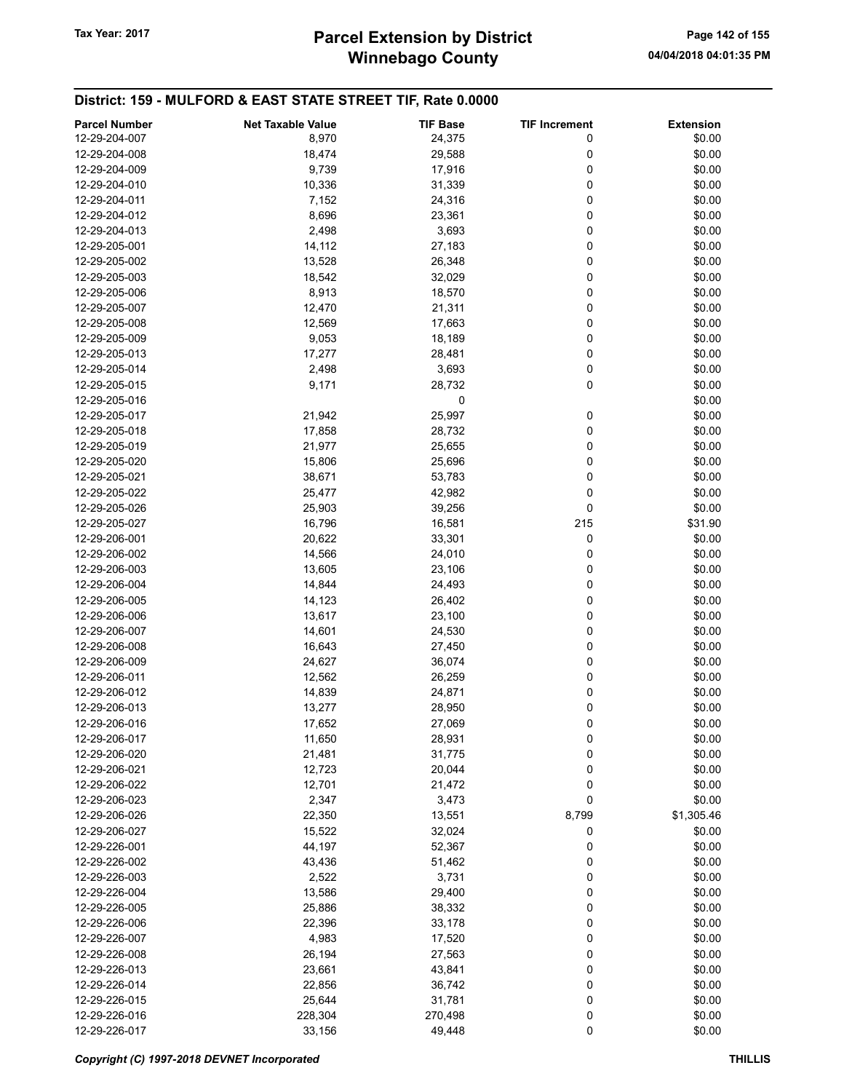# Winnebago County Tax Year: 2017 **Parcel Extension by District** Page 142 of 155

| <b>Parcel Number</b> | <b>Net Taxable Value</b> | <b>TIF Base</b> | <b>TIF Increment</b> | <b>Extension</b> |
|----------------------|--------------------------|-----------------|----------------------|------------------|
| 12-29-204-007        | 8,970                    | 24,375          | 0                    | \$0.00           |
| 12-29-204-008        | 18,474                   | 29,588          | 0                    | \$0.00           |
|                      |                          |                 |                      |                  |
| 12-29-204-009        | 9,739                    | 17,916          | 0                    | \$0.00           |
| 12-29-204-010        | 10,336                   | 31,339          | 0                    | \$0.00           |
| 12-29-204-011        | 7,152                    | 24,316          | 0                    | \$0.00           |
| 12-29-204-012        | 8,696                    | 23,361          | 0                    | \$0.00           |
| 12-29-204-013        | 2,498                    | 3,693           | 0                    | \$0.00           |
| 12-29-205-001        | 14,112                   | 27,183          | 0                    | \$0.00           |
| 12-29-205-002        | 13,528                   | 26,348          | 0                    | \$0.00           |
| 12-29-205-003        | 18,542                   | 32,029          | 0                    | \$0.00           |
| 12-29-205-006        | 8,913                    | 18,570          | 0                    | \$0.00           |
| 12-29-205-007        | 12,470                   | 21,311          | 0                    | \$0.00           |
| 12-29-205-008        | 12,569                   | 17,663          | 0                    | \$0.00           |
| 12-29-205-009        |                          |                 | 0                    |                  |
|                      | 9,053                    | 18,189          |                      | \$0.00           |
| 12-29-205-013        | 17,277                   | 28,481          | 0                    | \$0.00           |
| 12-29-205-014        | 2,498                    | 3,693           | 0                    | \$0.00           |
| 12-29-205-015        | 9,171                    | 28,732          | 0                    | \$0.00           |
| 12-29-205-016        |                          | 0               |                      | \$0.00           |
| 12-29-205-017        | 21,942                   | 25,997          | 0                    | \$0.00           |
| 12-29-205-018        | 17,858                   | 28,732          | 0                    | \$0.00           |
| 12-29-205-019        | 21,977                   | 25,655          | 0                    | \$0.00           |
| 12-29-205-020        | 15,806                   | 25,696          | 0                    | \$0.00           |
| 12-29-205-021        | 38,671                   | 53,783          | 0                    | \$0.00           |
| 12-29-205-022        | 25,477                   | 42,982          | 0                    | \$0.00           |
|                      |                          |                 | 0                    | \$0.00           |
| 12-29-205-026        | 25,903                   | 39,256          |                      |                  |
| 12-29-205-027        | 16,796                   | 16,581          | 215                  | \$31.90          |
| 12-29-206-001        | 20,622                   | 33,301          | 0                    | \$0.00           |
| 12-29-206-002        | 14,566                   | 24,010          | 0                    | \$0.00           |
| 12-29-206-003        | 13,605                   | 23,106          | 0                    | \$0.00           |
| 12-29-206-004        | 14,844                   | 24,493          | 0                    | \$0.00           |
| 12-29-206-005        | 14,123                   | 26,402          | 0                    | \$0.00           |
| 12-29-206-006        | 13,617                   | 23,100          | 0                    | \$0.00           |
| 12-29-206-007        | 14,601                   | 24,530          | 0                    | \$0.00           |
| 12-29-206-008        | 16,643                   | 27,450          | 0                    | \$0.00           |
| 12-29-206-009        | 24,627                   | 36,074          | 0                    | \$0.00           |
| 12-29-206-011        | 12,562                   | 26,259          | 0                    | \$0.00           |
| 12-29-206-012        | 14,839                   | 24,871          | 0                    | \$0.00           |
|                      |                          |                 |                      |                  |
| 12-29-206-013        | 13,277                   | 28,950          | 0                    | \$0.00           |
| 12-29-206-016        | 17,652                   | 27,069          | 0                    | \$0.00           |
| 12-29-206-017        | 11,650                   | 28,931          | 0                    | \$0.00           |
| 12-29-206-020        | 21,481                   | 31,775          | 0                    | \$0.00           |
| 12-29-206-021        | 12,723                   | 20,044          | 0                    | \$0.00           |
| 12-29-206-022        | 12,701                   | 21,472          | 0                    | \$0.00           |
| 12-29-206-023        | 2,347                    | 3,473           | 0                    | \$0.00           |
| 12-29-206-026        | 22,350                   | 13,551          | 8,799                | \$1,305.46       |
| 12-29-206-027        | 15,522                   | 32,024          | 0                    | \$0.00           |
| 12-29-226-001        | 44,197                   | 52,367          | 0                    | \$0.00           |
| 12-29-226-002        | 43,436                   | 51,462          | 0                    | \$0.00           |
| 12-29-226-003        | 2,522                    | 3,731           | 0                    | \$0.00           |
| 12-29-226-004        | 13,586                   | 29,400          | 0                    | \$0.00           |
|                      |                          |                 |                      |                  |
| 12-29-226-005        | 25,886                   | 38,332          | 0                    | \$0.00           |
| 12-29-226-006        | 22,396                   | 33,178          | 0                    | \$0.00           |
| 12-29-226-007        | 4,983                    | 17,520          | 0                    | \$0.00           |
| 12-29-226-008        | 26,194                   | 27,563          | 0                    | \$0.00           |
| 12-29-226-013        | 23,661                   | 43,841          | 0                    | \$0.00           |
| 12-29-226-014        | 22,856                   | 36,742          | 0                    | \$0.00           |
| 12-29-226-015        | 25,644                   | 31,781          | 0                    | \$0.00           |
| 12-29-226-016        | 228,304                  | 270,498         | 0                    | \$0.00           |
| 12-29-226-017        | 33,156                   | 49,448          | 0                    | \$0.00           |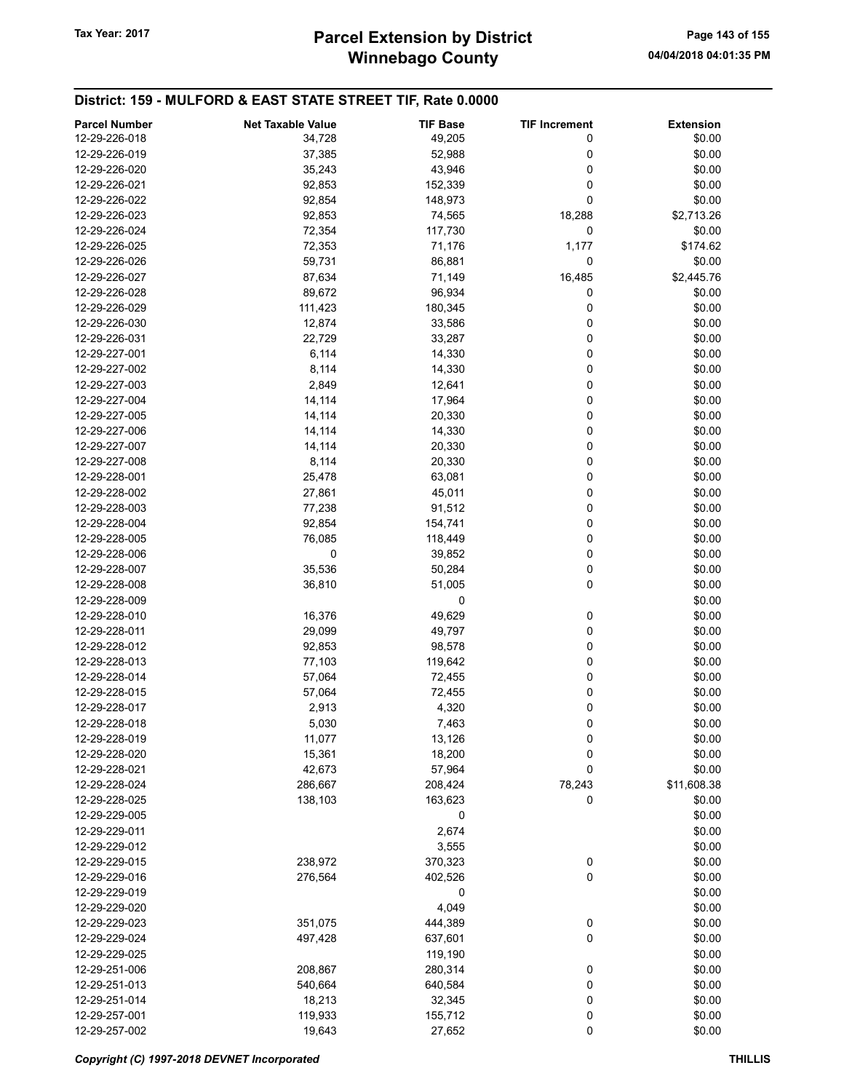| 12-29-226-018<br>49,205<br>\$0.00<br>34,728<br>0<br>\$0.00<br>12-29-226-019<br>37,385<br>52,988<br>0<br>12-29-226-020<br>35,243<br>43,946<br>0<br>\$0.00<br>12-29-226-021<br>92,853<br>152,339<br>0<br>\$0.00<br>0<br>\$0.00<br>12-29-226-022<br>92,854<br>148,973<br>\$2,713.26<br>12-29-226-023<br>92,853<br>74,565<br>18,288<br>12-29-226-024<br>72,354<br>117,730<br>\$0.00<br>0<br>72,353<br>71,176<br>1,177<br>\$174.62<br>12-29-226-025<br>12-29-226-026<br>59,731<br>86,881<br>0<br>\$0.00<br>\$2,445.76<br>12-29-226-027<br>87,634<br>71,149<br>16,485<br>12-29-226-028<br>89,672<br>96,934<br>0<br>\$0.00<br>111,423<br>180,345<br>0<br>\$0.00<br>12-29-226-029<br>12-29-226-030<br>12,874<br>33,586<br>0<br>\$0.00<br>\$0.00<br>12-29-226-031<br>22,729<br>33,287<br>0<br>6,114<br>0<br>\$0.00<br>12-29-227-001<br>14,330<br>12-29-227-002<br>8,114<br>14,330<br>0<br>\$0.00<br>0<br>12-29-227-003<br>2,849<br>12,641<br>\$0.00<br>14,114<br>17,964<br>12-29-227-004<br>0<br>\$0.00<br>0<br>\$0.00<br>12-29-227-005<br>14,114<br>20,330<br>0<br>14,114<br>14,330<br>\$0.00<br>12-29-227-006<br>12-29-227-007<br>14,114<br>20,330<br>0<br>\$0.00<br>12-29-227-008<br>8,114<br>20,330<br>0<br>\$0.00<br>12-29-228-001<br>25,478<br>0<br>\$0.00<br>63,081<br>0<br>27,861<br>45,011<br>\$0.00<br>12-29-228-002<br>12-29-228-003<br>77,238<br>91,512<br>0<br>\$0.00<br>0<br>12-29-228-004<br>92,854<br>154,741<br>\$0.00<br>\$0.00<br>12-29-228-005<br>76,085<br>118,449<br>0<br>12-29-228-006<br>0<br>39,852<br>0<br>\$0.00<br>12-29-228-007<br>35,536<br>50,284<br>0<br>\$0.00<br>0<br>\$0.00<br>12-29-228-008<br>36,810<br>51,005<br>12-29-228-009<br>0<br>\$0.00<br>49,629<br>12-29-228-010<br>16,376<br>0<br>\$0.00<br>12-29-228-011<br>29,099<br>49,797<br>0<br>\$0.00<br>\$0.00<br>12-29-228-012<br>92,853<br>98,578<br>0<br>77,103<br>\$0.00<br>12-29-228-013<br>119,642<br>0<br>57,064<br>0<br>\$0.00<br>12-29-228-014<br>72,455<br>57,064<br>\$0.00<br>12-29-228-015<br>72,455<br>0<br>12-29-228-017<br>2,913<br>4,320<br>0<br>\$0.00<br>5,030<br>0<br>\$0.00<br>12-29-228-018<br>7,463<br>12-29-228-019<br>11,077<br>13,126<br>0<br>\$0.00<br>0<br>\$0.00<br>12-29-228-020<br>15,361<br>18,200<br>0<br>12-29-228-021<br>42,673<br>57,964<br>\$0.00<br>12-29-228-024<br>286,667<br>208,424<br>78,243<br>\$11,608.38<br>12-29-228-025<br>138,103<br>163,623<br>0<br>\$0.00<br>12-29-229-005<br>\$0.00<br>0<br>12-29-229-011<br>2,674<br>\$0.00<br>12-29-229-012<br>3,555<br>\$0.00<br>\$0.00<br>12-29-229-015<br>238,972<br>370,323<br>0<br>$\pmb{0}$<br>12-29-229-016<br>276,564<br>402,526<br>\$0.00<br>12-29-229-019<br>\$0.00<br>0<br>12-29-229-020<br>4,049<br>\$0.00<br>\$0.00<br>12-29-229-023<br>351,075<br>444,389<br>0<br>0<br>12-29-229-024<br>497,428<br>637,601<br>\$0.00<br>12-29-229-025<br>119,190<br>\$0.00<br>12-29-251-006<br>208,867<br>280,314<br>0<br>\$0.00<br>12-29-251-013<br>540,664<br>640,584<br>0<br>\$0.00<br>12-29-251-014<br>18,213<br>32,345<br>0<br>\$0.00<br>12-29-257-001<br>119,933<br>155,712<br>0<br>\$0.00 | <b>Parcel Number</b> | <b>Net Taxable Value</b> | <b>TIF Base</b> | <b>TIF Increment</b> | <b>Extension</b> |
|-------------------------------------------------------------------------------------------------------------------------------------------------------------------------------------------------------------------------------------------------------------------------------------------------------------------------------------------------------------------------------------------------------------------------------------------------------------------------------------------------------------------------------------------------------------------------------------------------------------------------------------------------------------------------------------------------------------------------------------------------------------------------------------------------------------------------------------------------------------------------------------------------------------------------------------------------------------------------------------------------------------------------------------------------------------------------------------------------------------------------------------------------------------------------------------------------------------------------------------------------------------------------------------------------------------------------------------------------------------------------------------------------------------------------------------------------------------------------------------------------------------------------------------------------------------------------------------------------------------------------------------------------------------------------------------------------------------------------------------------------------------------------------------------------------------------------------------------------------------------------------------------------------------------------------------------------------------------------------------------------------------------------------------------------------------------------------------------------------------------------------------------------------------------------------------------------------------------------------------------------------------------------------------------------------------------------------------------------------------------------------------------------------------------------------------------------------------------------------------------------------------------------------------------------------------------------------------------------------------------------------------------------------------------------------------------------------------------------------------------------------------------------------------------------------------------------------------------------------------------------------------------------------------------------------------------------------------------------------------------------------------------------------------------------------------------|----------------------|--------------------------|-----------------|----------------------|------------------|
|                                                                                                                                                                                                                                                                                                                                                                                                                                                                                                                                                                                                                                                                                                                                                                                                                                                                                                                                                                                                                                                                                                                                                                                                                                                                                                                                                                                                                                                                                                                                                                                                                                                                                                                                                                                                                                                                                                                                                                                                                                                                                                                                                                                                                                                                                                                                                                                                                                                                                                                                                                                                                                                                                                                                                                                                                                                                                                                                                                                                                                                                   |                      |                          |                 |                      |                  |
|                                                                                                                                                                                                                                                                                                                                                                                                                                                                                                                                                                                                                                                                                                                                                                                                                                                                                                                                                                                                                                                                                                                                                                                                                                                                                                                                                                                                                                                                                                                                                                                                                                                                                                                                                                                                                                                                                                                                                                                                                                                                                                                                                                                                                                                                                                                                                                                                                                                                                                                                                                                                                                                                                                                                                                                                                                                                                                                                                                                                                                                                   |                      |                          |                 |                      |                  |
|                                                                                                                                                                                                                                                                                                                                                                                                                                                                                                                                                                                                                                                                                                                                                                                                                                                                                                                                                                                                                                                                                                                                                                                                                                                                                                                                                                                                                                                                                                                                                                                                                                                                                                                                                                                                                                                                                                                                                                                                                                                                                                                                                                                                                                                                                                                                                                                                                                                                                                                                                                                                                                                                                                                                                                                                                                                                                                                                                                                                                                                                   |                      |                          |                 |                      |                  |
|                                                                                                                                                                                                                                                                                                                                                                                                                                                                                                                                                                                                                                                                                                                                                                                                                                                                                                                                                                                                                                                                                                                                                                                                                                                                                                                                                                                                                                                                                                                                                                                                                                                                                                                                                                                                                                                                                                                                                                                                                                                                                                                                                                                                                                                                                                                                                                                                                                                                                                                                                                                                                                                                                                                                                                                                                                                                                                                                                                                                                                                                   |                      |                          |                 |                      |                  |
|                                                                                                                                                                                                                                                                                                                                                                                                                                                                                                                                                                                                                                                                                                                                                                                                                                                                                                                                                                                                                                                                                                                                                                                                                                                                                                                                                                                                                                                                                                                                                                                                                                                                                                                                                                                                                                                                                                                                                                                                                                                                                                                                                                                                                                                                                                                                                                                                                                                                                                                                                                                                                                                                                                                                                                                                                                                                                                                                                                                                                                                                   |                      |                          |                 |                      |                  |
|                                                                                                                                                                                                                                                                                                                                                                                                                                                                                                                                                                                                                                                                                                                                                                                                                                                                                                                                                                                                                                                                                                                                                                                                                                                                                                                                                                                                                                                                                                                                                                                                                                                                                                                                                                                                                                                                                                                                                                                                                                                                                                                                                                                                                                                                                                                                                                                                                                                                                                                                                                                                                                                                                                                                                                                                                                                                                                                                                                                                                                                                   |                      |                          |                 |                      |                  |
|                                                                                                                                                                                                                                                                                                                                                                                                                                                                                                                                                                                                                                                                                                                                                                                                                                                                                                                                                                                                                                                                                                                                                                                                                                                                                                                                                                                                                                                                                                                                                                                                                                                                                                                                                                                                                                                                                                                                                                                                                                                                                                                                                                                                                                                                                                                                                                                                                                                                                                                                                                                                                                                                                                                                                                                                                                                                                                                                                                                                                                                                   |                      |                          |                 |                      |                  |
|                                                                                                                                                                                                                                                                                                                                                                                                                                                                                                                                                                                                                                                                                                                                                                                                                                                                                                                                                                                                                                                                                                                                                                                                                                                                                                                                                                                                                                                                                                                                                                                                                                                                                                                                                                                                                                                                                                                                                                                                                                                                                                                                                                                                                                                                                                                                                                                                                                                                                                                                                                                                                                                                                                                                                                                                                                                                                                                                                                                                                                                                   |                      |                          |                 |                      |                  |
|                                                                                                                                                                                                                                                                                                                                                                                                                                                                                                                                                                                                                                                                                                                                                                                                                                                                                                                                                                                                                                                                                                                                                                                                                                                                                                                                                                                                                                                                                                                                                                                                                                                                                                                                                                                                                                                                                                                                                                                                                                                                                                                                                                                                                                                                                                                                                                                                                                                                                                                                                                                                                                                                                                                                                                                                                                                                                                                                                                                                                                                                   |                      |                          |                 |                      |                  |
|                                                                                                                                                                                                                                                                                                                                                                                                                                                                                                                                                                                                                                                                                                                                                                                                                                                                                                                                                                                                                                                                                                                                                                                                                                                                                                                                                                                                                                                                                                                                                                                                                                                                                                                                                                                                                                                                                                                                                                                                                                                                                                                                                                                                                                                                                                                                                                                                                                                                                                                                                                                                                                                                                                                                                                                                                                                                                                                                                                                                                                                                   |                      |                          |                 |                      |                  |
|                                                                                                                                                                                                                                                                                                                                                                                                                                                                                                                                                                                                                                                                                                                                                                                                                                                                                                                                                                                                                                                                                                                                                                                                                                                                                                                                                                                                                                                                                                                                                                                                                                                                                                                                                                                                                                                                                                                                                                                                                                                                                                                                                                                                                                                                                                                                                                                                                                                                                                                                                                                                                                                                                                                                                                                                                                                                                                                                                                                                                                                                   |                      |                          |                 |                      |                  |
|                                                                                                                                                                                                                                                                                                                                                                                                                                                                                                                                                                                                                                                                                                                                                                                                                                                                                                                                                                                                                                                                                                                                                                                                                                                                                                                                                                                                                                                                                                                                                                                                                                                                                                                                                                                                                                                                                                                                                                                                                                                                                                                                                                                                                                                                                                                                                                                                                                                                                                                                                                                                                                                                                                                                                                                                                                                                                                                                                                                                                                                                   |                      |                          |                 |                      |                  |
|                                                                                                                                                                                                                                                                                                                                                                                                                                                                                                                                                                                                                                                                                                                                                                                                                                                                                                                                                                                                                                                                                                                                                                                                                                                                                                                                                                                                                                                                                                                                                                                                                                                                                                                                                                                                                                                                                                                                                                                                                                                                                                                                                                                                                                                                                                                                                                                                                                                                                                                                                                                                                                                                                                                                                                                                                                                                                                                                                                                                                                                                   |                      |                          |                 |                      |                  |
|                                                                                                                                                                                                                                                                                                                                                                                                                                                                                                                                                                                                                                                                                                                                                                                                                                                                                                                                                                                                                                                                                                                                                                                                                                                                                                                                                                                                                                                                                                                                                                                                                                                                                                                                                                                                                                                                                                                                                                                                                                                                                                                                                                                                                                                                                                                                                                                                                                                                                                                                                                                                                                                                                                                                                                                                                                                                                                                                                                                                                                                                   |                      |                          |                 |                      |                  |
|                                                                                                                                                                                                                                                                                                                                                                                                                                                                                                                                                                                                                                                                                                                                                                                                                                                                                                                                                                                                                                                                                                                                                                                                                                                                                                                                                                                                                                                                                                                                                                                                                                                                                                                                                                                                                                                                                                                                                                                                                                                                                                                                                                                                                                                                                                                                                                                                                                                                                                                                                                                                                                                                                                                                                                                                                                                                                                                                                                                                                                                                   |                      |                          |                 |                      |                  |
|                                                                                                                                                                                                                                                                                                                                                                                                                                                                                                                                                                                                                                                                                                                                                                                                                                                                                                                                                                                                                                                                                                                                                                                                                                                                                                                                                                                                                                                                                                                                                                                                                                                                                                                                                                                                                                                                                                                                                                                                                                                                                                                                                                                                                                                                                                                                                                                                                                                                                                                                                                                                                                                                                                                                                                                                                                                                                                                                                                                                                                                                   |                      |                          |                 |                      |                  |
|                                                                                                                                                                                                                                                                                                                                                                                                                                                                                                                                                                                                                                                                                                                                                                                                                                                                                                                                                                                                                                                                                                                                                                                                                                                                                                                                                                                                                                                                                                                                                                                                                                                                                                                                                                                                                                                                                                                                                                                                                                                                                                                                                                                                                                                                                                                                                                                                                                                                                                                                                                                                                                                                                                                                                                                                                                                                                                                                                                                                                                                                   |                      |                          |                 |                      |                  |
|                                                                                                                                                                                                                                                                                                                                                                                                                                                                                                                                                                                                                                                                                                                                                                                                                                                                                                                                                                                                                                                                                                                                                                                                                                                                                                                                                                                                                                                                                                                                                                                                                                                                                                                                                                                                                                                                                                                                                                                                                                                                                                                                                                                                                                                                                                                                                                                                                                                                                                                                                                                                                                                                                                                                                                                                                                                                                                                                                                                                                                                                   |                      |                          |                 |                      |                  |
|                                                                                                                                                                                                                                                                                                                                                                                                                                                                                                                                                                                                                                                                                                                                                                                                                                                                                                                                                                                                                                                                                                                                                                                                                                                                                                                                                                                                                                                                                                                                                                                                                                                                                                                                                                                                                                                                                                                                                                                                                                                                                                                                                                                                                                                                                                                                                                                                                                                                                                                                                                                                                                                                                                                                                                                                                                                                                                                                                                                                                                                                   |                      |                          |                 |                      |                  |
|                                                                                                                                                                                                                                                                                                                                                                                                                                                                                                                                                                                                                                                                                                                                                                                                                                                                                                                                                                                                                                                                                                                                                                                                                                                                                                                                                                                                                                                                                                                                                                                                                                                                                                                                                                                                                                                                                                                                                                                                                                                                                                                                                                                                                                                                                                                                                                                                                                                                                                                                                                                                                                                                                                                                                                                                                                                                                                                                                                                                                                                                   |                      |                          |                 |                      |                  |
|                                                                                                                                                                                                                                                                                                                                                                                                                                                                                                                                                                                                                                                                                                                                                                                                                                                                                                                                                                                                                                                                                                                                                                                                                                                                                                                                                                                                                                                                                                                                                                                                                                                                                                                                                                                                                                                                                                                                                                                                                                                                                                                                                                                                                                                                                                                                                                                                                                                                                                                                                                                                                                                                                                                                                                                                                                                                                                                                                                                                                                                                   |                      |                          |                 |                      |                  |
|                                                                                                                                                                                                                                                                                                                                                                                                                                                                                                                                                                                                                                                                                                                                                                                                                                                                                                                                                                                                                                                                                                                                                                                                                                                                                                                                                                                                                                                                                                                                                                                                                                                                                                                                                                                                                                                                                                                                                                                                                                                                                                                                                                                                                                                                                                                                                                                                                                                                                                                                                                                                                                                                                                                                                                                                                                                                                                                                                                                                                                                                   |                      |                          |                 |                      |                  |
|                                                                                                                                                                                                                                                                                                                                                                                                                                                                                                                                                                                                                                                                                                                                                                                                                                                                                                                                                                                                                                                                                                                                                                                                                                                                                                                                                                                                                                                                                                                                                                                                                                                                                                                                                                                                                                                                                                                                                                                                                                                                                                                                                                                                                                                                                                                                                                                                                                                                                                                                                                                                                                                                                                                                                                                                                                                                                                                                                                                                                                                                   |                      |                          |                 |                      |                  |
|                                                                                                                                                                                                                                                                                                                                                                                                                                                                                                                                                                                                                                                                                                                                                                                                                                                                                                                                                                                                                                                                                                                                                                                                                                                                                                                                                                                                                                                                                                                                                                                                                                                                                                                                                                                                                                                                                                                                                                                                                                                                                                                                                                                                                                                                                                                                                                                                                                                                                                                                                                                                                                                                                                                                                                                                                                                                                                                                                                                                                                                                   |                      |                          |                 |                      |                  |
|                                                                                                                                                                                                                                                                                                                                                                                                                                                                                                                                                                                                                                                                                                                                                                                                                                                                                                                                                                                                                                                                                                                                                                                                                                                                                                                                                                                                                                                                                                                                                                                                                                                                                                                                                                                                                                                                                                                                                                                                                                                                                                                                                                                                                                                                                                                                                                                                                                                                                                                                                                                                                                                                                                                                                                                                                                                                                                                                                                                                                                                                   |                      |                          |                 |                      |                  |
|                                                                                                                                                                                                                                                                                                                                                                                                                                                                                                                                                                                                                                                                                                                                                                                                                                                                                                                                                                                                                                                                                                                                                                                                                                                                                                                                                                                                                                                                                                                                                                                                                                                                                                                                                                                                                                                                                                                                                                                                                                                                                                                                                                                                                                                                                                                                                                                                                                                                                                                                                                                                                                                                                                                                                                                                                                                                                                                                                                                                                                                                   |                      |                          |                 |                      |                  |
|                                                                                                                                                                                                                                                                                                                                                                                                                                                                                                                                                                                                                                                                                                                                                                                                                                                                                                                                                                                                                                                                                                                                                                                                                                                                                                                                                                                                                                                                                                                                                                                                                                                                                                                                                                                                                                                                                                                                                                                                                                                                                                                                                                                                                                                                                                                                                                                                                                                                                                                                                                                                                                                                                                                                                                                                                                                                                                                                                                                                                                                                   |                      |                          |                 |                      |                  |
|                                                                                                                                                                                                                                                                                                                                                                                                                                                                                                                                                                                                                                                                                                                                                                                                                                                                                                                                                                                                                                                                                                                                                                                                                                                                                                                                                                                                                                                                                                                                                                                                                                                                                                                                                                                                                                                                                                                                                                                                                                                                                                                                                                                                                                                                                                                                                                                                                                                                                                                                                                                                                                                                                                                                                                                                                                                                                                                                                                                                                                                                   |                      |                          |                 |                      |                  |
|                                                                                                                                                                                                                                                                                                                                                                                                                                                                                                                                                                                                                                                                                                                                                                                                                                                                                                                                                                                                                                                                                                                                                                                                                                                                                                                                                                                                                                                                                                                                                                                                                                                                                                                                                                                                                                                                                                                                                                                                                                                                                                                                                                                                                                                                                                                                                                                                                                                                                                                                                                                                                                                                                                                                                                                                                                                                                                                                                                                                                                                                   |                      |                          |                 |                      |                  |
|                                                                                                                                                                                                                                                                                                                                                                                                                                                                                                                                                                                                                                                                                                                                                                                                                                                                                                                                                                                                                                                                                                                                                                                                                                                                                                                                                                                                                                                                                                                                                                                                                                                                                                                                                                                                                                                                                                                                                                                                                                                                                                                                                                                                                                                                                                                                                                                                                                                                                                                                                                                                                                                                                                                                                                                                                                                                                                                                                                                                                                                                   |                      |                          |                 |                      |                  |
|                                                                                                                                                                                                                                                                                                                                                                                                                                                                                                                                                                                                                                                                                                                                                                                                                                                                                                                                                                                                                                                                                                                                                                                                                                                                                                                                                                                                                                                                                                                                                                                                                                                                                                                                                                                                                                                                                                                                                                                                                                                                                                                                                                                                                                                                                                                                                                                                                                                                                                                                                                                                                                                                                                                                                                                                                                                                                                                                                                                                                                                                   |                      |                          |                 |                      |                  |
|                                                                                                                                                                                                                                                                                                                                                                                                                                                                                                                                                                                                                                                                                                                                                                                                                                                                                                                                                                                                                                                                                                                                                                                                                                                                                                                                                                                                                                                                                                                                                                                                                                                                                                                                                                                                                                                                                                                                                                                                                                                                                                                                                                                                                                                                                                                                                                                                                                                                                                                                                                                                                                                                                                                                                                                                                                                                                                                                                                                                                                                                   |                      |                          |                 |                      |                  |
|                                                                                                                                                                                                                                                                                                                                                                                                                                                                                                                                                                                                                                                                                                                                                                                                                                                                                                                                                                                                                                                                                                                                                                                                                                                                                                                                                                                                                                                                                                                                                                                                                                                                                                                                                                                                                                                                                                                                                                                                                                                                                                                                                                                                                                                                                                                                                                                                                                                                                                                                                                                                                                                                                                                                                                                                                                                                                                                                                                                                                                                                   |                      |                          |                 |                      |                  |
|                                                                                                                                                                                                                                                                                                                                                                                                                                                                                                                                                                                                                                                                                                                                                                                                                                                                                                                                                                                                                                                                                                                                                                                                                                                                                                                                                                                                                                                                                                                                                                                                                                                                                                                                                                                                                                                                                                                                                                                                                                                                                                                                                                                                                                                                                                                                                                                                                                                                                                                                                                                                                                                                                                                                                                                                                                                                                                                                                                                                                                                                   |                      |                          |                 |                      |                  |
|                                                                                                                                                                                                                                                                                                                                                                                                                                                                                                                                                                                                                                                                                                                                                                                                                                                                                                                                                                                                                                                                                                                                                                                                                                                                                                                                                                                                                                                                                                                                                                                                                                                                                                                                                                                                                                                                                                                                                                                                                                                                                                                                                                                                                                                                                                                                                                                                                                                                                                                                                                                                                                                                                                                                                                                                                                                                                                                                                                                                                                                                   |                      |                          |                 |                      |                  |
|                                                                                                                                                                                                                                                                                                                                                                                                                                                                                                                                                                                                                                                                                                                                                                                                                                                                                                                                                                                                                                                                                                                                                                                                                                                                                                                                                                                                                                                                                                                                                                                                                                                                                                                                                                                                                                                                                                                                                                                                                                                                                                                                                                                                                                                                                                                                                                                                                                                                                                                                                                                                                                                                                                                                                                                                                                                                                                                                                                                                                                                                   |                      |                          |                 |                      |                  |
|                                                                                                                                                                                                                                                                                                                                                                                                                                                                                                                                                                                                                                                                                                                                                                                                                                                                                                                                                                                                                                                                                                                                                                                                                                                                                                                                                                                                                                                                                                                                                                                                                                                                                                                                                                                                                                                                                                                                                                                                                                                                                                                                                                                                                                                                                                                                                                                                                                                                                                                                                                                                                                                                                                                                                                                                                                                                                                                                                                                                                                                                   |                      |                          |                 |                      |                  |
|                                                                                                                                                                                                                                                                                                                                                                                                                                                                                                                                                                                                                                                                                                                                                                                                                                                                                                                                                                                                                                                                                                                                                                                                                                                                                                                                                                                                                                                                                                                                                                                                                                                                                                                                                                                                                                                                                                                                                                                                                                                                                                                                                                                                                                                                                                                                                                                                                                                                                                                                                                                                                                                                                                                                                                                                                                                                                                                                                                                                                                                                   |                      |                          |                 |                      |                  |
|                                                                                                                                                                                                                                                                                                                                                                                                                                                                                                                                                                                                                                                                                                                                                                                                                                                                                                                                                                                                                                                                                                                                                                                                                                                                                                                                                                                                                                                                                                                                                                                                                                                                                                                                                                                                                                                                                                                                                                                                                                                                                                                                                                                                                                                                                                                                                                                                                                                                                                                                                                                                                                                                                                                                                                                                                                                                                                                                                                                                                                                                   |                      |                          |                 |                      |                  |
|                                                                                                                                                                                                                                                                                                                                                                                                                                                                                                                                                                                                                                                                                                                                                                                                                                                                                                                                                                                                                                                                                                                                                                                                                                                                                                                                                                                                                                                                                                                                                                                                                                                                                                                                                                                                                                                                                                                                                                                                                                                                                                                                                                                                                                                                                                                                                                                                                                                                                                                                                                                                                                                                                                                                                                                                                                                                                                                                                                                                                                                                   |                      |                          |                 |                      |                  |
|                                                                                                                                                                                                                                                                                                                                                                                                                                                                                                                                                                                                                                                                                                                                                                                                                                                                                                                                                                                                                                                                                                                                                                                                                                                                                                                                                                                                                                                                                                                                                                                                                                                                                                                                                                                                                                                                                                                                                                                                                                                                                                                                                                                                                                                                                                                                                                                                                                                                                                                                                                                                                                                                                                                                                                                                                                                                                                                                                                                                                                                                   |                      |                          |                 |                      |                  |
|                                                                                                                                                                                                                                                                                                                                                                                                                                                                                                                                                                                                                                                                                                                                                                                                                                                                                                                                                                                                                                                                                                                                                                                                                                                                                                                                                                                                                                                                                                                                                                                                                                                                                                                                                                                                                                                                                                                                                                                                                                                                                                                                                                                                                                                                                                                                                                                                                                                                                                                                                                                                                                                                                                                                                                                                                                                                                                                                                                                                                                                                   |                      |                          |                 |                      |                  |
|                                                                                                                                                                                                                                                                                                                                                                                                                                                                                                                                                                                                                                                                                                                                                                                                                                                                                                                                                                                                                                                                                                                                                                                                                                                                                                                                                                                                                                                                                                                                                                                                                                                                                                                                                                                                                                                                                                                                                                                                                                                                                                                                                                                                                                                                                                                                                                                                                                                                                                                                                                                                                                                                                                                                                                                                                                                                                                                                                                                                                                                                   |                      |                          |                 |                      |                  |
|                                                                                                                                                                                                                                                                                                                                                                                                                                                                                                                                                                                                                                                                                                                                                                                                                                                                                                                                                                                                                                                                                                                                                                                                                                                                                                                                                                                                                                                                                                                                                                                                                                                                                                                                                                                                                                                                                                                                                                                                                                                                                                                                                                                                                                                                                                                                                                                                                                                                                                                                                                                                                                                                                                                                                                                                                                                                                                                                                                                                                                                                   |                      |                          |                 |                      |                  |
|                                                                                                                                                                                                                                                                                                                                                                                                                                                                                                                                                                                                                                                                                                                                                                                                                                                                                                                                                                                                                                                                                                                                                                                                                                                                                                                                                                                                                                                                                                                                                                                                                                                                                                                                                                                                                                                                                                                                                                                                                                                                                                                                                                                                                                                                                                                                                                                                                                                                                                                                                                                                                                                                                                                                                                                                                                                                                                                                                                                                                                                                   |                      |                          |                 |                      |                  |
|                                                                                                                                                                                                                                                                                                                                                                                                                                                                                                                                                                                                                                                                                                                                                                                                                                                                                                                                                                                                                                                                                                                                                                                                                                                                                                                                                                                                                                                                                                                                                                                                                                                                                                                                                                                                                                                                                                                                                                                                                                                                                                                                                                                                                                                                                                                                                                                                                                                                                                                                                                                                                                                                                                                                                                                                                                                                                                                                                                                                                                                                   |                      |                          |                 |                      |                  |
|                                                                                                                                                                                                                                                                                                                                                                                                                                                                                                                                                                                                                                                                                                                                                                                                                                                                                                                                                                                                                                                                                                                                                                                                                                                                                                                                                                                                                                                                                                                                                                                                                                                                                                                                                                                                                                                                                                                                                                                                                                                                                                                                                                                                                                                                                                                                                                                                                                                                                                                                                                                                                                                                                                                                                                                                                                                                                                                                                                                                                                                                   |                      |                          |                 |                      |                  |
|                                                                                                                                                                                                                                                                                                                                                                                                                                                                                                                                                                                                                                                                                                                                                                                                                                                                                                                                                                                                                                                                                                                                                                                                                                                                                                                                                                                                                                                                                                                                                                                                                                                                                                                                                                                                                                                                                                                                                                                                                                                                                                                                                                                                                                                                                                                                                                                                                                                                                                                                                                                                                                                                                                                                                                                                                                                                                                                                                                                                                                                                   |                      |                          |                 |                      |                  |
|                                                                                                                                                                                                                                                                                                                                                                                                                                                                                                                                                                                                                                                                                                                                                                                                                                                                                                                                                                                                                                                                                                                                                                                                                                                                                                                                                                                                                                                                                                                                                                                                                                                                                                                                                                                                                                                                                                                                                                                                                                                                                                                                                                                                                                                                                                                                                                                                                                                                                                                                                                                                                                                                                                                                                                                                                                                                                                                                                                                                                                                                   |                      |                          |                 |                      |                  |
|                                                                                                                                                                                                                                                                                                                                                                                                                                                                                                                                                                                                                                                                                                                                                                                                                                                                                                                                                                                                                                                                                                                                                                                                                                                                                                                                                                                                                                                                                                                                                                                                                                                                                                                                                                                                                                                                                                                                                                                                                                                                                                                                                                                                                                                                                                                                                                                                                                                                                                                                                                                                                                                                                                                                                                                                                                                                                                                                                                                                                                                                   |                      |                          |                 |                      |                  |
|                                                                                                                                                                                                                                                                                                                                                                                                                                                                                                                                                                                                                                                                                                                                                                                                                                                                                                                                                                                                                                                                                                                                                                                                                                                                                                                                                                                                                                                                                                                                                                                                                                                                                                                                                                                                                                                                                                                                                                                                                                                                                                                                                                                                                                                                                                                                                                                                                                                                                                                                                                                                                                                                                                                                                                                                                                                                                                                                                                                                                                                                   |                      |                          |                 |                      |                  |
|                                                                                                                                                                                                                                                                                                                                                                                                                                                                                                                                                                                                                                                                                                                                                                                                                                                                                                                                                                                                                                                                                                                                                                                                                                                                                                                                                                                                                                                                                                                                                                                                                                                                                                                                                                                                                                                                                                                                                                                                                                                                                                                                                                                                                                                                                                                                                                                                                                                                                                                                                                                                                                                                                                                                                                                                                                                                                                                                                                                                                                                                   |                      |                          |                 |                      |                  |
|                                                                                                                                                                                                                                                                                                                                                                                                                                                                                                                                                                                                                                                                                                                                                                                                                                                                                                                                                                                                                                                                                                                                                                                                                                                                                                                                                                                                                                                                                                                                                                                                                                                                                                                                                                                                                                                                                                                                                                                                                                                                                                                                                                                                                                                                                                                                                                                                                                                                                                                                                                                                                                                                                                                                                                                                                                                                                                                                                                                                                                                                   |                      |                          |                 |                      |                  |
|                                                                                                                                                                                                                                                                                                                                                                                                                                                                                                                                                                                                                                                                                                                                                                                                                                                                                                                                                                                                                                                                                                                                                                                                                                                                                                                                                                                                                                                                                                                                                                                                                                                                                                                                                                                                                                                                                                                                                                                                                                                                                                                                                                                                                                                                                                                                                                                                                                                                                                                                                                                                                                                                                                                                                                                                                                                                                                                                                                                                                                                                   |                      |                          |                 |                      |                  |
|                                                                                                                                                                                                                                                                                                                                                                                                                                                                                                                                                                                                                                                                                                                                                                                                                                                                                                                                                                                                                                                                                                                                                                                                                                                                                                                                                                                                                                                                                                                                                                                                                                                                                                                                                                                                                                                                                                                                                                                                                                                                                                                                                                                                                                                                                                                                                                                                                                                                                                                                                                                                                                                                                                                                                                                                                                                                                                                                                                                                                                                                   |                      |                          |                 |                      |                  |
|                                                                                                                                                                                                                                                                                                                                                                                                                                                                                                                                                                                                                                                                                                                                                                                                                                                                                                                                                                                                                                                                                                                                                                                                                                                                                                                                                                                                                                                                                                                                                                                                                                                                                                                                                                                                                                                                                                                                                                                                                                                                                                                                                                                                                                                                                                                                                                                                                                                                                                                                                                                                                                                                                                                                                                                                                                                                                                                                                                                                                                                                   |                      |                          |                 |                      |                  |
|                                                                                                                                                                                                                                                                                                                                                                                                                                                                                                                                                                                                                                                                                                                                                                                                                                                                                                                                                                                                                                                                                                                                                                                                                                                                                                                                                                                                                                                                                                                                                                                                                                                                                                                                                                                                                                                                                                                                                                                                                                                                                                                                                                                                                                                                                                                                                                                                                                                                                                                                                                                                                                                                                                                                                                                                                                                                                                                                                                                                                                                                   |                      |                          |                 |                      |                  |
|                                                                                                                                                                                                                                                                                                                                                                                                                                                                                                                                                                                                                                                                                                                                                                                                                                                                                                                                                                                                                                                                                                                                                                                                                                                                                                                                                                                                                                                                                                                                                                                                                                                                                                                                                                                                                                                                                                                                                                                                                                                                                                                                                                                                                                                                                                                                                                                                                                                                                                                                                                                                                                                                                                                                                                                                                                                                                                                                                                                                                                                                   |                      |                          |                 |                      |                  |
|                                                                                                                                                                                                                                                                                                                                                                                                                                                                                                                                                                                                                                                                                                                                                                                                                                                                                                                                                                                                                                                                                                                                                                                                                                                                                                                                                                                                                                                                                                                                                                                                                                                                                                                                                                                                                                                                                                                                                                                                                                                                                                                                                                                                                                                                                                                                                                                                                                                                                                                                                                                                                                                                                                                                                                                                                                                                                                                                                                                                                                                                   |                      |                          |                 |                      |                  |
|                                                                                                                                                                                                                                                                                                                                                                                                                                                                                                                                                                                                                                                                                                                                                                                                                                                                                                                                                                                                                                                                                                                                                                                                                                                                                                                                                                                                                                                                                                                                                                                                                                                                                                                                                                                                                                                                                                                                                                                                                                                                                                                                                                                                                                                                                                                                                                                                                                                                                                                                                                                                                                                                                                                                                                                                                                                                                                                                                                                                                                                                   |                      |                          |                 |                      |                  |
|                                                                                                                                                                                                                                                                                                                                                                                                                                                                                                                                                                                                                                                                                                                                                                                                                                                                                                                                                                                                                                                                                                                                                                                                                                                                                                                                                                                                                                                                                                                                                                                                                                                                                                                                                                                                                                                                                                                                                                                                                                                                                                                                                                                                                                                                                                                                                                                                                                                                                                                                                                                                                                                                                                                                                                                                                                                                                                                                                                                                                                                                   | 12-29-257-002        | 19,643                   | 27,652          | 0                    | \$0.00           |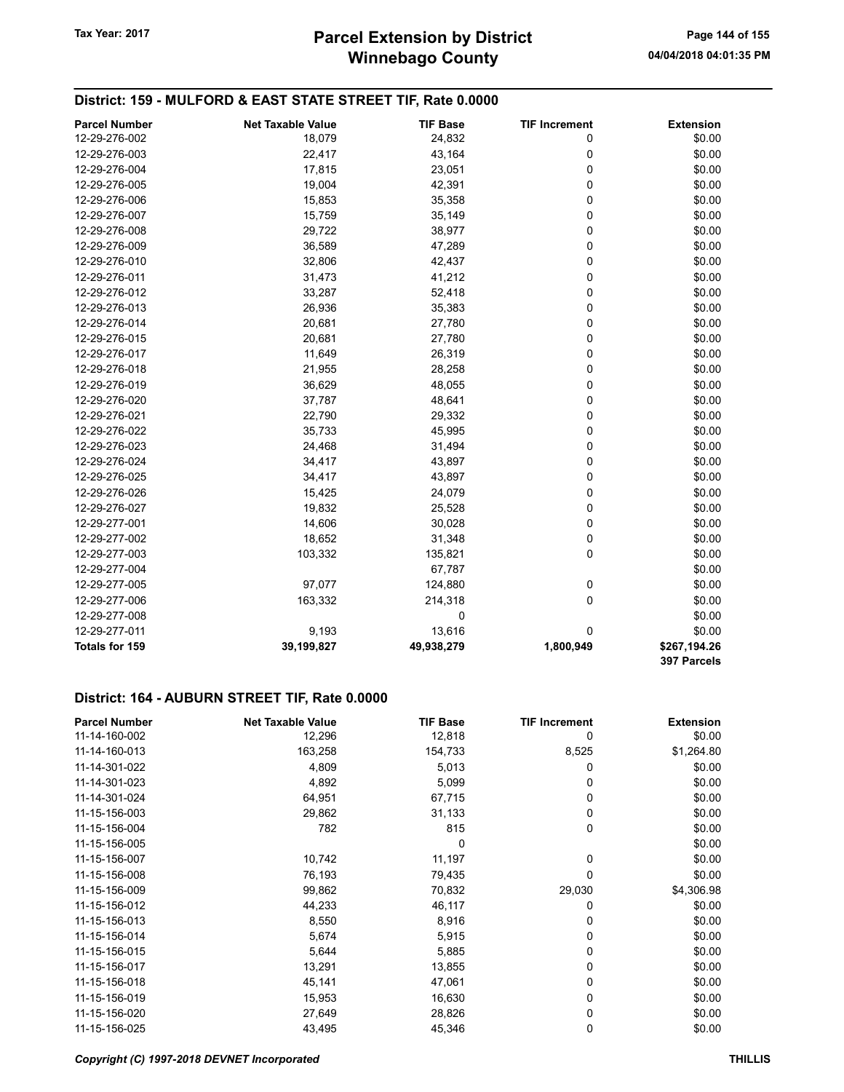# Winnebago County Tax Year: 2017 **Parcel Extension by District** Page 144 of 155

## District: 159 - MULFORD & EAST STATE STREET TIF, Rate 0.0000

| <b>Parcel Number</b> | <b>Net Taxable Value</b> | <b>TIF Base</b> | <b>TIF Increment</b> | <b>Extension</b>            |
|----------------------|--------------------------|-----------------|----------------------|-----------------------------|
| 12-29-276-002        | 18,079                   | 24,832          | 0                    | \$0.00                      |
| 12-29-276-003        | 22,417                   | 43,164          | 0                    | \$0.00                      |
| 12-29-276-004        | 17,815                   | 23,051          | 0                    | \$0.00                      |
| 12-29-276-005        | 19,004                   | 42,391          | 0                    | \$0.00                      |
| 12-29-276-006        | 15,853                   | 35,358          | 0                    | \$0.00                      |
| 12-29-276-007        | 15,759                   | 35,149          | 0                    | \$0.00                      |
| 12-29-276-008        | 29,722                   | 38,977          | 0                    | \$0.00                      |
| 12-29-276-009        | 36,589                   | 47,289          | 0                    | \$0.00                      |
| 12-29-276-010        | 32,806                   | 42,437          | 0                    | \$0.00                      |
| 12-29-276-011        | 31,473                   | 41,212          | 0                    | \$0.00                      |
| 12-29-276-012        | 33,287                   | 52,418          | 0                    | \$0.00                      |
| 12-29-276-013        | 26,936                   | 35,383          | 0                    | \$0.00                      |
| 12-29-276-014        | 20,681                   | 27,780          | 0                    | \$0.00                      |
| 12-29-276-015        | 20,681                   | 27,780          | 0                    | \$0.00                      |
| 12-29-276-017        | 11,649                   | 26,319          | 0                    | \$0.00                      |
| 12-29-276-018        | 21,955                   | 28,258          | 0                    | \$0.00                      |
| 12-29-276-019        | 36,629                   | 48,055          | 0                    | \$0.00                      |
| 12-29-276-020        | 37,787                   | 48,641          | 0                    | \$0.00                      |
| 12-29-276-021        | 22,790                   | 29,332          | 0                    | \$0.00                      |
| 12-29-276-022        | 35,733                   | 45,995          | 0                    | \$0.00                      |
| 12-29-276-023        | 24,468                   | 31,494          | 0                    | \$0.00                      |
| 12-29-276-024        | 34,417                   | 43,897          | 0                    | \$0.00                      |
| 12-29-276-025        | 34,417                   | 43,897          | 0                    | \$0.00                      |
| 12-29-276-026        | 15,425                   | 24,079          | $\mathbf 0$          | \$0.00                      |
| 12-29-276-027        | 19,832                   | 25,528          | 0                    | \$0.00                      |
| 12-29-277-001        | 14,606                   | 30,028          | 0                    | \$0.00                      |
| 12-29-277-002        | 18,652                   | 31,348          | 0                    | \$0.00                      |
| 12-29-277-003        | 103,332                  | 135,821         | 0                    | \$0.00                      |
| 12-29-277-004        |                          | 67,787          |                      | \$0.00                      |
| 12-29-277-005        | 97,077                   | 124,880         | 0                    | \$0.00                      |
| 12-29-277-006        | 163,332                  | 214,318         | 0                    | \$0.00                      |
| 12-29-277-008        |                          | 0               |                      | \$0.00                      |
| 12-29-277-011        | 9,193                    | 13,616          | 0                    | \$0.00                      |
| Totals for 159       | 39,199,827               | 49,938,279      | 1,800,949            | \$267,194.26<br>397 Parcels |

### District: 164 - AUBURN STREET TIF, Rate 0.0000

| <b>Parcel Number</b> | <b>Net Taxable Value</b> | <b>TIF Base</b> | <b>TIF Increment</b> | <b>Extension</b> |
|----------------------|--------------------------|-----------------|----------------------|------------------|
| 11-14-160-002        | 12,296                   | 12,818          | 0                    | \$0.00           |
| 11-14-160-013        | 163,258                  | 154,733         | 8,525                | \$1,264.80       |
| 11-14-301-022        | 4,809                    | 5,013           | 0                    | \$0.00           |
| 11-14-301-023        | 4,892                    | 5,099           | 0                    | \$0.00           |
| 11-14-301-024        | 64,951                   | 67,715          | 0                    | \$0.00           |
| 11-15-156-003        | 29,862                   | 31,133          | 0                    | \$0.00           |
| 11-15-156-004        | 782                      | 815             | 0                    | \$0.00           |
| 11-15-156-005        |                          | 0               |                      | \$0.00           |
| 11-15-156-007        | 10,742                   | 11,197          | 0                    | \$0.00           |
| 11-15-156-008        | 76,193                   | 79,435          | 0                    | \$0.00           |
| 11-15-156-009        | 99,862                   | 70,832          | 29,030               | \$4,306.98       |
| 11-15-156-012        | 44,233                   | 46,117          | 0                    | \$0.00           |
| 11-15-156-013        | 8,550                    | 8,916           | 0                    | \$0.00           |
| 11-15-156-014        | 5,674                    | 5,915           | 0                    | \$0.00           |
| 11-15-156-015        | 5,644                    | 5,885           | 0                    | \$0.00           |
| 11-15-156-017        | 13,291                   | 13,855          | 0                    | \$0.00           |
| 11-15-156-018        | 45,141                   | 47,061          | 0                    | \$0.00           |
| 11-15-156-019        | 15,953                   | 16,630          | 0                    | \$0.00           |
| 11-15-156-020        | 27,649                   | 28,826          | 0                    | \$0.00           |
| 11-15-156-025        | 43,495                   | 45,346          | 0                    | \$0.00           |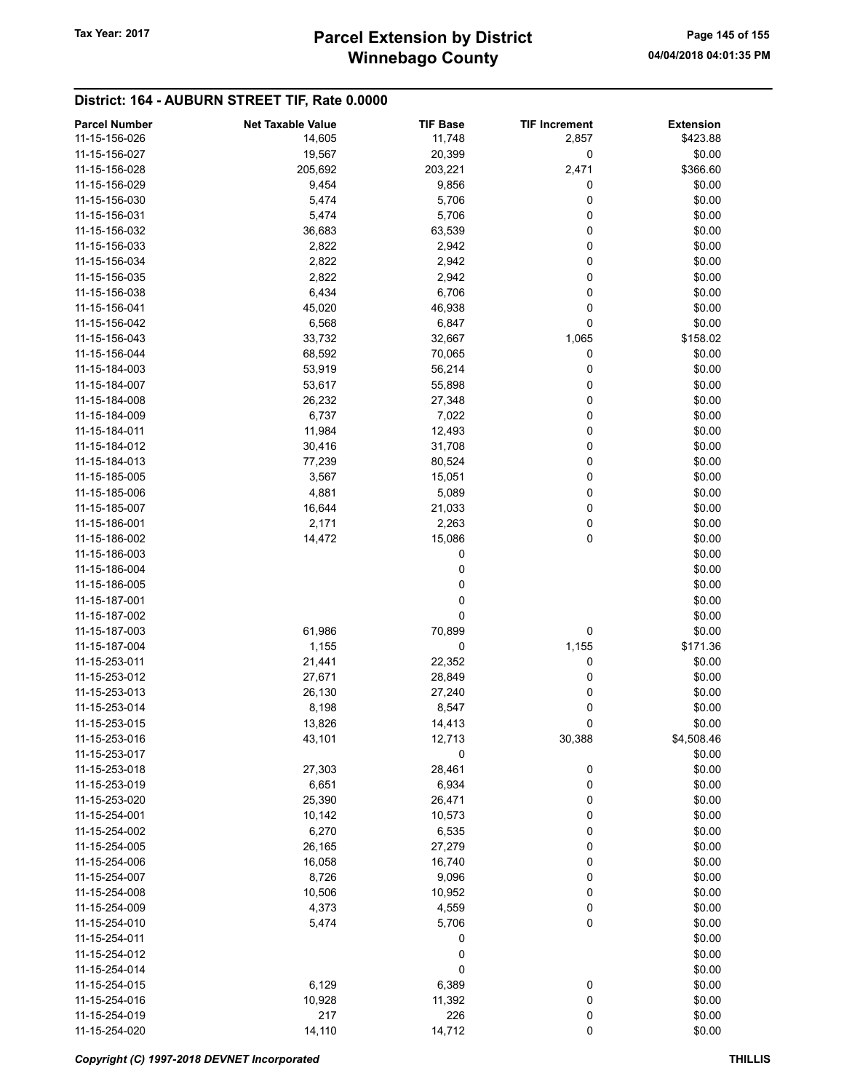| <b>Parcel Number</b> | <b>Net Taxable Value</b> | <b>TIF Base</b> | <b>TIF Increment</b> | <b>Extension</b> |
|----------------------|--------------------------|-----------------|----------------------|------------------|
| 11-15-156-026        | 14,605                   | 11,748          | 2,857                | \$423.88         |
| 11-15-156-027        | 19,567                   | 20,399          | 0                    | \$0.00           |
| 11-15-156-028        | 205,692                  | 203,221         | 2,471                | \$366.60         |
| 11-15-156-029        | 9,454                    | 9,856           | 0                    | \$0.00           |
| 11-15-156-030        | 5,474                    | 5,706           | 0                    | \$0.00           |
| 11-15-156-031        | 5,474                    | 5,706           | 0                    | \$0.00           |
| 11-15-156-032        | 36,683                   | 63,539          | 0                    | \$0.00           |
| 11-15-156-033        | 2,822                    | 2,942           | 0                    | \$0.00           |
|                      |                          |                 |                      |                  |
| 11-15-156-034        | 2,822                    | 2,942           | 0                    | \$0.00           |
| 11-15-156-035        | 2,822                    | 2,942           | 0                    | \$0.00           |
| 11-15-156-038        | 6,434                    | 6,706           | 0                    | \$0.00           |
| 11-15-156-041        | 45,020                   | 46,938          | 0                    | \$0.00           |
| 11-15-156-042        | 6,568                    | 6,847           | 0                    | \$0.00           |
| 11-15-156-043        | 33,732                   | 32,667          | 1,065                | \$158.02         |
| 11-15-156-044        | 68,592                   | 70,065          | 0                    | \$0.00           |
| 11-15-184-003        | 53,919                   | 56,214          | 0                    | \$0.00           |
| 11-15-184-007        | 53,617                   | 55,898          | 0                    | \$0.00           |
| 11-15-184-008        | 26,232                   | 27,348          | 0                    | \$0.00           |
| 11-15-184-009        | 6,737                    | 7,022           | 0                    | \$0.00           |
| 11-15-184-011        | 11,984                   | 12,493          | 0                    | \$0.00           |
| 11-15-184-012        | 30,416                   | 31,708          | 0                    | \$0.00           |
| 11-15-184-013        | 77,239                   | 80,524          | 0                    | \$0.00           |
|                      |                          |                 | 0                    |                  |
| 11-15-185-005        | 3,567                    | 15,051          |                      | \$0.00           |
| 11-15-185-006        | 4,881                    | 5,089           | 0                    | \$0.00           |
| 11-15-185-007        | 16,644                   | 21,033          | 0                    | \$0.00           |
| 11-15-186-001        | 2,171                    | 2,263           | 0                    | \$0.00           |
| 11-15-186-002        | 14,472                   | 15,086          | 0                    | \$0.00           |
| 11-15-186-003        |                          | 0               |                      | \$0.00           |
| 11-15-186-004        |                          | 0               |                      | \$0.00           |
| 11-15-186-005        |                          | 0               |                      | \$0.00           |
| 11-15-187-001        |                          | 0               |                      | \$0.00           |
| 11-15-187-002        |                          | 0               |                      | \$0.00           |
| 11-15-187-003        | 61,986                   | 70,899          | 0                    | \$0.00           |
| 11-15-187-004        | 1,155                    | 0               | 1,155                | \$171.36         |
| 11-15-253-011        | 21,441                   | 22,352          | 0                    | \$0.00           |
| 11-15-253-012        | 27,671                   | 28,849          | 0                    | \$0.00           |
| 11-15-253-013        | 26,130                   | 27,240          | 0                    | \$0.00           |
| 11-15-253-014        | 8,198                    | 8,547           | 0                    | \$0.00           |
| 11-15-253-015        | 13,826                   | 14,413          | 0                    | \$0.00           |
| 11-15-253-016        | 43,101                   |                 | 30,388               | \$4,508.46       |
|                      |                          | 12,713          |                      |                  |
| 11-15-253-017        |                          | 0               |                      | \$0.00           |
| 11-15-253-018        | 27,303                   | 28,461          | 0                    | \$0.00           |
| 11-15-253-019        | 6,651                    | 6,934           | 0                    | \$0.00           |
| 11-15-253-020        | 25,390                   | 26,471          | 0                    | \$0.00           |
| 11-15-254-001        | 10,142                   | 10,573          | 0                    | \$0.00           |
| 11-15-254-002        | 6,270                    | 6,535           | 0                    | \$0.00           |
| 11-15-254-005        | 26,165                   | 27,279          | 0                    | \$0.00           |
| 11-15-254-006        | 16,058                   | 16,740          | 0                    | \$0.00           |
| 11-15-254-007        | 8,726                    | 9,096           | 0                    | \$0.00           |
| 11-15-254-008        | 10,506                   | 10,952          | 0                    | \$0.00           |
| 11-15-254-009        | 4,373                    | 4,559           | 0                    | \$0.00           |
| 11-15-254-010        | 5,474                    | 5,706           | 0                    | \$0.00           |
| 11-15-254-011        |                          | 0               |                      | \$0.00           |
| 11-15-254-012        |                          | 0               |                      | \$0.00           |
| 11-15-254-014        |                          | 0               |                      | \$0.00           |
| 11-15-254-015        | 6,129                    | 6,389           |                      | \$0.00           |
|                      |                          |                 | 0                    |                  |
| 11-15-254-016        | 10,928                   | 11,392          | 0                    | \$0.00           |
| 11-15-254-019        | 217                      | 226             | 0                    | \$0.00           |
| 11-15-254-020        | 14,110                   | 14,712          | 0                    | \$0.00           |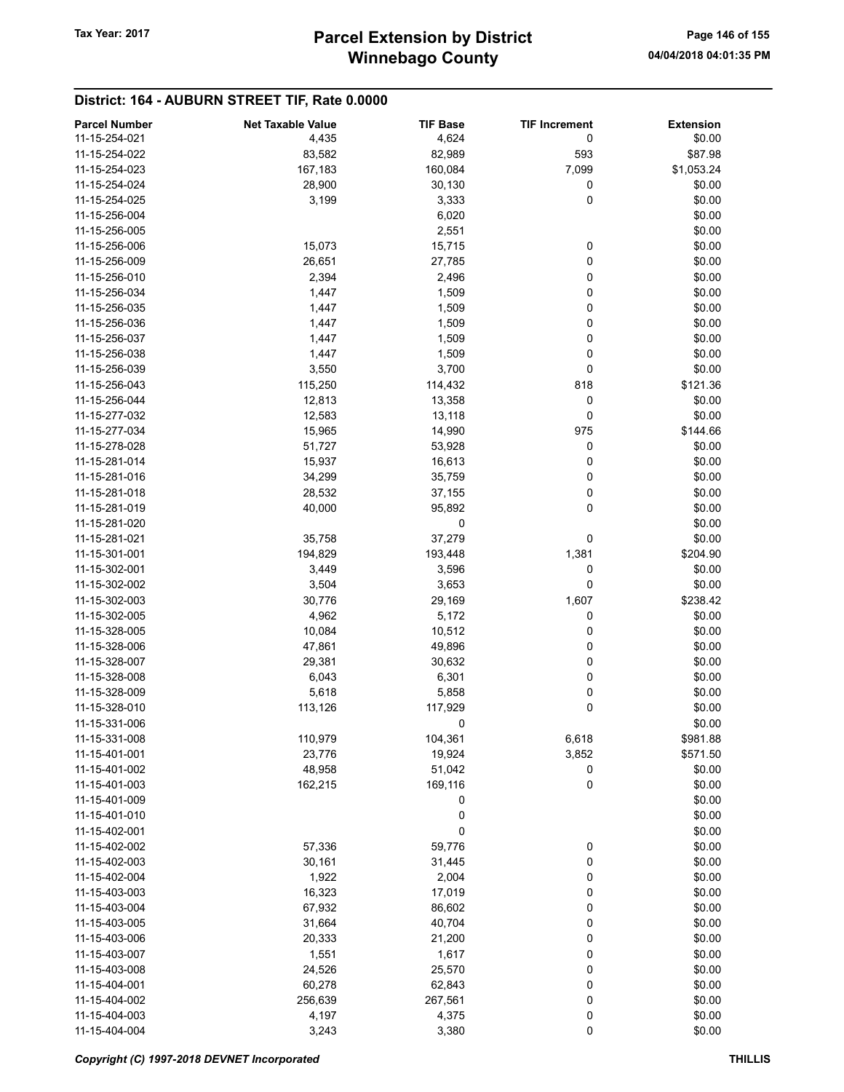| <b>Parcel Number</b> | <b>Net Taxable Value</b> | <b>TIF Base</b> | <b>TIF Increment</b> | <b>Extension</b> |
|----------------------|--------------------------|-----------------|----------------------|------------------|
| 11-15-254-021        | 4,435                    | 4,624           | 0                    | \$0.00           |
| 11-15-254-022        | 83,582                   | 82,989          | 593                  | \$87.98          |
| 11-15-254-023        | 167,183                  | 160,084         | 7,099                | \$1,053.24       |
| 11-15-254-024        | 28,900                   | 30,130          | 0                    | \$0.00           |
| 11-15-254-025        | 3,199                    | 3,333           | 0                    | \$0.00           |
|                      |                          |                 |                      |                  |
| 11-15-256-004        |                          | 6,020           |                      | \$0.00           |
| 11-15-256-005        |                          | 2,551           |                      | \$0.00           |
| 11-15-256-006        | 15,073                   | 15,715          | 0                    | \$0.00           |
| 11-15-256-009        | 26,651                   | 27,785          | 0                    | \$0.00           |
| 11-15-256-010        | 2,394                    | 2,496           | 0                    | \$0.00           |
| 11-15-256-034        | 1,447                    | 1,509           | 0                    | \$0.00           |
| 11-15-256-035        | 1,447                    | 1,509           | 0                    | \$0.00           |
| 11-15-256-036        | 1,447                    | 1,509           | 0                    | \$0.00           |
| 11-15-256-037        | 1,447                    | 1,509           | 0                    | \$0.00           |
| 11-15-256-038        | 1,447                    | 1,509           | 0                    | \$0.00           |
| 11-15-256-039        | 3,550                    | 3,700           | 0                    | \$0.00           |
| 11-15-256-043        | 115,250                  | 114,432         | 818                  | \$121.36         |
| 11-15-256-044        | 12,813                   | 13,358          | 0                    | \$0.00           |
| 11-15-277-032        | 12,583                   | 13,118          | 0                    | \$0.00           |
| 11-15-277-034        | 15,965                   | 14,990          | 975                  | \$144.66         |
| 11-15-278-028        | 51,727                   | 53,928          | 0                    | \$0.00           |
| 11-15-281-014        | 15,937                   | 16,613          | 0                    | \$0.00           |
| 11-15-281-016        | 34,299                   | 35,759          | 0                    | \$0.00           |
| 11-15-281-018        | 28,532                   | 37,155          | 0                    | \$0.00           |
| 11-15-281-019        | 40,000                   | 95,892          | 0                    | \$0.00           |
| 11-15-281-020        |                          | 0               |                      | \$0.00           |
| 11-15-281-021        | 35,758                   | 37,279          | 0                    | \$0.00           |
| 11-15-301-001        | 194,829                  | 193,448         | 1,381                | \$204.90         |
| 11-15-302-001        | 3,449                    | 3,596           | 0                    | \$0.00           |
| 11-15-302-002        | 3,504                    | 3,653           | 0                    | \$0.00           |
| 11-15-302-003        | 30,776                   | 29,169          | 1,607                | \$238.42         |
| 11-15-302-005        | 4,962                    | 5,172           | 0                    | \$0.00           |
| 11-15-328-005        | 10,084                   | 10,512          | 0                    | \$0.00           |
| 11-15-328-006        |                          |                 | 0                    | \$0.00           |
|                      | 47,861                   | 49,896          | 0                    |                  |
| 11-15-328-007        | 29,381                   | 30,632          | 0                    | \$0.00           |
| 11-15-328-008        | 6,043                    | 6,301           |                      | \$0.00           |
| 11-15-328-009        | 5,618                    | 5,858           | 0                    | \$0.00           |
| 11-15-328-010        | 113,126                  | 117,929         | 0                    | \$0.00           |
| 11-15-331-006        |                          | 0               |                      | \$0.00           |
| 11-15-331-008        | 110,979                  | 104,361         | 6,618                | \$981.88         |
| 11-15-401-001        | 23,776                   | 19,924          | 3,852                | \$571.50         |
| 11-15-401-002        | 48,958                   | 51,042          | 0                    | \$0.00           |
| 11-15-401-003        | 162,215                  | 169,116         | 0                    | \$0.00           |
| 11-15-401-009        |                          | 0               |                      | \$0.00           |
| 11-15-401-010        |                          | 0               |                      | \$0.00           |
| 11-15-402-001        |                          | 0               |                      | \$0.00           |
| 11-15-402-002        | 57,336                   | 59,776          | 0                    | \$0.00           |
| 11-15-402-003        | 30,161                   | 31,445          | 0                    | \$0.00           |
| 11-15-402-004        | 1,922                    | 2,004           | 0                    | \$0.00           |
| 11-15-403-003        | 16,323                   | 17,019          | 0                    | \$0.00           |
| 11-15-403-004        | 67,932                   | 86,602          | 0                    | \$0.00           |
| 11-15-403-005        | 31,664                   | 40,704          | 0                    | \$0.00           |
| 11-15-403-006        | 20,333                   | 21,200          | 0                    | \$0.00           |
| 11-15-403-007        | 1,551                    | 1,617           | 0                    | \$0.00           |
| 11-15-403-008        | 24,526                   | 25,570          | 0                    | \$0.00           |
| 11-15-404-001        | 60,278                   | 62,843          | 0                    | \$0.00           |
| 11-15-404-002        | 256,639                  | 267,561         | 0                    | \$0.00           |
| 11-15-404-003        | 4,197                    | 4,375           | 0                    | \$0.00           |
| 11-15-404-004        | 3,243                    | 3,380           | 0                    | \$0.00           |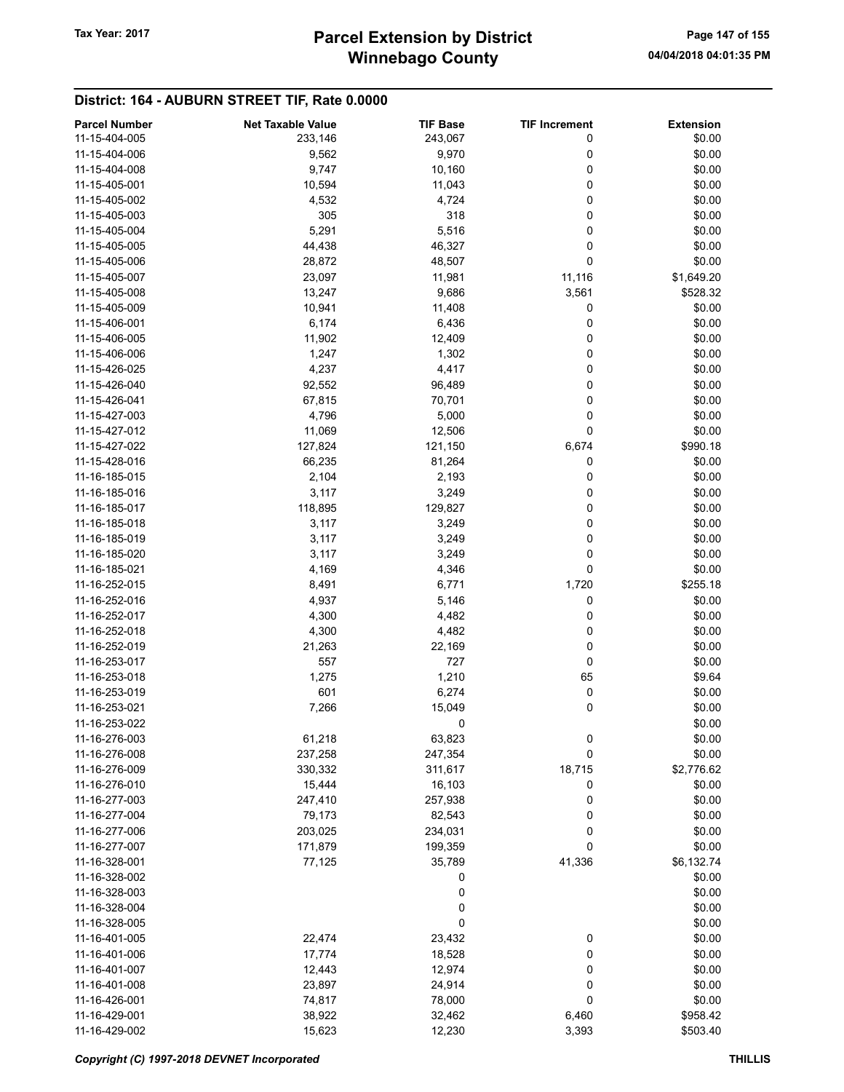| <b>Parcel Number</b> | <b>Net Taxable Value</b> | <b>TIF Base</b> | <b>TIF Increment</b> | <b>Extension</b> |
|----------------------|--------------------------|-----------------|----------------------|------------------|
| 11-15-404-005        | 233,146                  | 243,067         | 0                    | \$0.00           |
| 11-15-404-006        | 9,562                    | 9,970           | 0                    | \$0.00           |
| 11-15-404-008        | 9,747                    | 10,160          | 0                    | \$0.00           |
| 11-15-405-001        | 10,594                   | 11,043          | 0                    | \$0.00           |
| 11-15-405-002        | 4,532                    | 4,724           | 0                    | \$0.00           |
| 11-15-405-003        | 305                      | 318             | 0                    | \$0.00           |
| 11-15-405-004        | 5,291                    | 5,516           | 0                    | \$0.00           |
| 11-15-405-005        | 44,438                   | 46,327          | 0                    | \$0.00           |
| 11-15-405-006        | 28,872                   | 48,507          | 0                    | \$0.00           |
|                      |                          |                 |                      |                  |
| 11-15-405-007        | 23,097                   | 11,981          | 11,116               | \$1,649.20       |
| 11-15-405-008        | 13,247                   | 9,686           | 3,561                | \$528.32         |
| 11-15-405-009        | 10,941                   | 11,408          | 0                    | \$0.00           |
| 11-15-406-001        | 6,174                    | 6,436           | 0                    | \$0.00           |
| 11-15-406-005        | 11,902                   | 12,409          | 0                    | \$0.00           |
| 11-15-406-006        | 1,247                    | 1,302           | 0                    | \$0.00           |
| 11-15-426-025        | 4,237                    | 4,417           | 0                    | \$0.00           |
| 11-15-426-040        | 92,552                   | 96,489          | 0                    | \$0.00           |
| 11-15-426-041        | 67,815                   | 70,701          | 0                    | \$0.00           |
| 11-15-427-003        | 4,796                    | 5,000           | 0                    | \$0.00           |
| 11-15-427-012        | 11,069                   | 12,506          | 0                    | \$0.00           |
| 11-15-427-022        | 127,824                  | 121,150         | 6,674                | \$990.18         |
| 11-15-428-016        | 66,235                   | 81,264          | 0                    | \$0.00           |
| 11-16-185-015        | 2,104                    | 2,193           | 0                    | \$0.00           |
| 11-16-185-016        | 3,117                    | 3,249           | 0                    | \$0.00           |
| 11-16-185-017        | 118,895                  | 129,827         | 0                    | \$0.00           |
| 11-16-185-018        | 3,117                    | 3,249           | 0                    | \$0.00           |
| 11-16-185-019        | 3,117                    | 3,249           | 0                    | \$0.00           |
| 11-16-185-020        | 3,117                    | 3,249           | 0                    | \$0.00           |
| 11-16-185-021        | 4,169                    | 4,346           | 0                    | \$0.00           |
| 11-16-252-015        | 8,491                    | 6,771           | 1,720                | \$255.18         |
| 11-16-252-016        | 4,937                    | 5,146           | 0                    | \$0.00           |
| 11-16-252-017        | 4,300                    | 4,482           | 0                    | \$0.00           |
| 11-16-252-018        | 4,300                    | 4,482           | 0                    | \$0.00           |
| 11-16-252-019        | 21,263                   | 22,169          | 0                    | \$0.00           |
| 11-16-253-017        | 557                      | 727             | 0                    | \$0.00           |
| 11-16-253-018        | 1,275                    | 1,210           | 65                   | \$9.64           |
| 11-16-253-019        | 601                      | 6,274           | 0                    | \$0.00           |
| 11-16-253-021        | 7,266                    | 15,049          | 0                    | \$0.00           |
| 11-16-253-022        |                          | 0               |                      | \$0.00           |
| 11-16-276-003        | 61,218                   | 63,823          | 0                    | \$0.00           |
| 11-16-276-008        | 237,258                  | 247,354         | 0                    | \$0.00           |
| 11-16-276-009        |                          |                 | 18,715               | \$2,776.62       |
|                      | 330,332                  | 311,617         |                      |                  |
| 11-16-276-010        | 15,444                   | 16,103          | 0                    | \$0.00           |
| 11-16-277-003        | 247,410                  | 257,938         | 0                    | \$0.00           |
| 11-16-277-004        | 79,173                   | 82,543          | 0                    | \$0.00           |
| 11-16-277-006        | 203,025                  | 234,031         | 0                    | \$0.00           |
| 11-16-277-007        | 171,879                  | 199,359         | 0                    | \$0.00           |
| 11-16-328-001        | 77,125                   | 35,789          | 41,336               | \$6,132.74       |
| 11-16-328-002        |                          | 0               |                      | \$0.00           |
| 11-16-328-003        |                          | 0               |                      | \$0.00           |
| 11-16-328-004        |                          | 0               |                      | \$0.00           |
| 11-16-328-005        |                          | 0               |                      | \$0.00           |
| 11-16-401-005        | 22,474                   | 23,432          | 0                    | \$0.00           |
| 11-16-401-006        | 17,774                   | 18,528          | 0                    | \$0.00           |
| 11-16-401-007        | 12,443                   | 12,974          | 0                    | \$0.00           |
| 11-16-401-008        | 23,897                   | 24,914          | 0                    | \$0.00           |
| 11-16-426-001        | 74,817                   | 78,000          | 0                    | \$0.00           |
| 11-16-429-001        | 38,922                   | 32,462          | 6,460                | \$958.42         |
| 11-16-429-002        | 15,623                   | 12,230          | 3,393                | \$503.40         |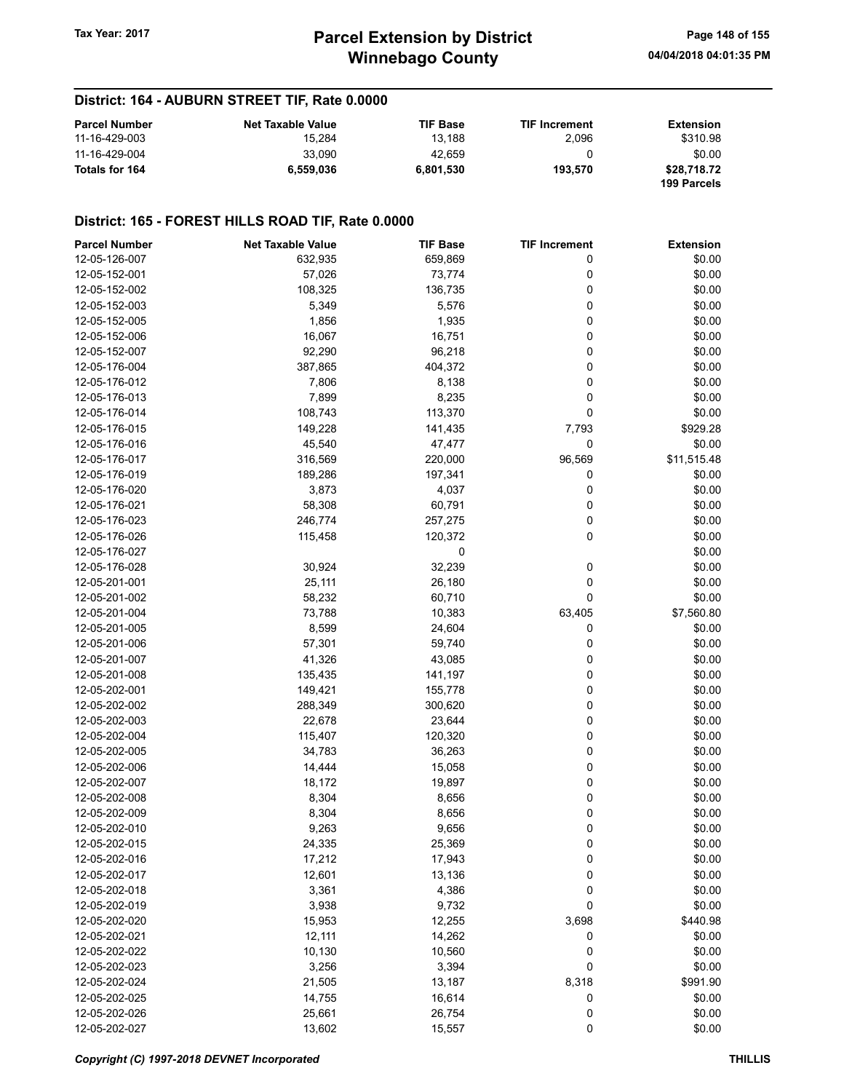| <b>Parcel Number</b> | <b>Net Taxable Value</b> | <b>TIF Base</b> | <b>TIF Increment</b> | <b>Extension</b> |
|----------------------|--------------------------|-----------------|----------------------|------------------|
| 11-16-429-003        | 15.284                   | 13.188          | 2.096                | \$310.98         |
| 11-16-429-004        | 33.090                   | 42.659          |                      | \$0.00           |
| Totals for 164       | 6.559.036                | 6.801.530       | 193.570              | \$28,718.72      |
|                      |                          |                 |                      | 199 Parcels      |

#### District: 165 - FOREST HILLS ROAD TIF, Rate 0.0000

| <b>Parcel Number</b> | <b>Net Taxable Value</b> | <b>TIF Base</b> | <b>TIF Increment</b> | <b>Extension</b> |
|----------------------|--------------------------|-----------------|----------------------|------------------|
| 12-05-126-007        | 632,935                  | 659,869         | 0                    | \$0.00           |
| 12-05-152-001        | 57,026                   | 73,774          | 0                    | \$0.00           |
| 12-05-152-002        | 108,325                  | 136,735         | 0                    | \$0.00           |
| 12-05-152-003        | 5,349                    | 5,576           | 0                    | \$0.00           |
| 12-05-152-005        | 1,856                    | 1,935           | 0                    | \$0.00           |
| 12-05-152-006        | 16,067                   | 16,751          | 0                    | \$0.00           |
| 12-05-152-007        | 92,290                   | 96,218          | 0                    | \$0.00           |
| 12-05-176-004        | 387,865                  | 404,372         | 0                    | \$0.00           |
| 12-05-176-012        | 7,806                    | 8,138           | 0                    | \$0.00           |
| 12-05-176-013        | 7,899                    | 8,235           | 0                    | \$0.00           |
| 12-05-176-014        | 108,743                  | 113,370         | 0                    | \$0.00           |
| 12-05-176-015        | 149,228                  | 141,435         | 7,793                | \$929.28         |
| 12-05-176-016        | 45,540                   | 47,477          | 0                    | \$0.00           |
| 12-05-176-017        | 316,569                  | 220,000         | 96,569               | \$11,515.48      |
| 12-05-176-019        | 189,286                  | 197,341         | 0                    | \$0.00           |
| 12-05-176-020        | 3,873                    | 4,037           | 0                    | \$0.00           |
| 12-05-176-021        | 58,308                   | 60,791          | 0                    | \$0.00           |
| 12-05-176-023        | 246,774                  | 257,275         | 0                    | \$0.00           |
| 12-05-176-026        | 115,458                  | 120,372         | 0                    | \$0.00           |
| 12-05-176-027        |                          | 0               |                      | \$0.00           |
| 12-05-176-028        | 30,924                   | 32,239          | 0                    | \$0.00           |
| 12-05-201-001        | 25,111                   | 26,180          | 0                    | \$0.00           |
| 12-05-201-002        | 58,232                   | 60,710          | 0                    | \$0.00           |
| 12-05-201-004        | 73,788                   | 10,383          | 63,405               | \$7,560.80       |
| 12-05-201-005        | 8,599                    | 24,604          | 0                    | \$0.00           |
| 12-05-201-006        | 57,301                   | 59,740          | 0                    | \$0.00           |
| 12-05-201-007        | 41,326                   | 43,085          | 0                    | \$0.00           |
| 12-05-201-008        | 135,435                  | 141,197         | 0                    | \$0.00           |
| 12-05-202-001        | 149,421                  | 155,778         | 0                    | \$0.00           |
| 12-05-202-002        | 288,349                  | 300,620         | 0                    | \$0.00           |
| 12-05-202-003        | 22,678                   | 23,644          | 0                    | \$0.00           |
| 12-05-202-004        | 115,407                  | 120,320         | 0                    | \$0.00           |
| 12-05-202-005        | 34,783                   | 36,263          | 0                    | \$0.00           |
| 12-05-202-006        | 14,444                   | 15,058          | 0                    | \$0.00           |
| 12-05-202-007        | 18,172                   | 19,897          | 0                    | \$0.00           |
| 12-05-202-008        | 8,304                    | 8,656           | 0                    | \$0.00           |
| 12-05-202-009        | 8,304                    | 8,656           | 0                    | \$0.00           |
| 12-05-202-010        | 9,263                    | 9,656           | 0                    | \$0.00           |
| 12-05-202-015        | 24,335                   | 25,369          | 0                    | \$0.00           |
| 12-05-202-016        | 17,212                   | 17,943          | 0                    | \$0.00           |
| 12-05-202-017        | 12,601                   | 13,136          | 0                    | \$0.00           |
| 12-05-202-018        | 3,361                    | 4,386           | 0                    | \$0.00           |
| 12-05-202-019        | 3,938                    | 9,732           | 0                    | \$0.00           |
| 12-05-202-020        | 15,953                   | 12,255          | 3,698                | \$440.98         |
| 12-05-202-021        | 12,111                   | 14,262          | 0                    | \$0.00           |
| 12-05-202-022        | 10,130                   | 10,560          | 0                    | \$0.00           |
| 12-05-202-023        | 3,256                    | 3,394           | 0                    | \$0.00           |
| 12-05-202-024        | 21,505                   | 13,187          | 8,318                | \$991.90         |
| 12-05-202-025        | 14,755                   | 16,614          | 0                    | \$0.00           |
| 12-05-202-026        | 25,661                   | 26,754          | 0                    | \$0.00           |
| 12-05-202-027        | 13,602                   | 15,557          | 0                    | \$0.00           |
|                      |                          |                 |                      |                  |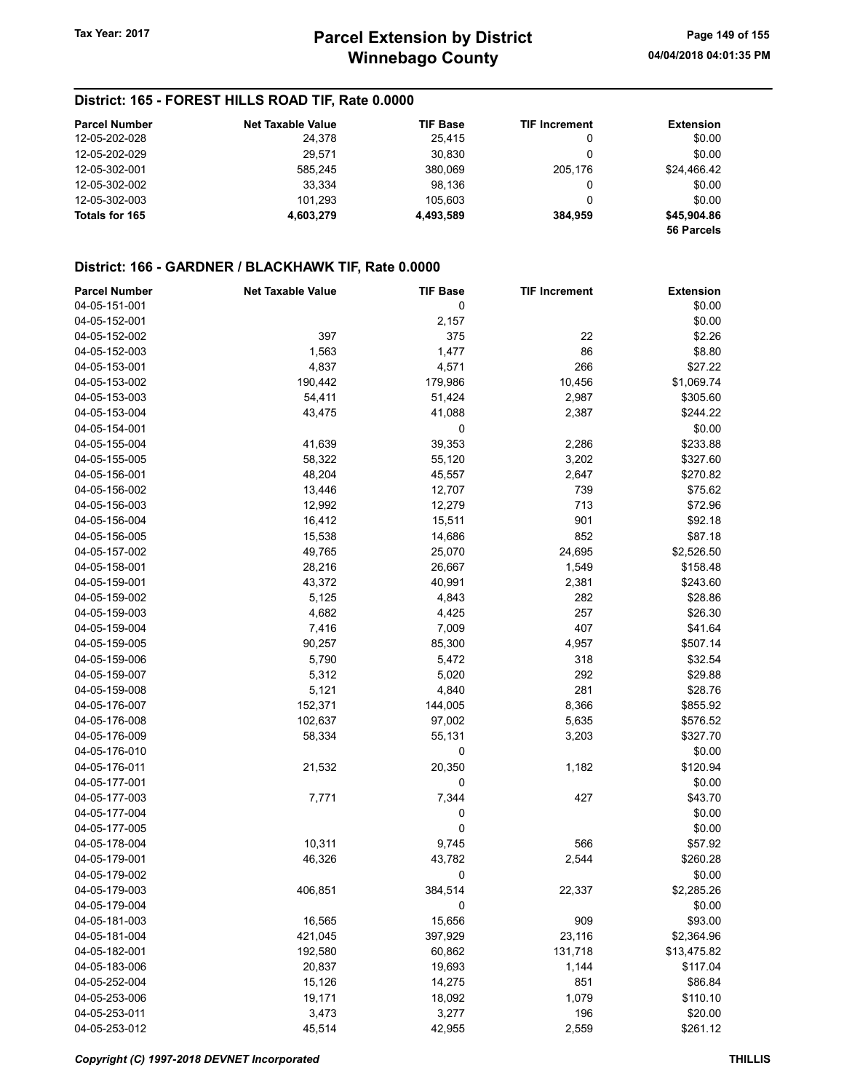### District: 165 - FOREST HILLS ROAD TIF, Rate 0.0000

| <b>Parcel Number</b> | <b>Net Taxable Value</b> | <b>TIF Base</b> | <b>TIF Increment</b> | <b>Extension</b>          |
|----------------------|--------------------------|-----------------|----------------------|---------------------------|
| 12-05-202-028        | 24,378                   | 25.415          |                      | \$0.00                    |
| 12-05-202-029        | 29.571                   | 30.830          | 0                    | \$0.00                    |
| 12-05-302-001        | 585.245                  | 380.069         | 205.176              | \$24.466.42               |
| 12-05-302-002        | 33.334                   | 98.136          |                      | \$0.00                    |
| 12-05-302-003        | 101.293                  | 105.603         |                      | \$0.00                    |
| Totals for 165       | 4.603.279                | 4.493.589       | 384,959              | \$45,904.86<br>56 Parcels |

| <b>Parcel Number</b> | <b>Net Taxable Value</b> | <b>TIF Base</b> | <b>TIF Increment</b> | <b>Extension</b> |
|----------------------|--------------------------|-----------------|----------------------|------------------|
| 04-05-151-001        |                          | 0               |                      | \$0.00           |
| 04-05-152-001        |                          | 2,157           |                      | \$0.00           |
| 04-05-152-002        | 397                      | 375             | 22                   | \$2.26           |
| 04-05-152-003        | 1,563                    | 1,477           | 86                   | \$8.80           |
| 04-05-153-001        | 4,837                    | 4,571           | 266                  | \$27.22          |
| 04-05-153-002        | 190,442                  | 179,986         | 10,456               | \$1,069.74       |
| 04-05-153-003        | 54,411                   | 51,424          | 2,987                | \$305.60         |
| 04-05-153-004        | 43,475                   | 41,088          | 2,387                | \$244.22         |
| 04-05-154-001        |                          | 0               |                      | \$0.00           |
| 04-05-155-004        | 41,639                   | 39,353          | 2,286                | \$233.88         |
| 04-05-155-005        | 58,322                   | 55,120          | 3,202                | \$327.60         |
| 04-05-156-001        | 48,204                   | 45,557          | 2,647                | \$270.82         |
| 04-05-156-002        | 13,446                   | 12,707          | 739                  | \$75.62          |
| 04-05-156-003        | 12,992                   | 12,279          | 713                  | \$72.96          |
| 04-05-156-004        | 16,412                   | 15,511          | 901                  | \$92.18          |
| 04-05-156-005        | 15,538                   | 14,686          | 852                  | \$87.18          |
| 04-05-157-002        | 49,765                   | 25,070          | 24,695               | \$2,526.50       |
| 04-05-158-001        | 28,216                   | 26,667          | 1,549                | \$158.48         |
| 04-05-159-001        | 43,372                   | 40,991          | 2,381                | \$243.60         |
| 04-05-159-002        | 5,125                    | 4,843           | 282                  | \$28.86          |
| 04-05-159-003        | 4,682                    | 4,425           | 257                  | \$26.30          |
| 04-05-159-004        | 7,416                    | 7,009           | 407                  | \$41.64          |
| 04-05-159-005        | 90,257                   | 85,300          | 4,957                | \$507.14         |
| 04-05-159-006        | 5,790                    | 5,472           | 318                  | \$32.54          |
| 04-05-159-007        | 5,312                    | 5,020           | 292                  | \$29.88          |
| 04-05-159-008        | 5,121                    | 4,840           | 281                  | \$28.76          |
| 04-05-176-007        | 152,371                  | 144,005         | 8,366                | \$855.92         |
| 04-05-176-008        | 102,637                  | 97,002          | 5,635                | \$576.52         |
| 04-05-176-009        | 58,334                   | 55,131          | 3,203                | \$327.70         |
| 04-05-176-010        |                          | 0               |                      | \$0.00           |
| 04-05-176-011        | 21,532                   | 20,350          | 1,182                | \$120.94         |
| 04-05-177-001        |                          | 0               |                      | \$0.00           |
| 04-05-177-003        | 7,771                    | 7,344           | 427                  | \$43.70          |
| 04-05-177-004        |                          | 0               |                      | \$0.00           |
| 04-05-177-005        |                          | 0               |                      | \$0.00           |
| 04-05-178-004        | 10,311                   | 9,745           | 566                  | \$57.92          |
| 04-05-179-001        | 46,326                   | 43,782          | 2,544                | \$260.28         |
| 04-05-179-002        |                          | 0               |                      | \$0.00           |
| 04-05-179-003        | 406,851                  | 384,514         | 22,337               | \$2,285.26       |
| 04-05-179-004        |                          | 0               |                      | \$0.00           |
| 04-05-181-003        | 16,565                   | 15,656          | 909                  | \$93.00          |
| 04-05-181-004        | 421,045                  | 397,929         | 23,116               | \$2,364.96       |
| 04-05-182-001        | 192,580                  | 60,862          | 131,718              | \$13,475.82      |
| 04-05-183-006        | 20,837                   | 19,693          | 1,144                | \$117.04         |
| 04-05-252-004        | 15,126                   | 14,275          | 851                  | \$86.84          |
| 04-05-253-006        | 19,171                   | 18,092          | 1,079                | \$110.10         |
| 04-05-253-011        | 3,473                    | 3,277           | 196                  | \$20.00          |
| 04-05-253-012        | 45,514                   | 42,955          | 2,559                | \$261.12         |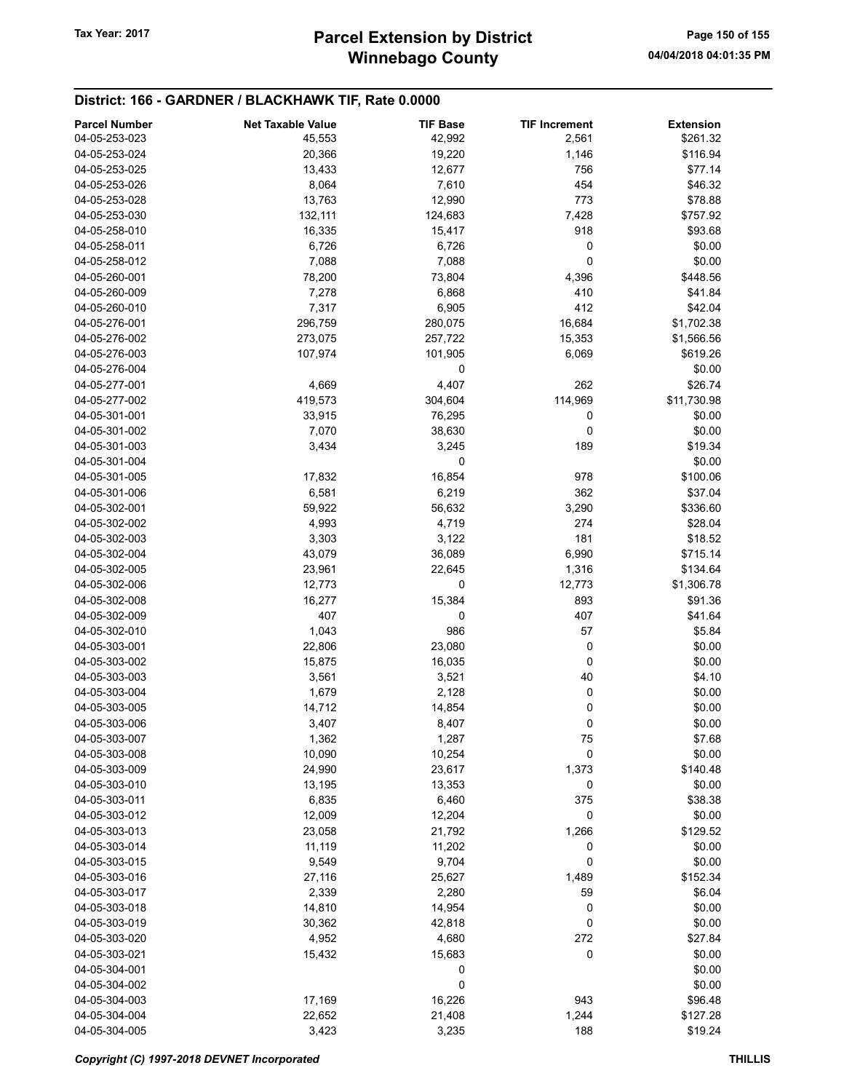# Winnebago County Tax Year: 2017 **Parcel Extension by District** Page 150 of 155

| <b>Parcel Number</b> | <b>Net Taxable Value</b> | <b>TIF Base</b> | <b>TIF Increment</b> | <b>Extension</b> |
|----------------------|--------------------------|-----------------|----------------------|------------------|
| 04-05-253-023        | 45,553                   | 42,992          | 2,561                | \$261.32         |
| 04-05-253-024        | 20,366                   | 19,220          | 1,146                | \$116.94         |
| 04-05-253-025        | 13,433                   | 12,677          | 756                  | \$77.14          |
| 04-05-253-026        | 8,064                    | 7,610           | 454                  | \$46.32          |
| 04-05-253-028        | 13,763                   | 12,990          | 773                  | \$78.88          |
| 04-05-253-030        | 132,111                  | 124,683         | 7,428                | \$757.92         |
| 04-05-258-010        | 16,335                   | 15,417          | 918                  | \$93.68          |
| 04-05-258-011        |                          |                 | 0                    | \$0.00           |
|                      | 6,726                    | 6,726           |                      |                  |
| 04-05-258-012        | 7,088                    | 7,088           | 0                    | \$0.00           |
| 04-05-260-001        | 78,200                   | 73,804          | 4,396                | \$448.56         |
| 04-05-260-009        | 7,278                    | 6,868           | 410                  | \$41.84          |
| 04-05-260-010        | 7,317                    | 6,905           | 412                  | \$42.04          |
| 04-05-276-001        | 296,759                  | 280,075         | 16,684               | \$1,702.38       |
| 04-05-276-002        | 273,075                  | 257,722         | 15,353               | \$1,566.56       |
| 04-05-276-003        | 107,974                  | 101,905         | 6,069                | \$619.26         |
| 04-05-276-004        |                          | 0               |                      | \$0.00           |
| 04-05-277-001        | 4,669                    | 4,407           | 262                  | \$26.74          |
| 04-05-277-002        | 419,573                  | 304,604         | 114,969              | \$11,730.98      |
| 04-05-301-001        | 33,915                   | 76,295          | 0                    | \$0.00           |
| 04-05-301-002        | 7,070                    | 38,630          | 0                    | \$0.00           |
| 04-05-301-003        | 3,434                    | 3,245           | 189                  | \$19.34          |
| 04-05-301-004        |                          | 0               |                      | \$0.00           |
| 04-05-301-005        | 17,832                   | 16,854          | 978                  | \$100.06         |
| 04-05-301-006        | 6,581                    | 6,219           | 362                  | \$37.04          |
| 04-05-302-001        | 59,922                   | 56,632          | 3,290                | \$336.60         |
| 04-05-302-002        | 4,993                    |                 | 274                  | \$28.04          |
|                      |                          | 4,719           |                      |                  |
| 04-05-302-003        | 3,303                    | 3,122           | 181                  | \$18.52          |
| 04-05-302-004        | 43,079                   | 36,089          | 6,990                | \$715.14         |
| 04-05-302-005        | 23,961                   | 22,645          | 1,316                | \$134.64         |
| 04-05-302-006        | 12,773                   | 0               | 12,773               | \$1,306.78       |
| 04-05-302-008        | 16,277                   | 15,384          | 893                  | \$91.36          |
| 04-05-302-009        | 407                      | 0               | 407                  | \$41.64          |
| 04-05-302-010        | 1,043                    | 986             | 57                   | \$5.84           |
| 04-05-303-001        | 22,806                   | 23,080          | 0                    | \$0.00           |
| 04-05-303-002        | 15,875                   | 16,035          | 0                    | \$0.00           |
| 04-05-303-003        | 3,561                    | 3,521           | 40                   | \$4.10           |
| 04-05-303-004        | 1,679                    | 2,128           | 0                    | \$0.00           |
| 04-05-303-005        | 14,712                   | 14,854          | 0                    | \$0.00           |
| 04-05-303-006        | 3,407                    | 8,407           | 0                    | \$0.00           |
| 04-05-303-007        | 1,362                    | 1,287           | 75                   | \$7.68           |
| 04-05-303-008        | 10,090                   | 10,254          | 0                    | \$0.00           |
| 04-05-303-009        | 24,990                   | 23,617          | 1,373                | \$140.48         |
| 04-05-303-010        | 13,195                   | 13,353          | 0                    | \$0.00           |
| 04-05-303-011        | 6,835                    | 6,460           | 375                  | \$38.38          |
| 04-05-303-012        | 12,009                   | 12,204          | 0                    | \$0.00           |
| 04-05-303-013        | 23,058                   | 21,792          | 1,266                | \$129.52         |
|                      |                          |                 |                      |                  |
| 04-05-303-014        | 11,119                   | 11,202          | 0                    | \$0.00           |
| 04-05-303-015        | 9,549                    | 9,704           | 0                    | \$0.00           |
| 04-05-303-016        | 27,116                   | 25,627          | 1,489                | \$152.34         |
| 04-05-303-017        | 2,339                    | 2,280           | 59                   | \$6.04           |
| 04-05-303-018        | 14,810                   | 14,954          | 0                    | \$0.00           |
| 04-05-303-019        | 30,362                   | 42,818          | 0                    | \$0.00           |
| 04-05-303-020        | 4,952                    | 4,680           | 272                  | \$27.84          |
| 04-05-303-021        | 15,432                   | 15,683          | 0                    | \$0.00           |
| 04-05-304-001        |                          | 0               |                      | \$0.00           |
| 04-05-304-002        |                          | 0               |                      | \$0.00           |
| 04-05-304-003        | 17,169                   | 16,226          | 943                  | \$96.48          |
| 04-05-304-004        | 22,652                   | 21,408          | 1,244                | \$127.28         |
| 04-05-304-005        | 3,423                    | 3,235           | 188                  | \$19.24          |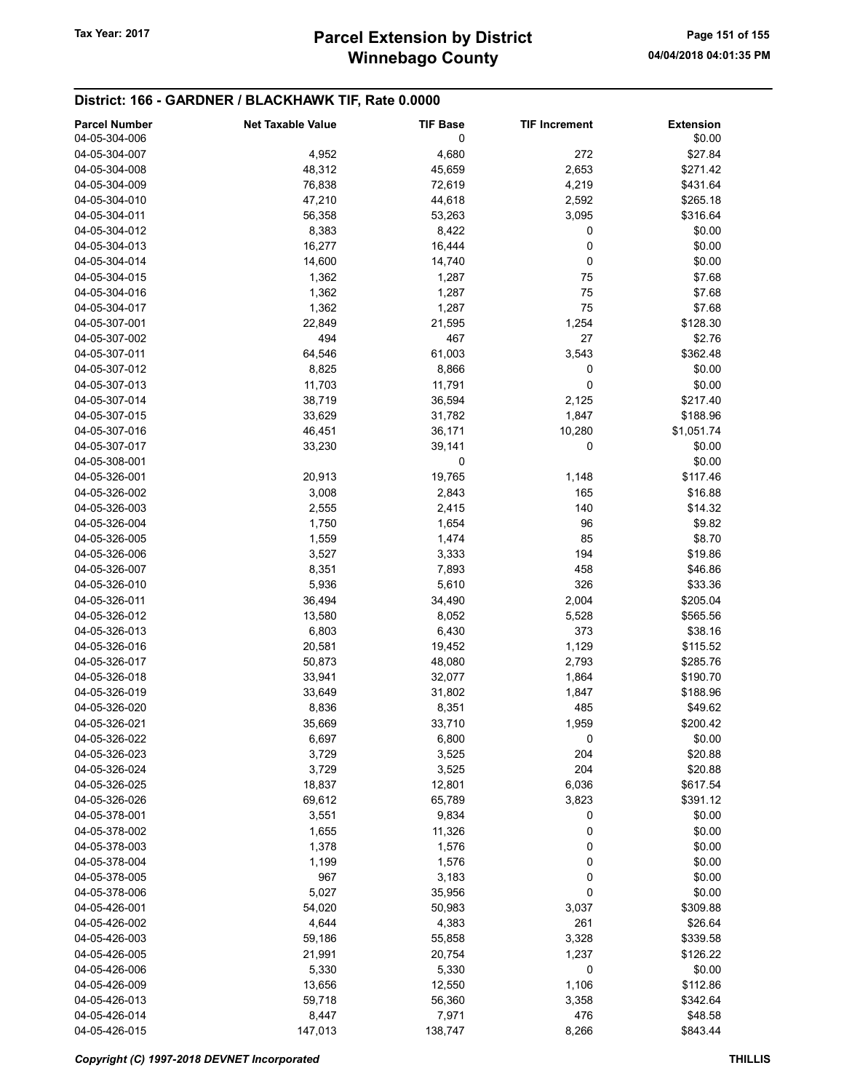# Winnebago County Tax Year: 2017 **Parcel Extension by District** Page 151 of 155

| <b>Parcel Number</b><br>04-05-304-006 | <b>Net Taxable Value</b> | <b>TIF Base</b><br>0 | <b>TIF Increment</b> | <b>Extension</b><br>\$0.00 |
|---------------------------------------|--------------------------|----------------------|----------------------|----------------------------|
| 04-05-304-007                         | 4,952                    | 4,680                | 272                  | \$27.84                    |
| 04-05-304-008                         | 48,312                   | 45,659               | 2,653                | \$271.42                   |
| 04-05-304-009                         | 76,838                   | 72,619               | 4,219                | \$431.64                   |
| 04-05-304-010                         | 47,210                   | 44,618               | 2,592                | \$265.18                   |
| 04-05-304-011                         | 56,358                   | 53,263               | 3,095                | \$316.64                   |
| 04-05-304-012                         | 8,383                    | 8,422                | 0                    | \$0.00                     |
| 04-05-304-013                         | 16,277                   | 16,444               | 0                    | \$0.00                     |
| 04-05-304-014                         | 14,600                   | 14,740               | 0                    | \$0.00                     |
| 04-05-304-015                         | 1,362                    | 1,287                | 75                   | \$7.68                     |
| 04-05-304-016                         | 1,362                    | 1,287                | 75                   | \$7.68                     |
| 04-05-304-017                         | 1,362                    | 1,287                | 75                   | \$7.68                     |
| 04-05-307-001                         | 22,849                   | 21,595               | 1,254                | \$128.30                   |
| 04-05-307-002                         | 494                      | 467                  | 27                   | \$2.76                     |
| 04-05-307-011                         | 64,546                   | 61,003               | 3,543                | \$362.48                   |
| 04-05-307-012                         |                          |                      | 0                    |                            |
| 04-05-307-013                         | 8,825                    | 8,866                | 0                    | \$0.00<br>\$0.00           |
| 04-05-307-014                         | 11,703                   | 11,791               |                      |                            |
|                                       | 38,719                   | 36,594               | 2,125                | \$217.40                   |
| 04-05-307-015                         | 33,629                   | 31,782               | 1,847                | \$188.96                   |
| 04-05-307-016                         | 46,451                   | 36,171               | 10,280               | \$1,051.74                 |
| 04-05-307-017                         | 33,230                   | 39,141               | 0                    | \$0.00                     |
| 04-05-308-001                         |                          | 0                    |                      | \$0.00                     |
| 04-05-326-001                         | 20,913                   | 19,765               | 1,148                | \$117.46                   |
| 04-05-326-002                         | 3,008                    | 2,843                | 165                  | \$16.88                    |
| 04-05-326-003                         | 2,555                    | 2,415                | 140                  | \$14.32                    |
| 04-05-326-004                         | 1,750                    | 1,654                | 96                   | \$9.82                     |
| 04-05-326-005                         | 1,559                    | 1,474                | 85                   | \$8.70                     |
| 04-05-326-006                         | 3,527                    | 3,333                | 194                  | \$19.86                    |
| 04-05-326-007                         | 8,351                    | 7,893                | 458                  | \$46.86                    |
| 04-05-326-010                         | 5,936                    | 5,610                | 326                  | \$33.36                    |
| 04-05-326-011                         | 36,494                   | 34,490               | 2,004                | \$205.04                   |
| 04-05-326-012                         | 13,580                   | 8,052                | 5,528                | \$565.56                   |
| 04-05-326-013                         | 6,803                    | 6,430                | 373                  | \$38.16                    |
| 04-05-326-016                         | 20,581                   | 19,452               | 1,129                | \$115.52                   |
| 04-05-326-017                         | 50,873                   | 48,080               | 2,793                | \$285.76                   |
| 04-05-326-018                         | 33,941                   | 32,077               | 1,864                | \$190.70                   |
| 04-05-326-019                         | 33,649                   | 31,802               | 1,847                | \$188.96                   |
| 04-05-326-020                         | 8,836                    | 8,351                | 485                  | \$49.62                    |
| 04-05-326-021                         | 35,669                   | 33,710               | 1,959                | \$200.42                   |
| 04-05-326-022                         | 6,697                    | 6,800                | 0                    | \$0.00                     |
| 04-05-326-023                         | 3,729                    | 3,525                | 204                  | \$20.88                    |
| 04-05-326-024                         | 3,729                    | 3,525                | 204                  | \$20.88                    |
| 04-05-326-025                         | 18,837                   | 12,801               | 6,036                | \$617.54                   |
| 04-05-326-026                         | 69,612                   | 65,789               | 3,823                | \$391.12                   |
| 04-05-378-001                         | 3,551                    | 9,834                | 0                    | \$0.00                     |
| 04-05-378-002                         | 1,655                    | 11,326               | 0                    | \$0.00                     |
| 04-05-378-003                         | 1,378                    | 1,576                | 0                    | \$0.00                     |
| 04-05-378-004                         | 1,199                    | 1,576                | 0                    | \$0.00                     |
| 04-05-378-005                         | 967                      | 3,183                | 0                    | \$0.00                     |
| 04-05-378-006                         | 5,027                    | 35,956               | 0                    | \$0.00                     |
| 04-05-426-001                         | 54,020                   | 50,983               | 3,037                | \$309.88                   |
| 04-05-426-002                         | 4,644                    | 4,383                | 261                  | \$26.64                    |
| 04-05-426-003                         | 59,186                   | 55,858               | 3,328                | \$339.58                   |
| 04-05-426-005                         | 21,991                   | 20,754               | 1,237                | \$126.22                   |
| 04-05-426-006                         | 5,330                    | 5,330                | 0                    | \$0.00                     |
| 04-05-426-009                         | 13,656                   | 12,550               | 1,106                | \$112.86                   |
| 04-05-426-013                         | 59,718                   | 56,360               | 3,358                | \$342.64                   |
| 04-05-426-014                         | 8,447                    | 7,971                | 476                  | \$48.58                    |
| 04-05-426-015                         | 147,013                  | 138,747              | 8,266                | \$843.44                   |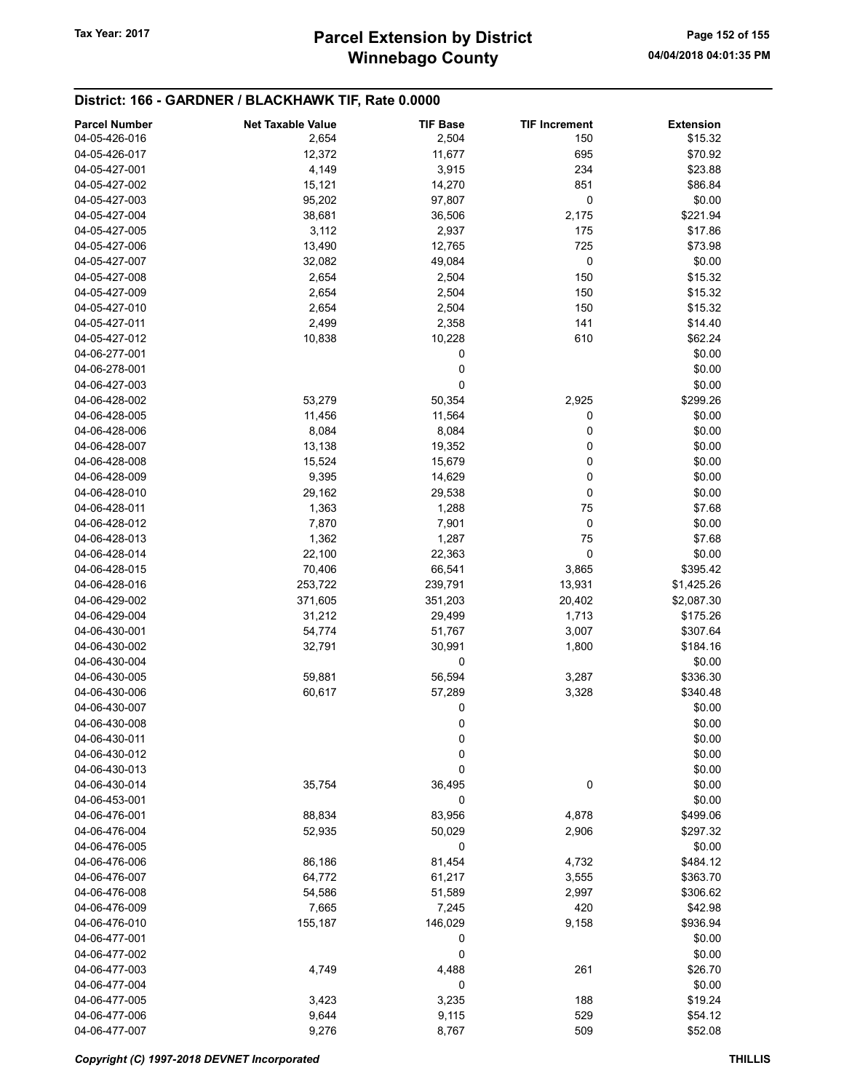# Winnebago County Tax Year: 2017 **Parcel Extension by District** Page 152 of 155

| <b>Parcel Number</b> | <b>Net Taxable Value</b> | <b>TIF Base</b> | <b>TIF Increment</b> | <b>Extension</b> |
|----------------------|--------------------------|-----------------|----------------------|------------------|
| 04-05-426-016        | 2,654                    | 2,504           | 150                  | \$15.32          |
| 04-05-426-017        | 12,372                   | 11,677          | 695                  | \$70.92          |
| 04-05-427-001        | 4,149                    | 3,915           | 234                  | \$23.88          |
| 04-05-427-002        | 15,121                   | 14,270          | 851                  | \$86.84          |
| 04-05-427-003        | 95,202                   |                 | 0                    |                  |
|                      |                          | 97,807          |                      | \$0.00           |
| 04-05-427-004        | 38,681                   | 36,506          | 2,175                | \$221.94         |
| 04-05-427-005        | 3,112                    | 2,937           | 175                  | \$17.86          |
| 04-05-427-006        | 13,490                   | 12,765          | 725                  | \$73.98          |
| 04-05-427-007        | 32,082                   | 49,084          | 0                    | \$0.00           |
| 04-05-427-008        | 2,654                    | 2,504           | 150                  | \$15.32          |
| 04-05-427-009        | 2,654                    | 2,504           | 150                  | \$15.32          |
| 04-05-427-010        | 2,654                    | 2,504           | 150                  | \$15.32          |
| 04-05-427-011        | 2,499                    | 2,358           | 141                  | \$14.40          |
| 04-05-427-012        | 10,838                   | 10,228          | 610                  | \$62.24          |
| 04-06-277-001        |                          | 0               |                      | \$0.00           |
| 04-06-278-001        |                          | 0               |                      | \$0.00           |
| 04-06-427-003        |                          | 0               |                      | \$0.00           |
| 04-06-428-002        | 53,279                   | 50,354          | 2,925                | \$299.26         |
| 04-06-428-005        |                          |                 |                      | \$0.00           |
|                      | 11,456                   | 11,564          | 0                    |                  |
| 04-06-428-006        | 8,084                    | 8,084           | 0                    | \$0.00           |
| 04-06-428-007        | 13,138                   | 19,352          | 0                    | \$0.00           |
| 04-06-428-008        | 15,524                   | 15,679          | 0                    | \$0.00           |
| 04-06-428-009        | 9,395                    | 14,629          | 0                    | \$0.00           |
| 04-06-428-010        | 29,162                   | 29,538          | 0                    | \$0.00           |
| 04-06-428-011        | 1,363                    | 1,288           | 75                   | \$7.68           |
| 04-06-428-012        | 7,870                    | 7,901           | 0                    | \$0.00           |
| 04-06-428-013        | 1,362                    | 1,287           | 75                   | \$7.68           |
| 04-06-428-014        | 22,100                   | 22,363          | 0                    | \$0.00           |
| 04-06-428-015        | 70,406                   | 66,541          | 3,865                | \$395.42         |
| 04-06-428-016        | 253,722                  | 239,791         | 13,931               | \$1,425.26       |
| 04-06-429-002        | 371,605                  | 351,203         | 20,402               | \$2,087.30       |
| 04-06-429-004        | 31,212                   | 29,499          | 1,713                | \$175.26         |
| 04-06-430-001        | 54,774                   | 51,767          | 3,007                | \$307.64         |
| 04-06-430-002        | 32,791                   | 30,991          | 1,800                | \$184.16         |
| 04-06-430-004        |                          | 0               |                      | \$0.00           |
| 04-06-430-005        | 59,881                   | 56,594          | 3,287                | \$336.30         |
| 04-06-430-006        | 60,617                   |                 |                      | \$340.48         |
|                      |                          | 57,289          | 3,328                |                  |
| 04-06-430-007        |                          | 0               |                      | \$0.00           |
| 04-06-430-008        |                          | 0               |                      | \$0.00           |
| 04-06-430-011        |                          | 0               |                      | \$0.00           |
| 04-06-430-012        |                          | 0               |                      | \$0.00           |
| 04-06-430-013        |                          | 0               |                      | \$0.00           |
| 04-06-430-014        | 35,754                   | 36,495          | 0                    | \$0.00           |
| 04-06-453-001        |                          | 0               |                      | \$0.00           |
| 04-06-476-001        | 88,834                   | 83,956          | 4,878                | \$499.06         |
| 04-06-476-004        | 52,935                   | 50,029          | 2,906                | \$297.32         |
| 04-06-476-005        |                          | 0               |                      | \$0.00           |
| 04-06-476-006        | 86,186                   | 81,454          | 4,732                | \$484.12         |
| 04-06-476-007        | 64,772                   | 61,217          | 3,555                | \$363.70         |
| 04-06-476-008        | 54,586                   | 51,589          | 2,997                | \$306.62         |
| 04-06-476-009        | 7,665                    | 7,245           | 420                  | \$42.98          |
| 04-06-476-010        | 155,187                  | 146,029         | 9,158                | \$936.94         |
| 04-06-477-001        |                          |                 |                      | \$0.00           |
|                      |                          | 0               |                      |                  |
| 04-06-477-002        |                          | 0               |                      | \$0.00           |
| 04-06-477-003        | 4,749                    | 4,488           | 261                  | \$26.70          |
| 04-06-477-004        |                          | 0               |                      | \$0.00           |
| 04-06-477-005        | 3,423                    | 3,235           | 188                  | \$19.24          |
| 04-06-477-006        | 9,644                    | 9,115           | 529                  | \$54.12          |
| 04-06-477-007        | 9,276                    | 8,767           | 509                  | \$52.08          |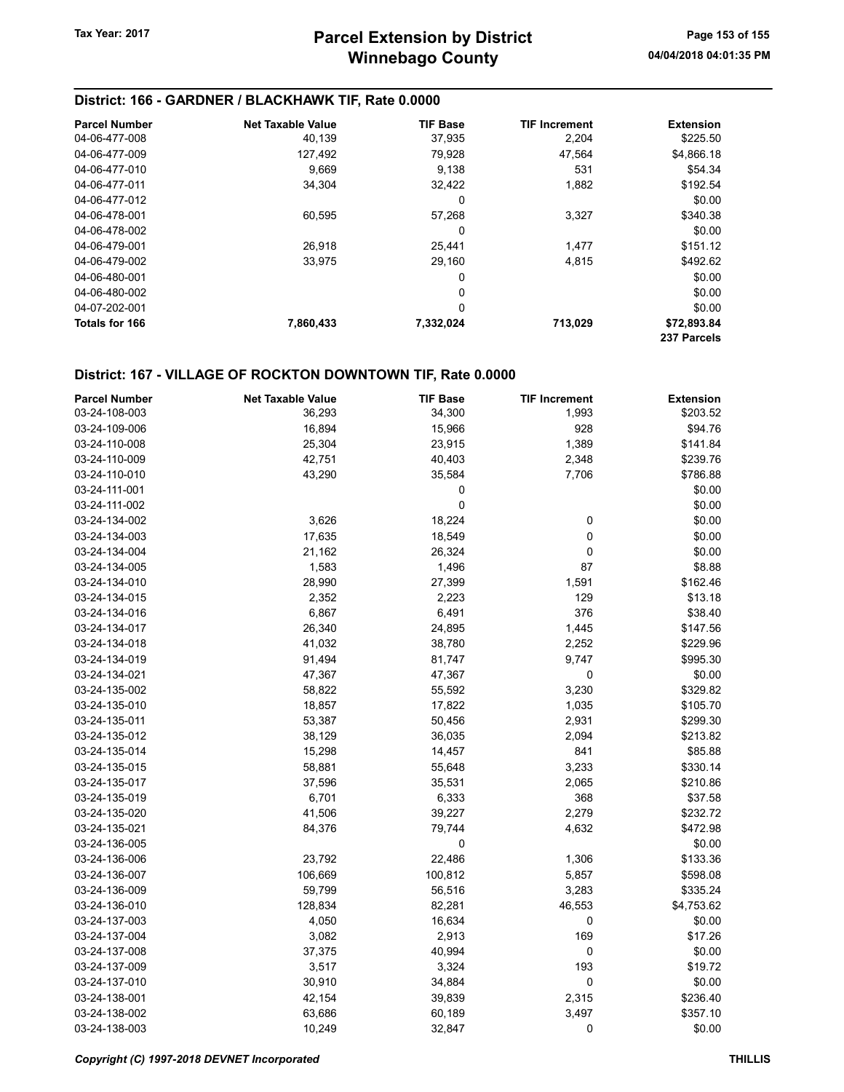### District: 166 - GARDNER / BLACKHAWK TIF, Rate 0.0000

| <b>Parcel Number</b>  | Net Taxable Value | <b>TIF Base</b> | <b>TIF Increment</b> | <b>Extension</b>           |
|-----------------------|-------------------|-----------------|----------------------|----------------------------|
| 04-06-477-008         | 40.139            | 37.935          | 2.204                | \$225.50                   |
| 04-06-477-009         | 127,492           | 79.928          | 47.564               | \$4,866.18                 |
| 04-06-477-010         | 9.669             | 9.138           | 531                  | \$54.34                    |
| 04-06-477-011         | 34.304            | 32.422          | 1,882                | \$192.54                   |
| 04-06-477-012         |                   | 0               |                      | \$0.00                     |
| 04-06-478-001         | 60,595            | 57,268          | 3,327                | \$340.38                   |
| 04-06-478-002         |                   | 0               |                      | \$0.00                     |
| 04-06-479-001         | 26,918            | 25.441          | 1.477                | \$151.12                   |
| 04-06-479-002         | 33.975            | 29.160          | 4.815                | \$492.62                   |
| 04-06-480-001         |                   | 0               |                      | \$0.00                     |
| 04-06-480-002         |                   | 0               |                      | \$0.00                     |
| 04-07-202-001         |                   | 0               |                      | \$0.00                     |
| <b>Totals for 166</b> | 7,860,433         | 7,332,024       | 713,029              | \$72,893.84<br>237 Parcels |

### District: 167 - VILLAGE OF ROCKTON DOWNTOWN TIF, Rate 0.0000

| <b>Parcel Number</b> | <b>Net Taxable Value</b> | <b>TIF Base</b> | <b>TIF Increment</b> | <b>Extension</b> |
|----------------------|--------------------------|-----------------|----------------------|------------------|
| 03-24-108-003        | 36,293                   | 34,300          | 1,993                | \$203.52         |
| 03-24-109-006        | 16,894                   | 15,966          | 928                  | \$94.76          |
| 03-24-110-008        | 25,304                   | 23,915          | 1,389                | \$141.84         |
| 03-24-110-009        | 42,751                   | 40,403          | 2,348                | \$239.76         |
| 03-24-110-010        | 43,290                   | 35,584          | 7,706                | \$786.88         |
| 03-24-111-001        |                          | 0               |                      | \$0.00           |
| 03-24-111-002        |                          | 0               |                      | \$0.00           |
| 03-24-134-002        | 3,626                    | 18,224          | 0                    | \$0.00           |
| 03-24-134-003        | 17,635                   | 18,549          | 0                    | \$0.00           |
| 03-24-134-004        | 21,162                   | 26,324          | 0                    | \$0.00           |
| 03-24-134-005        | 1,583                    | 1,496           | 87                   | \$8.88           |
| 03-24-134-010        | 28,990                   | 27,399          | 1,591                | \$162.46         |
| 03-24-134-015        | 2,352                    | 2,223           | 129                  | \$13.18          |
| 03-24-134-016        | 6,867                    | 6,491           | 376                  | \$38.40          |
| 03-24-134-017        | 26,340                   | 24,895          | 1,445                | \$147.56         |
| 03-24-134-018        | 41,032                   | 38,780          | 2,252                | \$229.96         |
| 03-24-134-019        | 91,494                   | 81,747          | 9,747                | \$995.30         |
| 03-24-134-021        | 47,367                   | 47,367          | 0                    | \$0.00           |
| 03-24-135-002        | 58,822                   | 55,592          | 3,230                | \$329.82         |
| 03-24-135-010        | 18,857                   | 17,822          | 1,035                | \$105.70         |
| 03-24-135-011        | 53,387                   | 50,456          | 2,931                | \$299.30         |
| 03-24-135-012        | 38,129                   | 36,035          | 2,094                | \$213.82         |
| 03-24-135-014        | 15,298                   | 14,457          | 841                  | \$85.88          |
| 03-24-135-015        | 58,881                   | 55,648          | 3,233                | \$330.14         |
| 03-24-135-017        | 37,596                   | 35,531          | 2,065                | \$210.86         |
| 03-24-135-019        | 6,701                    | 6,333           | 368                  | \$37.58          |
| 03-24-135-020        | 41,506                   | 39,227          | 2,279                | \$232.72         |
| 03-24-135-021        | 84,376                   | 79,744          | 4,632                | \$472.98         |
| 03-24-136-005        |                          | 0               |                      | \$0.00           |
| 03-24-136-006        | 23,792                   | 22,486          | 1,306                | \$133.36         |
| 03-24-136-007        | 106,669                  | 100,812         | 5,857                | \$598.08         |
| 03-24-136-009        | 59,799                   | 56,516          | 3,283                | \$335.24         |
| 03-24-136-010        | 128,834                  | 82,281          | 46,553               | \$4,753.62       |
| 03-24-137-003        | 4,050                    | 16,634          | 0                    | \$0.00           |
| 03-24-137-004        | 3,082                    | 2,913           | 169                  | \$17.26          |
| 03-24-137-008        | 37,375                   | 40,994          | 0                    | \$0.00           |
| 03-24-137-009        | 3,517                    | 3,324           | 193                  | \$19.72          |
| 03-24-137-010        | 30,910                   | 34,884          | 0                    | \$0.00           |
| 03-24-138-001        | 42,154                   | 39,839          | 2,315                | \$236.40         |
| 03-24-138-002        | 63,686                   | 60,189          | 3,497                | \$357.10         |
| 03-24-138-003        | 10,249                   | 32,847          | 0                    | \$0.00           |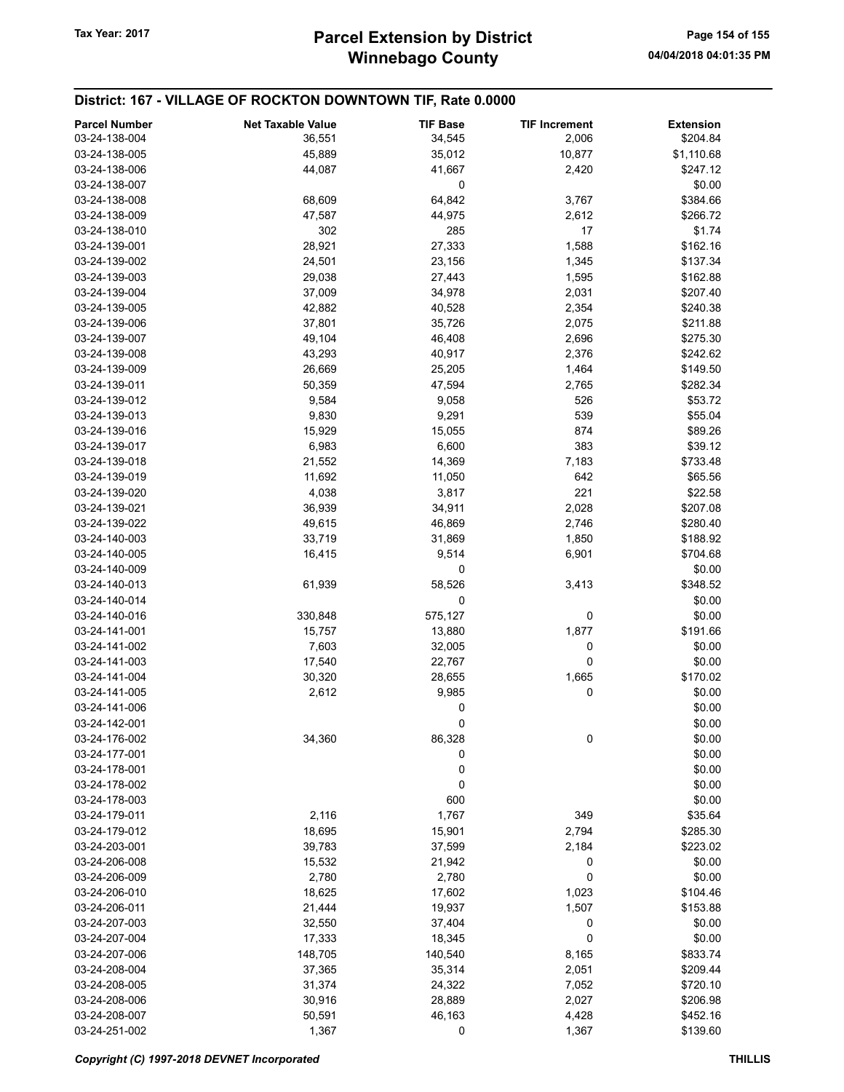### District: 167 - VILLAGE OF ROCKTON DOWNTOWN TIF, Rate 0.0000

| <b>Parcel Number</b> | <b>Net Taxable Value</b> | <b>TIF Base</b> | <b>TIF Increment</b> | <b>Extension</b>   |
|----------------------|--------------------------|-----------------|----------------------|--------------------|
| 03-24-138-004        | 36,551                   | 34,545          | 2,006                | \$204.84           |
| 03-24-138-005        | 45,889                   | 35,012          | 10,877               | \$1,110.68         |
| 03-24-138-006        | 44,087                   | 41,667          | 2,420                | \$247.12           |
| 03-24-138-007        |                          | 0               |                      | \$0.00             |
| 03-24-138-008        | 68,609                   | 64,842          | 3,767                | \$384.66           |
| 03-24-138-009        | 47,587                   | 44,975          | 2,612                | \$266.72           |
| 03-24-138-010        | 302                      | 285             | 17                   | \$1.74             |
| 03-24-139-001        | 28,921                   | 27,333          | 1,588                | \$162.16           |
| 03-24-139-002        | 24,501                   | 23,156          | 1,345                | \$137.34           |
| 03-24-139-003        | 29,038                   | 27,443          | 1,595                | \$162.88           |
| 03-24-139-004        | 37,009                   | 34,978          | 2,031                | \$207.40           |
| 03-24-139-005        | 42,882                   | 40,528          | 2,354                | \$240.38           |
| 03-24-139-006        | 37,801                   | 35,726          | 2,075                | \$211.88           |
| 03-24-139-007        | 49,104                   | 46,408          | 2,696                | \$275.30           |
| 03-24-139-008        | 43,293                   | 40,917          | 2,376                | \$242.62           |
| 03-24-139-009        | 26,669                   | 25,205          | 1,464                | \$149.50           |
| 03-24-139-011        | 50,359                   | 47,594          | 2,765                | \$282.34           |
| 03-24-139-012        | 9,584                    | 9,058           | 526                  | \$53.72            |
| 03-24-139-013        | 9,830                    | 9,291           | 539                  | \$55.04            |
| 03-24-139-016        | 15,929                   | 15,055          | 874                  | \$89.26            |
| 03-24-139-017        | 6,983                    | 6,600           | 383                  | \$39.12            |
| 03-24-139-018        | 21,552                   | 14,369          | 7,183                | \$733.48           |
| 03-24-139-019        | 11,692                   |                 | 642                  |                    |
|                      |                          | 11,050          | 221                  | \$65.56<br>\$22.58 |
| 03-24-139-020        | 4,038                    | 3,817           |                      |                    |
| 03-24-139-021        | 36,939                   | 34,911          | 2,028                | \$207.08           |
| 03-24-139-022        | 49,615                   | 46,869          | 2,746                | \$280.40           |
| 03-24-140-003        | 33,719                   | 31,869          | 1,850                | \$188.92           |
| 03-24-140-005        | 16,415                   | 9,514           | 6,901                | \$704.68           |
| 03-24-140-009        |                          | 0               |                      | \$0.00             |
| 03-24-140-013        | 61,939                   | 58,526          | 3,413                | \$348.52           |
| 03-24-140-014        |                          | 0               |                      | \$0.00             |
| 03-24-140-016        | 330,848                  | 575,127         | 0                    | \$0.00             |
| 03-24-141-001        | 15,757                   | 13,880          | 1,877                | \$191.66           |
| 03-24-141-002        | 7,603                    | 32,005          | 0                    | \$0.00             |
| 03-24-141-003        | 17,540                   | 22,767          | 0                    | \$0.00             |
| 03-24-141-004        | 30,320                   | 28,655          | 1,665                | \$170.02           |
| 03-24-141-005        | 2,612                    | 9,985           | 0                    | \$0.00             |
| 03-24-141-006        |                          | 0               |                      | \$0.00             |
| 03-24-142-001        |                          | 0               |                      | \$0.00             |
| 03-24-176-002        | 34,360                   | 86,328          | 0                    | \$0.00             |
| 03-24-177-001        |                          | 0               |                      | \$0.00             |
| 03-24-178-001        |                          | 0               |                      | \$0.00             |
| 03-24-178-002        |                          | 0               |                      | \$0.00             |
| 03-24-178-003        |                          | 600             |                      | \$0.00             |
| 03-24-179-011        | 2,116                    | 1,767           | 349                  | \$35.64            |
| 03-24-179-012        | 18,695                   | 15,901          | 2,794                | \$285.30           |
| 03-24-203-001        | 39,783                   | 37,599          | 2,184                | \$223.02           |
| 03-24-206-008        | 15,532                   | 21,942          | 0                    | \$0.00             |
| 03-24-206-009        | 2,780                    | 2,780           | 0                    | \$0.00             |
| 03-24-206-010        | 18,625                   | 17,602          | 1,023                | \$104.46           |
| 03-24-206-011        | 21,444                   | 19,937          | 1,507                | \$153.88           |
| 03-24-207-003        | 32,550                   | 37,404          | 0                    | \$0.00             |
| 03-24-207-004        | 17,333                   | 18,345          | 0                    | \$0.00             |
| 03-24-207-006        | 148,705                  | 140,540         | 8,165                | \$833.74           |
| 03-24-208-004        | 37,365                   | 35,314          | 2,051                | \$209.44           |
| 03-24-208-005        | 31,374                   | 24,322          | 7,052                | \$720.10           |
| 03-24-208-006        | 30,916                   | 28,889          | 2,027                | \$206.98           |
| 03-24-208-007        | 50,591                   | 46,163          | 4,428                | \$452.16           |
| 03-24-251-002        | 1,367                    | 0               | 1,367                | \$139.60           |